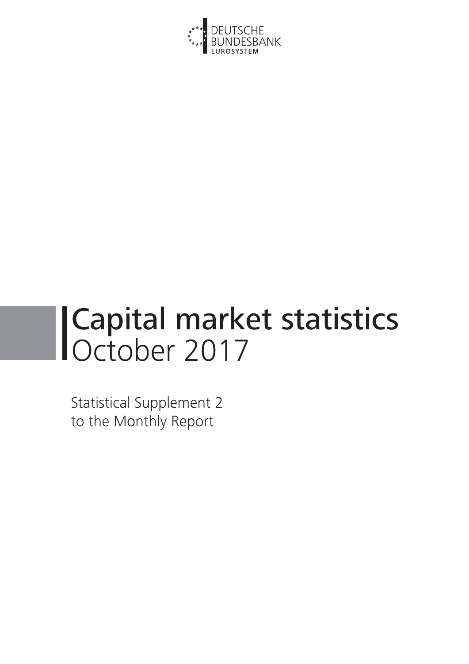

# Capital market statistics October 2017

Statistical Supplement 2 to the Monthly Report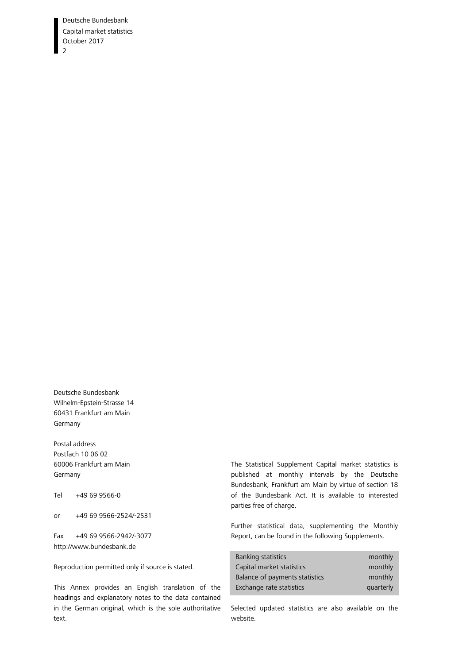Deutsche Bundesbank Capital market statistics October 2017  $\overline{2}$ 

Deutsche Bundesbank Wilhelm-Epstein-Strasse 14 60431 Frankfurt am Main Germany

Postal address Postfach 10 06 02 60006 Frankfurt am Main Germany

Tel +49 69 9566-0

or +49 69 9566-2524/-2531

Fax +49 69 9566-2942/-3077 http://www.bundesbank.de

Reproduction permitted only if source is stated.

This Annex provides an English translation of the headings and explanatory notes to the data contained in the German original, which is the sole authoritative text.

The Statistical Supplement Capital market statistics is published at monthly intervals by the Deutsche Bundesbank, Frankfurt am Main by virtue of section 18 of the Bundesbank Act. It is available to interested parties free of charge.

Further statistical data, supplementing the Monthly Report, can be found in the following Supplements.

| Banking statistics             | monthly   |
|--------------------------------|-----------|
| Capital market statistics      | monthly   |
| Balance of payments statistics | monthly   |
| Exchange rate statistics       | quarterly |

Selected updated statistics are also available on the website.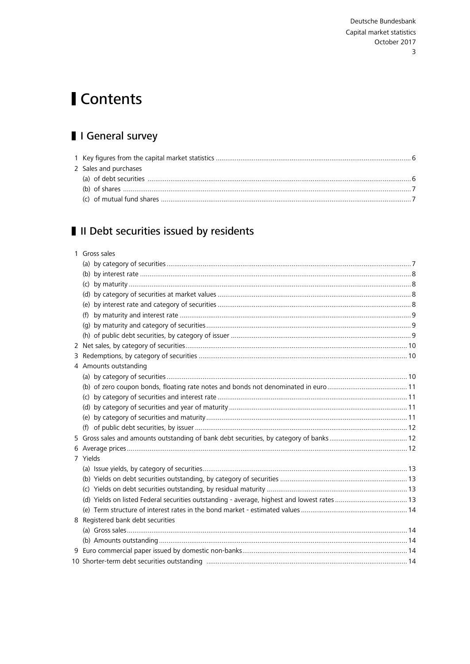# <span id="page-2-0"></span>Contents

# I General survey

| 2 Sales and purchases |  |
|-----------------------|--|
|                       |  |
|                       |  |
|                       |  |

# II Debt securities issued by residents

| 1 Gross sales                                                                               |  |
|---------------------------------------------------------------------------------------------|--|
|                                                                                             |  |
|                                                                                             |  |
|                                                                                             |  |
|                                                                                             |  |
|                                                                                             |  |
|                                                                                             |  |
|                                                                                             |  |
|                                                                                             |  |
|                                                                                             |  |
|                                                                                             |  |
| 4 Amounts outstanding                                                                       |  |
|                                                                                             |  |
|                                                                                             |  |
|                                                                                             |  |
|                                                                                             |  |
|                                                                                             |  |
|                                                                                             |  |
|                                                                                             |  |
|                                                                                             |  |
| 7 Yields                                                                                    |  |
|                                                                                             |  |
|                                                                                             |  |
|                                                                                             |  |
| (d) Yields on listed Federal securities outstanding - average, highest and lowest rates  13 |  |
|                                                                                             |  |
| 8 Registered bank debt securities                                                           |  |
|                                                                                             |  |
|                                                                                             |  |
|                                                                                             |  |
|                                                                                             |  |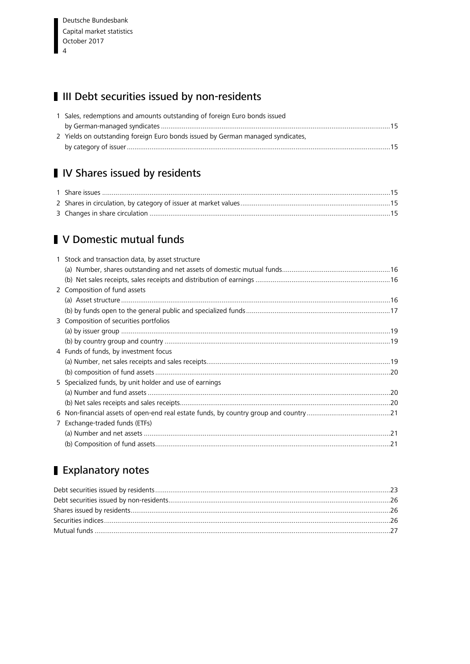# <span id="page-3-0"></span>III Debt securities issued by non-residents

| 1 Sales, redemptions and amounts outstanding of foreign Euro bonds issued       |  |
|---------------------------------------------------------------------------------|--|
|                                                                                 |  |
| 2 Yields on outstanding foreign Euro bonds issued by German managed syndicates, |  |
|                                                                                 |  |

# IV Shares issued by residents

# **V** Domestic mutual funds

| 1 Stock and transaction data, by asset structure        |  |
|---------------------------------------------------------|--|
|                                                         |  |
|                                                         |  |
| 2 Composition of fund assets                            |  |
|                                                         |  |
|                                                         |  |
| 3 Composition of securities portfolios                  |  |
|                                                         |  |
|                                                         |  |
| 4 Funds of funds, by investment focus                   |  |
|                                                         |  |
|                                                         |  |
| 5 Specialized funds, by unit holder and use of earnings |  |
|                                                         |  |
|                                                         |  |
|                                                         |  |
| 7 Exchange-traded funds (ETFs)                          |  |
|                                                         |  |
|                                                         |  |
|                                                         |  |

# Explanatory notes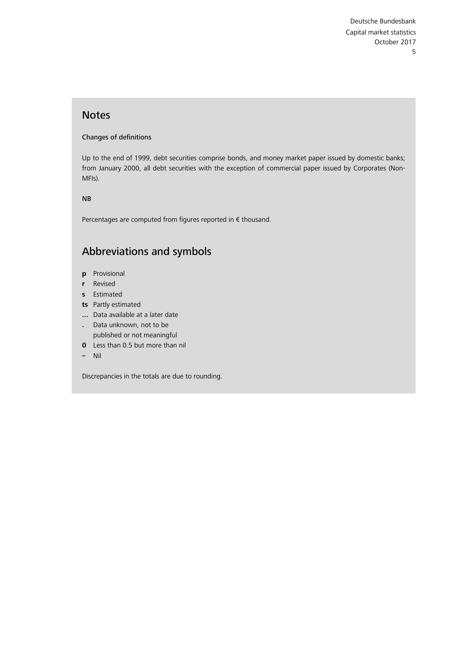### Notes

#### Changes of definitions

Up to the end of 1999, debt securities comprise bonds, and money market paper issued by domestic banks; from January 2000, all debt securities with the exception of commercial paper issued by Corporates (Non-MFIs).

NB

Percentages are computed from figures reported in € thousand.

# Abbreviations and symbols

- **p** Provisional
- **r** Revised
- **s** Estimated
- **ts** Partly estimated
- **...** Data available at a later date
- **.** Data unknown, not to be published or not meaningful
- **0** Less than 0.5 but more than nil
- **–** Nil

Discrepancies in the totals are due to rounding.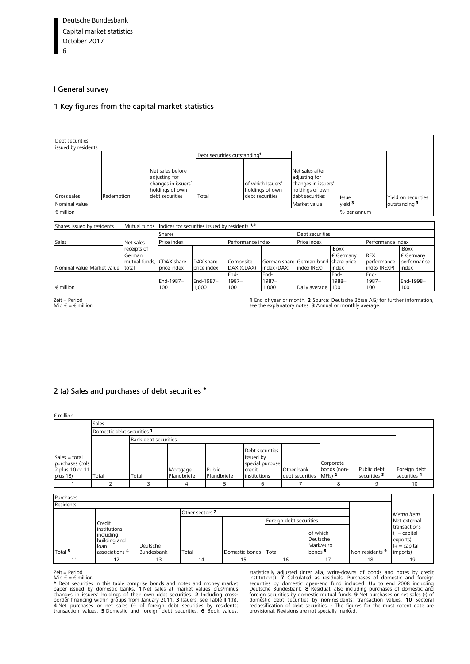#### <span id="page-5-0"></span>I General survey

#### [1 Key figures from the capital market statistics](#page-27-0)

| Debt securities<br>issued by residents  |  |                                                                                                              |                                                |                          |                                          |                                                         |                                                                                               |                             |                                           |                                                     |
|-----------------------------------------|--|--------------------------------------------------------------------------------------------------------------|------------------------------------------------|--------------------------|------------------------------------------|---------------------------------------------------------|-----------------------------------------------------------------------------------------------|-----------------------------|-------------------------------------------|-----------------------------------------------------|
|                                         |  |                                                                                                              |                                                |                          | Debt securities outstanding <sup>1</sup> |                                                         |                                                                                               |                             |                                           |                                                     |
| Gross sales                             |  | Net sales before<br>adjusting for<br>changes in issuers'<br>holdings of own<br>debt securities<br>Redemption |                                                | Total                    |                                          | of which Issuers'<br>holdings of own<br>debt securities | Net sales after<br>adjusting for<br>changes in issuers'<br>holdings of own<br>debt securities | Issue                       |                                           | Yield on securities                                 |
| Nominal value                           |  |                                                                                                              |                                                |                          |                                          |                                                         | Market value                                                                                  | $vield$ <sup>3</sup>        |                                           | outstanding 3                                       |
| € million                               |  |                                                                                                              |                                                |                          |                                          |                                                         |                                                                                               | % per annum                 |                                           |                                                     |
|                                         |  |                                                                                                              |                                                |                          |                                          |                                                         |                                                                                               |                             |                                           |                                                     |
| Shares issued by residents              |  | Mutual funds                                                                                                 | Indices for securities issued by residents 1,2 |                          |                                          |                                                         |                                                                                               |                             |                                           |                                                     |
|                                         |  |                                                                                                              | Shares                                         |                          |                                          |                                                         | Debt securities                                                                               |                             |                                           |                                                     |
| Sales                                   |  | Net sales                                                                                                    | Price index                                    |                          |                                          | Performance index                                       |                                                                                               |                             | Performance index                         |                                                     |
|                                         |  | receipts of<br>German<br>mutual funds. CDAX share<br>total                                                   | price index                                    | DAX share<br>price index | Composite<br>DAX (CDAX)                  | index (DAX)                                             | German share German bond share price<br>index (REX)                                           | iBoxx<br>€ Germany<br>index | <b>REX</b><br>performance<br>index (REXP) | iBoxx<br>$\epsilon$ Germany<br>performance<br>index |
| Nominal value Market value<br>€ million |  |                                                                                                              | $End-1987=$<br>100                             | $End-1987=$<br>1,000     | End-<br>$1987=$<br>100                   | End-<br>$1987=$<br>1,000                                | Daily average                                                                                 | End-<br>$1988 =$<br>100     | End-<br>$1987=$<br>100                    | End-1998=<br>100                                    |

Zeit = Period Mio € = € million

**1** End of year or month. **2** Source: Deutsche Börse AG; for further information, see the explanatory notes. **3** Annual or monthly average.

#### [2](#page-2-0) [\(a\) Sales and purchases of debt securities](#page-29-0) \*

€ million

| <u>.</u>                                                          |       |                            |                         |                       |                                                                           |                               |                                                  |                                        |                              |  |  |
|-------------------------------------------------------------------|-------|----------------------------|-------------------------|-----------------------|---------------------------------------------------------------------------|-------------------------------|--------------------------------------------------|----------------------------------------|------------------------------|--|--|
| Sales                                                             |       |                            |                         |                       |                                                                           |                               |                                                  |                                        |                              |  |  |
|                                                                   |       | Domestic debt securities 1 |                         |                       |                                                                           |                               |                                                  |                                        |                              |  |  |
|                                                                   |       | Bank debt securities       |                         |                       |                                                                           |                               |                                                  |                                        |                              |  |  |
| Sales $=$ total<br>purchases (cols<br>2 plus 10 or 11<br>plus 18) | Total | Total                      | Mortgage<br>Pfandbriefe | Public<br>Pfandbriefe | Debt securities<br>issued by<br>special purpose<br>credit<br>institutions | Other bank<br>debt securities | Corporate<br>bonds (non-<br>$MF(s)$ <sup>2</sup> | Public debt<br>securities <sup>3</sup> | Foreign debt<br>securities 4 |  |  |
|                                                                   |       |                            |                         |                       |                                                                           |                               | 8                                                |                                        | 10                           |  |  |
|                                                                   |       |                            |                         |                       |                                                                           |                               |                                                  |                                        |                              |  |  |

| Purchases          |                            |            |       |                      |                         |                    |                            |                                |  |  |
|--------------------|----------------------------|------------|-------|----------------------|-------------------------|--------------------|----------------------------|--------------------------------|--|--|
| Residents          |                            |            |       |                      |                         |                    |                            |                                |  |  |
|                    | Other sectors <sup>7</sup> |            |       |                      |                         |                    |                            |                                |  |  |
|                    | Credit                     |            |       |                      | Foreign debt securities |                    |                            | Memo item<br>Net external      |  |  |
|                    | institutions               |            |       |                      |                         | of which           |                            | transactions<br>$(-$ = capital |  |  |
|                    | including<br>building and  |            |       |                      |                         | Deutsche           |                            | exports)                       |  |  |
|                    | loan                       | Deutsche   |       |                      |                         | Mark/euro          |                            | $(+)$ = capital                |  |  |
| Total <sup>5</sup> | associations <sup>6</sup>  | Bundesbank | Total | Domestic bonds Total |                         | bonds <sup>8</sup> | Non-residents <sup>9</sup> | imports)                       |  |  |
|                    | 12                         | 13         | 14    | 15                   | 16                      | 17                 | 18                         | 19                             |  |  |

Zeit = Period<br>
Mio  $\epsilon$  =  $\epsilon$  million<br>
Mio  $\epsilon$  =  $\epsilon$  million<br>  $\star$  Debt securities in this table comprise bonds and notes and money market<br>
paper issued by domestic banks. **1** Net sales at market values plus/minus<br>
cha

statistically adjusted (inter alia, write-downs of bonds and notes by credit<br>institutions). 7 Calculated as residuals. Purchases of domestic and foreign<br>securities by domestic open-end fund included. Up to end 2008 includi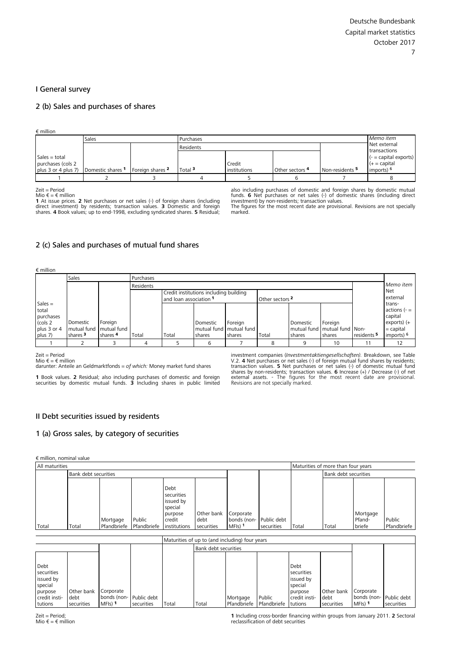#### <span id="page-6-1"></span><span id="page-6-0"></span>I General survey

#### 2 (b) Sales and purchases of shares

€ million

|                                      | Sales             |                  | Purchases          |              |                              |                            |                                            |  |  |
|--------------------------------------|-------------------|------------------|--------------------|--------------|------------------------------|----------------------------|--------------------------------------------|--|--|
|                                      |                   |                  | Residents          |              | Net external<br>transactions |                            |                                            |  |  |
| $Sales = total$<br>purchases (cols 2 |                   |                  |                    | Credit       |                              |                            | $(-$ = capital exports)<br>$(+)$ = capital |  |  |
| plus 3 or 4 plus 7)                  | Domestic shares 1 | Foreign shares 2 | Total <sup>3</sup> | institutions | Other sectors 4              | Non-residents <sup>5</sup> | imports) 6                                 |  |  |
|                                      |                   |                  |                    |              |                              |                            |                                            |  |  |
|                                      |                   |                  |                    |              |                              |                            |                                            |  |  |

Zeit = Period

Mio  $\epsilon = \epsilon$  million

**1** At issue prices. **2** Net purchases or net sales (-) of foreign shares (including direct investment) by residents; transaction values. **3** Domestic and foreign shares. **4** Book values; up to end-1998, excluding syndicated shares. **5** Residual;

also including purchases of domestic and foreign shares by domestic mutual<br>funds. 6 Net purchases or net sales (-) of domestic shares (including direct<br>investment) by non-residents; transaction values.<br>The figures for the marked.

#### 2 (c) Sales and purchases of mutual fund shares

| $\epsilon$ million |                     |                         |           |                                                                  |          |                             |                            |          |                                  |                        |                          |
|--------------------|---------------------|-------------------------|-----------|------------------------------------------------------------------|----------|-----------------------------|----------------------------|----------|----------------------------------|------------------------|--------------------------|
|                    | Sales               |                         | Purchases |                                                                  |          |                             |                            |          |                                  |                        |                          |
|                    |                     | Residents               |           |                                                                  |          |                             |                            |          | Memo item                        |                        |                          |
|                    |                     |                         |           | Credit institutions including building<br>and loan association 1 |          |                             | Other sectors <sup>2</sup> |          |                                  |                        | Net<br>external          |
| Sales $=$<br>total |                     |                         |           |                                                                  |          |                             |                            |          |                                  |                        | trans-<br>actions $(-$ = |
| purchases          |                     |                         |           |                                                                  |          |                             |                            |          |                                  |                        | capital                  |
| (cols 2            | Domestic            | Foreign                 |           |                                                                  | Domestic | Foreign                     |                            | Domestic | Foreign                          |                        | exports) (+              |
| plus 3 or 4        |                     | mutual fund mutual fund |           |                                                                  |          | mutual fund I mutual fund I |                            |          | mutual fund   mutual fund   Non- |                        | $=$ capital              |
| plus 7)            | shares <sup>3</sup> | shares <sup>4</sup>     | Total     | Total                                                            | shares   | shares                      | Total                      | shares   | shares                           | residents <sup>5</sup> | imports) <sup>6</sup>    |
|                    |                     |                         |           |                                                                  | h        |                             | 8                          |          | 10                               |                        | 12                       |

Zeit = Period

Mio  $\epsilon = \epsilon$  million

darunter: Anteile an Geldmarktfonds = *of which:* Money market fund shares

**1** Book values. **2** Residual; also including purchases of domestic and foreign securities by domestic mutual funds. **3** Including shares in public limited

investment companies (*Investmentaktiengesellschaften*). Breakdown, see Table V.2. **4** Net purchases or net sales (-) of foreign mutual fund shares by residents;<br>transaction values. **5** Net purchases or net sales (-) of d

#### II Debt securities issued by residents

#### [1 \(a\) Gross sales, by category of securities](#page-33-0)

€ million, nominal value

| All maturities |                      |                         |                       |                                                                                 |                                  |                                                  |                           | Maturities of more than four years |                      |                              |                       |
|----------------|----------------------|-------------------------|-----------------------|---------------------------------------------------------------------------------|----------------------------------|--------------------------------------------------|---------------------------|------------------------------------|----------------------|------------------------------|-----------------------|
|                | Bank debt securities |                         |                       |                                                                                 |                                  |                                                  |                           |                                    | Bank debt securities |                              |                       |
| Total          | Total                | Mortgage<br>Pfandbriefe | Public<br>Pfandbriefe | Debt<br>securities<br>issued by<br>special<br>purpose<br>credit<br>institutions | Other bank<br>debt<br>securities | Corporate<br>bonds (non-<br>$MFIs)$ <sup>1</sup> | Public debt<br>securities | Total                              | Total                | Mortgage<br>Pfand-<br>briefe | Public<br>Pfandbriefe |

|                                            |                    |                                      |            | Maturities of up to (and including) four years |                      |                         |        |                                            |                    |                          |             |
|--------------------------------------------|--------------------|--------------------------------------|------------|------------------------------------------------|----------------------|-------------------------|--------|--------------------------------------------|--------------------|--------------------------|-------------|
|                                            |                    |                                      |            |                                                | Bank debt securities |                         |        |                                            |                    |                          |             |
|                                            |                    |                                      |            |                                                |                      |                         |        |                                            |                    |                          |             |
| Debt<br>securities<br>issued by<br>special |                    |                                      |            |                                                |                      |                         |        | Debt<br>securities<br>issued by<br>special |                    |                          |             |
| purpose<br>credit insti-                   | Other bank<br>debt | Corporate<br>bonds (non- Public debt |            |                                                |                      | Mortgage                | Public | purpose<br>credit insti-                   | Other bank<br>debt | Corporate<br>bonds (non- | Public debt |
| tutions                                    | securities         | $MF(s)$ <sup>1</sup>                 | securities | Total                                          | Total                | Pfandbriefe Pfandbriefe |        | tutions                                    | securities         | MFIs) 1                  | securities  |

**1** [Including cross-border financing within groups from January 2011.](#page-34-0) **2** Sectoral reclassification of debt securities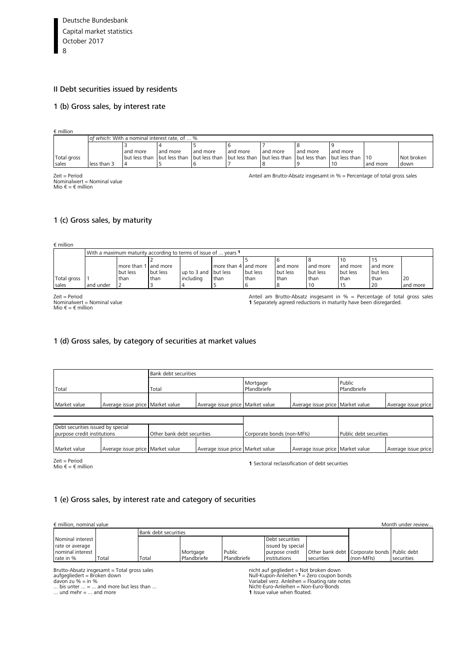#### <span id="page-7-0"></span>I[I Debt securities issued by residents](#page-35-0)

#### 1 (b) Gross sales, by interest rate

€ million

|             |             | of which: With a nominal interest rate, of  %                                                                        |          |          |          |          |          |          |          |            |
|-------------|-------------|----------------------------------------------------------------------------------------------------------------------|----------|----------|----------|----------|----------|----------|----------|------------|
|             |             |                                                                                                                      |          |          |          |          |          |          |          |            |
|             |             | and more                                                                                                             | and more | and more | and more | and more | and more | and more |          |            |
| Total gross |             | 1 but less than 1 but less than 1 but less than 1 but less than 1 but less than 1 but less than 1 but less than 1 10 |          |          |          |          |          |          |          | Not broken |
| sales       | less than 3 |                                                                                                                      |          |          |          |          |          |          | and more | down       |
|             |             |                                                                                                                      |          |          |          |          |          |          |          |            |

Zeit = Period<br>Nominalwert = Nominal value<br>Mio € = € million

Anteil am Brutto-Absatz insgesamt in % = Percentage of total gross sales

#### 1 (c) Gross sales, by maturity

| $\epsilon$ million |           |                      |                                                                 |                      |                      |          |          |          |          |          |          |  |
|--------------------|-----------|----------------------|-----------------------------------------------------------------|----------------------|----------------------|----------|----------|----------|----------|----------|----------|--|
|                    |           |                      | With a maximum maturity according to terms of issue of  years 1 |                      |                      |          |          |          |          |          |          |  |
|                    |           |                      |                                                                 |                      |                      |          |          |          |          |          |          |  |
|                    |           | more than 1 and more |                                                                 |                      | more than 4 and more |          | and more | and more | and more | and more |          |  |
|                    |           | but less             | but less                                                        | up to 3 and but less |                      | but less | but less | but less | but less | but less |          |  |
| Total gross        |           | than                 | than                                                            | includina            | <b>than</b>          | than     | than     | than     | than     | than     | 20       |  |
| sales              | and under |                      |                                                                 |                      |                      |          |          |          |          | 20       | and more |  |

Zeit = Period Nominalwert = Nominal value Mio € = € million

Anteil am Brutto-Absatz insgesamt in % = Percentage of total gross sales **1** Separately agreed reductions in maturity have been disregarded.

#### 1 (d) Gross sales, by category of securities at market values

|              |                                  | <b>Bank debt securities</b> |                                  |                         |                                  |                       |                     |  |  |  |
|--------------|----------------------------------|-----------------------------|----------------------------------|-------------------------|----------------------------------|-----------------------|---------------------|--|--|--|
| Total        |                                  | Total                       |                                  | Mortgage<br>Pfandbriefe |                                  | Public<br>Pfandbriefe |                     |  |  |  |
| Market value | Average issue price Market value |                             | Average issue price Market value |                         | Average issue price Market value |                       | Average issue price |  |  |  |
|              |                                  |                             |                                  |                         |                                  |                       |                     |  |  |  |
|              |                                  |                             |                                  |                         |                                  |                       |                     |  |  |  |

| Debt securities issued by special |                                  |                            |                                    |                            |                                    |                        |                     |  |
|-----------------------------------|----------------------------------|----------------------------|------------------------------------|----------------------------|------------------------------------|------------------------|---------------------|--|
| purpose credit institutions       |                                  | Other bank debt securities |                                    | Corporate bonds (non-MFIs) |                                    | Public debt securities |                     |  |
|                                   |                                  |                            |                                    |                            |                                    |                        |                     |  |
| Market value                      | Average issue price Market value |                            | Average issue price   Market value |                            | Average issue price   Market value |                        | Average issue price |  |

Zeit = Period<br>Mio € = € million

**1** Sectoral reclassification of debt securities

#### 1 (e) Gross sales, by interest rate and category of securities

| $\epsilon$ million, nominal value |       |                      | Month under review |             |                   |                                                 |            |            |
|-----------------------------------|-------|----------------------|--------------------|-------------|-------------------|-------------------------------------------------|------------|------------|
|                                   |       | Bank debt securities |                    |             |                   |                                                 |            |            |
| Nominal interest                  |       |                      |                    |             | Debt securities   |                                                 |            |            |
| rate or average                   |       |                      |                    |             | issued by special |                                                 |            |            |
| nominal interest                  |       |                      | Mortgage           | Public      | purpose credit    | Other bank debt   Corporate bonds   Public debt |            |            |
| rate in %                         | Total | Total                | Pfandbriefe        | Pfandbriefe | institutions      | securities                                      | (non-MFIs) | securities |

Brutto-Absatz insgesamt = Total gross sales<br>aufgegliedert = Broken down<br>davon zu % = in %<br>... bis unter ... = ... and more but less than ...<br>... und mehr = ... and more

nicht auf gegliedert = Not broken down<br>Null-Kupon-Anleihen <sup>1</sup> = Zero coupon bonds<br>Variabel verz. Anleihen = Floating rate notes<br>Nicht-Euro-Anleihen = Non-Euro-Bonds

**1** Issue value when floated.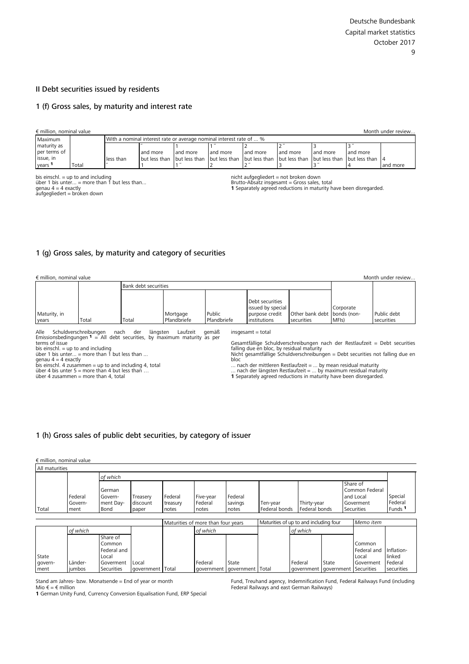#### <span id="page-8-0"></span>II Debt securities issued by residents

#### [1 \(f\) Gross sales, by maturity and interest rate](#page-39-0)

|                    | $\epsilon$ million, nominal value<br>Month under review |           |                                                                                                                 |          |          |          |          |          |                          |          |  |  |  |
|--------------------|---------------------------------------------------------|-----------|-----------------------------------------------------------------------------------------------------------------|----------|----------|----------|----------|----------|--------------------------|----------|--|--|--|
| Maximum            |                                                         |           | I With a nominal interest rate or average nominal interest rate of  %                                           |          |          |          |          |          |                          |          |  |  |  |
| maturity as        |                                                         |           |                                                                                                                 |          |          |          |          |          | $\sim$ $^{\prime\prime}$ |          |  |  |  |
| per terms of       |                                                         |           | and more                                                                                                        | and more | and more | and more | and more | and more | and more                 |          |  |  |  |
| issue, in          |                                                         | less than | 1 but less than I but less than I but less than I but less than I but less than I but less than I but less than |          |          |          |          |          |                          |          |  |  |  |
| vears <sup>1</sup> | Total                                                   |           |                                                                                                                 |          |          |          |          |          |                          | and more |  |  |  |

bis einschl. = up to and including über 1 bis unter... = more than 1 but less than... genau 4 = 4 exactly aufgegliedert = broken down

nicht aufgegliedert = not broken down

Brutto-Absatz insgesamt = Gross sales, total **1** Separately agreed reductions in maturity have been disregarded.

#### [1 \(g\) Gross sales, by maturity and category of securities](#page-40-0)

|  |  | € million, nominal value |  |  |
|--|--|--------------------------|--|--|
|--|--|--------------------------|--|--|

| $\epsilon$ million, nominal value |       |                      |             |             |                   |                             |                    |             |  |  |  |  |
|-----------------------------------|-------|----------------------|-------------|-------------|-------------------|-----------------------------|--------------------|-------------|--|--|--|--|
|                                   |       | Bank debt securities |             |             |                   |                             |                    |             |  |  |  |  |
|                                   |       |                      |             |             |                   |                             |                    |             |  |  |  |  |
|                                   |       |                      |             |             | Debt securities   |                             |                    |             |  |  |  |  |
|                                   |       |                      |             |             | issued by special |                             | Corporate          |             |  |  |  |  |
| Maturity, in                      |       |                      | Mortgage    | Public      | purpose credit    | Other bank debt bonds (non- |                    | Public debt |  |  |  |  |
| years                             | Total | Total                | Pfandbriefe | Pfandbriefe | institutions      | securities                  | MFI <sub>s</sub> ) | securities  |  |  |  |  |

Alle Schuldverschreibungen nach der längsten Laufzeit gemäß Emissionsbedingungen <sup>1</sup> = All debt securities, by maximum maturity as per

terms of issue

bis einschl. = up to and including über 1 bis unter... = more than 1 but less than ...

genau 4 = 4 exactly bis einschl. 4 zusammen = up to and including 4, total über 4 bis unter 5 = more than 4 but less than …

über 4 zusammen = more than 4, total

insgesamt = total

Gesamtfällige Schuldverschreibungen nach der Restlaufzeit = Debt securities falling due en bloc, by residual maturity Nicht gesamtfällige Schuldverschreibungen = Debt securities not falling due en

bloc<br>... nach der mittleren Restlaufzeit = ... by mean residual maturity<br>... nach der längsten Restlaufzeit = ... by maximum residual maturity<br>**1** Separately agreed reductions in maturity have been disregarded.

#### [1 \(h\) Gross sales of public debt securities, by category of issuer](#page-41-0)

government Total

Local

#### € million, nominal value

State government

| All maturities |                            |                                        |                               |                              |                                    |                             |                           |                                        |                                                                    |                                          |
|----------------|----------------------------|----------------------------------------|-------------------------------|------------------------------|------------------------------------|-----------------------------|---------------------------|----------------------------------------|--------------------------------------------------------------------|------------------------------------------|
|                |                            | of which                               |                               |                              |                                    |                             |                           |                                        |                                                                    |                                          |
| Total          | Federal<br>Govern-<br>ment | German<br>Govern-<br>ment Day-<br>Bond | Treasery<br>discount<br>paper | Federal<br>treasury<br>notes | Five-year<br>Federal<br>notes      | Federal<br>savings<br>notes | Ten-year<br>Federal bonds | Thirty-year<br>Federal bonds           | Share of<br>Common Federal<br>and Local<br>Goverment<br>Securities | Special<br>Federal<br>Funds <sup>1</sup> |
|                |                            |                                        |                               |                              | Maturities of more than four years |                             |                           | Maturities of up to and including four | Memo item                                                          |                                          |
|                | of which                   |                                        |                               |                              | of which                           |                             |                           | of which                               |                                                                    |                                          |
|                |                            | Share of<br>Common<br>Federal and      |                               |                              |                                    |                             |                           |                                        | Common<br>Federal and                                              | Inflation-                               |

State

government Total

Federal government

Stand am Jahres- bzw. Monatsende = End of year or month

Local Goverment Securities

Länderjumbos

Mio € = € million **1** [German Unity Fund, Currency Conversion Equalisation Fund, ERP Special](#page-42-0) 

Fund, Treuhand agency, Indemnification Fund, Federal Railways Fund (including Federal Railways and east German Railways)

State government

Federal government Local Goverment Securities

linked Federal securities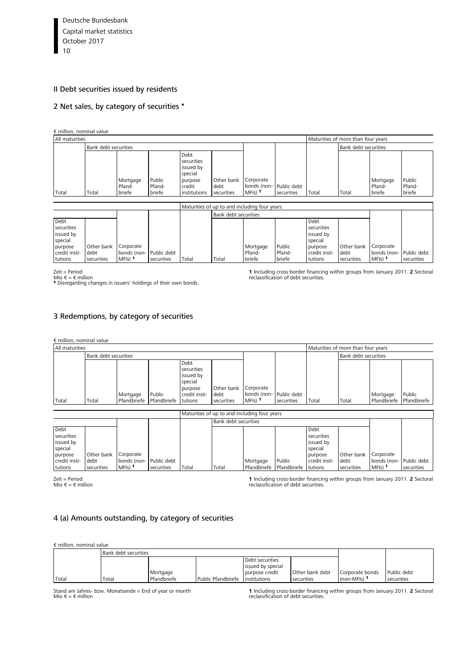#### <span id="page-9-0"></span>II Debt securities issued by residents

#### [2 Net sales, by category of securities](#page-43-0) \*

€ million, nominal value

| All maturities |                      |                              |                            |                                                                                 |                                  | Maturities of more than four years                                      |            |       |                      |                              |                            |
|----------------|----------------------|------------------------------|----------------------------|---------------------------------------------------------------------------------|----------------------------------|-------------------------------------------------------------------------|------------|-------|----------------------|------------------------------|----------------------------|
|                | Bank debt securities |                              |                            |                                                                                 |                                  |                                                                         |            |       | Bank debt securities |                              |                            |
| Total          | Total                | Mortgage<br>Pfand-<br>briefe | Public<br>Pfand-<br>briefe | Debt<br>securities<br>issued by<br>special<br>purpose<br>credit<br>institutions | Other bank<br>debt<br>securities | Corporate<br>bonds (non- Public debt<br>MFI <sub>S</sub> ) <sup>1</sup> | securities | Total | Total                | Mortgage<br>Pfand-<br>briefe | Public<br>Pfand-<br>briefe |

|                                            |                              |                           |            | Maturities of up to and including four years |                      |                    |                  |                                            |                    |                          |             |
|--------------------------------------------|------------------------------|---------------------------|------------|----------------------------------------------|----------------------|--------------------|------------------|--------------------------------------------|--------------------|--------------------------|-------------|
|                                            |                              |                           |            |                                              | Bank debt securities |                    |                  |                                            |                    |                          |             |
| Debt<br>securities<br>issued by<br>special |                              |                           |            |                                              |                      |                    |                  | Debt<br>securities<br>issued by<br>special |                    |                          |             |
| purpose<br>credit insti-                   | Other bank Corporate<br>debt | bonds (non-   Public debt |            |                                              |                      | Mortgage<br>Pfand- | Public<br>Pfand- | purpose<br>credit insti-                   | Other bank<br>debt | Corporate<br>bonds (non- | Public debt |
| tutions                                    | securities                   | $MFIs)$ <sup>1</sup>      | securities | Total                                        | Total                | briefe             | briefe           | tutions                                    | securities         | $MF(s)$ 1                | securities  |

Zeit = Period

Mio € = € million \* Disregarding changes in issuers' holdings of their own bonds.

**1** [Including cross-border financing within groups from January 2011.](#page-44-0) **2** Sectoral reclassification of debt securities.

#### [3 Redemptions, by category of securities](#page-45-0)

| $\epsilon$ million, nominal value |                      |                         |                       |                                                                                           |                                  |                                                              |            |       |                      |                         |                       |
|-----------------------------------|----------------------|-------------------------|-----------------------|-------------------------------------------------------------------------------------------|----------------------------------|--------------------------------------------------------------|------------|-------|----------------------|-------------------------|-----------------------|
| All maturities                    |                      |                         |                       |                                                                                           |                                  | Maturities of more than four years                           |            |       |                      |                         |                       |
|                                   | Bank debt securities |                         |                       |                                                                                           |                                  |                                                              |            |       | Bank debt securities |                         |                       |
| Total                             | Total                | Mortgage<br>Pfandbriefe | Public<br>Pfandbriefe | Debt<br>securities<br>issued by<br>special<br>purpose<br>credit insti-<br><b>Itutions</b> | Other bank<br>debt<br>securities | Corporate<br>bonds (non- Public debt<br>$MFIs)$ <sup>1</sup> | securities | Total | Total                | Mortgage<br>Pfandbriefe | Public<br>Pfandbriefe |

|                                            |                                  |                                                  |                             | Maturities of up to and including four years |                      |                         |                       |                                            |                                  |                                                  |                           |
|--------------------------------------------|----------------------------------|--------------------------------------------------|-----------------------------|----------------------------------------------|----------------------|-------------------------|-----------------------|--------------------------------------------|----------------------------------|--------------------------------------------------|---------------------------|
|                                            |                                  |                                                  |                             |                                              | Bank debt securities |                         |                       |                                            |                                  |                                                  |                           |
| Debt<br>securities<br>issued by<br>special |                                  |                                                  |                             |                                              |                      |                         |                       | Debt<br>securities<br>issued by<br>special |                                  |                                                  |                           |
| purpose<br>credit insti-<br>tutions        | Other bank<br>debt<br>securities | Corporate<br>bonds (non-<br>$MF(s)$ <sup>1</sup> | · Public debt<br>securities | Total                                        | Total                | Mortgage<br>Pfandbriefe | Public<br>Pfandbriefe | purpose<br>credit insti-<br>tutions        | Other bank<br>debt<br>securities | Corporate<br>bonds (non-<br>MFI <sub>s</sub> ) 1 | Public debt<br>securities |

Zeit = Period Mio € = € million

**1** [Including cross-border financing within groups from January 2011.](#page-46-0) **2** Sectoral reclassification of debt securities.

#### [4 \(a\) Amounts outstanding, by category of securities](#page-47-0)

€ million, nominal value

|       | <b>Bank debt securities</b> |             |                    |                   |                 |                 |             |
|-------|-----------------------------|-------------|--------------------|-------------------|-----------------|-----------------|-------------|
|       |                             |             |                    | Debt securities   |                 |                 |             |
|       |                             |             |                    | issued by special |                 |                 |             |
|       |                             | Mortgage    |                    | purpose credit    | Other bank debt | Corporate bonds | Public debt |
| Total | Total                       | Pfandbriefe | Public Pfandbriefe | institutions      | securities      | (non-MFIs) 1    | securities  |

Stand am Jahres- bzw. Monatsende = End of year or month Mio  $\epsilon = \epsilon$  million

**1** Including cross-border financing within groups from January 2011. **2** Sectoral reclassification of debt securities.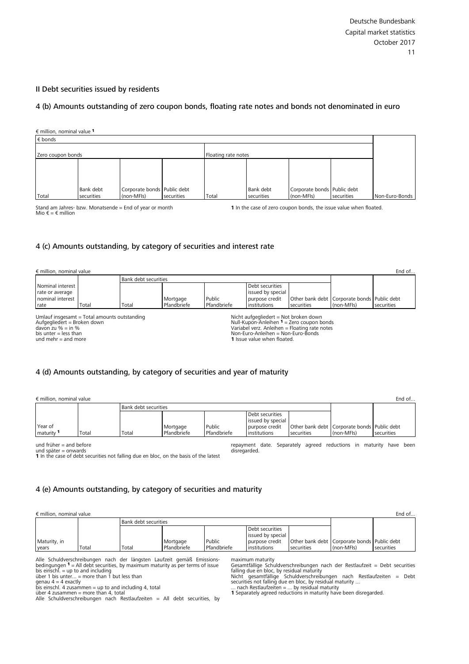#### <span id="page-10-0"></span>II Debt securities issued by residents

#### [4 \(b\) Amounts outstanding of zero coupon bonds, floating rate notes and bonds not denominated in euro](#page-47-0)

€ million, nominal value <sup>1</sup> € bonds Non-Euro-Bonds Zero coupon bonds **Floating rate notes** Total Bank debt securities Corporate bonds (non-MFIs) Public debt securities Total Bank debt securities Corporate bonds (non-MFIs) Public debt securities

Stand am Jahres- bzw. Monatsende = End of year or month Mio € = € million

**1** In the case of zero coupon bonds, the issue value when floated.

#### [4 \(c\) Amounts outstanding, by category of securities and interest rate](#page-48-0)

| $\epsilon$ million, nominal value                                                                                                                          |       |                             |                         |                       |                                                                                                                   |                                                                                              |            | End of     |
|------------------------------------------------------------------------------------------------------------------------------------------------------------|-------|-----------------------------|-------------------------|-----------------------|-------------------------------------------------------------------------------------------------------------------|----------------------------------------------------------------------------------------------|------------|------------|
|                                                                                                                                                            |       | <b>Bank debt securities</b> |                         |                       |                                                                                                                   |                                                                                              |            |            |
| Nominal interest<br>rate or average<br>nominal interest<br>rate                                                                                            | Total | Total                       | Mortgage<br>Pfandbriefe | Public<br>Pfandbriefe | Debt securities<br>issued by special<br>purpose credit<br>institutions                                            | Other bank debt   Corporate bonds   Public debt<br>securities                                | (non-MFIs) | securities |
| Umlauf insgesamt = Total amounts outstanding<br>Aufgegliedert = Broken down<br>davon zu $% =$ in $% =$<br>bis unter $=$ less than<br>und mehr $=$ and more |       |                             |                         |                       | Nicht aufgegliedert = Not broken down<br>Non-Euro-Anleihen = Non-Euro-Bonds<br><b>1</b> Issue value when floated. | Null-Kupon-Anleihen $1 =$ Zero coupon bonds<br>Variabel verz. Anleihen = Floating rate notes |            |            |

#### 4 (d) Amounts outstanding, by category of securities and year of maturity

| $\epsilon$ million, nominal value |       |                             |                         |                       |                                                                        |                                                           |            | End of                   |
|-----------------------------------|-------|-----------------------------|-------------------------|-----------------------|------------------------------------------------------------------------|-----------------------------------------------------------|------------|--------------------------|
|                                   |       | <b>Bank debt securities</b> |                         |                       |                                                                        |                                                           |            |                          |
| Year of<br>maturity 1             | Total | Total                       | Mortgage<br>Pfandbriefe | Public<br>Pfandbriefe | Debt securities<br>issued by special<br>purpose credit<br>institutions | Other bank debt Corporate bonds Public debt<br>securities | (non-MFIs) | securities               |
| und früher $=$ and before         |       |                             |                         |                       |                                                                        | repayment date. Separately agreed reductions in           |            | maturity<br>been<br>have |

disregarded.

und früher = and before und später = onwards

**1** [In the case of debt securities not falling due en bloc, on the basis of the latest](#page-48-0) 

#### 4 (e) Amounts outstanding, by category of securities and maturity

| $\epsilon$ million, nominal value |        |             |                                                   |                                 |                                                           |  |  |  |  |
|-----------------------------------|--------|-------------|---------------------------------------------------|---------------------------------|-----------------------------------------------------------|--|--|--|--|
| <b>Bank debt securities</b>       |        |             |                                                   |                                 |                                                           |  |  |  |  |
|                                   |        |             |                                                   |                                 |                                                           |  |  |  |  |
|                                   |        |             |                                                   |                                 |                                                           |  |  |  |  |
| Mortgage                          | Public |             |                                                   |                                 |                                                           |  |  |  |  |
| Pfandbriefe                       |        |             |                                                   |                                 | securities                                                |  |  |  |  |
|                                   |        | Pfandbriefe | Debt securities<br>purpose credit<br>institutions | issued by special<br>securities | Other bank debt Corporate bonds Public debt<br>(non-MFIs) |  |  |  |  |

Alle Schuldverschreibungen nach der längsten Laufzeit gemäß Emissions-<br>bedingungen 1 = All debt securities, by maximum maturity as per terms of issue<br>bis einschl. = up to and including<br>über 1 bis unter... = more than 1 but

bis einschl. 4 zusammen = up to and including 4, total über 4 zusammen = more than 4, total [Alle Schuldverschreibungen nach Restlaufzeiten = All debt securities, by](#page-49-0) 

maximum maturity Gesamtfällige Schuldverschreibungen nach der Restlaufzeit = Debt securitie[s](#page-2-0)  falling due en bloc, by residual maturity<br>Nicht gesamtfällige Schuldverschreibungen nach Restlaufzeiten = Debt<br>securities not falling due en bloc, by residual maturity ...<br>... nach Restlaufzeiten = ... by residual maturity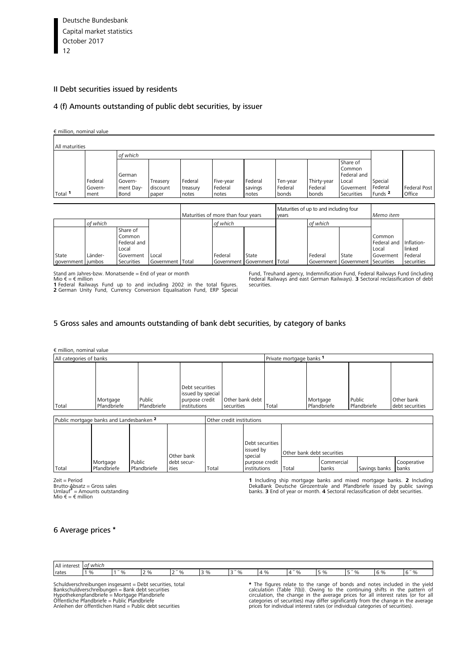#### <span id="page-11-0"></span>II Debt securities issued by residents

#### [4 \(f\) Amounts outstanding of public debt securities, by issuer](#page-51-0)

#### € million, nominal value

| All maturities |                            |                                        |                               |                              |                               |                             |                              |                                 |                                                                       |                                          |                        |
|----------------|----------------------------|----------------------------------------|-------------------------------|------------------------------|-------------------------------|-----------------------------|------------------------------|---------------------------------|-----------------------------------------------------------------------|------------------------------------------|------------------------|
|                |                            | of which                               |                               |                              |                               |                             |                              |                                 |                                                                       |                                          |                        |
| Total 1        | Federal<br>Govern-<br>ment | German<br>Govern-<br>ment Day-<br>Bond | Treasery<br>discount<br>paper | Federal<br>treasury<br>notes | Five-year<br>Federal<br>notes | Federal<br>savings<br>notes | Ten-year<br>Federal<br>bonds | Thirty-year<br>Federal<br>bonds | Share of<br>Common<br>Federal and<br>Local<br>Goverment<br>Securities | Special<br>Federal<br>Funds <sup>2</sup> | Federal Post<br>Office |
|                |                            |                                        |                               |                              |                               |                             |                              |                                 |                                                                       |                                          |                        |

|       |                              |                                                                       |                           | Maturities of more than four years |          |                                      | Maturities of up to and including four<br>vears |          |                                           | Memo item                                   |                                               |
|-------|------------------------------|-----------------------------------------------------------------------|---------------------------|------------------------------------|----------|--------------------------------------|-------------------------------------------------|----------|-------------------------------------------|---------------------------------------------|-----------------------------------------------|
|       | of which                     |                                                                       |                           |                                    | of which |                                      |                                                 | of which |                                           |                                             |                                               |
| State | Länder-<br>government jumbos | Share of<br>Common<br>Federal and<br>Local<br>Goverment<br>Securities | Local<br>Government Total |                                    | Federal  | State<br>Government Government Total |                                                 | Federal  | State<br>Government Government Securities | Common<br>Federal and<br>Local<br>Goverment | Inflation-<br>linked<br>Federal<br>securities |

Stand am Jahres-bzw. Monatsende = End of year or month Mio € = € million

**1** Federal Railways Fund up to and including 2002 in the total figures. **2** German Unity Fund, Currency Conversion Equalisation Fund, ERP Special

[Fund, Treuhand agency, Indemnification Fund, Federal Railways Fund \(including](#page-52-0) Federal Railways and east German Railways). **3** Sectoral reclassification of debt securities.

#### [5 Gross sales and amounts outstanding of bank debt securities, by category of banks](#page-53-0)

€ million, nominal value

| All categories of banks |             |             |                   |                 | Private mortgage banks 1 |             |             |                 |  |  |
|-------------------------|-------------|-------------|-------------------|-----------------|--------------------------|-------------|-------------|-----------------|--|--|
|                         |             |             |                   |                 |                          |             |             |                 |  |  |
|                         |             |             |                   |                 |                          |             |             |                 |  |  |
|                         |             |             | Debt securities   |                 |                          |             |             |                 |  |  |
|                         |             |             | issued by special |                 |                          |             |             |                 |  |  |
|                         | Mortgage    | Public      | purpose credit    | Other bank debt |                          | Mortgage    | Public      | Other bank      |  |  |
| Total                   | Pfandbriefe | Pfandbriefe | institutions      | securities      | Total                    | Pfandbriefe | Pfandbriefe | debt securities |  |  |

| Public mortgage banks and Landesbanken 2 |                         |                       |                      |       | Other credit institutions               |                            |                     |               |                      |  |  |
|------------------------------------------|-------------------------|-----------------------|----------------------|-------|-----------------------------------------|----------------------------|---------------------|---------------|----------------------|--|--|
|                                          |                         |                       | Other bank           |       | Debt securities<br>issued by<br>special | Other bank debt securities |                     |               |                      |  |  |
| Total                                    | Mortgage<br>Pfandbriefe | Public<br>Pfandbriefe | debt secur-<br>ities | Total | purpose credit<br>institutions          | Total                      | Commercial<br>banks | Savings banks | Cooperative<br>banks |  |  |

Zeit = Period Brutto-Absatz = Gross sales Umlauf**<sup>3</sup>** = Amounts outstanding Mio  $\epsilon = \epsilon$  million

1 Including ship mortgage banks and mixed mortgage banks. 2 Including<br>DekaBank Deutsche Girozentrale and Pfandbriefe issued by public savings<br>banks. 3 End of year or month. 4 Sectoral reclassification of debt securities.

#### 6 Average prices \*

| All interest | * which    |                      |                              |      |           |                                |                                 |    |                     |
|--------------|------------|----------------------|------------------------------|------|-----------|--------------------------------|---------------------------------|----|---------------------|
| rates        | $v_{\ell}$ | $\sim$<br>$\sqrt{2}$ | $\sim$<br>-<br>$\frac{9}{0}$ | 3''% | 70<br>. . | $^{\circ}$ %<br>$\overline{ }$ | $F''$ $\alpha$<br>$\frac{9}{6}$ | ıь | $\gamma$<br>$\cdot$ |

Schuldverschreibungen insgesamt = Debt securities, total Bankschuldverschreibungen = Bank debt securities Hypothekenpfandbriefe = Mortgage Pfandbriefe Öffentliche Pfandbriefe = Public Pfandbriefe Anleihen der öffentlichen Hand = Public debt securities

\* The figures relate to the range of bonds and notes included in the yield calculation (Table 7(b)). Owing to the continuing shifts in the pattern of circulation, the change in the average prices for all interest rates (or for all eitclations) may differ significantly from the change in the price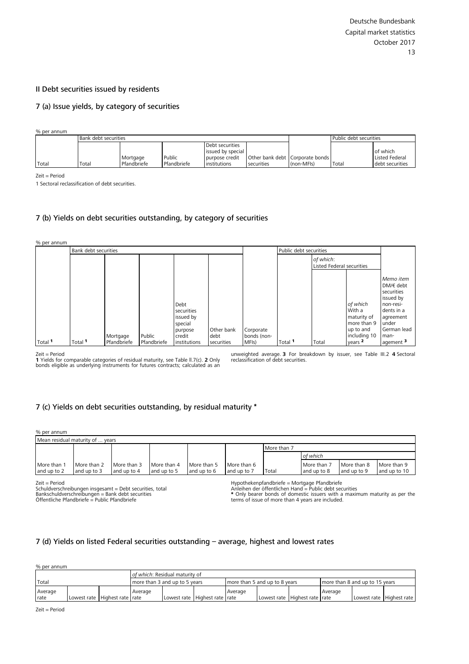#### <span id="page-12-0"></span>II Debt securities issued by residents

#### [7 \(a\) Issue yields, by category of securities](#page-57-0)

% per annum

|                | Bank debt securities |             |             |                   | Public debt securities |                                   |       |                 |
|----------------|----------------------|-------------|-------------|-------------------|------------------------|-----------------------------------|-------|-----------------|
|                | Debt securities      |             |             |                   |                        |                                   |       |                 |
|                |                      |             |             | issued by special |                        |                                   |       | of which        |
|                |                      | Mortgage    | Public      | purpose credit    |                        | Other bank debt   Corporate bonds |       | Listed Federal  |
| Total<br>Total |                      | Pfandbriefe | Pfandbriefe | institutions      | securities             | $(non-MFIs)$                      | Total | debt securities |

Zeit = Period

1 Sectoral reclassification of debt securities.

#### [7 \(b\) Yields on debt securities outstanding, by category of securities](#page-57-0)

| % per annum |                      |             |             |                                                                 |                    |                          |                        |                                        |                                                                               |                                                                                                                               |
|-------------|----------------------|-------------|-------------|-----------------------------------------------------------------|--------------------|--------------------------|------------------------|----------------------------------------|-------------------------------------------------------------------------------|-------------------------------------------------------------------------------------------------------------------------------|
|             | Bank debt securities |             |             |                                                                 |                    |                          | Public debt securities |                                        |                                                                               |                                                                                                                               |
|             |                      |             |             |                                                                 |                    |                          |                        | of which:<br>Listed Federal securities |                                                                               |                                                                                                                               |
|             |                      | Mortgage    | Public      | Debt<br>securities<br>issued by<br>special<br>purpose<br>credit | Other bank<br>debt | Corporate<br>bonds (non- |                        |                                        | of which<br>With a<br>maturity of<br>more than 9<br>up to and<br>including 10 | Memo item<br>$DM \in$ debt<br>securities<br>issued by<br>non-resi-<br>dents in a<br>agreement<br>under<br>German lead<br>man- |
| Total 1     | Total 1              | Pfandbriefe | Pfandbriefe | institutions                                                    | securities         | MFI <sub>s</sub> )       | Total <b>1</b>         | Total                                  | years 2                                                                       | agement <sup>3</sup>                                                                                                          |

Zeit = Period

**1** Yields for comparable categories of residual maturity, see Table ll.7(c). **2** Only bonds eligible as underlying instruments for futures contracts; calculated as an

unweighted average. **3** For breakdown by issuer, see Table III.2 **4** Sectoral reclassification of debt securities.

#### [7 \(c\) Yields on debt securities outstanding, by residual maturity](#page-58-0) \*

| % per annum                      |             |             |             |             |             |             |             |             |              |  |
|----------------------------------|-------------|-------------|-------------|-------------|-------------|-------------|-------------|-------------|--------------|--|
| Mean residual maturity of  years |             |             |             |             |             |             |             |             |              |  |
|                                  |             |             |             |             |             | More than 7 |             |             |              |  |
|                                  |             |             |             |             |             |             | of which    |             |              |  |
| More than 1                      | More than 2 | More than 3 | More than 4 | More than 5 | More than 6 |             | More than 7 | More than 8 | More than 9  |  |
| and up to 2                      | and up to 3 | and up to 4 | and up to 5 | and up to 6 | and up to 7 | Total       | and up to 8 | and up to 9 | and up to 10 |  |

Zeit = Period

Schuldverschreibungen insgesamt = Debt securities, total Bankschuldverschreibungen = Bank debt securities Öffentliche Pfandbriefe = Public Pfandbriefe

Hypothekenpfandbriefe = Mortgage Pfandbriefe

Anleihen der öffentlichen Hand = Public debt securities<br>\* Only bearer bonds of domestic issuers with a maximum maturity as per the<br>terms of issue of more than 4 years are included.

#### [7 \(d\) Yields on listed Federal securities outstanding –](#page-60-0) average, highest and lowest rates

% per annum

|                 |  |                                | of which: Residual maturity of |  |                               |                               |             |                   |                                |  |                          |
|-----------------|--|--------------------------------|--------------------------------|--|-------------------------------|-------------------------------|-------------|-------------------|--------------------------------|--|--------------------------|
| Total           |  |                                | more than 3 and up to 5 years  |  |                               | more than 5 and up to 8 years |             |                   | more than 8 and up to 15 years |  |                          |
| Average<br>rate |  | Lowest rate Highest rate Trate | Average                        |  | Lowest rate Highest rate rate | Average                       | Lowest rate | Highest rate rate | Average                        |  | Lowest rate Highest rate |

Zeit = Period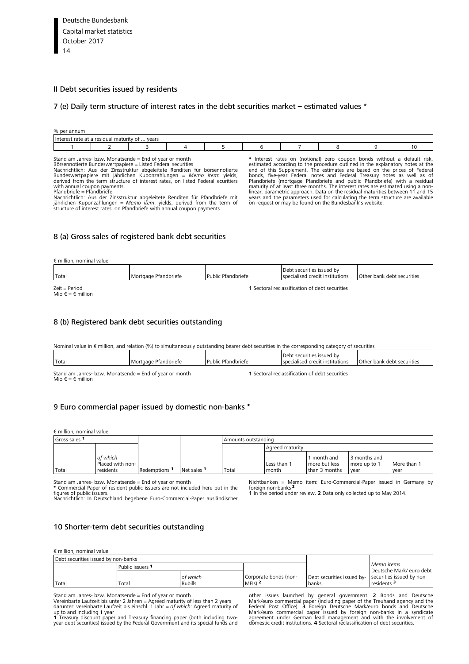#### <span id="page-13-0"></span>II Debt securities issued by residents

#### [7 \(e\) Daily term structure of interest rates in the debt securities market –](#page-61-0) estimated values \*

| % per annum                 |                           |       |  |  |  |  |  |  |  |  |  |
|-----------------------------|---------------------------|-------|--|--|--|--|--|--|--|--|--|
| <b>Interes</b><br>rate at a | a residual maturity of  ' | vears |  |  |  |  |  |  |  |  |  |
|                             |                           |       |  |  |  |  |  |  |  |  |  |

Stand am Jahres- bzw. Monatsende = End of year or month Börsennotierte Bundeswertpapiere = Listed Federal securities Nachrichtlich: Aus der Zinsstruktur abgeleitete Renditen für börsennotierte<br>Bundeswertpapiere mit jährlichen Kuponzahlungen = *Memo item*: yields,<br>derived from the term structure of interest rates, on listed Federal ecurit with annual coupon payments.

Pfandbriefe = Pfandbriefe Nachrichtlich: Aus der Zinsstruktur abgeleitete Renditen für Pfandbriefe mit jährlichen Kuponzahlungen = *Memo item*: yields, derived from the term of structure of interest rates, on Pfandbriefe with annual coupon payments

\* Interest rates on (notional) zero coupon bonds without a default risk, estimated according to the procedure outlined in the explanatory notes at the explanator and of this Supplement. The estimates are based on the price on request or may be found on the Bundesbank's website.

#### [8 \(a\) Gross sales of registered bank debt securities](#page-62-0)

 $\epsilon$  million, nominal value

| Total                                | Mortgage Pfandbriefe | Public Pfandbriefe | Debt securities issued by<br>specialised credit institutions | Other bank debt securities |
|--------------------------------------|----------------------|--------------------|--------------------------------------------------------------|----------------------------|
| $Zeit = Period$<br>Mio € = € million |                      |                    | <b>1</b> Sectoral reclassification of debt securities        |                            |

#### 8 (b) Registered bank debt securities outstanding

#### [Nominal value in € million, and relation \(%\) to simultaneously outstanding bearer debt securities in the corresponding category of securities](#page-62-0)

|       |                      |                    | Debt securities issued by       |                            |
|-------|----------------------|--------------------|---------------------------------|----------------------------|
| Total | Mortgage Pfandbriefe | Public Pfandbriefe | specialised credit institutions | Other bank debt securities |
|       |                      |                    |                                 |                            |

Stand am Jahres- bzw. Monatsende = End of year or month Mio  $f = f$  million

**1** Sectoral reclassification of debt securities

#### [9 Euro commercial paper issued by domestic non-banks](#page-63-0) \*

€ million, nominal value

| Gross sales 1 |                                           |                          |             | Amounts outstanding |                      |                                             |                                      |                     |
|---------------|-------------------------------------------|--------------------------|-------------|---------------------|----------------------|---------------------------------------------|--------------------------------------|---------------------|
|               |                                           |                          |             |                     | Agreed maturity      |                                             |                                      |                     |
| Total         | of which<br>Placed with non-<br>residents | Redemptions <sup>1</sup> | Net sales 1 | Total               | Less than 1<br>month | month and<br>more but less<br>than 3 months | 3 months and<br>more up to 1<br>vear | More than 1<br>vear |

Stand am Jahres- bzw. Monatsende = End of year or month **\*** Commercial Paper of resident public issuers are not included here but in the figures of public issuers. Nachrichtlich: In Deutschland begebene Euro-Commercial-Paper ausländischer

Nichtbanken = Memo item: Euro-Commercial-Paper issued in Germany by foreign non-banks <sup>2</sup> **1** In the period under review. **2** Data only collected up to May 2014.

#### [10 Shorter-term debt securities outstanding](#page-64-0)

€ million, nominal value

| Debt securities issued by non-banks |                  |                |                       |                                                     |                          |
|-------------------------------------|------------------|----------------|-----------------------|-----------------------------------------------------|--------------------------|
|                                     | Public issuers 1 |                |                       |                                                     | Memo items               |
|                                     |                  |                |                       |                                                     | Deutsche Mark/ euro debt |
|                                     |                  | of which       | Corporate bonds (non- | Debt securities issued by- securities issued by non |                          |
| Total                               | Total            | <b>Bubills</b> | $MF(s)$ 2             | banks                                               | residents <sup>3</sup>   |

Stand am Jahres- bzw. Monatsende = End of year or month

Vereinbarte Laufzeit bis unter 2 Jahren = Agreed maturity of less than 2 years darunter: vereinbarte Laufzeit bis einschl. 1 Jahr = *of which*: Agreed maturity of

up to and including 1 year<br>**1** Treasury discount paper and Treasury financing paper (both including two-<br>year debt securities) issued by the Federal Government and its special funds and

other issues launched by general government. 2 Bonds and Deutsche<br>Mark/euro commercial paper (including paper of the Treuhand agency and the<br>Federal Post Office). 3 Foreign Deutsche Mark/euro bonds and Deutsche<br>Mark/euro c domestic credit institutions. **4** Sectoral reclassification of debt securities.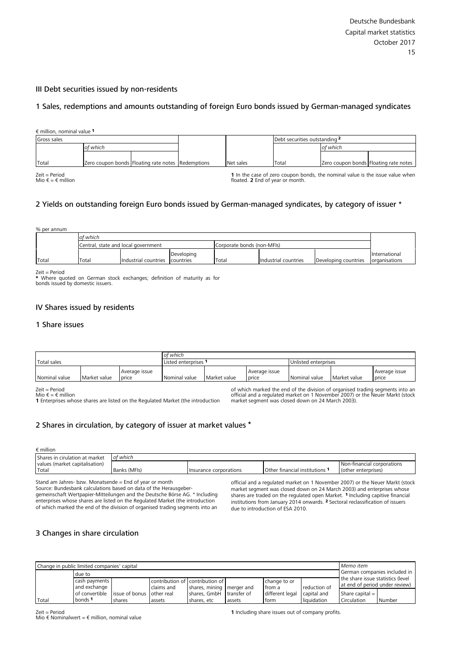#### <span id="page-14-0"></span>III Debt securities issued by non-residents

#### [1 Sales, redemptions and amounts outstanding of foreign Euro bonds issued by German-managed syndicates](#page-65-0)

| $\epsilon$ million, nominal value $1$ |                                                   |  |           |       |                                                                               |
|---------------------------------------|---------------------------------------------------|--|-----------|-------|-------------------------------------------------------------------------------|
| Gross sales                           |                                                   |  |           |       | Debt securities outstanding <sup>2</sup>                                      |
|                                       | of which                                          |  |           |       | of which                                                                      |
|                                       |                                                   |  |           |       |                                                                               |
| Total                                 | Zero coupon bonds Floating rate notes Redemptions |  | Net sales | Total | Zero coupon bonds Floating rate notes                                         |
| $Zeit = Period$                       |                                                   |  |           |       | 1 In the case of zero coupon bonds, the nominal value is the issue value when |

Zeit = Period Mio € = € million

**1** In the case of zero coupon bonds, the nominal value is the issue value when floated. **2** End of year or month.

#### [2 Yields on outstanding foreign Euro bonds issued by German-managed syndicates, by category of issuer \\*](#page-65-0)

|       | % per annum |                                                                   |                      |            |       |                      |                      |               |  |
|-------|-------------|-------------------------------------------------------------------|----------------------|------------|-------|----------------------|----------------------|---------------|--|
|       |             | of which                                                          |                      |            |       |                      |                      |               |  |
|       |             | Corporate bonds (non-MFIs)<br>Central, state and local government |                      |            |       |                      |                      |               |  |
|       |             |                                                                   |                      | Developing |       |                      |                      | International |  |
| Total |             | Total                                                             | Industrial countries | countries  | Total | Industrial countries | Developing countries | organisations |  |

Zeit = Period \* Where quoted on German stock exchanges; definition of maturity as for bonds issued by domestic issuers.

#### IV Shares issued by residents

#### 1 Share issues

|                                                           |  |  | of which           |              |                        |                      |              |                        |
|-----------------------------------------------------------|--|--|--------------------|--------------|------------------------|----------------------|--------------|------------------------|
| Total sales                                               |  |  | Listed enterprises |              |                        | Unlisted enterprises |              |                        |
| l Average issue<br>Nominal value<br>Market value<br>price |  |  | Nominal value      | Market value | Average issue<br>price | Nominal value        | Market value | Average issue<br>price |

Zeit = Period<br>Mio € = € million

**1** Enterprises whose shares are listed on the Regulated Market (the introduction

[of which marked the end of the division of organised trading segments in](#page-66-0)to an official and a regulated market on 1 November 2007) or the Neuer Markt (stock market segment was closed down on 24 March 2003).

#### [2 Shares in circulation, by category of issuer at market values](#page-67-0) \*

€ million

| values (market capitalisation)<br>I Non-financial corporations                                         | Shares in cirulation at market | of which |  |  |
|--------------------------------------------------------------------------------------------------------|--------------------------------|----------|--|--|
|                                                                                                        |                                |          |  |  |
| Total<br>Banks (MFIs)<br>Other financial institutions<br>(other enterprises)<br>Insurance corporations |                                |          |  |  |

Stand am Jahres- bzw. Monatsende = End of year or month Source: Bundesbank calculations based on data of the Herausgebergemeinschaft Wertpapier-Mitteilungen and the Deutsche Börse AG. \* Including enterprises whose shares are listed on the Regulated Market (the introduction of which marked the end of the division of organised trading segments into an

official and a regulated market on 1 November 2007) or the Neuer Markt (stock market segment was closed down on 24 March 2003) and enterprises whose shares are traded on the regulated open Market. <sup>1</sup> Including capitive financial institutions from January 2014 onwards. 2 Sectoral reclassification of issuers due to introduction of ESA 2010.

#### [3 Changes in share circulation](#page-68-0)

|       | Memo item<br>Change in public limited companies' capital |                              |              |                                                                     |        |                           |             |                              |        |  |  |  |
|-------|----------------------------------------------------------|------------------------------|--------------|---------------------------------------------------------------------|--------|---------------------------|-------------|------------------------------|--------|--|--|--|
|       | due to                                                   |                              |              |                                                                     |        |                           |             | German companies included in |        |  |  |  |
|       | cash payments<br>and exchange                            |                              | reduction of | the share issue statistics (level<br>at end of period under review) |        |                           |             |                              |        |  |  |  |
|       | of convertible                                           | I issue of bonus lother real | claims and   | shares, mining   merger and<br>shares, GmbH transfer of             |        | from a<br>different legal | capital and | Share capital $=$            |        |  |  |  |
| Total | bonds <sup>1</sup>                                       | shares                       | assets       | shares, etc                                                         | assets | form                      | liquidation | Circulation                  | Number |  |  |  |

Zeit = Period

Mio  $\epsilon$  Nominalwert =  $\epsilon$  million, nominal value

**1** Including share issues out of company profits.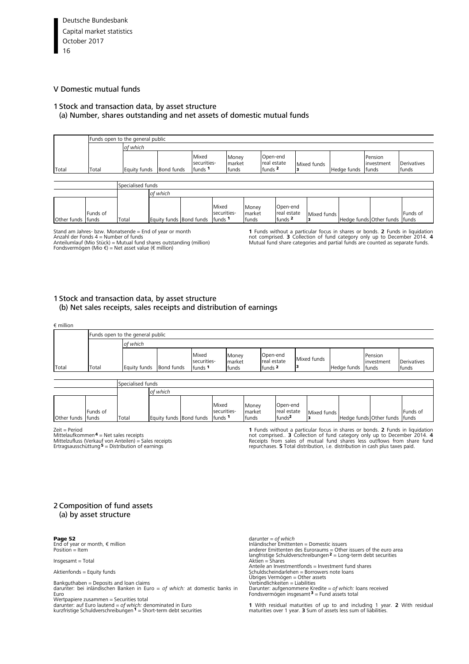#### <span id="page-15-0"></span>[V D](#page-3-0)omestic mutual funds

#### 1 Stock and transaction data, by asset structure

#### [\(a\) Number, shares outstanding and net assets of domestic mutual funds](#page-69-0)

|                   |          | Funds open to the general public |                         |                                            |                                                |                          |                                               |                                                       |  |                                |                             |
|-------------------|----------|----------------------------------|-------------------------|--------------------------------------------|------------------------------------------------|--------------------------|-----------------------------------------------|-------------------------------------------------------|--|--------------------------------|-----------------------------|
|                   |          | of which                         |                         |                                            |                                                |                          |                                               |                                                       |  |                                |                             |
| Total             | Total    | Equity funds                     | Bond funds              | Mixed<br>securities-<br>funds <sup>1</sup> | Money<br>market<br>funds <sup>2</sup><br>funds |                          |                                               | Open-end<br>real estate<br>Mixed funds<br>Hedge funds |  | Pension<br>investment<br>funds | <b>Derivatives</b><br>funds |
|                   |          |                                  |                         |                                            |                                                |                          |                                               |                                                       |  |                                |                             |
|                   |          | Specialised funds                |                         |                                            |                                                |                          |                                               |                                                       |  |                                |                             |
|                   |          |                                  | of which                |                                            |                                                |                          |                                               |                                                       |  |                                |                             |
| Other funds funds | Funds of | Total                            | Equity funds Bond funds |                                            | Mixed<br>securities-<br>funds <sup>1</sup>     | Money<br>market<br>funds | Open-end<br>real estate<br>funds <sup>2</sup> | Mixed funds<br>з                                      |  | Hedge funds Other funds        | Funds of<br>funds           |

Stand am Jahres- bzw. Monatsende = End of year or month<br>Anzahl der Fonds 4 = Number of funds<br>Anteilumlauf (Mio Stück) = Mutual fund shares outstanding (million)<br>Fondsvermögen (Mio €) = Net asset value (€ million)

**1** Funds without a particular focus in shares or bonds. **2** Funds in liquidation<br>not comprised. **3** Collection of fund category only up to December 2014. **4**<br>Mutual fund share categories and partial funds are counted as s

#### 1 Stock and transaction data, by asset structure [\(b\) Net sales receipts, sales receipts and distribution of earnings](#page-71-0)

| $\epsilon$ million |       |                                  |            |                                            |                          |                                               |             |             |                                |                             |
|--------------------|-------|----------------------------------|------------|--------------------------------------------|--------------------------|-----------------------------------------------|-------------|-------------|--------------------------------|-----------------------------|
|                    |       | Funds open to the general public |            |                                            |                          |                                               |             |             |                                |                             |
|                    |       | of which                         |            |                                            |                          |                                               |             |             |                                |                             |
| Total              | Total | Equity funds                     | Bond funds | Mixed<br>securities-<br>funds <sup>1</sup> | Money<br>market<br>funds | Open-end<br>real estate<br>funds <sup>2</sup> | Mixed funds | Hedge funds | Pension<br>investment<br>funds | <b>Derivatives</b><br>funds |
|                    |       |                                  |            |                                            |                          |                                               |             |             |                                |                             |

|                   |          | Specialised funds |                                        |                      |                          |                                               |             |                               |          |
|-------------------|----------|-------------------|----------------------------------------|----------------------|--------------------------|-----------------------------------------------|-------------|-------------------------------|----------|
|                   |          |                   | of which                               |                      |                          |                                               |             |                               |          |
| Other funds funds | Funds of | Total             | <b>Equity funds Bond funds funds 1</b> | Mixed<br>securities- | Money<br>market<br>funds | Open-end<br>real estate<br>funds <sup>2</sup> | Mixed funds | Hedge funds Other funds funds | Funds of |

Zeit = Period

Mittelaufkommen 4 = Net sales receipts<br>Mittelzufluss (Verkauf von Anteilen) = Sales receipts<br>Ertragsausschüttung <sup>5</sup> = Distribution of earnings

**1** Funds without a particular focus in shares or bonds. **2** Funds in liquidation not comprised.. **3** Collection of fund category only up to December 2014. **4** Receipts from sales of mutual fund shares less outflows from share fund repurchases. **5** Total distribution, i.e. distribution in cash plus taxes paid.

#### 2 Composition of fund assets (a) by asset structure

Page 52

End of year or month,  $\epsilon$  million Position = Item

Insgesamt = Total

Aktienfonds = Equity funds

Bankguthaben = Deposits and loan claims darunter: bei inländischen Banken in Euro = *of which:* at domestic banks in Euro

Wertpapiere zusammen = Securities total darunter: auf Euro lautend = *of which:* denominated in Euro kurzfristige Schuldverschreibungen 1 = Short-term debt securities darunter = *of which* Inländischer Emittenten = Domestic issuers<br>anderer Emittenten des Euroraums = Other issuers of the euro area<br>langfristige Schuldverschreibungen 2 = Long-term debt securities Aktien = Shares Anteile an Investmentfonds = Investment fund shares Schuldscheindarlehen = Borrowers note loans Übriges Vermögen = Other assets Verbindlichkeiten = Liabilities Darunter: aufgenommene Kredite = *of which:* loans received<br>Fondsvermögen insgesamt<sup>3</sup> = Fund assets total

**1** [With residual maturities of up to and including 1 year.](#page-73-0) **2** With residual maturities over 1 year. **3** Sum of assets less sum of liabilities.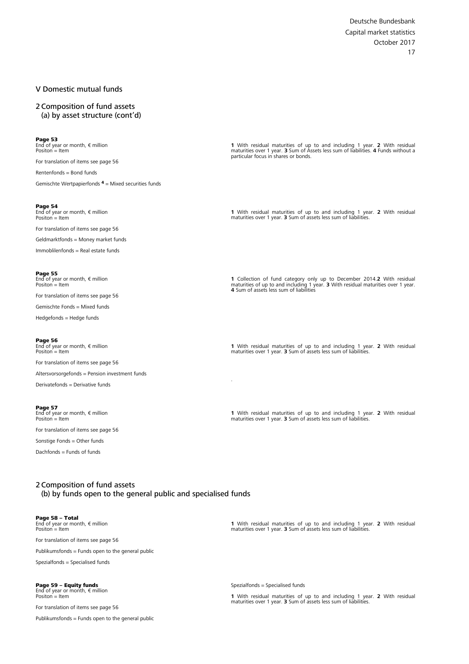#### <span id="page-16-0"></span>V Domestic mutual funds

2 Composition of fund assets [\(a\) by asset structure \(cont'd\)](#page-73-0)

Page 53 End of year or month, € million Positon = Item

For translation of items see page 56

Rentenfonds = Bond funds

Gemischte Wertpapierfonds  $4 =$  Mixed securities funds

**Page 54**<br>End of year or month, € million  $Position = Item$ 

For translation of items see page 56

Geldmarktfonds = Money market funds

Immoblilenfonds = Real estate funds

**Page 55**<br>End of year or month, € million Positon = Item

For translation of items see page 56

Gemischte Fonds = Mixed funds

Hedgefonds = Hedge funds

Page 56 End of year or month, € million Positon = Item

For translation of items see page 56 Altersvorsorgefonds = Pension investment funds

Derivatefonds = Derivative funds

**Page 57**<br>End of year or month, € million<br>Positon = Item

For translation of items see page 56

Sonstige Fonds = Other funds

Dachfonds = Funds of funds

**1** [With residual maturities of up to and including 1 year.](#page-74-0) **2** With residual maturities over 1 year. **3** Sum of Assets less sum of liabilities. **4** Funds without a particular focus in shares or bonds.

**1** [With residual maturities of up to and including 1 year.](#page-75-0) **2** With residual maturities over 1 year. **3** Sum of assets less sum of liabilities.

**1** [Collection of fund category only up to December 2014.](#page-76-0)**2** With residual maturities of up to and including 1 year. **3** With residual maturities over 1 [year.](#page-3-0)  **4** Sum of assets less sum of liabilities

**1** [With residual maturities of up to and including 1 year.](#page-77-0) **2** With residual maturities over 1 year. **3** Sum of assets less sum of liabilities.

**1** [With residual maturities of up to and including 1 year.](#page-78-0) **2** With residual maturities over 1 year. **3** Sum of assets less sum of liabilities.

#### 2 Composition of fund assets (b) by [funds open to the general public and specialised funds](#page-79-0)

Page 58 **–** Total End of year or month, € million Positon = Item

For translation of items see page 56

Publikumsfonds = Funds open to the general public

Spezialfonds = Specialised funds

### Page 59 **–** Equity funds End of year or month, € million

 $Position = It$ <sup>em</sup>

For translation of items see page 56

Publikumsfonds = Funds open to the general public

**1** With residual maturities of up to and including 1 year. **2** With residual maturities over 1 year. **3** Sum of assets less sum of liabilities.

Spezialfonds = Specialised funds

.

**1** [With residual maturities of up to and including 1 year.](#page-80-0) **2** With residual maturities over 1 year. **3** Sum of assets less sum of liabilities.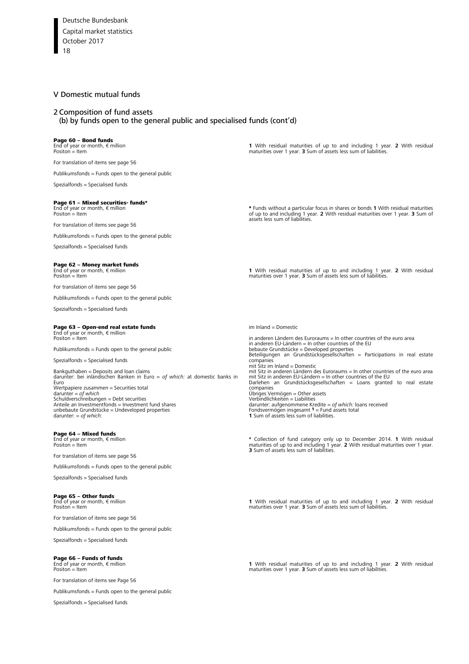#### [V](#page-3-0) Domestic mutual funds

#### 2 Composition of fund assets

(b) [by funds open to the general public and specialised funds \(cont'd\)](#page-79-0)

# **Page 60 – Bond funds**<br>End of year or month, € million<br>Positon = Item

For translation of items see page 56

Publikumsfonds = Funds open to the general public

Spezialfonds = Specialised funds

### Page 61 **–** Mixed securities- funds\* End of year or month, € million

 $Position = Item$ 

For translation of items see page 56

Publikumsfonds = Funds open to the general public

Spezialfonds = Specialised funds

#### Page 62 **–** Money market funds

End of year or month, € million Positon = Item

For translation of items see page 56

Publikumsfonds = Funds open to the general public

Spezialfonds = Specialised funds

#### Page 63 **–** Open-end real estate funds

End of year or month, € million Positon = Item

Publikumsfonds = Funds open to the general public

Spezialfonds = Specialised funds

Bankguthaben = Deposits and loan claims darunter: bei inländischen Banken in Euro = *of which:* at domestic banks in Euro Wertpapiere zusammen = Securities total darunter = *of which*<br>Schuldverschreibungen = Debt securities<br>Anteile an Investmentfonds = Investment fund shares unbebaute Grundstücke = Undeveloped properties darunter: = *of which:*

#### Page 64 **–** Mixed funds

End of year or month, € million Positon = Item

For translation of items see page 56

Publikumsfonds = Funds open to the general public

Spezialfonds = Specialised funds

#### Page 65 **–** Other funds

End of year or month, € million Positon = Item

For translation of items see page 56

Publikumsfonds = Funds open to the general public

Spezialfonds = Specialised funds

# **Page 66 – Funds of funds**<br>End of year or month, € million<br>Positon = Item

For translation of items see Page 56

Publikumsfonds = Funds open to the general public

Spezialfonds = Specialised funds

**1** [With residual maturities of up to and including 1 year.](#page-81-0) **2** With residual maturities over 1 year. **3** Sum of assets less sum of liabilities.

\* [Funds without a particular focus in shares or bonds](#page-82-0) **1** With residual maturities of up to and including 1 year. **2** With residual maturities over 1 year. **3** Sum of assets less sum of liabilities.

**1** [With residual maturities of up to and including 1 year.](#page-83-0) **2** With residual maturities over 1 year. **3** Sum of assets less sum of liabilities.

im Inland = Domestic

in anderen Ländern des Euroraums = In other countries of the euro area in anderen EU-Ländern = In other countries of the EU<br>bebaute Grundstücke = Developed properties<br>Beteiligungen an Grundstücksgesellschaften = Participations in real estate companies mit Sitz im Inland = Domestic mit Sitz in anderen Ländern des Euroraums = In other countries of the euro area<br>mit Sitz in anderen EU-Ländern = In other countries of the EU<br>Darlehen an Grundstücksgesellschaften = Loans granted to real est companies Übriges Vermögen = Other assets Verbindlichkeiten = Liabilities darunter: aufgenommene Kredite = *of which:* Ioans received<br>Fondsvermögen insgesamt 1 = Fund assets total<br>**1** Sum of assets less sum of liabilities.

**\*** [Collection of fund category only up to December 2014.](#page-85-0) **1** With residual maturities of up to and including 1 year. **2** With residual maturities over 1 year. **3** Sum of assets less sum of liabilities.

**1** [With residual maturities of up to and including 1 year.](#page-86-0) **2** With residual maturities over 1 year. **3** Sum of assets less sum of liabilities.

**1** [With residual maturities of up to and including 1 year.](#page-87-0) **2** With residual maturities over 1 year. **3** Sum of assets less sum of liabilities.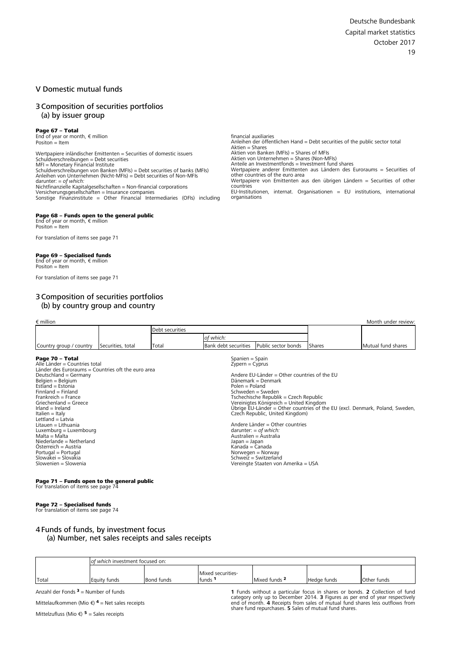#### <span id="page-18-0"></span>V Domestic mutual funds

#### 3 Composition of securities portfolios (a) by issuer group

**Page 67 – Total**<br>End of year or month, € million  $Position = Item$ 

Wertpapiere inländischer Emittenten = Securities of domestic issuers Schuldverschreibungen = Debt securities<br>MFI = Monetary Financial Institute<br>Schuldverschreibungen von Banken (MFIs) = Debt securities of banks (MFIs) Anleihen von Unternehmen (Nicht-MFIs) = Debt securities of Non-MFIs<br>darunter: = *of which:*<br>Nichtfinanzielle Kapitalgesellschaften = Non-financial corporations Versicherungsgesellschaften = Insurance companies [Sonstige Finanzinstitute = Other Financial Intermediaries \(OFIs\) including](#page-88-0)

### **Page 68 – [Funds open to the general public](#page-89-0)<br>End of year or month, € million**

Positon = Item

For translation of items see page 71

#### Page 69 **–** Specialised funds

End of year or month,  $\epsilon$  million  $Position = It$ <sup>am</sup>

[For translation of items see page 71](#page-90-0)

#### 3 Composition of securities portfolios (b) by country group and country

financial auxiliaries Anleihen der öffentlichen Hand = Debt securities of the public sector total Aktien = Shares Aktien von Banken (MFIs) = Shares of MFIs Aktien von Unternehmen = Shares (Non-MFIs) Anteile an Investmentfonds = Investment fund shares Wertpapiere anderer Emittenten aus Ländern des Euroraums = Securities of other countries of the euro area Wertpapiere von Emittenten aus den übrigen Ländern = Securities of other countries EU-Institutionen, internat. Organisationen = EU institutions, internatio[nal](#page-3-0)  organisations

| $\epsilon$ million      |                   |                 |            |                                          |               | Month under review: |
|-------------------------|-------------------|-----------------|------------|------------------------------------------|---------------|---------------------|
|                         |                   | Debt securities |            |                                          |               |                     |
|                         |                   |                 | lof which: |                                          |               |                     |
| Country group / country | Securities, total | Total           |            | Bank debt securities Public sector bonds | <b>Shares</b> | Mutual fund shares  |

#### Page 70 **–** Total

Alle Länder = Countries total Länder des Euroraums = Countries oft the euro area Deutschland = Germany Belgien = Belgium Estland = Estonia Finnland = Finland Frankreich = France Griechenland = Greece Irland = Ireland Italien = Italy Lettland = Latvia Litauen = Lithuania Luxemburg = Luxembourg Malta = Malta Niederlande = Netherland Österreich = Austria Portugal = Portugal Slowakei = Slovakia Slowenien = Slowenia

### Spanien = Spain Zypern = Cyprus

Andere EU-Länder = Other countries of the EU Dänemark = Denmark Polen = Poland Schweden = Sweden Tschechische Republik = Czech Republic Vereinigtes Königreich = United Kingdom Übrige EU-Länder = Other countries of the EU (excl. Denmark, Poland, Sweden, Czech Republic, United Kingdom)

Andere Länder = Other countries darunter: = *of which:* Australien = Australia Japan = Japan Kanada = Canada Norwegen = Norway Schweiz = Switzerland Vereingte Staaten von Amerika = USA

### **Page 71 – [Funds open to the general public](#page-92-0)<br>For translation of items see page 74**

#### Page 72 **–** Specialised funds

[For translation of items see page 74](#page-93-0)

#### 4 Funds of funds, by investment focus [\(a\) Number, net sales receipts and sales receipts](#page-94-0)

|       | lof which investment focused on: |            |              |               |             |             |  |  |  |  |  |
|-------|----------------------------------|------------|--------------|---------------|-------------|-------------|--|--|--|--|--|
|       | Mixed securities-                |            |              |               |             |             |  |  |  |  |  |
| Total | Equity funds                     | Bond funds | . .<br>tunds | Mixed funds 2 | Hedge funds | Other funds |  |  |  |  |  |

Anzahl der Fonds  $3$  = Number of funds

Mittelaufkommen (Mio €)  $4$  = Net sales receipts

Mittelzufluss (Mio €)  $5 =$  Sales receipts

**1** Funds without a particular focus in shares or bonds. **2** Collection of fund category only up to December 2014. **3** Figures as per end of year respectively<br>end of month. **4** Receipts from sales of mutual fund shares less outflows from<br>share fund repurchases. **5** Sales of mutual fund shares.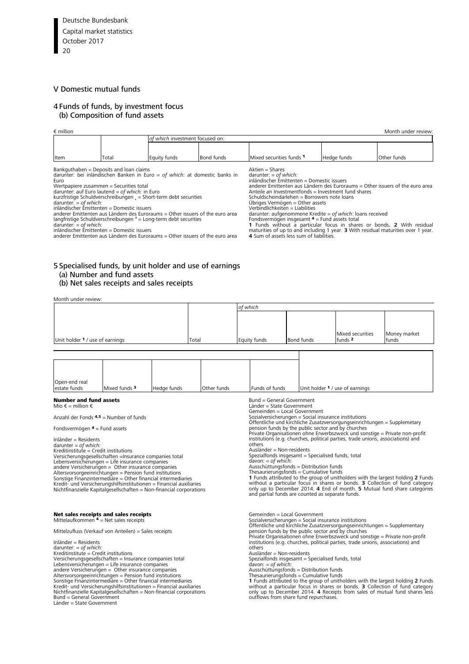#### <span id="page-19-0"></span>V Domestic mutual funds

#### 4 [Funds of funds, by investment focus](#page-94-0)  (b) Composition of fund assets

| $\epsilon$ million |       |                                 |            |                          |             | Month under review |  |
|--------------------|-------|---------------------------------|------------|--------------------------|-------------|--------------------|--|
|                    |       | of which investment focused on: |            |                          |             |                    |  |
|                    |       |                                 |            |                          |             |                    |  |
| Item               | Total | Equity funds                    | Bond funds | Mixed securities funds 1 | Hedge funds | Other funds        |  |
|                    |       |                                 |            |                          |             |                    |  |

Bankguthaben = Deposits and loan claims darunter: bei inländischen Banken in Euro = *of which:* at domestic banks in Euro<br>Wertpapiere zusammen = Securities total<br>darunter: auf Euro lautend = *of which:* in Euro<br>kurzfristige Schuldverschreibungen <sub>«</sub> = Short-term debt securities<br>darunter: = *of which:*<br>inländischer Emittenten = Domestic i Aktien = Shares darunter: = *of which:*

anderer Emittenten aus Ländern des Euroraums = Other issuers of the euro area<br>langfristige Schuldverschreibungen <sup>»</sup> = Long-term debt securities<br>darunter: = *of which:*<br>inländischer Emittenten = Domestic issuers

anderer Emittenten aus Ländern des Euroraums = Other issuers of the euro area

inländischer Emittenten = Domestic issuers<br>anderer Emittenten aus Ländern des Euroraums = Other issuers of the euro area<br>Anteile an Investmentfonds = Investment fund shares<br>Schuldscheindarlehen = Borrowers note loans<br>Übrig darunter: aufgenommene Kredite = *of which*: loans received<br>Fondsvermögen insgesamt  $\Phi$  = Fund assets total<br>1 Funds without a particular focus in shares or bonds. 2 With residual<br>maturities of up to and including 1 year.

#### 5 [Specialised funds, by unit holder and use of earnings](#page-95-0) (a) Number and fund assets

#### [\(b\) Net sales receipts and sales receipts](#page-97-0)

Month under review:

|                                                                                                                                                                                                                                                                                                                                                                                                                                                                                                                                                                                                                                                                                                                  |                                                                                                                                                                                                                                                                                                                                                                                                                                         |             |       | of which    |  |                                                                                                                                                                                                                                                                                                                                                                                                                                      |                                 |                                                                                                                                                                                                                                            |                                                                                                                                                                                                                                                      |  |  |
|------------------------------------------------------------------------------------------------------------------------------------------------------------------------------------------------------------------------------------------------------------------------------------------------------------------------------------------------------------------------------------------------------------------------------------------------------------------------------------------------------------------------------------------------------------------------------------------------------------------------------------------------------------------------------------------------------------------|-----------------------------------------------------------------------------------------------------------------------------------------------------------------------------------------------------------------------------------------------------------------------------------------------------------------------------------------------------------------------------------------------------------------------------------------|-------------|-------|-------------|--|--------------------------------------------------------------------------------------------------------------------------------------------------------------------------------------------------------------------------------------------------------------------------------------------------------------------------------------------------------------------------------------------------------------------------------------|---------------------------------|--------------------------------------------------------------------------------------------------------------------------------------------------------------------------------------------------------------------------------------------|------------------------------------------------------------------------------------------------------------------------------------------------------------------------------------------------------------------------------------------------------|--|--|
| Unit holder <sup>1</sup> / use of earnings                                                                                                                                                                                                                                                                                                                                                                                                                                                                                                                                                                                                                                                                       |                                                                                                                                                                                                                                                                                                                                                                                                                                         |             | Total |             |  | Equity funds                                                                                                                                                                                                                                                                                                                                                                                                                         | Bond funds                      | Mixed securities<br>funds $2$                                                                                                                                                                                                              | Money market<br>funds                                                                                                                                                                                                                                |  |  |
|                                                                                                                                                                                                                                                                                                                                                                                                                                                                                                                                                                                                                                                                                                                  |                                                                                                                                                                                                                                                                                                                                                                                                                                         |             |       |             |  |                                                                                                                                                                                                                                                                                                                                                                                                                                      |                                 |                                                                                                                                                                                                                                            |                                                                                                                                                                                                                                                      |  |  |
| Open-end real<br>estate funds<br><b>Number and fund assets</b>                                                                                                                                                                                                                                                                                                                                                                                                                                                                                                                                                                                                                                                   | Mixed funds <sup>3</sup>                                                                                                                                                                                                                                                                                                                                                                                                                | Hedge funds |       | Other funds |  | Funds of funds<br>Bund = General Government                                                                                                                                                                                                                                                                                                                                                                                          | Unit holder 1 / use of earnings |                                                                                                                                                                                                                                            |                                                                                                                                                                                                                                                      |  |  |
| Mio € = million €<br>Anzahl der Fonds $4.5$ = Number of funds<br>Fondsvermögen $4$ = Fund assets<br>Inländer = Residents<br>darunter = $of$ which:<br>Kreditinstitute = Credit institutions                                                                                                                                                                                                                                                                                                                                                                                                                                                                                                                      | Versicherungsgesellschaften =Insurance companies total<br>Lebensversicherungen = Life insurance companies<br>andere Versicherungen = Other insurance companies<br>Altersvorsorgeeinrichtungen = Pension fund institutions<br>Sonstige Finanzintermediare = Other financial intermediaries<br>Kredit- und Versicherungshilfsinstitutionen = Financial auxiliaries<br>Nichtfinanzielle Kapitalgesellschaften = Non-financial corporations |             |       |             |  | Länder = State Government<br>Gemeinden = Local Government<br>Sozialversicherungen = Social insurance institutions<br>pension funds by the public sector and by churches<br>others<br>Ausländer = Non-residents<br>Spezialfonds insgesamt = Specialised funds, total<br>$davon: = of which:$<br>Ausschüttungsfonds = Distribution funds<br>Thesaurierungsfonds = Cumulative funds<br>and partial funds are counted as separate funds. |                                 | Öffentliche und kirchliche Zusatzversorgungseinrichtungen = Supplemetary<br>Private Organisationen ohne Erwerbszweck und sonstige = Private non-profit<br>institutions (e.g. churches, political parties, trade unions, associations) and  | 1 Funds attributed to the group of unitholders with the largest holding 2 Funds<br>without a particular focus in shares or bonds. 3 Collection of fund category<br>only up to December 2014. 4 End of month. 5 Mutual fund share categories          |  |  |
| Net sales receipts and sales receipts<br>Mittelaufkommen $4$ = Net sales receipts<br>Mittelzufluss (Verkauf von Anteilen) = Sales receipts<br>Inländer = Residents<br>darunter: = $of which$ :<br>Kreditinstitute = Credit institutions<br>Versicherungsgesellschaften = Insurance companies total<br>Lebensversicherungen = Life insurance companies<br>andere Versicherungen = Other insurance companies<br>Altersvorsorgeeinrichtungen = Pension fund institutions<br>Sonstige Finanzintermediare = Other financial intermediaries<br>Kredit- und Versicherungshilfsinstitutionen = Financial auxiliaries<br>Nichtfinanzielle Kapitalgesellschaften = Non-financial corporations<br>Bund = General Government |                                                                                                                                                                                                                                                                                                                                                                                                                                         |             |       |             |  | Gemeinden = Local Government<br>Sozialversicherungen = Social insurance institutions<br>pension funds by the public sector and by churches<br>others<br>Ausländer = Non-residents<br>Spezialfonds insgesamt = Specialised funds, total<br>$davon: = of which:$<br>Ausschüttungsfonds = Distribution funds<br>Thesaurierungsfonds $=$ Cumulative funds<br>outflows from share fund repurchases.                                       |                                 | Öffentliche und kirchliche Zusatzversorgungseinrichtungen = Supplementary<br>Private Organisationen ohne Erwerbszweck und sonstige = Private non-profit<br>institutions (e.g. churches, political parties, trade unions, associations) and | 1 Funds attributed to the group of unitholders with the largest holding 2 Funds<br>without a particular focus in shares or bonds. <b>3</b> Collection of fund category<br>only up to December 2014. 4 Receipts from sales of mutual fund shares less |  |  |

Bund = General Government Länder = State Government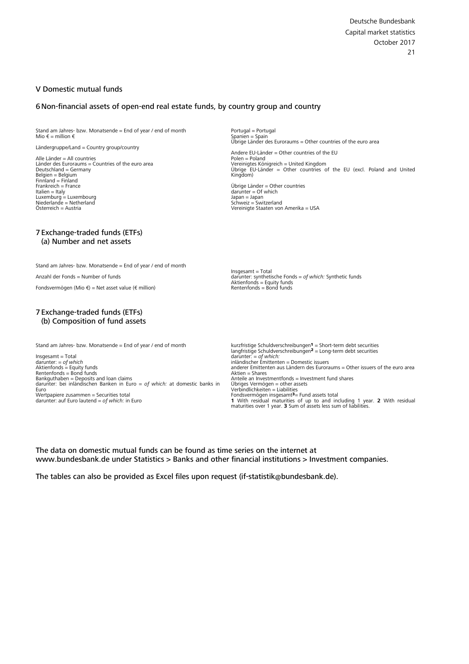#### <span id="page-20-0"></span>V Domestic mutual funds

#### 6 [Non-financial assets of open-end real estate funds, by country group and country](#page-99-0)

Stand am Jahres- bzw. Monatsende = End of year / end of month Mio € = million €

Ländergruppe/Land = Country group/country

Alle Länder = All countries Länder des Euroraums = Countries of the euro area Deutschland = Germany Belgien = Belgium Finnland = Finland Frankreich = France Italien = Italy Luxemburg = Luxembourg Niederlande = Netherland Österreich = Austria

#### 7 [Exchange-traded funds \(ETFs\)](#page-99-0) (a) Number and net assets

Stand am Jahres- bzw. Monatsende = End of year / end of month

Anzahl der Fonds = Number of funds

Fondsvermögen (Mio €) = Net asset value (€ million)

#### 7 Exchange-traded funds (ETFs) [\(b\) Composition of fund assets](#page-100-0)

Stand am Jahres- bzw. Monatsende = End of year / end of month

Insgesamt = Total darunter: = *of which*<br>Aktienfonds = Equity funds<br>Rentenfonds = Bond funds<br>Bankguthaben = Deposits and loan claims darunter: bei inländischen Banken in Euro = *of which:* at domestic banks in Euro Wertpapiere zusammen = Securities total darunter: auf Euro lautend = *of which:* in Euro

Portugal = Portugal Spanien = Spain Übrige Länder des Euroraums = Other countries of the euro area

Andere EU-Länder = Other countries of the EU Polen = Poland Vereinigtes Königreich = United Kingdom Übrige EU-Länder = Other countries of the EU (excl. Poland and United Kingdom)

Übrige Länder = Other countries darunter = Of which Japan = Japan Schweiz = Switzerland Vereinigte Staaten von Amerika = USA

Insgesamt = Total darunter: synthetische Fonds = *of which:* Synthetic funds Aktienfonds = Equity funds Rentenfonds = Bond funds

 $k$ urzfristige Schuldverschreibungen $1 =$  Short-term debt securities langfristige Schuldverschreibungen<sup>2</sup> = Long-term debt securities<br>darunter: = *of which:*<br>inländischer Emittenten = Domestic issuers anderer Emittenten aus Ländern des Euroraums = Other issuers of the euro area  $A$ ktien = Shares Anteile an Investmentfonds = Investment fund shares Ubriges Vermögen = other assets<br>Verbindlichkeiten = Liabilities<br>Fondsvermögen insgesamt<sup>3</sup>= Fund assets total **1** With residual maturities of up to and including 1 year. **2** With residual maturities over 1 year. **3** Sum of assets less sum of liabilities.

The data on domestic mutual funds can be found as time series on the internet at www.bundesbank.de under Statistics > Banks and other financial institutions > Investment companies.

The tables can also be provided as Excel files upon request (if-statistik@bundesbank.de).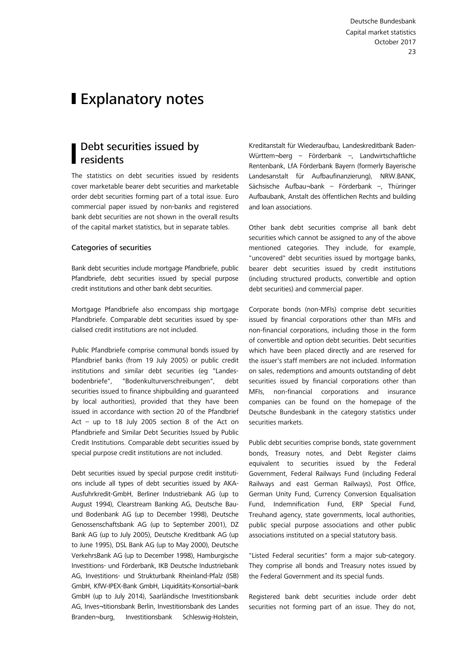# <span id="page-22-0"></span>**I** Explanatory notes

### Debt securities issued by residents

The statistics on debt securities issued by residents cover marketable bearer debt securities and marketable order debt securities forming part of a total issue. Euro commercial paper issued by non-banks and registered bank debt securities are not shown in the overall results of the capital market statistics, but in separate tables.

#### Categories of securities

Bank debt securities include mortgage Pfandbriefe, public Pfandbriefe, debt securities issued by special purpose credit institutions and other bank debt securities.

Mortgage Pfandbriefe also encompass ship mortgage Pfandbriefe. Comparable debt securities issued by specialised credit institutions are not included.

Public Pfandbriefe comprise communal bonds issued by Pfandbrief banks (from 19 July 2005) or public credit institutions and similar debt securities (eg "Landesbodenbriefe", "Bodenkulturverschreibungen", debt securities issued to finance shipbuilding and guaranteed by local authorities), provided that they have been issued in accordance with section 20 of the Pfandbrief Act – up to 18 July 2005 section 8 of the Act on Pfandbriefe and Similar Debt Securities Issued by Public Credit Institutions. Comparable debt securities issued by special purpose credit institutions are not included.

Debt securities issued by special purpose credit institutions include all types of debt securities issued by AKA-Ausfuhrkredit-GmbH, Berliner Industriebank AG (up to August 1994), Clearstream Banking AG, Deutsche Bauund Bodenbank AG (up to December 1998), Deutsche Genossenschaftsbank AG (up to September 2001), DZ Bank AG (up to July 2005), Deutsche Kreditbank AG (up to June 1995), DSL Bank AG (up to May 2000), Deutsche VerkehrsBank AG (up to December 1998), Hamburgische Investitions- und Förderbank, IKB Deutsche Industriebank AG, Investitions- und Strukturbank Rheinland-Pfalz (ISB) GmbH, KfW-IPEX-Bank GmbH, Liquiditäts-Konsortial¬bank GmbH (up to July 2014), Saarländische Investitionsbank AG, Inves¬titionsbank Berlin, Investitionsbank des Landes Branden¬burg, Investitionsbank Schleswig-Holstein,

Kreditanstalt für Wiederaufbau, Landeskreditbank Baden-Württem¬berg – Förderbank –, Landwirtschaftliche Rentenbank, LfA Förderbank Bayern (formerly Bayerische Landesanstalt für Aufbaufinanzierung), NRW.BANK, Sächsische Aufbau¬bank – Förderbank –, Thüringer Aufbaubank, Anstalt des öffentlichen Rechts and building and loan associations.

Other bank debt securities comprise all bank debt securities which cannot be assigned to any of the above mentioned categories. They include, for example, "uncovered" debt securities issued by mortgage banks, bearer debt securities issued by credit institutions (including structured products, convertible and option debt securities) and commercial paper.

Corporate bonds (non-MFIs) comprise debt securities issued by financial corporations other than MFIs and non-financial corporations, including those in the form of convertible and option debt securities. Debt securities which have been placed directly and are reserved for the issuer's staff members are not included. Information on sales, redemptions and amounts outstanding of debt securities issued by financial corporations other than MFIs, non-financial corporations and insurance companies can be found on the homepage of the Deutsche Bundesbank in the category statistics under securities markets.

Public debt securities comprise bonds, state government bonds, Treasury notes, and Debt Register claims equivalent to securities issued by the Federal Government, Federal Railways Fund (including Federal Railways and east German Railways), Post Office, German Unity Fund, Currency Conversion Equalisation Fund, Indemnification Fund, ERP Special Fund, Treuhand agency, state governments, local authorities, public special purpose associations and other public associations instituted on a special statutory basis.

"Listed Federal securities" form a major sub-category. They comprise all bonds and Treasury notes issued by the Federal Government and its special funds.

Registered bank debt securities include order debt securities not forming part of an issue. They do not,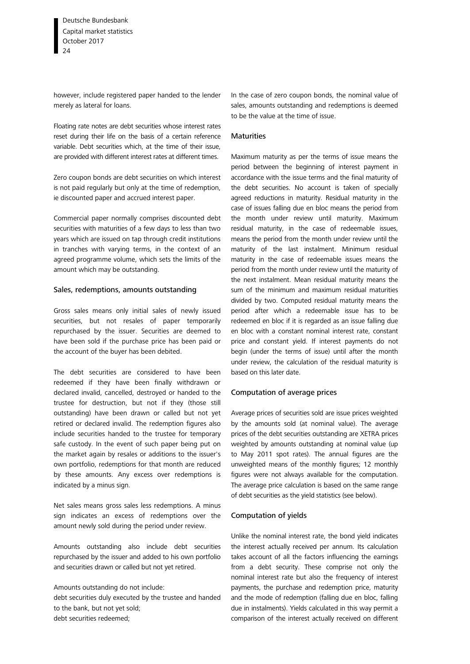however, include registered paper handed to the lender merely as lateral for loans.

Floating rate notes are debt securities whose interest rates reset during their life on the basis of a certain reference variable. Debt securities which, at the time of their issue, are provided with different interest rates at different times.

Zero coupon bonds are debt securities on which interest is not paid regularly but only at the time of redemption, ie discounted paper and accrued interest paper.

Commercial paper normally comprises discounted debt securities with maturities of a few days to less than two years which are issued on tap through credit institutions in tranches with varying terms, in the context of an agreed programme volume, which sets the limits of the amount which may be outstanding.

#### Sales, redemptions, amounts outstanding

Gross sales means only initial sales of newly issued securities, but not resales of paper temporarily repurchased by the issuer. Securities are deemed to have been sold if the purchase price has been paid or the account of the buyer has been debited.

The debt securities are considered to have been redeemed if they have been finally withdrawn or declared invalid, cancelled, destroyed or handed to the trustee for destruction, but not if they (those still outstanding) have been drawn or called but not yet retired or declared invalid. The redemption figures also include securities handed to the trustee for temporary safe custody. In the event of such paper being put on the market again by resales or additions to the issuer's own portfolio, redemptions for that month are reduced by these amounts. Any excess over redemptions is indicated by a minus sign.

Net sales means gross sales less redemptions. A minus sign indicates an excess of redemptions over the amount newly sold during the period under review.

Amounts outstanding also include debt securities repurchased by the issuer and added to his own portfolio and securities drawn or called but not yet retired.

Amounts outstanding do not include: debt securities duly executed by the trustee and handed to the bank, but not yet sold; debt securities redeemed;

In the case of zero coupon bonds, the nominal value of sales, amounts outstanding and redemptions is deemed to be the value at the time of issue.

#### **Maturities**

Maximum maturity as per the terms of issue means the period between the beginning of interest payment in accordance with the issue terms and the final maturity of the debt securities. No account is taken of specially agreed reductions in maturity. Residual maturity in the case of issues falling due en bloc means the period from the month under review until maturity. Maximum residual maturity, in the case of redeemable issues, means the period from the month under review until the maturity of the last instalment. Minimum residual maturity in the case of redeemable issues means the period from the month under review until the maturity of the next instalment. Mean residual maturity means the sum of the minimum and maximum residual maturities divided by two. Computed residual maturity means the period after which a redeemable issue has to be redeemed en bloc if it is regarded as an issue falling due en bloc with a constant nominal interest rate, constant price and constant yield. If interest payments do not begin (under the terms of issue) until after the month under review, the calculation of the residual maturity is based on this later date.

#### Computation of average prices

Average prices of securities sold are issue prices weighted by the amounts sold (at nominal value). The average prices of the debt securities outstanding are XETRA prices weighted by amounts outstanding at nominal value (up to May 2011 spot rates). The annual figures are the unweighted means of the monthly figures; 12 monthly figures were not always available for the computation. The average price calculation is based on the same range of debt securities as the yield statistics (see below).

#### Computation of yields

Unlike the nominal interest rate, the bond yield indicates the interest actually received per annum. Its calculation takes account of all the factors influencing the earnings from a debt security. These comprise not only the nominal interest rate but also the frequency of interest payments, the purchase and redemption price, maturity and the mode of redemption (falling due en bloc, falling due in instalments). Yields calculated in this way permit a comparison of the interest actually received on different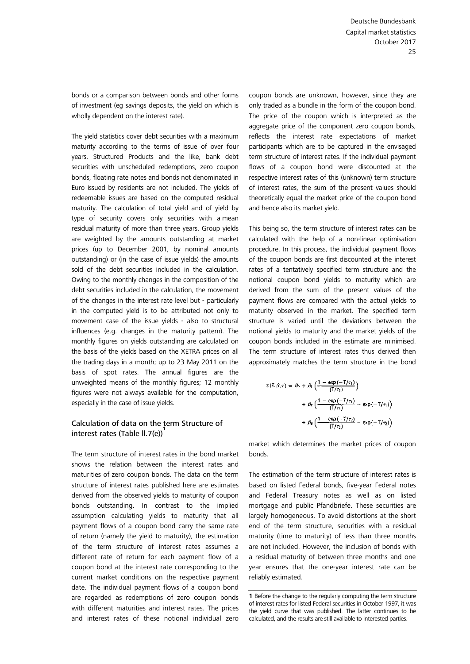bonds or a comparison between bonds and other forms of investment (eg savings deposits, the yield on which is wholly dependent on the interest rate).

The yield statistics cover debt securities with a maximum maturity according to the terms of issue of over four years. Structured Products and the like, bank debt securities with unscheduled redemptions, zero coupon bonds, floating rate notes and bonds not denominated in Euro issued by residents are not included. The yields of redeemable issues are based on the computed residual maturity. The calculation of total yield and of yield by type of security covers only securities with a mean residual maturity of more than three years. Group yields are weighted by the amounts outstanding at market prices (up to December 2001, by nominal amounts outstanding) or (in the case of issue yields) the amounts sold of the debt securities included in the calculation. Owing to the monthly changes in the composition of the debt securities included in the calculation, the movement of the changes in the interest rate level but - particularly in the computed yield is to be attributed not only to movement case of the issue yields - also to structural influences (e.g. changes in the maturity pattern). The monthly figures on yields outstanding are calculated on the basis of the yields based on the XETRA prices on all the trading days in a month; up to 23 May 2011 on the basis of spot rates. The annual figures are the unweighted means of the monthly figures; 12 monthly figures were not always available for the computation, especially in the case of issue yields.

#### Calculation of data on the term Structure of interest rates (Table ll.7(e))**<sup>1</sup>**

The term structure of interest rates in the bond market shows the relation between the interest rates and maturities of zero coupon bonds. The data on the term structure of interest rates published here are estimates derived from the observed yields to maturity of coupon bonds outstanding. In contrast to the implied assumption calculating yields to maturity that all payment flows of a coupon bond carry the same rate of return (namely the yield to maturity), the estimation of the term structure of interest rates assumes a different rate of return for each payment flow of a coupon bond at the interest rate corresponding to the current market conditions on the respective payment date. The individual payment flows of a coupon bond are regarded as redemptions of zero coupon bonds with different maturities and interest rates. The prices and interest rates of these notional individual zero

coupon bonds are unknown, however, since they are only traded as a bundle in the form of the coupon bond. The price of the coupon which is interpreted as the aggregate price of the component zero coupon bonds, reflects the interest rate expectations of market participants which are to be captured in the envisaged term structure of interest rates. If the individual payment flows of a coupon bond were discounted at the respective interest rates of this (unknown) term structure of interest rates, the sum of the present values should theoretically equal the market price of the coupon bond and hence also its market yield.

This being so, the term structure of interest rates can be calculated with the help of a non-linear optimisation procedure. In this process, the individual payment flows of the coupon bonds are first discounted at the interest rates of a tentatively specified term structure and the notional coupon bond yields to maturity which are derived from the sum of the present values of the payment flows are compared with the actual yields to maturity observed in the market. The specified term structure is varied until the deviations between the notional yields to maturity and the market yields of the coupon bonds included in the estimate are minimised. The term structure of interest rates thus derived then approximately matches the term structure in the bond

$$
z(T, \beta, \tau) = \beta_0 + \beta_1 \left( \frac{1 - \exp(-T/\tau_1)}{(T/\tau_1)} \right)
$$
  
+ 
$$
\beta_2 \left( \frac{1 - \exp(-T/\tau_1)}{(T/\tau_1)} - \exp(-T/\tau_1) \right)
$$
  
+ 
$$
\beta_3 \left( \frac{1 - \exp(-T/\tau_2)}{(T/\tau_2)} - \exp(-T/\tau_2) \right)
$$

market which determines the market prices of coupon bonds.

The estimation of the term structure of interest rates is based on listed Federal bonds, five-year Federal notes and Federal Treasury notes as well as on listed mortgage and public Pfandbriefe. These securities are largely homogeneous. To avoid distortions at the short end of the term structure, securities with a residual maturity (time to maturity) of less than three months are not included. However, the inclusion of bonds with a residual maturity of between three months and one year ensures that the one-year interest rate can be reliably estimated.

**<sup>1</sup>** Before the change to the regularly computing the term structure of interest rates for listed Federal securities in October 1997, it was the yield curve that was published. The latter continues to be calculated, and the results are still available to interested parties.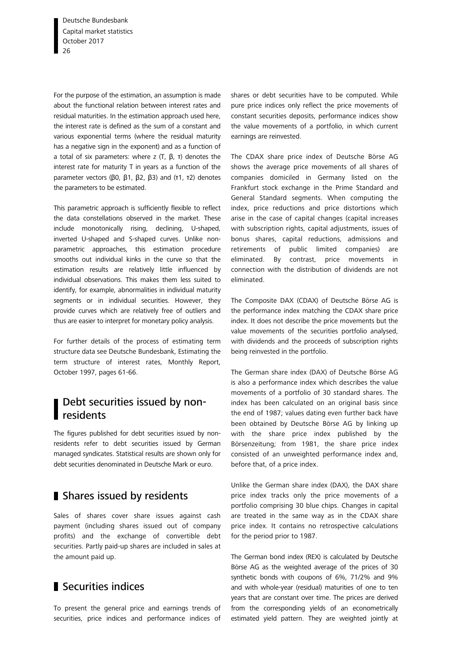<span id="page-25-0"></span>For the purpose of the estimation, an assumption is made about the functional relation between interest rates and residual maturities. In the estimation approach used here, the interest rate is defined as the sum of a constant and various exponential terms (where the residual maturity has a negative sign in the exponent) and as a function of a total of six parameters: where z  $(T, \beta, T)$  denotes the interest rate for maturity T in years as a function of the parameter vectors (β0, β1, β2, β3) and (τ1, τ2) denotes the parameters to be estimated.

This parametric approach is sufficiently flexible to reflect the data constellations observed in the market. These include monotonically rising, declining, U-shaped, inverted U-shaped and S-shaped curves. Unlike nonparametric approaches, this estimation procedure smooths out individual kinks in the curve so that the estimation results are relatively little influenced by individual observations. This makes them less suited to identify, for example, abnormalities in individual maturity segments or in individual securities. However, they provide curves which are relatively free of outliers and thus are easier to interpret for monetary policy analysis.

For further details of the process of estimating term structure data see Deutsche Bundesbank, Estimating the term structure of interest rates, Monthly Report, October 1997, pages 61-66.

### Debt securities issued by nonresidents

The figures published for debt securities issued by nonresidents refer to debt securities issued by German managed syndicates. Statistical results are shown only for debt securities denominated in Deutsche Mark or euro.

### Shares issued by residents

Sales of shares cover share issues against cash payment (including shares issued out of company profits) and the exchange of convertible debt securities. Partly paid-up shares are included in sales at the amount paid up.

### Securities indices

To present the general price and earnings trends of securities, price indices and performance indices of shares or debt securities have to be computed. While pure price indices only reflect the price movements of constant securities deposits, performance indices show the value movements of a portfolio, in which current earnings are reinvested.

The CDAX share price index of Deutsche Börse AG shows the average price movements of all shares of companies domiciled in Germany listed on the Frankfurt stock exchange in the Prime Standard and General Standard segments. When computing the index, price reductions and price distortions which arise in the case of capital changes (capital increases with subscription rights, capital adjustments, issues of bonus shares, capital reductions, admissions and retirements of public limited companies) are eliminated. By contrast, price movements in connection with the distribution of dividends are not eliminated.

The Composite DAX (CDAX) of Deutsche Börse AG is the performance index matching the CDAX share price index. It does not describe the price movements but the value movements of the securities portfolio analysed, with dividends and the proceeds of subscription rights being reinvested in the portfolio.

The German share index (DAX) of Deutsche Börse AG is also a performance index which describes the value movements of a portfolio of 30 standard shares. The index has been calculated on an original basis since the end of 1987; values dating even further back have been obtained by Deutsche Börse AG by linking up with the share price index published by the Börsenzeitung; from 1981, the share price index consisted of an unweighted performance index and, before that, of a price index.

Unlike the German share index (DAX), the DAX share price index tracks only the price movements of a portfolio comprising 30 blue chips. Changes in capital are treated in the same way as in the CDAX share price index. It contains no retrospective calculations for the period prior to 1987.

The German bond index (REX) is calculated by Deutsche Börse AG as the weighted average of the prices of 30 synthetic bonds with coupons of 6%, 71/2% and 9% and with whole-year (residual) maturities of one to ten years that are constant over time. The prices are derived from the corresponding yields of an econometrically estimated yield pattern. They are weighted jointly at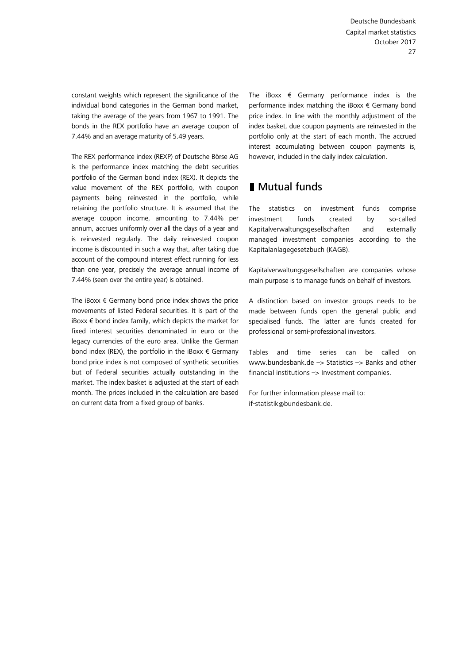<span id="page-26-0"></span>constant weights which represent the significance of the individual bond categories in the German bond market, taking the average of the years from 1967 to 1991. The bonds in the REX portfolio have an average coupon of 7.44% and an average maturity of 5.49 years.

The REX performance index (REXP) of Deutsche Börse AG is the performance index matching the debt securities portfolio of the German bond index (REX). It depicts the value movement of the REX portfolio, with coupon payments being reinvested in the portfolio, while retaining the portfolio structure. It is assumed that the average coupon income, amounting to 7.44% per annum, accrues uniformly over all the days of a year and is reinvested regularly. The daily reinvested coupon income is discounted in such a way that, after taking due account of the compound interest effect running for less than one year, precisely the average annual income of 7.44% (seen over the entire year) is obtained.

The iBoxx  $\epsilon$  Germany bond price index shows the price movements of listed Federal securities. It is part of the iBoxx  $\epsilon$  bond index family, which depicts the market for fixed interest securities denominated in euro or the legacy currencies of the euro area. Unlike the German bond index (REX), the portfolio in the iBoxx  $\epsilon$  Germany bond price index is not composed of synthetic securities but of Federal securities actually outstanding in the market. The index basket is adjusted at the start of each month. The prices included in the calculation are based on current data from a fixed group of banks.

The iBoxx  $\epsilon$  Germany performance index is the performance index matching the iBoxx € Germany bond price index. In line with the monthly adjustment of the index basket, due coupon payments are reinvested in the portfolio only at the start of each month. The accrued interest accumulating between coupon payments is, however, included in the daily index calculation.

## ■ Mutual funds

The statistics on investment funds comprise investment funds created by so-called Kapitalverwaltungsgesellschaften and externally managed investment companies according to the Kapitalanlagegesetzbuch (KAGB).

Kapitalverwaltungsgesellschaften are companies whose main purpose is to manage funds on behalf of investors.

A distinction based on investor groups needs to be made between funds open the general public and specialised funds. The latter are funds created for professional or semi-professional investors.

Tables and time series can be called on www.bundesbank.de –> Statistics –> Banks and other  $f$ inancial institutions  $\rightarrow$  Investment companies.

For further information please mail to: if-statistik@bundesbank.de.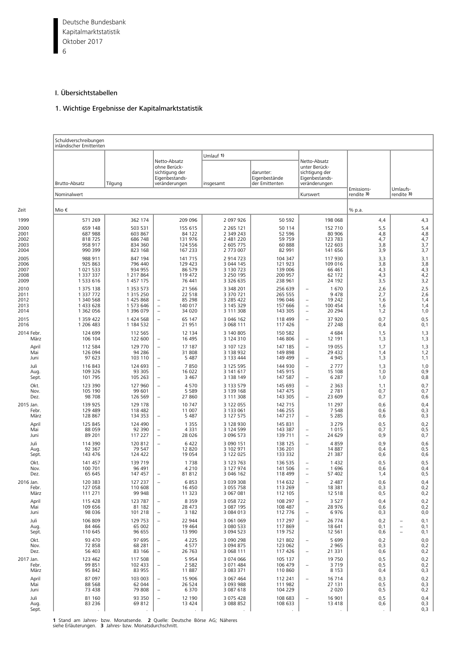<span id="page-27-0"></span>Deutsche Bundesbank 6 Kapitalmarktstatistik Oktober 2017

#### I. Übersichtstabellen

#### 1. Wichtige Ergebnisse der Kapitalmarktstatistik

|                                              | Schuldverschreibungen<br>inländischer Emittenten                           |                                                                |                                                                                                                       |                                                                                |                                                                |                                                                                                                                  |                                        |                                         |
|----------------------------------------------|----------------------------------------------------------------------------|----------------------------------------------------------------|-----------------------------------------------------------------------------------------------------------------------|--------------------------------------------------------------------------------|----------------------------------------------------------------|----------------------------------------------------------------------------------------------------------------------------------|----------------------------------------|-----------------------------------------|
|                                              | Brutto-Absatz                                                              | Tilgung                                                        | Netto-Absatz<br>ohne Berück-<br>sichtigung der<br>Eigenbestands-<br>veränderungen                                     | Umlauf 1)                                                                      | darunter:<br>Eigenbestände<br>der Emittenten                   | Netto-Absatz<br>unter Berück-<br>sichtigung der<br>Eigenbestands-<br>veränderungen                                               |                                        |                                         |
|                                              | Nominalwert                                                                |                                                                |                                                                                                                       | insgesamt                                                                      |                                                                | Kurswert                                                                                                                         | Emissions-<br>rendite 3)               | Umlaufs-<br>rendite 3)                  |
| Zeit                                         | Mio €                                                                      |                                                                |                                                                                                                       |                                                                                |                                                                |                                                                                                                                  | % p.a.                                 |                                         |
| 1999<br>2000<br>2001<br>2002<br>2003<br>2004 | 571 269<br>659 148<br>687 988<br>818725<br>958 917<br>990 399              | 362 174<br>503 531<br>603 867<br>686 748<br>834 360<br>823 168 | 209 096<br>155 615<br>84 122<br>131 976<br>124 556<br>167 233                                                         | 2 097 926<br>2 2 6 5 1 2 1<br>2 349 243<br>2 481 220<br>2 605 775<br>2 773 007 | 50 592<br>50 114<br>52 596<br>59 759<br>60 888<br>82 991       | 198 068<br>152 710<br>80 906<br>123 783<br>122 603<br>141 656                                                                    | 4,4<br>5,5<br>4,8<br>4,7<br>3,8<br>3,9 | 4,3<br>5,4<br>4,8<br>4,7<br>3,7<br>3,7  |
| 2005<br>2006<br>2007<br>2008<br>2009         | 988 911<br>925 863<br>1 0 2 1 5 3 3<br>1 337 337<br>1 533 616              | 847 194<br>796 440<br>934 955<br>1 217 864<br>1 457 175        | 141 715<br>129 423<br>86 579<br>119 472<br>76 441                                                                     | 2 914 723<br>3 044 145<br>3 130 723<br>3 250 195<br>3 3 2 6 6 3 5              | 104 347<br>121 923<br>139 006<br>200 957<br>238 961            | 117 930<br>109 016<br>66 461<br>62 172<br>24 192                                                                                 | 3,3<br>3,8<br>4,3<br>4,3<br>3,5        | 3,1<br>3,8<br>4,3<br>4,2<br>3,2         |
| 2010<br>2011<br>2012<br>2013<br>2014<br>2015 | 1 375 138<br>1 337 772<br>1 340 568<br>1 433 628<br>1 362 056<br>1 359 422 | 1 353 573<br>1 315 250<br>1 425 868<br>1 573 646<br>1 396 079  | 21 5 6 6<br>22 5 18<br>85 298<br>140 017<br>$\overline{\phantom{a}}$<br>34 0 20<br>$\overline{\phantom{a}}$<br>65 147 | 3 348 201<br>3 370 721<br>3 285 422<br>3 145 329<br>3 111 308<br>3 046 162     | 256 639<br>265 555<br>196 046<br>157 666<br>143 305<br>118 499 | 1670<br>9478<br>19 242<br>÷<br>100 454<br>$\qquad \qquad -$<br>20 294<br>$\qquad \qquad -$<br>37 920<br>$\overline{\phantom{0}}$ | 2,6<br>2,7<br>1,6<br>1,6<br>1,2<br>0,7 | 2,5<br>2,6<br>1,4<br>1,4<br>1,0<br>0, 5 |
| 2016<br>2014 Febr.                           | 1 206 483<br>124 699                                                       | 1 424 568<br>1 184 532<br>112 565                              | $\qquad \qquad -$<br>21 951<br>12 134                                                                                 | 3 068 111<br>3 140 805                                                         | 117 426<br>150 582                                             | 27 248<br>4684                                                                                                                   | 0,4<br>1,5                             | 0,1<br>1,3                              |
| März<br>April<br>Mai<br>Juni                 | 106 104<br>112 584<br>126 094<br>97 623                                    | 122 600<br>129 770<br>94 286<br>103 110                        | 16 4 95<br>$\qquad \qquad -$<br>17 187<br>$\overline{\phantom{a}}$<br>31 808<br>5 4 8 7<br>$\overline{\phantom{a}}$   | 3 124 310<br>3 107 123<br>3 138 932<br>3 133 444                               | 146 806<br>147 185<br>149 898<br>149 499                       | 12 191<br>$\qquad \qquad -$<br>19 055<br>$\overline{\phantom{0}}$<br>29 4 32<br>4 9 4 5<br>÷,                                    | 1,3<br>1,7<br>1,4<br>1,3               | 1,3<br>1,3<br>1,2<br>1,1                |
| Juli<br>Aug.<br>Sept.<br>Okt.                | 116843<br>109 326<br>101 795<br>123 390                                    | 124 693<br>93 305<br>105 263                                   | 7850<br>$\overline{\phantom{a}}$<br>16 022<br>3 4 6 7<br>$\overline{\phantom{a}}$<br>4570                             | 3 125 595<br>3 141 617<br>3 138 149<br>3 133 579                               | 144 930<br>145 915<br>147 587<br>145 693                       | 2 7 7 7<br>L,<br>15 108<br>6 2 8 7<br>$\qquad \qquad -$<br>2 3 6 3                                                               | 1,3<br>1,0<br>1,0                      | 1,0<br>0,9<br>0,8<br>0,7                |
| Nov.<br>Dez.<br>2015 Jan.                    | 105 190<br>98 708<br>139 925                                               | 127 960<br>99 601<br>126 569<br>129 178                        | $\overline{\phantom{a}}$<br>5 5 8 9<br>27 860<br>$\overline{\phantom{a}}$<br>10747                                    | 3 139 168<br>3 111 308<br>3 122 055                                            | 147 475<br>143 305<br>142 715                                  | $\overline{\phantom{0}}$<br>2 7 8 1<br>23 609<br>÷<br>11 297                                                                     | 1,1<br>0,7<br>0,7<br>0,6               | 0,7<br>0,6<br>0,4                       |
| Febr.<br>März<br>April                       | 129 489<br>128 867<br>125 845                                              | 118 482<br>134 353<br>124 490                                  | 11 007<br>5 4 8 7<br>$\overline{\phantom{a}}$<br>1 3 5 5                                                              | 3 133 061<br>3 127 575<br>3 128 930                                            | 146 255<br>147 217<br>145 831                                  | 7 5 4 8<br>5 2 8 5<br>$\overline{\phantom{0}}$<br>3 2 7 9                                                                        | 0,6<br>0,6<br>0,5                      | 0,3<br>0,3<br>0,2                       |
| Mai<br>Juni<br>Juli                          | 88 059<br>89 201<br>114 390                                                | 92 390<br>117 227<br>120 812                                   | 4 3 3 1<br>$\overline{\phantom{a}}$<br>28 0 26<br>$\overline{\phantom{a}}$<br>6422<br>$\qquad \qquad -$               | 3 124 599<br>3 096 573<br>3 090 151                                            | 143 387<br>139 711<br>138 125                                  | 1015<br>$\overline{\phantom{0}}$<br>24 629<br>$\overline{\phantom{0}}$<br>4859<br>$\overline{\phantom{0}}$                       | 0,7<br>0,9<br>0,9                      | 0,5<br>0,7<br>0,6                       |
| Aug.<br>Sept.<br>Okt.<br>Nov.                | 92 367<br>143 476<br>141 457<br>100 701                                    | 79 547<br>124 422<br>139 719<br>96 491                         | 12 8 20<br>19 0 54<br>1738<br>4 2 1 0                                                                                 | 3 102 971<br>3 122 025<br>3 123 763<br>3 127 974                               | 136 201<br>133 332<br>136 535<br>141 506                       | 14 887<br>21 387<br>1 4 3 2<br>$\overline{\phantom{0}}$<br>1696<br>$\overline{\phantom{0}}$                                      | 0,4<br>0,6<br>0,5<br>0,6               | 0,5<br>0,6<br>0, 5<br>0,4               |
| Dez.<br>2016 Jan.<br>Febr.                   | 65 645<br>120 383<br>127 058                                               | 147 457<br>127 237<br>110 608                                  | 81812<br>6853<br>$\overline{\phantom{a}}$<br>16 450                                                                   | 3 046 162<br>3 039 308<br>3 055 758                                            | 118 499<br>114 632<br>113 269                                  | 57 402<br>÷<br>2 4 8 7<br>÷<br>18 381                                                                                            | 1,4<br>0,6<br>0,3                      | 0,5<br>0,4<br>0,2                       |
| März<br>April<br>Mai                         | 111 271<br>115 428<br>109 656<br>98 0 36                                   | 99 948<br>123 787<br>81 182<br>101 218                         | 11 3 2 3<br>8 3 5 9<br>28 473<br>3 1 8 2<br>$\overline{\phantom{a}}$                                                  | 3 067 081<br>3 0 58 7 22<br>3 087 195<br>3 084 013                             | 112 105<br>108 297<br>108 487<br>112 776                       | 12 518<br>3 5 2 7<br>$\overline{\phantom{0}}$<br>28 976<br>6976<br>$\overline{\phantom{0}}$                                      | 0, 5<br>0,4<br>0,6                     | 0,2<br>0,2<br>0,2<br>0,0                |
| Juni<br>Juli<br>Aug.<br>Sept.                | 106 809<br>84 4 66<br>110 645                                              | 129 753<br>65 002<br>96 655                                    | 22 944<br>$\qquad \qquad -$<br>19 4 64<br>13 990                                                                      | 3 061 069<br>3 080 533<br>3 094 523                                            | 117 297<br>117869<br>119 752                                   | 26 774<br>$\qquad \qquad -$<br>18 641<br>12 5 61                                                                                 | 0,3<br>0,2<br>0,1<br>0,6               | 0,1<br>0,1<br>0,1                       |
| Okt.<br>Nov.<br>Dez.                         | 93 470<br>72 858<br>56 403                                                 | 97 695<br>68 281<br>83 166                                     | 4 2 2 5<br>$\qquad \qquad -$<br>4577<br>26 7 63<br>$\overline{\phantom{a}}$                                           | 3 090 298<br>3 094 875<br>3 068 111                                            | 121 802<br>123 062<br>117 426                                  | 5 6 9 9<br>2 9 6 5<br>21 331<br>$\qquad \qquad -$                                                                                | 0,2<br>0,3<br>0,6                      | 0,0<br>0,2<br>0,2                       |
| 2017 Jan.<br>Febr.<br>März                   | 123 462<br>99 851<br>95 842                                                | 117 508<br>102 433<br>83 955                                   | 5954<br>2 5 8 2<br>$\overline{\phantom{a}}$<br>11887                                                                  | 3 074 066<br>3 071 484<br>3 083 371                                            | 105 137<br>106 479<br>110 860                                  | 19 750<br>3719<br>8 1 5 3                                                                                                        | 0, 5<br>0, 5<br>0,4                    | 0,2<br>0,2<br>0,3                       |
| April<br>Mai<br>Juni                         | 87 097<br>88 5 68<br>73 438                                                | 103 003<br>62 044<br>79 808                                    | 15 906<br>$\overline{\phantom{a}}$<br>26 5 24<br>6370<br>$\overline{\phantom{a}}$                                     | 3 067 464<br>3 093 988<br>3 087 618                                            | 112 241<br>111 982<br>104 229                                  | 16 714<br>$\overline{\phantom{0}}$<br>27 131<br>2 0 2 0                                                                          | 0,3<br>0, 5<br>0, 5                    | 0,2<br>$0,3$<br>$0,2$                   |
| Juli<br>Aug.<br>Sept.                        | 81 160<br>83 2 36                                                          | 93 350<br>69812                                                | 12 190<br>$\overline{\phantom{a}}$<br>13 4 24                                                                         | 3 075 428<br>3 088 852                                                         | 108 683<br>108 633                                             | 16 901<br>13 4 18                                                                                                                | 0, 5<br>0,6                            | 0,4<br>0,3<br>0,3                       |

**1** Stand am Jahres- bzw. Monatsende. **2** Quelle: Deutsche Börse AG; Näheres siehe Erläuterungen. **3** Jahres- bzw. Monatsdurchschnitt.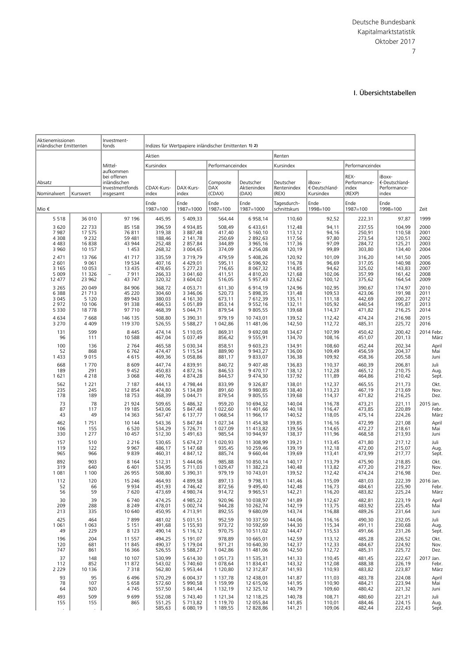#### I. Übersichtstabellen

<span id="page-28-0"></span>

| Aktienemissionen<br>inländischer Emittenten      |                                                 | Investment-<br>fonds                                                       |                                                | Indizes für Wertpapiere inländischer Emittenten 1) 2)        |                                                |                                                           |                                                |                                              |                                                |                                                   |                                      |
|--------------------------------------------------|-------------------------------------------------|----------------------------------------------------------------------------|------------------------------------------------|--------------------------------------------------------------|------------------------------------------------|-----------------------------------------------------------|------------------------------------------------|----------------------------------------------|------------------------------------------------|---------------------------------------------------|--------------------------------------|
|                                                  |                                                 |                                                                            | Aktien                                         |                                                              |                                                |                                                           | Renten                                         |                                              |                                                |                                                   |                                      |
|                                                  |                                                 | Mittel-                                                                    | Kursindex                                      |                                                              | Performanceindex                               |                                                           | Kursindex                                      |                                              | Performanceindex                               |                                                   |                                      |
| Absatz<br>Nominalwert                            | Kurswert                                        | aufkommen<br>bei offenen<br>inländischen<br>Investmentfonds<br>insgesamt   | CDAX-Kurs-<br>index                            | DAX-Kurs-<br>index                                           | Composite<br><b>DAX</b><br>(CDAX)              | Deutscher<br>Aktienindex<br>(DAX)                         | Deutscher<br>Rentenindex<br>(REX)              | iBoxx-<br>€-Deutschland-<br>Kursindex        | REX-<br>Performance-<br>index<br>(REXP)        | iBoxx-<br>€-Deutschland-<br>Performance-<br>index |                                      |
| Mio €                                            |                                                 |                                                                            | Ende<br>1987=100                               | Ende<br>1987=1000                                            | Ende<br>1987=100                               | Ende<br>1987=1000                                         | Tagesdurch-<br>schnittskurs                    | Ende<br>1998=100                             | Ende<br>1987=100                               | Ende<br>1998=100                                  | Zeit                                 |
| 5518                                             | 36 010                                          | 97 196                                                                     | 445,95                                         | 5 409,33                                                     | 564,44                                         | 6 958,14                                                  | 110,60                                         | 92,52                                        | 222,31                                         | 97,87                                             | 1999                                 |
| 3 6 2 0                                          | 22 733                                          | 85 158                                                                     | 396,59                                         | 4 9 3 4 . 8 5                                                | 508,49                                         | 6 433,61                                                  | 112,48                                         | 94,11                                        | 237,55                                         | 104,99                                            | 2000                                 |
| 7987                                             | 17 575                                          | 76811                                                                      | 319,38                                         | 3 887,48                                                     | 417,40                                         | 5 160,10                                                  | 113,12                                         | 94,16                                        | 250,91                                         | 110,58                                            | 2001                                 |
| 4 3 0 8                                          | 9 2 3 2                                         | 59 481                                                                     | 188,46                                         | 2 141.78                                                     | 250,69                                         | 2 892,63                                                  | 117,56                                         | 97,80                                        | 273,54                                         | 120,51                                            | 2002                                 |
| 4 4 8 3                                          | 16838                                           | 43 944                                                                     | 252,48                                         | 2 857,84                                                     | 344,89                                         | 3 965,16                                                  | 117,36                                         | 97,09                                        | 284,72                                         | 125,21                                            | 2003                                 |
| 3 9 6 0                                          | 10 157                                          | 1453                                                                       | 268,32                                         | 3 004,65                                                     | 374,09                                         | 4 256,08                                                  | 120,19                                         | 99,89                                        | 303,80                                         | 134,40                                            | 2004                                 |
| 2 4 7 1<br>2 601<br>3 1 6 5<br>5 0 0 9<br>12 477 | 13766<br>9 0 6 1<br>10 053<br>11 3 26<br>23 962 | 41 717<br>19 5 34<br>13 4 35<br>7911<br>$\overline{\phantom{0}}$<br>43 747 | 335,59<br>407,16<br>478,65<br>266,33<br>320,32 | 3719,79<br>4 4 2 9 , 0 1<br>5 277,23<br>3 041,60<br>3 604,02 | 479,59<br>595,11<br>716,65<br>411,51<br>516,05 | 5 408,26<br>6 596,92<br>8 0 67, 32<br>4810,20<br>5 957,43 | 120,92<br>116,78<br>114,85<br>121,68<br>123,62 | 101,09<br>96,69<br>94,62<br>102,06<br>100,12 | 316,20<br>317,05<br>325,02<br>357,99<br>375,62 | 141,50<br>140,98<br>143,83<br>161,42<br>164,54    | 2005<br>2006<br>2007<br>2008<br>2009 |
| 3 2 6 5                                          | 20 049                                          | 84 906                                                                     | 368,72                                         | 4 0 5 3 , 7 1                                                | 611,30                                         | 6914,19                                                   | 124,96                                         | 102,95                                       | 390,67                                         | 174,97                                            | 2010                                 |
| 6 3 8 8                                          | 21 713                                          | 45 220                                                                     | 304,60                                         | 3 3 4 6 . 0 6                                                | 520,73                                         | 5 898,35                                                  | 131,48                                         | 109,53                                       | 423,06                                         | 191,98                                            | 2011                                 |
| 3 0 4 5                                          | 5 1 2 0                                         | 89 943                                                                     | 380,03                                         | 4 161,30                                                     | 673,11                                         | 7 612,39                                                  | 135,11                                         | 111,18                                       | 442,69                                         | 200,27                                            | 2012                                 |
| 2972                                             | 10 10 6                                         | 91 338                                                                     | 466,53                                         | 5 0 5 1 , 8 9                                                | 853,14                                         | 9 5 5 2 , 16                                              | 132,11                                         | 105,92                                       | 440,54                                         | 195,87                                            | 2013                                 |
| 5 3 3 0                                          | 18778                                           | 97 710                                                                     | 468,39                                         | 5 044,71                                                     | 879,54                                         | 9 805,55                                                  | 139,68                                         | 114,37                                       | 471,82                                         | 216,25                                            | 2014                                 |
| 4634                                             | 7 6 6 8                                         | 146 135                                                                    | 508,80                                         | 5 3 9 0.31                                                   | 979,19                                         | 10 743,01                                                 | 139,52                                         | 112,42                                       | 474,24                                         | 216.98                                            | 2015                                 |
| 3 2 7 0                                          | 4 4 0 9                                         | 119 370                                                                    | 526,55                                         | 5 5 88, 27                                                   | 1 042,86                                       | 11 481,06                                                 | 142,50                                         | 112,72                                       | 485,31                                         | 225,72                                            | 2016                                 |
| 131                                              | 599                                             | 8 4 4 5                                                                    | 474,14                                         | 5 110,05                                                     | 869,31                                         | 9 692,08                                                  | 134,67                                         | 107,99                                       | 450,42                                         | 200,42                                            | 2014 Febr                            |
| 96                                               | 111                                             | 10 588                                                                     | 467,04                                         | 5 037,49                                                     | 856,42                                         | 9 555,91                                                  | 134,70                                         | 108,16                                       | 451,07                                         | 201,13                                            | März                                 |
| 100                                              | 136                                             | 2 7 6 4                                                                    | 465,58                                         | 5 030,34                                                     | 858,51                                         | 9 603,23                                                  | 134,91                                         | 108,60                                       | 452,44                                         | 202,34                                            | April                                |
| 52                                               | 868                                             | 6762                                                                       | 474,47                                         | 5 1 1 5 . 5 4                                                | 889,90                                         | 9 9 4 3, 27                                               | 136,00                                         | 109,49                                       | 456,59                                         | 204,37                                            | Mai                                  |
| 1 4 3 3                                          | 9015                                            | 4615                                                                       | 469,36                                         | 5 058,86                                                     | 881,17                                         | 9833,07                                                   | 136,38                                         | 109,92                                       | 458,36                                         | 205,58                                            | Juni                                 |
| 668                                              | 1770                                            | 8609                                                                       | 447,74                                         | 4 8 3 9, 91                                                  | 840,72                                         | 9 407,48                                                  | 136,83                                         | 110,37                                       | 460,39                                         | 206,81                                            | Juli                                 |
| 189                                              | 291                                             | 9 4 5 2                                                                    | 450,83                                         | 4 872,16                                                     | 846,53                                         | 9 470,17                                                  | 138,12                                         | 112,28                                       | 465,12                                         | 210,75                                            | Aug                                  |
| 1621                                             | 4 2 1 8                                         | 3 0 6 8                                                                    | 449,76                                         | 4 874,28                                                     | 844,57                                         | 9 474,30                                                  | 137,92                                         | 111,89                                       | 464,86                                         | 210,42                                            | Sept                                 |
| 562                                              | 1 2 2 1                                         | 7 1 8 7                                                                    | 444,13                                         | 4 7 98, 44                                                   | 833,99                                         | 9 3 2 6, 8 7                                              | 138,01                                         | 112,37                                       | 465,55                                         | 211,73                                            | Okt.                                 |
| 235                                              | 245                                             | 12 8 54                                                                    | 474,80                                         | 5 134,89                                                     | 891,60                                         | 9 980,85                                                  | 138,40                                         | 113,23                                       | 467,19                                         | 213,69                                            | Nov.                                 |
| 178                                              | 189                                             | 18753                                                                      | 468,39                                         | 5 044,71                                                     | 879,54                                         | 9 805,55                                                  | 139,68                                         | 114,37                                       | 471,82                                         | 216,25                                            | Dez.                                 |
| 73                                               | 78                                              | 21 924                                                                     | 509,65                                         | 5 486,32                                                     | 959,20                                         | 10 694,32                                                 | 140,04                                         | 116,78                                       | 473,21                                         | 221,11                                            | 2015 Jan.                            |
| 87                                               | 117                                             | 19 185                                                                     | 543,06                                         | 5 847,48                                                     | 1 022,60                                       | 11 401,66                                                 | 140,18                                         | 116,47                                       | 473,85                                         | 220,89                                            | Febr                                 |
| 43                                               | 49                                              | 14 3 63                                                                    | 567,47                                         | 6 137,77                                                     | 1 068,54                                       | 11 966,17                                                 | 140,52                                         | 118,05                                       | 475,14                                         | 224,26                                            | März                                 |
| 462                                              | 1751                                            | 10 144                                                                     | 543,36                                         | 5 847,84                                                     | 1 027,34                                       | 11 454,38                                                 | 139,85                                         | 116,16                                       | 472,99                                         | 221,08                                            | April                                |
| 106                                              | 155                                             | 6 5 2 0                                                                    | 534,29                                         | 5 726,71                                                     | 1 027,09                                       | 11 413,82                                                 | 139,56                                         | 114,65                                       | 472,27                                         | 218,61                                            | Mai                                  |
| 330                                              | 1 2 7 7                                         | 10 457                                                                     | 512,30                                         | 5 491,63                                                     | 985,54                                         | 10 944,97                                                 | 138,37                                         | 111,96                                       | 468,58                                         | 213,93                                            | Juni                                 |
| 157                                              | 510                                             | 2 2 1 6                                                                    | 530,65                                         | 5 674,27                                                     | 1 020,93                                       | 11 308,99                                                 | 139,21                                         | 113,45                                       | 471,80                                         | 217,12                                            | Juli                                 |
| 119                                              | 122                                             | 9967                                                                       | 486,17                                         | 5 147,68                                                     | 935,45                                         | 10 259,46                                                 | 139,19                                         | 112,18                                       | 472,00                                         | 215,07                                            | Aug.                                 |
| 965                                              | 966                                             | 9839                                                                       | 460,31                                         | 4 847,12                                                     | 885,74                                         | 9 660,44                                                  | 139,69                                         | 113,41                                       | 473,99                                         | 217,77                                            | Sept                                 |
| 892                                              | 903                                             | 8 1 6 4                                                                    | 512,31                                         | 5 444,06                                                     | 985,88                                         | 10 850,14                                                 | 140,17                                         | 113,79                                       | 475,90                                         | 218,85                                            | Okt.                                 |
| 319                                              | 640                                             | 6 4 0 1                                                                    | 534,95                                         | 5 711,03                                                     | 1 029,47                                       | 11 382,23                                                 | 140,48                                         | 113,82                                       | 477,20                                         | 219,27                                            | Nov.                                 |
| 1 0 8 1                                          | 1 100                                           | 26 955                                                                     | 508,80                                         | 5 390,31                                                     | 979,19                                         | 10 743,01                                                 | 139,52                                         | 112,42                                       | 474,24                                         | 216,98                                            | Dez.                                 |
| 112                                              | 120                                             | 15 2 46                                                                    | 464,93                                         | 4 899,58                                                     | 897,13                                         | 9 7 9 8, 11                                               | 141,46                                         | 115,09                                       | 481,03                                         | 222,39                                            | 2016 Jan.                            |
| 52                                               | 66                                              | 9934                                                                       | 451,93                                         | 4 7 4 6, 4 2                                                 | 872,56                                         | 9 4 9 5,40                                                | 142,48                                         | 116,73                                       | 484,61                                         | 225,90                                            | Febr                                 |
| 56                                               | 59                                              | 7620                                                                       | 473,69                                         | 4 980,74                                                     | 914,72                                         | 9 9 65, 51                                                | 142,21                                         | 116,20                                       | 483,82                                         | 225,24                                            | März                                 |
| 30                                               | 39                                              | 6740                                                                       | 474,25                                         | 4 985,22                                                     | 920,96                                         | 10 038,97                                                 | 141,89                                         | 112,67                                       | 482,81                                         | 223,19                                            | April                                |
| 209                                              | 288                                             | 8 2 4 9                                                                    | 478,01                                         | 5 002,74                                                     | 944,28                                         | 10 262,74                                                 | 142,19                                         | 113,75                                       | 483,92                                         | 225,45                                            | Mai                                  |
| 213                                              | 335                                             | 10 640                                                                     | 450,95                                         | 4713,91                                                      | 892,55                                         | 9 680,09                                                  | 143,74                                         | 116,88                                       | 489,26                                         | 231,64                                            | Juni                                 |
| 425                                              | 464                                             | 7899                                                                       | 481,02                                         | 5 0 3 1 , 5 1                                                | 952,59                                         | 10 337,50                                                 | 144,06                                         | 116,16                                       | 490,30                                         | 232,05                                            | Juli                                 |
| 1 0 6 1                                          | 1 0 6 3                                         | 5 1 5 1                                                                    | 491.68                                         | 5 1 5 5 , 9 3                                                | 973,72                                         | 10 592,69                                                 | 144,30                                         | 115,34                                       | 491,11                                         | 230,68                                            | Aug.                                 |
| 49                                               | 229                                             | 8 1 2 3                                                                    | 490,14                                         | 5 116,12                                                     | 970,75                                         | 10 511,02                                                 | 144,47                                         | 115,53                                       | 491,66                                         | 231,26                                            | Sept                                 |
| 196                                              | 204                                             | 11 557                                                                     | 494,25                                         | 5 191,07                                                     | 978,89                                         | 10 665,01                                                 | 142,59                                         | 113,12                                       | 485,28                                         | 226,52                                            | Okt.                                 |
| 120                                              | 681                                             | 11 845                                                                     | 490,37                                         | 5 179,04                                                     | 971,21                                         | 10 640,30                                                 | 142,37                                         | 112,33                                       | 484,67                                         | 224,92                                            | Nov.                                 |
| 747                                              | 861                                             | 16 3 66                                                                    | 526,55                                         | 5 5 88, 27                                                   | 1 042,86                                       | 11 481,06                                                 | 142,50                                         | 112,72                                       | 485,31                                         | 225,72                                            | Dez.                                 |
| 37                                               | 148                                             | 10 107                                                                     | 530,99                                         | 5 614,30                                                     | 1 0 5 1 , 7 3                                  | 11 535,31                                                 | 141,33                                         | 110,45                                       | 481,45                                         | 222,67                                            | 2017 Jan.                            |
| 112                                              | 852                                             | 11872                                                                      | 543,02                                         | 5 740,60                                                     | 1 078,64                                       | 11 834,41                                                 | 143,32                                         | 112,08                                       | 488,38                                         | 226,19                                            | Febr                                 |
| 2 2 2 9<br>93<br>78                              | 10 136<br>95                                    | 7318<br>6496<br>5 6 5 8                                                    | 562,80<br>570,29<br>572,60                     | 5 953,44<br>6 004,37<br>5 990,58                             | 1 120,80<br>1 137,78<br>1 159,99               | 12 312,87<br>12 438,01<br>12 615,06                       | 141,93<br>141,87                               | 110,93<br>111,03<br>110,90                   | 483,82<br>483,78                               | 223,87<br>224,08                                  | März<br>April                        |
| 64                                               | 107<br>920                                      | 4745                                                                       | 557,50                                         | 5 841,44                                                     | 1 132,19                                       | 12 325,12                                                 | 141,95<br>140,79                               | 109,60                                       | 484,21<br>480,42                               | 223,94<br>221,32                                  | Mai<br>Juni                          |
| 493<br>155                                       | 509<br>155                                      | 9699<br>865                                                                | 552,08<br>551,25<br>585,63                     | 5 743,40<br>5 7 1 3,82<br>6 080,19                           | 1 121,34<br>1 119,70<br>1 189,55               | 12 118,25<br>12 055,84<br>12 828,86                       | 140,78<br>141,85<br>141,21                     | 108,71<br>110,01<br>109,06                   | 480,60<br>484,46<br>482,44                     | 221,21<br>224,15<br>222,43                        | Juli<br>Aug.<br>Sept                 |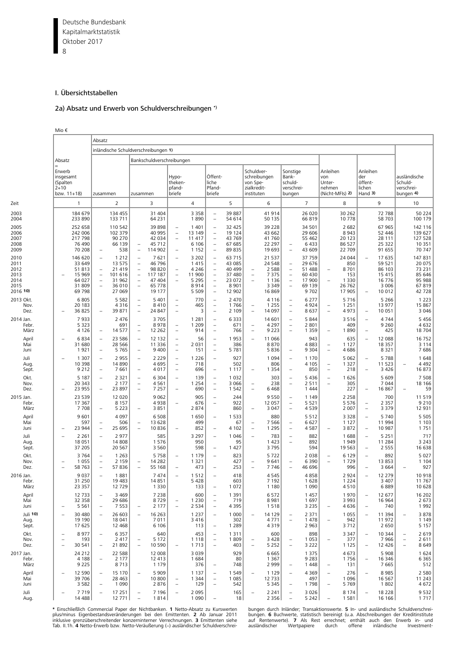<span id="page-29-0"></span>Deutsche Bundesbank 8 Kapitalmarktstatistik Oktober 2017

#### I. Übersichtstabellen

#### 2a) Absatz und Erwerb von Schuldverschreibungen \*)

Mio €

|                                                          |                                                                           |                                                                    | Absatz                                                                           |                                                                       |                                                                                                                                                 |                                                                     |                                                                                  |                                                                    |                                                                                                                                                                                           |                                                                     |                                                                                  |                                                                      |                                                                                                                     |                                                                  |                                                      |                                                             |                                                      |                                                                        |                                                    |                                                                    |
|----------------------------------------------------------|---------------------------------------------------------------------------|--------------------------------------------------------------------|----------------------------------------------------------------------------------|-----------------------------------------------------------------------|-------------------------------------------------------------------------------------------------------------------------------------------------|---------------------------------------------------------------------|----------------------------------------------------------------------------------|--------------------------------------------------------------------|-------------------------------------------------------------------------------------------------------------------------------------------------------------------------------------------|---------------------------------------------------------------------|----------------------------------------------------------------------------------|----------------------------------------------------------------------|---------------------------------------------------------------------------------------------------------------------|------------------------------------------------------------------|------------------------------------------------------|-------------------------------------------------------------|------------------------------------------------------|------------------------------------------------------------------------|----------------------------------------------------|--------------------------------------------------------------------|
|                                                          |                                                                           |                                                                    |                                                                                  | inländische Schuldverschreibungen 1)                                  |                                                                                                                                                 |                                                                     |                                                                                  |                                                                    |                                                                                                                                                                                           |                                                                     |                                                                                  |                                                                      |                                                                                                                     |                                                                  |                                                      |                                                             |                                                      |                                                                        |                                                    |                                                                    |
|                                                          | Absatz                                                                    |                                                                    |                                                                                  |                                                                       |                                                                                                                                                 | Bankschuldverschreibungen                                           |                                                                                  |                                                                    |                                                                                                                                                                                           |                                                                     |                                                                                  |                                                                      |                                                                                                                     |                                                                  |                                                      |                                                             |                                                      |                                                                        |                                                    |                                                                    |
|                                                          | Erwerb<br>insgesamt<br>(Spalten<br>$2 + 10$<br>bzw. $11+18$               |                                                                    | zusammen                                                                         |                                                                       | zusammen                                                                                                                                        |                                                                     | Hypo-<br>theken-<br>pfand-<br>briefe                                             |                                                                    | Öffent-<br>liche<br>Pfand-<br>briefe                                                                                                                                                      |                                                                     | Schuldver-<br>von Spe-<br>zialkredit-<br>instituten                              | schreibungen                                                         | Sonstige<br>Bank-<br>schuld-<br>verschrei-<br>bungen                                                                |                                                                  | Anleihen<br>von<br>Unter-<br>nehmen                  | (Nicht-MFIs) 2)                                             | Anleihen<br>der<br>öffent-<br>lichen<br>Hand 3)      |                                                                        | ausländische<br>Schuld-<br>verschrei-<br>bungen 4) |                                                                    |
| Zeit                                                     |                                                                           | 1                                                                  |                                                                                  | $\overline{2}$                                                        |                                                                                                                                                 | 3                                                                   |                                                                                  | 4                                                                  |                                                                                                                                                                                           | 5                                                                   |                                                                                  | 6                                                                    |                                                                                                                     | $\overline{7}$                                                   |                                                      | 8                                                           |                                                      | 9                                                                      |                                                    | 10                                                                 |
| 2003<br>2004                                             |                                                                           | 184 679<br>233 890                                                 |                                                                                  | 134 455<br>133 711                                                    |                                                                                                                                                 | 31 404<br>64 2 31                                                   |                                                                                  | 3 3 5 8<br>1890                                                    | $\qquad \qquad -$<br>$\overline{\phantom{0}}$                                                                                                                                             | 39 887<br>54 614                                                    |                                                                                  | 41914<br>50 135                                                      |                                                                                                                     | 26 020<br>66819                                                  |                                                      | 30 262<br>10 778                                            |                                                      | 72 788<br>58 703                                                       |                                                    | 50 224<br>100 179                                                  |
| 2005<br>2006<br>2007<br>2008<br>2009                     |                                                                           | 252 658<br>242 006<br>217 798<br>76 490<br>70 208                  | $\overline{\phantom{0}}$                                                         | 110 542<br>102 379<br>90 270<br>66 139<br>538                         | $\qquad \qquad -$<br>$\overline{\phantom{a}}$                                                                                                   | 39 898<br>40 995<br>42 034<br>45 712<br>114 902                     | $\qquad \qquad -$<br>$\qquad \qquad -$<br>$\qquad \qquad -$<br>$\qquad \qquad -$ | 1 4 0 1<br>13 149<br>11 417<br>6 1 0 6<br>1 1 5 2                  | $\qquad \qquad -$<br>$\overline{\phantom{0}}$<br>$\overline{\phantom{0}}$<br>$\overline{\phantom{0}}$<br>$\overline{\phantom{0}}$                                                         | 32 425<br>19 124<br>43 769<br>67 685<br>89 835                      |                                                                                  | 39 2 28<br>43 662<br>41 760<br>22 297<br>19 693                      | $\qquad \qquad -$<br>$\overline{\phantom{a}}$                                                                       | 34 501<br>29 606<br>55 462<br>6433<br>43 609                     |                                                      | 2 6 8 2<br>8 9 4 3<br>20 123<br>86 527<br>22 709            |                                                      | 67 965<br>52 446<br>28 111<br>25 3 22<br>91 655                        |                                                    | 142 116<br>139 627<br>127 528<br>10 351<br>70 747                  |
| 2010<br>2011<br>2012<br>2013<br>2014<br>2015<br>2016 10) |                                                                           | 146 620<br>33 649<br>51813<br>15 969<br>64 027<br>31 809<br>69 798 | $\qquad \qquad -$<br>$\qquad \qquad -$                                           | 1 2 1 2<br>13 575<br>21 4 19<br>101 616<br>31 962<br>36 010<br>27 069 | $\qquad \qquad -$<br>$\qquad \qquad -$<br>$\overline{\phantom{0}}$<br>$\overline{\phantom{m}}$<br>$\qquad \qquad -$<br>$\overline{\phantom{0}}$ | 7621<br>46 796<br>98 820<br>117 187<br>47 404<br>65 7 7 8<br>19 177 | $\overline{\phantom{0}}$<br>$\overline{\phantom{0}}$<br>$\qquad \qquad -$        | 3 2 0 2<br>1415<br>4 2 4 6<br>11 900<br>5 2 9 5<br>8914<br>5 5 0 9 | $\qquad \qquad -$<br>$\overline{\phantom{0}}$<br>$\overline{\phantom{0}}$<br>$\overline{\phantom{m}}$<br>$\overline{\phantom{0}}$<br>$\overline{\phantom{0}}$<br>$\overline{\phantom{m}}$ | 63 715<br>43 085<br>40 499<br>37 480<br>23 072<br>8 9 0 1<br>12 902 | $\overline{\phantom{a}}$<br>$\overline{\phantom{m}}$<br>$\overline{\phantom{a}}$ | 21 5 37<br>24 5 48<br>2 5 8 8<br>7375<br>1 1 3 6<br>3 3 4 9<br>16869 | $\qquad \qquad -$<br>$\overline{\phantom{a}}$<br>$\overline{\phantom{m}}$<br>$\qquad \qquad -$<br>$\qquad \qquad -$ | 37 759<br>29 676<br>51 488<br>60 430<br>17 900<br>69 139<br>9702 | $\overline{\phantom{a}}$                             | 24 044<br>850<br>8701<br>153<br>1 3 3 0<br>26 762<br>17 905 | $\overline{\phantom{m}}$                             | 17 635<br>59 521<br>86 103<br>15 415<br>16 7 7 6<br>3 0 0 6<br>10 0 12 |                                                    | 147 831<br>20 075<br>73 231<br>85 646<br>95 988<br>67819<br>42 728 |
| 2013 Okt.<br>Nov.<br>Dez.                                |                                                                           | 6805<br>20 183<br>36 825                                           |                                                                                  | 5 5 8 2<br>4316<br>39 871                                             | ÷<br>$\qquad \qquad -$<br>$\overline{\phantom{0}}$                                                                                              | 5 4 0 1<br>8410<br>24 847                                           | $\overline{\phantom{0}}$<br>$\qquad \qquad -$<br>$\overline{\phantom{0}}$        | 770<br>465<br>3                                                    | $\overline{\phantom{m}}$<br>$\qquad \qquad -$<br>$\qquad \qquad -$                                                                                                                        | 2 4 7 0<br>1766<br>2 1 0 9                                          | $\overline{\phantom{a}}$<br>$\overline{\phantom{a}}$                             | 4 1 1 6<br>1 2 5 5<br>14 097                                         | $\overline{\phantom{a}}$<br>$\overline{\phantom{a}}$<br>$\qquad \qquad -$                                           | 6 2 7 7<br>4924<br>8637                                          | $\overline{\phantom{a}}$<br>$\overline{\phantom{a}}$ | 5 7 1 6<br>1 2 5 1<br>4973                                  | $\overline{\phantom{a}}$                             | 5 2 6 6<br>13 977<br>10 051                                            |                                                    | 1 2 2 3<br>15 867<br>3 0 4 6                                       |
| 2014 Jan.<br>Febr.<br>März                               |                                                                           | 7933<br>5 3 2 3<br>4 1 2 6                                         | $\overline{\phantom{0}}$                                                         | 2 4 7 6<br>691<br>14 577                                              | $\qquad \qquad -$<br>$\overline{\phantom{a}}$                                                                                                   | 3705<br>8978<br>12 2 6 2                                            | $\qquad \qquad -$<br>$\overline{\phantom{a}}$                                    | 1 2 8 1<br>1 2 0 9<br>914                                          | $\qquad \qquad -$<br>$\qquad \qquad -$<br>$\equiv$                                                                                                                                        | 6 3 3 3<br>671<br>766                                               | $\overline{\phantom{a}}$<br>$\equiv$                                             | 14 601<br>4 2 9 7<br>9 2 2 3                                         | $\qquad \qquad -$<br>$\overline{\phantom{a}}$<br>$\equiv$                                                           | 5 8 4 4<br>2 8 0 1<br>1 3 5 9                                    | $\overline{\phantom{m}}$                             | 3 5 1 6<br>409<br>1890                                      | $\overline{\phantom{a}}$<br>$\overline{\phantom{a}}$ | 4744<br>9 2 6 0<br>425                                                 |                                                    | 5 4 5 6<br>4632<br>18704                                           |
| April<br>Mai<br>Juni                                     |                                                                           | 6834<br>31 680<br>1921                                             | $\overline{\phantom{0}}$                                                         | 23 586<br>28 5 66<br>5 7 6 5                                          | ÷<br>$\overline{\phantom{0}}$                                                                                                                   | 12 132<br>11 3 3 6<br>9 4 0 0                                       | $\qquad \qquad -$<br>$\overline{\phantom{m}}$<br>$\qquad \qquad -$               | 56<br>2 0 3 1<br>151                                               | $\qquad \qquad -$<br>$\qquad \qquad -$<br>L,                                                                                                                                              | 1953<br>386<br>5 7 8 1                                              | $\overline{\phantom{m}}$                                                         | 11 066<br>8870<br>5836                                               | $\qquad \qquad -$                                                                                                   | 943<br>4883<br>9 3 0 4                                           | $\overline{\phantom{a}}$<br>$\overline{\phantom{m}}$ | 635<br>1 1 2 7<br>4686                                      | $\equiv$                                             | 12 088<br>18 3 5 7<br>8321                                             |                                                    | 16752<br>3 1 1 4<br>7686                                           |
| Juli<br>Aug<br>Sept.                                     |                                                                           | 1 3 0 7<br>10 3 98<br>9 2 1 2                                      |                                                                                  | 2 9 5 5<br>14 8 90<br>7661                                            | $\overline{\phantom{0}}$<br>$\overline{\phantom{a}}$                                                                                            | 2 2 2 9<br>4695<br>4017                                             | $\qquad \qquad -$<br>$\qquad \qquad -$<br>$\overline{\phantom{a}}$               | 1 2 2 6<br>718<br>696                                              | $\qquad \qquad -$<br>$\qquad \qquad -$                                                                                                                                                    | 927<br>502<br>1 1 1 7                                               | $\overline{\phantom{a}}$                                                         | 1 0 9 4<br>806<br>1 3 5 4                                            | $\qquad \qquad -$<br>$\overline{\phantom{0}}$                                                                       | 1 1 7 0<br>4 1 0 5<br>850                                        | $\overline{\phantom{a}}$<br>$\overline{\phantom{m}}$ | 5 0 6 2<br>1 3 2 7<br>218                                   | $\overline{\phantom{a}}$<br>$\overline{\phantom{m}}$ | 5788<br>11 523<br>3 4 2 6                                              | $\sim$                                             | 1648<br>4 4 9 2<br>16873                                           |
| Okt.<br>Nov.<br>Dez.                                     |                                                                           | 5 1 8 7<br>20 343<br>23 955                                        |                                                                                  | 2 3 2 1<br>2 1 7 7<br>23 897                                          | ÷<br>$\overline{\phantom{0}}$<br>÷                                                                                                              | 6 3 0 4<br>4561<br>7 2 5 7                                          | L,                                                                               | 139<br>1 2 5 4<br>690                                              | $\overline{\phantom{0}}$<br>$\overline{\phantom{0}}$<br>$\overline{\phantom{0}}$                                                                                                          | 1 0 3 2<br>3 0 6 6<br>1 5 4 2                                       | $\overline{\phantom{a}}$<br>$\equiv$                                             | 303<br>238<br>6468                                                   | $\overline{\phantom{a}}$<br>$\overline{\phantom{m}}$                                                                | 5436<br>2 5 1 1<br>1 4 4 4                                       | $\equiv$<br>$\equiv$                                 | 1626<br>305<br>227                                          | $\equiv$                                             | 5 6 0 9<br>7 0 4 4<br>16867                                            |                                                    | 7 5 0 8<br>18 16 6<br>59                                           |
| 2015 Jan.<br>Febr.<br>März                               |                                                                           | 23 5 39<br>17 367<br>7708                                          |                                                                                  | 12 0 20<br>8 1 5 7<br>5 2 2 3                                         | ÷                                                                                                                                               | 9062<br>4938<br>3851                                                | $\overline{\phantom{0}}$                                                         | 905<br>676<br>2874                                                 | $\qquad \qquad -$<br>$\overline{\phantom{0}}$                                                                                                                                             | 244<br>922<br>860                                                   | $\overline{\phantom{a}}$                                                         | 9550<br>12 057<br>3 0 4 7                                            | $\qquad \qquad -$<br>$\overline{\phantom{a}}$<br>÷                                                                  | 1 1 4 9<br>5 5 2 1<br>4539                                       |                                                      | 2 2 5 8<br>5 5 7 6<br>2 0 0 7                               | $\overline{\phantom{a}}$<br>$\equiv$                 | 700<br>2 3 5 7<br>3 3 7 9                                              |                                                    | 11519<br>9 2 1 0<br>12 931                                         |
| April<br>Mai<br>Juni                                     |                                                                           | 9601<br>597<br>23 944                                              |                                                                                  | 4 0 9 7<br>506<br>25 695                                              | $\overline{\phantom{0}}$                                                                                                                        | 6508<br>13 628<br>10836                                             |                                                                                  | 1650<br>499<br>852                                                 | $\equiv$<br>$\qquad \qquad -$                                                                                                                                                             | 1 5 3 3<br>67<br>4 1 0 2                                            | $\overline{\phantom{a}}$<br>$\overline{\phantom{a}}$                             | 880<br>7 5 6 6<br>1 2 9 5                                            | $\qquad \qquad -$<br>$\qquad \qquad -$                                                                              | 5 5 1 2<br>6627<br>4587                                          |                                                      | 3 3 2 8<br>1 1 2 7<br>3872                                  | $\overline{\phantom{m}}$                             | 5740<br>11 994<br>10 987                                               |                                                    | 5 5 0 5<br>1 1 0 3<br>1751                                         |
| Juli<br>Aug<br>Sept.                                     | $\overline{\phantom{a}}$                                                  | 2 2 6 1<br>18 051<br>37 205                                        |                                                                                  | 2 9 7 7<br>14 808<br>20 5 67                                          |                                                                                                                                                 | 585<br>1576<br>3 5 6 0                                              |                                                                                  | 3 2 9 7<br>950<br>598                                              | $\qquad \qquad -$<br>$\qquad \qquad -$                                                                                                                                                    | 1 0 4 6<br>95<br>1 4 2 7                                            | $\overline{\phantom{a}}$                                                         | 783<br>1 4 2 3<br>3795                                               | $\qquad \qquad -$<br>$\equiv$                                                                                       | 882<br>892<br>594                                                |                                                      | 1688<br>1949<br>19 5 63                                     | $\overline{\phantom{a}}$<br>$\overline{\phantom{a}}$ | 5 2 5 1<br>11 2 8 4<br>2 5 5 5                                         |                                                    | 717<br>3 2 4 3<br>16 638                                           |
| Okt.<br>Nov.<br>Dez.                                     | $\overline{\phantom{a}}$<br>$\overline{\phantom{a}}$                      | 3764<br>1 0 5 5<br>58 763                                          | $\overline{\phantom{0}}$<br>$\overline{\phantom{0}}$<br>$\overline{\phantom{0}}$ | 1 2 6 3<br>2 1 5 9<br>57836                                           | $\qquad \qquad -$<br>$\overline{\phantom{0}}$                                                                                                   | 5758<br>14 2 8 2<br>55 168                                          | $\equiv$<br>$\overline{\phantom{0}}$                                             | 1 1 7 9<br>1 3 2 1<br>473                                          | $\overline{\phantom{0}}$<br>$\overline{\phantom{0}}$                                                                                                                                      | 823<br>427<br>253                                                   | $\overline{\phantom{a}}$<br>$\overline{\phantom{a}}$                             | 5722<br>9641<br>7746                                                 | $\qquad \qquad -$<br>$\qquad \qquad -$                                                                              | 2 0 3 8<br>6 3 9 0<br>46 696                                     | $\overline{\phantom{m}}$<br>$\overline{\phantom{m}}$ | 6 1 2 9<br>1729<br>996                                      | $\overline{\phantom{a}}$<br>$\overline{\phantom{m}}$ | 892<br>13853<br>3 6 6 4                                                |                                                    | 5 0 2 7<br>1 1 0 4<br>927                                          |
| 2016 Jan.<br>Febr.<br>März                               |                                                                           | 9 0 3 7<br>31 250<br>23 357                                        |                                                                                  | 1881<br>19 483<br>12729                                               |                                                                                                                                                 | 7474<br>14851<br>1 3 3 0                                            |                                                                                  | 1512<br>5428<br>133                                                | $\overline{\phantom{0}}$                                                                                                                                                                  | 418<br>603<br>1 0 7 2                                               |                                                                                  | 4545<br>7 1 9 2<br>1 1 8 0                                           |                                                                                                                     | 4858<br>1628<br>1 0 9 0                                          |                                                      | 2 9 2 4<br>1 2 2 4<br>4510                                  |                                                      | 12 279<br>3 4 0 7<br>6889                                              |                                                    | 10918<br>11 767<br>10 628                                          |
| April<br>Mai<br>Juni                                     | $\qquad \qquad -$                                                         | 12 7 33<br>32 358<br>5 5 6 1                                       |                                                                                  | 3 4 6 9<br>29 686<br>7 5 5 3                                          |                                                                                                                                                 | 7 2 3 8<br>8729<br>2 1 7 7                                          | $\overline{\phantom{0}}$<br>$\overline{\phantom{0}}$                             | 600<br>1 2 3 0<br>2 5 3 4                                          | $\qquad \qquad -$<br>$\overline{\phantom{0}}$<br>$\overline{\phantom{0}}$                                                                                                                 | 1 3 9 1<br>719<br>4 3 9 5                                           |                                                                                  | 6572<br>8981<br>1518                                                 |                                                                                                                     | 1 4 5 7<br>1697<br>3 2 3 5                                       |                                                      | 1970<br>3 9 9 3<br>4636                                     | $\overline{\phantom{a}}$                             | 12 677<br>16 964<br>740                                                |                                                    | 16 202<br>2673<br>1992                                             |
| Juli 10)<br>Aug.<br>Sept.                                | $\overline{\phantom{a}}$                                                  | 30 480<br>19 190<br>17 625                                         |                                                                                  | 26 603<br>18 041<br>12 4 68                                           | $\overline{\phantom{0}}$                                                                                                                        | 16 2 63<br>7011<br>6 1 0 6                                          |                                                                                  | 1 2 3 7<br>3416<br>113                                             | $\qquad \qquad -$<br>$\qquad \qquad -$                                                                                                                                                    | 1 0 0 0<br>302<br>1 2 8 9                                           |                                                                                  | 14 129<br>4771<br>4319                                               | $\qquad \qquad -$<br>$\overline{\phantom{0}}$                                                                       | 2 3 7 1<br>1478<br>2 9 6 3                                       | $\overline{\phantom{a}}$                             | 1 0 5 5<br>942<br>3712                                      |                                                      | 11 3 9 4<br>11 972<br>2 6 5 0                                          |                                                    | 3878<br>1 1 4 9<br>5157                                            |
| Okt.<br>Nov.<br>Dez.                                     | $\qquad \qquad -$<br>$\overline{\phantom{0}}$<br>$\overline{\phantom{0}}$ | 8977<br>193<br>30 541                                              |                                                                                  | 6 3 5 7<br>2 4 1 7<br>21 892                                          | $\overline{\phantom{0}}$<br>$\overline{\phantom{0}}$                                                                                            | 640<br>5 1 7 2<br>10 5 90                                           |                                                                                  | 453<br>1 1 1 8<br>1713                                             | $\overline{\phantom{0}}$<br>$\overline{\phantom{a}}$<br>$\qquad \qquad -$                                                                                                                 | 1 3 1 1<br>1809<br>403                                              |                                                                                  | 600<br>3 4 2 8<br>5 2 5 2                                            | $\qquad \qquad -$<br>$\qquad \qquad -$                                                                              | 898<br>1 0 5 3<br>3 2 2 2                                        | $\qquad \qquad -$                                    | 3 3 4 7<br>377<br>1 1 2 5                                   |                                                      | 10 344<br>7966<br>12 4 26                                              |                                                    | 2619<br>2611<br>8 6 4 9                                            |
| 2017 Jan.<br>Febr.<br>März                               |                                                                           | 24 212<br>4 1 8 8<br>9 2 2 5                                       |                                                                                  | 22 588<br>2 1 7 7<br>8713                                             |                                                                                                                                                 | 12 008<br>12 413<br>1 1 7 9                                         |                                                                                  | 3 0 3 9<br>1684<br>376                                             |                                                                                                                                                                                           | 929<br>80<br>748                                                    |                                                                                  | 6665<br>1 3 6 7<br>2 9 9 9                                           |                                                                                                                     | 1 3 7 5<br>9 2 8 3<br>1448                                       |                                                      | 4 6 7 3<br>1756<br>131                                      |                                                      | 5 9 0 8<br>16 346<br>7665                                              |                                                    | 1624<br>6 3 6 5<br>512                                             |
| April<br>Mai<br>Juni                                     | $\overline{\phantom{0}}$                                                  | 12 5 9 0<br>39 706<br>3 5 8 2                                      |                                                                                  | 15 170<br>28 4 63<br>1 0 9 0                                          |                                                                                                                                                 | 5 9 0 9<br>10 800<br>2876                                           | $\qquad \qquad -$<br>$\qquad \qquad -$                                           | 1 1 3 7<br>1 3 4 4<br>129                                          | $\overline{\phantom{0}}$<br>$\overline{\phantom{0}}$<br>$\overline{\phantom{m}}$                                                                                                          | 1 5 4 9<br>1 0 8 5<br>542                                           |                                                                                  | 1 1 2 9<br>12 7 3 3<br>5 3 4 5                                       |                                                                                                                     | 4 3 6 9<br>497<br>1798                                           | $\qquad \qquad -$                                    | 276<br>1 0 9 6<br>5 7 6 9                                   |                                                      | 8985<br>16 5 67<br>1802                                                |                                                    | 2 5 8 0<br>11 243<br>4 6 7 2                                       |
| Juli<br>Aug.                                             | $\overline{\phantom{a}}$                                                  | 7719<br>14 4 8 8                                                   | $\qquad \qquad -$                                                                | 17 251<br>12 771                                                      | ÷,<br>$\overline{\phantom{0}}$                                                                                                                  | 7 1 9 6<br>1814                                                     | $\overline{\phantom{0}}$                                                         | 2 0 9 5<br>1090                                                    | $\overline{\phantom{a}}$                                                                                                                                                                  | 165<br>18                                                           |                                                                                  | 2 2 4 1<br>2356                                                      | $\overline{\phantom{a}}$<br>$\overline{\phantom{a}}$                                                                | 3 0 2 6<br>5242                                                  | $\overline{\phantom{a}}$                             | 8 1 7 4<br>1581                                             | $\overline{\phantom{a}}$                             | 18 2 28<br>16 16 6                                                     |                                                    | 9532<br>1 7 1 7                                                    |

**\*** Einschließlich Commercial Paper der Nichtbanken. **1** Netto-Absatz zu Kurswerten bungen durch Inländer; Transaktionswerte. **5** In- und ausländische Schuldverschreiplus/minus Eigenbestandsveränderungen bei den Emittenten. 2 Ab Januar 2011 – bungen. 6 Buchwerte, statistisch bereinigt (u.a. Abschreibungen der Kreditinstitute<br>inklusive grenzüberschreitender konzerninterner Verrechnungen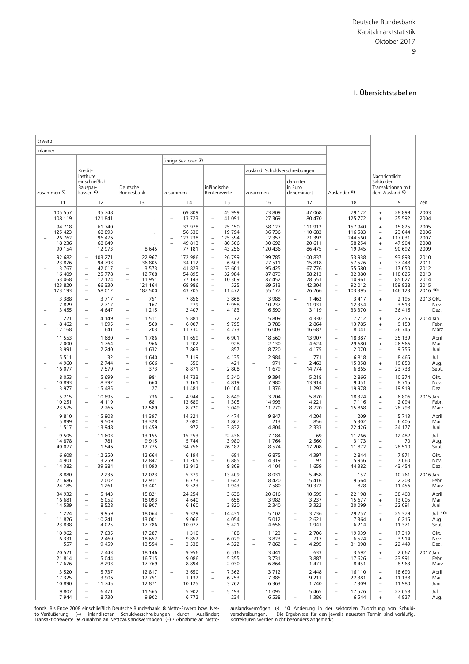#### I. Übersichtstabellen

<span id="page-30-0"></span>

| Erwerb   |                                                                                               |                                                                                                                                                                                  |                                                                     |                                                                           |                                                                      |                               |                                                                    |                                                                                                          |                                                                  |  |                                                                     |                                      |                                                                      |                                                                  |                                                                     |                                                                                                                                                        |                                                                      |                                                          |
|----------|-----------------------------------------------------------------------------------------------|----------------------------------------------------------------------------------------------------------------------------------------------------------------------------------|---------------------------------------------------------------------|---------------------------------------------------------------------------|----------------------------------------------------------------------|-------------------------------|--------------------------------------------------------------------|----------------------------------------------------------------------------------------------------------|------------------------------------------------------------------|--|---------------------------------------------------------------------|--------------------------------------|----------------------------------------------------------------------|------------------------------------------------------------------|---------------------------------------------------------------------|--------------------------------------------------------------------------------------------------------------------------------------------------------|----------------------------------------------------------------------|----------------------------------------------------------|
| Inländer |                                                                                               |                                                                                                                                                                                  |                                                                     |                                                                           |                                                                      |                               |                                                                    |                                                                                                          |                                                                  |  |                                                                     |                                      |                                                                      |                                                                  |                                                                     |                                                                                                                                                        |                                                                      |                                                          |
|          |                                                                                               |                                                                                                                                                                                  |                                                                     |                                                                           |                                                                      | übrige Sektoren 7)            |                                                                    |                                                                                                          |                                                                  |  |                                                                     |                                      |                                                                      |                                                                  |                                                                     |                                                                                                                                                        |                                                                      |                                                          |
|          | Kredit-                                                                                       |                                                                                                                                                                                  |                                                                     |                                                                           |                                                                      |                               |                                                                    |                                                                                                          | ausländ. Schuldverschreibungen                                   |  |                                                                     |                                      |                                                                      |                                                                  |                                                                     |                                                                                                                                                        |                                                                      |                                                          |
|          | institute<br>einschließlich<br>Bauspar-<br>Deutsche<br>kassen 6)<br>Bundesbank<br>zusammen 5) |                                                                                                                                                                                  | zusammen                                                            |                                                                           | inländische<br>Rentenwerte                                           |                               | zusammen                                                           |                                                                                                          | darunter:<br>in Euro<br>denominiert                              |  | Ausländer 8)                                                        |                                      | Nachrichtlich:<br>Saldo der<br>Transaktionen mit<br>dem Ausland 9)   |                                                                  |                                                                     |                                                                                                                                                        |                                                                      |                                                          |
|          | 11                                                                                            |                                                                                                                                                                                  | 12                                                                  |                                                                           | 13                                                                   |                               | 14                                                                 |                                                                                                          | 15                                                               |  | 16                                                                  |                                      | 17                                                                   |                                                                  | 18                                                                  |                                                                                                                                                        | 19                                                                   | Zeit                                                     |
|          | 105 557<br>108 119                                                                            |                                                                                                                                                                                  | 35 748<br>121 841                                                   |                                                                           |                                                                      |                               | 69809<br>13723                                                     | $\overline{\phantom{a}}$                                                                                 | 45 999<br>41 091                                                 |  | 23 809<br>27 369                                                    |                                      | 47 068<br>80 470                                                     |                                                                  | 79 122<br>125 772                                                   | $^{+}$<br>$\begin{array}{c} + \end{array}$                                                                                                             | 28 8 9 9<br>25 5 9 2                                                 | 2003<br>2004                                             |
|          | 94 718<br>125 423<br>26 7 62<br>18 2 36<br>90 154                                             |                                                                                                                                                                                  | 61 740<br>68 893<br>96 476<br>68 049<br>12 973                      |                                                                           | 8645                                                                 |                               | 32 978<br>56 530<br>123 238<br>49813<br>77 181                     | $\equiv$<br>$\overline{\phantom{a}}$                                                                     | 25 150<br>19 794<br>125 594<br>80 50 6<br>43 25 6                |  | 58 127<br>36 736<br>2 3 5 7<br>30 692<br>120 436                    |                                      | 111 912<br>110 683<br>71 392<br>20 611<br>86 475                     | $\overline{\phantom{a}}$                                         | 157 940<br>116 583<br>244 560<br>58 254<br>19 945                   | $\ddot{}$<br>$\overline{\phantom{0}}$<br>$\begin{array}{c} + \end{array}$<br>$^{+}$                                                                    | 15 825<br>23 044<br>117 031<br>47 904<br>90 692                      | 2005<br>2006<br>2007<br>2008<br>2009                     |
|          | 92 682<br>23 876<br>3767<br>16 409<br>53 068<br>123 820<br>173 193                            | $\overline{\phantom{a}}$<br>$\overline{\phantom{a}}$<br>$\overline{\phantom{a}}$<br>$\overline{\phantom{a}}$<br>$\equiv$<br>$\overline{\phantom{a}}$<br>$\overline{\phantom{a}}$ | 103 271<br>94 793<br>42 017<br>25 778<br>12 124<br>66 330<br>58 012 | $\overline{\phantom{a}}$                                                  | 22 967<br>36 805<br>3 5 7 3<br>12 708<br>11951<br>121 164<br>187 500 |                               | 172 986<br>34 112<br>41823<br>54 895<br>77 143<br>68 986<br>43 705 | $\overline{\phantom{m}}$<br>$\overline{\phantom{a}}$<br>$\equiv$<br>$\overline{\phantom{a}}$<br>$\equiv$ | 26 799<br>6 6 0 3<br>53 601<br>32 984<br>10 309<br>525<br>11 472 |  | 199 785<br>27 511<br>95 425<br>87 879<br>87 452<br>69 513<br>55 177 |                                      | 100 837<br>15 818<br>67 776<br>58 213<br>78 551<br>42 304<br>26 26 6 | $\overline{\phantom{0}}$<br>$\equiv$                             | 53 938<br>57 526<br>55 580<br>32 380<br>10 961<br>92 012<br>103 395 | $\overline{\phantom{a}}$<br>$\qquad \qquad +$<br>$\overline{\phantom{a}}$<br>$\overline{\phantom{a}}$<br>$\qquad \qquad -$<br>$\overline{\phantom{a}}$ | 93 893<br>37 448<br>17 650<br>118 025<br>85 027<br>159828<br>146 123 | 2010<br>2011<br>2012<br>2013<br>2014<br>2015<br>2016 10) |
|          | 3 3 8 8<br>7829<br>3 4 5 5                                                                    | $\overline{\phantom{0}}$<br>$\overline{\phantom{0}}$                                                                                                                             | 3 7 1 7<br>7 7 1 7<br>4 647                                         | $\qquad \qquad -$<br>$\qquad \qquad -$<br>$\overline{\phantom{a}}$        | 751<br>167<br>1 2 1 5                                                |                               | 7856<br>279<br>2 4 0 7                                             | $\overline{\phantom{a}}$                                                                                 | 3868<br>9958<br>4 1 8 3                                          |  | 3 9 8 8<br>10 237<br>6 5 9 0                                        | $\overline{\phantom{a}}$             | 1 4 6 3<br>11 931<br>3 1 1 9                                         |                                                                  | 3417<br>12 3 5 4<br>33 370                                          | $^{+}$<br>$\overline{\phantom{a}}$                                                                                                                     | 2 1 9 5<br>3513<br>36 416                                            | 2013 Okt.<br>Nov.<br>Dez.                                |
|          | 221<br>8 4 6 2<br>12 168                                                                      | $\overline{\phantom{0}}$                                                                                                                                                         | 4 1 4 9<br>1895<br>641                                              | $\overline{\phantom{a}}$<br>$\overline{\phantom{m}}$<br>$\qquad \qquad -$ | 1511<br>560<br>203                                                   |                               | 5881<br>6 0 0 7<br>11 730                                          | $\overline{\phantom{a}}$<br>$\overline{\phantom{a}}$                                                     | 72<br>9795<br>4 2 7 3                                            |  | 5 8 0 9<br>3788<br>16 003                                           |                                      | 4 3 3 0<br>2 8 6 4<br>16 687                                         | $\overline{\phantom{0}}$                                         | 7712<br>13785<br>8 0 4 1                                            | $\begin{array}{c} + \end{array}$<br>$^{+}$<br>-                                                                                                        | 2 2 5 5<br>9 1 5 3<br>26 745                                         | 2014 Jan.<br>Febr.<br>März                               |
|          | 11 553<br>2 0 0 0<br>3 9 9 1                                                                  | $\overline{\phantom{a}}$                                                                                                                                                         | 1680<br>1764<br>2 2 4 0                                             | $\qquad \qquad -$<br>$\qquad \qquad -$<br>$\overline{\phantom{a}}$        | 1786<br>966<br>1 6 3 2                                               |                               | 11 659<br>1 2 0 2<br>7863                                          | $\overline{\phantom{m}}$<br>$\overline{\phantom{a}}$<br>$\overline{\phantom{a}}$                         | 6 9 0 1<br>928<br>857                                            |  | 18 5 60<br>2 1 3 0<br>8720                                          |                                      | 13 907<br>4 6 2 4<br>4 1 7 5                                         | $\qquad \qquad -$<br>$\overline{\phantom{0}}$                    | 18 3 8 7<br>29 680<br>2 0 7 0                                       | $\overline{\phantom{0}}$<br>$\ddot{}$                                                                                                                  | 35 139<br>26 5 66<br>9756                                            | April<br>Mai<br>Juni                                     |
|          | 5 5 1 1<br>4 9 6 0<br>16 077                                                                  | $\overline{\phantom{a}}$                                                                                                                                                         | 32<br>2 7 4 4<br>7 5 7 9                                            | $\overline{\phantom{a}}$<br>$\overline{\phantom{a}}$<br>$\qquad \qquad -$ | 1640<br>1666<br>373                                                  |                               | 7 1 1 9<br>550<br>8871                                             | $\overline{\phantom{0}}$                                                                                 | 4 1 3 5<br>421<br>2 8 0 8                                        |  | 2 9 8 4<br>971<br>11 679                                            | $\overline{\phantom{0}}$<br>$\equiv$ | 771<br>2 4 6 3<br>14 774                                             | $\overline{\phantom{a}}$<br>$\overline{\phantom{a}}$             | 6818<br>15 3 5 8<br>6865                                            | $\overline{\phantom{0}}$<br>$\begin{array}{c} + \end{array}$<br>$\overline{\phantom{0}}$                                                               | 8 4 6 5<br>19850<br>23 7 38                                          | Juli<br>Aug.<br>Sept.                                    |
|          | 8 0 5 3<br>10893<br>3 9 7 7                                                                   | $\overline{\phantom{a}}$                                                                                                                                                         | 5 6 9 9<br>8 3 9 2<br>15 485                                        | $\overline{\phantom{0}}$<br>$\qquad \qquad -$                             | 981<br>660<br>27                                                     |                               | 14733<br>3 1 6 1<br>11 481                                         | $\overline{\phantom{m}}$                                                                                 | 5 3 4 0<br>4819<br>10 104                                        |  | 9 3 9 4<br>7980<br>1 3 7 6                                          |                                      | 5 2 1 8<br>13 914<br>1 2 9 2                                         | $\overline{\phantom{a}}$<br>$\overline{\phantom{a}}$             | 2866<br>9451<br>19 978                                              | $\overline{\phantom{0}}$<br>$\overline{\phantom{a}}$                                                                                                   | 10 374<br>8715<br>19919                                              | Okt.<br>Nov.<br>Dez.                                     |
|          | 5 2 1 5<br>10 251<br>23 575                                                                   | $\overline{\phantom{a}}$                                                                                                                                                         | 10 895<br>4 1 1 9<br>2 2 6 6                                        |                                                                           | 736<br>681<br>12 5 8 9                                               |                               | 4944<br>13 689<br>8720                                             | $\overline{\phantom{m}}$<br>$\overline{\phantom{a}}$<br>$\equiv$                                         | 8649<br>1 3 0 5<br>3 0 4 9                                       |  | 3 7 0 4<br>14 993<br>11 770                                         |                                      | 5 8 7 0<br>4 2 2 1<br>8720                                           | $\overline{\phantom{a}}$                                         | 18 3 24<br>7 1 1 6<br>15 868                                        | $+$<br>$\overline{\phantom{0}}$<br>$\equiv$                                                                                                            | 6806<br>2 0 9 4<br>28798                                             | 2015 Jan.<br>Febr.<br>März                               |
|          | 9810<br>5899<br>1517                                                                          | $\overline{\phantom{a}}$<br>$\overline{\phantom{a}}$<br>$\equiv$                                                                                                                 | 15 908<br>9 5 0 9<br>13 948                                         |                                                                           | 11 3 9 7<br>13 3 28<br>11 459                                        |                               | 14 3 21<br>2 0 8 0<br>972                                          | $\overline{\phantom{a}}$                                                                                 | 4 4 7 4<br>1867<br>3832                                          |  | 9847<br>213<br>4 8 0 4                                              | $\overline{a}$                       | 4 2 0 4<br>856<br>2 3 3 3                                            | $\overline{\phantom{0}}$<br>$\overline{\phantom{a}}$<br>$\equiv$ | 209<br>5 3 0 2<br>22 4 26                                           | $\overline{\phantom{0}}$<br>$\overline{\phantom{0}}$<br>$\overline{\phantom{0}}$                                                                       | 5713<br>6 4 0 5<br>24 177                                            | April<br>Mai<br>Juni                                     |
|          | 9 5 0 5<br>14 878<br>49 077                                                                   | $\overline{\phantom{a}}$                                                                                                                                                         | 11 603<br>781<br>1 5 4 6                                            |                                                                           | 13 155<br>9915<br>12 775                                             |                               | 15 2 5 3<br>5744<br>34 756                                         | $\equiv$                                                                                                 | 22 4 36<br>3 9 8 0<br>26 182                                     |  | 7 1 8 4<br>1764<br>8574                                             |                                      | 69<br>2 5 6 0<br>17 208                                              | $\equiv$<br>$\overline{\phantom{0}}$                             | 11 766<br>3 1 7 3<br>11872                                          | $\overline{\phantom{a}}$<br>$\overline{\phantom{0}}$<br>$\overline{\phantom{0}}$                                                                       | 12 4 8 2<br>70<br>28 5 10                                            | Juli<br>Aug.<br>Sept.                                    |
|          | 6 6 0 8<br>4 9 0 1<br>14 3 82                                                                 | $\overline{\phantom{a}}$                                                                                                                                                         | 12 250<br>3 2 5 9<br>39 384                                         |                                                                           | 12 6 6 4<br>12 847<br>11 090                                         | $\overline{\phantom{a}}$      | 6 1 9 4<br>11 205<br>13 912                                        | $\overline{\phantom{a}}$<br>$\overline{\phantom{a}}$                                                     | 681<br>6885<br>9809                                              |  | 6875<br>4319<br>4 104                                               | $\overline{\phantom{m}}$             | 4 3 9 7<br>97<br>1659                                                | $\overline{\phantom{a}}$<br>$\qquad \qquad -$                    | 2 8 4 4<br>5956<br>44 382                                           | ÷<br>$\overline{\phantom{a}}$                                                                                                                          | 7871<br>7 0 6 0<br>43 4 54                                           | Okt.<br>Nov.<br>Dez.                                     |
|          | 8880<br>21 686<br>24 185                                                                      |                                                                                                                                                                                  | 2 2 3 6<br>2 0 0 2<br>1 2 6 1                                       |                                                                           | 12 023<br>12911<br>13 401                                            |                               | 5 3 7 9<br>6773<br>9523                                            | $\overline{\phantom{a}}$                                                                                 | 13 409<br>1647<br>1943                                           |  | 8 0 3 1<br>8420<br>7 5 8 0                                          |                                      | 5 4 5 8<br>5416<br>10 372                                            |                                                                  | 157<br>9564<br>828                                                  | $\overline{\phantom{0}}$                                                                                                                               | 10 761<br>2 2 0 3<br>11 456                                          | 2016 Jan.<br>Febr.<br>März                               |
|          | 34 932<br>16 681<br>14 539                                                                    | $\qquad \qquad -$<br>$\overline{\phantom{a}}$<br>$\overline{\phantom{a}}$                                                                                                        | 5 1 4 3<br>6 0 5 2<br>8528                                          |                                                                           | 15 8 21<br>18 0 93<br>16 907                                         |                               | 24 254<br>4 6 4 0<br>6 1 6 0                                       |                                                                                                          | 3 6 3 8<br>658<br>3820                                           |  | 20 616<br>3 9 8 2<br>2 3 4 0                                        |                                      | 10 595<br>3 2 3 7<br>3 3 2 2                                         | $\overline{\phantom{a}}$<br>$\overline{\phantom{m}}$             | 22 198<br>15 677<br>20 099                                          | $\qquad \qquad -$<br>$^+$<br>$\overline{\phantom{0}}$                                                                                                  | 38 400<br>13 005<br>22 091                                           | April<br>Mai<br>Juni                                     |
|          | 1 2 2 4<br>11826<br>23 8 38                                                                   | $\overline{\phantom{a}}$<br>$\overline{\phantom{a}}$<br>$\overline{\phantom{a}}$                                                                                                 | 9959<br>10 241<br>4 0 2 5                                           |                                                                           | 18 0 64<br>13 001<br>17786                                           |                               | 9329<br>9 0 6 6<br>10 077                                          |                                                                                                          | 14 4 31<br>4 0 5 4<br>5 4 2 1                                    |  | 5 1 0 2<br>5 0 1 2<br>4656                                          | $\overline{\phantom{a}}$             | 3736<br>2 6 2 1<br>1941                                              | $\overline{\phantom{a}}$<br>$\overline{\phantom{a}}$             | 29 257<br>7 3 6 4<br>6 2 1 4                                        | $\overline{\phantom{0}}$<br>$^+$<br>$\overline{\phantom{0}}$                                                                                           | 25 379<br>6 2 1 5<br>11 371                                          | Juli 10<br>Aug.<br>Sept.                                 |
|          | 10 962<br>6 3 3 1<br>557                                                                      | $\overline{\phantom{a}}$<br>$\overline{\phantom{a}}$<br>$\overline{\phantom{a}}$                                                                                                 | 7 635<br>2 4 6 9<br>9 4 5 9                                         |                                                                           | 17 287<br>18 652<br>13 5 5 4                                         | $\qquad \qquad -$<br>$\equiv$ | 1 3 1 0<br>9852<br>3 5 3 8                                         |                                                                                                          | 188<br>6029<br>4 3 2 2                                           |  | 1 1 2 3<br>3823<br>7862                                             | $\overline{\phantom{a}}$             | 2 7 0 6<br>717<br>4 2 9 5                                            | $\qquad \qquad -$<br>$\overline{\phantom{a}}$<br>$\equiv$        | 19 9 39<br>6524<br>31 0 98                                          | $\qquad \qquad -$<br>$\overline{\phantom{a}}$                                                                                                          | 17319<br>3914<br>22 449                                              | Okt.<br>Nov.<br>Dez.                                     |
|          | 20 5 21<br>21 814<br>17 676                                                                   | $\overline{\phantom{a}}$<br>$\overline{\phantom{a}}$<br>$\overline{\phantom{m}}$                                                                                                 | 7 4 4 3<br>5 0 4 4<br>8 2 9 3                                       |                                                                           | 18 14 6<br>16715<br>17769                                            |                               | 9956<br>9086<br>8894                                               |                                                                                                          | 6516<br>5 3 5 5<br>2 0 3 0                                       |  | 3 4 4 1<br>3731<br>6864                                             |                                      | 633<br>3887<br>1 471                                                 | $\overline{\phantom{a}}$<br>$\overline{\phantom{a}}$             | 3692<br>17 626<br>8451                                              | $\qquad \qquad +$<br>$\qquad \qquad -$<br>$\overline{\phantom{0}}$                                                                                     | 2 0 6 7<br>23 991<br>8963                                            | 2017 Jan.<br>Febr.<br>März                               |
|          | 3 5 2 0<br>17 325<br>10 890                                                                   | $\overline{\phantom{a}}$<br>$\overline{\phantom{a}}$                                                                                                                             | 5 7 3 7<br>3 9 0 6<br>11 745                                        |                                                                           | 12817<br>12 751<br>12 871                                            |                               | 3 6 5 0<br>1 1 3 2<br>10 125                                       | $\overline{\phantom{a}}$<br>$\overline{\phantom{m}}$                                                     | 7 3 6 2<br>6 2 5 3<br>3762                                       |  | 3712<br>7 3 8 5<br>6 3 6 3                                          |                                      | 2 4 4 8<br>9 2 1 1<br>1740                                           | $\overline{\phantom{a}}$<br>$\overline{\phantom{m}}$             | 16 110<br>22 381<br>7 3 0 9                                         | $\overline{\phantom{0}}$<br>$^{+}$<br>$\overline{\phantom{a}}$                                                                                         | 18 690<br>11 1 38<br>11 980                                          | April<br>Mai<br>Juni                                     |
|          | 9 8 0 7<br>7944                                                                               | $\overline{\phantom{a}}$<br>$\equiv$                                                                                                                                             | 6471<br>8730                                                        |                                                                           | 11 5 6 5<br>9 9 0 2                                                  |                               | 5 9 0 2<br>6772                                                    | $\equiv$                                                                                                 | 5 1 9 3<br>234                                                   |  | 11 095<br>6 5 3 8                                                   | $\overline{\phantom{a}}$             | 5 4 6 5<br>1 3 8 6                                                   | $\overline{\phantom{a}}$                                         | 17 5 26<br>6 5 4 4                                                  | $\equiv$<br>$\,$ + $\,$                                                                                                                                | 27 058<br>4827                                                       | Juli<br>Aug.                                             |

fonds. Bis Ende 2008 einschließlich Deutsche Bundesbank. **8** Netto-Erwerb bzw. Net-wistendigten: (-). 10 Anderung in der sektoralen Zuordnung von Schuld-<br>to-Veräußerung (–) inländischer Schuldverschreibungen durch Auslände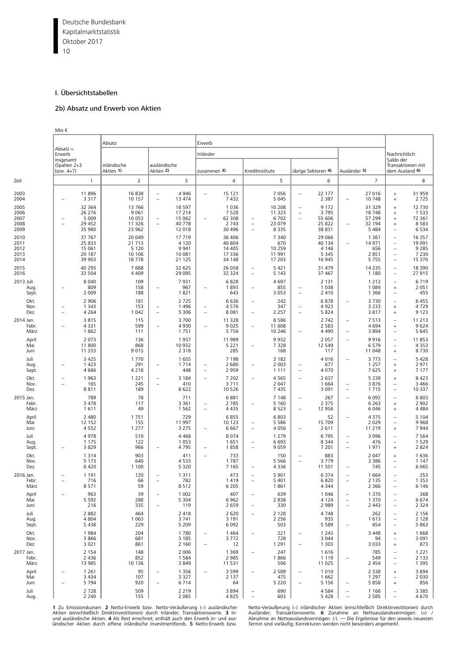<span id="page-31-0"></span>Deutsche Bundesbank 10 Kapitalmarktstatistik Oktober 2017

#### I. Übersichtstabellen

#### 2b) Absatz und Erwerb von Aktien

|                                      | Mio €                                         |                                                 |                                                 |                                                      |                                                  |                                                      |                                                    |                                                      |                                                  |                                                                                  |                                                  |                                                                                  |                                                |                                                                                                                     |                                                   |
|--------------------------------------|-----------------------------------------------|-------------------------------------------------|-------------------------------------------------|------------------------------------------------------|--------------------------------------------------|------------------------------------------------------|----------------------------------------------------|------------------------------------------------------|--------------------------------------------------|----------------------------------------------------------------------------------|--------------------------------------------------|----------------------------------------------------------------------------------|------------------------------------------------|---------------------------------------------------------------------------------------------------------------------|---------------------------------------------------|
|                                      |                                               | Absatz                                          |                                                 |                                                      |                                                  | Erwerb                                               |                                                    |                                                      |                                                  |                                                                                  |                                                  |                                                                                  |                                                |                                                                                                                     |                                                   |
|                                      | $Absatz =$<br>Erwerb<br>insgesamt             |                                                 |                                                 |                                                      | Inländer                                         |                                                      |                                                    |                                                      |                                                  |                                                                                  |                                                  |                                                                                  | Nachrichtlich:<br>Saldo der                    |                                                                                                                     |                                                   |
|                                      | (Spalten 2+3<br>bzw. $4+7$ )                  |                                                 | inländische<br>Aktien 1)                        | ausländische<br>Aktien 2)                            |                                                  | zusammen 3)                                          |                                                    |                                                      | Kreditinstitute                                  |                                                                                  | übrige Sektoren 4)                               | Ausländer 5)                                                                     |                                                | Transaktionen mit<br>dem Ausland 6)                                                                                 |                                                   |
| Zeit                                 |                                               | $\overline{1}$                                  | $\overline{2}$                                  |                                                      | 3                                                |                                                      | $\overline{4}$                                     |                                                      | 5                                                |                                                                                  | 6                                                |                                                                                  | $\overline{7}$                                 |                                                                                                                     | 8                                                 |
| 2003<br>2004                         |                                               | 11896<br>3 3 1 7                                | 16838<br>10 157                                 | $\qquad \qquad -$<br>$\overline{\phantom{0}}$        | 4 9 4 6<br>13 474                                | $\overline{\phantom{0}}$                             | 15 121<br>7432                                     |                                                      | 7 0 5 6<br>5 0 4 5                               | $\overline{\phantom{0}}$                                                         | 22 177<br>2 3 8 7                                | $\overline{\phantom{0}}$                                                         | 27 016<br>10 748                               | $\begin{array}{c} + \end{array}$<br>$^{+}$                                                                          | 31 959<br>2725                                    |
| 2005<br>2006<br>2007<br>2008<br>2009 | $\overline{\phantom{a}}$                      | 32 364<br>26 276<br>5 0 0 9<br>29 452<br>35 980 | 13 766<br>9 0 6 1<br>10 053<br>11 326<br>23 962 | $\overline{\phantom{0}}$<br>$\qquad \qquad -$        | 18 5 97<br>17 214<br>15 062<br>40 778<br>12 018  | $\equiv$                                             | 1 0 3 6<br>7 5 2 8<br>62 308<br>2 7 4 3<br>30 4 96 | $\qquad \qquad -$<br>$\overline{\phantom{0}}$        | 10 208<br>11 323<br>6 7 0 2<br>23 079<br>8 3 3 5 | $\overline{\phantom{0}}$<br>$\overline{\phantom{0}}$<br>$\overline{\phantom{0}}$ | 9 1 7 2<br>3795<br>55 606<br>25 822<br>38 831    | ۳                                                                                | 31 329<br>18748<br>57 299<br>32 194<br>5 4 8 4 | $\ddot{}$<br>$\ddot{}$<br>$\ddot{}$<br>$^{+}$<br>$\qquad \qquad -$                                                  | 12 730<br>1 5 3 3<br>72 361<br>8 5 8 3<br>6 5 3 4 |
| 2010<br>2011<br>2012<br>2013<br>2014 |                                               | 37 767<br>25 833<br>15 061<br>20 187<br>39 903  | 20 049<br>21 713<br>5 1 2 0<br>10 10 6<br>18778 |                                                      | 17 719<br>4 1 2 0<br>9 9 4 1<br>10 081<br>21 125 |                                                      | 36 40 6<br>40 804<br>14 4 05<br>17 336<br>34 148   |                                                      | 7 3 4 0<br>670<br>10 259<br>11 991<br>17 203     |                                                                                  | 29 066<br>40 134<br>4 1 4 6<br>5 3 4 5<br>16 945 | $\overline{\phantom{0}}$                                                         | 1 3 6 1<br>14 971<br>656<br>2 8 5 1<br>5 7 5 5 | $\overline{\phantom{0}}$<br>$\qquad \qquad -$<br>$\overline{\phantom{0}}$<br>$\qquad \qquad -$<br>$\qquad \qquad -$ | 16 357<br>19 091<br>9 2 8 5<br>7 2 3 0<br>15 370  |
| 2015<br>2016                         |                                               | 40 293<br>33 504                                | 7 6 6 8<br>4 4 0 9                              |                                                      | 32 625<br>29 095                                 |                                                      | 26 058<br>32 324                                   | $\overline{\phantom{0}}$                             | 5 4 2 1<br>5 1 4 3                               |                                                                                  | 31 479<br>37 467                                 |                                                                                  | 14 2 35<br>1 1 8 0                             | $\qquad \qquad -$<br>$\qquad \qquad -$                                                                              | 18 390<br>27915                                   |
| 2013 Juli<br>Aug<br>Sept.            | ۰                                             | 8 0 4 0<br>809<br>2 0 0 9                       | 109<br>158<br>188                               | $\overline{\phantom{0}}$                             | 7931<br>967<br>1821                              | ۰                                                    | 6828<br>1893<br>643                                |                                                      | 4 6 9 7<br>855<br>3 0 5 3                        | $\overline{\phantom{0}}$<br>$\overline{\phantom{0}}$                             | 2 1 3 1<br>1 0 3 8<br>2 4 1 0                    |                                                                                  | 1 2 1 2<br>1 0 8 4<br>1 3 6 6                  | $\begin{array}{c} + \end{array}$<br>$\overline{\phantom{0}}$                                                        | 6719<br>2 0 5 1<br>455                            |
| Okt.<br>Nov.<br>Dez.                 | ۰                                             | 2 9 0 6<br>1 3 4 3<br>4 2 6 4                   | 181<br>153<br>1 0 4 2                           | $\overline{a}$<br>$\overline{\phantom{0}}$           | 2 7 2 5<br>1 4 9 6<br>5 3 0 6                    | $\qquad \qquad -$<br>$\overline{\phantom{0}}$        | 6636<br>4576<br>8 0 8 1                            | $\overline{\phantom{0}}$<br>$\overline{\phantom{0}}$ | 242<br>347<br>2 2 5 7                            | $\overline{\phantom{0}}$<br>$\overline{\phantom{0}}$                             | 6878<br>4923<br>5824                             | $\qquad \qquad -$                                                                | 3730<br>3 2 3 3<br>3817                        | $\qquad \qquad -$<br>$\ddot{}$<br>$\ddot{}$                                                                         | 6 4 5 5<br>4729<br>9 1 2 3                        |
| 2014 Jan.<br>Febr.<br>März           |                                               | 3815<br>4331<br>1862                            | 115<br>599<br>111                               | Ē,                                                   | 3700<br>4930<br>1751                             | $\overline{\phantom{0}}$                             | 11 328<br>9 0 2 5<br>5 7 5 6                       | $\overline{\phantom{0}}$                             | 8 5 8 6<br>11 608<br>10 246                      | $\overline{\phantom{0}}$                                                         | 2 7 4 2<br>2 5 8 3<br>4 4 9 0                    | $\qquad \qquad -$<br>$\overline{\phantom{0}}$                                    | 7513<br>4 6 9 4<br>3894                        | $\qquad \qquad -$<br>$\ddot{}$                                                                                      | 11 213<br>9624<br>5 6 4 5                         |
| April<br>Mai<br>Juni                 |                                               | 2 0 7 3<br>11800<br>11 3 3 3                    | 136<br>868<br>9015                              |                                                      | 1937<br>10 932<br>2 3 1 8                        |                                                      | 11 989<br>5 2 2 1<br>285                           |                                                      | 9 9 3 2<br>7 3 2 8<br>168                        |                                                                                  | 2 0 5 7<br>12 549<br>117                         | $\qquad \qquad -$                                                                | 9916<br>6 5 7 9<br>11 048                      | $\qquad \qquad -$<br>$\overline{\phantom{0}}$<br>$\ddot{}$                                                          | 11853<br>4 3 5 3<br>8730                          |
| Juli<br>Aug.<br>Sept.                | $\overline{\phantom{0}}$                      | 3 4 2 5<br>1423<br>4666                         | 1 7 7 0<br>291<br>4 2 1 8                       | $\overline{\phantom{0}}$                             | 1655<br>1 7 1 4<br>448                           | $\overline{\phantom{0}}$<br>$\overline{\phantom{0}}$ | 7 1 9 8<br>2 680<br>2 9 5 9                        |                                                      | 3 1 8 2<br>2 0 0 3<br>1 1 1 1                    | $\overline{\phantom{0}}$<br>$\overline{\phantom{a}}$                             | 4016<br>677<br>4 0 7 0                           | $\qquad \qquad -$                                                                | 3 7 7 3<br>1 2 5 7<br>7625                     | $\qquad \qquad -$<br>$\ddot{}$<br>$\ddot{}$                                                                         | 5 4 2 8<br>2971<br>7 1 7 7                        |
| Okt.<br>Nov.<br>Dez.                 |                                               | 1963<br>165<br>8811                             | 1 2 2 1<br>245<br>189                           | $\overline{\phantom{a}}$<br>$\overline{\phantom{a}}$ | 3 1 8 4<br>410<br>8622                           | ÷                                                    | 7 2 0 2<br>3 7 1 1<br>10 5 26                      | $\overline{\phantom{0}}$                             | 4 5 6 5<br>2 0 4 7<br>7435                       | $\overline{\phantom{0}}$                                                         | 2 6 3 7<br>1 6 6 4<br>3 0 9 1                    | $\overline{\phantom{0}}$<br>$\qquad \qquad -$                                    | 5 2 3 9<br>3876<br>1715                        | $\ddot{}$<br>$\overline{\phantom{0}}$<br>$\qquad \qquad -$                                                          | 8 4 2 3<br>3 4 6 6<br>10 3 37                     |
| 2015 Jan.<br>Febr.<br>März           |                                               | 789<br>3 4 7 8<br>1611                          | 78<br>117<br>49                                 |                                                      | 711<br>3 3 6 1<br>1 5 6 2                        | $\overline{\phantom{0}}$                             | 6881<br>2 7 8 5<br>4 4 3 5                         | $\overline{\phantom{0}}$                             | 7 1 4 8<br>5 1 6 0<br>8 5 2 3                    | $\overline{\phantom{0}}$<br>$\overline{\phantom{0}}$                             | 267<br>2 3 7 5<br>12 958                         | $\overline{\phantom{0}}$                                                         | 6 0 9 2<br>6 2 6 3<br>6 0 4 6                  | $\overline{\phantom{0}}$<br>$\ddot{}$<br>$\ddot{}$                                                                  | 6803<br>2 9 0 2<br>4 4 8 4                        |
| April<br>Mai<br>Juni                 |                                               | 2 4 8 0<br>12 152<br>4552                       | 1751<br>155<br>1 2 7 7                          |                                                      | 729<br>11 997<br>3 2 7 5                         | $\overline{\phantom{0}}$                             | 6855<br>10 123<br>6 6 6 7                          | $\overline{\phantom{0}}$<br>$\overline{\phantom{0}}$ | 6 8 0 3<br>5 5 8 6<br>4 0 5 6                    | $\overline{\phantom{0}}$                                                         | 52<br>15 709<br>2 6 1 1                          | $\overline{\phantom{0}}$                                                         | 4 3 7 5<br>2 0 2 9<br>11 219                   | $\overline{a}$<br>$\overline{\phantom{0}}$<br>$^{+}$                                                                | 5 1 0 4<br>9968<br>7944                           |
| Juli<br>Aug.<br>Sept.                |                                               | 4978<br>1 1 7 5<br>3829                         | 510<br>122<br>966                               | $\overline{\phantom{0}}$                             | 4 4 6 8<br>1 0 5 3<br>4795                       | $\overline{\phantom{0}}$                             | 8 0 7 4<br>1651<br>1858                            | $\qquad \qquad -$                                    | 1 2 7 9<br>6 6 9 3<br>9 0 5 9                    |                                                                                  | 6795<br>8 3 4 4<br>7 2 0 1                       | $\equiv$<br>$\qquad \qquad -$<br>$\qquad \qquad -$                               | 3 0 9 6<br>476<br>1971                         | $\overline{\phantom{0}}$<br>$\qquad \qquad -$<br>$\ddot{}$                                                          | 7 5 6 4<br>1 5 2 9<br>2 8 2 4                     |
| Okt.<br>Nov.<br>Dez.                 |                                               | 1314<br>5 1 7 3<br>6420                         | 903<br>640<br>1 100                             |                                                      | 411<br>4 5 3 3<br>5 3 2 0                        | ÷                                                    | 733<br>1787<br>7 1 6 5                             | $\overline{\phantom{0}}$                             | 150<br>5 5 6 6<br>4 3 3 6                        | $\overline{\phantom{0}}$<br>$\overline{a}$                                       | 883<br>3 7 7 9<br>11 501                         | $\qquad \qquad -$                                                                | 2 0 4 7<br>3 3 8 6<br>745                      | $\ddot{}$<br>$\overline{\phantom{0}}$                                                                               | 1636<br>1 1 4 7<br>6 0 6 5                        |
| 2016 Jan.<br>Febr.<br>März           |                                               | 1 1 9 1<br>716<br>8571                          | 120<br>66<br>59                                 | $\overline{\phantom{0}}$<br>$\overline{\phantom{a}}$ | 1 3 1 1<br>782<br>8512                           |                                                      | 473<br>1419<br>6 2 0 5                             | $\overline{\phantom{0}}$<br>$\rightarrow$            | 5 901<br>5 401<br>1861                           |                                                                                  | 6 3 7 4<br>6820<br>4 3 4 4                       | $\overline{\phantom{0}}$<br>$\equiv$                                             | 1 6 6 4<br>2 1 3 5<br>2 3 6 6                  | $\overline{\phantom{0}}$<br>$\rightarrow$<br>$\overline{\phantom{0}}$                                               | 353<br>1 3 5 3<br>6 1 4 6                         |
| April<br>Mai<br>Juni                 | $\overline{\phantom{0}}$                      | 963<br>5 5 9 2<br>216                           | 39<br>288<br>335                                | $\overline{a}$<br>$\overline{\phantom{0}}$           | 1 0 0 2<br>5 3 0 4<br>119                        |                                                      | 407<br>6962<br>2 659                               | $\overline{a}$<br>$\overline{\phantom{0}}$           | 639<br>2838<br>330                               |                                                                                  | 1 0 4 6<br>4 1 2 4<br>2 9 8 9                    | $\overline{\phantom{0}}$<br>$\overline{\phantom{0}}$<br>$\overline{\phantom{0}}$ | 1 3 7 0<br>1 370<br>2 4 4 3                    | $\overline{\phantom{0}}$<br>$\overline{\phantom{0}}$<br>$\overline{\phantom{0}}$                                    | 368<br>6674<br>2 3 2 4                            |
| Juli<br>Aug.<br>Sept.                |                                               | 2882<br>4804<br>5438                            | 464<br>1063<br>229                              |                                                      | 2 4 1 8<br>3741<br>5 2 0 9                       |                                                      | 2 6 2 0<br>3 1 9 1<br>6 0 9 2                      | $\overline{a}$                                       | 2 1 2 8<br>2 2 5 6<br>503                        |                                                                                  | 4748<br>935<br>5 5 8 9                           | $\overline{\phantom{0}}$                                                         | 262<br>1613<br>654                             | -<br>$\overline{\phantom{0}}$<br>$\overline{\phantom{0}}$                                                           | 2 1 5 6<br>2 1 2 8<br>5 8 6 3                     |
| Okt.<br>Nov.<br>Dez.                 |                                               | 1984<br>3866<br>3 0 2 1                         | 204<br>681<br>861                               |                                                      | 1780<br>3 1 8 5<br>2 160                         | $\overline{a}$                                       | 1 4 6 4<br>3772<br>12                              | $\overline{\phantom{0}}$                             | 221<br>728<br>1 2 9 1                            | $\overline{\phantom{0}}$                                                         | 1 2 4 3<br>3 0 4 4<br>1 3 0 3                    |                                                                                  | 3 4 4 8<br>94<br>3 0 3 3                       | $^{+}$<br>$\overline{\phantom{0}}$<br>$^{+}$                                                                        | 1668<br>3 0 9 1<br>873                            |
| 2017 Jan.<br>Febr.<br>März           |                                               | 2 1 5 4<br>2 4 3 6<br>13 985                    | 148<br>852<br>10 136                            |                                                      | 2 0 0 6<br>1 5 8 4<br>3 8 4 9                    |                                                      | 1 3 6 9<br>2 9 8 5<br>11 531                       | $\overline{a}$                                       | 247<br>1866<br>506                               |                                                                                  | 1616<br>1 1 1 9<br>11 025                        | $\overline{\phantom{0}}$                                                         | 785<br>549<br>2 4 5 4                          | $\overline{\phantom{0}}$<br>$\overline{\phantom{0}}$<br>$\overline{\phantom{0}}$                                    | 1 2 2 1<br>2 1 3 3<br>1 3 9 5                     |
| April<br>Mai<br>Juni                 | $\qquad \qquad -$<br>$\overline{\phantom{0}}$ | 1 2 6 1<br>3 4 3 4<br>5794                      | 95<br>107<br>920                                | $\overline{a}$<br>$\qquad \qquad -$                  | 1 3 5 6<br>3 3 2 7<br>6 7 1 4                    |                                                      | 3 5 9 9<br>2 1 3 7<br>64                           | $\overline{a}$                                       | 2 5 8 9<br>475<br>5 2 2 0                        | $\overline{\phantom{0}}$                                                         | 1 0 1 0<br>1 6 6 2<br>5 1 5 6                    | $\qquad \qquad -$                                                                | 2 3 3 8<br>1 2 9 7<br>5858                     | $^{\mathrm{+}}$<br>$\overline{\phantom{0}}$<br>$^{\mathrm{+}}$                                                      | 3694<br>2 0 3 0<br>856                            |
| Juli<br>Aug.                         |                                               | 2728<br>2 2 4 0                                 | 509<br>155                                      |                                                      | 2 2 1 9<br>2 0 8 5                               |                                                      | 3894<br>4825                                       | $\overline{\phantom{0}}$                             | 690<br>603                                       |                                                                                  | 4 5 8 4<br>5 4 2 8                               | $\overline{\phantom{0}}$<br>$\overline{\phantom{0}}$                             | 1 1 6 6<br>2 5 8 5                             | $\overline{\phantom{0}}$<br>$\overline{\phantom{0}}$                                                                | 3 3 8 5<br>4670                                   |

1 Zu Emissionskursen. 2 Netto-Erwerb bzw. Netto-Veräußerung (-) ausländischer Aktien (einschließlich Direktinvestitionen) durch Inländer; Transaktionswerte. 3 In-<br>und ausländische Aktien. 4 Als Rest errechnet; enthält auch

1 Zu Emissionskursen. 2 Netto-Erwerb bzw. Netto-Veräußerung (–) ausländischer – Netto-Veräußerung (–) inländischer Aktien (einschließlich Direktinvestitionen) durch<br>Aktien (einschließlich Direktinvestitionen) durch Inlände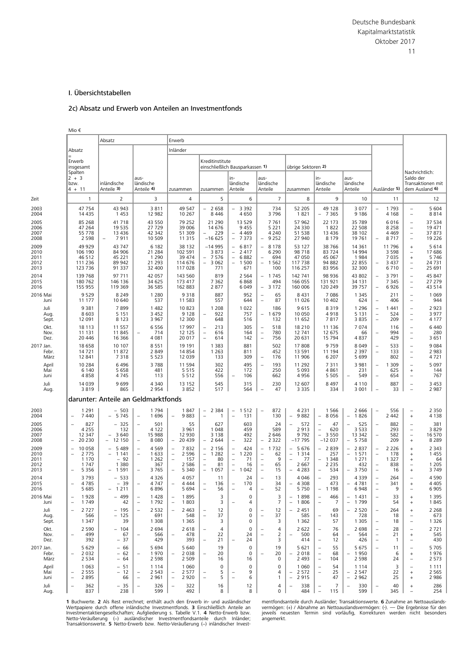#### <span id="page-32-0"></span>I. Übersichtstabellen

#### 2c) Absatz und Erwerb von Anteilen an Investmentfonds

Mio € Absatz **Erwerb** Absatz Inländer Erwerb Erwerb Machine (Kreditinstitute Machine Machine Machine Machine Machine Machine Machine Machine Machine Machine Machine Machine Machine Machine Machine Machine Machine Machine Machine Machine Machine Machine Machine Machin insgesamt einschließlich Bausparkassen **1)** übrige Sektoren **2)** Spalten Nachrichtlich: 2 + 3 aus- in- aus- in- aus- Saldo der bzw. inländische ländische ländische ländische ländische ländische Transaktionen mit 4 + 11 | Anteile **3)** | Anteile **4)** | zusammen | zusammen | Anteile | Anteile | anteile | Anteile | Ausländer **5**) | dem Ausland 6 Zeit | 1 | 2 | 3 | 4 | 5 | 6 | 7 | 8 | 9 | 10 | 11 | 12 2003 − | 47 754 | 43 943 | 3811 | 49 547 |− 2 658 |− 3 392 | 734 | 52 205 | 49 128 | 3 077 |− 1 793 |− 5 604 2004 | 14 435 | 1 453 | 12 982 | 10 267 | 8 446 | 4 650 | 3 796 | 1821 | − 7 365 | 9 186 | 4 168 | − 8814 2005 | 85 268 | 41 718 | 43 550 | 79 252 | 21 290 | 13 529 | 7761 | 57 962 | 22 173 | 35 789 | 6 016 | − 37 534 2006 | 47 264 | 19 535 | 27 729 | 39 006 | 14 676 | 9 455 | 5 221 | 24 330 | 1822 | 22 508 | 8 258 | − 19 471 2007 | 55 778 | 13 436 | 42 342 | 51 309 |− 229 |− 4 469 | 4 240 | 51 538 | 13 436 | 38 102 | 4 469 |− 37 873 2008 − | 2 598 |− 7 911 | 10 509 | 11 315 |−16 625 |− 7 373 |− 9 252 | 27 940 | 8 179 | 19 761 |− 8 717 |− 19 226 2009 | 49 929 | 43 747 | 6 182 | 38 132 | −14 995 | − 6 817 | − 8 178 | 53 127 | 38 766 | 14 361 | 11 796 | + 5614 2010 | 106 190 | 84 906 | 21 284 | 102 591 | 3 873 |− 2 417 | 6 290 | 98 718 | 83 724 | 14 994 | 3 598 |− 17686 2011 | 46 512 | 45 221 | 1 290 | 39 474 | − 7 576 | − 6 882 | − 694 | 47 050 | 45 067 | 1984 | 7 035 | + 5 746 2012 | 111 236 | 89 942 | 21 293 | 114 676 |− 3 062 |− 1 500 |− 1 562 | 117 738 | 94 882 | 22 855 |− 3437 |− 24 731 2013 | 123 736 | 91 337 | 32 400 | 117 028 | 771 | 671 | 100 | 116 257 | 83 956 | 32 300 | 6 710 | − 25 691 2014 | 139 768 | 97 711 | 42 057 | 143 560 | 819 | 2 564 |− 1 745 | 142 741 | 98 936 | 43 802 |− 3 791 | − 45 847 2015 | 180 762 | 146 136 | 34 625 | 173 417 | 7 362 | 6 868 | 494 | 166 055 | 131 921 | 34 131 | 7 345 | − 27 279 2016 | 155 955 | 119 369 | 36 585 | 162 883 | 2 877 | 6 049 |− 3 172 | 160 006 | 120 249 | 39 757 |− 6926 |− 43 514 2016 Mai | 9 529 | 8 249 | 1 280 | 9 318 | 887 | 952 |− 65 | 8 431 | 7 086 | 1 345 | 211 |− 1 069 Juni 11 177 10 640 537 11 583 557 644 − 87 11 026 10 402 624 − 406 − 944 Juli 9 381 7 899 1 482 10 823 1 208 1 022 186 9 615 8 319 1 296 − 1 441 − 2 923 Aug. | 8 603 | 5 151 | 3 452 | 9 128 |− 922 | 757 |− 1 679 | 10 050 | 4 918 | 5 131 |− 524 |− 3 977 Sept. 12 091 8 123 3 967 12 300 648 516 132 11 652 7 817 3 835 − 209 − 4 177 Okt. | 18 113 | 11 557 | 6556 | 17 997 |– 213 | 305 |– 518 | 18 210 | 11 136 | 7 074 | 116 |– 6 440 Nov. | 11 131 | 11 845 |− 714 | 12 125 |− 616 | 164 |− 780 | 12 741 | 12 675 | 66 |− 994 |− 280 Dez. 20 446 16 366 4 081 20 017 − 614 142 − 756 20 631 15 794 4 837 429 − 3 651 2017 Jan. | 18 658 | 10 107 | 8551 | 19 191 | 1383 | 881 | 502 | 17 808 | 9759 | 8049 |− 533 |− 9084 Febr. 14 721 11 872 2 849 14 854 1 263 811 452 13 591 11 194 2 397 − 133 − 2 983 März 12 841 7 318 5 523 12 039 133 309 − 176 11 906 6 207 5 699 802 − 4 721 April | 10 284 | 6 496 | 3 788 | 11 594 | 302 | 495 |− 193 | 11 292 | 7 311 | 3 981 |− 1309 |− 5 097 Mai 6 140 5 658 481 5 515 422 172 250 5 093 4 861 231 625 + 144 Juni 4 858 4 745 113 5 512 556 − 106 662 4 956 5 505 − 549 − 654 − 767 Juli 14 039 9 699 4 340 13 152 545 315 230 12 607 8 497 4 110 887 − 3 453 Aug. | 3 819 | 865 | 2 954 | 3 852 | 517 | 564 |− 47 | 3 335 | 334 | 3 001 |− 33 | − 2 987 darunter: Anteile an Geldmarktfonds 2003 | 1 291 | − 503 | 1 1794 | 1 847 |− 2 384 |− 1 512 |− 872 | 4 231 | 1 566 | 2 666 |− 556 |− 2 350 2004 | − 7 440 | − 5 745 | − 1 696 | − 9 883 | − 1 | − 131 | 130 | − 9 882 | − 8 056 | − 1 826 | 2 442 | + 4 138 2005 − |− 827 | − 325 |− 501 | − 55 | − 627 | − 603 | − 24 |− 572 |− 47 |− 525 |− 882 |− − 381 2006 | 4 255 | 132 | 4 122 | 3 961 | 1 048 | 459 | 589 | 2 913 |− 620 | 3 533 | 293 |− 3 829 2007 − | 12 347 | − 3 640 | 15 988 | 12 930 | 3 138 | 492 | 2 646 | 9 792 |− 3 550 | 13 342 |− 582 | − 16 570 2008 − |– 20 230 | – 12 150 |– 8080 |– 20 439 |– 2644 |– 322 |– 2 322 |–17 795 |–12 037 |– 5 758 | – 209 | + 68 289 2009 − 10 058 − 5 489 − 4 569 − 7 832 − 2 156 − 424 − 1 732 − 5 676 − 2 839 − 2 837 − 2 226 + 2 343 2010 − |– 2 775 | – 1 141 |– 1 633 |– 2 596 |– 1 282 |– 1 220 |– 62 |– 1 314 | – 257 |– 1 571 |– 178 | + 1 1455 2011 | 1170 | 92 | 1262 | − 157 | − 80 | − 71 | − 9 | − 77 | − 1348 | 1271 | 1327 | + 64 2012 | 1 747 | 1 380 | 367 | 2 586 | − 81 | − 16 | − 65 | 2 667 | 2 235 | 432 | − 838 | − 1 205 2013 − 5 356 − 1 591 − 3 765 − 5 340 − 1 057 − 1 042 − 15 − 4 283 − 534 − 3 750 − 16 + 3 749 2014 − | 3 793 | − 533 | 4 326 | 4 057 | 11 | 24 |− 13 | 4 046 |− 293 | 4 339 |− 264 |− 4 590 2015 − 4 785 | − 39 |− 4 747 |− 4 444 |− 136 |− 170 | − 34 |− 4 308 | − 4781 |− 341 |− 4 405 2016 − | 5 685 | − 1 211 | − 6 896 | − 56 |− − − 4 |− − 52 | − 5 750 |− 1 198 | − 6 948 |− − 9 |− − 6 905 2016 Mai |– 1 928 | – 499 |– 1 428 |– 1 895 | 3 | 0 | 3 |– 486 |– 1 431 |– 33 | + 1 395 Juni |– 1 749 | 42 |– 1 792 |– 1 803 | 3 |– 4 | 7 |– 1 806 |– 7 |– 1 799 | 54 | + 1 845 Juli − 2 727 − 195 − 2 532 − 2 463 − 12 0 − 12 − 2 451 69 − 2 520 − 264 + 2 268 Aug. | 566 | − 125 | 691 | 548 |− 37 | 0 |− 37 | 585 |− 143 | 728 | 18 |− 673 Sept. | 1 347 | 39 | 1 308 | 1 365 | 3 | 0 | 3 | 1 362 | 57 | 1 305 |− 18 |− 1 326 Okt. | 2 590 | − 104 | 2 694 | 2 618 |− 4 | 0 |− 4 | 2 622 |− 76 | 2 698 |− 28 | − 2 721 Nov. − 499 67 − 566 − 478 22 24 − 2 − 500 64 − 564 − 21 + 545 Dez. | 392 | −37 | 429 | 393 |− 21 |− 24 | 3 | 414 |− 12 | 426 |− 1 |− 430 2017 Jan. | 5 629 | − 66 | 5 694 | 5 640 | 19 | 0 | 19 | 5 621 |− 55 | 5 675 |− 11 |− 5 705 Febr. |– 2 032 | − 62 | − 1 970 | − 2 038 | − 20 | 0 | − 20 | − 20 | − 68 | − 1950 | 6 | + 1 976 März | 2 534 | − 64 | 2 598 | 2 509 | 16 | 16 | 0 | 2 493 |− 104 | 2 598 | 24 |− 2 573 April | 1 063 | − 51 | 1 114 | 1 060 | 0 | 0 | 0 | 1 060 |− 54 | 1 114 | 3 |− 1 111 Mai − 2 555 − 12 − 2 543 − 2 577 − 5 − 9 4 − 2 572 − 25 − 2 547 22 + 2 565 Juni − 2 895 66 − 2 961 − 2 920 − 5 − 6 1 − 2 915 47 − 2 962 25 + 2 986 Juli − 362 − 35 − 326 − 322 16 12 4 − 338 − 7 − 330 − 40 + 286 Aug. | 837 | 238 | 599 | 492 | 8 | 8 | 0 | 484 |− 115 | 599 | 345 |− 254

Wertpapiere durch offene inländische Investmentfonds. **3** Einschließlich Anteile an vermögen: (+) / Abnahme an Nettoauslandsvermögen: (-). — Die Ergebnisse für den<br>Investmentaktiengesellschaften; Aufgliederung s. Tabelle V Netto-Veräußerung (−) ausländischer Investmentfondsanteile durch Inländer; angemerkt. Transaktionswerte. **5** Netto-Erwerb bzw. Netto-Veräußerung (−) inländischer Invest-

**1** Buchwerte. **2** Als Rest errechnet; enthält auch den Erwerb in- und ausländischer mentfondsanteile durch Ausländer; Transaktionswerte. **6** Zunahme an Nettoauslands-<br>Wertpapiere durch offene inländische Investmentfonds 3 jeweils neuesten Termin sind vorläufig, Korrekturen werden nicht besonders<br>angemerkt.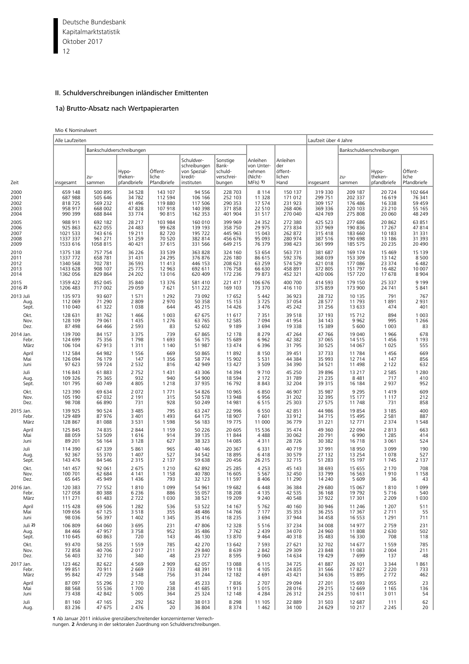<span id="page-33-0"></span>Deutsche Bundesbank 12 Kapitalmarktstatistik Oktober 2017

#### II. Schuldverschreibungen inländischer Emittenten

#### 1a) Brutto-Absatz nach Wertpapierarten

Mio € Nominalwert

|           | Alle Laufzeiten           |               |                                 |                                 |                                                                     |                                                      | Laufzeit über 4 Jahre                                     |                                              |           |               |                                 |                                 |
|-----------|---------------------------|---------------|---------------------------------|---------------------------------|---------------------------------------------------------------------|------------------------------------------------------|-----------------------------------------------------------|----------------------------------------------|-----------|---------------|---------------------------------|---------------------------------|
|           | Bankschuldverschreibungen |               |                                 |                                 |                                                                     |                                                      |                                                           |                                              |           |               |                                 |                                 |
| Zeit      | insgesamt                 | zu-<br>sammen | Hypo-<br>theken-<br>pfandbriefe | Öffent-<br>liche<br>Pfandbriefe | Schuldver-<br>schreibungen<br>von Spezial-<br>kredit-<br>instituten | Sonstige<br>Bank-<br>schuld-<br>verschrei-<br>bungen | Anleihen<br>von Unter-<br>nehmen<br>(Nicht-<br>$MF(s)$ 1) | Anleihen<br>der<br>öffent-<br>lichen<br>Hand | insgesamt | zu-<br>sammen | Hypo-<br>theken-<br>pfandbriefe | Öffent-<br>liche<br>Pfandbriefe |
| 2000      | 659 148                   | 500 895       | 34 5 28                         | 143 107                         | 94 556                                                              | 228 703                                              | 8 1 1 4                                                   | 150 137                                      | 319 330   | 209 187       | 20724                           | 102 664                         |
| 2001      | 687 988                   | 505 646       | 34 782                          | 112 594                         | 106 166                                                             | 252 103                                              | 11 328                                                    | 171 012                                      | 299 751   | 202 337       | 16 619                          | 76 341                          |
| 2002      | 818725                    | 569 232       | 41 49 6                         | 119880                          | 117 506                                                             | 290 353                                              | 17 574                                                    | 231 923                                      | 309 157   | 176 486       | 16 3 38                         | 59 459                          |
| 2003      | 958 917                   | 668 002       | 47828                           | 107 918                         | 140 398                                                             | 371 858                                              | 22 510                                                    | 268 406                                      | 369 336   | 220 103       | 23 210                          | 55 165                          |
| 2004      | 990 399                   | 688 844       | 33 774                          | 90 815                          | 162 353                                                             | 401 904                                              | 31 517                                                    | 270 040                                      | 424 769   | 275 808       | 20 060                          | 48 249                          |
| 2005      | 988 911                   | 692 182       | 28 217                          | 103 984                         | 160 010                                                             | 399 969                                              | 24 3 52                                                   | 272 380                                      | 425 523   | 277 686       | 20862                           | 63 851                          |
| 2006      | 925 863                   | 622 055       | 24 483                          | 99 628                          | 139 193                                                             | 358 750                                              | 29 975                                                    | 273 834                                      | 337 969   | 190 836       | 17 267                          | 47814                           |
| 2007      | 1021 533                  | 743 616       | 19 211                          | 82 720                          | 195 722                                                             | 445 963                                              | 15 043                                                    | 262 872                                      | 315 418   | 183 660       | 10 183                          | 31 331                          |
| 2008      | 1337 337                  | 961 271       | 51 259                          | 70 520                          | 382 814                                                             | 456 676                                              | 95 093                                                    | 280 974                                      | 387 516   | 190 698       | 13 18 6                         | 31 393                          |
| 2009      | 1533 616                  | 1058 815      | 40 421                          | 37 615                          | 331 566                                                             | 649 215                                              | 76 379                                                    | 398 423                                      | 361 999   | 185 575       | 20 235                          | 20 490                          |
| 2010      | 1375 138                  | 757 754       | 36 226                          | 33 539                          | 363 828                                                             | 324 160                                              | 53 654                                                    | 563 731                                      | 381 687   | 169 174       | 15 4 69                         | 15 139                          |
| 2011      | 1337 772                  | 658 781       | 31 431                          | 24 295                          | 376 876                                                             | 226 180                                              | 86 615                                                    | 592 376                                      | 368 039   | 153 309       | 13 142                          | 8 5 0 0                         |
| 2012      | 1340 568                  | 702 781       | 36 593                          | 11 413                          | 446 153                                                             | 208 623                                              | 63 259                                                    | 574 529                                      | 421 018   | 177 086       | 23 374                          | 6 4 8 2                         |
| 2013      | 1433 628                  | 908 107       | 25 775                          | 12 963                          | 692 611                                                             | 176 758                                              | 66 630                                                    | 458 891                                      | 372 805   | 151 797       | 16 4 82                         | 10 007                          |
| 2014      | 1362 056                  | 829 864       | 24 202                          | 13 016                          | 620 409                                                             | 172 236                                              | 79 873                                                    | 452 321                                      | 420 006   | 157 720       | 17678                           | 8 9 0 4                         |
| 2015      | 1359 422                  | 852 045       | 35 840                          | 13 376                          | 581 410                                                             | 221 417                                              | 106 676                                                   | 400 700                                      | 414 593   | 179 150       | 25 337                          | 9 1 9 9                         |
| 2016 2)   | 1206 483                  | 717 002       | 29 059                          | 7621                            | 511 222                                                             | 169 103                                              | 73 370                                                    | 416 110                                      | 375 859   | 173 900       | 24 741                          | 5 8 4 1                         |
| 2013 Juli | 135 973                   | 93 607        | 1 5 7 1                         | 1 2 9 2                         | 73 092                                                              | 17 652                                               | 5 4 4 2                                                   | 36 923                                       | 28 7 32   | 10 135        | 791                             | 767                             |
| Aug.      | 112 069                   | 71 290        | 2 8 0 9                         | 2 970                           | 50 358                                                              | 15 153                                               | 3725                                                      | 37 054                                       | 28 577    | 11 793        | 1891                            | 2931                            |
| Sept.     | 110 040                   | 61 322        | 1 0 3 8                         | 644                             | 45 215                                                              | 14 4 26                                              | 3 4 7 6                                                   | 45 242                                       | 31 256    | 13 633        | 474                             | 401                             |
| Okt.      | 128 631                   | 81762         | 1 4 6 6                         | 1 0 0 3                         | 67 675                                                              | 11 617                                               | 7 3 5 1                                                   | 39 5 18                                      | 37 193    | 15 7 12       | 894                             | 1 0 0 3                         |
| Nov.      | 128 109                   | 79 061        | 1 4 3 5                         | 1 2 7 6                         | 63 7 65                                                             | 12 5 8 5                                             | 7 0 9 4                                                   | 41 954                                       | 34 143    | 9 9 6 2       | 995                             | 1 2 6 6                         |
| Dez.      | 87 498                    | 64 4 66       | 2 5 9 3                         | 83                              | 52 602                                                              | 9 1 8 9                                              | 3694                                                      | 19 3 38                                      | 15 389    | 5 600         | 1 0 0 3                         | 83                              |
| 2014 Jan. | 139 700                   | 84 157        | 3 3 7 5                         | 739                             | 67 865                                                              | 12 178                                               | 8 2 7 9                                                   | 47 264                                       | 47 766    | 19 040        | 1966                            | 678                             |
| Febr.     | 124 699                   | 75 356        | 1798                            | 1 6 9 3                         | 56 175                                                              | 15 689                                               | 6962                                                      | 42 382                                       | 37 065    | 14515         | 1456                            | 1 1 9 3                         |
| März      | 106 104                   | 67913         | 1 3 1 1                         | 1 1 4 0                         | 51 987                                                              | 13 474                                               | 6 3 9 6                                                   | 31 7 95                                      | 30 525    | 14 067        | 1 0 2 5                         | 555                             |
| April     | 112 584                   | 64 982        | 1 5 5 6                         | 669                             | 50 865                                                              | 11 892                                               | 8 1 5 0                                                   | 39 451                                       | 37 733    | 11 784        | 1456                            | 669                             |
| Mai       | 126 094                   | 76 179        | 147                             | 1 3 5 6                         | 58 774                                                              | 15 902                                               | 5 5 3 1                                                   | 44 384                                       | 35 993    | 12 7 14       | 147                             | 856                             |
| Juni      | 97 623                    | 59 724        | 2 5 3 2                         | 816                             | 42 949                                                              | 13 4 27                                              | 3 5 0 9                                                   | 34 390                                       | 34 521    | 11 498        | 2 1 2 2                         | 632                             |
| Juli      | 116 843                   | 61883         | 2 7 5 2                         | 1 4 3 1                         | 43 306                                                              | 14 3 94                                              | 9710                                                      | 45 250                                       | 39 896    | 13 217        | 2 5 8 5                         | 1 2 8 0                         |
| Aug.      | 109 326                   | 75 365        | 932                             | 940                             | 54 900                                                              | 18 5 94                                              | 2 1 7 2                                                   | 31 7 89                                      | 21 2 35   | 8 4 8 1       | 717                             | 410                             |
| Sept.     | 101 795                   | 60 749        | 4 8 0 5                         | 1 2 1 8                         | 37 935                                                              | 16 792                                               | 8843                                                      | 32 204                                       | 39 315    | 16 184        | 2937                            | 952                             |
| Okt.      | 123 390                   | 69 634        | 2 0 7 2                         | 1771                            | 54 826                                                              | 10 965                                               | 6850                                                      | 46 907                                       | 35 987    | 9 2 9 5       | 1419                            | 609                             |
| Nov.      | 105 190                   | 67 032        | 2 1 9 1                         | 315                             | 50 578                                                              | 13 948                                               | 6956                                                      | 31 202                                       | 32 395    | 15 177        | 1 1 1 7                         | 212                             |
| Dez.      | 98 708                    | 66 890        | 731                             | 928                             | 50 249                                                              | 14 981                                               | 6515                                                      | 25 303                                       | 27 575    | 11748         | 731                             | 858                             |
| 2015 Jan. | 139 925                   | 90 524        | 3 4 8 5                         | 795                             | 63 247                                                              | 22 996                                               | 6 5 5 0                                                   | 42 851                                       | 44 986    | 19854         | 3 1 8 5                         | 400                             |
| Febr.     | 129 489                   | 87 976        | 3 4 0 1                         | 1 4 9 3                         | 64 175                                                              | 18 907                                               | 7601                                                      | 33 912                                       | 34 715    | 15 4 95       | 2 5 8 1                         | 887                             |
| März      | 128 867                   | 81 088        | 3 5 3 1                         | 1 5 9 8                         | 56 183                                                              | 19 775                                               | 11 000                                                    | 36 779                                       | 31 221    | 12 771        | 2 3 7 4                         | 1548                            |
| April     | 125 845                   | 74 835        | 2 8 4 4                         | 1 1 5 9                         | 50 226                                                              | 20 605                                               | 15 5 36                                                   | 35 474                                       | 49 360    | 22 094        | 2813                            | 663                             |
| Mai       | 88 059                    | 53 509        | 1616                            | 914                             | 39 135                                                              | 11 844                                               | 4 4 8 8                                                   | 30 062                                       | 20 791    | 6990          | 1 2 8 5                         | 414                             |
| Juni      | 89 201                    | 56 164        | 3 1 2 8                         | 627                             | 38 3 23                                                             | 14 085                                               | 4311                                                      | 28726                                        | 30 382    | 16718         | 3 0 6 1                         | 524                             |
| Juli      | 114 390                   | 67 339        | 5 8 6 1                         | 965                             | 40 146                                                              | 20 367                                               | 6 3 3 1                                                   | 40719                                        | 37 991    | 18 950        | 3 0 9 9                         | 190                             |
| Aug.      | 92 367                    | 55 370        | 1 4 0 7                         | 527                             | 34 542                                                              | 18 8 95                                              | 6418                                                      | 30 579                                       | 27 132    | 13 2 5 4      | 1078                            | 527                             |
| Sept.     | 143 476                   | 84 546        | 2 3 1 5                         | 2 1 3 7                         | 59 638                                                              | 20 45 6                                              | 26 215                                                    | 32 715                                       | 51 283    | 15 197        | 1745                            | 2 1 3 7                         |
| Okt.      | 141 457                   | 92 061        | 2 6 7 5                         | 1 2 1 0                         | 62 892                                                              | 25 285                                               | 4 2 5 3                                                   | 45 143                                       | 38 693    | 15 655        | 2 1 7 0                         | 708                             |
| Nov.      | 100 701                   | 62 684        | 4 1 4 1                         | 1 1 5 8                         | 40 780                                                              | 16 605                                               | 5 5 6 7                                                   | 32 450                                       | 33 799    | 16 5 63       | 1910                            | 1 1 5 8                         |
| Dez.      | 65 645                    | 45 949        | 1 4 3 6                         | 793                             | 32 123                                                              | 11 597                                               | 8 4 0 6                                                   | 11 2 9 0                                     | 14 240    | 5 6 0 9       | 36                              | 43                              |
| 2016 Jan. | 120 383                   | 77 552        | 1810                            | 1 0 9 9                         | 54 961                                                              | 19 682                                               | 6448                                                      | 36 384                                       | 29 680    | 15 067        | 1810                            | 1 0 9 9                         |
| Febr.     | 127 058                   | 80 388        | 6 2 3 6                         | 886                             | 55 057                                                              | 18 208                                               | 4 135                                                     | 42 535                                       | 36 168    | 19 792        | 5716                            | 540                             |
| März      | 111 271                   | 61 483        | 2722                            | 1 0 3 0                         | 38 5 21                                                             | 19 209                                               | 9 2 4 0                                                   | 40 548                                       | 37 922    | 17 301        | 2 2 0 9                         | 1 0 3 0                         |
| April     | 115 428                   | 69 506        | 1 2 8 2                         | 536                             | 53 522                                                              | 14 167                                               | 5762                                                      | 40 160                                       | 30 946    | 11 246        | 1 2 0 7                         | 511                             |
| Mai       | 109 656                   | 67 125        | 3 5 1 8                         | 355                             | 48 4 8 6                                                            | 14 766                                               | 7 1 7 7                                                   | 35 35 3                                      | 36 255    | 17 367        | 2 7 1 1                         | 55                              |
| Juni      | 98 0 36                   | 56 397        | 1 4 0 2                         | 1 3 4 5                         | 35 416                                                              | 18 2 3 5                                             | 3694                                                      | 37 944                                       | 34 458    | 16 553        | 1 2 9 1                         | 711                             |
| Juli 2)   | 106 809                   | 64 060        | 3 6 9 5                         | 231                             | 47 806                                                              | 12 3 28                                              | 5516                                                      | 37 234                                       | 34 008    | 14 977        | 2759                            | 231                             |
| Aug.      | 84 4 66                   | 47 957        | 3758                            | 952                             | 35 4 86                                                             | 7762                                                 | 2 4 3 9                                                   | 34 0 70                                      | 24 960    | 11808         | 2 6 3 0                         | 502                             |
| Sept.     | 110 645                   | 60 863        | 720                             | 143                             | 46 130                                                              | 13 870                                               | 9 4 6 4                                                   | 40 318                                       | 35 483    | 16 3 30       | 708                             | 118                             |
| Okt.      | 93 470                    | 58 255        | 1 5 5 9                         | 785                             | 42 270                                                              | 13 642                                               | 7 5 9 3                                                   | 27 621                                       | 32 702    | 14 677        | 1559                            | 785                             |
| Nov.      | 72 858                    | 40 706        | 2 0 1 7                         | 211                             | 29 840                                                              | 8639                                                 | 2 8 4 2                                                   | 29 309                                       | 23 848    | 11 083        | 2 0 0 4                         | 211                             |
| Dez.      | 56 403                    | 32 710        | 340                             | 48                              | 23727                                                               | 8 5 9 5                                              | 9 0 6 0                                                   | 14 6 34                                      | 19 4 29   | 7699          | 137                             | 48                              |
| 2017 Jan. | 123 462                   | 82 622        | 4569                            | 2 9 0 9                         | 62 057                                                              | 13 088                                               | 6 1 1 5                                                   | 34725                                        | 41 887    | 26 101        | 3 3 4 4                         | 1861                            |
| Febr.     | 99 851                    | 70 911        | 2 6 6 9                         | 733                             | 48 391                                                              | 19 118                                               | 4 1 0 5                                                   | 24 8 35                                      | 31 566    | 17827         | 2 2 2 0                         | 733                             |
| März      | 95 842                    | 47729         | 3 5 4 8                         | 756                             | 31 2 4 4                                                            | 12 182                                               | 4691                                                      | 43 421                                       | 34 636    | 15 8 95       | 2772                            | 462                             |
| April     | 87 097                    | 55 296        | 2 1 7 0                         | 58                              | 45 2 3 3                                                            | 7836                                                 | 2 7 0 7                                                   | 29 0 94                                      | 27 201    | 15 693        | 2 0 5 5                         | 23                              |
| Mai       | 88 5 68                   | 55 536        | 1 700                           | 238                             | 41 685                                                              | 11 913                                               | 5 0 1 5                                                   | 28 0 16                                      | 29 215    | 12 669        | 1 1 6 5                         | 136                             |
| Juni      | 73 438                    | 42 842        | 5 0 0 5                         | 364                             | 25 324                                                              | 12 148                                               | 4 2 8 4                                                   | 26 3 12                                      | 24 255    | 10 611        | 3 0 1 1                         | 54                              |
| Juli      | 81 160                    | 47 165        | 292                             | 562                             | 38 013                                                              | 8 2 9 8                                              | 11 105                                                    | 22 8 89                                      | 31 503    | 12 687        | 111                             | 62                              |
| Aug.      | 83 236                    | 47 675        | 2 4 7 6                         | 20                              | 36 804                                                              | 8 3 7 4                                              | 1 4 6 2                                                   | 34 100                                       | 24 629    | 10 217        | 2 2 4 5                         | 20                              |

**1** Ab Januar 2011 inklusive grenzüberschreitender konzerninterner Verrech-nungen. **2** Änderung in der sektoralen Zuordnung von Schuldverschreibungen.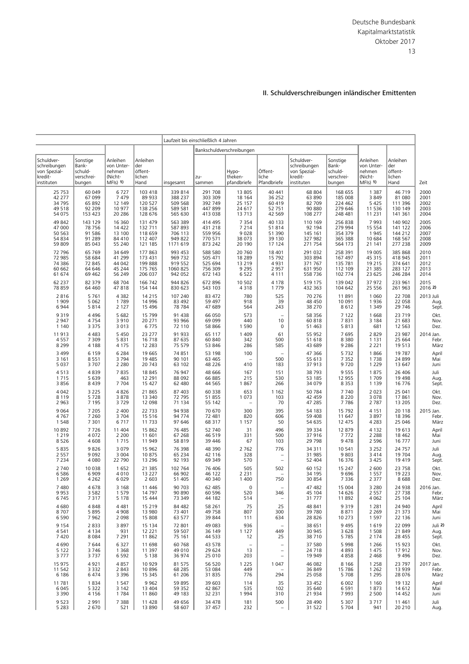#### II. Schuldverschreibungen inländischer Emittenten

<span id="page-34-0"></span>

|                                                                     |                                                      |                                                           |                                              |                            | Laufzeit bis einschließlich 4 Jahren |                                                              |                                             |                                                                     |                                                      |                                                           |                                              |                            |
|---------------------------------------------------------------------|------------------------------------------------------|-----------------------------------------------------------|----------------------------------------------|----------------------------|--------------------------------------|--------------------------------------------------------------|---------------------------------------------|---------------------------------------------------------------------|------------------------------------------------------|-----------------------------------------------------------|----------------------------------------------|----------------------------|
| Schuldver-<br>schreibungen<br>von Spezial-<br>kredit-<br>instituten | Sonstige<br>Bank-<br>schuld-<br>verschrei-<br>bungen | Anleihen<br>von Unter-<br>nehmen<br>(Nicht-<br>$MF(s)$ 1) | Anleihen<br>der<br>öffent-<br>lichen<br>Hand | insgesamt                  | zu-<br>sammen                        | Bankschuldverschreibungen<br>Hypo-<br>theken-<br>pfandbriefe | Öffent-<br>liche<br>Pfandbriefe             | Schuldver-<br>schreibungen<br>von Spezial-<br>kredit-<br>instituten | Sonstige<br>Bank-<br>schuld-<br>verschrei-<br>bungen | Anleihen<br>von Unter-<br>nehmen<br>(Nicht-<br>$MF(s)$ 1) | Anleihen<br>der<br>öffent-<br>lichen<br>Hand | Zeit                       |
| 25 7 53                                                             | 60 049                                               | 6727                                                      | 103 418                                      | 339 814                    | 291 708                              | 13 805                                                       | 40 441                                      | 68 804                                                              | 168 655                                              | 1 3 8 7                                                   | 46 719                                       | 2000                       |
| 42 277                                                              | 67 099                                               | 7479                                                      | 89 933                                       | 388 237                    | 303 309                              | 18 164                                                       | 36 25 2                                     | 63 890                                                              | 185 008                                              | 3849                                                      | 81 080                                       | 2001                       |
| 34 795                                                              | 65 892                                               | 12 149                                                    | 120 527                                      | 509 568                    | 392 749                              | 25 157                                                       | 60 419                                      | 82 709                                                              | 224 462                                              | 5 4 2 5                                                   | 111 396                                      | 2002                       |
| 49 518                                                              | 92 209                                               | 10 977                                                    | 138 256                                      | 589 581                    | 447899                               | 24 617                                                       | 52 751                                      | 90 880                                                              | 279 646                                              | 11 5 36                                                   | 130 149                                      | 2003                       |
| 54 075                                                              | 153 423                                              | 20 28 6                                                   | 128 676                                      | 565 630                    | 413 038                              | 13 713                                                       | 42 5 69                                     | 108 277                                                             | 248 481                                              | 11 2 31                                                   | 141 361                                      | 2004                       |
| 49 842                                                              | 143 129                                              | 16 360                                                    | 131 479                                      | 563 389                    | 414 495                              | 7 3 5 4                                                      | 40 133                                      | 110 169                                                             | 256 838                                              | 7993                                                      | 140 902                                      | 2005                       |
| 47 000                                                              | 78 756                                               | 14 4 22                                                   | 132 711                                      | 587 893                    | 431 218                              | 7 2 1 4                                                      | 51814                                       | 92 194                                                              | 279 994                                              | 15 5 5 4                                                  | 141 122                                      | 2006                       |
| 50 563                                                              | 91 586                                               | 13 100                                                    | 118 659                                      | 706 113                    | 559 956                              | 9 0 28                                                       | 51 390                                      | 145 161                                                             | 354 379                                              | 1945                                                      | 144 212                                      | 2007                       |
| 54 834                                                              | 91 289                                               | 84 410                                                    | 112 407                                      | 949 822                    | 770 571                              | 38 073                                                       | 39 130                                      | 327 982                                                             | 365 388                                              | 10 684                                                    | 168 567                                      | 2008                       |
| 59 809                                                              | 85 043                                               | 55 240                                                    | 121 185                                      | 1171 619                   | 873 242                              | 20 190                                                       | 17 124                                      | 271 754                                                             | 564 173                                              | 21 141                                                    | 277 238                                      | 2009                       |
| 72 796                                                              | 65 769                                               | 34 649                                                    | 177 863                                      | 993 453                    | 588 580                              | 20 760                                                       | 18 401                                      | 291 032                                                             | 258 391                                              | 19 005                                                    | 385 868                                      | 2010                       |
| 72 985                                                              | 58 684                                               | 41 299                                                    | 173 431                                      | 969 732                    | 505 471                              | 18 2 8 9                                                     | 15 792                                      | 303 894                                                             | 167 497                                              | 45 315                                                    | 418 945                                      | 2011                       |
| 74 386                                                              | 72 845                                               | 44 042                                                    | 199 888                                      | 919 552                    | 525 694                              | 13 219                                                       | 4931                                        | 371 767                                                             | 135 781                                              | 19 215                                                    | 374 641                                      | 2012                       |
| 60 662                                                              | 64 646                                               | 45 244                                                    | 175 765                                      | 1060 825                   | 756 309                              | 9 2 9 5                                                      | 2 9 5 7                                     | 631 950                                                             | 112 109                                              | 21 3 8 5                                                  | 283 127                                      | 2013                       |
| 61 674                                                              | 69 4 62                                              | 56 249                                                    | 206 037                                      | 942 052                    | 672 143                              | 6 5 2 2                                                      | 4 1 1 1                                     | 558 736                                                             | 102 774                                              | 23 625                                                    | 246 284                                      | 2014                       |
| 62 237                                                              | 82 379                                               | 68 704                                                    | 166 742                                      | 944 826                    | 672 896                              | 10 502                                                       | 4 1 7 8                                     | 519 175                                                             | 139 042                                              | 37 972                                                    | 233 961                                      | 2015                       |
| 78 859                                                              | 64 460                                               | 47818                                                     | 154 144                                      | 830 623                    | 543 103                              | 4318                                                         | 1779                                        | 432 363                                                             | 104 642                                              | 25 5 5 6                                                  | 261 963                                      | 2016 2)                    |
| 2 8 1 6                                                             | 5 7 6 1                                              | 4382                                                      | 14 2 15                                      | 107 240                    | 83 472                               | 780                                                          | 525                                         | 70 276                                                              | 11891                                                | 1 0 6 0                                                   | 22 708                                       | 2013 Juli                  |
| 1 9 0 9                                                             | 5 0 6 2                                              | 1789                                                      | 14 9 96                                      | 83 492                     | 59 497                               | 918                                                          | 39                                          | 48 450                                                              | 10 091                                               | 1936                                                      | 22 058                                       | Aug.                       |
| 6 9 4 4                                                             | 5814                                                 | 2 1 2 7                                                   | 15 4 9 6                                     | 78 784                     | 47 689                               | 564                                                          | 243                                         | 38 270                                                              | 8612                                                 | 1 3 4 9                                                   | 29 7 46                                      | Sept.                      |
| 9 3 1 9                                                             | 4 4 9 6                                              | 5 6 8 2                                                   | 15 7 9 9                                     | 91 438                     | 66 050                               | 573                                                          | $\equiv$                                    | 58 356                                                              | 7 1 2 2                                              | 1668                                                      | 23 7 19                                      | Okt.                       |
| 2 9 4 7                                                             | 4754                                                 | 3910                                                      | 20 271                                       | 93 966                     | 69 099                               | 440                                                          | 10                                          | 60 818                                                              | 7831                                                 | 3 1 8 4                                                   | 21 683                                       | Nov.                       |
| 1 1 4 0                                                             | 3 3 7 5                                              | 3 0 1 3                                                   | 6775                                         | 72 110                     | 58 866                               | 1 5 9 0                                                      | $\mathsf 0$                                 | 51 463                                                              | 5813                                                 | 681                                                       | 12 5 63                                      | Dez.                       |
| 11 913                                                              | 4 4 8 3                                              | 5 4 5 0                                                   | 23 277                                       | 91 933                     | 65 117                               | 1 4 0 9                                                      | 61                                          | 55 952                                                              | 7695                                                 | 2829                                                      | 23 987                                       | 2014 Jan.                  |
| 4 5 5 7                                                             | 7 3 0 9                                              | 5831                                                      | 16 7 18                                      | 87 635                     | 60 840                               | 342                                                          | 500                                         | 51 618                                                              | 8 3 8 0                                              | 1 1 3 1                                                   | 25 664                                       | Febr.                      |
| 8 2 9 9                                                             | 4 1 8 8                                              | 4 1 7 5                                                   | 12 2 8 3                                     | 75 579                     | 53 846                               | 286                                                          | 585                                         | 43 689                                                              | 9 2 8 6                                              | 2 2 2 1                                                   | 19513                                        | März                       |
| 3 4 9 9<br>3 1 6 1<br>5 0 3 7                                       | 6 1 5 9<br>8 5 5 1<br>3707                           | 6 2 8 4<br>3794<br>2 2 8 0                                | 19 6 65<br>19 4 85<br>20743                  | 74 851<br>90 101<br>63 102 | 53 198<br>63 4 65<br>48 226          | 100<br>410                                                   | $\equiv$<br>500<br>183                      | 47 366<br>55 613<br>37 913                                          | 5732<br>7 3 5 2<br>9720                              | 1866<br>1738<br>1 2 2 9                                   | 19 7 8 7<br>24 8 99<br>13 647                | April<br>Mai<br>Juni       |
| 4513<br>1715<br>3856                                                | 4839<br>5 6 3 9<br>8 4 3 9                           | 7835<br>463<br>7 7 0 4                                    | 18 845<br>12 2 9 1<br>15 4 27                | 76 947<br>88 092<br>62 480 | 48 666<br>66 885<br>44 5 65          | 167<br>215<br>1867                                           | 151<br>530<br>266                           | 38 793<br>53 185<br>34 079                                          | 9555<br>12 955<br>8 3 5 3                            | 1875<br>1709<br>1 1 3 9                                   | 26 40 6<br>19 4 98<br>16 7 76                | Juli<br>Aug.<br>Sept.      |
| 4 0 4 2                                                             | 3 2 2 5                                              | 4826                                                      | 21 8 65                                      | 87 403                     | 60 338                               | 653                                                          | 1 1 6 2                                     | 50 784                                                              | 7740                                                 | 2 0 2 3                                                   | 25 041                                       | Okt.                       |
| 8 1 1 9                                                             | 5728                                                 | 3878                                                      | 13 3 4 0                                     | 72 795                     | 51855                                | 1 0 7 3                                                      | 103                                         | 42 459                                                              | 8 2 2 0                                              | 3 0 7 8                                                   | 17861                                        | Nov.                       |
| 2 9 6 3                                                             | 7 1 9 5                                              | 3729                                                      | 12 098                                       | 71 134                     | 55 142                               | $\overline{\phantom{0}}$                                     | 70                                          | 47 285                                                              | 7786                                                 | 2 7 8 7                                                   | 13 205                                       | Dez.                       |
| 9 0 6 4                                                             | 7 2 0 5                                              | 2 4 0 0                                                   | 22 7 33                                      | 94 938                     | 70 670                               | 300                                                          | 395                                         | 54 183                                                              | 15 7 92                                              | 4 1 5 1                                                   | 20 118                                       | 2015 Jan.                  |
| 4767                                                                | 7 2 6 0                                              | 3704                                                      | 15 5 16                                      | 94 774                     | 72 481                               | 820                                                          | 606                                         | 59 408                                                              | 11 647                                               | 3897                                                      | 18 3 96                                      | Febr.                      |
| 1 5 4 8                                                             | 7 3 0 1                                              | 6717                                                      | 11 7 3 3                                     | 97 646                     | 68 317                               | 1 1 5 7                                                      | 50                                          | 54 635                                                              | 12 475                                               | 4 2 8 3                                                   | 25 046                                       | März                       |
| 10 892                                                              | 7726                                                 | 11 404                                                    | 15 862                                       | 76 485                     | 52 740                               | 31                                                           | 496                                         | 39 334                                                              | 12879                                                | 4 1 3 2                                                   | 19613                                        | April                      |
| 1 2 1 9                                                             | 4 0 7 2                                              | 2 2 0 0                                                   | 11 601                                       | 67 268                     | 46 519                               | 331                                                          | 500                                         | 37 916                                                              | 7772                                                 | 2 2 8 8                                                   | 18 4 62                                      | Mai                        |
| 8 5 2 6                                                             | 4 6 0 8                                              | 1715                                                      | 11 949                                       | 58 819                     | 39 4 46                              | 67                                                           | 103                                         | 29 7 98                                                             | 9 4 7 8                                              | 2 5 9 6                                                   | 16777                                        | Juni                       |
| 5 8 3 5<br>2 5 5 7<br>7 2 3 4                                       | 9826<br>9 0 9 2<br>4 0 8 0                           | 3079<br>3 0 0 4<br>22 790                                 | 15 962<br>10875<br>13 2 9 6                  | 76 398<br>65 234<br>92 193 | 48 390<br>42 116<br>69 349           | 2 7 6 2<br>328<br>570                                        | 776<br>$\overline{\phantom{a}}$<br>$\equiv$ | 34 311<br>31 985<br>52 404                                          | 10 541<br>9803<br>16 376                             | 3 2 5 2<br>3414<br>3 4 2 5                                | 24 7 5 7<br>19 704<br>19 4 19                | Juli<br>Aug.<br>Sept.      |
| 2 7 4 0                                                             | 10 0 38                                              | 1652                                                      | 21 3 8 5                                     | 102 764                    | 76 406                               | 505                                                          | 502                                         | 60 152                                                              | 15 247                                               | 2 600                                                     | 23 7 58                                      | Okt.                       |
| 6 5 8 6                                                             | 6 9 0 9                                              | 4010                                                      | 13 2 2 7                                     | 66 902                     | 46 122                               | 2 2 3 1                                                      | $\overline{\phantom{a}}$                    | 34 195                                                              | 9696                                                 | 1 5 5 7                                                   | 19 2 23                                      | Nov.                       |
| 1 2 6 9                                                             | 4 2 6 2                                              | 6029                                                      | 2 6 0 3                                      | 51 405                     | 40 340                               | 1 4 0 0                                                      | 750                                         | 30 854                                                              | 7 3 3 6                                              | 2 3 7 7                                                   | 8688                                         | Dez.                       |
| 7 4 8 0<br>9953<br>6745                                             | 4678<br>3 5 8 2<br>7317                              | 3 1 6 8<br>1579<br>5 1 7 8                                | 11 4 46<br>14 797<br>15 4 44                 | 90 703<br>90 890<br>73 349 | 62 485<br>60 596<br>44 182           | 0<br>520<br>514                                              | 346<br>$\overline{\phantom{a}}$             | 47 482<br>45 104<br>31 777                                          | 15 004<br>14 626<br>11892                            | 3 2 8 0<br>2 5 5 7<br>4 0 6 2                             | 24 9 38<br>27 738<br>25 104                  | 2016 Jan.<br>Febr.<br>März |
| 4 6 8 0                                                             | 4848                                                 | 4 4 8 1                                                   | 15 2 19                                      | 84 482                     | 58 261                               | 75                                                           | 25                                          | 48 841                                                              | 9 3 1 9                                              | 1 2 8 1                                                   | 24 940                                       | April                      |
| 8707                                                                | 5895                                                 | 4 9 0 8                                                   | 13 980                                       | 73 401                     | 49 758                               | 807                                                          | 300                                         | 39 780                                                              | 8871                                                 | 2 2 6 9                                                   | 21 373                                       | Mai                        |
| 6 5 9 0                                                             | 7962                                                 | 2 0 9 8                                                   | 15 808                                       | 63 577                     | 39 844                               | 111                                                          | 634                                         | 28 8 26                                                             | 10 273                                               | 1 5 9 7                                                   | 22 136                                       | Juni                       |
| 9 1 5 4                                                             | 2 8 3 3                                              | 3897                                                      | 15 1 34                                      | 72 801                     | 49 083                               | 936                                                          | $\overline{\phantom{a}}$                    | 38 651                                                              | 9 4 9 5                                              | 1619                                                      | 22 099                                       | Juli 2                     |
| 4 5 4 1                                                             | 4 1 3 4                                              | 931                                                       | 12 2 2 1                                     | 59 507                     | 36 149                               | 1 1 2 7                                                      | 449                                         | 30 945                                                              | 3 6 2 8                                              | 1508                                                      | 21 849                                       | Aug.                       |
| 7 4 2 0                                                             | 8 0 8 4                                              | 7 2 9 1                                                   | 11 862                                       | 75 161                     | 44 533                               | 12                                                           | 25                                          | 38 710                                                              | 5 7 8 5                                              | 2 1 7 4                                                   | 28 4 55                                      | Sept.                      |
| 4 6 9 0                                                             | 7 6 4 4                                              | 6 3 2 7                                                   | 11 698                                       | 60 768                     | 43 578                               | $\overline{\phantom{a}}$                                     | $\overline{\phantom{a}}$                    | 37 580                                                              | 5998                                                 | 1 2 6 6                                                   | 15 9 23                                      | Okt.                       |
| 5 1 2 2                                                             | 3746                                                 | 1 3 6 8                                                   | 11 397                                       | 49 010                     | 29 624                               | 13                                                           | $\overline{\phantom{a}}$                    | 24 718                                                              | 4893                                                 | 1 4 7 5                                                   | 17912                                        | Nov.                       |
| 3777                                                                | 3737                                                 | 6 5 9 2                                                   | 5 1 3 8                                      | 36 974                     | 25 010                               | 203                                                          | $\overline{\phantom{a}}$                    | 19 949                                                              | 4858                                                 | 2 4 6 8                                                   | 9496                                         | Dez.                       |
| 15 975<br>11 542<br>6 18 6                                          | 4921<br>3 3 3 2<br>6474                              | 4857<br>2 8 4 3<br>3 3 9 6                                | 10 9 29<br>10896<br>15 3 45                  | 81 575<br>68 285<br>61 206 | 56 520<br>53 084<br>31 835           | 1 2 2 5<br>449<br>776                                        | 1 0 4 7<br>294                              | 46 082<br>36 849<br>25 058                                          | 8 1 6 6<br>15 786<br>5 7 0 8                         | 1 2 5 8<br>1 2 6 2<br>1 2 9 5                             | 23 7 9 7<br>13 9 39<br>28 0 76               | 2017 Jan.<br>Febr.<br>März |
| 11 781                                                              | 1834                                                 | 1 5 4 7                                                   | 9962                                         | 59 895                     | 39 603                               | 114                                                          | 35                                          | 33 452                                                              | 6 0 0 2                                              | 1 1 6 0                                                   | 19 132                                       | April                      |
| 6 0 4 5                                                             | 5 3 2 2                                              | 3 1 4 2                                                   | 13 4 04                                      | 59 352                     | 42 867                               | 535                                                          | 102                                         | 35 640                                                              | 6 5 9 1                                              | 1873                                                      | 14 612                                       | Mai                        |
| 3 3 9 0                                                             | 4 1 5 6                                              | 1784                                                      | 11 860                                       | 49 183                     | 32 231                               | 1994                                                         | 310                                         | 21 934                                                              | 7993                                                 | 2 500                                                     | 14 4 52                                      | Juni                       |
| 9 5 2 3                                                             | 2 9 9 1                                              | 7 3 8 8                                                   | 11 4 28                                      | 49 656                     | 34 478                               | 181                                                          | 500                                         | 28 4 90                                                             | 5 3 0 7                                              | 3717                                                      | 11 4 61                                      | Juli                       |
| 5 2 8 3                                                             | 2 6 7 0                                              | 521                                                       | 13 8 9 0                                     | 58 607                     | 37 457                               | 232                                                          |                                             | 31 522                                                              | 5 7 0 4                                              | 941                                                       | 20 210                                       | Aug.                       |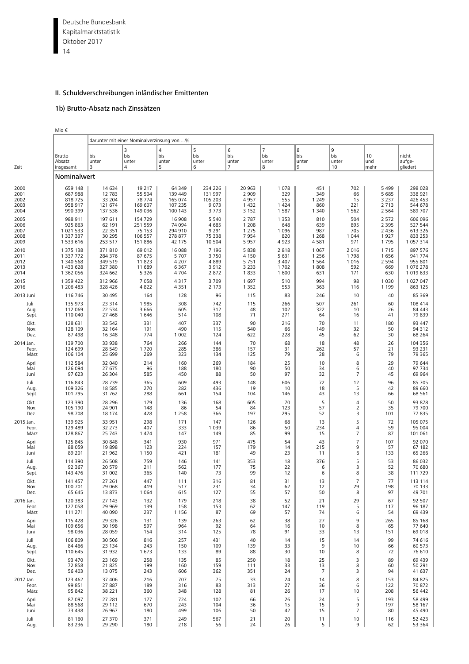<span id="page-35-0"></span>Deutsche Bundesbank 14 Kapitalmarktstatistik Oktober 2017

#### II. Schuldverschreibungen inländischer Emittenten

#### 1b) Brutto-Absatz nach Zinssätzen

| $\sim$ | $\sim$ |  |
|--------|--------|--|
|        |        |  |

|           |                                | darunter mit einer Nominalverzinsung von % |                        |                                     |                        |                                     |                                     |                        |                         |                   |                             |  |  |  |
|-----------|--------------------------------|--------------------------------------------|------------------------|-------------------------------------|------------------------|-------------------------------------|-------------------------------------|------------------------|-------------------------|-------------------|-----------------------------|--|--|--|
| Zeit      | Brutto-<br>Absatz<br>insgesamt | bis<br>unter<br>3                          | 3<br>bis<br>unter<br>4 | $\overline{4}$<br>bis<br>unter<br>5 | 5<br>bis<br>unter<br>6 | 6<br>bis<br>unter<br>$\overline{7}$ | $\overline{7}$<br>bis<br>unter<br>8 | 8<br>bis<br>unter<br>9 | 9<br>bis<br>unter<br>10 | 10<br>und<br>mehr | nicht<br>aufge-<br>gliedert |  |  |  |
|           | Nominalwert                    |                                            |                        |                                     |                        |                                     |                                     |                        |                         |                   |                             |  |  |  |
| 2000      | 659 148                        | 14 634                                     | 19 217                 | 64 349                              | 234 226                | 20 963                              | 1 0 7 8                             | 451                    | 702                     | 5 4 9 9           | 298 028                     |  |  |  |
| 2001      | 687 988                        | 12 783                                     | 55 504                 | 139 449                             | 131 997                | 2 9 0 9                             | 329                                 | 349                    | 66                      | 5 6 8 5           | 338 921                     |  |  |  |
| 2002      | 818725                         | 33 204                                     | 78 774                 | 165 074                             | 105 203                | 4957                                | 555                                 | 1 2 4 9                | 15                      | 3 2 3 7           | 426 453                     |  |  |  |
| 2003      | 958 917                        | 121 674                                    | 169 607                | 107 235                             | 9 0 7 3                | 1432                                | 1 4 2 4                             | 860                    | 221                     | 2713              | 544 678                     |  |  |  |
| 2004      | 990 399                        | 137 536                                    | 149 036                | 100 143                             | 3 7 7 3                | 3 1 5 2                             | 1 5 8 7                             | 1 3 4 0                | 1 5 6 2                 | 2 5 6 4           | 589 707                     |  |  |  |
| 2005      | 988 911                        | 197 611                                    | 154 729                | 16 908                              | 5 5 4 0                | 2 7 8 7                             | 1 3 5 3                             | 810                    | 504                     | 2 5 7 2           | 606 096                     |  |  |  |
| 2006      | 925 863                        | 62 191                                     | 251 559                | 74 094                              | 4 6 8 5                | 1 2 0 8                             | 648                                 | 639                    | 895                     | 2 3 9 5           | 527 544                     |  |  |  |
| 2007      | 1 021 533                      | 22 351                                     | 75 153                 | 294 910                             | 9 2 9 1                | 1 2 7 5                             | 1 0 9 6                             | 987                    | 705                     | 2 4 3 6           | 613 326                     |  |  |  |
| 2008      | 1 337 337                      | 30 295                                     | 106 557                | 278 877                             | 75 338                 | 7954                                | 820                                 | 1 2 6 8                | 1 0 4 4                 | 1927              | 833 253                     |  |  |  |
| 2009      | 1 533 616                      | 253 517                                    | 151 886                | 42 175                              | 10 504                 | 5957                                | 4923                                | 4581                   | 971                     | 1795              | 1 0 5 7 3 1 4               |  |  |  |
| 2010      | 1 375 138                      | 371810                                     | 69 012                 | 16 088                              | 7 1 9 6                | 5838                                | 2818                                | 1 0 6 7                | 2 0 1 6                 | 1715              | 897 576                     |  |  |  |
| 2011      | 1 337 772                      | 284 376                                    | 87 675                 | 5 7 0 7                             | 3750                   | 4 1 5 0                             | 5 631                               | 1 2 5 6                | 1798                    | 1656              | 941 774                     |  |  |  |
| 2012      | 1 340 568                      | 349 519                                    | 11823                  | 4 2 0 7                             | 4889                   | 5751                                | 3 4 0 7                             | 1 5 6 4                | 1016                    | 2 5 9 4           | 955 801                     |  |  |  |
| 2013      | 1 433 628                      | 327 380                                    | 11 689                 | 6 3 6 7                             | 3912                   | 3 2 3 3                             | 1 702                               | 1808                   | 592                     | 669               | 1076278                     |  |  |  |
| 2014      | 1 362 056                      | 324 662                                    | 5 3 2 6                | 4 7 0 4                             | 2872                   | 1833                                | 1 600                               | 631                    | 171                     | 630               | 1 0 1 9 6 3 3               |  |  |  |
| 2015      | 1 359 422                      | 312 966                                    | 7058                   | 4317                                | 3709                   | 1697                                | 510                                 | 994                    | 98                      | 1 0 3 0           | 1 027 047                   |  |  |  |
| 2016      | 1 206 483                      | 328 426                                    | 4822                   | 4 3 5 1                             | 2 1 7 3                | 1 3 5 2                             | 553                                 | 363                    | 116                     | 1 1 9 9           | 863 125                     |  |  |  |
| 2013 Juni | 116 746                        | 30 4 95                                    | 164                    | 128                                 | 96                     | 115                                 | 83                                  | 246                    | 10                      | 40                | 85 369                      |  |  |  |
| Juli      | 135 973                        | 23 314                                     | 1985                   | 308                                 | 742                    | 115                                 | 266                                 | 507                    | 261                     | 60                | 108 414                     |  |  |  |
| Aug.      | 112 069                        | 22 5 34                                    | 3 6 6 6                | 605                                 | 312                    | 48                                  | 102                                 | 322                    | 10                      | 26                | 84 443                      |  |  |  |
| Sept.     | 110 040                        | 27 4 68                                    | 1646                   | 514                                 | 108                    | 71                                  | 271                                 | 64                     | 16                      | 41                | 79 839                      |  |  |  |
| Okt.      | 128 631                        | 33 542                                     | 331                    | 407                                 | 337                    | 90                                  | 216                                 | 70                     | 11                      | 180               | 93 447                      |  |  |  |
| Nov.      | 128 109                        | 32 164                                     | 191                    | 490                                 | 115                    | 540                                 | 66                                  | 149                    | 32                      | 50                | 94 312                      |  |  |  |
| Dez.      | 87 498                         | 16 348                                     | 774                    | 1 0 0 2                             | 124                    | 622                                 | 228                                 | 45                     | 62                      | 30                | 68 264                      |  |  |  |
| 2014 Jan. | 139 700                        | 33 938                                     | 764                    | 266                                 | 144                    | 70                                  | 68                                  | 18                     | 48                      | 26                | 104 356                     |  |  |  |
| Febr.     | 124 699                        | 28 549                                     | 1720                   | 285                                 | 386                    | 157                                 | 31                                  | 262                    | 57                      | 21                | 93 231                      |  |  |  |
| März      | 106 104                        | 25 699                                     | 269                    | 323                                 | 134                    | 125                                 | 79                                  | 28                     | 6                       | 79                | 79 365                      |  |  |  |
| April     | 112 584                        | 32 040                                     | 214                    | 160                                 | 269                    | 184                                 | 25                                  | 10                     | 8                       | 29                | 79 644                      |  |  |  |
| Mai       | 126 094                        | 27 675                                     | 96                     | 188                                 | 180                    | 90                                  | 50                                  | 34                     | 6                       | 40                | 97 734                      |  |  |  |
| Juni      | 97 623                         | 26 304                                     | 585                    | 450                                 | 88                     | 50                                  | 97                                  | 32                     | 7                       | 45                | 69 964                      |  |  |  |
| Juli      | 116 843                        | 28739                                      | 365                    | 609                                 | 493                    | 148                                 | 606                                 | 72                     | 12                      | 96                | 85 705                      |  |  |  |
| Aug.      | 109 326                        | 18 5 8 5                                   | 270                    | 282                                 | 436                    | 19                                  | 10                                  | 18                     | 5                       | 42                | 89 660                      |  |  |  |
| Sept.     | 101 795                        | 31 762                                     | 288                    | 661                                 | 154                    | 104                                 | 146                                 | 43                     | 13                      | 66                | 68 561                      |  |  |  |
| Okt.      | 123 390                        | 28 29 6                                    | 179                    | 136                                 | 168                    | 605                                 | 70                                  | 5                      | 4                       | 50                | 93 878                      |  |  |  |
| Nov.      | 105 190                        | 24 901                                     | 148                    | 86                                  | 54                     | 84                                  | 123                                 | 57                     | 2                       | 35                | 79 700                      |  |  |  |
| Dez.      | 98 708                         | 18 174                                     | 428                    | 1 2 5 8                             | 366                    | 197                                 | 295                                 | 52                     | 3                       | 101               | 77835                       |  |  |  |
| 2015 Jan. | 139 925                        | 33 951                                     | 298                    | 171                                 | 147                    | 126                                 | 68                                  | 13                     | 5                       | 72                | 105 075                     |  |  |  |
| Febr.     | 129 489                        | 32 273                                     | 407                    | 333                                 | 1 0 3 9                | 86                                  | 50                                  | 234                    | 4                       | 59                | 95 004                      |  |  |  |
| März      | 128 867                        | 25 743                                     | 1474                   | 147                                 | 149                    | 85                                  | 99                                  | 15                     | $\overline{7}$          | 87                | 101 061                     |  |  |  |
| April     | 125 845                        | 30 848                                     | 341                    | 930                                 | 971                    | 475                                 | 54                                  | 43                     | $\overline{7}$          | 107               | 92 070                      |  |  |  |
| Mai       | 88 059                         | 19898                                      | 123                    | 224                                 | 157                    | 179                                 | 14                                  | 215                    | 9                       | 57                | 67 182                      |  |  |  |
| Juni      | 89 201                         | 21 962                                     | 1 1 5 0                | 421                                 | 181                    | 49                                  | 23                                  | 11                     | 6                       | 133               | 65 266                      |  |  |  |
| Juli      | 114 390                        | 26 508                                     | 759                    | 146                                 | 141                    | 353                                 | 18                                  | 376                    | 5                       | 53                | 86 032                      |  |  |  |
| Aug       | 92 367                         | 20 579                                     | 211                    | 562                                 | 177                    | 75                                  | 22                                  | 6                      | 3                       | 52                | 70 680                      |  |  |  |
| Sept.     | 143 476                        | 31 002                                     | 365                    | 140                                 | 73                     | 99                                  | 12                                  | 6                      | 8                       | 38                | 111 729                     |  |  |  |
| Okt.      | 141 457                        | 27 261                                     | 447                    | 111                                 | 316                    | 81                                  | 31                                  | 13                     | $\overline{7}$          | 77                | 113 114                     |  |  |  |
| Nov.      | 100 701                        | 29 0 68                                    | 419                    | 517                                 | 231                    | 34                                  | 62                                  | 12                     | 29                      | 198               | 70 133                      |  |  |  |
| Dez.      | 65 645                         | 13873                                      | 1 0 6 4                | 615                                 | 127                    | 55                                  | 57                                  | 50                     | 8                       | 97                | 49 701                      |  |  |  |
| 2016 Jan. | 120 383                        | 27 143                                     | 132                    | 179                                 | 218                    | 38                                  | 52                                  | 21                     | 29                      | 67                | 92 507                      |  |  |  |
| Febr.     | 127 058                        | 29 969                                     | 139                    | 158                                 | 153                    | 62                                  | 147                                 | 119                    | 5                       | 117               | 96 187                      |  |  |  |
| März      | 111 271                        | 40 090                                     | 237                    | 1 1 5 6                             | 87                     | 69                                  | 57                                  | 74                     | 6                       | 54                | 69 439                      |  |  |  |
| April     | 115 428                        | 29 3 26                                    | 131                    | 139                                 | 263                    | 62                                  | 38                                  | 27                     | 9                       | 265               | 85 168                      |  |  |  |
| Mai       | 109 656                        | 30 198                                     | 597                    | 964                                 | 92                     | 64                                  | 16                                  | 10                     | 8                       | 65                | 77 640                      |  |  |  |
| Juni      | 98 0 36                        | 28 0 59                                    | 154                    | 314                                 | 125                    | 78                                  | 91                                  | 33                     | 13                      | 151               | 69 018                      |  |  |  |
| Juli      | 106 809                        | 30 506                                     | 816                    | 257                                 | 431                    | 40                                  | 14                                  | 15                     | 14                      | 99                | 74 616                      |  |  |  |
| Aug.      | 84 4 66                        | 23 134                                     | 243                    | 150                                 | 109                    | 139                                 | 33                                  | 9                      | 10                      | 66                | 60 573                      |  |  |  |
| Sept.     | 110 645                        | 31 932                                     | 1673                   | 133                                 | 89                     | 88                                  | 30                                  | 10                     | 8                       | 72                | 76 610                      |  |  |  |
| Okt.      | 93 470                         | 23 169                                     | 258                    | 135                                 | 85                     | 250                                 | 18                                  | 25                     | 3                       | 89                | 69 439                      |  |  |  |
| Nov.      | 72 858                         | 21 8 25                                    | 199                    | 160                                 | 159                    | 111                                 | 33                                  | 13                     | 8                       | 60                | 50 291                      |  |  |  |
| Dez.      | 56 403                         | 13 075                                     | 243                    | 606                                 | 362                    | 351                                 | 24                                  | $\overline{7}$         | 3                       | 94                | 41 637                      |  |  |  |
| 2017 Jan. | 123 462                        | 37 40 6                                    | 216                    | 707                                 | 75                     | 33                                  | 24                                  | 14                     | 8                       | 153               | 84 825                      |  |  |  |
| Febr.     | 99 851                         | 27 887                                     | 189                    | 316                                 | 83                     | 313                                 | 27                                  | 36                     | 6                       | 122               | 70 872                      |  |  |  |
| März      | 95 842                         | 38 221                                     | 360                    | 348                                 | 128                    | 81                                  | 26                                  | 17                     | 10                      | 208               | 56 442                      |  |  |  |
| April     | 87 097                         | 27 281                                     | 177                    | 724                                 | 102                    | 66                                  | 26                                  | 24                     | 5                       | 193               | 58 499                      |  |  |  |
| Mai       | 88 5 68                        | 29 112                                     | 670                    | 243                                 | 104                    | 36                                  | 15                                  | 15                     | 9                       | 197               | 58 167                      |  |  |  |
| Juni      | 73 438                         | 26 967                                     | 180                    | 499                                 | 106                    | 50                                  | 42                                  | 15                     | 7                       | 80                | 45 490                      |  |  |  |
| Juli      | 81 160                         | 27 370                                     | 371                    | 249                                 | 567                    | 21                                  | 20                                  | 11                     | 10                      | 116               | 52 423                      |  |  |  |
| Aug.      | 83 2 36                        | 29 290                                     | 180                    | 218                                 | 56                     | 24                                  | 26                                  | 5                      | 9                       | 62                | 53 364                      |  |  |  |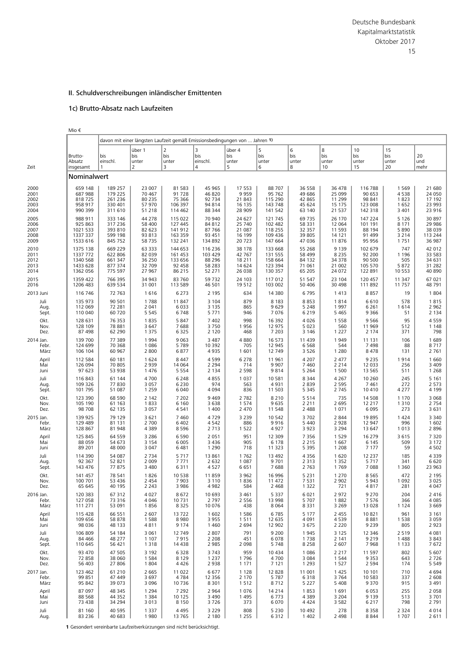# 1c) Brutto-Absatz nach Laufzeiten

Mio €

|           |                                | davon mit einer längsten Laufzeit gemäß Emissionsbedingungen von  Jahren 1) |                             |                                     |                           |                             |                        |                        |                         |                          |                          |                   |
|-----------|--------------------------------|-----------------------------------------------------------------------------|-----------------------------|-------------------------------------|---------------------------|-----------------------------|------------------------|------------------------|-------------------------|--------------------------|--------------------------|-------------------|
| Zeit      | Brutto-<br>Absatz<br>insgesamt | bis<br>einschl.<br>1                                                        | über 1<br>bis<br>unter<br>2 | $\overline{2}$<br>bis<br>unter<br>3 | 3<br>bis<br>einschl.<br>4 | über 4<br>bis<br>unter<br>5 | 5<br>bis<br>unter<br>6 | 6<br>bis<br>unter<br>8 | 8<br>bis<br>unter<br>10 | 10<br>bis<br>unter<br>15 | 15<br>bis<br>unter<br>20 | 20<br>und<br>mehr |
|           | Nominalwert                    |                                                                             |                             |                                     |                           |                             |                        |                        |                         |                          |                          |                   |
| 2000      | 659 148                        | 189 257                                                                     | 23 007                      | 81 5 83                             | 45 965                    | 17 553                      | 88 707                 | 36 558                 | 36 478                  | 116 788                  | 1 5 6 9                  | 21 680            |
| 2001      | 687 988                        | 179 225                                                                     | 70 467                      | 91728                               | 46 820                    | 9 9 5 9                     | 95 762                 | 49 686                 | 25 099                  | 90 653                   | 4538                     | 24 050            |
| 2002      | 818725                         | 261 236                                                                     | 80 235                      | 75 366                              | 92 734                    | 21 843                      | 115 290                | 42 865                 | 11 299                  | 98 841                   | 1823                     | 17 192            |
| 2003      | 958 917                        | 330 401                                                                     | 57 970                      | 106 397                             | 94 814                    | 16 135                      | 143 748                | 45 624                 | 15 175                  | 123 008                  | 1 6 5 2                  | 23 993            |
| 2004      | 990 399                        | 311 610                                                                     | 51 218                      | 114 462                             | 88 344                    | 28 909                      | 141 542                | 63 140                 | 21 537                  | 142 318                  | 3 4 0 1                  | 23 916            |
| 2005      | 988 911                        | 333 146                                                                     | 44 278                      | 115 022                             | 70 940                    | 24 627                      | 121 745                | 69 7 35                | 26 170                  | 147 224                  | 5 1 2 6                  | 30 897            |
| 2006      | 925 863                        | 317 236                                                                     | 58 400                      | 127 445                             | 84 812                    | 25 740                      | 102 482                | 58 331                 | 12 064                  | 101 191                  | 8 1 7 1                  | 29 986            |
| 2007      | 1021 533                       | 393 810                                                                     | 82 623                      | 141 912                             | 87 766                    | 21 087                      | 118 255                | 32 357                 | 11 593                  | 88 194                   | 5 8 9 0                  | 38 0 39           |
| 2008      | 1337 337                       | 599 198                                                                     | 93 813                      | 163 359                             | 93 451                    | 16 199                      | 109 436                | 39 805                 | 14 121                  | 91 499                   | 3 2 1 4                  | 113 244           |
| 2009      | 1533 616                       | 845 752                                                                     | 58 735                      | 132 241                             | 134 892                   | 20 723                      | 147 664                | 47 036                 | 11876                   | 95 956                   | 1751                     | 36 987            |
| 2010      | 1375 138                       | 669 229                                                                     | 63 333                      | 144 653                             | 116 236                   | 38 178                      | 133 668                | 55 268                 | 9 1 3 9                 | 102 679                  | 747                      | 42 012            |
| 2011      | 1337 772                       | 622 806                                                                     | 82 039                      | 161 453                             | 103 429                   | 42 767                      | 131 555                | 58 499                 | 8 2 3 5                 | 92 200                   | 1 1 9 6                  | 33 583            |
| 2012      | 1340 568                       | 661 347                                                                     | 36 250                      | 133 656                             | 88 296                    | 18 211                      | 158 664                | 84 132                 | 34 378                  | 90 500                   | 505                      | 34 631            |
| 2013      | 1433 628                       | 877 374                                                                     | 32 709                      | 92 458                              | 58 283                    | 14 624                      | 123 394                | 71 061                 | 21 002                  | 105 570                  | 5 8 7 2                  | 31 282            |
| 2014      | 1362 056                       | 775 597                                                                     | 27 967                      | 86 215                              | 52 271                    | 26 038                      | 130 357                | 65 205                 | 24 072                  | 122 891                  | 10 553                   | 40 890            |
| 2015      | 1359 422                       | 766 395                                                                     | 34 943                      | 83 760                              | 59732                     | 24 103                      | 117 012                | 51 547                 | 23 104                  | 120 457                  | 11 347                   | 67 021            |
| 2016      | 1206 483                       | 639 534                                                                     | 31 001                      | 113 589                             | 46 501                    | 19512                       | 103 002                | 50 406                 | 30 4 98                 | 111 892                  | 11 757                   | 48 791            |
| 2013 Juni | 116 746                        | 72 763                                                                      | 1616                        | 6 2 7 3                             | 2 1 9 5                   | 634                         | 14 380                 | 6795                   | 1413                    | 8857                     | 19                       | 1804              |
| Juli      | 135 973                        | 90 501                                                                      | 1788                        | 11 847                              | 3 1 0 4                   | 879                         | 8 1 8 3                | 8853                   | 1814                    | 6610                     | 578                      | 1815              |
| Aug.      | 112 069                        | 72 281                                                                      | 2 0 4 1                     | 6 0 3 3                             | 3 1 3 5                   | 865                         | 9629                   | 5 2 4 8                | 1997                    | 6 2 6 1                  | 1614                     | 2 9 6 2           |
| Sept.     | 110 040                        | 60 720                                                                      | 5 5 4 5                     | 6748                                | 5 7 7 1                   | 946                         | 7076                   | 6 2 1 9                | 5 4 6 5                 | 9 3 6 6                  | 51                       | 2 1 3 4           |
| Okt.      | 128 631                        | 76 353                                                                      | 1835                        | 5 8 4 7                             | 7 4 0 2                   | 998                         | 16 3 9 2               | 4026                   | 1 5 5 8                 | 9 5 6 6                  | 95                       | 4559              |
| Nov.      | 128 109                        | 78 881                                                                      | 3 6 4 7                     | 7688                                | 3750                      | 1956                        | 12 975                 | 5 0 2 3                | 560                     | 11 969                   | 512                      | 1 1 4 8           |
| Dez.      | 87 498                         | 62 290                                                                      | 1 3 7 5                     | 6 3 2 5                             | 2 1 2 0                   | 468                         | 7 2 0 3                | 3 1 4 6                | 1 2 2 7                 | 2 1 7 4                  | 371                      | 798               |
| 2014 Jan. | 139 700                        | 77 389                                                                      | 1 9 9 4                     | 9 0 63                              | 3 4 8 7                   | 4880                        | 16 573                 | 11 4 39                | 1949                    | 11 131                   | 106                      | 1689              |
| Febr.     | 124 699                        | 70 368                                                                      | 1 0 8 6                     | 5789                                | 10 3 9 2                  | 705                         | 12 945                 | 6568                   | 544                     | 7498                     | 88                       | 8717              |
| März      | 106 104                        | 60 967                                                                      | 2 800                       | 6877                                | 4935                      | 1 601                       | 12 749                 | 3 5 2 6                | 1 2 8 0                 | 8478                     | 131                      | 2 7 6 1           |
| April     | 112 584                        | 60 181                                                                      | 1 6 2 4                     | 8 4 4 7                             | 4599                      | 6 2 7 8                     | 11 961                 | 4 2 0 7                | 2 4 7 7                 | 9 2 3 5                  | 1914                     | 1 6 6 0           |
| Mai       | 126 094                        | 70 805                                                                      | 2 9 3 9                     | 14 0 64                             | 2 2 9 4                   | 714                         | 9 9 0 7                | 7460                   | 2 2 1 4                 | 12 033                   | 256                      | 3 4 0 9           |
| Juni      | 97 623                         | 53 938                                                                      | 1 4 7 6                     | 5 5 5 4                             | 2 1 3 4                   | 2 5 9 8                     | 9814                   | 5 2 6 4                | 1 500                   | 13 5 65                  | 511                      | 1 2 6 8           |
| Juli      | 116 843                        | 61 144                                                                      | 4700                        | 6 2 4 8                             | 4855                      | 1 0 3 7                     | 10 581                 | 8 3 4 4                | 4 2 6 7                 | 10 260                   | 245                      | 5 1 6 1           |
| Aug.      | 109 326                        | 77830                                                                       | 3 0 5 7                     | 6 2 3 0                             | 974                       | 563                         | 4931                   | 2839                   | 2 5 9 5                 | 7461                     | 272                      | 2 5 7 3           |
| Sept.     | 101 795                        | 51 087                                                                      | 1 2 5 9                     | 6 0 4 0                             | 4 0 9 4                   | 836                         | 11 503                 | 5 3 4 5                | 2 7 4 5                 | 10 410                   | 4 2 7 7                  | 4 1 9 9           |
| Okt.      | 123 390                        | 68 590                                                                      | 2 1 4 2                     | 7 2 0 2                             | 9 4 6 9                   | 2 7 8 2                     | 8 2 1 0                | 5514                   | 735                     | 14 508                   | 1 1 7 0                  | 3 0 6 8           |
| Nov.      | 105 190                        | 61 163                                                                      | 1833                        | 6 1 6 0                             | 3638                      | 1 5 7 4                     | 9635                   | 2 2 1 1                | 2 6 9 5                 | 12 217                   | 1 3 1 0                  | 2 7 5 4           |
| Dez.      | 98 708                         | 62 135                                                                      | 3 0 5 7                     | 4 5 4 1                             | 1 4 0 0                   | 2 4 7 0                     | 11 548                 | 2 4 8 8                | 1071                    | 6 0 9 5                  | 273                      | 3 6 3 1           |
| 2015 Jan. | 139 925                        | 79 129                                                                      | 3 6 2 1                     | 7 4 6 0                             | 4729                      | 3 2 3 9                     | 10 542                 | 3702                   | 2 8 4 4                 | 19895                    | 1 4 2 4                  | 3 3 4 0           |
| Febr.     | 129 489                        | 81 131                                                                      | 2 700                       | 6 4 0 2                             | 4542                      | 886                         | 9916                   | 5 4 4 0                | 2928                    | 12 947                   | 996                      | 1 602             |
| März      | 128 867                        | 81 948                                                                      | 4 3 8 9                     | 8596                                | 2713                      | 1 5 2 2                     | 4927                   | 3923                   | 3 2 9 4                 | 13 647                   | 1 0 1 3                  | 2896              |
| April     | 125 845                        | 64 559                                                                      | 3 2 8 6                     | 6 5 9 0                             | 2 0 5 1                   | 951                         | 12 309                 | 7 3 5 6                | 1 5 2 9                 | 16 279                   | 3 6 1 5                  | 7 3 2 0           |
| Mai       | 88 059                         | 54 673                                                                      | 3 1 5 4                     | 6 0 0 5                             | 3 4 3 6                   | 905                         | 6 1 7 8                | 2 2 1 5                | 1667                    | 6 1 4 5                  | 509                      | 3 1 7 2           |
| Juni      | 89 201                         | 48 000                                                                      | 3 0 4 7                     | 6 4 8 1                             | 1 2 9 0                   | 718                         | 11 323                 | 5 3 9 5                | 1 2 0 8                 | 7 1 7 7                  | 59                       | 4 5 0 2           |
| Juli      | 114 390                        | 54 087                                                                      | 2 7 3 4                     | 5 7 1 7                             | 13 861                    | 1762                        | 13 4 92                | 4 3 5 6                | 1620                    | 12 2 3 7                 | 185                      | 4 3 3 9           |
| Aug.      | 92 367                         | 52 821                                                                      | 2 0 0 9                     | 7771                                | 2 6 3 2                   | 1 0 8 7                     | 9 7 0 1                | 2 3 1 3                | 1 3 5 2                 | 5717                     | 341                      | 6620              |
| Sept.     | 143 476                        | 77875                                                                       | 3 4 8 0                     | 6311                                | 4527                      | 6 6 5 1                     | 7688                   | 2 7 6 3                | 1769                    | 7088                     | 1 3 6 0                  | 23 963            |
| Okt.      | 141 457                        | 78 541                                                                      | 1826                        | 10 538                              | 11859                     | 3 9 6 2                     | 16 996                 | 5 2 3 1                | 1 2 7 0                 | 8565                     | 472                      | 2 1 9 5           |
| Nov.      | 100 701                        | 53 436                                                                      | 2 4 5 4                     | 7 9 0 3                             | 3 1 1 0                   | 1836                        | 11 472                 | 7531                   | 2 9 0 2                 | 5 9 4 3                  | 1 0 9 2                  | 3 0 2 5           |
| Dez.      | 65 645                         | 40 195                                                                      | 2 2 4 3                     | 3 9 8 6                             | 4982                      | 584                         | 2 4 6 8                | 1 3 2 2                | 721                     | 4817                     | 281                      | 4 0 4 7           |
| 2016 Jan. | 120 383                        | 67 312                                                                      | 4 0 2 7                     | 8672                                | 10 693                    | 3 4 6 1                     | 5 3 3 7                | 6021                   | 2972                    | 9 2 7 0                  | 204                      | 2416              |
| Febr.     | 127 058                        | 73 316                                                                      | 4 0 4 6                     | 10 7 31                             | 2 7 9 7                   | 2 5 5 6                     | 13 998                 | 5707                   | 1882                    | 7576                     | 366                      | 4 0 8 5           |
| März      | 111 271                        | 53 091                                                                      | 1856                        | 8 3 2 5                             | 10 0 76                   | 438                         | 8 0 6 4                | 8 3 3 1                | 3 2 6 9                 | 13 0 28                  | 1 1 2 4                  | 3 6 6 9           |
| April     | 115 428                        | 66 551                                                                      | 2 607                       | 13722                               | 1 602                     | 1586                        | 6785                   | 5 1 7 7                | 2 4 5 5                 | 10821                    | 961                      | 3 1 6 1           |
| Mai       | 109 656                        | 58 878                                                                      | 1588                        | 8980                                | 3955                      | 1511                        | 12 635                 | 4 0 9 1                | 4539                    | 8881                     | 1 5 3 8                  | 3 0 5 9           |
| Juni      | 98 0 36                        | 48 133                                                                      | 4811                        | 9 1 7 4                             | 1460                      | 2 6 9 4                     | 12 902                 | 3675                   | 2 2 2 0                 | 9 2 3 9                  | 805                      | 2923              |
| Juli      | 106 809                        | 54 184                                                                      | 3 0 6 1                     | 12 749                              | 2 8 0 7                   | 791                         | 9 2 0 0                | 1945                   | 3 1 2 5                 | 12 346                   | 2 5 1 9                  | 4 0 8 1           |
| Aug.      | 84 4 66                        | 48 277                                                                      | 1 1 0 7                     | 7915                                | 2 2 0 8                   | 451                         | 6078                   | 1738                   | 2 1 4 1                 | 9 2 1 9                  | 1488                     | 3843              |
| Sept.     | 110 645                        | 56 421                                                                      | 1 3 1 8                     | 14 4 38                             | 2 9 8 5                   | 2 0 9 8                     | 5748                   | 8 2 5 8                | 2 607                   | 7968                     | 1 1 3 3                  | 7672              |
| Okt.      | 93 470                         | 47 505                                                                      | 3 1 9 2                     | 6 3 2 8                             | 3743                      | 959                         | 10 4 34                | 1086                   | 2 2 1 7                 | 11 597                   | 802                      | 5 607             |
| Nov.      | 72 858                         | 38 060                                                                      | 1 5 8 4                     | 8 1 2 9                             | 1 2 3 7                   | 1796                        | 4700                   | 3 0 8 4                | 1 5 4 4                 | 9 3 5 3                  | 643                      | 2726              |
| Dez.      | 56 403                         | 27 806                                                                      | 1 804                       | 4426                                | 2938                      | 1 1 7 1                     | 7 1 2 1                | 1 2 9 3                | 1 5 2 7                 | 2 5 9 4                  | 174                      | 5 5 4 9           |
| 2017 Jan. | 123 462                        | 61 210                                                                      | 2 6 6 5                     | 11 022                              | 6677                      | 1 1 2 8                     | 12828                  | 11 001                 | 1425                    | 10 10 1                  | 710                      | 4694              |
| Febr.     | 99 851                         | 47 449                                                                      | 3 6 9 7                     | 4 7 8 4                             | 12 3 5 6                  | 2 1 7 0                     | 5 7 8 7                | 6318                   | 3764                    | 10 583                   | 337                      | 2 608             |
| März      | 95 842                         | 39 073                                                                      | 3 0 9 6                     | 10 736                              | 8 3 0 1                   | 1512                        | 8712                   | 5 2 2 7                | 5 4 0 8                 | 9 3 7 0                  | 915                      | 3 4 9 1           |
| April     | 87 097                         | 48 345                                                                      | 1 2 9 4                     | 7 2 9 2                             | 2 9 6 4                   | 1076                        | 14 2 14                | 1853                   | 1691                    | 6 0 5 3                  | 255                      | 2 0 5 8           |
| Mai       | 88 5 68                        | 44 3 52                                                                     | 1 3 8 4                     | 10 125                              | 3 4 9 0                   | 1495                        | 6773                   | 4 3 8 9                | 3 2 0 4                 | 9 1 3 9                  | 513                      | 3701              |
| Juni      | 73 438                         | 34 294                                                                      | 3 0 1 3                     | 8 1 5 0                             | 3726                      | 373                         | 6 0 7 0                | 4424                   | 3 5 8 2                 | 6 2 1 7                  | 798                      | 2 7 9 1           |
| Juli      | 81 160                         | 40 595                                                                      | 1 3 3 7                     | 4 4 9 5                             | 3 2 2 9                   | 808                         | 5 2 3 0                | 10 492                 | 278                     | 8358                     | 2 3 2 4                  | 4014              |
| Aug.      | 83 236                         | 40 683                                                                      | 1980                        | 13 7 65                             | 2 1 8 0                   | 1 2 5 5                     | 6312                   | 1 4 0 2                | 2 4 9 8                 | 8844                     | 1 7 0 7                  | 2611              |

**1** Gesondert vereinbarte Laufzeitverkürzungen sind nicht berücksichtigt.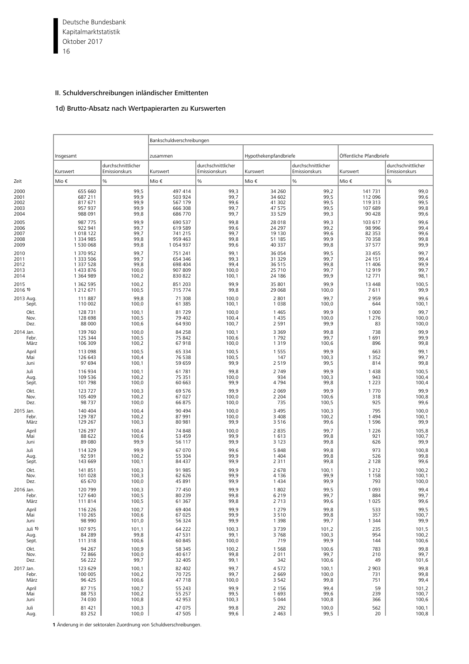Deutsche Bundesbank 16 Kapitalmarktstatistik Oktober 2017

## II. Schuldverschreibungen inländischer Emittenten

# 1d) Brutto-Absatz nach Wertpapierarten zu Kurswerten

|           |               |                                     | Bankschuldverschreibungen |                                     |                       |                                     |                         |                                     |  |  |
|-----------|---------------|-------------------------------------|---------------------------|-------------------------------------|-----------------------|-------------------------------------|-------------------------|-------------------------------------|--|--|
|           | Insgesamt     |                                     | zusammen                  |                                     | Hypothekenpfandbriefe |                                     | Öffentliche Pfandbriefe |                                     |  |  |
|           | Kurswert      | durchschnittlicher<br>Emissionskurs | Kurswert                  | durchschnittlicher<br>Emissionskurs | Kurswert              | durchschnittlicher<br>Emissionskurs | Kurswert                | durchschnittlicher<br>Emissionskurs |  |  |
| Zeit      | Mio €         | $\frac{0}{0}$                       | Mio €                     | %                                   | Mio €                 | $\%$                                | Mio €                   | $\%$                                |  |  |
| 2000      | 655 660       | 99,5                                | 497 414                   | 99,3                                | 34 260                | 99,2                                | 141 731                 | 99,0                                |  |  |
| 2001      | 687 211       | 99,9                                | 503 924                   | 99,7                                | 34 602                | 99,5                                | 112 096                 | 99,6                                |  |  |
| 2002      | 817 671       | 99,9                                | 567 179                   | 99,6                                | 41 302                | 99,5                                | 119 313                 | 99,5                                |  |  |
| 2003      | 957 937       | 99,9                                | 666 308                   | 99,7                                | 47 575                | 99,5                                | 107 689                 | 99,8                                |  |  |
| 2004      | 988 091       | 99,8                                | 686 770                   | 99,7                                | 33 5 29               | 99,3                                | 90 428                  | 99,6                                |  |  |
| 2005      | 987 775       | 99,9                                | 690 537                   | 99,8                                | 28 018                | 99,3                                | 103 617                 | 99,6                                |  |  |
| 2006      | 922 941       | 99,7                                | 619 589                   | 99,6                                | 24 297                | 99,2                                | 98 996                  | 99,4                                |  |  |
| 2007      | 1 018 122     | 99,7                                | 741 215                   | 99,7                                | 19 130                | 99,6                                | 82 353                  | 99,6                                |  |  |
| 2008      | 1 334 985     | 99,8                                | 959 463                   | 99,8                                | 51 185                | 99,9                                | 70 358                  | 99,8                                |  |  |
| 2009      | 1 530 068     | 99,8                                | 1 0 5 4 9 3 7             | 99,6                                | 40 337                | 99,8                                | 37 577                  | 99,9                                |  |  |
| 2010      | 1 370 952     | 99,7                                | 751 241                   | 99,1                                | 36 054                | 99,5                                | 33 455                  | 99,7                                |  |  |
| 2011      | 1 333 506     | 99,7                                | 654 346                   | 99,3                                | 31 329                | 99,7                                | 24 151                  | 99,4                                |  |  |
| 2012      | 1 337 528     | 99,8                                | 698 404                   | 99,4                                | 36 515                | 99,8                                | 11 40 6                 | 99,9                                |  |  |
| 2013      | 1 433 876     | 100,0                               | 907 809                   | 100,0                               | 25 710                | 99,7                                | 12 919                  | 99,7                                |  |  |
| 2014      | 1 3 6 4 9 8 9 | 100,2                               | 830 822                   | 100,1                               | 24 18 6               | 99,9                                | 12 771                  | 98,1                                |  |  |
| 2015      | 1 362 595     | 100,2                               | 851 203                   | 99,9                                | 35 801                | 99,9                                | 13 4 48                 | 100,5                               |  |  |
| 2016 1)   | 1 212 671     | 100,5                               | 715 774                   | 99,8                                | 29 0 68               | 100,0                               | 7611                    | 99,9                                |  |  |
| 2013 Aug. | 111 887       | 99,8                                | 71 308                    | 100,0                               | 2 8 0 1               | 99,7                                | 2 9 5 9                 | 99,6                                |  |  |
| Sept.     | 110 002       | 100,0                               | 61 385                    | 100,1                               | 1 0 3 8               | 100,0                               | 644                     | 100,1                               |  |  |
| Okt.      | 128 731       | 100,1                               | 81 729                    | 100,0                               | 1 4 6 5               | 99,9                                | 1 0 0 0                 | 99,7                                |  |  |
| Nov.      | 128 698       | 100,5                               | 79 402                    | 100,4                               | 1 4 3 5               | 100,0                               | 1 2 7 6                 | 100,0                               |  |  |
| Dez.      | 88 000        | 100,6                               | 64 930                    | 100,7                               | 2 5 9 1               | 99,9                                | 83                      | 100,0                               |  |  |
| 2014 Jan. | 139 760       | 100,0                               | 84 258                    | 100,1                               | 3 3 6 9               | 99,8                                | 738                     | 99,9                                |  |  |
| Febr.     | 125 344       | 100,5                               | 75 842                    | 100,6                               | 1792                  | 99,7                                | 1691                    | 99,9                                |  |  |
| März      | 106 309       | 100,2                               | 67 918                    | 100,0                               | 1 3 1 9               | 100,6                               | 896                     | 99,8                                |  |  |
| April     | 113 098       | 100,5                               | 65 334                    | 100,5                               | 1 5 5 5               | 99,9                                | 663                     | 99,1                                |  |  |
| Mai       | 126 643       | 100,4                               | 76 538                    | 100,5                               | 147                   | 100,3                               | 1 3 5 2                 | 99,7                                |  |  |
| Juni      | 97 694        | 100,1                               | 59 659                    | 99,9                                | 2 5 1 9               | 99,5                                | 814                     | 99,8                                |  |  |
| Juli      | 116 934       | 100,1                               | 61 781                    | 99,8                                | 2 7 4 9               | 99,9                                | 1 4 3 8                 | 100,5                               |  |  |
| Aug       | 109 536       | 100,2                               | 75 351                    | 100,0                               | 934                   | 100,3                               | 943                     | 100,4                               |  |  |
| Sept.     | 101 798       | 100,0                               | 60 663                    | 99,9                                | 4 7 9 4               | 99,8                                | 1 2 2 3                 | 100,4                               |  |  |
| Okt.      | 123 727       | 100,3                               | 69 576                    | 99,9                                | 2 0 6 9               | 99,9                                | 1 7 7 0                 | 99,9                                |  |  |
| Nov.      | 105 409       | 100,2                               | 67 027                    | 100,0                               | 2 2 0 4               | 100,6                               | 318                     | 100,8                               |  |  |
| Dez.      | 98 7 37       | 100,0                               | 66 875                    | 100,0                               | 735                   | 100,5                               | 925                     | 99,6                                |  |  |
| 2015 Jan. | 140 404       | 100,4                               | 90 4 94                   | 100,0                               | 3 4 9 5               | 100,3                               | 795                     | 100,0                               |  |  |
| Febr.     | 129 787       | 100,2                               | 87 991                    | 100,0                               | 3 4 0 8               | 100,2                               | 1 4 9 4                 | 100,1                               |  |  |
| März      | 129 267       | 100,3                               | 80 981                    | 99,9                                | 3 5 1 6               | 99,6                                | 1 5 9 6                 | 99,9                                |  |  |
| April     | 126 297       | 100,4                               | 74 848                    | 100,0                               | 2 8 3 5               | 99,7                                | 1 2 2 6                 | 105,8                               |  |  |
| Mai       | 88 622        | 100,6                               | 53 459                    | 99,9                                | 1613                  | 99,8                                | 921                     | 100,7                               |  |  |
| Juni      | 89 080        | 99,9                                | 56 117                    | 99,9                                | 3 1 2 3               | 99,8                                | 626                     | 99,9                                |  |  |
| Juli      | 114 329       | 99,9                                | 67 070                    | 99,6                                | 5 8 4 8               | 99,8                                | 973                     | 100,8                               |  |  |
| Aug.      | 92 591        | 100,2                               | 55 304                    | 99,9                                | 1 4 0 4               | 99,8                                | 526                     | 99,8                                |  |  |
| Sept.     | 143 669       | 100,1                               | 84 437                    | 99,9                                | 2 3 1 1               | 99,8                                | 2 1 2 8                 | 99,6                                |  |  |
| Okt.      | 141 851       | 100,3                               | 91 985                    | 99,9                                | 2 6 7 8               | 100,1                               | 1 2 1 2                 | 100,2                               |  |  |
| Nov.      | 101 028       | 100,3                               | 62 626                    | 99,9                                | 4 1 3 6               | 99,9                                | 1 1 5 8                 | 100,1                               |  |  |
| Dez.      | 65 670        | 100,0                               | 45 891                    | 99,9                                | 1 4 3 4               | 99,9                                | 793                     | 100,0                               |  |  |
| 2016 Jan. | 120 799       | 100,3                               | 77 450                    | 99,9                                | 1802                  | 99,5                                | 1 0 9 3                 | 99,4                                |  |  |
| Febr.     | 127 640       | 100,5                               | 80 239                    | 99,8                                | 6 2 1 9               | 99,7                                | 884                     | 99,7                                |  |  |
| März      | 111814        | 100,5                               | 61 367                    | 99,8                                | 2 7 1 3               | 99,6                                | 1 0 2 5                 | 99,6                                |  |  |
| April     | 116 226       | 100,7                               | 69 40 4                   | 99,9                                | 1 2 7 9               | 99,8                                | 533                     | 99,5                                |  |  |
| Mai       | 110 265       | 100,6                               | 67 025                    | 99,9                                | 3 5 1 0               | 99,8                                | 357                     | 100,7                               |  |  |
| Juni      | 98 990        | 101,0                               | 56 324                    | 99,9                                | 1 3 9 8               | 99,7                                | 1 3 4 4                 | 99,9                                |  |  |
| Juli 1)   | 107 975       | 101,1                               | 64 222                    | 100,3                               | 3739                  | 101,2                               | 235                     | 101,5                               |  |  |
| Aug.      | 84 2 89       | 99,8                                | 47 531                    | 99,1                                | 3768                  | 100,3                               | 954                     | 100,2                               |  |  |
| Sept.     | 111 318       | 100,6                               | 60 845                    | 100,0                               | 719                   | 99,9                                | 144                     | 100,6                               |  |  |
| Okt.      | 94 267        | 100,9                               | 58 345                    | 100,2                               | 1 5 6 8               | 100,6                               | 783                     | 99,8                                |  |  |
| Nov.      | 72 866        | 100,0                               | 40 617                    | 99,8                                | 2 0 1 1               | 99,7                                | 210                     | 99,7                                |  |  |
| Dez.      | 56 222        | 99,7                                | 32 405                    | 99,1                                | 342                   | 100,6                               | 49                      | 101,6                               |  |  |
| 2017 Jan. | 123 629       | 100,1                               | 82 402                    | 99,7                                | 4 5 7 2               | 100,1                               | 2 9 0 3                 | 99,8                                |  |  |
| Febr.     | 100 005       | 100,2                               | 70 725                    | 99,7                                | 2 6 6 9               | 100,0                               | 731                     | 99,8                                |  |  |
| März      | 96 425        | 100,6                               | 47 718                    | 100,0                               | 3 5 4 2               | 99,8                                | 751                     | 99,4                                |  |  |
| April     | 87 715        | 100,7                               | 55 243                    | 99,9                                | 2 1 5 6               | 99,4                                | 59                      | 101,2                               |  |  |
| Mai       | 88753         | 100,2                               | 55 257                    | 99,5                                | 1 6 9 3               | 99,6                                | 239                     | 100,7                               |  |  |
| Juni      | 74 030        | 100,8                               | 42 953                    | 100,3                               | 5 0 4 4               | 100,8                               | 366                     | 100,6                               |  |  |
| Juli      | 81 421        | 100,3                               | 47 075                    | 99,8                                | 292                   | 100,0                               | 562                     | 100,1                               |  |  |
| Aug.      | 83 25 2       | 100,0                               | 47 505                    | 99,6                                | 2 4 6 3               | 99,5                                | 20                      | 100,8                               |  |  |

**1** Änderung in der sektoralen Zuordnung von Schuldverschreibungen.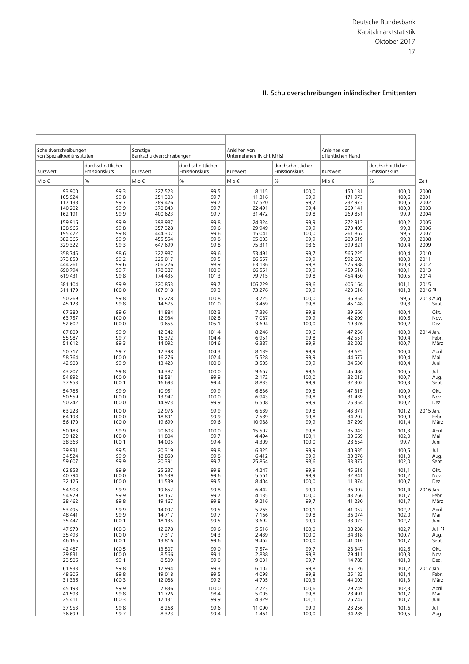| Schuldverschreibungen<br>von Spezialkreditinstituten |                                     | Sonstige<br>Bankschuldverschreibungen |                                     | Anleihen von<br>Unternehmen (Nicht-MFIs) |                                     | Anleihen der<br>öffentlichen Hand |                                     |           |
|------------------------------------------------------|-------------------------------------|---------------------------------------|-------------------------------------|------------------------------------------|-------------------------------------|-----------------------------------|-------------------------------------|-----------|
| Kurswert                                             | durchschnittlicher<br>Emissionskurs | Kurswert                              | durchschnittlicher<br>Emissionskurs | Kurswert                                 | durchschnittlicher<br>Emissionskurs | Kurswert                          | durchschnittlicher<br>Emissionskurs |           |
| Mio €                                                | $\%$                                | Mio €                                 | %                                   | Mio €                                    | $\frac{0}{0}$                       | Mio €                             | $\%$                                | Zeit      |
| 93 900                                               | 99,3                                | 227 523                               | 99,5                                | 8 1 1 5                                  | 100,0                               | 150 131                           | 100,0                               | 2000      |
| 105 924                                              | 99,8                                | 251 303                               | 99,7                                | 11 316                                   | 99,9                                | 171 973                           | 100,6                               | 2001      |
| 117 138                                              | 99,7                                | 289 426                               | 99,7                                | 17 520                                   | 99,7                                | 232 973                           | 100,5                               | 2002      |
| 140 202                                              | 99,9                                | 370 843                               | 99,7                                | 22 491                                   | 99,4                                | 269 141                           | 100,3                               | 2003      |
| 162 191                                              | 99,9                                | 400 623                               | 99,7                                | 31 472                                   | 99,8                                | 269 851                           | 99,9                                | 2004      |
| 159 916                                              | 99,9                                | 398 987                               | 99,8                                | 24 3 24                                  | 99,9                                | 272 913                           | 100,2                               | 2005      |
| 138 966                                              | 99,8                                | 357 328                               | 99,6                                | 29 949                                   | 99,9                                | 273 405                           | 99,8                                | 2006      |
| 195 422                                              | 99,8                                | 444 307                               | 99,6                                | 15 041                                   | 100,0                               | 261 867                           | 99,6                                | 2007      |
| 382 365                                              | 99,9                                | 455 554                               | 99,8                                | 95 003                                   | 99,9                                | 280 519                           | 99,8                                | 2008      |
| 329 322                                              | 99,3                                | 647 699                               | 99,8                                | 75 311                                   | 98,6                                | 399 821                           | 100,4                               | 2009      |
| 358 745                                              | 98,6                                | 322 987                               | 99,6                                | 53 491                                   | 99,7                                | 566 225                           | 100,4                               | 2010      |
| 373 850                                              | 99,2                                | 225 017                               | 99,5                                | 86 557                                   | 99,9                                | 592 603                           | 100,0                               | 2011      |
| 444 261                                              | 99,6                                | 206 226                               | 98,9                                | 63 136                                   | 99,8                                | 575 988                           | 100,3                               | 2012      |
| 690 794                                              | 99,7                                | 178 387                               | 100,9                               | 66 551                                   | 99,9                                | 459 516                           | 100,1                               | 2013      |
| 619 431                                              | 99,8                                | 174 435                               | 101,3                               | 79 715                                   | 99,8                                | 454 450                           | 100,5                               | 2014      |
| 581 104                                              | 99,9                                | 220 853                               | 99,7                                | 106 229                                  | 99,6                                | 405 164                           | 101,1                               | 2015      |
| 511 179                                              | 100,0                               | 167 918                               | 99,3                                | 73 276                                   | 99,9                                | 423 616                           | 101,8                               | 2016 1)   |
| 50 269                                               | 99,8                                | 15 278                                | 100,8                               | 3725                                     | 100,0                               | 36 854                            | 99,5                                | 2013 Aug. |
| 45 128                                               | 99,8                                | 14 575                                | 101,0                               | 3 4 6 9                                  | 99,8                                | 45 148                            | 99,8                                | Sept.     |
| 67 380                                               | 99,6                                | 11884                                 | 102,3                               | 7 3 3 6                                  | 99,8                                | 39 666                            | 100,4                               | Okt.      |
| 63 757                                               | 100,0                               | 12 9 34                               | 102,8                               | 7 0 8 7                                  | 99,9                                | 42 209                            | 100,6                               | Nov.      |
| 52 602                                               | 100,0                               | 9655                                  | 105,1                               | 3694                                     | 100,0                               | 19 3 7 6                          | 100,2                               | Dez.      |
| 67 809                                               | 99,9                                | 12 342                                | 101,4                               | 8 2 4 6                                  | 99,6                                | 47 25 6                           | 100,0                               | 2014 Jan. |
| 55 987                                               | 99,7                                | 16 372                                | 104,4                               | 6951                                     | 99,8                                | 42 5 5 1                          | 100,4                               | Febr.     |
| 51 612                                               | 99,3                                | 14 092                                | 104,6                               | 6 3 8 7                                  | 99,9                                | 32 003                            | 100,7                               | März      |
| 50 717                                               | 99,7                                | 12 3 98                               | 104,3                               | 8 1 3 9                                  | 99,9                                | 39 6 25                           | 100,4                               | April     |
| 58 764                                               | 100,0                               | 16 276                                | 102,4                               | 5 5 2 8                                  | 99,9                                | 44 577                            | 100,4                               | Mai       |
| 42 903                                               | 99,9                                | 13 4 23                               | 100,0                               | 3 5 0 5                                  | 99,9                                | 34 5 30                           | 100,4                               | Juni      |
| 43 207                                               | 99,8                                | 14 387                                | 100,0                               | 9667                                     | 99,6                                | 45 48 6                           | 100,5                               | Juli      |
| 54 892                                               | 100,0                               | 18 581                                | 99,9                                | 2 1 7 2                                  | 100,0                               | 32 012                            | 100,7                               | Aug.      |
| 37 953                                               | 100,1                               | 16 693                                | 99,4                                | 8833                                     | 99,9                                | 32 302                            | 100,3                               | Sept.     |
| 54 786                                               | 99,9                                | 10 951                                | 99,9                                | 6836                                     | 99,8                                | 47 315                            | 100,9                               | Okt.      |
| 50 559                                               | 100,0                               | 13 947                                | 100,0                               | 6943                                     | 99,8                                | 31 4 39                           | 100,8                               | Nov.      |
| 50 242                                               | 100,0                               | 14 973                                | 99,9                                | 6 5 0 8                                  | 99,9                                | 25 3 5 4                          | 100,2                               | Dez.      |
| 63 2 28                                              | 100,0                               | 22 976                                | 99,9                                | 6539                                     | 99,8                                | 43 371                            | 101,2                               | 2015 Jan. |
| 64 198                                               | 100,0                               | 18891                                 | 99,9                                | 7589                                     | 99,8                                | 34 207                            | 100,9                               | Febr.     |
| 56 170                                               | 100,0                               | 19 699                                | 99,6                                | 10 988                                   | 99,9                                | 37 299                            | 101,4                               | März      |
| 50 183                                               | 99.9                                | 20 603                                | 100,0                               | 15 507                                   | 99,8                                | 35 943                            | 101,3                               | April     |
| 39 122                                               | 100,0                               | 11 804                                | 99,7                                | 4 4 9 4                                  | 100,1                               | 30 669                            | 102,0                               | Mai       |
| 38 363                                               | 100,1                               | 14 005                                | 99,4                                | 4 3 0 9                                  | 100,0                               | 28 6 54                           | 99,7                                | Juni      |
| 39 931                                               | 99,5                                | 20 319                                | 99,8                                | 6 3 2 5                                  | 99,9                                | 40 935                            | 100,5                               | Juli      |
| 34 5 24                                              | 99,9                                | 18850                                 | 99,8                                | 6412                                     | 99,9                                | 30 876                            | 101,0                               | Aug.      |
| 59 607                                               | 99,9                                | 20 391                                | 99,7                                | 25 854                                   | 98,6                                | 33 377                            | 102,0                               | Sept.     |
| 62 858                                               | 99,9                                | 25 237                                | 99,8                                | 4 2 4 7                                  | 99,9                                | 45 618                            | 101,1                               | Okt.      |
| 40 794                                               | 100,0                               | 16 539                                | 99,6                                | 5 5 6 1                                  | 99,9                                | 32 841                            | 101,2                               | Nov.      |
| 32 126                                               | 100,0                               | 11 539                                | 99,5                                | 8 4 0 4                                  | 100,0                               | 11 374                            | 100,7                               | Dez.      |
| 54 903                                               | 99,9                                | 19 652                                | 99,8                                | 6 442                                    | 99,9                                | 36 907                            | 101,4                               | 2016 Jan. |
| 54 979                                               | 99,9                                | 18 157                                | 99,7                                | 4 1 3 5                                  | 100,0                               | 43 266                            | 101,7                               | Febr.     |
| 38 462                                               | 99,8                                | 19 167                                | 99,8                                | 9 2 1 6                                  | 99,7                                | 41 2 30                           | 101,7                               | März      |
| 53 495                                               | 99,9                                | 14 097                                | 99,5                                | 5765                                     | 100,1                               | 41 057                            | 102,2                               | April     |
| 48 441                                               | 99,9                                | 14717                                 | 99,7                                | 7 1 6 6                                  | 99,8                                | 36 074                            | 102,0                               | Mai       |
| 35 447                                               | 100,1                               | 18 135                                | 99,5                                | 3692                                     | 99,9                                | 38 973                            | 102,7                               | Juni      |
| 47 970                                               | 100,3                               | 12 278                                | 99,6                                | 5 5 1 6                                  | 100,0                               | 38 2 38                           | 102,7                               | Juli 1    |
| 35 4 93                                              | 100,0                               | 7317                                  | 94,3                                | 2 4 3 9                                  | 100,0                               | 34 3 18                           | 100,7                               | Aug.      |
| 46 165                                               | 100,1                               | 13816                                 | 99,6                                | 9462                                     | 100,0                               | 41 010                            | 101,7                               | Sept.     |
| 42 487                                               | 100,5                               | 13 507                                | 99,0                                | 7574                                     | 99,7                                | 28 347                            | 102,6                               | Okt.      |
| 29 831                                               | 100,0                               | 8566                                  | 99,1                                | 2838                                     | 99,8                                | 29 411                            | 100,3                               | Nov.      |
| 23 506                                               | 99,1                                | 8509                                  | 99,0                                | 9 0 3 1                                  | 99,7                                | 14785                             | 101,0                               | Dez.      |
| 61 933                                               | 99,8                                | 12 9 94                               | 99,3                                | 6 1 0 2                                  | 99,8                                | 35 1 26                           | 101,2                               | 2017 Jan. |
| 48 30 6                                              | 99,8                                | 19 018                                | 99,5                                | 4 0 9 8                                  | 99,8                                | 25 182                            | 101,4                               | Febr.     |
| 31 3 36                                              | 100,3                               | 12 088                                | 99,2                                | 4705                                     | 100,3                               | 44 003                            | 101,3                               | März      |
| 45 193                                               | 99,9                                | 7836                                  | 100,0                               | 2723                                     | 100,6                               | 29 7 49                           | 102,3                               | April     |
| 41 598                                               | 99,8                                | 11726                                 | 98,4                                | 5 0 0 5                                  | 99,8                                | 28 4 91                           | 101,7                               | Mai       |
| 25 411                                               | 100,3                               | 12 131                                | 99,9                                | 4 3 2 9                                  | 101,1                               | 26 747                            | 101,7                               | Juni      |
| 37 953                                               | 99,8                                | 8 2 6 8                               | 99,6                                | 11 090                                   | 99,9                                | 23 25 6                           | 101,6                               | Juli      |
| 36 699                                               | 99,7                                | 8 3 2 3                               | 99,4                                | 1461                                     | 100,0                               | 34 2 85                           | 100,5                               | Aug.      |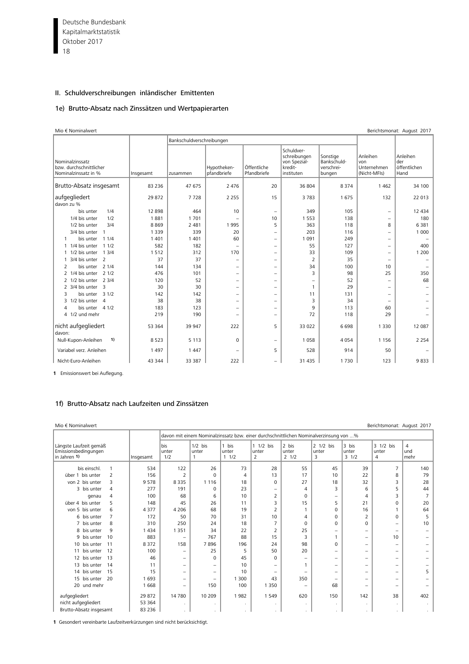Deutsche Bundesbank 18 Kapitalmarktstatistik Oktober 2017

# II. Schuldverschreibungen inländischer Emittenten

#### 1e) Brutto-Absatz nach Zinssätzen und Wertpapierarten

| Mio € Nominalwert                                                  |           |                           |                            |                            |                                                                     |                                                 |                                                | Berichtsmonat: August 2017              |
|--------------------------------------------------------------------|-----------|---------------------------|----------------------------|----------------------------|---------------------------------------------------------------------|-------------------------------------------------|------------------------------------------------|-----------------------------------------|
|                                                                    |           | Bankschuldverschreibungen |                            |                            |                                                                     |                                                 |                                                |                                         |
| Nominalzinssatz<br>bzw. durchschnittlicher<br>Nominalzinssatz in % | Insgesamt | zusammen                  | Hypotheken-<br>pfandbriefe | Öffentliche<br>Pfandbriefe | Schuldver-<br>schreibungen<br>von Spezial-<br>kredit-<br>instituten | Sonstige<br>Bankschuld-<br>verschrei-<br>bungen | Anleihen<br>von<br>Unternehmen<br>(Nicht-MFIs) | Anleihen<br>der<br>öffentlichen<br>Hand |
| Brutto-Absatz insgesamt                                            | 83 2 36   | 47 675                    | 2 4 7 6                    | 20                         | 36 804                                                              | 8 3 7 4                                         | 1 4 6 2                                        | 34 100                                  |
| aufgegliedert<br>davon zu %                                        | 29 872    | 7728                      | 2 2 5 5                    | 15                         | 3783                                                                | 1675                                            | 132                                            | 22 013                                  |
| 1/4<br>bis unter                                                   | 12 898    | 464                       | 10                         | $\overline{\phantom{a}}$   | 349                                                                 | 105                                             | $\overline{\phantom{0}}$                       | 12 4 34                                 |
| 1/2<br>1/4 bis unter                                               | 1881      | 1701                      | $\overline{\phantom{0}}$   | 10                         | 1 5 5 3                                                             | 138                                             | $\overline{\phantom{0}}$                       | 180                                     |
| 3/4<br>1/2 bis unter                                               | 8869      | 2 4 8 1                   | 1995                       | 5                          | 363                                                                 | 118                                             | 8                                              | 6381                                    |
| 3/4 bis unter<br>$\overline{\phantom{0}}$                          | 1 3 3 9   | 339                       | 20                         | $\qquad \qquad -$          | 203                                                                 | 116                                             | $\overline{\phantom{0}}$                       | 1 0 0 0                                 |
| 11/4<br>bis unter<br>1                                             | 1 4 0 1   | 1 4 0 1                   | 60                         | $\overline{\phantom{m}}$   | 1 0 9 1                                                             | 249                                             | -                                              |                                         |
| 1/4 bis unter<br>11/2<br>1                                         | 582       | 182                       | $\overline{\phantom{0}}$   | $\overline{\phantom{m}}$   | 55                                                                  | 127                                             | $\equiv$                                       | 400                                     |
| 13/4<br>1/2 bis unter<br>$\mathbf{1}$                              | 1512      | 312                       | 170                        | $\qquad \qquad -$          | 33                                                                  | 109                                             | $\overline{\phantom{0}}$                       | 1 2 0 0                                 |
| 3/4 bis unter 2<br>1                                               | 37        | 37                        | $\overline{\phantom{m}}$   | $\overline{\phantom{0}}$   | $\overline{2}$                                                      | 35                                              | $\overline{\phantom{0}}$                       |                                         |
| 21/4<br>2<br>bis unter                                             | 144       | 134                       | $\qquad \qquad -$          | $\overline{\phantom{a}}$   | 34                                                                  | 100                                             | 10                                             |                                         |
| 2 1/4 bis unter<br>21/2                                            | 476       | 101                       | $\overline{\phantom{m}}$   | $\overline{\phantom{a}}$   | 3                                                                   | 98                                              | 25                                             | 350                                     |
| 23/4<br>2 1/2 bis unter                                            | 120       | 52                        | $\qquad \qquad -$          | $\overline{\phantom{0}}$   | $\overline{\phantom{0}}$                                            | 52                                              | $\equiv$                                       | 68                                      |
| 2 3/4 bis unter<br>$\overline{\mathbf{3}}$                         | 30        | 30                        | $\qquad \qquad -$          | $\overline{\phantom{0}}$   | $\mathbf{1}$                                                        | 29                                              | $\overline{\phantom{0}}$                       |                                         |
| bis unter 3 1/2<br>3                                               | 142       | 142                       | $\qquad \qquad -$          | $\qquad \qquad -$          | 11                                                                  | 131                                             | $\overline{\phantom{0}}$                       |                                         |
| 1/2 bis unter 4<br>3                                               | 38        | 38                        | $\qquad \qquad =$          | $\overline{\phantom{0}}$   | 3                                                                   | 34                                              | $\overline{\phantom{0}}$                       |                                         |
| bis unter 4 1/2<br>Δ                                               | 183       | 123                       | $\qquad \qquad -$          | $\overline{\phantom{0}}$   | 9                                                                   | 113                                             | 60                                             |                                         |
| 4 1/2 und mehr                                                     | 219       | 190                       | $\overline{\phantom{m}}$   | $\overline{\phantom{0}}$   | 72                                                                  | 118                                             | 29                                             |                                         |
| nicht aufgegliedert<br>davon:                                      | 53 364    | 39 947                    | 222                        | 5                          | 33 0 22                                                             | 6698                                            | 1 3 3 0                                        | 12 087                                  |
| 1)<br>Null-Kupon-Anleihen                                          | 8523      | 5 1 1 3                   | $\mathbf 0$                | $\overline{\phantom{m}}$   | 1058                                                                | 4 0 5 4                                         | 1 1 5 6                                        | 2 2 5 4                                 |
| Variabel verz. Anleihen                                            | 1 4 9 7   | 1 4 4 7                   | $\overline{\phantom{m}}$   | 5                          | 528                                                                 | 914                                             | 50                                             |                                         |
| Nicht-Euro-Anleihen                                                | 43 344    | 33 387                    | 222                        | $\overline{\phantom{0}}$   | 31 4 35                                                             | 1730                                            | 123                                            | 9833                                    |

**1** Emissionswert bei Auflegung.

## 1f) Brutto-Absatz nach Laufzeiten und Zinssätzen

| Mio € Nominalwert                                              |           |                          |                                                                                       |                        |                         |                          |                         |                        | Berichtsmonat: August 2017 |                  |
|----------------------------------------------------------------|-----------|--------------------------|---------------------------------------------------------------------------------------|------------------------|-------------------------|--------------------------|-------------------------|------------------------|----------------------------|------------------|
|                                                                |           |                          | davon mit einem Nominalzinssatz bzw. einer durchschnittlichen Nominalverzinsung von % |                        |                         |                          |                         |                        |                            |                  |
| Längste Laufzeit gemäß<br>Emissionsbedingungen<br>in Jahren 1) | Insgesamt | bis<br>unter<br>1/2      | $1/2$ bis<br>unter<br>$\mathbf{1}$                                                    | 1 bis<br>unter<br>11/2 | 1 1/2 bis<br>unter<br>2 | 2 bis<br>unter<br>21/2   | 2 1/2 bis<br>unter<br>3 | 3 bis<br>unter<br>31/2 | 3 1/2 bis<br>unter<br>4    | 4<br>und<br>mehr |
| bis einschl.<br>$\mathbf{1}$                                   | 534       | 122                      | 26                                                                                    | 73                     | 28                      | 55                       | 45                      | 39                     | 7                          | 140              |
| über 1 bis unter<br>$\overline{2}$                             | 156       | $\overline{2}$           | $\Omega$                                                                              | 4                      | 13                      | 17                       | 10                      | 22                     | 8                          | 79               |
| von 2 bis unter<br>3                                           | 9578      | 8 3 3 5                  | 1 1 1 6                                                                               | 18                     | $\mathbf 0$             | 27                       | 18                      | 32                     | 3                          | 28               |
| 3 bis unter<br>4                                               | 277       | 191                      | $\Omega$                                                                              | 23                     | -                       | 4                        | 3                       | 6                      | 5                          | 44               |
| 4<br>genau                                                     | 100       | 68                       | 6                                                                                     | 10                     | 2                       | $\Omega$                 | -                       | 4                      | 3                          | 7                |
| 5<br>über 4 bis unter                                          | 148       | 45                       | 26                                                                                    | 11                     | 3                       | 15                       | 5                       | 21                     | $\mathbf 0$                | 20               |
| von 5 bis unter<br>6                                           | 4 3 7 7   | 4 2 0 6                  | 68                                                                                    | 19                     | 2                       |                          | $\Omega$                | 16                     |                            | 64               |
| $\overline{7}$<br>6 bis unter                                  | 172       | 50                       | 70                                                                                    | 31                     | 10                      | $\overline{4}$           | $\Omega$                | 2                      | $\Omega$                   | 5                |
| 7 bis unter<br>8                                               | 310       | 250                      | 24                                                                                    | 18                     | $\overline{7}$          | $\Omega$                 | $\Omega$                | 0                      | $\qquad \qquad -$          | 10               |
| 9<br>8 bis unter                                               | 434       | 1 3 5 1                  | 34                                                                                    | 22                     | 2                       | 25                       | -                       | -                      | $\qquad \qquad -$          |                  |
| 9 bis unter<br>10                                              | 883       | $\overline{\phantom{0}}$ | 767                                                                                   | 88                     | 15                      | 3                        |                         | -                      | 10                         |                  |
| 10 bis unter<br>11                                             | 8 3 7 2   | 158                      | 7896                                                                                  | 196                    | 24                      | 98                       | $\Omega$                | -                      | $\overline{\phantom{0}}$   |                  |
| bis unter<br>12<br>11                                          | 100       | -                        | 25                                                                                    | 5                      | 50                      | 20                       | -                       | -                      | $\qquad \qquad -$          |                  |
| 12 bis unter<br>13                                             | 46        | $\qquad \qquad -$        | $\Omega$                                                                              | 45                     | $\Omega$                | -                        | -                       | -                      | -                          |                  |
| 13 bis unter<br>14                                             | 11        | $\qquad \qquad -$        | $\qquad \qquad -$                                                                     | 10                     | -                       |                          | -                       | -                      | -                          |                  |
| - 15<br>14 bis unter                                           | 15        | $\qquad \qquad -$        | $\overline{\phantom{0}}$                                                              | 10                     | -                       | $\overline{\phantom{0}}$ | -                       | -                      | -                          | 5                |
| 15 bis unter<br>20                                             | 1 6 9 3   | -                        | $\qquad \qquad -$                                                                     | 1 300                  | 43                      | 350                      | -                       | -                      | $\qquad \qquad -$          |                  |
| 20 und mehr                                                    | 1668      | $\qquad \qquad -$        | 150                                                                                   | 100                    | 1 3 5 0                 | -                        | 68                      | -                      | -                          |                  |
| aufgegliedert                                                  | 29 872    | 14 780                   | 10 209                                                                                | 1982                   | 1 5 4 9                 | 620                      | 150                     | 142                    | 38                         | 402              |
| nicht aufgegliedert                                            | 53 364    |                          |                                                                                       | $\blacksquare$         | $\blacksquare$          | ×.                       | ×.                      | $\mathbf{r}$           | ٠                          |                  |
| Brutto-Absatz insgesamt                                        | 83 2 36   |                          | $\mathbf{r}$                                                                          | $\cdot$                | $\cdot$                 | $\sim$                   | $\sim$                  | $\ddot{\phantom{0}}$   | $\ddot{\phantom{0}}$       |                  |

**1** Gesondert vereinbarte Laufzeitverkürzungen sind nicht berücksichtigt.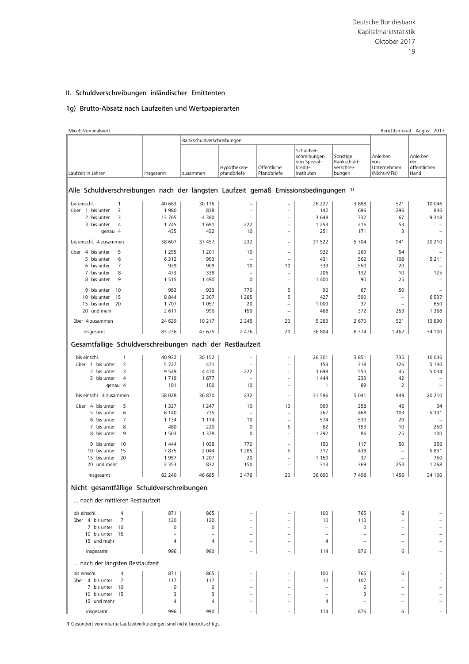#### 1g) Brutto-Absatz nach Laufzeiten und Wertpapierarten

| Mio € Nominalwert                                                                   |                  | Bankschuldverschreibungen |                            |                            |                                                                     |                                                 |                                                | Berichtsmonat: August 2017              |
|-------------------------------------------------------------------------------------|------------------|---------------------------|----------------------------|----------------------------|---------------------------------------------------------------------|-------------------------------------------------|------------------------------------------------|-----------------------------------------|
| Laufzeit in Jahren                                                                  | Insgesamt        | zusammen                  | Hypotheken-<br>pfandbriefe | Öffentliche<br>Pfandbriefe | Schuldver-<br>schreibungen<br>von Spezial-<br>kredit-<br>instituten | Sonstige<br>Bankschuld-<br>verschrei-<br>bungen | Anleihen<br>von<br>Unternehmen<br>(Nicht-MFIs) | Anleihen<br>der<br>öffentlichen<br>Hand |
|                                                                                     |                  |                           |                            |                            |                                                                     |                                                 |                                                |                                         |
| Alle Schuldverschreibungen nach der längsten Laufzeit gemäß Emissionsbedingungen 1) |                  |                           |                            |                            |                                                                     |                                                 |                                                |                                         |
| bis einschl.<br>1                                                                   | 40 683           | 30 116                    | -                          | $\qquad \qquad -$          | 26 227                                                              | 3888                                            | 521                                            | 10 046                                  |
| $\overline{2}$<br>über 1 bis unter                                                  | 1980             | 838                       | $\overline{\phantom{0}}$   | $\equiv$                   | 142                                                                 | 696                                             | 296                                            | 846                                     |
| 2 bis unter<br>3                                                                    | 13 765           | 4 3 8 0                   | $\overline{\phantom{0}}$   | $\overline{\phantom{0}}$   | 3648                                                                | 732                                             | 67                                             | 9318                                    |
| 3 bis unter<br>$\overline{4}$                                                       | 1745             | 1 691                     | 222                        | $\overline{\phantom{a}}$   | 1 2 5 3                                                             | 216                                             | 53                                             |                                         |
| qenau 4                                                                             | 435              | 432                       | 10                         | $\overline{\phantom{0}}$   | 251                                                                 | 171                                             | 3                                              |                                         |
| bis einschl. 4 zusammen                                                             | 58 607           | 37 457                    | 232                        | $\qquad \qquad -$          | 31 5 22                                                             | 5 7 0 4                                         | 941                                            | 20 210                                  |
| über 4 bis unter<br>5                                                               | 1 2 5 5          | 1 2 0 1                   | 10                         | $\overline{\phantom{m}}$   | 922                                                                 | 269                                             | 54                                             |                                         |
| 5 bis unter<br>6                                                                    | 6312             | 993                       |                            | $\overline{\phantom{0}}$   | 431                                                                 | 562                                             | 108                                            | 5 2 1 1                                 |
| 6 bis unter<br>$\overline{7}$                                                       | 929              | 909                       | 10                         | 10                         | 339                                                                 | 550                                             | 20                                             |                                         |
| 8<br>7 bis unter                                                                    | 473              | 338                       | $\overline{\phantom{0}}$   | $\qquad \qquad -$          | 206                                                                 | 132                                             | 10                                             | 125                                     |
| 9<br>8 bis unter                                                                    | 1515             | 1 4 9 0                   | 0                          | $\qquad \qquad -$          | 1 4 0 0                                                             | 90                                              | 25                                             |                                         |
|                                                                                     |                  |                           |                            |                            |                                                                     |                                                 |                                                |                                         |
| 9 bis unter<br>10                                                                   | 983              | 933                       | 770                        | 5                          | 90                                                                  | 67                                              | 50                                             |                                         |
| 15<br>10 bis unter                                                                  | 8844             | 2 3 0 7                   | 1 2 8 5                    | 5                          | 427                                                                 | 590                                             | $\overline{\phantom{0}}$                       | 6537                                    |
| 15 bis unter 20                                                                     | 1 7 0 7          | 1 0 5 7                   | 20                         | $\overline{\phantom{a}}$   | 1 0 0 0                                                             | 37                                              | $\qquad \qquad$                                | 650                                     |
| 20 und mehr                                                                         | 2 6 1 1          | 990                       | 150                        | $\overline{\phantom{0}}$   | 468                                                                 | 372                                             | 253                                            | 1 3 6 8                                 |
| über 4 zusammen                                                                     | 24 629<br>83 236 | 10 217<br>47 675          | 2 2 4 5<br>2 4 7 6         | 20<br>20                   | 5 2 8 3<br>36 804                                                   | 2670<br>8 3 7 4                                 | 521<br>1 4 6 2                                 | 13 8 9 0<br>34 100                      |
| insgesamt                                                                           |                  |                           |                            |                            |                                                                     |                                                 |                                                |                                         |
| Gesamtfällige Schuldverschreibungen nach der Restlaufzeit                           |                  |                           |                            |                            |                                                                     |                                                 |                                                |                                         |
| $\mathbf{1}$<br>bis einschl.                                                        | 40 932           | 30 152                    |                            |                            | 26 301                                                              | 3851                                            | 735                                            | 10 046                                  |
| $\overline{2}$<br>über 1 bis unter                                                  | 5727             | 471                       | $\overline{\phantom{0}}$   | $\qquad \qquad -$          | 153                                                                 | 318                                             | 126                                            | 5 1 3 0                                 |
| 2 bis unter<br>3                                                                    | 9 5 4 9          | 4 4 7 0                   | 222                        | $\overline{\phantom{0}}$   | 3698                                                                | 550                                             | 45                                             | 5 0 3 4                                 |
| 3 bis unter<br>$\overline{4}$                                                       | 1719             | 1677                      | $\overline{\phantom{0}}$   | $\overline{\phantom{0}}$   | 1 4 4 4                                                             | 233                                             | 42                                             |                                         |
| genau 4                                                                             | 101              | 100                       | 10                         | $\qquad \qquad -$          | $\mathbf{1}$                                                        | 89                                              | 2                                              |                                         |
| bis einschl. 4 zusammen                                                             | 58 028           | 36 870                    | 232                        | $\qquad \qquad -$          | 31 5 96                                                             | 5 0 4 1                                         | 949                                            | 20 210                                  |
| über 4 bis unter<br>5                                                               | 1 3 2 7          | 1 2 4 7                   | 10                         | 10                         | 969                                                                 | 258                                             | 46                                             | 34                                      |
| 5 bis unter<br>6                                                                    | 6 1 4 0          | 735                       |                            | $\qquad \qquad -$          | 267                                                                 | 468                                             | 103                                            | 5 3 0 1                                 |
| 6 bis unter<br>7                                                                    | 1 1 3 4          | 1 1 1 4                   | 10                         | $\overline{\phantom{0}}$   | 574                                                                 | 530                                             | 20                                             |                                         |
| 8<br>7 bis unter                                                                    | 480              | 220                       | 0                          | 5                          | 62                                                                  | 153                                             | 10                                             | 250                                     |
| 9<br>8 bis unter                                                                    | 1 5 0 3          | 1 3 7 8                   | 0                          | $\qquad \qquad -$          | 1 2 9 2                                                             | 86                                              | 25                                             | 100                                     |
| 10<br>9 bis unter                                                                   | 1444             | 1 0 3 8                   | 770                        | $\qquad \qquad -$          | 150                                                                 | 117                                             | 50                                             | 356                                     |
| 10 bis unter<br>15                                                                  | 7875             | 2 0 4 4                   | 1 2 8 5                    | 5                          | 317                                                                 | 438                                             | $\overline{\phantom{0}}$                       | 5831                                    |
| 15 bis unter<br>20                                                                  | 1957             | 1 2 0 7                   | 20                         | $\overline{\phantom{0}}$   | 1 1 5 0                                                             | 37                                              | $\overline{\phantom{0}}$                       | 750                                     |
| 20 und mehr                                                                         | 2 3 5 3          | 832                       | 150                        | $\overline{\phantom{0}}$   | 313                                                                 | 369                                             | 253                                            | 1 2 6 8                                 |
| insgesamt                                                                           | 82 240           | 46 685                    | 2 4 7 6                    | 20                         | 36 690                                                              | 7498                                            | 1456                                           | 34 100                                  |
| Nicht gesamtfällige Schuldverschreibungen                                           |                  |                           |                            |                            |                                                                     |                                                 |                                                |                                         |
|                                                                                     |                  |                           |                            |                            |                                                                     |                                                 |                                                |                                         |
| nach der mittleren Restlaufzeit                                                     |                  |                           |                            |                            |                                                                     |                                                 |                                                |                                         |
| bis einschl.<br>4                                                                   | 871              | 865                       |                            |                            | 100                                                                 | 765                                             | 6                                              |                                         |
| über 4 bis unter<br>7                                                               | 120              | 120                       |                            |                            | 10                                                                  | 110                                             | $\equiv$                                       |                                         |
| 7 bis unter<br>10                                                                   | 0                | 0                         |                            | $\equiv$                   | $\overline{\phantom{m}}$                                            | 0                                               | -                                              |                                         |
| 10 bis unter 15                                                                     |                  | $\overline{\phantom{0}}$  |                            | $\qquad \qquad -$          |                                                                     |                                                 | -                                              |                                         |
| 15 und mehr                                                                         | 4                | 4                         |                            | $\qquad \qquad -$          | 4                                                                   |                                                 | $\overline{\phantom{0}}$                       |                                         |
| insgesamt                                                                           | 996              | 990                       |                            |                            | 114                                                                 | 876                                             | 6                                              |                                         |
| nach der längsten Restlaufzeit                                                      |                  |                           |                            |                            |                                                                     |                                                 |                                                |                                         |
| bis einschl.<br>4                                                                   | 871              | 865                       |                            |                            | 100                                                                 | 765                                             | 6                                              |                                         |
| über 4 bis unter<br>7                                                               | 117              | 117                       |                            |                            | 10                                                                  | 107                                             |                                                |                                         |
| 7 bis unter<br>10                                                                   | 0                | 0                         | $\qquad \qquad -$          | $\qquad \qquad -$          | $\qquad \qquad -$                                                   | 0                                               | $\qquad \qquad -$                              |                                         |
| 10 bis unter 15                                                                     | 3                | 3                         |                            |                            |                                                                     | 3                                               | $\overline{\phantom{0}}$                       |                                         |
| 15 und mehr                                                                         | 4                | 4                         |                            | $\overline{\phantom{0}}$   | 4                                                                   |                                                 | $\overline{\phantom{0}}$                       |                                         |
|                                                                                     |                  |                           |                            |                            |                                                                     |                                                 |                                                |                                         |
| insgesamt                                                                           | 996              | 990                       |                            |                            | 114                                                                 | 876                                             | 6                                              |                                         |

**1** Gesondert vereinbarte Laufzeitverkürzungen sind nicht berücksichtigt.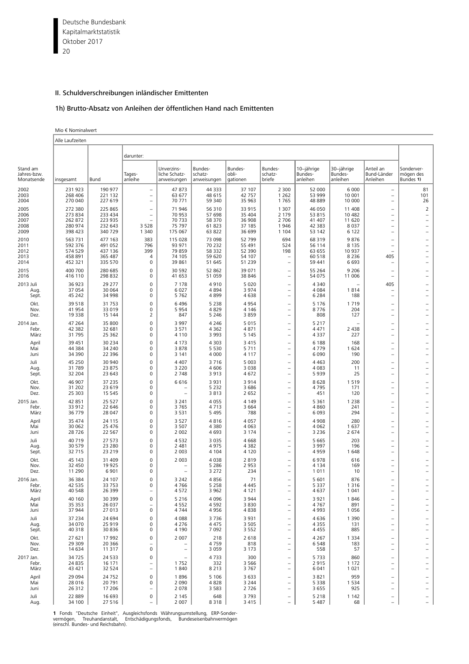Deutsche Bundesbank 20 Kapitalmarktstatistik Oktober 2017

# II. Schuldverschreibungen inländischer Emittenten

# 1h) Brutto-Absatz von Anleihen der öffentlichen Hand nach Emittenten

#### Mio € Nominalwert Ï

|                                       | Alle Laufzeiten                                     |                                                     |                                                      |                                                 |                                                |                                                |                                                                           |                                                |                                                  |                                                                                                                                          |                                                                                                                                |  |  |
|---------------------------------------|-----------------------------------------------------|-----------------------------------------------------|------------------------------------------------------|-------------------------------------------------|------------------------------------------------|------------------------------------------------|---------------------------------------------------------------------------|------------------------------------------------|--------------------------------------------------|------------------------------------------------------------------------------------------------------------------------------------------|--------------------------------------------------------------------------------------------------------------------------------|--|--|
|                                       |                                                     |                                                     | darunter:                                            |                                                 |                                                |                                                |                                                                           |                                                |                                                  |                                                                                                                                          |                                                                                                                                |  |  |
| Stand am<br>Jahres-bzw.<br>Monatsende | insgesamt                                           | Bund                                                | Tages-<br>anleihe                                    | Unverzins-<br>liche Schatz-<br>anweisungen      | Bundes-<br>schatz-<br>anweisungen              | Bundes-<br>obli-<br>gationen                   | Bundes-<br>schatz-<br>briefe                                              | 10-jährige<br>Bundes-<br>anleihen              | 30-jährige<br>Bundes-<br>anleihen                | Anteil an<br>Bund-Länder<br>Anleihen                                                                                                     | Sonderver-<br>mögen des<br>Bundes 1)                                                                                           |  |  |
| 2002                                  | 231 923                                             | 190 977                                             | $\overline{\phantom{0}}$                             | 47873                                           | 44 3 3 3                                       | 37 107                                         | 2 300                                                                     | 52 000                                         | 6 0 0 0                                          | $\overline{\phantom{a}}$                                                                                                                 | 81                                                                                                                             |  |  |
| 2003                                  | 268 406                                             | 221 132                                             | $\equiv$                                             | 63 677                                          | 48 615                                         | 42 757                                         | 1 2 6 2                                                                   | 53 999                                         | 10 001                                           | $\equiv$                                                                                                                                 | 101                                                                                                                            |  |  |
| 2004                                  | 270 040                                             | 227 619                                             | L,                                                   | 70 771                                          | 59 340                                         | 35 963                                         | 1765                                                                      | 48 889                                         | 10 000                                           | $\overline{\phantom{0}}$                                                                                                                 | 26                                                                                                                             |  |  |
| 2005<br>2006<br>2007<br>2008<br>2009  | 272 380<br>273 834<br>262 872<br>280 974<br>398 423 | 225 865<br>233 434<br>223 935<br>232 643<br>340 729 | $\overline{\phantom{0}}$<br>L,<br>3 5 2 8<br>1 3 4 0 | 71 946<br>70 953<br>70 733<br>75 797<br>175 067 | 56 310<br>57 698<br>58 370<br>61 823<br>63 822 | 33 915<br>35 404<br>36 908<br>37 185<br>36 699 | 1 3 0 7<br>2 1 7 9<br>2 7 0 6<br>1946<br>1 1 0 4                          | 46 050<br>53 815<br>41 407<br>42 383<br>53 142 | 11 408<br>10 482<br>11 620<br>8 0 3 7<br>6 1 2 2 | $\overline{\phantom{0}}$<br>$\overline{\phantom{0}}$<br>$\overline{\phantom{0}}$<br>$\overline{\phantom{0}}$<br>$\overline{\phantom{0}}$ | $\overline{2}$<br>$\overline{\phantom{0}}$<br>$\overline{\phantom{0}}$<br>$\overline{\phantom{0}}$<br>$\overline{\phantom{0}}$ |  |  |
| 2010                                  | 563 731                                             | 477 163                                             | 383                                                  | 115 028                                         | 73 098                                         | 52 799                                         | 694                                                                       | 68 319                                         | 9876                                             | $\overline{\phantom{0}}$                                                                                                                 | $\overline{\phantom{0}}$                                                                                                       |  |  |
| 2011                                  | 592 376                                             | 491 052                                             | 796                                                  | 93 971                                          | 70 232                                         | 55 491                                         | 524                                                                       | 56 114                                         | 8 1 3 5                                          | $\overline{\phantom{0}}$                                                                                                                 | $\overline{\phantom{0}}$                                                                                                       |  |  |
| 2012                                  | 574 529                                             | 437 136                                             | 399                                                  | 79859                                           | 58 332                                         | 52 390                                         | 198                                                                       | 63 655                                         | 10 937                                           | L.                                                                                                                                       | $\overline{\phantom{0}}$                                                                                                       |  |  |
| 2013                                  | 458 891                                             | 365 487                                             | 4                                                    | 74 105                                          | 59 620                                         | 54 107                                         | $\overline{\phantom{0}}$                                                  | 60 518                                         | 8 2 3 6                                          | 405                                                                                                                                      | $\overline{a}$                                                                                                                 |  |  |
| 2014                                  | 452 321                                             | 335 570                                             | $\mathbf 0$                                          | 39 861                                          | 51 645                                         | 51 239                                         | ÷                                                                         | 59 441                                         | 6 6 9 3                                          | $\overline{\phantom{0}}$                                                                                                                 | $\overline{\phantom{0}}$                                                                                                       |  |  |
| 2015                                  | 400 700                                             | 280 685                                             | $\mathbf 0$                                          | 30 592                                          | 52 862                                         | 39 071                                         | $\overline{\phantom{0}}$                                                  | 55 264                                         | 9 2 0 6                                          | $\overline{\phantom{0}}$                                                                                                                 | $\overline{\phantom{0}}$                                                                                                       |  |  |
| 2016                                  | 416 110                                             | 298 832                                             | 0                                                    | 41 653                                          | 51 059                                         | 38 846                                         | $\equiv$                                                                  | 54 075                                         | 11 006                                           | $\overline{\phantom{a}}$                                                                                                                 | $\overline{\phantom{0}}$                                                                                                       |  |  |
| 2013 Juli<br>Aug.<br>Sept.            | 36 923<br>37 054<br>45 242                          | 29 277<br>30 064<br>34 998                          | 0<br>0<br>0                                          | 7 1 7 8<br>6 0 27<br>5762                       | 4910<br>4 8 9 4<br>4899                        | 5 0 2 0<br>3 9 7 4<br>4638                     | $\overline{\phantom{0}}$<br>$\equiv$<br>$\overline{\phantom{0}}$          | 4 3 4 0<br>4 0 8 4<br>6 2 8 4                  | 1814<br>188                                      | 405<br>$\overline{\phantom{0}}$<br>$\overline{\phantom{0}}$                                                                              | $\overline{\phantom{0}}$<br>$\overline{\phantom{0}}$<br>$\overline{\phantom{0}}$                                               |  |  |
| Okt.<br>Nov.<br>Dez.                  | 39 518<br>41 954<br>19 3 38                         | 31 753<br>33 019<br>15 144                          | $\mathbf 0$<br>0<br>$\overline{2}$                   | 6496<br>5954<br>847                             | 5 2 3 8<br>4829<br>5 2 4 6                     | 4954<br>4 1 4 6<br>3859                        | $\qquad \qquad -$<br>$\qquad \qquad -$<br>$\overline{\phantom{0}}$        | 5 1 7 6<br>8776<br>808                         | 1719<br>204<br>127                               | $\overline{\phantom{0}}$<br>$\overline{\phantom{0}}$<br>$\overline{\phantom{0}}$                                                         | $\overline{\phantom{0}}$<br>$\overline{\phantom{0}}$                                                                           |  |  |
| 2014 Jan.<br>Febr.<br>März            | 47 264<br>42 382<br>31 795                          | 35 800<br>32 681<br>25 362                          | 0<br>0<br>$\Omega$                                   | 3 9 9 7<br>3 5 7 1<br>4 1 1 0                   | 4 2 4 6<br>4 3 6 2<br>3 9 9 3                  | 5 0 1 5<br>4871<br>5 1 4 5                     | $\equiv$<br>$\overline{\phantom{0}}$<br>$\qquad \qquad -$                 | 5 2 1 7<br>4 4 7 1<br>4 3 3 7                  | 2 4 3 8<br>227                                   | $\overline{\phantom{0}}$<br>$\overline{\phantom{0}}$<br>$\overline{\phantom{0}}$                                                         | $\overline{\phantom{0}}$<br>$\overline{\phantom{0}}$<br>$\overline{\phantom{0}}$                                               |  |  |
| April                                 | 39 45 1                                             | 30 234                                              | $\mathbf 0$                                          | 4 1 7 3                                         | 4 3 0 3                                        | 3 4 1 5                                        | $\qquad \qquad -$                                                         | 6 1 8 8                                        | 168                                              | $\overline{\phantom{0}}$                                                                                                                 | $\overline{\phantom{0}}$                                                                                                       |  |  |
| Mai                                   | 44 384                                              | 34 240                                              | 0                                                    | 3878                                            | 5 5 3 0                                        | 5 7 1 1                                        | $\overline{\phantom{0}}$                                                  | 4779                                           | 1 6 2 4                                          | $\overline{\phantom{0}}$                                                                                                                 | $\overline{a}$                                                                                                                 |  |  |
| Juni                                  | 34 390                                              | 22 3 96                                             | 0                                                    | 3 1 4 1                                         | 4 0 0 0                                        | 4 1 1 7                                        | $\equiv$                                                                  | 6 0 9 0                                        | 190                                              | $\rightarrow$                                                                                                                            | $\overline{\phantom{0}}$                                                                                                       |  |  |
| Juli<br>Aug.<br>Sept.                 | 45 250<br>31 789<br>32 204                          | 30 940<br>23 875<br>23 643                          | 0<br>0<br>0                                          | 4 4 0 7<br>3 2 2 0<br>2 7 4 8                   | 3716<br>4 6 0 6<br>3913                        | 5 0 0 3<br>3 0 3 8<br>4672                     | $\equiv$<br>$\equiv$<br>$\overline{\phantom{0}}$                          | 4 4 6 3<br>4 0 8 3<br>5939                     | 200<br>11<br>25                                  | $\overline{\phantom{0}}$<br>$\overline{\phantom{0}}$                                                                                     | $\overline{\phantom{0}}$<br>$\overline{\phantom{0}}$<br>$\overline{\phantom{0}}$                                               |  |  |
| Okt.<br>Nov.<br>Dez.                  | 46 907<br>31 202<br>25 303                          | 37 235<br>23 619<br>15 5 45                         | $\Omega$<br>$\mathbf 0$<br>0                         | 6616<br>$\equiv$                                | 3 9 3 1<br>5 2 3 2<br>3813                     | 3914<br>3 6 8 6<br>2 6 5 2                     | $\qquad \qquad -$<br>$\overline{\phantom{0}}$<br>$\overline{\phantom{0}}$ | 8628<br>4795<br>451                            | 1519<br>171<br>120                               | $\qquad \qquad -$<br>$\overline{\phantom{0}}$<br>$\overline{\phantom{0}}$                                                                | $\overline{\phantom{0}}$<br>$\overline{\phantom{0}}$<br>$\overline{\phantom{0}}$                                               |  |  |
| 2015 Jan.                             | 42 851                                              | 25 5 27                                             | $\overline{0}$                                       | 3 2 4 1                                         | 4 0 5 5                                        | 4 1 4 9                                        | $\equiv$                                                                  | 5 3 6 1                                        | 1 2 3 8                                          | $\overline{\phantom{0}}$                                                                                                                 | $\overline{\phantom{0}}$                                                                                                       |  |  |
| Febr.                                 | 33 912                                              | 22 646                                              | 0                                                    | 3765                                            | 4 7 1 3                                        | 3 6 6 4                                        | $\overline{\phantom{0}}$                                                  | 4860                                           | 241                                              | $\overline{\phantom{0}}$                                                                                                                 | $\overline{\phantom{0}}$                                                                                                       |  |  |
| März                                  | 36 779                                              | 28 047                                              | $\mathbf 0$                                          | 3 5 3 1                                         | 5 4 9 5                                        | 788                                            | $\overline{\phantom{0}}$                                                  | 6 0 9 3                                        | 294                                              | $\overline{\phantom{0}}$                                                                                                                 | $\overline{\phantom{0}}$                                                                                                       |  |  |
| April                                 | 35 47 4                                             | 24 115                                              | $\Omega$                                             | 3 5 2 7                                         | 4816                                           | 4 0 5 7                                        | $\overline{\phantom{0}}$                                                  | 4 9 0 8                                        | 280                                              | $\overline{\phantom{0}}$                                                                                                                 | $\overline{\phantom{0}}$                                                                                                       |  |  |
| Mai                                   | 30 062                                              | 25 476                                              | 0                                                    | 3 5 0 7                                         | 4 3 8 0                                        | 4 0 6 3                                        | $\qquad \qquad -$                                                         | 4 0 6 2                                        | 1 637                                            | $\overline{\phantom{0}}$                                                                                                                 | $\overline{\phantom{0}}$                                                                                                       |  |  |
| Juni                                  | 28726                                               | 22 5 67                                             | 0                                                    | 2 0 0 2                                         | 4 6 9 3                                        | 3 1 7 4                                        | $\equiv$                                                                  | 3 2 3 6                                        | 2 6 7 4                                          | $\overline{\phantom{a}}$                                                                                                                 | $\overline{\phantom{0}}$                                                                                                       |  |  |
| Juli                                  | 40 719                                              | 27 573                                              | 0                                                    | 4532                                            | 3 0 3 5                                        | 4 6 6 8                                        | $\qquad \qquad -$                                                         | 5 6 6 5                                        | 203                                              | $\overline{\phantom{0}}$                                                                                                                 | $\overline{\phantom{0}}$                                                                                                       |  |  |
| Aug.                                  | 30 579                                              | 23 280                                              | 0                                                    | 2 4 8 1                                         | 4975                                           | 4 3 8 2                                        | $\overline{\phantom{0}}$                                                  | 3 9 9 7                                        | 196                                              | $\overline{\phantom{0}}$                                                                                                                 | $\overline{\phantom{0}}$                                                                                                       |  |  |
| Sept.                                 | 32 715                                              | 23 219                                              | 0                                                    | 2 0 0 3                                         | 4 1 0 4                                        | 4 1 2 0                                        | $\overline{\phantom{0}}$                                                  | 4959                                           | 1648                                             | $\overline{\phantom{0}}$                                                                                                                 | $\overline{\phantom{0}}$                                                                                                       |  |  |
| Okt.<br>Nov.<br>Dez.                  | 45 143<br>32 450<br>11 290                          | 31 409<br>19 9 25<br>6 9 0 1                        | $\Omega$<br>0<br>0                                   | 2 0 0 3<br>L.                                   | 4 0 3 8<br>5 2 8 6<br>3 2 7 2                  | 2819<br>2 9 5 3<br>234                         | $\qquad \qquad -$<br>$\overline{\phantom{0}}$<br>$\equiv$                 | 6978<br>4 1 3 4<br>1011                        | 616<br>169<br>10                                 | $\overline{\phantom{0}}$<br>$\overline{\phantom{0}}$<br>$\overline{\phantom{0}}$                                                         | $\overline{\phantom{0}}$<br>$\overline{\phantom{0}}$                                                                           |  |  |
| 2016 Jan.<br>Febr.<br>März            | 36 384<br>42 535<br>40 548                          | 24 107<br>33 753<br>26 399                          | 0<br>0                                               | 3 2 4 2<br>4766<br>4572                         | 4856<br>5 2 5 8<br>3 9 6 2                     | 71<br>4 4 4 5<br>4 1 2 1                       | ۰<br>$\overline{\phantom{0}}$                                             | 5 601<br>5 3 3 7<br>4 637                      | 876<br>1 3 1 6<br>1 0 4 1                        | $\overline{\phantom{0}}$<br>$\equiv$                                                                                                     | $\overline{\phantom{0}}$<br>$\overline{a}$<br>$\overline{a}$                                                                   |  |  |
| April                                 | 40 160                                              | 30 399                                              | 0                                                    | 5 2 1 6                                         | 4 0 9 6                                        | 3 9 4 4                                        | $\overline{\phantom{0}}$                                                  | 3921                                           | 1846                                             | $\overline{\phantom{0}}$                                                                                                                 | $\overline{\phantom{0}}$                                                                                                       |  |  |
| Mai                                   | 35 35 3                                             | 26 037                                              | $\overline{\phantom{0}}$                             | 4552                                            | 4 5 9 2                                        | 3830                                           | $\qquad \qquad -$                                                         | 4767                                           | 891                                              | $\qquad \qquad -$                                                                                                                        |                                                                                                                                |  |  |
| Juni                                  | 37 944                                              | 27 013                                              | 0                                                    | 4744                                            | 4956                                           | 4838                                           | $\qquad \qquad -$                                                         | 4 9 9 3                                        | 1 0 5 6                                          | $\qquad \qquad -$                                                                                                                        |                                                                                                                                |  |  |
| Juli                                  | 37 234                                              | 24 694                                              | 0                                                    | 4 0 8 8                                         | 3736                                           | 3 9 3 1                                        | $\qquad \qquad -$                                                         | 4636                                           | 1 3 9 0                                          | $\qquad \qquad -$                                                                                                                        | $\overline{\phantom{0}}$                                                                                                       |  |  |
| Aug.                                  | 34 070                                              | 25 919                                              | 0                                                    | 4 2 7 6                                         | 4 4 7 5                                        | 3 5 0 5                                        | $\qquad \qquad -$                                                         | 4 3 5 5                                        | 131                                              | $\qquad \qquad -$                                                                                                                        | $\overline{\phantom{0}}$                                                                                                       |  |  |
| Sept.                                 | 40 318                                              | 30 836                                              | 0                                                    | 4 1 9 0                                         | 7 0 9 2                                        | 3 5 5 2                                        | $\qquad \qquad -$                                                         | 4 4 5 5                                        | 885                                              | $\qquad \qquad -$                                                                                                                        | $\overline{\phantom{0}}$                                                                                                       |  |  |
| Okt.                                  | 27 621                                              | 17 992                                              | 0                                                    | 2 0 0 7                                         | 218                                            | 2 6 1 8                                        | $\qquad \qquad -$                                                         | 4 2 6 7                                        | 1 3 3 4                                          | $\overline{\phantom{a}}$                                                                                                                 | $\overline{\phantom{0}}$                                                                                                       |  |  |
| Nov.                                  | 29 309                                              | 20 366                                              | $\overline{\phantom{0}}$                             | $\overline{\phantom{a}}$                        | 4759                                           | 818                                            | $\qquad \qquad -$                                                         | 6548                                           | 183                                              | $\overline{\phantom{a}}$                                                                                                                 | $\overline{\phantom{0}}$                                                                                                       |  |  |
| Dez.                                  | 14 634                                              | 11 317                                              | 0                                                    | $\overline{\phantom{a}}$                        | 3 0 5 9                                        | 3 1 7 3                                        | $\qquad \qquad -$                                                         | 558                                            | 57                                               | $\qquad \qquad -$                                                                                                                        | $\overline{\phantom{0}}$                                                                                                       |  |  |
| 2017 Jan.                             | 34725                                               | 24 5 33                                             | 0                                                    | $\overline{\phantom{m}}$                        | 4733                                           | 300                                            | $\qquad \qquad -$                                                         | 5733                                           | 860                                              | $\qquad \qquad -$                                                                                                                        | $\overline{\phantom{0}}$                                                                                                       |  |  |
| Febr.                                 | 24 8 35                                             | 16 171                                              | $\qquad \qquad -$                                    | 1752                                            | 332                                            | 3 5 6 6                                        | $\overline{\phantom{0}}$                                                  | 2915                                           | 1 1 7 2                                          | $\overline{\phantom{0}}$                                                                                                                 | $\overline{\phantom{0}}$                                                                                                       |  |  |
| März                                  | 43 421                                              | 32 524                                              | $\qquad \qquad -$                                    | 1840                                            | 8 2 1 3                                        | 3767                                           | $\qquad \qquad -$                                                         | 6 0 4 1                                        | 1 0 2 1                                          | $\overline{\phantom{a}}$                                                                                                                 | $\overline{\phantom{0}}$                                                                                                       |  |  |
| April                                 | 29 0 94                                             | 24 7 52                                             | 0                                                    | 1896                                            | 5 1 0 6                                        | 3 6 3 3                                        | $\qquad \qquad -$                                                         | 3821                                           | 959                                              | $\overline{\phantom{m}}$                                                                                                                 | $\overline{\phantom{0}}$                                                                                                       |  |  |
| Mai                                   | 28 016                                              | 20 791                                              | 0                                                    | 2 0 9 0                                         | 4828                                           | 3 2 4 4                                        | $\qquad \qquad -$                                                         | 5 3 3 8                                        | 1 5 3 4                                          | $\qquad \qquad -$                                                                                                                        | $\overline{\phantom{0}}$                                                                                                       |  |  |
| Juni                                  | 26 312                                              | 17 206                                              | $\overline{\phantom{0}}$                             | 2078                                            | 3 5 8 3                                        | 2726                                           | $\qquad \qquad -$                                                         | 3 6 5 5                                        | 925                                              | $\qquad \qquad -$                                                                                                                        | $\overline{\phantom{0}}$                                                                                                       |  |  |
| Juli                                  | 22 889                                              | 16 693                                              | 0                                                    | 2 1 4 5                                         | 648                                            | 3793                                           | $\qquad \qquad -$                                                         | 5 2 1 8                                        | 1 1 4 2                                          | $\qquad \qquad -$                                                                                                                        | -                                                                                                                              |  |  |
| Aug.                                  | 34 100                                              | 27 516                                              | $\overline{\phantom{0}}$                             | 2 0 0 7                                         | 8318                                           | 3 4 1 5                                        | ÷,                                                                        | 5 4 8 7                                        | 68                                               | ÷,                                                                                                                                       |                                                                                                                                |  |  |

**1** Fonds "Deutsche Einheit", Ausgleichsfonds Währungsumstellung, ERP-Sonder-<br>vermögen, Treuhandanstalt, Entschädigungsfonds, Bundeseisenbahnvermögen<br>(einschl. Bundes- und Reichsbahn).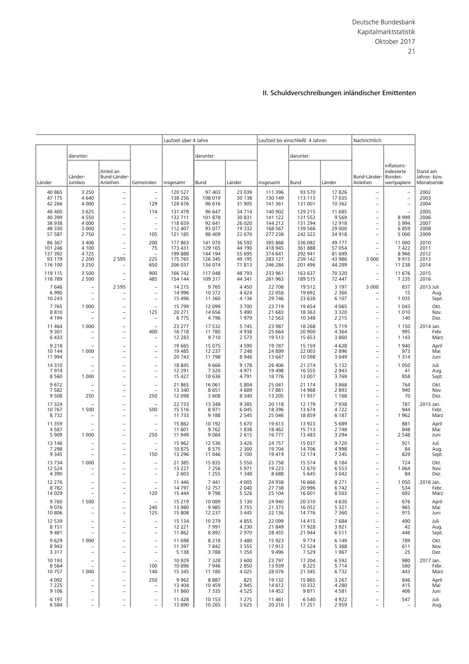|                               |                                                      |                                                                                  |                                                      | Laufzeit über 4 Jahre       |                           | Laufzeit bis einschließl. 4 Jahren |                             |                            | Nachrichtlich:             |                                                                    |                           |                            |
|-------------------------------|------------------------------------------------------|----------------------------------------------------------------------------------|------------------------------------------------------|-----------------------------|---------------------------|------------------------------------|-----------------------------|----------------------------|----------------------------|--------------------------------------------------------------------|---------------------------|----------------------------|
|                               | darunter:                                            |                                                                                  |                                                      |                             | darunter:                 |                                    |                             | darunter:                  |                            |                                                                    |                           |                            |
|                               |                                                      | Anteil an                                                                        |                                                      |                             |                           |                                    |                             |                            |                            |                                                                    | inflations-<br>indexierte | Stand am                   |
| Länder                        | Länder-<br>Jumbos                                    | Bund-Länder-<br>Anleihen                                                         | Gemeinden                                            | insgesamt                   | Bund                      | Länder                             | insgesamt                   | Bund                       | Länder                     | Bund-Länder<br>Anleihen                                            | Bundes-<br>wertpapiere    | Jahres- bzw.<br>Monatsende |
| 40 865                        | 3 2 5 0                                              | $\overline{\phantom{a}}$                                                         | $\qquad \qquad -$                                    | 120 527                     | 97 403                    | 23 039                             | 111 396                     | 93 570                     | 17826                      | $\qquad \qquad -$                                                  | $\overline{\phantom{0}}$  | 2002                       |
| 47 175                        | 4 6 4 0                                              | $\equiv$                                                                         | $\qquad \qquad -$                                    | 138 256                     | 108 019                   | 30 138                             | 130 149                     | 113 113                    | 17 035                     | $\overline{\phantom{0}}$                                           | $\overline{\phantom{0}}$  | 2003                       |
| 42 266                        | 4 0 0 0                                              | $\overline{\phantom{0}}$                                                         | 129                                                  | 128 676                     | 96 616                    | 31 905                             | 141 361                     | 131 001                    | 10 362                     | $\overline{\phantom{0}}$                                           | $\qquad \qquad -$         | 2004                       |
| 46 400                        | 3 6 2 5                                              | $\overline{\phantom{a}}$                                                         | 114                                                  | 131 479                     | 96 647                    | 34 714                             | 140 902                     | 129 215                    | 11 685                     | $\qquad \qquad -$                                                  | $\overline{\phantom{0}}$  | 2005                       |
| 40 399                        | 4 5 5 0                                              | $\overline{\phantom{0}}$                                                         | $\qquad \qquad -$                                    | 132 711                     | 101 878                   | 30 831                             | 141 122                     | 131 552                    | 9 5 6 9                    | $\overline{\phantom{0}}$                                           | 8999                      | 2006                       |
| 38 938                        | 4 0 0 0                                              | $\overline{\phantom{a}}$                                                         | $\qquad \qquad -$                                    | 118 659                     | 92 641                    | 26 020                             | 144 212                     | 131 294                    | 12 918                     | $\qquad \qquad -$                                                  | 5994                      | 2007                       |
| 48 3 3 0                      | 3 0 0 0                                              | $\qquad \qquad -$                                                                | $\overline{\phantom{0}}$                             | 112 407                     | 93 077                    | 19 3 32                            | 168 567                     | 139 566                    | 29 000                     | $\overline{\phantom{0}}$                                           | 6859                      | 2008                       |
| 57 587                        | 2 7 5 0                                              | $\overline{\phantom{0}}$                                                         | 105                                                  | 121 185                     | 98 409                    | 22 670                             | 277 238                     | 242 322                    | 34 918                     | $\overline{\phantom{0}}$                                           | 5 0 0 0                   | 2009                       |
| 86 367                        | 3 4 0 6                                              | $\overline{\phantom{a}}$                                                         | 200                                                  | 177 863                     | 141 070                   | 36 592                             | 385 868                     | 336 092                    | 49 777                     | $\overline{\phantom{0}}$                                           | 11 000                    | 2010                       |
| 101 246                       | 4 100                                                | $\equiv$                                                                         | 75                                                   | 173 431                     | 129 165                   | 44 190                             | 418 945                     | 361888                     | 57 054                     | ÷                                                                  | 7422                      | 2011                       |
| 137 392                       | 4725                                                 | $\overline{\phantom{0}}$                                                         | $\overline{\phantom{a}}$                             | 199 888                     | 144 194                   | 55 695                             | 374 641                     | 292 941                    | 81 699                     |                                                                    | 8966                      | 2012                       |
| 93 179                        | 2 2 0 0                                              | 2 5 9 5                                                                          | 225                                                  | 175 765                     | 126 345                   | 49 195                             | 283 127                     | 239 142                    | 43 986                     | 3 0 0 0                                                            | 9915                      | 2013                       |
| 116 100                       | 3 2 5 0                                              | ۰                                                                                | 650                                                  | 206 037                     | 134 074                   | 71 813                             | 246 284                     | 201 496                    | 44 289                     |                                                                    | 11 2 38                   | 2014                       |
| 119 115                       | 3 500                                                | $\overline{\phantom{a}}$                                                         | 900                                                  | 166 742                     | 117 048                   | 48 793                             | 233 961                     | 163 637                    | 70 320                     | $\overline{a}$                                                     | 11 676                    | 2015                       |
| 116 789                       | 2 500                                                | $\overline{\phantom{0}}$                                                         | 485                                                  | 154 144                     | 109 317                   | 44 341                             | 261 963                     | 189 515                    | 72 447                     | ÷                                                                  | 7 2 3 5                   | 2016                       |
| 7646<br>6990                  | $\overline{\phantom{0}}$<br>$\qquad \qquad -$        | 2 5 9 5                                                                          | $\overline{\phantom{0}}$<br>$\overline{\phantom{0}}$ | 14 215<br>14 9 96           | 9765<br>10 372            | 4 4 5 0<br>4 6 2 4                 | 22 708<br>22 058            | 19512<br>19 692            | 3 1 9 7<br>2 3 6 6         | 3 0 0 0                                                            | 837<br>15                 | 2013 Juli<br>Aug.          |
| 10 243                        | $\overline{\phantom{a}}$                             | $\overline{\phantom{0}}$                                                         | $\overline{\phantom{0}}$                             | 15 4 96                     | 11 360                    | 4 1 3 6                            | 29 746                      | 23 638                     | 6 1 0 7                    | $\overline{\phantom{0}}$                                           | 1 0 3 5                   | Sept.                      |
| 7765                          | 1 0 0 0                                              | $\qquad \qquad -$                                                                | $\overline{\phantom{0}}$                             | 15 799                      | 12 099                    | 3700                               | 23 7 19                     | 19 654                     | 4 0 6 5                    | $\overline{\phantom{0}}$                                           | 1 0 4 3                   | Okt.                       |
| 8810                          | $\overline{\phantom{a}}$                             | $\overline{\phantom{0}}$                                                         | 125                                                  | 20 271                      | 14 65 6                   | 5 4 9 0                            | 21 683                      | 18 3 63                    | 3 3 2 0                    | ÷                                                                  | 1010                      | Nov.                       |
| 4 1 9 4                       |                                                      | $\qquad \qquad -$                                                                | $\overline{\phantom{0}}$                             | 6775                        | 4796                      | 1979                               | 12 5 63                     | 10 348                     | 2 2 1 5                    | $\qquad \qquad -$                                                  | 140                       | Dez.                       |
| 11 4 6 4                      | 1 0 0 0                                              | $\overline{\phantom{0}}$                                                         | $\equiv$                                             | 23 277                      | 17 532                    | 5 7 4 5                            | 23 987                      | 18 2 68                    | 5719                       | $\overline{\phantom{0}}$                                           | 1 1 5 0                   | 2014 Jan.                  |
| 9 3 0 1                       |                                                      | $\qquad \qquad -$                                                                | 400                                                  | 16 718                      | 11 780                    | 4938                               | 25 664                      | 20 900                     | 4 3 6 4                    | $\overline{\phantom{0}}$                                           | 995                       | Febr.                      |
| 6433                          | $\overline{\phantom{0}}$                             | $\overline{\phantom{m}}$                                                         | $\overline{\phantom{0}}$                             | 12 2 8 3                    | 9710                      | 2 5 7 3                            | 19513                       | 15 653                     | 3 8 6 0                    | $\overline{\phantom{0}}$                                           | 1 1 4 3                   | März                       |
| 9 2 1 8                       | 1 0 0 0                                              | $\qquad \qquad -$                                                                | $\overline{\phantom{0}}$                             | 19 665                      | 15 075                    | 4 5 9 0                            | 19 787                      | 15 15 9                    | 4628                       | $\overline{a}$                                                     | 1940                      | April                      |
| 10 144                        |                                                      | $\overline{\phantom{0}}$                                                         | $\overline{\phantom{0}}$                             | 19 485                      | 12 2 3 7                  | 7 2 4 8                            | 24 8 99                     | 22 003                     | 2896                       | $\overline{\phantom{0}}$                                           | 973                       | Mai                        |
| 11 994                        | $\overline{\phantom{0}}$                             | $\overline{\phantom{0}}$                                                         | $\overline{\phantom{0}}$                             | 20 743                      | 11798                     | 8 9 4 6                            | 13 647                      | 10 5 98                    | 3 0 4 9                    | $\overline{\phantom{0}}$                                           | 1 3 1 4                   | Juni                       |
| 14 3 10                       |                                                      | $\equiv$                                                                         | $\overline{\phantom{0}}$                             | 18 845                      | 9666                      | 9 1 7 8                            | 26 40 6                     | 21 274                     | 5 1 3 2                    | $\equiv$                                                           | 1 0 5 0                   | Juli                       |
| 7914                          | $\equiv$                                             | $\overline{\phantom{0}}$                                                         | $\qquad \qquad -$                                    | 12 291                      | 7 3 2 0                   | 4971                               | 19 4 98                     | 16 555                     | 2 9 4 3                    | $\overline{\phantom{0}}$                                           | 41                        | Aug.                       |
| 8560                          | 1 0 0 0                                              | $\overline{\phantom{0}}$                                                         | $\overline{\phantom{0}}$                             | 15 427                      | 10 636                    | 4791                               | 16 776                      | 13 007                     | 3769                       | $\overline{\phantom{0}}$                                           | 858                       | Sept.                      |
| 9672                          |                                                      | $\qquad \qquad -$                                                                | $\overline{\phantom{0}}$                             | 21 865                      | 16 061                    | 5 8 0 4                            | 25 041                      | 21 174                     | 3868                       | $\overline{\phantom{0}}$                                           | 764                       | Okt.                       |
| 7 5 8 2                       |                                                      | $\overline{\phantom{a}}$                                                         | $\overline{\phantom{0}}$                             | 13 340                      | 8651                      | 4689                               | 17861                       | 14 9 68                    | 2 8 9 3                    | $\overline{\phantom{0}}$                                           | 940                       | Nov.                       |
| 9508                          | 250                                                  | $\qquad \qquad -$                                                                | 250                                                  | 12 098                      | 3 6 0 8                   | 8 3 4 0                            | 13 205                      | 11 937                     | 1 1 6 8                    | $\qquad \qquad -$                                                  | 70                        | Dez.                       |
| 17 324<br>10 767<br>8732      | 1 500                                                | $\qquad \qquad -$<br>$\qquad \qquad -$<br>$\equiv$                               | 500<br>$\overline{\phantom{0}}$                      | 22 733<br>15 5 16<br>11 733 | 13 348<br>8971<br>9 1 8 8 | 9 3 8 5<br>6 0 4 5<br>2 5 4 5      | 20 118<br>18 3 96<br>25 046 | 12 179<br>13 674<br>18859  | 7938<br>4722<br>6 187      | $\overline{\phantom{0}}$<br>÷,<br>$\qquad \qquad -$                | 787<br>944<br>1962        | 2015 Jan.<br>Febr.<br>März |
| 11 359                        | $\qquad \qquad -$                                    | $\overline{\phantom{0}}$                                                         | $\qquad \qquad -$                                    | 15 862                      | 10 192                    | 5 670                              | 19613                       | 13 923                     | 5 6 8 9                    | $\qquad \qquad -$                                                  | 881                       | April                      |
| 4587                          | $\equiv$                                             | $\overline{\phantom{0}}$                                                         | $\overline{\phantom{0}}$                             | 11 601                      | 9762                      | 1838                               | 18 4 62                     | 15 7 13                    | 2 7 4 8                    | $\overline{\phantom{0}}$                                           | 848                       | Mai                        |
| 5 9 0 9                       | 1 0 0 0                                              | $\overline{\phantom{0}}$                                                         | 250                                                  | 11 949                      | 9084                      | 2 6 1 5                            | 16777                       | 13 4 83                    | 3 2 9 4                    | ÷                                                                  | 2 5 4 8                   | Juni                       |
| 13 14 6                       | $\overline{\phantom{0}}$                             | $\qquad \qquad -$                                                                | $\qquad \qquad -$                                    | 15 962                      | 12 5 36                   | 3 4 2 6                            | 24 757                      | 15 037                     | 9720                       | $\qquad \qquad -$                                                  | 921                       | Juli                       |
| 7 2 9 8                       | $\qquad \qquad -$                                    | $\qquad \qquad -$                                                                |                                                      | 10875                       | 8575                      | 2 3 0 0                            | 19 704                      | 14 70 6                    | 4 9 9 8                    | $\overline{\phantom{0}}$                                           | 84                        | Aug.                       |
| 9 3 4 5                       | $\overline{\phantom{a}}$                             | $\overline{\phantom{0}}$                                                         | 150                                                  | 13 2 9 6                    | 11 046                    | 2 100                              | 19419                       | 12 174                     | 7 2 4 5                    | $\qquad \qquad -$                                                  | 829                       | Sept.                      |
| 13734                         | 1 0 0 0                                              | $\qquad \qquad -$                                                                | $\overline{\phantom{0}}$                             | 21 385                      | 15 8 35                   | 5 5 5 0                            | 23 758                      | 15 574                     | 8 1 8 4                    | $\overline{\phantom{0}}$                                           | 724                       | Okt.                       |
| 12 5 24                       | $\overline{\phantom{0}}$                             | $\qquad \qquad -$                                                                | $\qquad \qquad -$                                    | 13 227                      | 7 2 5 6                   | 5 9 7 1                            | 19 2 23                     | 12 670                     | 6 5 5 3                    | $\overline{\phantom{0}}$                                           | 1 0 6 4                   | Nov.                       |
| 4 3 9 0                       | $\overline{\phantom{0}}$                             | $\qquad \qquad -$                                                                | $\qquad \qquad -$                                    | 2 603                       | 1 2 5 5                   | 1 3 4 8                            | 8688                        | 5 6 4 5                    | 3 0 4 2                    | ÷                                                                  | 84                        | Dez.                       |
| 12 2 7 6                      | $\overline{\phantom{m}}$                             | $\overline{\phantom{0}}$                                                         | $\overline{\phantom{0}}$                             | 11 446                      | 7441                      | 4 0 0 5                            | 24 938                      | 16 666                     | 8 2 7 1                    | $\overline{\phantom{0}}$                                           | 1 0 5 0                   | 2016 Jan.                  |
| 8782<br>14 0 29               | $\overline{\phantom{m}}$                             | $\overline{\phantom{a}}$                                                         | 120                                                  | 14797<br>15 4 44            | 12 757<br>9798            | 2 0 4 0<br>5 5 2 6                 | 27 738<br>25 104            | 20 996<br>16 601           | 6742<br>8 5 0 3            | $\qquad \qquad -$                                                  | 534<br>692                | Febr.<br>März              |
| 9760                          | 1 500                                                | $\overline{\phantom{a}}$                                                         | $\qquad \qquad -$                                    | 15 219                      | 10 089                    | 5 1 3 0                            | 24 940                      | 20 310                     | 4 6 3 0                    | $\qquad \qquad -$                                                  | 676                       | April                      |
| 9076                          | $\overline{\phantom{0}}$                             | $\overline{\phantom{a}}$                                                         | 240                                                  | 13 980                      | 9985                      | 3755                               | 21 373                      | 16 052                     | 5 3 2 1                    | $\qquad \qquad -$                                                  | 965                       | Mai                        |
| 10806                         | $\overline{\phantom{a}}$                             | $\overline{\phantom{a}}$                                                         | 125                                                  | 15 808                      | 12 2 3 7                  | 3 4 4 5                            | 22 136                      | 14 7 7 6                   | 7 3 6 0                    | $\qquad \qquad -$                                                  | 915                       | Juni                       |
| 12 5 3 9                      | $\qquad \qquad -$                                    | $\overline{\phantom{a}}$                                                         | $\qquad \qquad -$                                    | 15 134                      | 10 279                    | 4855                               | 22 099                      | 14 4 15                    | 7 6 8 4                    | $\equiv$                                                           | 490                       | Juli                       |
| 8 1 5 1                       | $\overline{\phantom{m}}$                             | $\overline{\phantom{a}}$                                                         | $\overline{\phantom{0}}$                             | 12 2 2 1                    | 7991                      | 4 2 3 0                            | 21 849                      | 17928                      | 3 9 2 1                    | $\qquad \qquad -$                                                  | 42                        | Aug.                       |
| 9 4 8 1                       | $\overline{\phantom{a}}$                             | $\overline{\phantom{a}}$                                                         | $\overline{\phantom{0}}$                             | 11862                       | 8892                      | 2 9 7 0                            | 28 4 55                     | 21 944                     | 6511                       | $\qquad \qquad -$                                                  | 446                       | Sept.                      |
| 9629                          | 1 0 0 0                                              | $\overline{\phantom{a}}$                                                         | $\qquad \qquad -$                                    | 11 698                      | 8 2 1 8                   | 3 4 8 0                            | 15 923                      | 9774                       | 6 1 4 9                    | $\overline{\phantom{0}}$                                           | 789                       | Okt.                       |
| 8943                          | $\overline{\phantom{a}}$                             | $\overline{\phantom{a}}$                                                         | $\overline{\phantom{a}}$                             | 11 397                      | 7842                      | 3 5 5 5                            | 17912                       | 12 5 24                    | 5 3 8 8                    | $\qquad \qquad -$                                                  | 611                       | Nov.                       |
| 3 3 1 7                       | $\overline{\phantom{a}}$                             | $\overline{\phantom{0}}$                                                         | $\overline{\phantom{m}}$                             | 5 1 3 8                     | 3788                      | 1 3 5 0                            | 9496                        | 7 5 2 9                    | 1967                       | $\qquad \qquad -$                                                  | 25                        | Dez.                       |
| 10 193                        | $\overline{\phantom{a}}$                             | $\overline{\phantom{a}}$                                                         | $\overline{\phantom{a}}$                             | 10 929                      | 7 3 2 8                   | 3 600                              | 23 797                      | 17 204                     | 6 5 9 2                    | $\qquad \qquad -$                                                  | 980                       | 2017 Jan.                  |
| 8 5 6 4                       | $\overline{\phantom{a}}$                             | $\overline{\phantom{a}}$                                                         | 100                                                  | 10896                       | 7946                      | 2850                               | 13 939                      | 8 2 2 5                    | 5 7 1 4                    | $\qquad \qquad -$                                                  | 560                       | Febr.                      |
| 10757                         | 1 0 0 0                                              | $\overline{\phantom{a}}$                                                         | 140                                                  | 15 345                      | 11 180                    | 4 0 2 5                            | 28 0 76                     | 21 345                     | 6732                       | $\qquad \qquad -$                                                  | 443                       | März                       |
| 4 0 9 2<br>7 2 2 5<br>9 1 0 6 | $\overline{\phantom{a}}$<br>$\overline{\phantom{m}}$ | $\overline{\phantom{a}}$<br>$\overline{\phantom{a}}$<br>$\overline{\phantom{a}}$ | 250<br>$\qquad \qquad -$<br>$\qquad \qquad -$        | 9 9 6 2<br>13 4 04<br>11860 | 8887<br>10 459<br>7 3 3 5 | 825<br>2 9 4 5<br>4 5 2 5          | 19 132<br>14 612<br>14 4 52 | 15 8 65<br>10 3 32<br>9871 | 3 2 6 7<br>4 2 8 0<br>4581 | $\qquad \qquad -$<br>$\qquad \qquad -$<br>$\overline{\phantom{0}}$ | 846<br>415<br>406         | April<br>Mai<br>Juni       |
| 6 1 9 7                       | $\overline{\phantom{a}}$                             | $\overline{\phantom{a}}$                                                         | $\qquad \qquad -$                                    | 11 428                      | 10 153                    | 1 2 7 5                            | 11 4 61                     | 6 5 4 0                    | 4922                       | $\overline{\phantom{0}}$                                           | 547                       | Juli                       |
| 6584                          | $\equiv$                                             | $\overline{\phantom{0}}$                                                         | $\overline{\phantom{0}}$                             | 13 890                      | 10 265                    | 3 6 2 5                            | 20 210                      | 17 25 1                    | 2 9 5 9                    | $\overline{\phantom{0}}$                                           | L,                        | Aug.                       |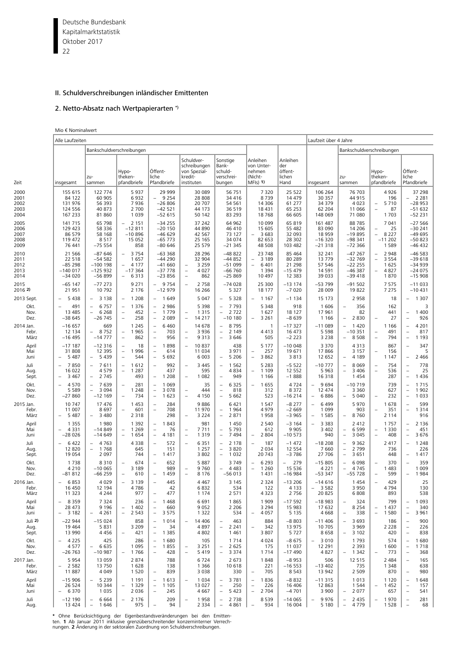Deutsche Bundesbank 22 Kapitalmarktstatistik Oktober 2017

# II. Schuldverschreibungen inländischer Emittenten

# 2. Netto-Absatz nach Wertpapierarten \*)

|                                      | Alle Laufzeiten                                            |                                                                                     |                                                                                                                   |                                                                                                                 |                                                                                                                                     |                                                                                                                |                                                                                                     |                                                       | Laufzeit über 4 Jahre                                                                 |                                                                                                                   |                                                                                                                         |                                                                                                               |
|--------------------------------------|------------------------------------------------------------|-------------------------------------------------------------------------------------|-------------------------------------------------------------------------------------------------------------------|-----------------------------------------------------------------------------------------------------------------|-------------------------------------------------------------------------------------------------------------------------------------|----------------------------------------------------------------------------------------------------------------|-----------------------------------------------------------------------------------------------------|-------------------------------------------------------|---------------------------------------------------------------------------------------|-------------------------------------------------------------------------------------------------------------------|-------------------------------------------------------------------------------------------------------------------------|---------------------------------------------------------------------------------------------------------------|
|                                      |                                                            |                                                                                     | Bankschuldverschreibungen                                                                                         |                                                                                                                 |                                                                                                                                     |                                                                                                                |                                                                                                     |                                                       |                                                                                       |                                                                                                                   | Bankschuldverschreibungen                                                                                               |                                                                                                               |
| Zeit                                 | insgesamt                                                  | zu-<br>sammen                                                                       | Hypo-<br>theken-<br>pfandbriefe                                                                                   | Öffent-<br>liche<br>Pfandbriefe                                                                                 | Schuldver-<br>schreibungen<br>von Spezial-<br>kredit-<br>instituten                                                                 | Sonstige<br>Bank-<br>schuld-<br>verschrei-<br>bungen                                                           | Anleihen<br>von Unter-<br>nehmen<br>(Nicht-<br>$MF(s)$ 1)                                           | Anleihen<br>der<br>öffent-<br>lichen<br>Hand          | insgesamt                                                                             | zu-<br>sammen                                                                                                     | Hypo-<br>theken-<br>pfandbriefe                                                                                         | Öffent-<br>liche<br>Pfandbriefe                                                                               |
| 2000<br>2001<br>2002<br>2003<br>2004 | 155 615<br>84 122<br>131 976<br>124 556<br>167 233         | 122 774<br>60 905<br>56 393<br>40 873<br>81 860                                     | 5937<br>6932<br>7936<br>2 700<br>1 0 3 9                                                                          | 29 999<br>9 2 5 4<br>$-26806$<br>$-42521$<br>$-52615$                                                           | 30 089<br>28 808<br>20 707<br>44 173<br>50 142                                                                                      | 56 751<br>34 416<br>54 561<br>36 519<br>83 293                                                                 | 7 3 2 0<br>8739<br>14 30 6<br>18 4 31<br>18768                                                      | 25 5 22<br>14 4 7 9<br>61 277<br>65 2 53<br>66 605    | 106 264<br>30 357<br>34 379<br>62 204<br>148 069                                      | 76 703<br>44 915<br>4 0 2 3<br>11 066<br>71 080                                                                   | 4926<br>196<br>5710<br>$\overline{\phantom{a}}$<br>$\overline{a}$<br>87<br>1703                                         | 37 298<br>2 2 8 1<br>$-28953$<br>$-51632$<br>$-52231$                                                         |
| 2005<br>2006<br>2007<br>2008<br>2009 | 141 715<br>129 423<br>86 579<br>119 472<br>76 441          | 65 798<br>58 336<br>58 168<br>8517<br>$-75554$                                      | $-2151$<br>$-12811$<br>$-10896$<br>15 0 52<br>858                                                                 | $-34255$<br>$-20150$<br>$-46629$<br>$-65773$<br>$-80646$                                                        | 37 242<br>44 890<br>42 5 67<br>25 165<br>25 579                                                                                     | 64 962<br>46 410<br>73 127<br>34 074<br>$-21345$                                                               | 10 099<br>15 605<br>3683<br>$\overline{\phantom{a}}$<br>82 653<br>48 508                            | 65 819<br>55 482<br>32 093<br>28 302<br>103 482       | 161 487<br>83 090<br>18 959<br>$-16320$<br>$-21318$                                   | 88785<br>14 20 6<br>$-19895$<br>$-98341$<br>$-72,366$                                                             | 7 0 41<br>25<br>$\overline{\phantom{0}}$<br>$\overline{\phantom{0}}$<br>8 2 2 7<br>$-11202$<br>1589                     | $-27566$<br>$-30241$<br>$-49695$<br>$-50823$<br>-46 432                                                       |
| 2010<br>2011<br>2012<br>2013<br>2014 | 21 5 66<br>22 518<br>$-85298$<br>$-140017$<br>$-34020$     | $-87646$<br>$-54582$<br>$-100$ 198<br>$-125932$<br>$-56899$                         | 3 7 5 4<br>$\overline{\phantom{a}}$<br>1 657<br>4 1 7 7<br>$\overline{\phantom{a}}$<br>$-17364$<br>6 3 1 3<br>$-$ | $-63368$<br>$-44290$<br>$-41660$<br>$-37778$<br>$-23856$                                                        | 28 2 9 6<br>32 904<br>3 2 5 9<br>$\overline{\phantom{a}}$<br>4 0 2 7<br>$\overline{\phantom{a}}$<br>862<br>$\overline{\phantom{a}}$ | $-48822$<br>$-44852$<br>$-51099$<br>$-66760$<br>$-25869$                                                       | 23 748<br>3 1 8 9<br>6 4 0 1<br>$\overline{\phantom{a}}$<br>1 3 9 4<br>10 497                       | 85 4 64<br>80 289<br>21 2 9 8<br>$-15479$<br>12 3 8 3 | 32 241<br>13 779<br>57 546<br>14 5 91<br>39 033                                       | $-47267$<br>$-32769$<br>$-22255$<br>$-46387$<br>$-39418$                                                          | 2 9 4 8<br>$\qquad \qquad -$<br>3 5 5 4<br>$\overline{\phantom{a}}$<br>1625<br>4827<br>$\overline{\phantom{a}}$<br>1870 | $-46583$<br>$-39618$<br>$-34939$<br>$-24075$<br>$-15908$                                                      |
| 2015<br>2016 2)                      | $-65$ 147<br>21 951                                        | $-772273$<br>10792                                                                  | 9 2 7 1<br>2 1 7 6                                                                                                | 9 7 5 4<br>$\overline{\phantom{0}}$<br>$-12979$                                                                 | 2 7 5 8<br>$\overline{\phantom{a}}$<br>16 26 6                                                                                      | $-74028$<br>5 3 2 7                                                                                            | 25 300<br>18 177                                                                                    | $-13174$<br>$-7020$                                   | -53 799<br>28 009                                                                     | $-91502$<br>19822                                                                                                 | 7575<br>7 2 7 5                                                                                                         | $-11033$<br>$-10431$                                                                                          |
| 2013 Sept.                           | 5 4 3 8                                                    | 3 1 3 8<br>$\overline{\phantom{a}}$                                                 | 1 2 0 8<br>$\overline{\phantom{a}}$                                                                               | 1 6 4 9<br>$\overline{\phantom{a}}$                                                                             | 5 0 4 7                                                                                                                             | 5 3 2 8<br>$-$                                                                                                 | 1 1 6 7<br>$\overline{\phantom{a}}$                                                                 | $-1134$                                               | 15 173                                                                                | 2 9 5 8                                                                                                           | 18                                                                                                                      | 1 3 0 7                                                                                                       |
| Okt.<br>Nov.<br>Dez.                 | 491<br>13 4 85<br>$-38645$                                 | 6757<br>$\overline{\phantom{a}}$<br>6 2 6 8<br>$\overline{\phantom{a}}$<br>$-26745$ | 1 3 7 6<br>$\overline{\phantom{0}}$<br>452<br>$\qquad \qquad -$<br>258<br>$\overline{\phantom{0}}$                | 2 9 8 6<br>$\overline{\phantom{a}}$<br>1779<br>$\overline{\phantom{a}}$<br>2 0 8 9<br>$\overline{\phantom{a}}$  | 5 3 9 8<br>1 3 1 5<br>$\overline{\phantom{a}}$<br>14 2 17<br>$\equiv$                                                               | 7 7 9 3<br>$\overline{\phantom{a}}$<br>2 7 2 2<br>$\overline{\phantom{a}}$<br>$-10180$                         | 5 3 4 8<br>1627<br>3 2 6 1                                                                          | 918<br>18 127<br>$-8639$                              | 1606<br>17 961<br>1 1 6 6                                                             | 356<br>$\overline{\phantom{a}}$<br>82<br>2830                                                                     | 162<br>441<br>27<br>$\overline{\phantom{a}}$                                                                            | 3<br>1 4 0 0<br>$\qquad \qquad -$<br>926                                                                      |
| 2014 Jan.<br>Febr.<br>März           | $-16657$<br>12 134<br>$-16495$                             | 669<br>8752<br>$-14777$                                                             | 1 2 4 5<br>1965<br>862<br>$\qquad \qquad -$                                                                       | 6460<br>$\overline{\phantom{a}}$<br>703<br>$\overline{\phantom{a}}$<br>956<br>$\overline{\phantom{m}}$          | 14 678<br>3936<br>$\qquad \qquad -$<br>$\equiv$<br>9313                                                                             | 8795<br>$\overline{\phantom{0}}$<br>2 1 4 9<br>$\overline{\phantom{a}}$<br>3 6 4 6<br>$\overline{\phantom{0}}$ | 1<br>4413<br>505                                                                                    | $-17327$<br>16 473<br>$-2223$                         | $-11089$<br>5 5 9 8<br>3 2 3 8                                                        | 1420<br>$-10351$<br>8508                                                                                          | 1 1 6 6<br>491<br>$\overline{\phantom{a}}$<br>794<br>$\overline{\phantom{a}}$                                           | 4 2 0 1<br>$\overline{\phantom{a}}$<br>817<br>$\overline{\phantom{a}}$<br>1 1 9 3<br>$\overline{\phantom{0}}$ |
| April<br>Mai<br>Juni                 | $-17187$<br>31 808<br>5 4 8 7<br>$\qquad \qquad -$         | $-12316$<br>12 3 9 5<br>5439                                                        | 18<br>$\qquad \qquad -$<br>1996<br>$\overline{\phantom{0}}$<br>544<br>$\overline{\phantom{0}}$                    | 1898<br>$\overline{\phantom{a}}$<br>$\overline{\phantom{a}}$<br>614<br>5 6 9 2<br>$\overline{\phantom{a}}$      | 10837<br>$\overline{\phantom{a}}$<br>11 0 34<br>6 0 0 3                                                                             | 438<br>3 9 7 1<br>5 2 0 6<br>$\overline{\phantom{a}}$                                                          | 5 1 7 7<br>257<br>$\overline{\phantom{a}}$<br>3862<br>$\equiv$                                      | $-100048$<br>19671<br>3813                            | 3 3 7 0<br>17866<br>12 652                                                            | 4313<br>3 1 5 7<br>4 1 8 9<br>$\overline{\phantom{0}}$                                                            | 867<br>156<br>$\qquad \qquad -$<br>1 1 4 7                                                                              | 347<br>$\overline{\phantom{a}}$<br>5<br>2 4 6 6<br>$\overline{\phantom{m}}$                                   |
| Juli<br>Aug.<br>Sept.                | 7850<br>$\overline{\phantom{0}}$<br>16 022<br>3 4 6 7      | 7611<br>$\overline{\phantom{m}}$<br>4579<br>2 7 4 5<br>$\overline{\phantom{a}}$     | 1612<br>$\overline{\phantom{a}}$<br>1 2 8 7<br>$\overline{\phantom{0}}$<br>493                                    | 992<br>$\overline{\phantom{a}}$<br>437<br>1 2 0 8<br>$\overline{\phantom{a}}$                                   | 3 4 4 5<br>$\qquad \qquad -$<br>595<br>1 0 8 2<br>$\qquad \qquad -$                                                                 | 1 5 6 2<br>$\overline{\phantom{a}}$<br>4834<br>949<br>$\qquad \qquad -$                                        | 5 2 8 3<br>1 1 0 9<br>1 1 6 6                                                                       | $-5522$<br>12 5 52<br>$-1888$                         | $-10777$<br>5 9 6 3<br>16 318                                                         | 8 0 6 9<br>$\overline{\phantom{a}}$<br>$\overline{\phantom{a}}$<br>3 4 0 6<br>1454                                | 754<br>$\overline{\phantom{a}}$<br>536<br>$\overline{\phantom{a}}$<br>287                                               | 778<br>$\overline{\phantom{a}}$<br>25<br>$\overline{\phantom{m}}$<br>$\overline{\phantom{a}}$<br>1436         |
| Okt.<br>Nov.<br>Dez.                 | 4570<br>5 5 8 9<br>$-27860$                                | 7639<br>$\equiv$<br>3 0 9 4<br>$-12169$                                             | 281<br>$\qquad \qquad -$<br>1 2 4 8<br>734                                                                        | 1 0 6 9<br>$\overline{\phantom{a}}$<br>3 0 7 8<br>$\overline{\phantom{a}}$<br>1 623<br>$\overline{\phantom{a}}$ | 35<br>444<br>$\qquad \qquad -$<br>4 1 5 0<br>Ē,                                                                                     | 6 3 2 5<br>$\overline{\phantom{a}}$<br>818<br>5 6 6 2                                                          | 1655<br>$\overline{\phantom{a}}$<br>312<br>523                                                      | 4724<br>8372<br>$-16214$                              | 9694<br>$\overline{\phantom{a}}$<br>12 474<br>6886<br>$\qquad \qquad -$               | $-10719$<br>3 3 6 0<br>5 0 4 0                                                                                    | 739<br>627<br>232<br>$\overline{\phantom{a}}$                                                                           | 1715<br>$\overline{\phantom{0}}$<br>1 9 0 2<br>1 0 3 3<br>$\overline{\phantom{0}}$                            |
| 2015 Jan.<br>Febr.<br>März           | 10 747<br>11 007<br>5 4 8 7                                | 17 476<br>8697<br>3 4 8 0                                                           | 1 4 5 3<br>601<br>2 3 1 8                                                                                         | 284<br>$\overline{\phantom{a}}$<br>708<br>$\overline{\phantom{a}}$<br>298                                       | 9886<br>11970<br>3 2 2 4<br>$\qquad \qquad -$                                                                                       | 6 4 2 1<br>1964<br>$\overline{\phantom{a}}$<br>2 8 7 1                                                         | 1 5 4 7<br>4979<br>1958                                                                             | $-8277$<br>$-2669$<br>$-3965$                         | 6 4 9 9<br>$\overline{\phantom{a}}$<br>1 0 9 9<br>1 5 8 5<br>$\overline{\phantom{a}}$ | 5970<br>903<br>8760                                                                                               | 1678<br>351<br>$\overline{\phantom{a}}$<br>2 1 1 4                                                                      | 599<br>$\overline{\phantom{m}}$<br>1 3 1 4<br>916                                                             |
| April<br>Mai<br>Juni                 | 1 3 5 5<br>4 3 3 1<br>$\overline{\phantom{0}}$<br>$-28026$ | 1980<br>$-14849$<br>$-14649$                                                        | 1 3 9 2<br>1 2 6 9<br>$\overline{\phantom{0}}$<br>1654<br>$\overline{\phantom{a}}$                                | 1843<br>$\overline{\phantom{a}}$<br>$\overline{\phantom{a}}$<br>76<br>4 1 8 1<br>$\overline{\phantom{a}}$       | 981<br>7711<br>$\qquad \qquad -$<br>1 3 1 9<br>$\overline{\phantom{a}}$                                                             | 1 4 5 0<br>5 7 9 3<br>$\overline{\phantom{a}}$<br>7 4 9 4<br>$\overline{\phantom{a}}$                          | 2 5 4 0<br>612<br>2 8 0 4<br>$\overline{\phantom{a}}$                                               | $-3164$<br>9 9 0 5<br>$-10573$                        | 3 3 8 3<br>$\equiv$<br>3 4 0 2<br>940                                                 | 2 4 1 2<br>6 5 9 9<br>$\overline{\phantom{a}}$<br>3 0 4 5<br>$\equiv$                                             | 1757<br>1 3 3 0<br>$\overline{\phantom{a}}$<br>408<br>$\overline{\phantom{a}}$                                          | 2 1 3 6<br>$\overline{\phantom{a}}$<br>$\overline{\phantom{a}}$<br>451<br>$\overline{\phantom{a}}$<br>3676    |
| Juli<br>Aug.<br>Sept.                | 6422<br>12 820<br>19 0 54                                  | 4763<br>$\overline{\phantom{a}}$<br>1768<br>$\overline{\phantom{a}}$<br>2 0 9 7     | 4 3 3 8<br>645<br>744                                                                                             | 572<br>$\overline{\phantom{a}}$<br>151<br>1417<br>$\overline{\phantom{a}}$                                      | 6 3 5 1<br>$\qquad \qquad -$<br>1 2 5 7<br>3 8 0 2                                                                                  | 2 1 7 8<br>$\overline{\phantom{a}}$<br>3820<br>$\overline{\phantom{a}}$<br>1 0 3 2<br>$\overline{\phantom{a}}$ | 187<br>$\overline{\phantom{a}}$<br>2 0 3 4<br>20 743                                                | $-1472$<br>12 5 5 4<br>$-3786$                        | $-18208$<br>7 6 6 0<br>27 706                                                         | 9 3 6 2<br>$\overline{\phantom{a}}$<br>2 7 9 9<br>$\overline{\phantom{a}}$<br>3 6 5 1<br>$\overline{\phantom{a}}$ | 2 4 1 7<br>736<br>448                                                                                                   | 1 2 4 8<br>$\overline{\phantom{a}}$<br>226<br>1417<br>$\overline{\phantom{a}}$                                |
| Okt.<br>Nov.<br>Dez.                 | 1738<br>4 2 1 0<br>$-81812$                                | 8310<br>$-100065$<br>$-66259$                                                       | 674<br>$\qquad \qquad -$<br>3 1 8 9<br>610                                                                        | 652<br>$\overline{\phantom{a}}$<br>989<br>1459<br>$\overline{\phantom{a}}$                                      | 5 8 8 7<br>9760<br>$\overline{\phantom{a}}$<br>8 1 7 6<br>$\equiv$                                                                  | 3749<br>4 4 8 3<br>$-56013$                                                                                    | 6 2 9 3<br>$\overline{\phantom{a}}$<br>1 2 6 0<br>$\overline{\phantom{a}}$<br>1 4 3 1               | 279<br>15 5 36<br>$-16984$                            | $-15805$<br>4 2 2 1<br>$-533347$                                                      | 6 0 9 8<br>4745<br>$-55728$                                                                                       | 370<br>$\overline{\phantom{a}}$<br>1 4 8 3<br>599<br>$\overline{\phantom{a}}$                                           | 359<br>$\overline{\phantom{a}}$<br>1 0 0 9<br>1984                                                            |
| 2016 Jan.<br>Febr.<br>März           | 6853<br>16 450<br>11 323                                   | 4 0 2 9<br>12 194<br>4 2 4 4                                                        | 3 1 3 9<br>$\overline{\phantom{a}}$<br>4786<br>977                                                                | 445<br>$\equiv$<br>42<br>477                                                                                    | 4 4 6 7<br>6832<br>1 1 7 4                                                                                                          | 3 1 4 5<br>534<br>2 5 7 1                                                                                      | 2 3 2 4<br>122<br>4 3 2 3                                                                           | $-13206$<br>4 1 3 3<br>2756                           | $-14616$<br>3 5 8 2<br>20 825                                                         | 1454<br>3 9 5 0<br>6808                                                                                           | 429<br>$\overline{\phantom{a}}$<br>4794<br>893                                                                          | 25<br>130<br>538                                                                                              |
| April<br>Mai<br>Juni                 | 8 3 5 9<br>28 473<br>3 1 8 2<br>$\qquad \qquad -$          | 7324<br>9 1 9 6<br>4 2 6 1<br>$\overline{\phantom{a}}$                              | 236<br>1 4 0 2<br>$\overline{\phantom{0}}$<br>2 5 4 3<br>$\overline{\phantom{0}}$                                 | 1 4 6 8<br>$\overline{\phantom{a}}$<br>$\qquad \qquad -$<br>660<br>3 5 7 5<br>$\overline{\phantom{m}}$          | 6691<br>9 0 5 2<br>1 3 2 2                                                                                                          | 1865<br>2 2 0 6<br>534                                                                                         | 1 9 0 9<br>3 2 9 4<br>4 0 5 7<br>$\qquad \qquad -$                                                  | $-17592$<br>15 983<br>5 1 3 5                         | $-18983$<br>17 632<br>4 6 6 8                                                         | 324<br>8 2 5 4<br>338<br>$\qquad \qquad -$                                                                        | 799<br>1437<br>$\qquad \qquad -$<br>1580<br>$\overline{\phantom{0}}$                                                    | 1 0 9 3<br>$\qquad \qquad -$<br>$\overline{\phantom{0}}$<br>340<br>$\overline{\phantom{0}}$<br>3 9 6 1        |
| Juli 2)<br>Aug.<br>Sept.             | $-22944$<br>19 4 64<br>13 990                              | $-15024$<br>5831<br>4456                                                            | 858<br>3 2 0 9<br>421<br>$\overline{\phantom{0}}$                                                                 | 1014<br>$\overline{\phantom{a}}$<br>$\overline{\phantom{0}}$<br>34<br>1 3 8 5<br>$\overline{\phantom{a}}$       | 14 4 06<br>$\qquad \qquad -$<br>4897<br>4802                                                                                        | 463<br>2 2 4 1<br>$\overline{\phantom{a}}$<br>1461                                                             | 884<br>342<br>$\overline{\phantom{0}}$<br>3807                                                      | $-8803$<br>13 975<br>5727                             | $-11406$<br>10 705<br>8658                                                            | 3 6 9 3<br>$\overline{\phantom{a}}$<br>3 9 6 9<br>3 1 0 2<br>$\overline{\phantom{a}}$                             | 186<br>2 2 2 8<br>420                                                                                                   | 900<br>$\overline{\phantom{0}}$<br>226<br>$\qquad \qquad -$<br>$\overline{\phantom{0}}$<br>838                |
| Okt.<br>Nov.<br>Dez.                 | 4 2 2 5<br>$\qquad \qquad -$<br>4577<br>$-26763$           | 425<br>6 635<br>$\overline{\phantom{a}}$<br>$-10987$                                | 286<br>1 0 9 5<br>1766<br>$\overline{\phantom{a}}$                                                                | 1680<br>$\overline{\phantom{a}}$<br>1855<br>$\overline{\phantom{0}}$<br>$\overline{\phantom{a}}$<br>428         | 105<br>3 2 5 1<br>$\qquad \qquad -$<br>5419                                                                                         | 1 7 1 4<br>2 6 2 5<br>-<br>3 3 7 4                                                                             | 4 0 2 4<br>175<br>1714                                                                              | $-8675$<br>11 0 37<br>$-17490$                        | 3 0 1 0<br>$\overline{\phantom{0}}$<br>12 291<br>4827                                 | 1793<br>2 3 9 3<br>1 3 4 2<br>$\overline{\phantom{0}}$                                                            | 574<br>1600<br>773                                                                                                      | $\qquad \qquad -$<br>1680<br>$\overline{\phantom{0}}$<br>1718<br>$\overline{\phantom{0}}$<br>368              |
| 2017 Jan.<br>Febr.<br>März           | 5954<br>2 5 8 2<br>11887                                   | 13 0 59<br>13750<br>4 0 4 9                                                         | 2 8 7 4<br>1628<br>1 5 2 0                                                                                        | 788<br>138<br>839                                                                                               | 6724<br>1 3 6 6<br>3 0 3 8                                                                                                          | 2 6 7 3<br>10 618<br>330                                                                                       | 1848<br>221<br>705<br>$\qquad \qquad -$                                                             | $-8953$<br>$-16553$<br>8543                           | 506<br>$-13402$<br>13 942                                                             | 12 5 15<br>735<br>2 5 0 9                                                                                         | 2 4 8 4<br>1 3 4 8<br>870                                                                                               | 165<br>$\overline{\phantom{a}}$<br>638<br>980<br>$\overline{\phantom{a}}$                                     |
| April<br>Mai<br>Juni                 | $-15906$<br>26 5 24<br>6 3 7 0                             | 5 2 3 9<br>$\overline{\phantom{a}}$<br>10 344<br>1 0 3 5                            | 1 1 9 1<br>1 3 2 9<br>$\qquad \qquad -$<br>2 0 3 6                                                                | 1613<br>$\qquad \qquad -$<br>1 1 0 5<br>$\overline{\phantom{0}}$<br>245<br>$\overline{\phantom{a}}$             | 1 0 3 4<br>13 0 27<br>4667                                                                                                          | 3781<br>$\overline{\phantom{a}}$<br>250<br>$\overline{\phantom{0}}$<br>5 4 2 3                                 | 1836<br>$\overline{\phantom{a}}$<br>226<br>$\qquad \qquad -$<br>2 7 0 4<br>$\overline{\phantom{a}}$ | $-8832$<br>16 4 06<br>$-4701$                         | $-11315$<br>12 863<br>3 9 0 0                                                         | 1013<br>1 5 4 4<br>2 0 7 7                                                                                        | 1 1 2 0<br>1452<br>$\qquad \qquad -$<br>657                                                                             | 1648<br>$\overline{\phantom{a}}$<br>157<br>$\overline{\phantom{0}}$<br>541<br>$\qquad \qquad -$               |
| Juli<br>Aug.                         | $-12$ 190<br>13 424                                        | 6 6 6 4<br>$\overline{\phantom{a}}$<br>1646<br>$\overline{\phantom{a}}$             | 2 1 7 6<br>$\overline{\phantom{a}}$<br>975                                                                        | 209<br>94<br>$\overline{\phantom{a}}$                                                                           | 1958<br>2 3 3 4                                                                                                                     | 2 7 3 8<br>$\qquad \qquad -$<br>4 8 6 1<br>$\overline{\phantom{a}}$                                            | 8539<br>934<br>$\overline{\phantom{a}}$                                                             | $-14065$<br>16 004                                    | 9976<br>$\overline{\phantom{a}}$<br>5 1 8 0                                           | 2 4 3 5<br>$\overline{\phantom{a}}$<br>4779<br>$\overline{\phantom{a}}$                                           | 1970<br>$\qquad \qquad -$<br>1528                                                                                       | 281<br>$\qquad \qquad -$<br>68<br>$\overline{\phantom{a}}$                                                    |

\* Ohne Berücksichtigung der Eigenbestandsveränderungen bei den Emitten-<br>ten. 1 Ab Januar 2011 inklusive grenzüberschreitender konzerninterner Verrech-<br>nungen. 2 Änderung in der sektoralen-Zuordnung von Schuldverschreibunge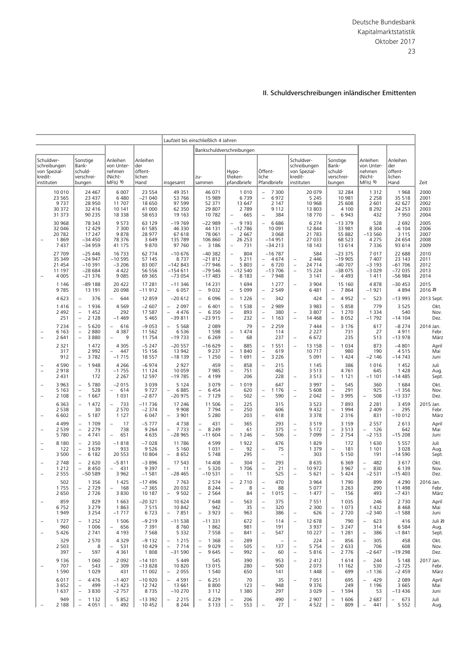|                          |                                                          |                                                                                                             |                                                           |                                                   |                                                                        | Laufzeit bis einschließlich 4 Jahren                                                   |                                                                                                      |                                                                                                    |                                                                                                                 |                                                                                                                |                                                           |                                                        |                                      |
|--------------------------|----------------------------------------------------------|-------------------------------------------------------------------------------------------------------------|-----------------------------------------------------------|---------------------------------------------------|------------------------------------------------------------------------|----------------------------------------------------------------------------------------|------------------------------------------------------------------------------------------------------|----------------------------------------------------------------------------------------------------|-----------------------------------------------------------------------------------------------------------------|----------------------------------------------------------------------------------------------------------------|-----------------------------------------------------------|--------------------------------------------------------|--------------------------------------|
|                          |                                                          |                                                                                                             |                                                           |                                                   |                                                                        |                                                                                        | Bankschuldverschreibungen                                                                            |                                                                                                    |                                                                                                                 |                                                                                                                |                                                           |                                                        |                                      |
| kredit-                  | Schuldver-<br>schreibungen<br>von Spezial-<br>instituten | Sonstige<br>Bank-<br>schuld-<br>verschrei-<br>bungen                                                        | Anleihen<br>von Unter-<br>nehmen<br>(Nicht-<br>$MF(s)$ 1) | Anleihen<br>der<br>öffent-<br>lichen<br>Hand      | insgesamt                                                              | zu-<br>sammen                                                                          | Hypo-<br>theken-<br>pfandbriefe                                                                      | Öffent-<br>liche<br>Pfandbriefe                                                                    | Schuldver-<br>schreibungen<br>von Spezial-<br>kredit-<br>instituten                                             | Sonstige<br>Bank-<br>schuld-<br>verschrei-<br>bungen                                                           | Anleihen<br>von Unter-<br>nehmen<br>(Nicht-<br>$MF(s)$ 1) | Anleihen<br>der<br>öffent-<br>lichen<br>Hand           | Zeit                                 |
|                          | 10 010<br>23 5 65<br>9 7 3 7<br>30 372<br>31 373         | 24 467<br>23 437<br>28 950<br>32 416<br>90 235                                                              | 6 0 0 7<br>6480<br>11 707<br>10 141<br>18 3 38            | 23 5 54<br>$-21040$<br>18 650<br>41 000<br>58 653 | 49 351<br>53 766<br>97 599<br>62 350<br>19 163                         | 46 071<br>15 989<br>52 371<br>29 807<br>10782                                          | 1 0 1 0<br>6739<br>13 647<br>2 7 8 9<br>665<br>$\qquad \qquad -$                                     | 7 300<br>6972<br>$\overline{\phantom{a}}$<br>2 1 4 7<br>9 1 1 2<br>384<br>$\overline{\phantom{m}}$ | 20 079<br>5 2 4 5<br>10 968<br>13 803<br>18 770                                                                 | 32 284<br>10 981<br>25 608<br>4 100<br>6943<br>$\equiv$                                                        | 1312<br>2 2 5 8<br>2 601<br>8 2 9 2<br>432                | 1968<br>35 518<br>42 627<br>24 2 5 3<br>7950           | 2000<br>2001<br>2002<br>2003<br>2004 |
|                          | 30 968<br>32 046<br>20 782<br>1869<br>7 4 3 7            | 78 343<br>12 4 29<br>17 247<br>$-34450$<br>$-34959$                                                         | 9573<br>7 300<br>9878<br>78 376<br>41 175                 | 63 129<br>61 585<br>28 977<br>3 6 4 9<br>9870     | $-19769$<br>46 330<br>67 618<br>135 789<br>97 760                      | $-22989$<br>44 131<br>78 061<br>106 860<br>$-3186$                                     | 9 1 9 3<br>$-12786$<br>$-2667$<br>26 253<br>731<br>$\overline{\phantom{0}}$                          | 6686<br>$\overline{\phantom{a}}$<br>10 091<br>3 0 6 8<br>$-14951$<br>$-34213$                      | 6 2 7 4<br>12 844<br>21 783<br>27 033<br>18 143                                                                 | $-13379$<br>33 981<br>55 882<br>68 523<br>13 6 14                                                              | 528<br>8 3 0 4<br>$-13560$<br>4 2 7 5<br>7 3 3 6          | 2 6 9 2<br>$-6104$<br>3 1 1 5<br>24 654<br>93 614      | 2005<br>2006<br>2007<br>2008<br>2009 |
|                          | 27 709<br>35 349<br>21 4 5 4<br>11 197<br>4 0 0 5        | $-25446$<br>$-24947$<br>$-10391$<br>$-28684$<br>$-21376$                                                    | 16733<br>$-10595$<br>$-3206$<br>4 4 2 2<br>9085           | 62 774<br>57 145<br>83 007<br>56 556<br>69 3 65   | $-10676$<br>8737<br>$-142843$<br>$-154611$<br>$-73054$                 | $-40382$<br>$-21812$<br>$-77946$<br>$-79546$<br>$-17483$                               | 804<br>5 2 1 1<br>5 8 0 3<br>$-12540$<br>8 1 8 3                                                     | $-16787$<br>4674<br>$\overline{\phantom{a}}$<br>6720<br>$\equiv$<br>$-13706$<br>7948               | 584<br>2 4 4 6<br>$\qquad \qquad -$<br>24 7 14<br>$\qquad \qquad -$<br>15 2 2 4<br>$\qquad \qquad -$<br>3 1 4 1 | $-23375$<br>$-19905$<br>$-40707$<br>$-38075$<br>4 4 9 3<br>$\overline{\phantom{a}}$                            | 7017<br>7 4 0 7<br>$-3193$<br>$-3029$<br>1411             | 22 688<br>23 143<br>$-61706$<br>$-72035$<br>$-56984$   | 2010<br>2011<br>2012<br>2013<br>2014 |
|                          | 1 1 4 6<br>9785                                          | $-89188$<br>13 191                                                                                          | 20 422<br>20 098                                          | 17 281<br>$-11912$                                | $-11346$<br>6 0 5 7                                                    | 14 2 31<br>9 0 3 2<br>$\overline{\phantom{a}}$                                         | 1 6 9 4<br>5 0 9 9                                                                                   | 1 2 7 7<br>2 5 4 9<br>$\overline{\phantom{m}}$                                                     | 3 9 0 4<br>6481                                                                                                 | 15 160<br>7864<br>$\qquad \qquad -$                                                                            | 4878<br>$-1921$                                           | $-30453$<br>4894                                       | 2015<br>2016 2)                      |
|                          | 4 6 23                                                   | 376<br>$\overline{\phantom{0}}$                                                                             | 644<br>$\equiv$                                           | 12 859                                            | $-20612$                                                               | 6096<br>$\overline{\phantom{a}}$                                                       | 1 2 2 6                                                                                              | 342<br>$\overline{\phantom{a}}$                                                                    | 424                                                                                                             | 4952<br>$\equiv$                                                                                               | 523<br>۳                                                  | $-13993$                                               | 2013 Sept.                           |
|                          | 1416<br>2 4 9 2<br>251                                   | 1936<br>$\qquad \qquad -$<br>1452<br>$\qquad \qquad -$<br>$\overline{\phantom{0}}$<br>2 1 2 8               | 4569<br>292<br>$-1469$                                    | $-2607$<br>17 587<br>5 4 6 5                      | 2 0 9 7<br>$\qquad \qquad -$<br>4 4 7 6<br>–39 811                     | 6 4 0 1<br>$\overline{\phantom{a}}$<br>$\overline{\phantom{a}}$<br>6 3 5 0<br>$-23915$ | 1 5 3 8<br>$\overline{\phantom{a}}$<br>$\overline{\phantom{m}}$<br>893<br>232<br>$\qquad \qquad -$   | 2 9 8 9<br>$\qquad \qquad -$<br>380<br>1 1 6 3                                                     | 3 9 8 3<br>3 8 0 7<br>$\overline{\phantom{a}}$<br>14 4 68<br>$\qquad \qquad -$                                  | 5858<br>$\overline{\phantom{a}}$<br>1 2 7 0<br>$\overline{\phantom{a}}$<br>8 0 5 2<br>$\overline{\phantom{a}}$ | 779<br>1 3 3 4<br>$-1792$                                 | 3 5 2 5<br>540<br>$-14104$                             | Okt.<br>Nov.<br>Dez.                 |
|                          | 7 2 3 4<br>6 1 6 3<br>2 641                              | 5 6 20<br>$\overline{\phantom{0}}$<br>2880<br>$\overline{\phantom{0}}$<br>3880<br>$\overline{\phantom{0}}$  | 616<br>4 3 8 7<br>9                                       | $-9053$<br>11 5 6 2<br>11 754                     | 5 5 6 8<br>6 5 3 6<br>$-19733$                                         | 2 0 8 9<br>1598<br>6 2 6 9<br>$\overline{\phantom{a}}$                                 | 79<br>1 474<br>$\overline{\phantom{a}}$<br>68<br>$\overline{\phantom{0}}$                            | 2 2 5 9<br>$\overline{\phantom{a}}$<br>114<br>237                                                  | 7 4 4 4<br>2 2 2 7<br>6672<br>$\overline{\phantom{0}}$                                                          | 3 1 7 6<br>$\overline{\phantom{a}}$<br>731<br>235                                                              | 617<br>27<br>513                                          | $-8274$<br>4911<br>$-13978$                            | 2014 Jan.<br>Febr.<br>März           |
|                          | 2 3 2 1<br>317<br>912                                    | 1 4 7 2<br>2 9 9 2<br>3782<br>$\qquad \qquad -$                                                             | 4 3 0 5<br>447<br>$-1715$                                 | $-5247$<br>15 15 6<br>18 5 5 7                    | $-20557$<br>13 942<br>$-18139$                                         | $-16629$<br>9 2 3 7<br>1 2 5 0<br>$\overline{\phantom{a}}$                             | 885<br>$\qquad \qquad -$<br>840<br>$\overline{\phantom{0}}$<br>1<br>1691<br>$\overline{\phantom{0}}$ | 1 5 5 1<br>$\overline{\phantom{a}}$<br>619<br>3 2 2 6<br>$\overline{\phantom{a}}$                  | 13 158<br>$\overline{\phantom{a}}$<br>10 717<br>5 0 9 1                                                         | 1 0 3 4<br>$\overline{\phantom{a}}$<br>980<br>1424<br>$\overline{\phantom{a}}$                                 | 873<br>190<br>-2 146                                      | $-4801$<br>4515<br>$-14743$                            | April<br>Mai<br>Juni                 |
|                          | 4 5 9 0<br>2918<br>2 4 3 1                               | 1948<br>$\overline{\phantom{0}}$<br>73<br>172                                                               | 4 2 6 6<br>$-1755$<br>2 2 6 7                             | $-6974$<br>11 124<br>12 5 9 7                     | 2 9 2 7<br>10 059<br>$-19785$                                          | 459<br>7985<br>4 1 9 9<br>$\overline{\phantom{a}}$                                     | 858<br>$\qquad \qquad -$<br>751<br>$\overline{\phantom{a}}$<br>206                                   | 215<br>462<br>228                                                                                  | 1 1 4 5<br>3 5 1 3<br>3 5 1 3<br>$\overline{\phantom{a}}$                                                       | 386<br>4761<br>$\overline{\phantom{a}}$<br>1 1 2 1                                                             | 1016<br>645<br>$-1101$                                    | 1452<br>1428<br>$-14485$                               | Juli<br>Aug.<br>Sept.                |
| ۰                        | 3 9 6 3<br>5 1 6 3<br>2 1 0 8                            | 5780<br>$\overline{\phantom{a}}$<br>$\overline{\phantom{0}}$<br>528<br>$\overline{\phantom{a}}$<br>1667     | $-2015$<br>614<br>1 0 3 1                                 | 3 0 3 9<br>9727<br>$-2877$                        | 5 1 2 4<br>6885<br>$-20975$                                            | 3079<br>6454<br>$\overline{\phantom{a}}$<br>$\equiv$<br>7 1 2 9                        | 1 0 1 9<br>$\overline{\phantom{a}}$<br>620<br>502<br>$\overline{\phantom{0}}$                        | 647<br>1 1 7 6<br>$\overline{\phantom{m}}$<br>$\equiv$<br>590                                      | 3 9 9 7<br>5 608<br>$\overline{\phantom{0}}$<br>2 0 4 2<br>$\overline{\phantom{0}}$                             | 545<br>$\overline{\phantom{a}}$<br>291<br>$\overline{\phantom{a}}$<br>$\equiv$<br>3 9 9 5                      | 360<br>925<br>508<br>÷,                                   | 1684<br>$-1356$<br>$-13337$                            | Okt.<br>Nov.<br>Dez.                 |
| ۰                        | 6 3 6 3<br>2 5 3 8<br>6 602                              | 1 4 7 2<br>30<br>5 1 8 7<br>$-$                                                                             | 733<br>2 5 7 0<br>1 1 2 7                                 | $-11736$<br>$-2374$<br>6 0 4 7                    | 17 246<br>9 9 0 8<br>3 9 0 1                                           | 11 506<br>7794<br>5 2 8 0                                                              | 225<br>$\overline{\phantom{a}}$<br>$\equiv$<br>250<br>203                                            | 315<br>606<br>618<br>$\overline{\phantom{m}}$                                                      | 3 5 2 3<br>9 4 3 2<br>3 3 7 8                                                                                   | 7893<br>1994<br>$\equiv$<br>2 3 1 6                                                                            | 2 2 8 1<br>2 4 0 9<br>831                                 | 3 4 5 9<br>295<br>$\overline{\phantom{0}}$<br>$-10012$ | 2015 Jan.<br>Febr.<br>März           |
| $\overline{\phantom{0}}$ | 4 4 9 9<br>2 5 3 9<br>5 7 8 0                            | 1709<br>$\overline{\phantom{a}}$<br>$\overline{\phantom{m}}$<br>2 2 7 9<br>$\overline{\phantom{0}}$<br>4741 | 17<br>738<br>651<br>$\overline{\phantom{a}}$              | $-5777$<br>9 2 6 4<br>4635                        | 4738<br>7733<br>-28 965                                                | 431<br>$\overline{\phantom{0}}$<br>$\bar{\phantom{a}}$<br>8 2 4 9<br>$-11604$          | 365<br>61<br>1 2 4 6<br>$\overline{\phantom{0}}$                                                     | 293<br>375<br>506                                                                                  | 3 5 1 9<br>$\qquad \qquad -$<br>5 1 7 2<br>$\overline{\phantom{m}}$<br>7 0 9 9<br>$\qquad \qquad -$             | 3 1 5 9<br>3513<br>$\overline{\phantom{a}}$<br>2 7 5 4<br>$\overline{\phantom{m}}$                             | 2 5 5 7<br>$\overline{\phantom{0}}$<br>126<br>$-2153$     | 2 6 1 3<br>642<br>$-15208$                             | April<br>Mai<br>Juni                 |
| ۰                        | 8 1 8 0<br>122<br>3 500                                  | 2 3 5 0<br>$\qquad \qquad -$<br>$\overline{\phantom{a}}$<br>3639<br>$\overline{\phantom{0}}$<br>6 1 8 2     | $-1818$<br>933<br>20 553                                  | $-7028$<br>9526<br>10 804                         | 11 786<br>5 1 6 0<br>8652                                              | 4599<br>1 0 3 1<br>5748                                                                | 1922<br>92<br>$\overline{\phantom{a}}$<br>295                                                        | 676<br>75<br>$\overline{\phantom{0}}$<br>$\overline{\phantom{0}}$                                  | 1829<br>1 3 7 9<br>303                                                                                          | 172<br>181<br>$\overline{\phantom{a}}$<br>5 1 5 0                                                              | 1630<br>1 1 0 1<br>191                                    | 5 5 5 7<br>3 0 2 8<br>$-14590$                         | Juli<br>Aug.<br>Sept.                |
| $\overline{\phantom{0}}$ | 2 7 4 8<br>1 2 1 2<br>2 5 5 5                            | 2 6 2 0<br>$\qquad \qquad -$<br>$\qquad \qquad -$<br>8450<br>$-50589$                                       | $-5811$<br>431<br>3 9 6 2                                 | $-3896$<br>9 3 9 7<br>$-1581$                     | 17 543<br>11<br>-28 465                                                | 14 4 08<br>5 3 2 0<br>$\overline{\phantom{a}}$<br>$-10531$                             | 304<br>$\overline{\phantom{0}}$<br>1706<br>11                                                        | 293<br>$\overline{\phantom{a}}$<br>21<br>$\overline{\phantom{a}}$<br>525                           | 8 6 3 5<br>10 972<br>$\qquad \qquad -$<br>5 6 2 1<br>$\qquad \qquad -$                                          | 6 3 6 9<br>3 9 6 7<br>5 4 2 4                                                                                  | 482<br>$\qquad \qquad -$<br>830<br>-2 531                 | 3617<br>6 1 3 9<br>$-15403$                            | Okt.<br>Nov.<br>Dez.                 |
|                          | 502<br>1755<br>2 650                                     | 1 3 5 6<br>2729<br>2726                                                                                     | 1 4 2 5<br>168<br>3830                                    | $-17496$<br>$-7365$<br>10 187                     | 7 7 6 3<br>20 032<br>9 5 0 2<br>$\overline{\phantom{0}}$               | 2 5 7 4<br>8 2 4 4<br>2 5 6 4<br>$\overline{\phantom{a}}$                              | 2 7 1 0<br>8<br>84                                                                                   | 470<br>88<br>$\overline{\phantom{m}}$<br>1015                                                      | 3 9 6 4<br>5 0 7 7<br>1477<br>$\overline{\phantom{0}}$                                                          | 1790<br>3 2 6 3<br>156<br>$\qquad \qquad -$                                                                    | 899<br>290<br>493                                         | 4 2 9 0<br>11 4 98<br>$-7431$                          | 2016 Jan.<br>Febr.<br>März           |
|                          | 859<br>6752<br>1949                                      | 829<br>3 2 7 9<br>3 2 5 4                                                                                   | 1 6 6 3<br>1863<br>$-1717$                                | $-20321$<br>7515<br>6723                          | 10 624<br>10 842<br>$-7851$                                            | 7648<br>942<br>3923<br>$-$                                                             | 563<br>35<br>963                                                                                     | 375<br>320<br>386                                                                                  | 7 5 5 1<br>2 3 0 0<br>626<br>$\qquad \qquad -$                                                                  | 1 0 3 5<br>1 0 7 3<br>$\overline{\phantom{a}}$<br>$\overline{\phantom{a}}$<br>2 7 2 0                          | 246<br>1432<br>$-2340$                                    | 2 7 3 0<br>8468<br>$-1588$                             | April<br>Mai<br>Juni                 |
|                          | 1727<br>960<br>5 4 2 6                                   | 1 2 5 2<br>$\overline{\phantom{a}}$<br>1 0 0 6<br>2 7 4 1                                                   | 1 5 0 6<br>656<br>4 1 9 3                                 | $-9219$<br>7 3 9 1<br>7568                        | $-11538$<br>8760<br>5 3 3 2                                            | $-11331$<br>1862<br>7558                                                               | 672<br>981<br>841                                                                                    | 114<br>191<br>547                                                                                  | 12 678<br>$\overline{\phantom{a}}$<br>3 9 3 7<br>10 227                                                         | 790<br>3 2 4 7<br>$\overline{\phantom{a}}$<br>$\qquad \qquad -$<br>1 2 8 1                                     | 623<br>$\overline{\phantom{0}}$<br>314<br>386             | 416<br>6584<br>$-1841$                                 | Juli 2<br>Aug.<br>Sept.              |
|                          | 329<br>2 5 0 3<br>397                                    | 2 5 7 0<br>8<br>597                                                                                         | 4 3 2 9<br>531<br>4 3 6 1                                 | $-9132$<br>10 4 29<br>1808                        | 1 2 1 5<br>$\overline{\phantom{0}}$<br>$\equiv$<br>7 7 1 4<br>$-31590$ | $- 1368$<br>$\overline{\phantom{a}}$<br>9029<br>$-9645$                                | 289<br>$\overline{\phantom{a}}$<br>505<br>$\qquad \qquad -$<br>$\overline{\phantom{a}}$<br>992       | $\overline{\phantom{a}}$<br>137<br>60<br>$\overline{\phantom{a}}$                                  | 224<br>$\qquad \qquad -$<br>5 7 5 4<br>$\overline{\phantom{0}}$<br>5816<br>$\qquad \qquad -$                    | 856<br>$\overline{\phantom{a}}$<br>$\bar{\mathbb{I}}$<br>2 6 3 3<br>2 7 7 6                                    | 305<br>$\overline{\phantom{0}}$<br>706<br>$-2647$         | 458<br>608<br>$-19298$                                 | Okt.<br>Nov.<br>Dez.                 |
|                          | 9 1 3 6<br>707<br>1 5 9 0                                | 1 0 6 0<br>543<br>$\qquad \qquad -$<br>1 0 2 9                                                              | 2 0 9 2<br>309<br>$\overline{\phantom{a}}$<br>431         | $-14101$<br>$-13828$<br>11 002                    | 5 4 4 9<br>10820<br>2 0 5 5<br>$\overline{\phantom{0}}$                | 545<br>13 015<br>1540                                                                  | 390<br>280<br>650                                                                                    | 953<br>500<br>141                                                                                  | 2 4 1 2<br>$\qquad \qquad -$<br>2 0 7 3<br>1448                                                                 | 1614<br>11 162<br>699                                                                                          | 244<br>$\overline{\phantom{0}}$<br>530<br>$-1136$         | 5 1 4 8<br>$-2725$<br>$-2459$                          | 2017 Jan.<br>Febr.<br>März           |
|                          | 6 0 1 7<br>3 6 5 2<br>1 637                              | 4476<br>$\qquad \qquad -$<br>$\qquad \qquad -$<br>499<br>3830<br>$\qquad \qquad -$                          | $-1407$<br>$-1423$<br>$-2757$                             | $-10920$<br>12 742<br>8735                        | $-4591$<br>13 661<br>$-10270$                                          | $-6251$<br>8800<br>3 1 1 2                                                             | 70<br>123<br>1 3 8 0                                                                                 | 35<br>948<br>297                                                                                   | 7 0 5 1<br>$\overline{a}$<br>9 3 7 6<br>3 0 2 9                                                                 | 695<br>249<br>1 5 9 4<br>$\overline{\phantom{a}}$                                                              | 429<br>$\overline{\phantom{0}}$<br>1 1 9 6<br>53          | 2 0 8 9<br>3 6 6 5<br>$-13436$                         | April<br>Mai<br>Juni                 |
|                          | 949<br>2 188                                             | 1 1 3 2<br>$\overline{\phantom{a}}$<br>$\overline{\phantom{a}}$<br>4 0 5 1                                  | 5852<br>$-492$                                            | $-13392$<br>10 4 52                               | $-2215$<br>8 2 4 4                                                     | $-4229$<br>3 1 3 3                                                                     | 206<br>$\overline{\phantom{a}}$<br>$\equiv$<br>553                                                   | 490<br>27                                                                                          | 2 9 0 7<br>$\qquad \qquad -$<br>4 5 2 2                                                                         | 1606<br>$\overline{\phantom{a}}$<br>$\equiv$<br>809                                                            | 2 6 8 7<br>441<br>$\qquad \qquad -$                       | $- 673$<br>5 5 5 2                                     | Juli<br>Aug.                         |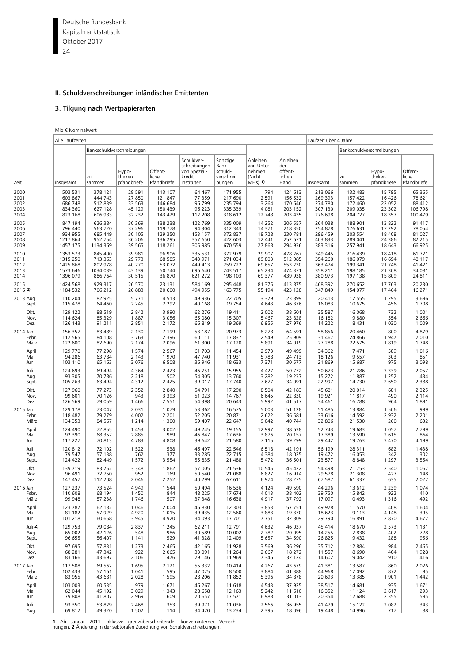Deutsche Bundesbank 24 Kapitalmarktstatistik Oktober 2017

# II. Schuldverschreibungen inländischer Emittenten

# 3. Tilgung nach Wertpapierarten

Mio € Nominalwert

|           | Alle Laufzeiten |               |                                 |                                 |                                                                     |                                                      |                                                           |                                              | Laufzeit über 4 Jahre |               |                                 |                                 |
|-----------|-----------------|---------------|---------------------------------|---------------------------------|---------------------------------------------------------------------|------------------------------------------------------|-----------------------------------------------------------|----------------------------------------------|-----------------------|---------------|---------------------------------|---------------------------------|
|           |                 |               | Bankschuldverschreibungen       |                                 |                                                                     |                                                      |                                                           | Bankschuldverschreibungen                    |                       |               |                                 |                                 |
| Zeit      | insgesamt       | zu-<br>sammen | Hypo-<br>theken-<br>pfandbriefe | Öffent-<br>liche<br>Pfandbriefe | Schuldver-<br>schreibungen<br>von Spezial-<br>kredit-<br>instituten | Sonstige<br>Bank-<br>schuld-<br>verschrei-<br>bungen | Anleihen<br>von Unter-<br>nehmen<br>(Nicht-<br>$MF(s)$ 1) | Anleihen<br>der<br>öffent-<br>lichen<br>Hand | insgesamt             | zu-<br>sammen | Hypo-<br>theken-<br>pfandbriefe | Öffent-<br>liche<br>Pfandbriefe |
| 2000      | 503 531         | 378 121       | 28 591                          | 113 107                         | 64 4 67                                                             | 171 955                                              | 794                                                       | 124 613                                      | 213 066               | 132 483       | 15 7 95                         | 65 365                          |
| 2001      | 603 867         | 444 743       | 27 850                          | 121 847                         | 77 359                                                              | 217 690                                              | 2 5 9 1                                                   | 156 532                                      | 269 393               | 157 422       | 16 4 26                         | 78 621                          |
| 2002      | 686 748         | 512839        | 33 563                          | 146 684                         | 96 799                                                              | 235 794                                              | 3 2 6 4                                                   | 170 646                                      | 274 780               | 172 460       | 22 052                          | 88 412                          |
| 2003      | 834 360         | 627 128       | 45 129                          | 150 439                         | 96 223                                                              | 335 339                                              | 4 0 8 1                                                   | 203 152                                      | 307 130               | 209 035       | 23 302                          | 106 798                         |
| 2004      | 823 168         | 606 983       | 32 732                          | 143 429                         | 112 208                                                             | 318 612                                              | 12 748                                                    | 203 435                                      | 276 698               | 204 727       | 18 3 5 7                        | 100 479                         |
| 2005      | 847 194         | 626 384       | 30 369                          | 138 238                         | 122 769                                                             | 335 009                                              | 14 2 5 2                                                  | 206 557                                      | 264 038               | 188 901       | 13822                           | 91 417                          |
| 2006      | 796 440         | 563 720       | 37 296                          | 119 778                         | 94 304                                                              | 312 343                                              | 14 371                                                    | 218 350                                      | 254 878               | 176 631       | 17 292                          | 78 054                          |
| 2007      | 934 955         | 685 449       | 30 105                          | 129 350                         | 153 157                                                             | 372 837                                              | 18728                                                     | 230 781                                      | 296 459               | 203 554       | 18 408                          | 81 027                          |
| 2008      | 1217864         | 952 754       | 36 206                          | 136 295                         | 357 650                                                             | 422 603                                              | 12 441                                                    | 252 671                                      | 403 833               | 289 041       | 24 3 86                         | 82 215                          |
| 2009      | 1457 175        | 1134 369      | 39 5 65                         | 118 261                         | 305 985                                                             | 670 559                                              | 27 868                                                    | 294 936                                      | 383 316               | 257 941       | 18 643                          | 66 925                          |
| 2010      | 1353 573        | 845 400       | 39 981                          | 96 906                          | 335 531                                                             | 372 979                                              | 29 907                                                    | 478 267                                      | 349 445               | 216 439       | 18418                           | 61 721                          |
| 2011      | 1315 250        | 713 363       | 29 773                          | 68 585                          | 343 971                                                             | 271 034                                              | 89 803                                                    | 512 085                                      | 354 260               | 186 079       | 16 694                          | 48 117                          |
| 2012      | 1425 868        | 802 978       | 40 770                          | 53 072                          | 449 413                                                             | 259 722                                              | 69 657                                                    | 553 230                                      | 363 474               | 199 341       | 21 748                          | 41 421                          |
| 2013      | 1573 646        | 1034 039      | 43 139                          | 50 744                          | 696 640                                                             | 243 517                                              | 65 234                                                    | 474 371                                      | 358 211               | 198 185       | 21 308                          | 34 081                          |
| 2014      | 1396 079        | 886 764       | 30 515                          | 36 870                          | 621 272                                                             | 198 103                                              | 69 377                                                    | 439 938                                      | 380 973               | 197 138       | 15 809                          | 24 811                          |
| 2015      | 1424 568        | 929 317       | 26 570                          | 23 131                          | 584 169                                                             | 295 448                                              | 81 375                                                    | 413 875                                      | 468 392               | 270 652       | 17 763                          | 20 230                          |
| 2016 2)   | 1184 532        | 706 212       | 26 883                          | 20 600                          | 494 955                                                             | 163 775                                              | 55 194                                                    | 423 128                                      | 347 849               | 154 077       | 17 4 64                         | 16 271                          |
| 2013 Aug. | 110 204         | 82 925        | 5 7 7 1                         | 4513                            | 49 936                                                              | 22 705                                               | 3 3 7 9                                                   | 23 899                                       | 20 413                | 17 555        | 1 2 9 5                         | 3696                            |
| Sept.     | 115 478         | 64 460        | 2 2 4 5                         | 2 2 9 2                         | 40 168                                                              | 19 7 54                                              | 4 6 4 3                                                   | 46 376                                       | 16 083                | 10 675        | 456                             | 1708                            |
| Okt.      | 129 122         | 88 519        | 2 8 4 2                         | 3 9 9 0                         | 62 276                                                              | 19 411                                               | 2 0 0 2                                                   | 38 601                                       | 35 587                | 16 068        | 732                             | 1 0 0 1                         |
| Nov.      | 114 624         | 85 329        | 1887                            | 3 0 5 6                         | 65 080                                                              | 15 307                                               | 5 4 6 7                                                   | 23 828                                       | 16 182                | 9880          | 554                             | 2 6 6 6                         |
| Dez.      | 126 143         | 91 211        | 2 8 5 1                         | 2 1 7 2                         | 66819                                                               | 19 3 69                                              | 6955                                                      | 27 976                                       | 14 2 22               | 8431          | 1 0 3 0                         | 1 0 0 9                         |
| 2014 Jan. | 156 357         | 83 489        | 2 1 3 0                         | 7 1 9 9                         | 53 187                                                              | 20 973                                               | 8 2 7 8                                                   | 64 5 91                                      | 58 856                | 20 460        | 800                             | 4879                            |
| Febr.     | 112 565         | 84 108        | 3 7 6 3                         | 2 3 9 6                         | 60 111                                                              | 17837                                                | 2 5 4 9                                                   | 25 909                                       | 31 467                | 24 866        | 1947                            | 2 0 1 0                         |
| März      | 122 600         | 82 690        | 2 1 7 4                         | 2 0 9 6                         | 61 300                                                              | 17 120                                               | 5891                                                      | 34 019                                       | 27 288                | 22 575        | 1819                            | 1748                            |
| April     | 129 770         | 77 298        | 1 5 7 4                         | 2 5 6 7                         | 61 703                                                              | 11 454                                               | 2973                                                      | 49 4 99                                      | 34 362                | 7 4 7 1       | 589                             | 1016                            |
| Mai       | 94 28 6         | 63 784        | 2 1 4 3                         | 1970                            | 47 740                                                              | 11 931                                               | 5788                                                      | 24 7 13                                      | 18 12 6               | 9 5 5 7       | 303                             | 851                             |
| Juni      | 103 110         | 65 163        | 3 0 7 6                         | 6 5 0 8                         | 36 946                                                              | 18 633                                               | 7371                                                      | 30 577                                       | 21 869                | 15 687        | 975                             | 3 0 9 8                         |
| Juli      | 124 693         | 69 4 94       | 4 3 6 4                         | 2 4 2 3                         | 46 751                                                              | 15 955                                               | 4 4 2 7                                                   | 50 772                                       | 50 673                | 21 28 6       | 3 3 3 9                         | 2 0 5 7                         |
| Aug.      | 93 305          | 70 786        | 2 2 1 8                         | 502                             | 54 305                                                              | 13 760                                               | 3 2 8 2                                                   | 19 2 3 7                                     | 15 272                | 11887         | 1 2 5 2                         | 434                             |
| Sept.     | 105 263         | 63 494        | 4 3 1 2                         | 2 4 2 5                         | 39 017                                                              | 17 740                                               | 7677                                                      | 34 091                                       | 22 997                | 14 7 30       | 2 6 5 0                         | 2 3 8 8                         |
| Okt.      | 127 960         | 77 273        | 2 3 5 2                         | 2 8 4 0                         | 54 791                                                              | 17 290                                               | 8 5 0 4                                                   | 42 183                                       | 45 681                | 20 014        | 681                             | 2 3 2 5                         |
| Nov.      | 99 601          | 70 126        | 943                             | 3 3 9 3                         | 51 023                                                              | 14 767                                               | 6645                                                      | 22 8 30                                      | 19 9 21               | 11817         | 490                             | 2 1 1 4                         |
| Dez.      | 126 569         | 79 059        | 1 4 6 6                         | 2 5 5 1                         | 54 398                                                              | 20 643                                               | 5992                                                      | 41 5 1 7                                     | 34 461                | 16 788        | 964                             | 1891                            |
| 2015 Jan. | 129 178         | 73 047        | 2 0 3 1                         | 1 0 7 9                         | 53 362                                                              | 16 575                                               | 5 0 0 3                                                   | 51 128                                       | 51 485                | 13 8 84       | 1 5 0 6                         | 999                             |
| Febr.     | 118 482         | 79 279        | 4 0 0 2                         | 2 2 0 1                         | 52 205                                                              | 20 871                                               | 2 6 2 2                                                   | 36 581                                       | 33 616                | 14 5 92       | 2932                            | 2 2 0 1                         |
| März      | 134 353         | 84 567        | 1 2 1 4                         | 1 300                           | 59 407                                                              | 22 647                                               | 9 0 4 2                                                   | 40 744                                       | 32 806                | 21 530        | 260                             | 632                             |
| April     | 124 490         | 72 855        | 1 4 5 3                         | 3 0 0 2                         | 49 245                                                              | 19 155                                               | 12 997                                                    | 38 638                                       | 52 743                | 19 683        | 1 0 5 7                         | 2 7 9 9                         |
| Mai       | 92 390          | 68 357        | 2 8 8 5                         | 989                             | 46 847                                                              | 17 636                                               | 3876                                                      | 20 157                                       | 17 389                | 13 590        | 2615                            | 864                             |
| Juni      | 117 227         | 70813         | 4783                            | 4808                            | 39 642                                                              | 21 580                                               | 7 1 1 5                                                   | 39 2 9 9                                     | 29 442                | 19 763        | 3 4 7 0                         | 4 1 9 9                         |
| Juli      | 120 812         | 72 102        | 1 5 2 2                         | 1 5 3 8                         | 46 497                                                              | 22 546                                               | 6518                                                      | 42 191                                       | 56 199                | 28 311        | 682                             | 1438                            |
| Aug.      | 79 547          | 57 138        | 762                             | 377                             | 33 2 85                                                             | 22 715                                               | 4 3 8 4                                                   | 18 0 25                                      | 19 472                | 16 053        | 342                             | 302                             |
| Sept.     | 124 422         | 82 449        | 1 5 7 2                         | 3 5 5 4                         | 55 835                                                              | 21 488                                               | 5 4 7 2                                                   | 36 501                                       | 23 577                | 18 848        | 1 2 9 7                         | 3 5 5 4                         |
| Okt.      | 139 719         | 83 752        | 3 3 4 8                         | 1862                            | 57 005                                                              | 21 536                                               | 10 545                                                    | 45 422                                       | 54 498                | 21 7 5 3      | 2 5 4 0                         | 1 0 6 7                         |
| Nov.      | 96 491          | 72 750        | 952                             | 169                             | 50 540                                                              | 21 088                                               | 6827                                                      | 16914                                        | 29 578                | 21 308        | 427                             | 148                             |
| Dez.      | 147 457         | 112 208       | 2 0 4 6                         | 2 2 5 2                         | 40 299                                                              | 67 611                                               | 6974                                                      | 28 275                                       | 67 587                | 61 337        | 635                             | 2 0 2 7                         |
| 2016 Jan. | 127 237         | 73 524        | 4 9 4 9                         | 1 5 4 4                         | 50 494                                                              | 16 536                                               | 4 1 2 4                                                   | 49 5 90                                      | 44 296                | 13 612        | 2 2 3 9                         | 1074                            |
| Febr.     | 110 608         | 68 194        | 1450                            | 844                             | 48 2 2 5                                                            | 17 674                                               | 4013                                                      | 38 402                                       | 39 750                | 15 842        | 922                             | 410                             |
| März      | 99 948          | 57 238        | 1746                            | 1 5 0 7                         | 37 348                                                              | 16 638                                               | 4917                                                      | 37 792                                       | 17 097                | 10 4 93       | 1 3 1 6                         | 492                             |
| April     | 123 787         | 62 182        | 1 0 4 6                         | 2 0 0 4                         | 46 830                                                              | 12 303                                               | 3853                                                      | 57 751                                       | 49 928                | 11 570        | 408                             | 1 604                           |
| Mai       | 81 182          | 57 929        | 4 9 2 0                         | 1015                            | 39 4 35                                                             | 12 560                                               | 3883                                                      | 19 370                                       | 18 623                | 9 1 1 3       | 4 1 4 8                         | 395                             |
| Juni      | 101 218         | 60 658        | 3 9 4 5                         | 4920                            | 34 093                                                              | 17 701                                               | 7751                                                      | 32 809                                       | 29 790                | 16891         | 2870                            | 4672                            |
| Juli 2)   | 129 753         | 79 084        | 2 8 3 7                         | 1 2 4 5                         | 62 211                                                              | 12 791                                               | 4632                                                      | 46 037                                       | 45 414                | 18 670        | 2 5 7 3                         | 1 1 3 1                         |
| Aug.      | 65 002          | 42 126        | 548                             | 986                             | 30 589                                                              | 10 002                                               | 2782                                                      | 20 095                                       | 14 2 5 5              | 7838          | 402                             | 728                             |
| Sept.     | 96 655          | 56 407        | 1 1 4 1                         | 1 5 2 9                         | 41 328                                                              | 12 409                                               | 5 6 5 7                                                   | 34 5 90                                      | 26 825                | 19 4 32       | 288                             | 956                             |
| Okt.      | 97 695          | 57831         | 1 2 7 3                         | 2 4 6 5                         | 42 165                                                              | 11 928                                               | 3 5 6 9                                                   | 36 296                                       | 35 712                | 12 8 84       | 984                             | 2 4 6 5                         |
| Nov.      | 68 281          | 47 342        | 922                             | 2 0 6 5                         | 33 091                                                              | 11 264                                               | 2 6 6 7                                                   | 18 272                                       | 11 557                | 8690          | 404                             | 1928                            |
| Dez.      | 83 166          | 43 697        | 2 1 0 6                         | 476                             | 29 146                                                              | 11 969                                               | 7 3 4 6                                                   | 32 124                                       | 14 602                | 9 0 4 2       | 910                             | 416                             |
| 2017 Jan. | 117 508         | 69 5 62       | 1695                            | 2 1 2 1                         | 55 332                                                              | 10 414                                               | 4 2 6 7                                                   | 43 679                                       | 41 381                | 13 5 87       | 860                             | 2026                            |
| Febr.     | 102 433         | 57 161        | 1 0 4 1                         | 595                             | 47 025                                                              | 8 5 0 0                                              | 3884                                                      | 41 388                                       | 44 968                | 17 092        | 872                             | 95                              |
| März      | 83 955          | 43 681        | 2 0 2 8                         | 1 5 9 5                         | 28 206                                                              | 11852                                                | 5 3 9 6                                                   | 34 878                                       | 20 693                | 13 3 8 5      | 1901                            | 1442                            |
| April     | 103 003         | 60 535        | 979                             | 1671                            | 46 267                                                              | 11 618                                               | 4543                                                      | 37 925                                       | 38 517                | 14 681        | 935                             | 1671                            |
| Mai       | 62 044          | 45 192        | 3 0 2 9                         | 1 3 4 3                         | 28 658                                                              | 12 163                                               | 5 2 4 2                                                   | 11 610                                       | 16 3 52               | 11 124        | 2617                            | 293                             |
| Juni      | 79 808          | 41 807        | 2 9 6 9                         | 609                             | 20 657                                                              | 17 571                                               | 6988                                                      | 31 013                                       | 20 354                | 12 688        | 2 3 5 5                         | 595                             |
| Juli      | 93 350          | 53 829        | 2 4 6 8                         | 353                             | 39 971                                                              | 11 0 36                                              | 2 5 6 6                                                   | 36 955                                       | 41 479                | 15 122        | 2 0 8 2                         | 343                             |
| Aug.      | 69812           | 49 320        | 1 5 0 2                         | 114                             | 34 470                                                              | 13 2 34                                              | 2 3 9 5                                                   | 18 0 96                                      | 19 448                | 14 9 96       | 717                             | 88                              |

**1** Ab Januar 2011 inklusive grenzüberschreitender konzerninterner Verrech-nungen. **2** Änderung in der sektoralen Zuordnung von Schuldverschreibungen.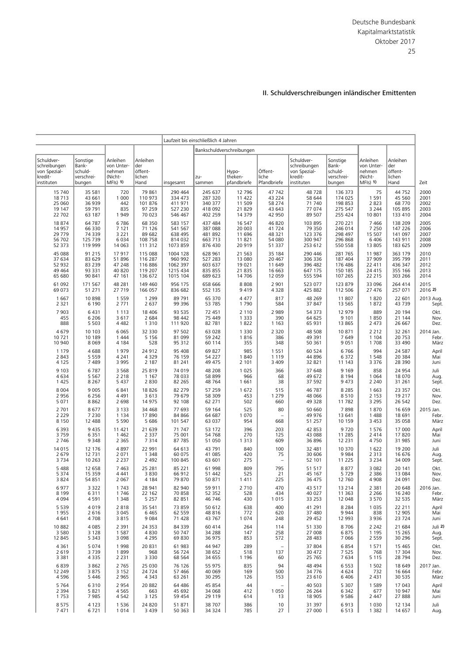|                                                                     |                                                      |                                                           |                                              |                             | Laufzeit bis einschließlich 4 Jahren |                                 |                                       |                                                                     |                                                      |                                                           |                                              |                       |
|---------------------------------------------------------------------|------------------------------------------------------|-----------------------------------------------------------|----------------------------------------------|-----------------------------|--------------------------------------|---------------------------------|---------------------------------------|---------------------------------------------------------------------|------------------------------------------------------|-----------------------------------------------------------|----------------------------------------------|-----------------------|
|                                                                     |                                                      |                                                           |                                              |                             |                                      | Bankschuldverschreibungen       |                                       |                                                                     |                                                      |                                                           |                                              |                       |
| Schuldver-<br>schreibungen<br>von Spezial-<br>kredit-<br>instituten | Sonstige<br>Bank-<br>schuld-<br>verschrei-<br>bungen | Anleihen<br>von Unter-<br>nehmen<br>(Nicht-<br>$MF(s)$ 1) | Anleihen<br>der<br>öffent-<br>lichen<br>Hand | insgesamt                   | zu-<br>sammen                        | Hypo-<br>theken-<br>pfandbriefe | Öffent-<br>liche<br>Pfandbriefe       | Schuldver-<br>schreibungen<br>von Spezial-<br>kredit-<br>instituten | Sonstige<br>Bank-<br>schuld-<br>verschrei-<br>bungen | Anleihen<br>von Unter-<br>nehmen<br>(Nicht-<br>$MF(s)$ 1) | Anleihen<br>der<br>öffent-<br>lichen<br>Hand | Zeit                  |
| 15 740                                                              | 35 581                                               | 720                                                       | 79 861                                       | 290 464                     | 245 637                              | 12 796                          | 47 742                                | 48728                                                               | 136 373                                              | 75                                                        | 44 7 52                                      | 2000                  |
| 18713                                                               | 43 661                                               | 1 0 0 0                                                   | 110 973                                      | 334 473                     | 287 320                              | 11 422                          | 43 224                                | 58 644                                                              | 174 025                                              | 1 5 9 1                                                   | 45 560                                       | 2001                  |
| 25 060                                                              | 36 939                                               | 442                                                       | 101 876                                      | 411 971                     | 340 377                              | 11 509                          | 58 274                                | 71 740                                                              | 198 853                                              | 2 8 2 3                                                   | 68 770                                       | 2002                  |
| 19 147                                                              | 59 791                                               | 835                                                       | 97 259                                       | 527 230                     | 418 092                              | 21 829                          | 43 643                                | 77 074                                                              | 275 547                                              | 3 2 4 4                                                   | 105 895                                      | 2003                  |
| 22 702                                                              | 63 187                                               | 1949                                                      | 70 023                                       | 546 467                     | 402 259                              | 14 379                          | 42 950                                | 89 507                                                              | 255 424                                              | 10 801                                                    | 133 410                                      | 2004                  |
| 18 874                                                              | 64 787                                               | 6786                                                      | 68 350                                       | 583 157                     | 437 484                              | 16 547                          | 46 820                                | 103 895                                                             | 270 221                                              | 7466                                                      | 138 209                                      | 2005                  |
| 14 9 57                                                             | 66330                                                | 7 1 2 1                                                   | 71 126                                       | 541 567                     | 387 088                              | 20 003                          | 41724                                 | 79 350                                                              | 246 014                                              | 7 2 5 0                                                   | 147 226                                      | 2006                  |
| 29 779                                                              | 74 339                                               | 3 2 2 1                                                   | 89 682                                       | 638 495                     | 481892                               | 11 696                          | 48 321                                | 123 376                                                             | 298 497                                              | 15 507                                                    | 141 097                                      | 2007                  |
| 56 702                                                              | 125 739                                              | 6034                                                      | 108 758                                      | 814 032                     | 663 713                              | 11821                           | 54 080                                | 300 947                                                             | 296 868                                              | 6 4 0 6                                                   | 143 911                                      | 2008                  |
| 52 373                                                              | 119 999                                              | 14 063                                                    | 111 312                                      | 1073 859                    | 876 430                              | 20 919                          | 51 337                                | 253 612                                                             | 550 558                                              | 13 805                                                    | 183 625                                      | 2009                  |
| 45 088                                                              | 91 215                                               | 17917                                                     | 115 088                                      | 1004 128                    | 628 961                              | 21 5 63                         | 35 184                                | 290 446                                                             | 281 765                                              | 11 987                                                    | 363 179                                      | 2010                  |
| 37 634                                                              | 83 629                                               | 51896                                                     | 116 287                                      | 960 992                     | 527 283                              | 13 080                          | 20 467                                | 306 336                                                             | 187 404                                              | 37 909                                                    | 395 799                                      | 2011                  |
| 52 932                                                              | 83 239                                               | 47 248                                                    | 116886                                       | 1062 397                    | 603 637                              | 19 021                          | 11 649                                | 396 482                                                             | 176 486                                              | 22 411                                                    | 436 347                                      | 2012                  |
| 49 4 64                                                             | 93 331                                               | 40 820                                                    | 119 207                                      | 1215 434                    | 835 855                              | 21 835                          | 16 663                                | 647 175                                                             | 150 185                                              | 24 4 15                                                   | 355 166                                      | 2013                  |
| 65 680                                                              | 90 841                                               | 47 161                                                    | 136 672                                      | 1015 104                    | 689 623                              | 14 706                          | 12 059                                | 555 594                                                             | 107 265                                              | 22 215                                                    | 303 266                                      | 2014                  |
| 61 092                                                              | 171 567                                              | 48 281                                                    | 149 460                                      | 956 175                     | 658 666                              | 8808                            | 2 9 0 1                               | 523 077                                                             | 123 879                                              | 33 096                                                    | 264 414                                      | 2015                  |
| 69 073                                                              | 51 271                                               | 27 719                                                    | 166 057                                      | 836 682                     | 552 135                              | 9419                            | 4 3 2 8                               | 425 882                                                             | 112 506                                              | 27 476                                                    | 257 071                                      | 2016 2)               |
| 1 6 6 7                                                             | 10898                                                | 1 5 5 9                                                   | 1 2 9 9                                      | 89 791                      | 65 370                               | 4 4 7 7                         | 817                                   | 48 269                                                              | 11807                                                | 1820                                                      | 22 601                                       | 2013 Aug.             |
| 2 3 2 1                                                             | 6 1 9 0                                              | 2 7 7 1                                                   | 2 6 3 7                                      | 99 396                      | 53 785                               | 1790                            | 584                                   | 37 847                                                              | 13 5 65                                              | 1872                                                      | 43 7 39                                      | Sept.                 |
| 7 9 0 3                                                             | 6431                                                 | 1 1 1 3                                                   | 18 4 06                                      | 93 535                      | 72 451                               | 2 1 1 0                         | 2 9 8 9                               | 54 373                                                              | 12 979                                               | 889                                                       | 20 194                                       | Okt.                  |
| 455                                                                 | 6 2 0 6                                              | 3617                                                      | 2 6 8 4                                      | 98 442                      | 75 449                               | 1 3 3 3                         | 390                                   | 64 625                                                              | 9 1 0 1                                              | 1850                                                      | 21 144                                       | Nov.                  |
| 888                                                                 | 5 5 0 3                                              | 4 4 8 2                                                   | 1 3 1 0                                      | 111 920                     | 82 781                               | 1822                            | 1 1 6 3                               | 65 931                                                              | 13 865                                               | 2 4 7 3                                                   | 26 667                                       | Dez.                  |
| 4679                                                                | 10 10 3                                              | 6 0 6 5                                                   | 32 330                                       | 97 502                      | 63 0 28                              | 1 3 3 0                         | 2 3 2 0                               | 48 508                                                              | 10871                                                | 2 2 1 2                                                   | 32 261                                       | 2014 Jan.             |
| 10 721                                                              | 10 189                                               | 1 4 4 4                                                   | 5 1 5 6                                      | 81 099                      | 59 242                               | 1816                            | 386                                   | 49 391                                                              | 7 6 4 9                                              | 1 1 0 4                                                   | 20 753                                       | Febr.                 |
| 10 940                                                              | 8 0 6 9                                              | 4 1 8 4                                                   | 528                                          | 95 312                      | 60 114                               | 355                             | 348                                   | 50 361                                                              | 9 0 5 1                                              | 1708                                                      | 33 4 90                                      | März                  |
| 1 1 7 9                                                             | 4688                                                 | 1979                                                      | 24 912                                       | 95 408                      | 69 827                               | 985                             | 1 5 5 1                               | 60 524                                                              | 6766                                                 | 994                                                       | 24 5 87                                      | April                 |
| 2 8 4 3                                                             | 5 5 5 9                                              | 4 2 4 1                                                   | 4 3 2 9                                      | 76 159                      | 54 227                               | 1840                            | 1 1 1 9                               | 44 896                                                              | 6 3 7 2                                              | 1548                                                      | 20 384                                       | Mai                   |
| 4 1 2 5                                                             | 7 4 8 9                                              | 3 9 9 5                                                   | 2 1 8 7                                      | 81 241                      | 49 475                               | 2 1 0 1                         | 3 4 0 9                               | 32 821                                                              | 11 143                                               | 3 3 7 6                                                   | 28 3 90                                      | Juni                  |
| 9 1 0 3                                                             | 6787                                                 | 3 5 6 8                                                   | 25 8 19                                      | 74 019                      | 48 208                               | 1 0 2 5                         | 366                                   | 37 648                                                              | 9 1 6 9                                              | 858                                                       | 24 9 54                                      | Juli                  |
| 4 6 3 4                                                             | 5 5 6 7                                              | 2 2 1 8                                                   | 1 1 6 7                                      | 78 033                      | 58 899                               | 966                             | 68                                    | 49 672                                                              | 8 1 9 4                                              | 1 0 6 4                                                   | 18 0 70                                      | Aug.                  |
| 1 4 2 5                                                             | 8 2 6 7                                              | 5 4 3 7                                                   | 2830                                         | 82 265                      | 48 7 64                              | 1 6 6 1                         | 38                                    | 37 592                                                              | 9 4 7 3                                              | 2 2 4 0                                                   | 31 261                                       | Sept.                 |
| 8 0 0 4                                                             | 9 0 0 5                                              | 6841                                                      | 18826                                        | 82 279                      | 57 259                               | 1 672                           | 515                                   | 46 787                                                              | 8 2 8 5                                              | 1 6 6 3                                                   | 23 357                                       | Okt.                  |
| 2 9 5 6                                                             | 6 2 5 6                                              | 4 4 9 1                                                   | 3613                                         | 79 679                      | 58 309                               | 453                             | 1 2 7 9                               | 48 066                                                              | 8510                                                 | 2 1 5 3                                                   | 19 217                                       | Nov.                  |
| 5 0 7 1                                                             | 8862                                                 | 2 6 9 8                                                   | 14 975                                       | 92 108                      | 62 271                               | 502                             | 660                                   | 49 328                                                              | 11782                                                | 3 2 9 5                                                   | 26 542                                       | Dez.                  |
| 2 7 0 1                                                             | 8677                                                 | 3 1 3 3                                                   | 34 4 68                                      | 77 693                      | 59 164                               | 525                             | 80                                    | 50 660                                                              | 7898                                                 | 1870                                                      | 16 659                                       | 2015 Jan.             |
| 2 2 2 9                                                             | 7 2 3 0                                              | 1 1 3 4                                                   | 17890                                        | 84 866                      | 64 687                               | 1 0 7 0                         | $\overline{\phantom{a}}$              | 49 976                                                              | 13 641                                               | 1 4 8 8                                                   | 18 691                                       | Febr.                 |
| 8 1 5 0                                                             | 12 488                                               | 5 5 9 0                                                   | 5 6 8 6                                      | 101 547                     | 63 037                               | 954                             | 668                                   | 51 257                                                              | 10 159                                               | 3 4 5 3                                                   | 35 058                                       | März                  |
| 6 3 9 3                                                             | 9 4 3 5                                              | 11 421                                                    | 21 639                                       | 71 747                      | 53 172                               | 396                             | 203                                   | 42 853                                                              | 9720                                                 | 1576                                                      | 17 000                                       | April                 |
| 3759                                                                | 6 3 5 1                                              | 1 4 6 2                                                   | 2 3 3 7                                      | 75 001                      | 54768                                | 270                             | 125                                   | 43 088                                                              | 11 285                                               | 2 4 1 4                                                   | 17820                                        | Mai                   |
| 2 7 4 6                                                             | 9 3 4 8                                              | 2 3 6 5                                                   | 7314                                         | 87 785                      | 51 050                               | 1 3 1 3                         | 609                                   | 36 896                                                              | 12 2 3 1                                             | 4750                                                      | 31 985                                       | Juni                  |
| 14 015<br>2 6 7 9<br>3 7 3 4                                        | 12 176<br>12 7 31<br>10 263                          | 4897<br>2 0 7 1<br>2 2 3 7                                | 22 991<br>1 3 4 8<br>2 4 9 2                 | 64 613<br>60 075<br>100 845 | 43 791<br>41 085<br>63 601           | 840<br>420<br>275               | 100<br>75<br>$\overline{\phantom{a}}$ | 32 481<br>30 60 6<br>52 101                                         | 10 370<br>9984<br>11 2 25                            | 1 6 2 2<br>2 3 1 3<br>3 2 3 4                             | 19 200<br>16 676<br>34 009                   | Juli<br>Aug.<br>Sept. |
| 5 4 8 8                                                             | 12 658                                               | 7 4 6 3                                                   | 25 281                                       | 85 221                      | 61 998                               | 809                             | 795                                   | 51 517                                                              | 8877                                                 | 3 0 8 2                                                   | 20 141                                       | Okt.                  |
| 5 3 7 4                                                             | 15 359                                               | 4 4 4 1                                                   | 3830                                         | 66 912                      | 51 442                               | 525                             | 21                                    | 45 167                                                              | 5729                                                 | 2 3 8 6                                                   | 13 0 84                                      | Nov.                  |
| 3824                                                                | 54 851                                               | 2 0 6 7                                                   | 4 1 8 4                                      | 79 870                      | 50 871                               | 1411                            | 225                                   | 36 475                                                              | 12 760                                               | 4 9 0 8                                                   | 24 091                                       | Dez.                  |
| 6977                                                                | 3 3 2 2                                              | 1743                                                      | 28 941                                       | 82 940                      | 59 911                               | 2 7 1 0                         | 470                                   | 43 517                                                              | 13 2 14                                              | 2 3 8 1                                                   | 20 648                                       | 2016 Jan.             |
| 8 1 9 9                                                             | 6311                                                 | 1746                                                      | 22 162                                       | 70 858                      | 52 352                               | 528                             | 434                                   | 40 027                                                              | 11 363                                               | 2 2 6 6                                                   | 16 240                                       | Febr.                 |
| 4 0 9 4                                                             | 4591                                                 | 1 3 4 8                                                   | 5 2 5 7                                      | 82 851                      | 46 746                               | 430                             | 1015                                  | 33 253                                                              | 12 048                                               | 3 5 7 0                                                   | 32 535                                       | März                  |
| 5 5 3 9                                                             | 4019                                                 | 2818                                                      | 35 541                                       | 73 859                      | 50 612                               | 638                             | 400                                   | 41 291                                                              | 8 2 8 4                                              | 1 0 3 5                                                   | 22 211                                       | April                 |
| 1955                                                                | 2 6 1 6                                              | 3 0 4 5                                                   | 6465                                         | 62 559                      | 48 816                               | 772                             | 620                                   | 37 480                                                              | 9944                                                 | 838                                                       | 12 905                                       | Mai                   |
| 4 6 4 1                                                             | 4708                                                 | 3815                                                      | 9084                                         | 71 428                      | 43 767                               | 1 0 7 4                         | 248                                   | 29 452                                                              | 12 993                                               | 3 9 3 6                                                   | 23724                                        | Juni                  |
| 10 882                                                              | 4 0 8 5                                              | 2 3 9 1                                                   | 24 3 5 3                                     | 84 339                      | 60 414                               | 264                             | 114                                   | 51 330                                                              | 8706                                                 | 2 2 4 2                                                   | 21 684                                       | Juli 2                |
| 3 5 8 0                                                             | 3 1 2 8                                              | 1587                                                      | 4830                                         | 50 747                      | 34 288                               | 147                             | 258                                   | 27 008                                                              | 6875                                                 | 1 1 9 5                                                   | 15 2 65                                      | Aug.                  |
| 12 845                                                              | 5 3 4 3                                              | 3 0 9 8                                                   | 4 2 9 5                                      | 69 830                      | 36 975                               | 853                             | 572                                   | 28 4 83                                                             | 7 0 6 6                                              | 2 5 5 9                                                   | 30 296                                       | Sept.                 |
| 4 3 6 1                                                             | 5 0 7 4                                              | 1998                                                      | 20831                                        | 61 983                      | 44 947                               | 289                             | $\overline{\phantom{a}}$              | 37 804                                                              | 6854                                                 | 1571                                                      | 15 4 65                                      | Okt.                  |
| 2 6 1 9                                                             | 3739                                                 | 1899                                                      | 968                                          | 56 724                      | 38 652                               | 518                             | 137                                   | 30 472                                                              | 7 5 2 5                                              | 768                                                       | 17 304                                       | Nov.                  |
| 3 3 8 1                                                             | 4 3 3 5                                              | 2 2 3 1                                                   | 3 3 3 0                                      | 68 5 64                     | 34 655                               | 1 1 9 6                         | 60                                    | 25 765                                                              | 7 634                                                | 5 1 1 5                                                   | 28 7 94                                      | Dez.                  |
| 6839                                                                | 3862                                                 | 2 7 6 5                                                   | 25 030                                       | 76 126                      | 55 975                               | 835                             | 94                                    | 48 494                                                              | 6 5 5 3                                              | 1 5 0 2                                                   | 18 649                                       | 2017 Jan.             |
| 12 249                                                              | 3875                                                 | 3 1 5 2                                                   | 24 7 24                                      | 57 466                      | 40 069                               | 169                             | 500                                   | 34 776                                                              | 4 6 2 4                                              | 732                                                       | 16 664                                       | Febr.                 |
| 4596                                                                | 5 4 4 6                                              | 2 9 6 5                                                   | 4 3 4 3                                      | 63 261                      | 30 295                               | 126                             | 153                                   | 23 610                                                              | 6 4 0 6                                              | 2431                                                      | 30 535                                       | März                  |
| 5 7 6 4                                                             | 6310                                                 | 2 9 5 4                                                   | 20 882                                       | 64 48 6                     | 45 854                               | 44                              | $\overline{\phantom{m}}$              | 40 503                                                              | 5 3 0 7                                              | 1589                                                      | 17 043                                       | April                 |
| 2 3 9 4                                                             | 5821                                                 | 4565                                                      | 663                                          | 45 692                      | 34 068                               | 412                             | 1 0 5 0                               | 26 264                                                              | 6 3 4 2                                              | 677                                                       | 10 947                                       | Mai                   |
| 1753                                                                | 7985                                                 | 4 5 4 2                                                   | 3 1 2 5                                      | 59 454                      | 29 119                               | 614                             | 13                                    | 18 905                                                              | 9586                                                 | 2 4 4 7                                                   | 27888                                        | Juni                  |
| 8575                                                                | 4 1 2 3                                              | 1536                                                      | 24 8 20                                      | 51 871                      | 38 707                               | 386                             | 10                                    | 31 397                                                              | 6913                                                 | 1 0 3 0                                                   | 12 134                                       | Juli                  |
| 7471                                                                | 6721                                                 | 1 0 1 4                                                   | 3 4 3 9                                      | 50 363                      | 34 324                               | 785                             | 27                                    | 27 000                                                              | 6513                                                 | 1 3 8 2                                                   | 14 657                                       | Aug.                  |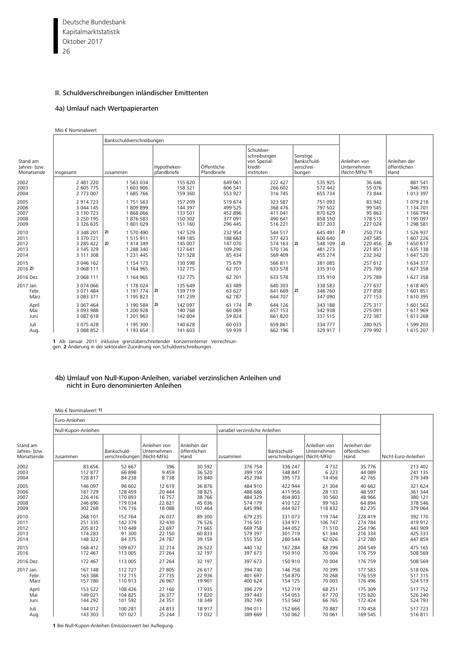Deutsche Bundesbank 26 Kapitalmarktstatistik Oktober 2017

# II. Schuldverschreibungen inländischer Emittenten

# 4a) Umlauf nach Wertpapierarten

Mio € Nominalwert

|                                        |                                                                   | Bankschuldverschreibungen                                                       |                                                     |                                                     |                                                                     |                                                                    |                                                                                  |                                                                   |
|----------------------------------------|-------------------------------------------------------------------|---------------------------------------------------------------------------------|-----------------------------------------------------|-----------------------------------------------------|---------------------------------------------------------------------|--------------------------------------------------------------------|----------------------------------------------------------------------------------|-------------------------------------------------------------------|
| Stand am<br>Jahres- bzw.<br>Monatsende | Insgesamt                                                         | zusammen                                                                        | Hypotheken-<br>pfandbriefe                          | Öffentliche<br>Pfandbriefe                          | Schuldver-<br>schreibungen<br>von Spezial-<br>kredit-<br>instituten | Sonstige<br>Bankschuld-<br>verschrei-<br>bungen                    | Anleihen von<br>Unternehmen<br>(Nicht-MFIs) 1)                                   | Anleihen der<br>öffentlichen<br>Hand                              |
| 2002<br>2003<br>2004                   | 2 481 220<br>2 605 775<br>2 773 007                               | 1 563 034<br>1 603 906<br>1685766                                               | 155 620<br>158 321<br>159 360                       | 649 061<br>606 541<br>553 927                       | 222 427<br>266 602<br>316 745                                       | 535 925<br>572 442<br>655 734                                      | 36 646<br>55 076<br>73 844                                                       | 881 541<br>946 793<br>1 013 397                                   |
| 2005<br>2006<br>2007<br>2008<br>2009   | 2 914 723<br>3 044 145<br>3 130 723<br>3 250 195<br>3 3 2 6 6 3 5 | 1 7 5 1 5 6 3<br>1809899<br>1868066<br>1876 583<br>1801029                      | 157 209<br>144 397<br>133 501<br>150 302<br>151 160 | 519 674<br>499 525<br>452 896<br>377 091<br>296 445 | 323 587<br>368 476<br>411 041<br>490 641<br>516 221                 | 751 093<br>797 502<br>870 629<br>858 550<br>837 203                | 83 942<br>99 545<br>95 863<br>178 515<br>227 024                                 | 1079218<br>1 134 701<br>1 166 794<br>1 195 097<br>1 298 581       |
| 2010<br>2011<br>2012<br>2013<br>2014   | 3 348 201<br>3 370 721<br>3 285 422<br>3 145 329<br>3 111 308     | 2)<br>1 570 490<br>1515911<br>2)<br>1 4 1 4 3 4 9<br>1 288 340<br>1 2 3 1 4 4 5 | 147 529<br>149 185<br>145 007<br>127 641<br>121 328 | 232 954<br>188 663<br>147 070<br>109 290<br>85 434  | 544 517<br>577 423<br>574 163<br>570 136<br>569 409                 | 645 491<br>600 640<br>$ 2\rangle$<br>548 109<br>481 273<br>455 274 | 250 774<br>$ 2\rangle$<br>247 585<br>$ 2\rangle$<br>220 456<br>221851<br>232 342 | 1 526 937<br>1 607 226<br>2)<br>1650617<br>1 635 138<br>1 647 520 |
| 2015<br>20162                          | 3 046 162<br>3 068 111                                            | 1 154 173<br>1 164 965                                                          | 130 598<br>132 775                                  | 75 679<br>62 701                                    | 566 811<br>633 578                                                  | 381 085<br>335 910                                                 | 257 612<br>275 789                                                               | 1 634 377<br>1 627 358                                            |
| 2016 Dez.                              | 3 068 111                                                         | 1 164 965                                                                       | 132 775                                             | 62 701                                              | 633 578                                                             | 335 910                                                            | 275 789                                                                          | 1 627 358                                                         |
| 2017 Jan.<br>Febr.<br>März             | 3 074 066<br>3 071 484<br>3 083 371                               | 1 178 024<br>1 191 774<br>1 195 823                                             | 135 649<br> 2)<br>139 719<br>141 239                | 63 489<br>63 627<br>62 787                          | 640 303<br>641 669<br>644 707                                       | 338 583<br>2)<br>346 760<br>347 090                                | 277 637<br>277858<br>277 153                                                     | 1 618 405<br>1 601 851<br>1 610 395                               |
| April<br>Mai<br>Juni                   | 3 067 464<br>3 093 988<br>3 087 618                               | 1 190 584<br>1 200 928<br>1 201 963                                             | 2)<br>142 097<br>140 768<br>142 804                 | 61 174<br>60 069<br>59 824                          | $ 2\rangle$<br>644 126<br>657 153<br>661 820                        | 343 188<br>342 938<br>337 515                                      | 275 317<br>275 091<br>272 387                                                    | 1 601 563<br>1617969<br>1 613 268                                 |
| Juli<br>Aug.                           | 3 075 428<br>3 088 852                                            | 1 195 300<br>1 193 654                                                          | 140 628<br>141 603                                  | 60 033<br>59 939                                    | 659 861<br>662 196                                                  | 334 777<br>329 917                                                 | 280 925<br>279 992                                                               | 1 599 203<br>1 615 207                                            |

**1** Ab Januar 2011 inklusive grenzüberschreitender konzerninterner Verrechnun-gen. **2** Änderung in der sektoralen Zuordnung von Schuldverschreibungen.

#### 4b) Umlauf von Null-Kupon-Anleihen, variabel verzinslichen Anleihen und nicht in Euro denominierten Anleihen

| Mio $\in$ Nominalwert 1) |  |
|--------------------------|--|
|--------------------------|--|

|                                       | Euro-Anleihen       |                                             |                             |                                      |                                |                                             |                             |                                      |                     |
|---------------------------------------|---------------------|---------------------------------------------|-----------------------------|--------------------------------------|--------------------------------|---------------------------------------------|-----------------------------|--------------------------------------|---------------------|
|                                       | Null-Kupon-Anleihen |                                             |                             |                                      | variabel verzinsliche Anleihen |                                             |                             |                                      |                     |
| Stand am<br>Jahres-bzw.<br>Monatsende | zusammen            | Bankschuld-<br>verschreibungen (Nicht-MFIs) | Anleihen von<br>Unternehmen | Anleihen der<br>öffentlichen<br>Hand | zusammen                       | Bankschuld-<br>verschreibungen (Nicht-MFIs) | Anleihen von<br>Unternehmen | Anleihen der<br>öffentlichen<br>Hand | Nicht-Euro-Anleihen |
| 2002                                  | 83 656              | 52 667                                      | 396                         | 30 592                               | 376 754                        | 336 247                                     | 4732                        | 35 7 7 6                             | 213 402             |
| 2003                                  | 112877              | 66898                                       | 9459                        | 36 520                               | 399 159                        | 348 847                                     | 6 2 2 3                     | 44 089                               | 241 135             |
| 2004                                  | 128 817             | 84 238                                      | 8738                        | 35 840                               | 452 394                        | 395 173                                     | 14 4 5 6                    | 42 765                               | 279 349             |
| 2005                                  | 146 097             | 96 602                                      | 12 619                      | 36 876                               | 484 910                        | 422 944                                     | 21 304                      | 40 662                               | 321 624             |
| 2006                                  | 187 729             | 128 459                                     | 20 4 44                     | 38 825                               | 488 686                        | 411 956                                     | 28 133                      | 48 5 97                              | 361 344             |
| 2007                                  | 226 416             | 170 893                                     | 16 7 5 7                    | 38 766                               | 484 329                        | 404 803                                     | 30 560                      | 48 966                               | 380 121             |
| 2008                                  | 246 690             | 179 034                                     | 22 621                      | 45 0 36                              | 574 179                        | 410 122                                     | 99 163                      | 64 894                               | 378 546             |
| 2009                                  | 302 268             | 176 716                                     | 18 0 88                     | 107 464                              | 645 994                        | 444 927                                     | 118 832                     | 82 2 35                              | 379 064             |
| 2010                                  | 268 101             | 152 764                                     | 26 037                      | 89 300                               | 679 235                        | 331 073                                     | 119 744                     | 228 419                              | 392 170             |
| 2011                                  | 251 335             | 142 379                                     | 32 4 30                     | 76 526                               | 716 501                        | 334 971                                     | 106 747                     | 274 784                              | 419 912             |
| 2012                                  | 205 812             | 110 449                                     | 23 697                      | 71 665                               | 669 758                        | 344 052                                     | 71510                       | 254 196                              | 443 909             |
| 2013                                  | 174 283             | 91 300                                      | 22 150                      | 60 833                               | 579 397                        | 301 719                                     | 61 344                      | 216 334                              | 425 333             |
| 2014                                  | 148 322             | 84 375                                      | 24 7 8 7                    | 39 159                               | 555 350                        | 280 544                                     | 62 026                      | 212 780                              | 447 859             |
| 2015                                  | 168 412             | 109 677                                     | 32 214                      | 26 5 22                              | 440 132                        | 167 284                                     | 68 299                      | 204 549                              | 475 165             |
| 2016                                  | 172 467             | 113 005                                     | 27 264                      | 32 197                               | 397 673                        | 150 910                                     | 70 004                      | 176 759                              | 508 569             |
| 2016 Dez.                             | 172 467             | 113 005                                     | 27 264                      | 32 197                               | 397 673                        | 150 910                                     | 70 004                      | 176 759                              | 508 569             |
| 2017 Jan.                             | 167 148             | 112727                                      | 27 805                      | 26 617                               | 394 740                        | 146 758                                     | 70 399                      | 177 583                              | 518 026             |
| Febr.                                 | 163 386             | 112 715                                     | 27 7 35                     | 22 936                               | 401 697                        | 154 870                                     | 70 268                      | 176 559                              | 517 315             |
| März                                  | 157 780             | 110 913                                     | 26 967                      | 19 901                               | 400 624                        | 154 125                                     | 70 003                      | 176 496                              | 524 519             |
| April                                 | 153 522             | 108 426                                     | 27 160                      | 17935                                | 396 279                        | 152 719                                     | 68 251                      | 175 309                              | 517752              |
| Mai                                   | 149 021             | 104 825                                     | 26 377                      | 17820                                | 397 443                        | 154 053                                     | 67 770                      | 175 620                              | 526 240             |
| Juni                                  | 144 292             | 101 592                                     | 24 3 5 1                    | 18 349                               | 392 749                        | 153 560                                     | 66 765                      | 172 424                              | 524 793             |
| Juli                                  | 144 012             | 100 281                                     | 24 8 13                     | 18917                                | 394 011                        | 152 666                                     | 70 887                      | 170 458                              | 517723              |
| Aug.                                  | 143 303             | 101 027                                     | 25 244                      | 17 032                               | 389 669                        | 150 062                                     | 70 061                      | 169 545                              | 516811              |

**1** Bei Null-Kupon-Anleihen Emissionswert bei Auflegung.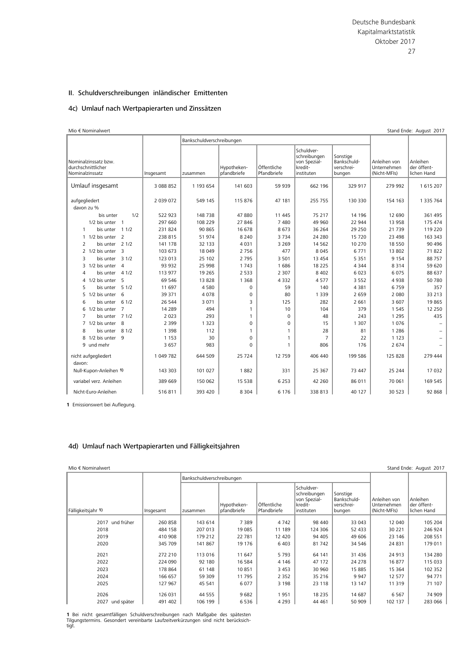### 4c) Umlauf nach Wertpapierarten und Zinssätzen

| Mio € Nominalwert                                             |               |                           |                            |                            |                                                                     |                                                 |                                             | Stand Ende: August 2017                |
|---------------------------------------------------------------|---------------|---------------------------|----------------------------|----------------------------|---------------------------------------------------------------------|-------------------------------------------------|---------------------------------------------|----------------------------------------|
|                                                               |               | Bankschuldverschreibungen |                            |                            |                                                                     |                                                 |                                             |                                        |
| Nominalzinssatz bzw.<br>durchschnittlicher<br>Nominalzinssatz | Insgesamt     | zusammen                  | Hypotheken-<br>pfandbriefe | Öffentliche<br>Pfandbriefe | Schuldver-<br>schreibungen<br>von Spezial-<br>kredit-<br>instituten | Sonstige<br>Bankschuld-<br>verschrei-<br>bungen | Anleihen von<br>Unternehmen<br>(Nicht-MFIs) | Anleihen<br>der öffent-<br>lichen Hand |
| Umlauf insgesamt                                              | 3 088 852     | 1 193 654                 | 141 603                    | 59 939                     | 662 196                                                             | 329 917                                         | 279 992                                     | 1 615 207                              |
| aufgegliedert<br>davon zu %                                   | 2 0 3 9 0 7 2 | 549 145                   | 115 876                    | 47 181                     | 255 755                                                             | 130 330                                         | 154 163                                     | 1 335 764                              |
| 1/2<br>bis unter                                              | 522 923       | 148 738                   | 47880                      | 11 445                     | 75 217                                                              | 14 19 6                                         | 12 690                                      | 361 495                                |
| 1/2 bis unter 1                                               | 297 660       | 108 229                   | 27846                      | 7480                       | 49 960                                                              | 22 944                                          | 13 958                                      | 175 474                                |
| 11/2<br>bis unter<br>$\mathbf{1}$                             | 231824        | 90 865                    | 16 678                     | 8673                       | 36 264                                                              | 29 250                                          | 21 7 39                                     | 119 220                                |
| $\overline{2}$<br>1 1/2 bis unter                             | 238 815       | 51 974                    | 8 2 4 0                    | 3734                       | 24 2 80                                                             | 15 7 20                                         | 23 4 98                                     | 163 343                                |
| 21/2<br>$\overline{2}$<br>bis unter                           | 141 178       | 32 133                    | 4031                       | 3 2 6 9                    | 14 5 62                                                             | 10 270                                          | 18 550                                      | 90 4 96                                |
| 3<br>2 1/2 bis unter                                          | 103 673       | 18 049                    | 2756                       | 477                        | 8 0 4 5                                                             | 6771                                            | 13 802                                      | 71822                                  |
| 31/2<br>3<br>bis unter                                        | 123 013       | 25 102                    | 2795                       | 3 5 0 1                    | 13 4 5 4                                                            | 5 3 5 1                                         | 9 1 5 4                                     | 88757                                  |
| $\overline{a}$<br>3 1/2 bis unter                             | 93 932        | 25 998                    | 1743                       | 1686                       | 18 2 2 5                                                            | 4 3 4 4                                         | 8 3 1 4                                     | 59 620                                 |
| 41/2<br>$\overline{A}$<br>bis unter                           | 113 977       | 19 2 65                   | 2 5 3 3                    | 2 3 0 7                    | 8 4 0 2                                                             | 6023                                            | 6 0 7 5                                     | 88 637                                 |
| 5<br>4 1/2 bis unter                                          | 69 546        | 13828                     | 1 3 6 8                    | 4 3 3 2                    | 4577                                                                | 3 5 5 2                                         | 4938                                        | 50 780                                 |
| 51/2<br>5<br>bis unter                                        | 11 697        | 4580                      | $\mathbf 0$                | 59                         | 140                                                                 | 4 3 8 1                                         | 6759                                        | 357                                    |
| 6<br>1/2 bis unter<br>5.                                      | 39 371        | 4 0 7 8                   | 0                          | 80                         | 1 3 3 9                                                             | 2 6 5 9                                         | 2 0 8 0                                     | 33 213                                 |
| 6 1/2<br>6<br>bis unter                                       | 26 544        | 3 0 7 1                   | 3                          | 125                        | 282                                                                 | 2661                                            | 3 607                                       | 19865                                  |
| $\overline{7}$<br>6 1/2 bis unter                             | 14 2 8 9      | 494                       | $\mathbf{1}$               | 10                         | 104                                                                 | 379                                             | 1 5 4 5                                     | 12 2 5 0                               |
| $\overline{7}$<br>bis unter 7 1/2                             | 2 0 2 3       | 293                       | $\mathbf{1}$               | 0                          | 48                                                                  | 243                                             | 1 2 9 5                                     | 435                                    |
| 7 1/2 bis unter<br>- 8                                        | 2 3 9 9       | 1 3 2 3                   | 0                          | $\Omega$                   | 15                                                                  | 1 3 0 7                                         | 1076                                        |                                        |
| 8 1/2<br>8<br>bis unter                                       | 1 3 9 8       | 112                       | 1                          | 1                          | 28                                                                  | 81                                              | 1 2 8 6                                     |                                        |
| 8 1/2 bis unter<br>9                                          | 1 1 5 3       | 30                        | 0                          | 1                          | $\overline{7}$                                                      | 22                                              | 1 1 2 3                                     |                                        |
| 9 und mehr                                                    | 3 6 5 7       | 983                       | $\Omega$                   | $\mathbf{1}$               | 806                                                                 | 176                                             | 2 674                                       |                                        |
| nicht aufgegliedert<br>davon:                                 | 1 049 782     | 644 509                   | 25 7 24                    | 12759                      | 406 440                                                             | 199 586                                         | 125 828                                     | 279 444                                |
| Null-Kupon-Anleihen 1)                                        | 143 303       | 101 027                   | 1882                       | 331                        | 25 367                                                              | 73 447                                          | 25 244                                      | 17 032                                 |
| variabel verz. Anleihen                                       | 389 669       | 150 062                   | 15 5 38                    | 6 2 5 3                    | 42 260                                                              | 86 011                                          | 70 061                                      | 169 545                                |
| Nicht-Euro-Anleihen                                           | 516811        | 393 420                   | 8 3 0 4                    | 6 1 7 6                    | 338 813                                                             | 40 127                                          | 30 523                                      | 92 868                                 |

**1** Emissionswert bei Auflegung.

#### 4d) Umlauf nach Wertpapierarten und Fälligkeitsjahren

| Mio € Nominalwert  |           |                           |                            |                            |                                                                     |                                                 |                                             | Stand Ende: August 2017                |
|--------------------|-----------|---------------------------|----------------------------|----------------------------|---------------------------------------------------------------------|-------------------------------------------------|---------------------------------------------|----------------------------------------|
|                    |           | Bankschuldverschreibungen |                            |                            |                                                                     |                                                 |                                             |                                        |
| Fälligkeitsjahr 1) | Insgesamt | zusammen                  | Hypotheken-<br>pfandbriefe | Öffentliche<br>Pfandbriefe | Schuldver-<br>schreibungen<br>von Spezial-<br>kredit-<br>instituten | Sonstige<br>Bankschuld-<br>verschrei-<br>bungen | Anleihen von<br>Unternehmen<br>(Nicht-MFIs) | Anleihen<br>der öffent-<br>lichen Hand |
| und früher<br>2017 | 260 858   | 143 614                   | 7389                       | 4 7 4 2                    | 98 440                                                              | 33 043                                          | 12 040                                      | 105 204                                |
| 2018               | 484 158   | 207 013                   | 19 085                     | 11 189                     | 124 306                                                             | 52 433                                          | 30 221                                      | 246 924                                |
| 2019               | 410 908   | 179 212                   | 22 781                     | 12 4 20                    | 94 405                                                              | 49 606                                          | 23 146                                      | 208 551                                |
| 2020               | 345 709   | 141 867                   | 19 17 6                    | 6403                       | 81 742                                                              | 34 546                                          | 24 831                                      | 179 011                                |
| 2021               | 272 210   | 113 016                   | 11 647                     | 5793                       | 64 141                                                              | 31 4 36                                         | 24 913                                      | 134 280                                |
| 2022               | 224 090   | 92 180                    | 16 584                     | 4 1 4 6                    | 47 172                                                              | 24 278                                          | 16877                                       | 115 033                                |
| 2023               | 178 864   | 61 148                    | 10851                      | 3 4 5 3                    | 30 960                                                              | 15 885                                          | 15 3 64                                     | 102 352                                |
| 2024               | 166 657   | 59 309                    | 11795                      | 2 3 5 2                    | 35 216                                                              | 9 9 4 7                                         | 12 577                                      | 94 771                                 |
| 2025               | 127 967   | 45 541                    | 6077                       | 3 1 9 8                    | 23 118                                                              | 13 147                                          | 11 319                                      | 71 107                                 |
| 2026               | 126 031   | 44 555                    | 9682                       | 1951                       | 18 2 35                                                             | 14 687                                          | 6 5 6 7                                     | 74 909                                 |
| 2027 und später    | 491 402   | 106 199                   | 6536                       | 4 2 9 3                    | 44 461                                                              | 50 909                                          | 102 137                                     | 283 066                                |

**1** Bei nicht gesamtfälligen Schuldverschreibungen nach Maßgabe des spätesten<br>Tilgungstermins. Gesondert vereinbarte Laufzeitverkürzungen sind nicht berücksich-<br>tigt.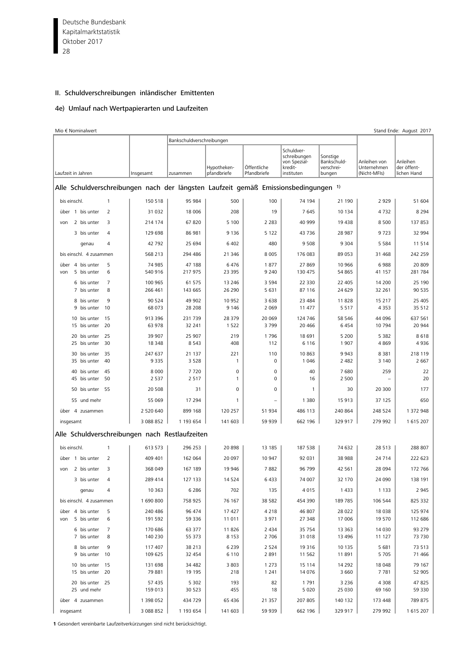Deutsche Bundesbank  $\overline{28}$ Kapitalmarktstatistik Oktober 2017

# II. Schuldverschreibungen inländischer Emittenten

#### 4e) Umlauf nach Wertpapierarten und Laufzeiten

| Mio € Nominalwert                                                                   |                        | Bankschuldverschreibungen |                            |                            |                                                                     |                                                 |                                             | Stand Ende: August 2017                |
|-------------------------------------------------------------------------------------|------------------------|---------------------------|----------------------------|----------------------------|---------------------------------------------------------------------|-------------------------------------------------|---------------------------------------------|----------------------------------------|
| Laufzeit in Jahren                                                                  | Insgesamt              | zusammen                  | Hypotheken-<br>pfandbriefe | Öffentliche<br>Pfandbriefe | Schuldver-<br>schreibungen<br>von Spezial-<br>kredit-<br>instituten | Sonstige<br>Bankschuld-<br>verschrei-<br>bungen | Anleihen von<br>Unternehmen<br>(Nicht-MFIs) | Anleihen<br>der öffent-<br>lichen Hand |
| Alle Schuldverschreibungen nach der längsten Laufzeit gemäß Emissionsbedingungen 1) |                        |                           |                            |                            |                                                                     |                                                 |                                             |                                        |
| bis einschl.<br>$\mathbf{1}$                                                        | 150 518                | 95 984                    | 500                        | 100                        | 74 194                                                              | 21 190                                          | 2 9 2 9                                     | 51 604                                 |
| über 1 bis unter<br>$\overline{2}$                                                  | 31 0 32                | 18 006                    | 208                        | 19                         | 7645                                                                | 10 134                                          | 4732                                        | 8 2 9 4                                |
| 3<br>2 bis unter<br>von                                                             | 214 174                | 67820                     | 5 100                      | 2 2 8 3                    | 40 999                                                              | 19 4 38                                         | 8 5 0 0                                     | 137 853                                |
| 3 bis unter<br>$\overline{4}$                                                       | 129 698                | 86 981                    | 9 1 3 6                    | 5 1 2 2                    | 43 7 36                                                             | 28 987                                          | 9723                                        | 32 994                                 |
| $\overline{4}$<br>genau                                                             | 42 792                 | 25 694                    | 6 4 0 2                    | 480                        | 9508                                                                | 9 3 0 4                                         | 5 5 8 4                                     | 11514                                  |
| bis einschl. 4 zusammen                                                             | 568 213                | 294 486                   | 21 346                     | 8 0 0 5                    | 176 083                                                             | 89 053                                          | 31 4 68                                     | 242 259                                |
| 5<br>4 bis unter<br>über                                                            | 74 985                 | 47 188                    | 6476                       | 1877                       | 27 869                                                              | 10 966                                          | 6988                                        | 20 809                                 |
| 6<br>5 bis unter<br>von                                                             | 540 916                | 217 975                   | 23 395                     | 9 2 4 0                    | 130 475                                                             | 54 865                                          | 41 157                                      | 281 784                                |
| 7<br>6 bis unter<br>7 bis unter<br>8                                                | 100 965<br>266 461     | 61 575<br>143 665         | 13 246<br>26 290           | 3 5 9 4<br>5 6 3 1         | 22 3 30<br>87 116                                                   | 22 4 05<br>24 629                               | 14 200<br>32 261                            | 25 190<br>90 535                       |
| 9<br>8 bis unter                                                                    | 90 524                 | 49 902                    | 10 952                     | 3 6 3 8                    | 23 4 84                                                             | 11828                                           | 15 217                                      | 25 405                                 |
| 10<br>9 bis unter                                                                   | 68 073                 | 28 208                    | 9 1 4 6                    | 2 0 6 9                    | 11 477                                                              | 5 5 1 7                                         | 4 3 5 3                                     | 35 512                                 |
| 10 bis unter<br>- 15                                                                | 913 396                | 231 739                   | 28 379                     | 20 069                     | 124 746                                                             | 58 546                                          | 44 096                                      | 637 561                                |
| 20<br>15 bis unter                                                                  | 63 978                 | 32 241                    | 1522                       | 3799                       | 20 4 66                                                             | 6454                                            | 10 794                                      | 20 944                                 |
| 25<br>20 bis unter<br>25 bis unter<br>30                                            | 39 907<br>18 348       | 25 907<br>8543            | 219<br>408                 | 1796<br>112                | 18 691<br>6 1 1 6                                                   | 5 2 0 0<br>1 9 0 7                              | 5 3 8 2<br>4869                             | 8618<br>4936                           |
| 35<br>30 bis unter                                                                  | 247 637                | 21 137                    | 221                        | 110                        | 10863                                                               | 9 9 4 3                                         | 8 3 8 1                                     | 218 119                                |
| 35 bis unter<br>40                                                                  | 9 3 3 5                | 3528                      | $\mathbf{1}$               | $\mathbf 0$                | 1 0 4 6                                                             | 2 4 8 2                                         | 3 1 4 0                                     | 2 6 6 7                                |
| 45<br>40 bis unter                                                                  | 8 0 0 0                | 7720                      | 0                          | 0                          | 40                                                                  | 7680                                            | 259                                         | 22                                     |
| 50<br>45 bis unter                                                                  | 2 5 3 7                | 2517                      | $\mathbf{1}$               | $\mathbf 0$                | 16                                                                  | 2 500                                           |                                             | 20                                     |
| 50 bis unter 55                                                                     | 20 508                 | 31                        | 0                          | $\mathbf 0$                | 1                                                                   | 30                                              | 20 300                                      | 177                                    |
| 55 und mehr                                                                         | 55 069                 | 17 294                    | $\mathbf{1}$               |                            | 1 3 8 0                                                             | 15 913                                          | 37 125                                      | 650                                    |
| über 4 zusammen                                                                     | 2 520 640<br>3 088 852 | 899 168<br>1 193 654      | 120 257<br>141 603         | 51 934<br>59 939           | 486 113<br>662 196                                                  | 240 864<br>329 917                              | 248 524<br>279 992                          | 1 372 948                              |
| insgesamt                                                                           |                        |                           |                            |                            |                                                                     |                                                 |                                             | 1 615 207                              |
| Alle Schuldverschreibungen nach Restlaufzeiten                                      |                        |                           |                            |                            |                                                                     |                                                 |                                             |                                        |
| bis einschl.<br>$\mathbf{1}$                                                        | 613 573                | 296 253                   | 20898                      | 13 185                     | 187 538                                                             | 74 632                                          | 28 5 13                                     | 288 807                                |
| $\overline{2}$<br>über 1 bis unter                                                  | 409 401                | 162 064                   | 20 097                     | 10 947                     | 92 031                                                              | 38 988                                          | 24 7 14                                     | 222 623                                |
| 3<br>2 bis unter<br>von                                                             | 368 049                | 167 189                   | 19 946                     | 7882                       | 96 799                                                              | 42 5 61                                         | 28 0 94                                     | 172 766                                |
| 3 bis unter<br>4                                                                    | 289 414                | 127 133                   | 14 5 24                    | 6 4 33                     | 74 007                                                              | 32 170                                          | 24 090                                      | 138 191                                |
| genau<br>4                                                                          | 10 363                 | 6 2 8 6                   | 702                        | 135                        | 4015                                                                | 1433                                            | 1 1 3 3                                     | 2 9 4 5                                |
| bis einschl. 4 zusammen                                                             | 1690800                | 758 925                   | 76 167                     | 38 582                     | 454 390                                                             | 189 785                                         | 106 544                                     | 825 332                                |
| über 4 bis unter<br>5<br>5 bis unter<br>6<br>von                                    | 240 486<br>191 592     | 96 474<br>59 336          | 17 427<br>11 011           | 4 2 1 8<br>3 9 7 1         | 46 807<br>27 348                                                    | 28 0 22<br>17 006                               | 18 0 38<br>19 570                           | 125 974<br>112 686                     |
| 6 bis unter<br>7                                                                    | 170 686                | 63 377                    | 11826                      | 2 4 3 4                    | 35 754                                                              | 13 363                                          | 14 0 30                                     | 93 279                                 |
| 7 bis unter<br>8                                                                    | 140 230                | 55 373                    | 8 1 5 3                    | 2 7 0 6                    | 31 018                                                              | 13 4 96                                         | 11 127                                      | 73 730                                 |
| 8 bis unter<br>9<br>9 bis unter<br>10                                               | 117 407<br>109 625     | 38 213<br>32 454          | 6 2 3 9<br>6 1 1 0         | 2 5 2 4<br>2891            | 19 3 16<br>11 5 62                                                  | 10 135<br>11891                                 | 5 681<br>5 7 0 5                            | 73 513<br>71 466                       |
| 10 bis unter<br>15<br>15 bis unter 20                                               | 131 698<br>79 881      | 34 482<br>19 195          | 3 8 0 3<br>218             | 1 2 7 3<br>1 2 4 1         | 15 1 14<br>14 0 76                                                  | 14 292<br>3 6 6 0                               | 18 048<br>7 7 8 1                           | 79 167<br>52 905                       |
| 20 bis unter 25                                                                     | 57 435                 | 5 3 0 2                   | 193                        | 82                         | 1791                                                                | 3 2 3 6                                         | 4 3 0 8                                     | 47825                                  |
| 25 und mehr                                                                         | 159 013                | 30 5 23                   | 455                        | 18                         | 5 0 2 0                                                             | 25 030                                          | 69 160                                      | 59 330                                 |
| über 4 zusammen                                                                     | 1 398 052              | 434 729                   | 65 436                     | 21 357                     | 207 805                                                             | 140 132                                         | 173 448                                     | 789 875                                |
| insgesamt                                                                           | 3 088 852              | 1 193 654                 | 141 603                    | 59 939                     | 662 196                                                             | 329 917                                         | 279 992                                     | 1 615 207                              |

**1** Gesondert vereinbarte Laufzeitverkürzungen sind nicht berücksichtigt.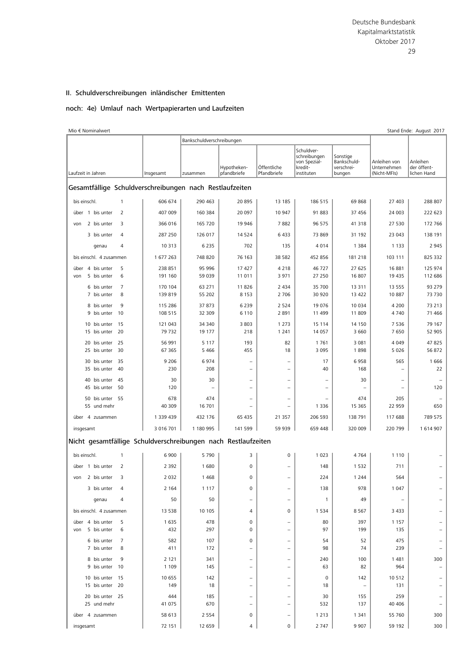### noch: 4e) Umlauf nach Wertpapierarten und Laufzeiten

| Mio € Nominalwert                                             |                    | Bankschuldverschreibungen |                                                      |                                                      |                                                                     |                                                 |                                             | Stand Ende: August 2017                |
|---------------------------------------------------------------|--------------------|---------------------------|------------------------------------------------------|------------------------------------------------------|---------------------------------------------------------------------|-------------------------------------------------|---------------------------------------------|----------------------------------------|
| Laufzeit in Jahren                                            | Insgesamt          | zusammen                  | Hypotheken-<br>pfandbriefe                           | Öffentliche<br>Pfandbriefe                           | Schuldver-<br>schreibungen<br>von Spezial-<br>kredit-<br>instituten | Sonstige<br>Bankschuld-<br>verschrei-<br>bungen | Anleihen von<br>Unternehmen<br>(Nicht-MFIs) | Anleihen<br>der öffent-<br>lichen Hand |
| Gesamtfällige Schuldverschreibungen nach Restlaufzeiten       |                    |                           |                                                      |                                                      |                                                                     |                                                 |                                             |                                        |
| bis einschl.<br>$\mathbf{1}$                                  | 606 674            | 290 463                   | 20 895                                               | 13 185                                               | 186 515                                                             | 69 868                                          | 27 403                                      | 288 807                                |
| 2<br>über 1 bis unter                                         | 407 009            | 160 384                   | 20 097                                               | 10 947                                               | 91 883                                                              | 37 456                                          | 24 003                                      | 222 623                                |
| 2 bis unter<br>3<br>von                                       | 366 016            | 165 720                   | 19 946                                               | 7882                                                 | 96 575                                                              | 41 318                                          | 27 530                                      | 172 766                                |
| 3 bis unter<br>$\overline{4}$                                 | 287 250            | 126 017                   | 14 5 24                                              | 6433                                                 | 73 869                                                              | 31 192                                          | 23 043                                      | 138 191                                |
| genau<br>$\overline{4}$                                       | 10 313             | 6 2 3 5                   | 702                                                  | 135                                                  | 4014                                                                | 1 3 8 4                                         | 1 1 3 3                                     | 2 9 4 5                                |
| bis einschl. 4 zusammen                                       | 1 677 263          | 748 820                   | 76 163                                               | 38 5 82                                              | 452 856                                                             | 181 218                                         | 103 111                                     | 825 332                                |
| 4 bis unter<br>5<br>über                                      | 238 851            | 95 996                    | 17 427                                               | 4 2 1 8                                              | 46727                                                               | 27 625                                          | 16 881                                      | 125 974                                |
| 5 bis unter<br>6<br>von                                       | 191 160            | 59 039                    | 11 011                                               | 3 9 7 1                                              | 27 250                                                              | 16 807                                          | 19 435                                      | 112 686                                |
| $\overline{7}$<br>6 bis unter<br>7 bis unter<br>8             | 170 104<br>139 819 | 63 271<br>55 202          | 11826<br>8 1 5 3                                     | 2 4 3 4<br>2 7 0 6                                   | 35 700<br>30 920                                                    | 13 3 11<br>13 4 22                              | 13 5 5 5<br>10 887                          | 93 279<br>73 730                       |
| 9<br>8 bis unter                                              | 115 286            | 37 873                    | 6 2 3 9                                              | 2 5 2 4                                              | 19 0 76                                                             | 10 0 34                                         | 4 200                                       | 73 213                                 |
| 9 bis unter<br>10                                             | 108 515            | 32 309                    | 6 1 1 0                                              | 2891                                                 | 11 499                                                              | 11 809                                          | 4740                                        | 71 466                                 |
| 10 bis unter<br>- 15<br>- 20<br>15 bis unter                  | 121 043<br>79 732  | 34 340<br>19 177          | 3 8 0 3<br>218                                       | 1 2 7 3<br>1 2 4 1                                   | 15 1 14<br>14 0 57                                                  | 14 150<br>3 6 6 0                               | 7 5 3 6<br>7650                             | 79 167<br>52 905                       |
| 20 bis unter<br>25                                            | 56 991             | 5 1 1 7                   | 193                                                  | 82                                                   | 1761                                                                | 3 0 8 1                                         | 4 0 4 9                                     | 47825                                  |
| 30<br>25 bis unter                                            | 67 365             | 5 4 6 6                   | 455                                                  | 18                                                   | 3 0 9 5                                                             | 1898                                            | 5 0 2 6                                     | 56872                                  |
| 35<br>30 bis unter<br>35 bis unter<br>40                      | 9 2 0 6<br>230     | 6974<br>208               | $\overline{\phantom{0}}$<br>$\overline{\phantom{0}}$ | $\overline{\phantom{0}}$<br>$\overline{\phantom{0}}$ | 17<br>40                                                            | 6958<br>168                                     | 565<br>$\overline{\phantom{0}}$             | 1666<br>22                             |
| 40 bis unter<br>45                                            | 30                 | 30                        | $\overline{\phantom{0}}$                             | $\qquad \qquad -$                                    | $\overline{\phantom{m}}$                                            | 30                                              | $\qquad \qquad -$                           |                                        |
| 50<br>45 bis unter                                            | 120                | ÷                         | $\overline{\phantom{0}}$                             | $\overline{\phantom{0}}$                             | $\overline{\phantom{0}}$                                            |                                                 | $\overline{\phantom{a}}$                    | 120                                    |
| 50 bis unter 55<br>55 und mehr                                | 678<br>40 309      | 474<br>16 701             | $\overline{\phantom{0}}$                             | $\qquad \qquad -$<br>-                               | 1 3 3 6                                                             | 474<br>15 3 65                                  | 205<br>22 959                               | 650                                    |
| über 4 zusammen                                               | 1 339 439          | 432 176                   | 65 435                                               | 21 357                                               | 206 593                                                             | 138 791                                         | 117 688                                     | 789 575                                |
| insgesamt                                                     | 3 016 701          | 1 180 995                 | 141 599                                              | 59 939                                               | 659 448                                                             | 320 009                                         | 220 799                                     | 1 614 907                              |
| Nicht gesamtfällige Schuldverschreibungen nach Restlaufzeiten |                    |                           |                                                      |                                                      |                                                                     |                                                 |                                             |                                        |
| bis einschl.<br>$\mathbf{1}$                                  | 6 9 0 0            | 5790                      | 3                                                    | 0                                                    | 1 0 2 3                                                             | 4764                                            | 1 1 1 0                                     |                                        |
| über 1 bis unter<br>$\overline{2}$                            | 2 3 9 2            | 1680                      | 0                                                    | $\overline{\phantom{0}}$                             | 148                                                                 | 1 5 3 2                                         | 711                                         |                                        |
| von<br>2 bis unter<br>3                                       | 2 0 3 2            | 1468                      | 0                                                    |                                                      | 224                                                                 | 1 2 4 4                                         | 564                                         |                                        |
| 3 bis unter<br>4                                              | 2 1 6 4            | 1 1 1 7                   | 0                                                    | $\overline{\phantom{0}}$                             | 138                                                                 | 978                                             | 1 0 4 7                                     |                                        |
| genau<br>4                                                    | 50                 | 50                        | ÷                                                    | $\overline{\phantom{0}}$                             | $\mathbf{1}$                                                        | 49                                              | $\overline{\phantom{a}}$                    |                                        |
| bis einschl. 4 zusammen                                       | 13 5 38            | 10 105                    | 4                                                    | 0                                                    | 1534                                                                | 8567                                            | 3 4 3 3                                     |                                        |
| 5<br>über 4 bis unter<br>6                                    | 1 6 3 5            | 478                       | 0                                                    | $\overline{\phantom{0}}$                             | 80<br>97                                                            | 397                                             | 1 1 5 7                                     |                                        |
| 5 bis unter<br>von<br>6 bis unter<br>7                        | 432<br>582         | 297<br>107                | 0<br>0                                               | $\qquad \qquad -$                                    | 54                                                                  | 199<br>52                                       | 135<br>475                                  |                                        |
| 7 bis unter<br>8                                              | 411                | 172                       |                                                      | $\overline{\phantom{a}}$<br>$\qquad \qquad -$        | 98                                                                  | 74                                              | 239                                         |                                        |
| 8 bis unter<br>9<br>9 bis unter<br>10                         | 2 1 2 1<br>1 1 0 9 | 341<br>145                |                                                      | $\overline{\phantom{a}}$<br>$\qquad \qquad -$        | 240<br>63                                                           | 100<br>82                                       | 1 4 8 1<br>964                              | 300                                    |
| 10 bis unter 15<br>15 bis unter 20                            | 10 655<br>149      | 142<br>18                 | -<br>$\overline{\phantom{0}}$                        | $\overline{\phantom{a}}$<br>$\qquad \qquad -$        | 0<br>18                                                             | 142<br>$\overline{\phantom{m}}$                 | 10 512<br>131                               |                                        |
| 20 bis unter 25<br>25 und mehr                                | 444<br>41 075      | 185<br>670                | $\overline{\phantom{0}}$                             | $\overline{\phantom{0}}$<br>$\qquad \qquad -$        | 30<br>532                                                           | 155<br>137                                      | 259<br>40 40 6                              |                                        |
| über 4 zusammen                                               | 58 613             | 2 5 5 4                   | 0                                                    | $\overline{\phantom{0}}$                             | 1 2 1 3                                                             | 1 3 4 1                                         | 55 760                                      | 300                                    |
| insgesamt                                                     | 72 151             | 12 659                    | 4                                                    | 0                                                    | 2 7 4 7                                                             | 9 9 0 7                                         | 59 192                                      | 300                                    |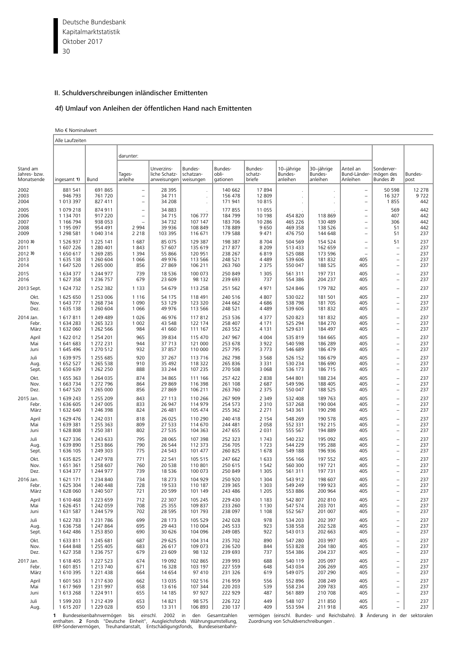Deutsche Bundesbank 30 Kapitalmarktstatistik Oktober 2017

## II. Schuldverschreibungen inländischer Emittenten

# 4f) Umlauf von Anleihen der öffentlichen Hand nach Emittenten

|  | Mio € Nominalwert |  |
|--|-------------------|--|
|--|-------------------|--|

|                                        | Alle Laufzeiten                                               |                                                               |                                                                           |                                                   |                                               |                                                     |                                            |                                          |                                          |                                                                                                                                   |                                                                                                                  |                                 |
|----------------------------------------|---------------------------------------------------------------|---------------------------------------------------------------|---------------------------------------------------------------------------|---------------------------------------------------|-----------------------------------------------|-----------------------------------------------------|--------------------------------------------|------------------------------------------|------------------------------------------|-----------------------------------------------------------------------------------------------------------------------------------|------------------------------------------------------------------------------------------------------------------|---------------------------------|
|                                        |                                                               |                                                               | darunter:                                                                 |                                                   |                                               |                                                     |                                            |                                          |                                          |                                                                                                                                   |                                                                                                                  |                                 |
| Stand am<br>Jahres- bzw.<br>Monatsende | ingesamt 1)                                                   | Bund                                                          | Tages-<br>anleihe                                                         | Unverzins-<br>liche Schatz-<br>anweisungen        | Bundes-<br>schatzan-<br>weisungen             | Bundes-<br>obli-<br>gationen                        | Bundes-<br>schatz-<br>briefe               | 10-jährige<br>Bundes-<br>anleihen        | 30-jährige<br>Bundes-<br>anleihen        | Anteil an<br>Bund-Länder-<br>Anleihen                                                                                             | Sonderver-<br>mögen des<br>Bundes 2)                                                                             | Bundes-<br>post                 |
| 2002<br>2003<br>2004                   | 881 541<br>946 793<br>1 013 397                               | 691865<br>761 720<br>827 411                                  | $\overline{\phantom{m}}$<br>$\overline{\phantom{a}}$<br>$\qquad \qquad -$ | 28 3 9 5<br>34 711<br>34 208                      |                                               | 140 662<br>156 478<br>171 941                       | 17894<br>12 809<br>10815                   |                                          | $\cdot$                                  | $\overline{\phantom{a}}$<br>$\overline{\phantom{a}}$<br>$\qquad \qquad -$                                                         | 50 598<br>16 3 27<br>1855                                                                                        | 12 278<br>9722<br>442           |
| 2005<br>2006<br>2007<br>2008<br>2009   | 1 079 218<br>1 134 701<br>1 166 794<br>1 195 097<br>1 298 581 | 874 911<br>917 220<br>938 053<br>954 491<br>1 040 314         | $\overline{\phantom{0}}$<br>$\qquad \qquad -$<br>Ē,<br>2 9 9 4<br>2 2 1 8 | 34 883<br>34 7 15<br>34 7 32<br>39 936<br>103 395 | 106 777<br>107 147<br>108 849<br>116 671      | 177 855<br>184 799<br>183 706<br>178 889<br>179 588 | 11 055<br>10 198<br>10 286<br>9650<br>9471 | 454 820<br>465 226<br>469 358<br>476 750 | 118 869<br>130 489<br>138 526<br>144 648 | $\overline{\phantom{0}}$<br>$\overline{\phantom{0}}$<br>$\overline{\phantom{0}}$<br>$\qquad \qquad -$<br>$\overline{\phantom{a}}$ | 569<br>407<br>306<br>51<br>51                                                                                    | 442<br>442<br>442<br>442<br>237 |
| 20103                                  | 1 526 937                                                     | 1 2 2 5 1 4 1                                                 | 1687                                                                      | 85 075                                            | 129 387                                       | 198 387                                             | 8704                                       | 504 569                                  | 154 524                                  | $\overline{\phantom{0}}$                                                                                                          | 51                                                                                                               | 237                             |
| 2011                                   | 1 607 226                                                     | 1 280 401                                                     | 1843                                                                      | 57 607                                            | 135 619                                       | 217877                                              | 8 2 0 9                                    | 513 433                                  | 162 659                                  | ÷,                                                                                                                                | $\overline{\phantom{0}}$                                                                                         | 237                             |
| 2012 3)                                | 1650617                                                       | 1 269 285                                                     | 1 3 9 4                                                                   | 55 866                                            | 120 951                                       | 238 267                                             | 6819                                       | 525 088                                  | 173 596                                  | ÷,                                                                                                                                | $\overline{\phantom{a}}$                                                                                         | 237                             |
| 2013                                   | 1 635 138                                                     | 1 260 604                                                     | 1 0 6 6                                                                   | 49 976                                            | 113 566                                       | 248 521                                             | 4 4 8 9                                    | 539 606                                  | 181832                                   | 405                                                                                                                               | $\overline{\phantom{0}}$                                                                                         | 237                             |
| 2014                                   | 1 647 520                                                     | 1 265 000                                                     | 856                                                                       | 27 869                                            | 106 211                                       | 263 760                                             | 2 3 7 5                                    | 550 047                                  | 188 525                                  | 405                                                                                                                               | $\overline{\phantom{a}}$                                                                                         | 237                             |
| 2015                                   | 1 634 377                                                     | 1 244 977                                                     | 739                                                                       | 18 5 36                                           | 100 073                                       | 250 849                                             | 1 3 0 5                                    | 561 311                                  | 197 731                                  | 405                                                                                                                               | $\qquad \qquad -$                                                                                                | 237                             |
| 2016                                   | 1 627 358                                                     | 1 236 757                                                     | 679                                                                       | 23 609                                            | 98 132                                        | 239 693                                             | 737                                        | 554 386                                  | 204 237                                  | 405                                                                                                                               | $\overline{\phantom{0}}$                                                                                         | 237                             |
| 2013 Sept.                             | 1 624 732                                                     | 1 252 382                                                     | 1 1 3 3                                                                   | 54 679                                            | 113 258                                       | 251 562                                             | 4971                                       | 524 846                                  | 179 782                                  | 405                                                                                                                               | $\overline{\phantom{a}}$                                                                                         | 237                             |
| Okt.                                   | 1625650                                                       | 1 253 006                                                     | 1 1 1 6                                                                   | 54 175                                            | 118 491                                       | 240 516                                             | 4807                                       | 530 022                                  | 181 501                                  | 405                                                                                                                               | $\qquad \qquad -$                                                                                                | 237                             |
| Nov.                                   | 1 643 777                                                     | 1 268 734                                                     | 1 0 9 0                                                                   | 53 129                                            | 123 320                                       | 244 662                                             | 4686                                       | 538798                                   | 181 705                                  | 405                                                                                                                               | $\qquad \qquad -$                                                                                                | 237                             |
| Dez.                                   | 1 635 138                                                     | 1 260 604                                                     | 1 0 6 6                                                                   | 49 976                                            | 113 566                                       | 248 521                                             | 4 4 8 9                                    | 539 606                                  | 181832                                   | 405                                                                                                                               | $\overline{\phantom{a}}$                                                                                         | 237                             |
| 2014 Jan.                              | 1617811                                                       | 1 249 489                                                     | 1026                                                                      | 46 976                                            | 117812                                        | 253 536                                             | 4 3 7 7                                    | 520 823                                  | 181 832                                  | 405                                                                                                                               | $\overline{\phantom{a}}$                                                                                         | 237                             |
| Febr.                                  | 1 634 283                                                     | 1 265 323                                                     | 1 0 0 2                                                                   | 43 548                                            | 122 174                                       | 258 407                                             | 4 1 7 1                                    | 525 294                                  | 184 270                                  | 405                                                                                                                               | $\overline{\phantom{m}}$                                                                                         | 237                             |
| März                                   | 1 632 060                                                     | 1 262 566                                                     | 984                                                                       | 41 660                                            | 111 167                                       | 263 552                                             | 4 1 3 1                                    | 529 631                                  | 184 497                                  | 405                                                                                                                               | $\equiv$                                                                                                         | 237                             |
| April                                  | 1 622 012                                                     | 1 254 201                                                     | 965                                                                       | 39 834                                            | 115 470                                       | 247 967                                             | 4 0 0 4                                    | 535 819                                  | 184 665                                  | 405                                                                                                                               | $\overline{\phantom{0}}$                                                                                         | 237                             |
| Mai                                    | 1 641 683                                                     | 1 272 231                                                     | 944                                                                       | 37 713                                            | 121 000                                       | 253 678                                             | 3922                                       | 540 598                                  | 186 289                                  | 405                                                                                                                               | $\qquad \qquad -$                                                                                                | 237                             |
| Juni                                   | 1 645 496                                                     | 1 270 512                                                     | 932                                                                       | 37 857                                            | 110 000                                       | 257 795                                             | 3773                                       | 546 689                                  | 186 479                                  | 405                                                                                                                               | $\qquad \qquad -$                                                                                                | 237                             |
| Juli                                   | 1 639 975                                                     | 1 255 685                                                     | 920                                                                       | 37 267                                            | 113 716                                       | 262 798                                             | 3 5 6 8                                    | 526 152                                  | 186 679                                  | 405                                                                                                                               | $\qquad \qquad -$                                                                                                | 237                             |
| Aug.                                   | 1 652 527                                                     | 1 265 538                                                     | 910                                                                       | 35 4 92                                           | 118 322                                       | 265 836                                             | 3 3 3 1                                    | 530 234                                  | 186 690                                  | 405                                                                                                                               | $\overline{\phantom{0}}$                                                                                         | 237                             |
| Sept.                                  | 1650639                                                       | 1 262 250                                                     | 888                                                                       | 33 244                                            | 107 235                                       | 270 508                                             | 3 0 6 8                                    | 536 173                                  | 186 715                                  | 405                                                                                                                               | $\qquad \qquad -$                                                                                                | 237                             |
| Okt.                                   | 1 655 363                                                     | 1 264 035                                                     | 874                                                                       | 34 865                                            | 111 166                                       | 257 422                                             | 2838                                       | 544 801                                  | 188 234                                  | 405                                                                                                                               | $\overline{\phantom{a}}$                                                                                         | 237                             |
| Nov.                                   | 1 663 734                                                     | 1 272 796                                                     | 864                                                                       | 29 869                                            | 116 398                                       | 261 108                                             | 2 687                                      | 549 596                                  | 188 405                                  | 405                                                                                                                               | $\overline{\phantom{0}}$                                                                                         | 237                             |
| Dez.                                   | 1 647 520                                                     | 1 265 000                                                     | 856                                                                       | 27 869                                            | 106 211                                       | 263 760                                             | 2 3 7 5                                    | 550 047                                  | 188 525                                  | 405                                                                                                                               | $\overline{a}$                                                                                                   | 237                             |
| 2015 Jan.                              | 1 639 243                                                     | 1 255 209                                                     | 843                                                                       | 27 113                                            | 110 266                                       | 267 909                                             | 2 3 4 9                                    | 532 408                                  | 189 763                                  | 405                                                                                                                               | $\qquad \qquad -$                                                                                                | 237                             |
| Febr.                                  | 1 636 605                                                     | 1 247 005                                                     | 833                                                                       | 26 947                                            | 114 979                                       | 254 573                                             | 2 3 1 0                                    | 537 268                                  | 190 004                                  | 405                                                                                                                               | $\qquad \qquad -$                                                                                                | 237                             |
| März                                   | 1 632 640                                                     | 1 246 398                                                     | 824                                                                       | 26 481                                            | 105 474                                       | 255 362                                             | 2 2 7 1                                    | 543 361                                  | 190 298                                  | 405                                                                                                                               | $\overline{\phantom{0}}$                                                                                         | 237                             |
| April                                  | 1 629 476                                                     | 1 242 031                                                     | 818                                                                       | 26 0 25                                           | 110 290                                       | 240 418                                             | 2 1 5 4                                    | 548 269                                  | 190 578                                  | 405                                                                                                                               | $\qquad \qquad -$                                                                                                | 237                             |
| Mai                                    | 1 639 381                                                     | 1 255 363                                                     | 809                                                                       | 27 533                                            | 114 670                                       | 244 481                                             | 2 0 5 8                                    | 552 331                                  | 192 215                                  | 405                                                                                                                               | $\overline{\phantom{0}}$                                                                                         | 237                             |
| Juni                                   | 1628808                                                       | 1 250 381                                                     | 802                                                                       | 27 535                                            | 104 363                                       | 247 655                                             | 2 0 3 1                                    | 555 567                                  | 194 889                                  | 405                                                                                                                               | $\qquad \qquad -$                                                                                                | 237                             |
| Juli                                   | 1 627 336                                                     | 1 243 633                                                     | 795                                                                       | 28 065                                            | 107 398                                       | 252 323                                             | 1743                                       | 540 232                                  | 195 092                                  | 405                                                                                                                               | $\qquad \qquad -$                                                                                                | 237                             |
| Aug.                                   | 1639890                                                       | 1 253 866                                                     | 790                                                                       | 26 544                                            | 112 373                                       | 256 705                                             | 1723                                       | 544 229                                  | 195 288                                  | 405                                                                                                                               | $\equiv$                                                                                                         | 237                             |
| Sept.                                  | 1 636 105                                                     | 1 249 303                                                     | 775                                                                       | 24 5 43                                           | 101 477                                       | 260 825                                             | 1678                                       | 549 188                                  | 196 936                                  | 405                                                                                                                               | $\qquad \qquad -$                                                                                                | 237                             |
| Okt.                                   | 1 635 825                                                     | 1 247 978                                                     | 771                                                                       | 22 541                                            | 105 515                                       | 247 662                                             | 1 6 3 3                                    | 556 166                                  | 197 552                                  | 405                                                                                                                               | $\overline{\phantom{a}}$                                                                                         | 237                             |
| Nov.                                   | 1651361                                                       | 1 258 607                                                     | 760                                                                       | 20 538                                            | 110 801                                       | 250 615                                             | 1 5 4 2                                    | 560 300                                  | 197 721                                  | 405                                                                                                                               | $\qquad \qquad -$                                                                                                | 237                             |
| Dez.                                   | 1 634 377                                                     | 1 244 977                                                     | 739                                                                       | 18 5 36                                           | 100 073                                       | 250 849                                             | 1 3 0 5                                    | 561 311                                  | 197 731                                  | 405                                                                                                                               | $\overline{\phantom{0}}$                                                                                         | 237                             |
| 2016 Jan.<br>Febr.<br>März             | 1621171<br>1 625 304<br>1 628 060                             | 1 234 840<br>1 240 448<br>1 240 507                           | 734<br>728<br>721                                                         | 18 273<br>19 5 33<br>20 599                       | 104 929<br>110 187<br>101 149                 | 250 920<br>239 365<br>243 486                       | 1 3 0 4<br>1 3 0 3<br>1 2 0 5              | 543 912<br>549 249<br>553 886            | 198 607<br>199 923<br>200 964            | 405<br>405<br>405                                                                                                                 | $\overline{\phantom{0}}$<br>$\overline{\phantom{a}}$                                                             | 237<br>237<br>237               |
| April                                  | 1610468                                                       | 1 223 659                                                     | 712                                                                       | 22 307                                            | 105 245                                       | 229 430                                             | 1 1 8 3                                    | 542 807                                  | 202 810                                  | 405                                                                                                                               | $\qquad \qquad -$                                                                                                | 237                             |
| Mai                                    | 1 626 451                                                     | 1 242 059                                                     | 708                                                                       | 25 355                                            | 109 837                                       | 233 260                                             | 1 1 3 0                                    | 547 574                                  | 203 701                                  | 405                                                                                                                               | $\overline{a}$                                                                                                   | 237                             |
| Juni                                   | 1 631 587                                                     | 1 244 579                                                     | 702                                                                       | 28 5 95                                           | 101 793                                       | 238 097                                             | 1 1 0 8                                    | 552 567                                  | 201 007                                  | 405                                                                                                                               | $\qquad \qquad -$                                                                                                | 237                             |
| Juli                                   | 1 622 783                                                     | 1 2 3 1 7 8 6                                                 | 699                                                                       | 28 173                                            | 105 529                                       | 242 028                                             | 978                                        | 534 203                                  | 202 397                                  | 405                                                                                                                               | $\qquad \qquad -$                                                                                                | 237                             |
| Aug.                                   | 1 636 758                                                     | 1 247 864                                                     | 695                                                                       | 29 4 43                                           | 110 004                                       | 245 533                                             | 923                                        | 538 558                                  | 202 528                                  | 405                                                                                                                               | $\overline{\phantom{a}}$                                                                                         | 237                             |
| Sept.                                  | 1 642 486                                                     | 1 253 850                                                     | 690                                                                       | 30 626                                            | 104 096                                       | 249 085                                             | 922                                        | 543 013                                  | 202 663                                  | 405                                                                                                                               | $\qquad \qquad -$                                                                                                | 237                             |
| Okt.                                   | 1 633 811                                                     | 1 245 681                                                     | 687                                                                       | 29 625                                            | 104 314                                       | 235 702                                             | 890                                        | 547 280                                  | 203 997                                  | 405                                                                                                                               | $\qquad \qquad -$                                                                                                | 237                             |
| Nov.                                   | 1 644 848                                                     | 1 255 405                                                     | 683                                                                       | 26 617                                            | 109 073                                       | 236 520                                             | 844                                        | 553 828                                  | 204 180                                  | 405                                                                                                                               | $\qquad \qquad -$                                                                                                | 237                             |
| Dez.                                   | 1 627 358                                                     | 1 236 757                                                     | 679                                                                       | 23 609                                            | 98 132                                        | 239 693                                             | 737                                        | 554 386                                  | 204 237                                  | 405                                                                                                                               | $\overline{\phantom{a}}$                                                                                         | 237                             |
| 2017 Jan.                              | 1 618 405                                                     | 1 227 523                                                     | 674                                                                       | 19 092                                            | 102 865                                       | 239 993                                             | 688                                        | 540 119                                  | 205 097                                  | 405                                                                                                                               | $\qquad \qquad -$                                                                                                | 237                             |
| Febr.                                  | 1601851                                                       | 1 213 740                                                     | 671                                                                       | 16 3 28                                           | 103 197                                       | 227 559                                             | 648                                        | 543 034                                  | 206 269                                  | 405                                                                                                                               | $\qquad \qquad -$                                                                                                | 237                             |
| März                                   | 1 610 395                                                     | 1 2 2 1 4 3 8                                                 | 664                                                                       | 14 654                                            | 97 410                                        | 231 326                                             | 619                                        | 549 075                                  | 207 290                                  | 405                                                                                                                               | $\overline{\phantom{a}}$                                                                                         | 237                             |
| April                                  | 1 601 563                                                     | 1 217 630                                                     | 662                                                                       | 13 0 35                                           | 102 516                                       | 216 959                                             | 556                                        | 552 896                                  | 208 249                                  | 405                                                                                                                               | $\qquad \qquad -$                                                                                                | 237                             |
| Mai                                    | 1617969                                                       | 1 2 3 1 9 9 7                                                 | 658                                                                       | 13 616                                            | 107 344                                       | 220 203                                             | 539                                        | 558 234                                  | 209 783                                  | 405                                                                                                                               | $\qquad \qquad -$                                                                                                | 237                             |
| Juni                                   | 1 613 268                                                     | 1 224 911                                                     | 655                                                                       | 14 185                                            | 97 927                                        | 222 929                                             | 487                                        | 561 889                                  | 210 708                                  | 405                                                                                                                               | $\overline{\phantom{m}}$                                                                                         | 237                             |
| Juli<br>Aug.                           | 1 599 203<br>1 615 207                                        | 1 212 439<br>1 229 028<br>Rundeseisenhahnvermänen his einschl | 653<br>650                                                                | 14 8 21<br>13 3 11                                | 98 575<br>106 893<br>2002 in den Gesamtzahlen | 226 722<br>230 137                                  | 449<br>409                                 | 548 107<br>553 594                       | 211 850<br>211918                        | 405<br>405                                                                                                                        | $\qquad \qquad -$<br>$\qquad \qquad -$<br>vermönen (einschl Rundes- und Reichsbahn) 3 Änderung in der sektoralen | 237<br>237                      |

**1** Bundeseisenbahnvermögen bis einschl. 2002 in den Gesamtzahlen vermögen-(einschl. Bundes- und Reichsbahn). **3** Änderung in der sektoralen<br>enthalten. **2** Fonds "Deutsche Einheit", Ausgleichsfonds Währungsumstellung, Zuo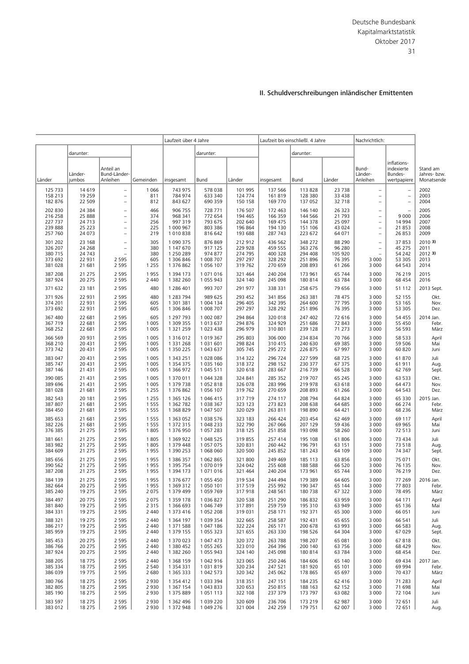|                                                     |                                                   |                                                                                                                     |                                 | Laufzeit über 4 Jahre                                 |                                                     | Laufzeit bis einschließl. 4 Jahre                   |                                                     |                                                     | Nachrichtlich:                                    |                                                                                                                           |                                                      |                                        |
|-----------------------------------------------------|---------------------------------------------------|---------------------------------------------------------------------------------------------------------------------|---------------------------------|-------------------------------------------------------|-----------------------------------------------------|-----------------------------------------------------|-----------------------------------------------------|-----------------------------------------------------|---------------------------------------------------|---------------------------------------------------------------------------------------------------------------------------|------------------------------------------------------|----------------------------------------|
|                                                     | darunter:                                         |                                                                                                                     |                                 |                                                       | darunter:                                           |                                                     |                                                     | darunter:                                           |                                                   |                                                                                                                           |                                                      |                                        |
| Länder                                              | Länder-<br>jumbos                                 | Anteil an<br>Bund-Länder-<br>Anleihen                                                                               | Gemeinden                       | insgesamt                                             | Bund                                                | Länder                                              | insgesamt                                           | Bund                                                | Länder                                            | Bund-<br>Länder-<br>Anleihen                                                                                              | inflations-<br>indexierte<br>Bundes-<br>wertpapiere  | Stand am<br>Jahres- bzw.<br>Monatsende |
| 125 733<br>158 213<br>182 876                       | 14 6 19<br>19 2 5 9<br>22 509                     | $\qquad \qquad -$<br>$\overline{\phantom{0}}$<br>$\qquad \qquad -$                                                  | 1 0 6 6<br>811<br>812           | 743 975<br>784 974<br>843 627                         | 578 038<br>633 340<br>690 359                       | 101 995<br>124 774<br>150 158                       | 137 566<br>161819<br>169 770                        | 113 828<br>128 380<br>137 052                       | 23 738<br>33 4 38<br>32 718                       | ÷,<br>$\overline{\phantom{a}}$<br>$\qquad \qquad -$                                                                       | $\overline{\phantom{a}}$<br>$\overline{\phantom{a}}$ | 2002<br>2003<br>2004                   |
| 202 830<br>216 258<br>227 737<br>239 888<br>257 760 | 24 3 84<br>25 888<br>24 7 13<br>25 2 23<br>24 073 | $\overline{\phantom{0}}$<br>$\overline{\phantom{0}}$<br>$\qquad \qquad -$<br>$\qquad \qquad -$<br>$\qquad \qquad -$ | 466<br>374<br>256<br>225<br>219 | 906 755<br>968 341<br>997 319<br>1 000 967<br>1010838 | 728 771<br>772 654<br>793 675<br>803 386<br>816 642 | 176 507<br>194 465<br>202 640<br>196 864<br>193 688 | 172 463<br>166 359<br>169 475<br>194 130<br>287 743 | 146 140<br>144 566<br>144 378<br>151 106<br>223 672 | 26 323<br>21 7 9 3<br>25 097<br>43 0 24<br>64 071 | $\overline{\phantom{0}}$<br>$\overline{\phantom{0}}$<br>$\bar{ }$<br>$\overline{\phantom{0}}$<br>$\overline{\phantom{a}}$ | 9 0 0 0<br>14 9 94<br>21 853<br>26 853               | 2005<br>2006<br>2007<br>2008<br>2009   |
| 301 202                                             | 23 168                                            | $\overline{\phantom{0}}$                                                                                            | 305                             | 1 090 375                                             | 876 869                                             | 212 912                                             | 436 562                                             | 348 272                                             | 88 290                                            | $\qquad \qquad -$                                                                                                         | 37 853                                               | 20103                                  |
| 326 207                                             | 24 268                                            | $\overline{\phantom{0}}$                                                                                            | 380                             | 1 147 670                                             | 917 125                                             | 229 928                                             | 459 555                                             | 363 276                                             | 96 280                                            | $\overline{\phantom{a}}$                                                                                                  | 45 275                                               | 2011                                   |
| 380 715                                             | 24 7 4 3                                          | $\overline{\phantom{0}}$                                                                                            | 380                             | 1 250 289                                             | 974 877                                             | 274 795                                             | 400 328                                             | 294 408                                             | 105 920                                           | $\equiv$                                                                                                                  | 54 242                                               | 2012 3)                                |
| 373 692                                             | 22 931                                            | 2 5 9 5                                                                                                             | 605                             | 1 306 846                                             | 1 008 707                                           | 297 297                                             | 328 292                                             | 251 896                                             | 76 395                                            | 3 0 0 0                                                                                                                   | 53 305                                               | 2013                                   |
| 381 028                                             | 21 681                                            | 2 5 9 5                                                                                                             | 1 2 5 5                         | 1 376 862                                             | 1 056 107                                           | 319 762                                             | 270 659                                             | 208 893                                             | 61 266                                            | 3 0 0 0                                                                                                                   | 64 543                                               | 2014                                   |
| 387 208                                             | 21 275                                            | 2 5 9 5                                                                                                             | 1955                            | 1 394 173                                             | 1071016                                             | 321 464                                             | 240 204                                             | 173 961                                             | 65 744                                            | 3 0 0 0                                                                                                                   | 76 219                                               | 2015                                   |
| 387 924                                             | 20 275                                            | 2 5 9 5                                                                                                             | 2 4 4 0                         | 1 382 260                                             | 1 055 943                                           | 324 140                                             | 245 098                                             | 180 814                                             | 63 784                                            | 3 0 0 0                                                                                                                   | 68 454                                               | 2016                                   |
| 371 632                                             | 23 181                                            | 2 5 9 5                                                                                                             | 480                             | 1 286 401                                             | 993 707                                             | 291 977                                             | 338 331                                             | 258 675                                             | 79 656                                            | 3 0 0 0                                                                                                                   | 51 112                                               | 2013 Sept.                             |
| 371 926                                             | 22 931                                            | 2 5 9 5                                                                                                             | 480                             | 1 283 794                                             | 989 625                                             | 293 452                                             | 341 856                                             | 263 381                                             | 78 475                                            | 3 0 0 0                                                                                                                   | 52 155                                               | Okt.                                   |
| 374 201                                             | 22 931                                            | 2 5 9 5                                                                                                             | 605                             | 1 301 381                                             | 1 004 134                                           | 296 405                                             | 342 395                                             | 264 600                                             | 77 795                                            | 3 0 0 0                                                                                                                   | 53 165                                               | Nov.                                   |
| 373 692                                             | 22 931                                            | 2 5 9 5                                                                                                             | 605                             | 1 306 846                                             | 1 008 707                                           | 297 297                                             | 328 292                                             | 251 896                                             | 76 395                                            | 3 0 0 0                                                                                                                   | 53 305                                               | Dez.                                   |
| 367 480                                             | 22 681                                            | 2 5 9 5                                                                                                             | 605                             | 1 297 793                                             | 1 002 087                                           | 294 864                                             | 320 018                                             | 247 402                                             | 72 616                                            | 3 0 0 0                                                                                                                   | 54 455                                               | 2014 Jan.                              |
| 367 719                                             | 22 681                                            | 2 5 9 5                                                                                                             | 1 0 0 5                         | 1 309 355                                             | 1013637                                             | 294 876                                             | 324 929                                             | 251 686                                             | 72 843                                            | 3 0 0 0                                                                                                                   | 55 450                                               | Febr.                                  |
| 368 252                                             | 22 681                                            | 2 5 9 5                                                                                                             | 1 0 0 5                         | 1 321 259                                             | 1 023 438                                           | 296 979                                             | 310 801                                             | 239 128                                             | 71 273                                            | 3 0 0 0                                                                                                                   | 56 593                                               | März                                   |
| 366 569                                             | 20 931                                            | 2 5 9 5                                                                                                             | 1 0 0 5                         | 1 316 012                                             | 1 019 367                                           | 295 803                                             | 306 000                                             | 234 834                                             | 70 766                                            | 3 0 0 0                                                                                                                   | 58 533                                               | April                                  |
| 368 210                                             | 20 4 31                                           | 2 5 9 5                                                                                                             | 1 0 0 5                         | 1 3 3 1 2 6 8                                         | 1 031 601                                           | 298 824                                             | 310 415                                             | 240 630                                             | 69 385                                            | 3 0 0 0                                                                                                                   | 59 506                                               | Mai                                    |
| 373 742                                             | 20 4 31                                           | 2 5 9 5                                                                                                             | 1 0 0 5                         | 1 350 225                                             | 1 043 637                                           | 305 745                                             | 295 272                                             | 226 875                                             | 67 997                                            | 3 0 0 0                                                                                                                   | 60 820                                               | Juni                                   |
| 383 047                                             | 20 431                                            | 2 5 9 5                                                                                                             | 1 0 0 5                         | 1 343 251                                             | 1028086                                             | 314 322                                             | 296 724                                             | 227 599                                             | 68725                                             | 3 0 0 0                                                                                                                   | 61 870                                               | Juli                                   |
| 385 747                                             | 20 431                                            | 2 5 9 5                                                                                                             | 1 0 0 5                         | 1 354 375                                             | 1 035 160                                           | 318 372                                             | 298 152                                             | 230 377                                             | 67 375                                            | 3 0 0 0                                                                                                                   | 61 911                                               | Aug.                                   |
| 387 146                                             | 21 4 31                                           | 2 5 9 5                                                                                                             | 1 0 0 5                         | 1 366 972                                             | 1 045 511                                           | 320 618                                             | 283 667                                             | 216 739                                             | 66 528                                            | 3 0 0 0                                                                                                                   | 62 769                                               | Sept.                                  |
| 390 085                                             | 21 4 31                                           | 2 5 9 5                                                                                                             | 1 0 0 5                         | 1 370 011                                             | 1 044 328                                           | 324 841                                             | 285 352                                             | 219 707                                             | 65 245                                            | 3 0 0 0                                                                                                                   | 63 533                                               | Okt.                                   |
| 389 696                                             | 21 4 31                                           | 2 5 9 5                                                                                                             | 1 0 0 5                         | 1 379 738                                             | 1052818                                             | 326 078                                             | 283 996                                             | 219 978                                             | 63 618                                            | 3 0 0 0                                                                                                                   | 64 473                                               | Nov.                                   |
| 381 028                                             | 21 681                                            | 2 5 9 5                                                                                                             | 1 2 5 5                         | 1 376 862                                             | 1 056 107                                           | 319 762                                             | 270 659                                             | 208 893                                             | 61 266                                            | 3 0 0 0                                                                                                                   | 64 543                                               | Dez.                                   |
| 382 543                                             | 20 181                                            | 2 5 9 5                                                                                                             | 1 2 5 5                         | 1 365 126                                             | 1 046 415                                           | 317 719                                             | 274 117                                             | 208 794                                             | 64 824                                            | 3 0 0 0                                                                                                                   | 65 330                                               | 2015 Jan.                              |
| 387 807                                             | 21 681                                            | 2 5 9 5                                                                                                             | 1 5 5 5                         | 1 362 782                                             | 1 038 367                                           | 323 123                                             | 273 823                                             | 208 638                                             | 64 685                                            | 3 0 0 0                                                                                                                   | 66 274                                               | Febr.                                  |
| 384 450                                             | 21 681                                            | 2 5 9 5                                                                                                             | 1 5 5 5                         | 1 368 829                                             | 1 047 507                                           | 320 029                                             | 263 811                                             | 198 890                                             | 64 421                                            | 3 0 0 0                                                                                                                   | 68 236                                               | März                                   |
| 385 653                                             | 21 681                                            | 2 5 9 5                                                                                                             | 1 5 5 5                         | 1 363 052                                             | 1038576                                             | 323 183                                             | 266 424                                             | 203 454                                             | 62 469                                            | 3 0 0 0                                                                                                                   | 69 117                                               | April                                  |
| 382 226                                             | 21 681                                            | 2 5 9 5                                                                                                             | 1 5 5 5                         | 1 372 315                                             | 1 048 233                                           | 322 790                                             | 267 066                                             | 207 129                                             | 59 436                                            | 3 0 0 0                                                                                                                   | 69 965                                               | Mai                                    |
| 376 385                                             | 21 275                                            | 2 5 9 5                                                                                                             | 1 8 0 5                         | 1 376 950                                             | 1 0 5 7 2 8 3                                       | 318 125                                             | 251858                                              | 193 098                                             | 58 260                                            | 3 0 0 0                                                                                                                   | 72 513                                               | Juni                                   |
| 381 661                                             | 21 275                                            | 2 5 9 5                                                                                                             | 1 8 0 5                         | 1 369 922                                             | 1 048 525                                           | 319 855                                             | 257 414                                             | 195 108                                             | 61 806                                            | 3 0 0 0                                                                                                                   | 73 434                                               | Juli                                   |
| 383 982                                             | 21 275                                            | 2 5 9 5                                                                                                             | 1 8 0 5                         | 1 379 448                                             | 1 057 075                                           | 320 831                                             | 260 442                                             | 196 791                                             | 63 151                                            | 3 0 0 0                                                                                                                   | 73 518                                               | Aug.                                   |
| 384 609                                             | 21 275                                            | 2 5 9 5                                                                                                             | 1955                            | 1 390 253                                             | 1 068 060                                           | 320 500                                             | 245 852                                             | 181 243                                             | 64 109                                            | 3 0 0 0                                                                                                                   | 74 347                                               | Sept.                                  |
| 385 656                                             | 21 275                                            | 2 5 9 5                                                                                                             | 1955                            | 1 386 357                                             | 1 0 6 2 8 6 5                                       | 321 800                                             | 249 469                                             | 185 113                                             | 63 856                                            | 3 0 0 0                                                                                                                   | 75 071                                               | Okt.                                   |
| 390 562                                             | 21 275                                            | 2 5 9 5                                                                                                             | 1955                            | 1 395 754                                             | 1070019                                             | 324 042                                             | 255 608                                             | 188 588                                             | 66 520                                            | 3 0 0 0                                                                                                                   | 76 135                                               | Nov.                                   |
| 387 208                                             | 21 275                                            | 2 5 9 5                                                                                                             | 1955                            | 1 394 173                                             | 1071016                                             | 321 464                                             | 240 204                                             | 173 961                                             | 65 744                                            | 3 0 0 0                                                                                                                   | 76 219                                               | Dez.                                   |
| 384 139                                             | 21 275                                            | 2 5 9 5                                                                                                             | 1955                            | 1 376 677                                             | 1 055 450                                           | 319 534                                             | 244 494                                             | 179 389                                             | 64 605                                            | 3 0 0 0                                                                                                                   | 77 269                                               | 2016 Jan.                              |
| 382 664                                             | 20 275                                            | 2 5 9 5                                                                                                             | 1955                            | 1 369 312                                             | 1 050 101                                           | 317 519                                             | 255 992                                             | 190 347                                             | 65 144                                            | 3 0 0 0                                                                                                                   | 77 803                                               | Febr.                                  |
| 385 240                                             | 19 275                                            | 2 5 9 5                                                                                                             | 2 0 7 5                         | 1 379 499                                             | 1 059 769                                           | 317918                                              | 248 561                                             | 180 738                                             | 67 322                                            | 3 0 0 0                                                                                                                   | 78 495                                               | März                                   |
| 384 497                                             | 20775                                             | 2 5 9 5                                                                                                             | 2 0 7 5                         | 1 359 178                                             | 1036827                                             | 320 538                                             | 251 290                                             | 186 832                                             | 63 959                                            | 3 0 0 0                                                                                                                   | 64 171                                               | April                                  |
| 381 840                                             | 19 275                                            | 2 5 9 5                                                                                                             | 2 3 1 5                         | 1 366 693                                             | 1 046 749                                           | 317891                                              | 259 759                                             | 195 310                                             | 63 949                                            | 3 0 0 0                                                                                                                   | 65 136                                               | Mai                                    |
| 384 331                                             | 19 275                                            | 2 5 9 5                                                                                                             | 2 4 4 0                         | 1 373 416                                             | 1 0 5 2 2 0 8                                       | 319 031                                             | 258 171                                             | 192 371                                             | 65 300                                            | 3 0 0 0                                                                                                                   | 66 051                                               | Juni                                   |
| 388 321                                             | 19 275                                            | 2 5 9 5                                                                                                             | 2 4 4 0                         | 1 3 6 4 1 9 7                                         | 1 0 3 9 3 5 4                                       | 322 665                                             | 258 587                                             | 192 431                                             | 65 655                                            | 3 0 0 0                                                                                                                   | 66 541                                               | Juli                                   |
| 386 217                                             | 19 275                                            | 2 5 9 5                                                                                                             | 2 4 4 0                         | 1 371 588                                             | 1 047 186                                           | 322 224                                             | 265 171                                             | 200 678                                             | 63 993                                            | 3 0 0 0                                                                                                                   | 66 583                                               | Aug.                                   |
| 385 959                                             | 19 275                                            | 2 5 9 5                                                                                                             | 2 4 4 0                         | 1 379 155                                             | 1 055 323                                           | 321 655                                             | 263 330                                             | 198 526                                             | 64 304                                            | 3 0 0 0                                                                                                                   | 67 029                                               | Sept.                                  |
| 385 453                                             | 20 275                                            | 2 5 9 5                                                                                                             | 2 4 4 0                         | 1 370 023                                             | 1 047 473                                           | 320 372                                             | 263 788                                             | 198 207                                             | 65 081                                            | 3 0 0 0                                                                                                                   | 67818                                                | Okt.                                   |
| 386 766                                             | 20 275                                            | 2 5 9 5                                                                                                             | 2 4 4 0                         | 1 380 452                                             | 1 0 5 5 2 6 5                                       | 323 010                                             | 264 396                                             | 200 140                                             | 63 756                                            | 3 0 0 0                                                                                                                   | 68 429                                               | Nov.                                   |
| 387 924                                             | 20 275                                            | 2 5 9 5                                                                                                             | 2 4 4 0                         | 1 382 260                                             | 1 055 943                                           | 324 140                                             | 245 098                                             | 180 814                                             | 63 784                                            | 3 0 0 0                                                                                                                   | 68 454                                               | Dez.                                   |
| 388 205                                             | 18775                                             | 2 5 9 5                                                                                                             | 2 4 4 0                         | 1 368 159                                             | 1 042 916                                           | 323 065                                             | 250 246                                             | 184 606                                             | 65 140                                            | 3 0 0 0                                                                                                                   | 69 434                                               | 2017 Jan.                              |
| 385 334                                             | 18775                                             | 2 5 9 5                                                                                                             | 2 5 4 0                         | 1 354 331                                             | 1031819                                             | 320 234                                             | 247 521                                             | 181 920                                             | 65 101                                            | 3 0 0 0                                                                                                                   | 69 994                                               | Febr.                                  |
| 386 039                                             | 19 7 7 5                                          | 2 5 9 5                                                                                                             | 2 6 8 0                         | 1 365 333                                             | 1 042 573                                           | 320 342                                             | 245 062                                             | 178 865                                             | 65 697                                            | 3 0 0 0                                                                                                                   | 70 437                                               | März                                   |
| 380 766                                             | 18 275                                            | 2 5 9 5                                                                                                             | 2 9 3 0                         | 1 354 412                                             | 1 0 3 3 3 9 4                                       | 318 351                                             | 247 151                                             | 184 235                                             | 62 416                                            | 3 0 0 0                                                                                                                   | 71 283                                               | April                                  |
| 382 805                                             | 18 275                                            | 2 5 9 5                                                                                                             | 2 9 3 0                         | 1 367 154                                             | 1 043 833                                           | 320 653                                             | 250 815                                             | 188 163                                             | 62 152                                            | 3 0 0 0                                                                                                                   | 71 698                                               | Mai                                    |
| 385 190                                             | 18 275                                            | 2 5 9 5                                                                                                             | 2 9 3 0                         | 1 375 889                                             | 1051113                                             | 322 108                                             | 237 379                                             | 173 797                                             | 63 082                                            | 3 0 0 0                                                                                                                   | 72 104                                               | Juni                                   |
| 383 597                                             | 18 275                                            | 2 5 9 5                                                                                                             | 2 9 3 0                         | 1 362 496                                             | 1 039 220                                           | 320 609                                             | 236 706                                             | 173 219                                             | 62 987                                            | 3 0 0 0                                                                                                                   | 72 651                                               | Juli                                   |
| 383 012                                             | 18 275                                            | 2 5 9 5                                                                                                             | 2 9 3 0                         | 1 372 948                                             | 1 049 276                                           | 321 004                                             | 242 259                                             | 179 751                                             | 62 007                                            | 3 0 0 0                                                                                                                   | 72 651                                               | Aug.                                   |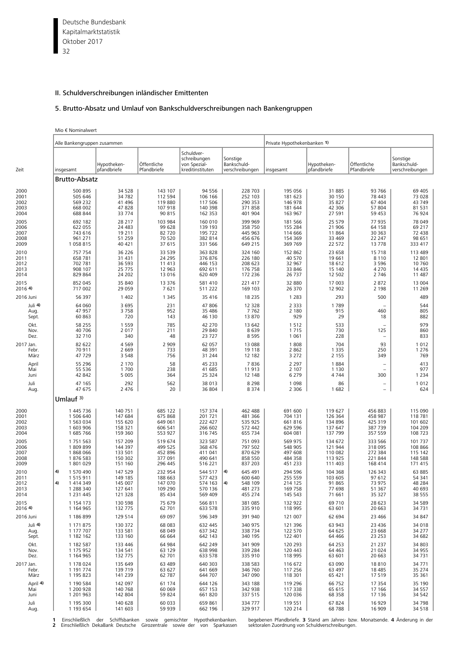Deutsche Bundesbank 32 Kapitalmarktstatistik Oktober 2017

# II. Schuldverschreibungen inländischer Emittenten

# 5. Brutto-Absatz und Umlauf von Bankschuldverschreibungen nach Bankengruppen

|  | Mio € Nominalwert |  |
|--|-------------------|--|
|--|-------------------|--|

|                                      | Alle Bankengruppen zusammen                                                   |                                                     |                                                    |                                                                |                                                                                         | Private Hypothekenbanken 1)                         |                                                  |                                                 |                                                    |
|--------------------------------------|-------------------------------------------------------------------------------|-----------------------------------------------------|----------------------------------------------------|----------------------------------------------------------------|-----------------------------------------------------------------------------------------|-----------------------------------------------------|--------------------------------------------------|-------------------------------------------------|----------------------------------------------------|
| Zeit                                 | insgesamt                                                                     | Hypotheken-<br>pfandbriefe                          | Öffentliche<br>Pfandbriefe                         | Schuldver-<br>schreibungen<br>von Spezial-<br>kreditinstituten | Sonstige<br>Bankschuld-<br>verschreibungen                                              | insgesamt                                           | Hypotheken-<br>pfandbriefe                       | Öffentliche<br>Pfandbriefe                      | Sonstige<br>Bankschuld-<br>verschreibungen         |
|                                      | Brutto-Absatz                                                                 |                                                     |                                                    |                                                                |                                                                                         |                                                     |                                                  |                                                 |                                                    |
| 2000                                 | 500 895                                                                       | 34 5 28                                             | 143 107                                            | 94 556                                                         | 228 703                                                                                 | 195 056                                             | 31 885                                           | 93 766                                          | 69 405                                             |
| 2001                                 | 505 646                                                                       | 34782                                               | 112 594                                            | 106 166                                                        | 252 103                                                                                 | 181 623                                             | 30 150                                           | 78 443                                          | 73 028                                             |
| 2002                                 | 569 232                                                                       | 41 496                                              | 119 880                                            | 117 506                                                        | 290 353                                                                                 | 146 978                                             | 35 827                                           | 67 404                                          | 43 749                                             |
| 2003                                 | 668 002                                                                       | 47828                                               | 107 918                                            | 140 398                                                        | 371858                                                                                  | 181 644                                             | 42 306                                           | 57 804                                          | 81 531                                             |
| 2004                                 | 688 844                                                                       | 33774                                               | 90 815                                             | 162 353                                                        | 401 904                                                                                 | 163 967                                             | 27 591                                           | 59 453                                          | 76 924                                             |
| 2005                                 | 692 182                                                                       | 28 217                                              | 103 984                                            | 160 010                                                        | 399 969                                                                                 | 181 566                                             | 25 579                                           | 77 935                                          | 78 049                                             |
| 2006                                 | 622 055                                                                       | 24 483                                              | 99 628                                             | 139 193                                                        | 358 750                                                                                 | 155 284                                             | 21 906                                           | 64 158                                          | 69 217                                             |
| 2007                                 | 743 616                                                                       | 19 211                                              | 82 720                                             | 195 722                                                        | 445 963                                                                                 | 114 666                                             | 11864                                            | 30 363                                          | 72 438                                             |
| 2008                                 | 961 271                                                                       | 51 259                                              | 70 520                                             | 382 814                                                        | 456 676                                                                                 | 154 369                                             | 33 4 69                                          | 22 247                                          | 98 651                                             |
| 2009                                 | 1058815                                                                       | 40 421                                              | 37 615                                             | 331 566                                                        | 649 215                                                                                 | 369 769                                             | 22 572                                           | 13778                                           | 333 417                                            |
| 2010                                 | 757 754                                                                       | 36 226                                              | 33 5 39                                            | 363 828                                                        | 324 160                                                                                 | 152 862                                             | 23 658                                           | 15 7 18                                         | 113 489                                            |
| 2011                                 | 658 781                                                                       | 31 431                                              | 24 2 9 5                                           | 376876                                                         | 226 180                                                                                 | 40 570                                              | 19 661                                           | 8 1 1 0                                         | 12 801                                             |
| 2012                                 | 702 781                                                                       | 36 593                                              | 11 413                                             | 446 153                                                        | 208 623                                                                                 | 32 967                                              | 18612                                            | 3 5 9 6                                         | 10 760                                             |
| 2013                                 | 908 107                                                                       | 25 775                                              | 12 963                                             | 692 611                                                        | 176 758                                                                                 | 33 846                                              | 15 140                                           | 4 2 7 0                                         | 14 4 35                                            |
| 2014                                 | 829 864                                                                       | 24 202                                              | 13 0 16                                            | 620 409                                                        | 172 236                                                                                 | 26 737                                              | 12 502                                           | 2 7 4 6                                         | 11 487                                             |
| 2015                                 | 852 045                                                                       | 35 840                                              | 13 3 7 6                                           | 581 410                                                        | 221 417                                                                                 | 32 880                                              | 17 003                                           | 2872                                            | 13 004                                             |
| 2016 4)                              | 717 002                                                                       | 29 059                                              | 7621                                               | 511 222                                                        | 169 103                                                                                 | 26 370                                              | 12 902                                           | 2 1 9 8                                         | 11 2 6 9                                           |
| 2016 Juni                            | 56 397                                                                        | 1 4 0 2                                             | 1 3 4 5                                            | 35 416                                                         | 18 2 3 5                                                                                | 1 2 8 3                                             | 293                                              | 500                                             | 489                                                |
| Juli 4)                              | 64 060                                                                        | 3 6 9 5                                             | 231                                                | 47 806                                                         | 12 3 28                                                                                 | 2 3 3 3                                             | 1789                                             |                                                 | 544                                                |
| Aug.                                 | 47 957                                                                        | 3758                                                | 952                                                | 35 486                                                         | 7762                                                                                    | 2 1 8 0                                             | 915                                              | 460                                             | 805                                                |
| Sept.                                | 60 863                                                                        | 720                                                 | 143                                                | 46 130                                                         | 13 870                                                                                  | 929                                                 | 29                                               | 18                                              | 882                                                |
| Okt.                                 | 58 255                                                                        | 1 5 5 9                                             | 785                                                | 42 270                                                         | 13 642                                                                                  | 1512                                                | 533                                              | 125                                             | 979                                                |
| Nov.                                 | 40 706                                                                        | 2017                                                | 211                                                | 29 840                                                         | 8639                                                                                    | 1715                                                | 730                                              |                                                 | 860                                                |
| Dez.                                 | 32 710                                                                        | 340                                                 | 48                                                 | 23 7 27                                                        | 8595                                                                                    | 1 0 6 1                                             | 228                                              |                                                 | 833                                                |
| 2017 Jan.                            | 82 622                                                                        | 4569                                                | 2 9 0 9                                            | 62 057                                                         | 13 0 88                                                                                 | 1808                                                | 704                                              | 93                                              | 1012                                               |
| Febr.                                | 70 911                                                                        | 2 6 6 9                                             | 733                                                | 48 391                                                         | 19 118                                                                                  | 2 8 6 2                                             | 1 3 3 5                                          | 250                                             | 1 2 7 6                                            |
| März                                 | 47729                                                                         | 3 5 4 8                                             | 756                                                | 31 244                                                         | 12 182                                                                                  | 3 2 7 2                                             | 2 1 5 5                                          | 349                                             | 769                                                |
| April                                | 55 296                                                                        | 2 1 7 0                                             | 58                                                 | 45 233                                                         | 7836                                                                                    | 2 2 9 7                                             | 1884                                             | 300                                             | 413                                                |
| Mai                                  | 55 536                                                                        | 1700                                                | 238                                                | 41 685                                                         | 11913                                                                                   | 2 1 0 7                                             | 1 1 3 0                                          |                                                 | 977                                                |
| Juni                                 | 42 842                                                                        | 5 0 0 5                                             | 364                                                | 25 324                                                         | 12 148                                                                                  | 6 2 7 9                                             | 4744                                             |                                                 | 1 2 3 4                                            |
| Juli                                 | 47 165                                                                        | 292                                                 | 562                                                | 38 013                                                         | 8 2 9 8                                                                                 | 1 0 9 8                                             | 86                                               | $\overline{\phantom{0}}$                        | 1012                                               |
| Aug.                                 | 47 675                                                                        | 2 4 7 6                                             | 20                                                 | 36 804                                                         | 8 3 7 4                                                                                 | 2 3 0 6                                             | 1682                                             | $\equiv$                                        | 624                                                |
|                                      | Umlauf 3)                                                                     |                                                     |                                                    |                                                                |                                                                                         |                                                     |                                                  |                                                 |                                                    |
| 2000                                 | 1 445 736                                                                     | 140 751                                             | 685 122                                            | 157 374                                                        | 462 488                                                                                 | 691 600                                             | 119 627                                          | 456 883                                         | 115 090                                            |
| 2001                                 | 1 506 640                                                                     | 147 684                                             | 675 868                                            | 201 721                                                        | 481 366                                                                                 | 704 131                                             | 126 364                                          | 458 987                                         | 118 781                                            |
| 2002                                 | 1 563 034                                                                     | 155 620                                             | 649 061                                            | 222 427                                                        | 535 925                                                                                 | 661816                                              | 134 896                                          | 425 319                                         | 101 602                                            |
| 2003                                 | 1 603 906                                                                     | 158 321                                             | 606 541                                            | 266 602                                                        | 572 442                                                                                 | 629 596                                             | 137 647                                          | 387 739                                         | 104 209                                            |
| 2004                                 | 1 685 766                                                                     | 159 360                                             | 553 927                                            | 316 745                                                        | 655 734                                                                                 | 604 081                                             | 137 799                                          | 357 559                                         | 108 723                                            |
| 2005                                 | 1 751 563                                                                     | 157 209                                             | 519 674                                            | 323 587                                                        | 751 093                                                                                 | 569 975                                             | 134 672                                          | 333 566                                         | 101 737                                            |
| 2006                                 | 1809899                                                                       | 144 397                                             | 499 525                                            | 368 476                                                        | 797 502                                                                                 | 548 905                                             | 121 944                                          | 318 095                                         | 108 866                                            |
| 2007                                 | 1868066                                                                       | 133 501                                             | 452 896                                            | 411 041                                                        | 870 629                                                                                 | 497 608                                             | 110 082                                          | 272 384                                         | 115 142                                            |
| 2008                                 | 1876 583                                                                      | 150 302                                             | 377 091                                            | 490 641                                                        | 858 550                                                                                 | 484 358                                             | 113 925                                          | 221844                                          | 148 588                                            |
| 2009                                 | 1801029                                                                       | 151 160                                             | 296 445                                            | 516 221                                                        | 837 203                                                                                 | 451 233                                             | 111 403                                          | 168 414                                         | 171 415                                            |
| 2010<br>2011<br>2012<br>2013<br>2014 | 4)<br>1 570 490<br>1 515 911<br>4)<br>1 414 349<br>1 288 340<br>1 2 3 1 4 4 5 | 147 529<br>149 185<br>145 007<br>127 641<br>121 328 | 232 954<br>188 663<br>147 070<br>109 290<br>85 434 | 544 517<br>577 423<br>574 163<br>570 136<br>569 409            | 4)<br>645 491<br>600 640<br>$\left( \mathbf{4}\right)$<br>548 109<br>481 273<br>455 274 | 294 596<br>255 559<br>214 125<br>169 758<br>145 543 | 104 368<br>103 605<br>91 865<br>77 698<br>71 661 | 126 343<br>97 612<br>73 975<br>51 367<br>35 327 | 63 885<br>54 341<br>48 2 8 4<br>40 693<br>38 5 5 5 |
| 2015                                 | 1 154 173                                                                     | 130 598                                             | 75 679                                             | 566 811                                                        | 381 085                                                                                 | 132 922                                             | 69 710                                           | 28 623                                          | 34 5 89                                            |
| 2016 4)                              | 1 164 965                                                                     | 132 775                                             | 62 701                                             | 633 578                                                        | 335 910                                                                                 | 118 995                                             | 63 601                                           | 20 663                                          | 34 7 31                                            |
| 2016 Juni                            | 1 186 899                                                                     | 129 514                                             | 69 097                                             | 596 349                                                        | 391 940                                                                                 | 121 007                                             | 62 694                                           | 23 4 66                                         | 34 847                                             |
| Juli 4)                              | 1 171 875                                                                     | 130 372                                             | 68 083                                             | 632 445                                                        | 340 975                                                                                 | 121 396                                             | 63 943                                           | 23 4 36                                         | 34 018                                             |
| Aug.                                 | 1 177 707                                                                     | 133 581                                             | 68 049                                             | 637 342                                                        | 338 734                                                                                 | 122 570                                             | 64 625                                           | 23 668                                          | 34 277                                             |
| Sept.                                | 1 182 162                                                                     | 133 160                                             | 66 664                                             | 642 143                                                        | 340 195                                                                                 | 122 401                                             | 64 4 66                                          | 23 253                                          | 34 682                                             |
| Okt.                                 | 1 182 587                                                                     | 133 446                                             | 64 984                                             | 642 249                                                        | 341 909                                                                                 | 120 293                                             | 64 253                                           | 21 237                                          | 34 803                                             |
| Nov.                                 | 1 175 952                                                                     | 134 541                                             | 63 129                                             | 638 998                                                        | 339 284                                                                                 | 120 443                                             | 64 4 63                                          | 21 0 24                                         | 34 955                                             |
| Dez.                                 | 1 164 965                                                                     | 132 775                                             | 62 701                                             | 633 578                                                        | 335 910                                                                                 | 118 995                                             | 63 601                                           | 20 663                                          | 34 7 31                                            |
| 2017 Jan.                            | 1 178 024                                                                     | 135 649                                             | 63 489                                             | 640 303                                                        | 338 583                                                                                 | 116 672                                             | 63 090                                           | 18810                                           | 34 7 7 1                                           |
| Febr.                                | 1 191 774                                                                     | 139 719                                             | 63 627                                             | 641 669                                                        | 346 760                                                                                 | 117 256                                             | 63 497                                           | 18 4 8 5                                        | 35 274                                             |
| März                                 | 1 195 823                                                                     | 141 239                                             | 62 787                                             | 644 707                                                        | 347 090                                                                                 | 118 301                                             | 65 421                                           | 17519                                           | 35 361                                             |
| April 4)                             | 1 190 584                                                                     | 142 097                                             | 61 174                                             | 644 126                                                        | 343 188                                                                                 | 119 296                                             | 66 752                                           | 17 354                                          | 35 190                                             |
| Mai                                  | 1 200 928                                                                     | 140 768                                             | 60 069                                             | 657 153                                                        | 342 938                                                                                 | 117 338                                             | 65 615                                           | 17 16 6                                         | 34 5 5 7                                           |
| Juni                                 | 1 201 963                                                                     | 142 804                                             | 59 824                                             | 661820                                                         | 337 515                                                                                 | 120 036                                             | 68 358                                           | 17 136                                          | 34 542                                             |
| Juli                                 | 1 195 300                                                                     | 140 628                                             | 60 033                                             | 659 861                                                        | 334 777                                                                                 | 119 551                                             | 67824                                            | 16929                                           | 34 7 98                                            |
| Aug.                                 | 1 193 654                                                                     | 141 603                                             | 59 939                                             | 662 196                                                        | 329 917                                                                                 | 120 214                                             | 68788                                            | 16 909                                          | 34 5 18                                            |

1 Einschließlich der Schiffsbanken sowie gemischter Hypothekenbanken. begebenen-Pfandbriefe. 3 Stand-am-Jahres-bzw. Monatsende. 4 Änderung-in-dei<br>2 Einschließlich-DekaBank-Deutsche Girozentrale sowie-der von Sparkassen sek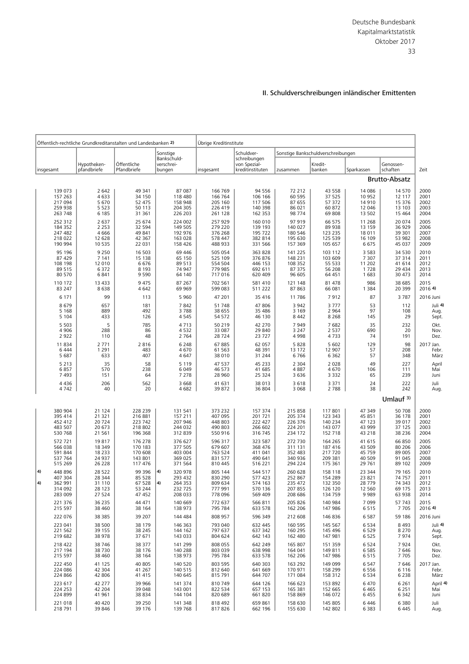|                                                                           |                                                  | Öffentlich-rechtliche Grundkreditanstalten und Landesbanken 2) |                                                                 | Übrige Kreditinstitute                              |                                                     |                                                     |                                                     |                                                |                                               |                                      |
|---------------------------------------------------------------------------|--------------------------------------------------|----------------------------------------------------------------|-----------------------------------------------------------------|-----------------------------------------------------|-----------------------------------------------------|-----------------------------------------------------|-----------------------------------------------------|------------------------------------------------|-----------------------------------------------|--------------------------------------|
|                                                                           |                                                  |                                                                | Sonstige                                                        |                                                     | Schuldver-                                          |                                                     | Sonstige Bankschuldverschreibungen                  |                                                |                                               |                                      |
| insgesamt                                                                 | Hypotheken-<br>pfandbriefe                       | Öffentliche<br>Pfandbriefe                                     | Bankschuld-<br>verschrei-<br>bungen                             | insgesamt                                           | schreibungen<br>von Spezial-<br>kreditinstituten    | zusammen                                            | Kredit-<br>banken                                   | Sparkassen                                     | Genossen-<br>schaften                         | Zeit                                 |
|                                                                           |                                                  |                                                                |                                                                 |                                                     |                                                     |                                                     |                                                     |                                                | <b>Brutto-Absatz</b>                          |                                      |
| 139 073                                                                   | 2 6 4 2                                          | 49 341                                                         | 87 087                                                          | 166 769                                             | 94 556                                              | 72 212                                              | 43 558                                              | 14 08 6                                        | 14 570                                        | 2000                                 |
| 157 263                                                                   | 4 6 3 3                                          | 34 150                                                         | 118 480                                                         | 166 764                                             | 106 166                                             | 60 595                                              | 37 525                                              | 10 952                                         | 12 117                                        | 2001                                 |
| 217 094                                                                   | 5 6 7 0                                          | 52 475                                                         | 158 948                                                         | 205 160                                             | 117 506                                             | 87 655                                              | 57 372                                              | 14 9 10                                        | 15 376                                        | 2002                                 |
| 259 938                                                                   | 5 5 2 3                                          | 50 113                                                         | 204 305                                                         | 226 419                                             | 140 398                                             | 86 021                                              | 60 872                                              | 12 046                                         | 13 103                                        | 2003                                 |
| 263 748                                                                   | 6 1 8 5                                          | 31 361                                                         | 226 203                                                         | 261 128                                             | 162 353                                             | 98 774                                              | 69 808                                              | 13 502                                         | 15 4 64                                       | 2004                                 |
| 252 312                                                                   | 2 6 3 7                                          | 25 674                                                         | 224 002                                                         | 257 929                                             | 160 010                                             | 97919                                               | 66 575                                              | 11 268                                         | 20 074                                        | 2005                                 |
| 184 352                                                                   | 2 2 5 3                                          | 32 594                                                         | 149 505                                                         | 279 220                                             | 139 193                                             | 140 027                                             | 89 938                                              | 13 159                                         | 36 929                                        | 2006                                 |
| 247 482                                                                   | 4666                                             | 49 841                                                         | 192 976                                                         | 376 268                                             | 195 722                                             | 180 546                                             | 123 235                                             | 18 011                                         | 39 301                                        | 2007                                 |
| 218 022                                                                   | 12 628                                           | 42 3 67                                                        | 163 028                                                         | 578 447                                             | 382 814                                             | 195 630                                             | 125 539                                             | 16 109                                         | 53 982                                        | 2008                                 |
| 190 994                                                                   | 10 5 3 5                                         | 22 031                                                         | 158 426                                                         | 488 933                                             | 331 566                                             | 157 369                                             | 105 657                                             | 6675                                           | 45 037                                        | 2009                                 |
| 95 196                                                                    | 9 2 5 0                                          | 16 503                                                         | 69 44 6                                                         | 505 054                                             | 363 828                                             | 141 225                                             | 103 112                                             | 3 5 8 3                                        | 34 5 30                                       | 2010                                 |
| 87 429                                                                    | 7 1 4 1                                          | 15 138                                                         | 65 150                                                          | 525 109                                             | 376 876                                             | 148 231                                             | 103 609                                             | 7 3 0 7                                        | 37 314                                        | 2011                                 |
| 108 198                                                                   | 12 010                                           | 6676                                                           | 89 513                                                          | 554 504                                             | 446 153                                             | 108 352                                             | 55 533                                              | 11 202                                         | 41 614                                        | 2012                                 |
| 89 515                                                                    | 6 3 7 2                                          | 8 1 9 3                                                        | 74 947                                                          | 779 985                                             | 692 611                                             | 87 375                                              | 56 208                                              | 1728                                           | 29 4 34                                       | 2013                                 |
| 80 570                                                                    | 6841                                             | 9 5 9 0                                                        | 64 140                                                          | 717 016                                             | 620 409                                             | 96 605                                              | 64 451                                              | 1 683                                          | 30 473                                        | 2014                                 |
| 110 172                                                                   | 13 4 33                                          | 9 4 7 5                                                        | 87 267                                                          | 702 561                                             | 581 410                                             | 121 148                                             | 81 478                                              | 986                                            | 38 685                                        | 2015                                 |
| 83 247                                                                    | 8638                                             | 4 6 4 2                                                        | 69 969                                                          | 599 083                                             | 511 222                                             | 87 863                                              | 66 081                                              | 1 3 8 4                                        | 20 399                                        | 2016 4)                              |
| 6 1 7 1                                                                   | 99                                               | 113                                                            | 5 9 6 0                                                         | 47 201                                              | 35 416                                              | 11786                                               | 7912                                                | 87                                             | 3787                                          | 2016 Juni                            |
| 8679                                                                      | 657                                              | 181                                                            | 7842                                                            | 51 748                                              | 47 806                                              | 3 9 4 2                                             | 3777                                                | 53                                             | 112                                           | Juli 4)                              |
| 5 1 6 8                                                                   | 889                                              | 492                                                            | 3788                                                            | 38 655                                              | 35 486                                              | 3 1 6 9                                             | 2 9 6 4                                             | 97                                             | 108                                           | Aug.                                 |
| 5 1 0 4                                                                   | 433                                              | 126                                                            | 4545                                                            | 54 572                                              | 46 130                                              | 8 4 4 2                                             | 8 2 6 8                                             | 145                                            | 29                                            | Sept.                                |
| 5 5 0 3                                                                   | 5                                                | 785                                                            | 4713                                                            | 50 219                                              | 42 270                                              | 7949                                                | 7682                                                | 35                                             | 232                                           | Okt.                                 |
| 4 9 0 6                                                                   | 288                                              | 86                                                             | 4532                                                            | 33 087                                              | 29 840                                              | 3 2 4 7                                             | 2 5 3 7                                             | 690                                            | 20                                            | Nov.                                 |
| 2 9 2 2                                                                   | 110                                              | 48                                                             | 2 7 6 4                                                         | 28 7 24                                             | 23 7 27                                             | 4998                                                | 4733                                                | 74                                             | 191                                           | Dez.                                 |
| 11 834                                                                    | 2 7 7 1                                          | 2816                                                           | 6 2 4 8                                                         | 67 885                                              | 62 057                                              | 5828                                                | 5 602                                               | 129                                            | 98                                            | 2017 Jan.                            |
| 6 4 4 4                                                                   | 1 2 9 1                                          | 483                                                            | 4670                                                            | 61 563                                              | 48 391                                              | 13 172                                              | 12 907                                              | 57                                             | 208                                           | Febr.                                |
| 5 687                                                                     | 633                                              | 407                                                            | 4 6 4 7                                                         | 38 010                                              | 31 244                                              | 6766                                                | 6 3 6 2                                             | 57                                             | 348                                           | März                                 |
| 5 2 1 3                                                                   | 35                                               | 58                                                             | 5 1 1 9                                                         | 47 537                                              | 45 233                                              | 2 3 0 4                                             | 2 0 2 8                                             | 49                                             | 227                                           | April                                |
| 6857                                                                      | 570                                              | 238                                                            | 6 0 4 9                                                         | 46 573                                              | 41 685                                              | 4887                                                | 4670                                                | 106                                            | 111                                           | Mai                                  |
| 7 4 9 3                                                                   | 151                                              | 64                                                             | 7 2 7 8                                                         | 28 960                                              | 25 324                                              | 3 6 3 6                                             | 3 3 3 2                                             | 65                                             | 239                                           | Juni                                 |
| 4 4 3 6                                                                   | 206                                              | 562                                                            | 3 6 6 8                                                         | 41 631                                              | 38 013                                              | 3618                                                | 3 3 7 1                                             | 24                                             | 222                                           | Juli                                 |
| 4742                                                                      | 40                                               | 20                                                             | 4682                                                            | 39 872                                              | 36 804                                              | 3 0 6 8                                             | 2 7 8 8                                             | 38                                             | 242                                           | Aug.                                 |
|                                                                           |                                                  |                                                                |                                                                 |                                                     |                                                     |                                                     |                                                     |                                                | Umlauf $3$ )                                  |                                      |
| 380 904                                                                   | 21 124                                           | 228 239                                                        | 131 541                                                         | 373 232                                             | 157 374                                             | 215 858                                             | 117 801                                             | 47 349                                         | 50 708                                        | 2000                                 |
| 395 414                                                                   | 21 321                                           | 216 881                                                        | 157 211                                                         | 407 095                                             | 201 721                                             | 205 374                                             | 123 343                                             | 45 851                                         | 36 178                                        | 2001                                 |
| 452 412                                                                   | 20724                                            | 223 742                                                        | 207 946                                                         | 448 803                                             | 222 427                                             | 226 376                                             | 140 234                                             | 47 123                                         | 39 017                                        | 2002                                 |
| 483 507                                                                   | 20 673                                           | 218 802                                                        | 244 032                                                         | 490 803                                             | 266 602                                             | 224 201                                             | 143 077                                             | 43 999                                         | 37 125                                        | 2003                                 |
| 530 768                                                                   | 21 5 61                                          | 196 368                                                        | 312 839                                                         | 550 916                                             | 316 745                                             | 234 172                                             | 152 718                                             | 43 218                                         | 38 2 36                                       | 2004                                 |
| 572 721                                                                   | 19817                                            | 176 278                                                        | 376 627                                                         | 596 317                                             | 323 587                                             | 272 730                                             | 164 265                                             | 41 615                                         | 66 850                                        | 2005                                 |
| 566 038                                                                   | 18 3 4 9                                         | 170 183                                                        | 377 505                                                         | 679 607                                             | 368 476                                             | 311 131                                             | 187 416                                             | 43 509                                         | 80 20 6                                       | 2006                                 |
| 591 844                                                                   | 18 2 3 3                                         | 170 608                                                        | 403 004                                                         | 763 524                                             | 411 041                                             | 352 483                                             | 217 720                                             | 45 759                                         | 89 005                                        | 2007                                 |
| 537 764                                                                   | 24 9 37                                          | 143 801                                                        | 369 025                                                         | 831 577                                             | 490 641                                             | 340 936                                             | 209 381                                             | 40 509                                         | 91 045                                        | 2008                                 |
| 515 269                                                                   | 26 2 28                                          | 117 476                                                        | 371 564                                                         | 810 445                                             | 516 221                                             | 294 224                                             | 175 361                                             | 29 761                                         | 89 102                                        | 2009                                 |
| $ 4\rangle$<br>448 896<br>407 304<br> 4)<br>362 991<br>314 092<br>283 009 | 28 5 22<br>28 344<br>31 110<br>28 1 23<br>27 524 | 99 396<br>85 528<br>67 528<br>53 244<br>47 452                 | 4)<br>320 978<br>293 432<br>4)<br>264 353<br>232 725<br>208 033 | 805 144<br>830 290<br>809 634<br>777 991<br>778 096 | 544 517<br>577 423<br>574 163<br>570 136<br>569 409 | 260 628<br>252 867<br>235 472<br>207 855<br>208 686 | 158 118<br>154 289<br>132 350<br>126 120<br>134 759 | 23 344<br>23 821<br>28 7 7 9<br>12 560<br>9989 | 79 165<br>74757<br>74 343<br>69 175<br>63 938 | 2010<br>2011<br>2012<br>2013<br>2014 |
| 221 376                                                                   | 36 235                                           | 44 471                                                         | 140 669                                                         | 772 637                                             | 566 811                                             | 205 826                                             | 140 984                                             | 7 0 9 9                                        | 57 743                                        | 2015                                 |
| 215 597                                                                   | 38 460                                           | 38 164                                                         | 138 973                                                         | 795 784                                             | 633 578                                             | 162 206                                             | 147 986                                             | 6515                                           | 7705                                          | 2016 4)                              |
| 222 076                                                                   | 38 3 8 5                                         | 39 207                                                         | 144 484                                                         | 808 957                                             | 596 349                                             | 212 608                                             | 146 836                                             | 6587                                           | 59 186                                        | 2016 Juni                            |
| 223 041                                                                   | 38 500                                           | 38 179                                                         | 146 363                                                         | 793 040                                             | 632 445                                             | 160 595                                             | 145 567                                             | 6 5 3 4                                        | 8 4 9 3                                       | Juli 4)                              |
| 221 562                                                                   | 39 155                                           | 38 245                                                         | 144 162                                                         | 797 637                                             | 637 342                                             | 160 295                                             | 145 496                                             | 6529                                           | 8 2 7 0                                       | Aug.                                 |
| 219 682                                                                   | 38 978                                           | 37 671                                                         | 143 033                                                         | 804 624                                             | 642 143                                             | 162 480                                             | 147 981                                             | 6525                                           | 7974                                          | Sept.                                |
| 218 422                                                                   | 38 746                                           | 38 377                                                         | 141 299                                                         | 808 055                                             | 642 249                                             | 165 807                                             | 151 359                                             | 6524                                           | 7924                                          | Okt.                                 |
| 217 194                                                                   | 38 7 30                                          | 38 176                                                         | 140 288                                                         | 803 039                                             | 638 998                                             | 164 041                                             | 149 811                                             | 6585                                           | 7646                                          | Nov.                                 |
| 215 597                                                                   | 38 460                                           | 38 164                                                         | 138 973                                                         | 795 784                                             | 633 578                                             | 162 206                                             | 147 986                                             | 6515                                           | 7705                                          | Dez.                                 |
| 222 450                                                                   | 41 125                                           | 40 805                                                         | 140 520                                                         | 803 595                                             | 640 303                                             | 163 292                                             | 149 099                                             | 6 5 4 7                                        | 7646                                          | 2017 Jan.                            |
| 224 086                                                                   | 42 304                                           | 41 267                                                         | 140 515                                                         | 812 640                                             | 641 669                                             | 170 971                                             | 158 299                                             | 6556                                           | 6 1 1 6                                       | Febr.                                |
| 224 866                                                                   | 42 806                                           | 41 415                                                         | 140 645                                                         | 815 791                                             | 644 707                                             | 171 084                                             | 158 312                                             | 6 5 3 4                                        | 6 2 3 8                                       | März                                 |
| 223 617                                                                   | 42 277                                           | 39 966                                                         | 141 374                                                         | 810 749                                             | 644 126                                             | 166 623                                             | 153 892                                             | 6470                                           | 6 2 6 1                                       | April 4                              |
| 224 253                                                                   | 42 204                                           | 39 048                                                         | 143 001                                                         | 822 534                                             | 657 153                                             | 165 381                                             | 152 665                                             | 6 4 6 5                                        | 6 2 5 1                                       | Mai                                  |
| 224 899                                                                   | 41 961                                           | 38 834                                                         | 144 104                                                         | 820 689                                             | 661820                                              | 158 869                                             | 146 072                                             | 6455                                           | 6 3 4 2                                       | Juni                                 |
| 221 018                                                                   | 40 420                                           | 39 250                                                         | 141 348                                                         | 818 492                                             | 659 861                                             | 158 630                                             | 145 805                                             | 6 4 4 6                                        | 6 3 8 0                                       | Juli                                 |
| 218 791                                                                   | 39 846                                           | 39 176                                                         | 139 768                                                         | 817826                                              | 662 196                                             | 155 630                                             | 142 802                                             | 6 3 8 3                                        | 6445                                          | Aug.                                 |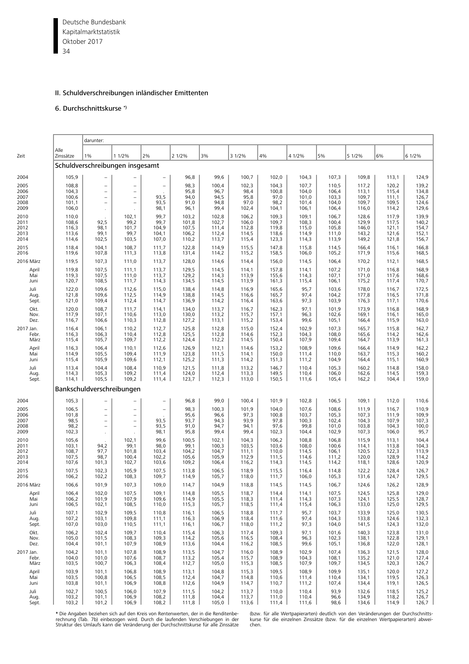Deutsche Bundesbank 34 Kapitalmarktstatistik Oktober 2017

## II. Schuldverschreibungen inländischer Emittenten

# 6. Durchschnittskurse \*)

|                                      |                                           | darunter:                                                                                    |                                                                                              |                                                  |                                           |                                           |                                           |                                           |                                           |                                           |                                           |                                           |                                           |
|--------------------------------------|-------------------------------------------|----------------------------------------------------------------------------------------------|----------------------------------------------------------------------------------------------|--------------------------------------------------|-------------------------------------------|-------------------------------------------|-------------------------------------------|-------------------------------------------|-------------------------------------------|-------------------------------------------|-------------------------------------------|-------------------------------------------|-------------------------------------------|
| Zeit                                 | Alle<br>Zinssätze                         | 1%                                                                                           | 1 1/2%                                                                                       | 2%                                               | 2 1/2%                                    | 3%                                        | 3 1/2%                                    | 4%                                        | 4 1/2%                                    | 5%                                        | 5 1/2%                                    | 6%                                        | 6 1/2%                                    |
|                                      |                                           | Schuldverschreibungen insgesamt                                                              |                                                                                              |                                                  |                                           |                                           |                                           |                                           |                                           |                                           |                                           |                                           |                                           |
| 2004                                 | 105,9                                     | $\overline{\phantom{a}}$                                                                     |                                                                                              | $-$                                              | 96,8                                      | 99,6                                      | 100,7                                     | 102,0                                     | 104,3                                     | 107,3                                     | 109,8                                     | 113,1                                     | 124,9                                     |
| 2005<br>2006<br>2007<br>2008<br>2009 | 108,8<br>104,3<br>100,6<br>101,1<br>106,0 | $\overline{\phantom{a}}$<br>$\equiv$<br>$\overline{\phantom{a}}$<br>$\equiv$                 | $\equiv$<br>$\overline{\phantom{0}}$<br>$\equiv$<br>$\overline{\phantom{a}}$                 | $\overline{\phantom{m}}$<br>93,5<br>93,5<br>98,1 | 98,3<br>95,8<br>94,0<br>91,0<br>96,1      | 100,4<br>96,7<br>94,5<br>94,8<br>99,4     | 102,3<br>98,4<br>95,8<br>97,0<br>102,4    | 104,3<br>100,8<br>97,0<br>98,2<br>104,1   | 107,7<br>104,0<br>101,0<br>101,4<br>106,1 | 110,5<br>106,4<br>103,3<br>104,0<br>106,4 | 117,2<br>113,1<br>109,7<br>109,7<br>116,0 | 120,2<br>115,4<br>111,1<br>109,5<br>114,2 | 139,2<br>134,8<br>126,7<br>124,6<br>129,6 |
| 2010<br>2011<br>2012<br>2013<br>2014 | 110,0<br>108,6<br>116,3<br>113,6<br>114,6 | 92,5<br>98,1<br>99,1<br>102,5                                                                | 102,1<br>99,2<br>101,7<br>99,7<br>103,5                                                      | 99,7<br>99,7<br>104,9<br>104,1<br>107,0          | 103,2<br>101,8<br>107,5<br>106,2<br>110,2 | 102,8<br>102,7<br>111,4<br>112,4<br>113,7 | 106,2<br>106,0<br>112,8<br>114,5<br>115,4 | 109,3<br>109,7<br>119,8<br>118,6<br>123,3 | 109,1<br>108,3<br>115,0<br>114,9<br>114,3 | 106,7<br>100,4<br>105,8<br>111,0<br>113,9 | 128,6<br>129,9<br>146,0<br>143,2<br>149,2 | 117,9<br>117,5<br>121,1<br>121,6<br>121,8 | 139,9<br>140,2<br>154,7<br>152,1<br>156,7 |
| 2015                                 | 118,4                                     | 104,1                                                                                        | 108,7                                                                                        | 111,7                                            | 122,8                                     | 114,9                                     | 115,5                                     | 147,8                                     | 115,8                                     | 114,5                                     | 166,4                                     | 116,1                                     | 166,8                                     |
| 2016                                 | 119,6                                     | 107,8                                                                                        | 111,3                                                                                        | 113,8                                            | 131,4                                     | 114,2                                     | 115,2                                     | 158,5                                     | 106,0                                     | 105,2                                     | 171,9                                     | 115,6                                     | 168,5                                     |
| 2016 März                            | 119,5                                     | 107,3                                                                                        | 111,0                                                                                        | 113,7                                            | 128,0                                     | 114,6                                     | 114,4                                     | 156,0                                     | 114,5                                     | 106,4                                     | 170,2                                     | 112,1                                     | 168,5                                     |
| April                                | 119,8                                     | 107,5                                                                                        | 111,1                                                                                        | 113,7                                            | 129,5                                     | 114,5                                     | 114,1                                     | 157,8                                     | 114,1                                     | 107,2                                     | 171,0                                     | 116,8                                     | 168,9                                     |
| Mai                                  | 119,3                                     | 107,5                                                                                        | 111,0                                                                                        | 113,7                                            | 129,2                                     | 114,3                                     | 113,9                                     | 155,6                                     | 114,3                                     | 107,1                                     | 171,0                                     | 117,6                                     | 168,6                                     |
| Juni                                 | 120,7                                     | 108,5                                                                                        | 111,7                                                                                        | 114,3                                            | 134,5                                     | 114,5                                     | 113,9                                     | 161,3                                     | 115,4                                     | 106,1                                     | 175,2                                     | 117,4                                     | 170,7                                     |
| Juli                                 | 122,0                                     | 109,6                                                                                        | 112,6                                                                                        | 115,0                                            | 138,4                                     | 114,8                                     | 116,9                                     | 165,6                                     | 95,7                                      | 103,6                                     | 178,0                                     | 116,7                                     | 172,5                                     |
| Aug.                                 | 121,8                                     | 109,6                                                                                        | 112,5                                                                                        | 114,9                                            | 138,8                                     | 114,5                                     | 116,6                                     | 165,7                                     | 97,4                                      | 104,2                                     | 177,8                                     | 116,5                                     | 171,8                                     |
| Sept.                                | 121,0                                     | 109,4                                                                                        | 112,4                                                                                        | 114,7                                            | 136,9                                     | 114,2                                     | 116,4                                     | 163,6                                     | 97,3                                      | 103,9                                     | 176,3                                     | 117,1                                     | 170,6                                     |
| Okt.                                 | 120,0                                     | 108,7                                                                                        | 111,7                                                                                        | 114,1                                            | 134,0                                     | 113,7                                     | 116,7                                     | 162,3                                     | 97,1                                      | 101,9                                     | 173,9                                     | 116,8                                     | 168,9                                     |
| Nov.                                 | 117,9                                     | 107,1                                                                                        | 110,6                                                                                        | 113,0                                            | 130,0                                     | 113,2                                     | 115,7                                     | 157,1                                     | 96,3                                      | 102,6                                     | 169,1                                     | 116,1                                     | 165,0                                     |
| Dez.                                 | 116,7                                     | 106,6                                                                                        | 110,3                                                                                        | 112,8                                            | 127,2                                     | 113,1                                     | 115,2                                     | 153,4                                     | 99,6                                      | 105,1                                     | 166,4                                     | 115,9                                     | 163,0                                     |
| 2017 Jan.                            | 116,4                                     | 106,1                                                                                        | 110,2                                                                                        | 112,7                                            | 125,8                                     | 112,8                                     | 115,0                                     | 152,4                                     | 102,9                                     | 107,3                                     | 165,7                                     | 115,8                                     | 162,7                                     |
| Febr.                                | 116,3                                     | 106,3                                                                                        | 110,4                                                                                        | 112,8                                            | 125,5                                     | 112,8                                     | 114,6                                     | 152,3                                     | 104,3                                     | 108,0                                     | 165,6                                     | 114,2                                     | 162,6                                     |
| März                                 | 115,4                                     | 105,7                                                                                        | 109,7                                                                                        | 112,2                                            | 124,4                                     | 112,2                                     | 114,5                                     | 150,4                                     | 107,9                                     | 109,4                                     | 164,7                                     | 113,9                                     | 161,3                                     |
| April                                | 116,3                                     | 106,4                                                                                        | 110,1                                                                                        | 112,6                                            | 126,9                                     | 112,1                                     | 114,6                                     | 153,2                                     | 108,9                                     | 109,6                                     | 166,4                                     | 114,9                                     | 162,2                                     |
| Mai                                  | 114,9                                     | 105,5                                                                                        | 109,4                                                                                        | 111,9                                            | 123,8                                     | 111,5                                     | 114,1                                     | 150,0                                     | 111,4                                     | 110,0                                     | 163,7                                     | 115,3                                     | 160,2                                     |
| Juni                                 | 115,4                                     | 105,9                                                                                        | 109,6                                                                                        | 112,1                                            | 125,2                                     | 111,3                                     | 114,2                                     | 151,3                                     | 111,2                                     | 104,9                                     | 164,4                                     | 115,1                                     | 160,9                                     |
| Juli                                 | 113,4                                     | 104,4                                                                                        | 108,4                                                                                        | 110,9                                            | 121,5                                     | 111,8                                     | 113,2                                     | 146,7                                     | 110,4                                     | 105,3                                     | 160,2                                     | 114,8                                     | 158,0                                     |
| Aug.                                 | 114,3                                     | 105,3                                                                                        | 109,2                                                                                        | 111,4                                            | 124,0                                     | 112,4                                     | 113,3                                     | 149,5                                     | 110,4                                     | 106,0                                     | 162,6                                     | 114,5                                     | 159,3                                     |
| Sept.                                | 114,1                                     | 105,5                                                                                        | 109,2                                                                                        | 111,4                                            | 123,7                                     | 112,3                                     | 113,0                                     | 150,5                                     | 111,6                                     | 105,4                                     | 162,2                                     | 104,4                                     | 159,0                                     |
|                                      |                                           | Bankschuldverschreibungen                                                                    |                                                                                              |                                                  |                                           |                                           |                                           |                                           |                                           |                                           |                                           |                                           |                                           |
| 2004                                 | 105,3                                     |                                                                                              |                                                                                              | $\overline{\phantom{a}}$                         | 96,8                                      | 99,0                                      | 100,4                                     | 101,9                                     | 102,8                                     | 106,5                                     | 109,1                                     | 112,0                                     | 110,6                                     |
| 2005<br>2006<br>2007<br>2008<br>2009 | 106,5<br>101,8<br>98,5<br>98,2<br>102,3   | $\overline{\phantom{a}}$<br>$\equiv$<br>$\overline{\phantom{0}}$<br>$\overline{\phantom{m}}$ | $\overline{\phantom{a}}$<br>$\overline{\phantom{0}}$<br>$\overline{\phantom{a}}$<br>$\equiv$ | $\overline{\phantom{a}}$<br>93,5<br>93,5<br>98,1 | 98,3<br>95,6<br>93,7<br>91,0<br>95,8      | 100,3<br>96,6<br>94,3<br>94,7<br>99,4     | 101,9<br>97,3<br>93,9<br>94,1<br>99,4     | 104,0<br>100,8<br>97,8<br>97,6<br>102,3   | 107,6<br>103,7<br>100,3<br>99,8<br>104,4  | 108,6<br>105,3<br>102,4<br>101,0<br>102,9 | 111,9<br>107,3<br>104,3<br>103,8<br>107,3 | 116,7<br>111,9<br>107,9<br>104,3<br>106,0 | 110,9<br>109,9<br>107,3<br>100,0<br>95,7  |
| 2010<br>2011<br>2012<br>2013<br>2014 | 105,6<br>103,1<br>108,7<br>107,5<br>107,6 | 94,2<br>97,7<br>98,7<br>101,3                                                                | 102,1<br>99,1<br>101,8<br>100,4<br>102,7                                                     | 99,6<br>98,0<br>103,4<br>102,2<br>103,6          | 100,5<br>99,1<br>104,2<br>105,6<br>109,2  | 102,1<br>100,3<br>104,7<br>105,9<br>106,4 | 104,3<br>103,5<br>111,1<br>112,9<br>116,2 | 106,2<br>103,6<br>110,0<br>111,5<br>114,3 | 108,8<br>108,0<br>114,5<br>114,6<br>114,5 | 106,8<br>100,6<br>106,1<br>111,2<br>114,2 | 115,9<br>114,1<br>120,5<br>120,0<br>118,1 | 113,1<br>113,8<br>122,3<br>128,9<br>128,6 | 104,4<br>104,3<br>113,9<br>114,2<br>120,9 |
| 2015                                 | 107,5                                     | 102,3                                                                                        | 105,9                                                                                        | 107,5                                            | 113,8                                     | 106,5                                     | 118,9                                     | 115,5                                     | 116,4                                     | 114,8                                     | 122,2                                     | 128,4                                     | 126,7                                     |
| 2016                                 | 106,2                                     | 102,2                                                                                        | 108,3                                                                                        | 109,7                                            | 114,9                                     | 105,7                                     | 118,0                                     | 111,7                                     | 106,0                                     | 105,3                                     | 131,6                                     | 124,7                                     | 129,5                                     |
| 2016 März                            | 106,6                                     | 101,9                                                                                        | 107,3                                                                                        | 109,0                                            | 114,7                                     | 104,9                                     | 118,8                                     | 114,5                                     | 114,5                                     | 106,7                                     | 124,6                                     | 126,2                                     | 128,9                                     |
| April                                | 106,4                                     | 102,0                                                                                        | 107,5                                                                                        | 109,1                                            | 114,8                                     | 105,5                                     | 118,7                                     | 114,4                                     | 114,1                                     | 107,5                                     | 124,5                                     | 125,8                                     | 129,0                                     |
| Mai                                  | 106,2                                     | 101,9                                                                                        | 107,9                                                                                        | 109,6                                            | 114,9                                     | 105,5                                     | 118,3                                     | 111,4                                     | 114,3                                     | 107,3                                     | 124,1                                     | 125,5                                     | 128,7                                     |
| Juni                                 | 106,5                                     | 102,1                                                                                        | 108,5                                                                                        | 110,0                                            | 115,3                                     | 105,7                                     | 118,5                                     | 111,4                                     | 115,4                                     | 106,3                                     | 133,0                                     | 125,0                                     | 129,5                                     |
| Juli                                 | 107,1                                     | 102,9                                                                                        | 109,5                                                                                        | 110,8                                            | 116,1                                     | 106,5                                     | 118,8                                     | 111,7                                     | 95,7                                      | 103,7                                     | 133,9                                     | 125,0                                     | 130,5                                     |
| Aug.                                 | 107,2                                     | 103,1                                                                                        | 109,8                                                                                        | 111,1                                            | 116,3                                     | 106,9                                     | 118,4                                     | 111,6                                     | 97,4                                      | 104,3                                     | 133,8                                     | 124,6                                     | 132,3                                     |
| Sept.                                | 107,0                                     | 103,0                                                                                        | 110,5                                                                                        | 111,1                                            | 116,1                                     | 106,7                                     | 118,0                                     | 111,2                                     | 97,3                                      | 104,0                                     | 141,5                                     | 124,3                                     | 132,0                                     |
| Okt.                                 | 106,2                                     | 102,4                                                                                        | 109,7                                                                                        | 110,4                                            | 115,4                                     | 106,3                                     | 117,4                                     | 109,3                                     | 97,1                                      | 101,6                                     | 140,3                                     | 123,8                                     | 131,0                                     |
| Nov.                                 | 105,0                                     | 101,5                                                                                        | 108,3                                                                                        | 109,3                                            | 114,2                                     | 105,6                                     | 116,5                                     | 108,4                                     | 96,3                                      | 102,3                                     | 138,1                                     | 122,8                                     | 129,1                                     |
| Dez.                                 | 104,4                                     | 101,1                                                                                        | 107,9                                                                                        | 108,9                                            | 113,6                                     | 104,4                                     | 116,2                                     | 108,5                                     | 99,6                                      | 105,1                                     | 136,8                                     | 122,0                                     | 128,1                                     |
| 2017 Jan.                            | 104,2                                     | 101,1                                                                                        | 107,8                                                                                        | 108,9                                            | 113,5                                     | 104,7                                     | 116,0                                     | 108,9                                     | 102,9                                     | 107,4                                     | 136,3                                     | 121,5                                     | 128,0                                     |
| Febr.                                | 104,0                                     | 101,0                                                                                        | 107,6                                                                                        | 108,7                                            | 113,2                                     | 105,4                                     | 115,7                                     | 108,9                                     | 104,3                                     | 108,1                                     | 135,2                                     | 121,0                                     | 127,4                                     |
| März                                 | 103,5                                     | 100,7                                                                                        | 106,3                                                                                        | 108,4                                            | 112,7                                     | 105,0                                     | 115,3                                     | 108,5                                     | 107,9                                     | 109,7                                     | 134,5                                     | 120,3                                     | 126,7                                     |
| April                                | 103,9                                     | 101,1                                                                                        | 106,8                                                                                        | 108,9                                            | 113,1                                     | 104,8                                     | 115,3                                     | 109,5                                     | 108,9                                     | 109,9                                     | 135,1                                     | 120,0                                     | 127,2                                     |
| Mai                                  | 103,5                                     | 100,8                                                                                        | 106,5                                                                                        | 108,5                                            | 112,4                                     | 104,7                                     | 114,8                                     | 110,6                                     | 111,4                                     | 110,4                                     | 134,1                                     | 119,5                                     | 126,3                                     |
| Juni                                 | 103,8                                     | 101,1                                                                                        | 106,9                                                                                        | 108,8                                            | 112,6                                     | 104,9                                     | 114,7                                     | 110,7                                     | 111,2                                     | 107,4                                     | 134,4                                     | 119,1                                     | 126,5                                     |
| Juli                                 | 102,7                                     | 100,5                                                                                        | 106,0                                                                                        | 107,9                                            | 111,5                                     | 104,2                                     | 113,7                                     | 110,0                                     | 110,4                                     | 93,9                                      | 132,6                                     | 118,5                                     | 125,2                                     |
| Aug.                                 | 103,2                                     | 101,1                                                                                        | 106,9                                                                                        | 108,2                                            | 111,8                                     | 104,4                                     | 113,7                                     | 111,0                                     | 110,4                                     | 96,6                                      | 134,9                                     | 118,2                                     | 126,7                                     |
| Sept.                                | 103,2                                     | 101,2                                                                                        | 106,9                                                                                        | 108,2                                            | 111,8                                     | 105,0                                     | 113,6                                     | 111,4                                     | 111,6                                     | 98,6                                      | 134,6                                     | 114,9                                     | 126,7                                     |

\* Die Angaben beziehen sich auf den Kreis von Rentenwerten, der in die Renditenbe- (bzw. für alle Wertpapierarten) deutlich von den Veränderungen der Durchschnitts-<br>rechnung (Tab. 7b) einbezogen wird. Durch die laufenden V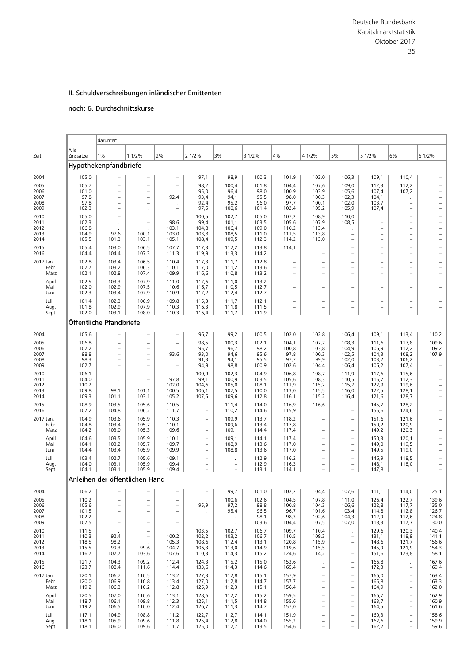# noch: 6. Durchschnittskurse

|                      |                       | darunter:                                                                        |                                                                  |                                                      |                                               |                          |                |                                                      |                                                      |                                                      |                                |                                                      |                          |
|----------------------|-----------------------|----------------------------------------------------------------------------------|------------------------------------------------------------------|------------------------------------------------------|-----------------------------------------------|--------------------------|----------------|------------------------------------------------------|------------------------------------------------------|------------------------------------------------------|--------------------------------|------------------------------------------------------|--------------------------|
| Zeit                 | Alle<br>Zinssätze     | 1%                                                                               | 1 1/2%                                                           | 2%                                                   | 2 1/2%                                        | 3%                       | 3 1/2%         | 4%                                                   | 4 1/2%                                               | 5%                                                   | 5 1/2%                         | 6%                                                   | 6 1/2%                   |
|                      |                       | Hypothekenpfandbriefe                                                            |                                                                  |                                                      |                                               |                          |                |                                                      |                                                      |                                                      |                                |                                                      |                          |
| 2004                 | 105,0                 |                                                                                  | $\qquad \qquad -$                                                | $\qquad \qquad -$                                    | 97,1                                          | 98,9                     | 100,3          | 101,9                                                | 103,0                                                | 106,3                                                | 109,1                          | 110,4                                                |                          |
| 2005<br>2006         | 105,7<br>101,0        | $\overline{\phantom{0}}$<br>$\qquad \qquad -$                                    | $\equiv$<br>$\qquad \qquad -$                                    | $\overline{\phantom{0}}$                             | 98,2<br>95,0                                  | 100,4<br>96,4            | 101,8<br>98,0  | 104,4<br>100,9                                       | 107,6<br>103,9                                       | 109,0<br>105,6                                       | 112,3<br>107,4                 | 112,2<br>107,2                                       |                          |
| 2007<br>2008         | 97,8<br>97,8          | $\overline{\phantom{0}}$                                                         | $\overline{\phantom{0}}$<br>$\equiv$                             | 92,4                                                 | 93,4<br>92,4                                  | 94,1<br>95,2             | 95,5<br>96,0   | 98,0<br>97,7                                         | 100,3<br>100,1                                       | 102,3<br>102,0                                       | 104,1<br>103,7                 | ÷.<br>$\overline{\phantom{0}}$                       |                          |
| 2009                 | 102,3                 | $\overline{\phantom{0}}$                                                         |                                                                  | $\overline{\phantom{0}}$                             | 97,5                                          | 100,6                    | 101,4          | 102,4                                                | 105,2                                                | 105,9                                                | 107,4                          | $\overline{\phantom{0}}$                             |                          |
| 2010<br>2011         | 105,0<br>102,3        | $\overline{\phantom{0}}$                                                         | $\cdot$<br>$\overline{\phantom{0}}$                              | 98,6                                                 | 100,5<br>99,4                                 | 102,7<br>101,1           | 105,0<br>103,5 | 107,2<br>105,6                                       | 108,9<br>107,9                                       | 110,0<br>108,5                                       | $\overline{\phantom{0}}$       | $\overline{\phantom{0}}$<br>$\overline{\phantom{0}}$ |                          |
| 2012<br>2013         | 106,8<br>104,9        | 97,6                                                                             | 100,1                                                            | 103,1<br>103,0                                       | 104,8<br>103,8                                | 106,4<br>108,5           | 109,0<br>111,0 | 110,2<br>111,5                                       | 113,4<br>113,8                                       | $\qquad \qquad -$                                    | $\overline{\phantom{0}}$<br>L, | $\qquad \qquad -$<br>$\overline{\phantom{0}}$        | $\overline{\phantom{0}}$ |
| 2014<br>2015         | 105,5<br>105,4        | 101,3<br>103,0                                                                   | 103,1<br>106,5                                                   | 105,1<br>107,7                                       | 108,4<br>117,3                                | 109,5<br>112,2           | 112,3<br>113,8 | 114,2<br>114,1                                       | 113,0                                                | $\overline{\phantom{a}}$<br>$\overline{\phantom{0}}$ | L.<br>$\overline{\phantom{0}}$ | $\equiv$<br>$\overline{\phantom{0}}$                 | ۰                        |
| 2016                 | 104,4                 | 104,4                                                                            | 107,3                                                            | 111,3                                                | 119,9                                         | 113,3                    | 114,2          | $\cdot$                                              | $\overline{\phantom{a}}$                             | $\overline{\phantom{a}}$                             | L,                             | $\overline{\phantom{0}}$                             |                          |
| 2017 Jan.<br>Febr.   | 102,8<br>102,7        | 103,4<br>103,2                                                                   | 106,5<br>106,3                                                   | 110,4<br>110,1                                       | 117,3<br>117,0                                | 111,7<br>111,2           | 112,8<br>113,6 | $\overline{\phantom{0}}$<br>$\overline{\phantom{a}}$ | $\overline{\phantom{0}}$<br>$\overline{\phantom{0}}$ | $\overline{\phantom{0}}$<br>$\equiv$                 | -<br>L,                        | $\overline{\phantom{0}}$<br>$\equiv$                 |                          |
| März<br>April        | 102,1<br>102,5        | 102,8<br>103,3                                                                   | 107,4<br>107,9                                                   | 109,9<br>111,0                                       | 116,6<br>117,6                                | 110,8<br>111,0           | 113,2<br>113,2 | $\overline{\phantom{0}}$                             | $\overline{\phantom{0}}$<br>$\overline{\phantom{0}}$ | $\overline{\phantom{0}}$<br>$\overline{\phantom{0}}$ | L,<br>-                        | ÷<br>$\overline{\phantom{0}}$                        |                          |
| Mai<br>Juni          | 102,0<br>102,3        | 102,9<br>103,4                                                                   | 107,5<br>107,9                                                   | 110,6<br>110,9                                       | 116,7<br>117,2                                | 110,5<br>112,4           | 112,7<br>112,7 | $\overline{\phantom{0}}$                             | $\overline{\phantom{0}}$                             | $\overline{\phantom{0}}$<br>$\overline{\phantom{0}}$ | $\overline{\phantom{0}}$       | $\overline{\phantom{0}}$                             |                          |
| Juli                 | 101,4                 | 102,3                                                                            | 106,9                                                            | 109,8                                                | 115,3                                         | 111,7                    | 112,1          | $\overline{\phantom{0}}$                             | $\overline{\phantom{0}}$                             | $\overline{\phantom{0}}$                             | $\overline{\phantom{0}}$       | $\qquad \qquad -$                                    |                          |
| Aug.<br>Sept.        | 101,8<br>102,0        | 102,9<br>103,1                                                                   | 107,9<br>108,0                                                   | 110,3<br>110,3                                       | 116,3<br>116,4                                | 111,8<br>111,7           | 111,5<br>111,9 | $\overline{\phantom{0}}$                             | $\overline{\phantom{0}}$                             | $\qquad \qquad -$                                    | L,                             | $\equiv$                                             |                          |
|                      |                       | Öffentliche Pfandbriefe                                                          |                                                                  |                                                      |                                               |                          |                |                                                      |                                                      |                                                      |                                |                                                      |                          |
| 2004                 | 105,6                 |                                                                                  | $\qquad \qquad -$                                                | $\qquad \qquad -$                                    | 96,7                                          | 99,2                     | 100,5          | 102,0                                                | 102,8                                                | 106,4                                                | 109,1                          | 113,4                                                | 110,2                    |
| 2005<br>2006         | 106,8<br>102,2        | $\qquad \qquad -$<br>$\overline{\phantom{a}}$                                    | $\overline{\phantom{0}}$<br>$\overline{\phantom{0}}$             | $\overline{\phantom{a}}$                             | 98,5<br>95,7                                  | 100,3<br>96,7            | 102,1<br>98,2  | 104,1<br>100,8                                       | 107,7<br>103,8                                       | 108,3<br>104,9                                       | 111,6<br>106,9                 | 117,8<br>112,2                                       | 109,6<br>109,2           |
| 2007<br>2008<br>2009 | 98,8<br>98,3<br>102,7 | $\overline{\phantom{m}}$<br>$\overline{\phantom{0}}$<br>$\overline{\phantom{0}}$ | $\equiv$<br>$\overline{\phantom{0}}$<br>$\overline{\phantom{0}}$ | 93,6<br>$\overline{\phantom{a}}$                     | 93,0<br>91,3                                  | 94,6<br>94,1             | 95,6<br>95,5   | 97,8<br>97,7                                         | 100,3<br>99,9                                        | 102,5<br>102,0<br>106,4                              | 104,3<br>103,2                 | 108,2<br>106,2<br>107,4                              | 107,9                    |
| 2010                 | 106,1                 | $\overline{\phantom{m}}$                                                         | $\overline{\phantom{a}}$                                         |                                                      | 94,9<br>100,9                                 | 98,8<br>102,3            | 100,9<br>104,9 | 102,6<br>106,8                                       | 104,4<br>108,7                                       | 111,9                                                | 106,2<br>117,6                 | 115,6                                                |                          |
| 2011<br>2012         | 104,0<br>110,2        |                                                                                  | $\overline{\phantom{a}}$                                         | 97,8<br>102,0                                        | 99,1<br>104,6                                 | 100,9<br>105,0           | 103,5<br>108,1 | 105,6<br>111,9                                       | 108,3<br>115,2                                       | 110,5<br>115,7                                       | 115,7<br>122,9                 | 112,3<br>119,6                                       |                          |
| 2013<br>2014         | 109,8<br>109,3        | 98,1<br>101,1                                                                    | 101,1<br>103,1                                                   | 100,5<br>105,2                                       | 106,1<br>107,5                                | 107,5<br>109,6           | 110,0<br>112,8 | 113,0<br>116,1                                       | 115,5<br>115,2                                       | 116,0<br>116,4                                       | 122,5<br>121,6                 | 128,1<br>128,7                                       | $\overline{a}$<br>÷      |
| 2015<br>2016         | 108,9<br>107,2        | 103,5<br>104,8                                                                   | 105,6<br>106,2                                                   | 110,5<br>111,7                                       | $\overline{\phantom{0}}$                      | 111,4<br>110,2           | 114,0<br>114,6 | 116,9<br>115,9                                       | 116,6                                                | $\overline{\phantom{0}}$                             | 145,7<br>155,6                 | 128,2<br>124,6                                       | $\overline{\phantom{0}}$ |
| 2017 Jan.            | 104,9                 | 103,6                                                                            | 105,9                                                            | 110,3                                                | $\qquad \qquad -$                             | 109,9                    | 113,7          | 118,2                                                | $\overline{\phantom{0}}$                             | $\overline{\phantom{a}}$                             | 151,6                          | 121,6                                                |                          |
| Febr.<br>März        | 104,8<br>104,2        | 103,4<br>103,0                                                                   | 105,7<br>105,3                                                   | 110,1<br>109,6                                       | $\qquad \qquad -$<br>$\overline{\phantom{0}}$ | 109,6<br>109,1           | 113,4<br>114,4 | 117,8<br>117,4                                       | $\overline{\phantom{0}}$<br>$\overline{\phantom{0}}$ | $\qquad \qquad -$<br>$\overline{\phantom{0}}$        | 150,2<br>149,2                 | 120,9<br>120,3                                       | $\overline{\phantom{0}}$ |
| April<br>Mai         | 104,6<br>104,1        | 103,5<br>103,2                                                                   | 105,9<br>105,7                                                   | 110,1<br>109,7                                       | $\qquad \qquad -$                             | 109,1<br>108,9           | 114,1<br>113,6 | 117,4<br>117,0                                       | $\overline{\phantom{0}}$                             | $\qquad \qquad -$                                    | 150,3<br>149,0                 | 120,1<br>119,5                                       |                          |
| Juni<br>Juli         | 104,4<br>103,4        | 103,4<br>102,7                                                                   | 105,9<br>105,6                                                   | 109,9<br>109,1                                       | $\equiv$                                      | 108,8                    | 113,6<br>112,9 | 117,0                                                | $\overline{\phantom{0}}$                             | $\equiv$                                             | 149,5                          | 119,0<br>118,5                                       |                          |
| Aug.<br>Sept.        | 104,0<br>104,1        | 103,1<br>103,1                                                                   | 105,9<br>105,9                                                   | 109,4<br>109,4                                       | $\qquad \qquad -$<br>$\qquad \qquad -$        | $\overline{\phantom{a}}$ | 112,9<br>113,1 | 116,2<br>116,3<br>114,1                              | $\overline{\phantom{0}}$                             | $\qquad \qquad -$<br>$\qquad \qquad -$               | 146,9<br>148,1<br>147,8        | 118,0                                                |                          |
|                      |                       | Anleihen der öffentlichen Hand                                                   |                                                                  |                                                      |                                               |                          |                |                                                      |                                                      |                                                      |                                |                                                      |                          |
| 2004                 | 106,2                 | $\overline{\phantom{0}}$                                                         | -                                                                | $\overline{\phantom{0}}$                             | $\qquad \qquad -$                             | 99,7                     | 101,0          | 102,2                                                | 104,4                                                | 107,6                                                | 111,1                          | 114,0                                                | 125,1                    |
| 2005<br>2006         | 110,2<br>105,6        | $\overline{\phantom{a}}$<br>$\overline{\phantom{a}}$                             | $\qquad \qquad -$<br>$\qquad \qquad -$                           | $\overline{\phantom{0}}$<br>$\overline{\phantom{a}}$ | 95,9                                          | 100,6<br>97,2            | 102,6<br>98,8  | 104,5<br>100,8                                       | 107,8<br>104,3                                       | 111,0<br>106,6                                       | 126,4<br>122,8                 | 122,7<br>117,7                                       | 139,6<br>135,0           |
| 2007<br>2008         | 101,5<br>102,2        | $\overline{\phantom{0}}$<br>$\overline{\phantom{a}}$                             | $\overline{\phantom{0}}$<br>$\overline{\phantom{a}}$             | $\overline{\phantom{0}}$<br>$\overline{\phantom{a}}$ | $\qquad \qquad -$                             | 95,4                     | 96,5<br>98,1   | 96,7<br>98,3                                         | 101,6<br>102,6                                       | 103,4<br>104,3                                       | 114,8<br>112,9                 | 112,8<br>112,6                                       | 126,7<br>124,8           |
| 2009<br>2010         | 107,5<br>111,5        | $\qquad \qquad -$                                                                | $\qquad \qquad -$<br>$\overline{\phantom{a}}$                    | $\qquad \qquad -$                                    | $\cdot$<br>103,5                              | $\cdot$<br>102,7         | 103,6<br>106,7 | 104,4<br>109,7                                       | 107,5<br>110,4                                       | 107,0                                                | 118,3<br>129,6                 | 117,7<br>120,3                                       | 130,0<br>140,4           |
| 2011<br>2012         | 110,3<br>118,5        | 92,4<br>98,2                                                                     | $\overline{\phantom{a}}$                                         | 100,2<br>105,3                                       | 102,2<br>108,6                                | 103,2<br>112,4           | 106,7<br>113,1 | 110,5<br>120,8                                       | 109,3<br>115,9                                       | $\qquad \qquad -$<br>$\qquad \qquad -$               | 131,1<br>148,6                 | 118,9<br>121,7                                       | 141,1<br>156,6           |
| 2013<br>2014         | 115,5<br>116,7        | 99,3<br>102,7                                                                    | 99,6<br>103,6                                                    | 104,7<br>107,6                                       | 106,3<br>110,3                                | 113,0<br>114,3           | 114,9<br>115,2 | 119,6<br>124,6                                       | 115,5<br>114,2                                       | $\overline{\phantom{0}}$<br>$\overline{\phantom{0}}$ | 145,9<br>151,6                 | 121,9<br>123,8                                       | 154,3<br>158,1           |
| 2015<br>2016         | 121,7<br>123,7        | 104,3<br>108,4                                                                   | 109,2<br>111,6                                                   | 112,4<br>114,4                                       | 124,3<br>133,6                                | 115,2<br>114,3           | 115,0<br>114,6 | 153,6<br>165,4                                       | $\qquad \qquad -$                                    | $\qquad \qquad -$<br>$\qquad \qquad -$               | 166,8<br>172,3                 | $\qquad \qquad -$                                    | 167,6<br>169,4           |
| 2017 Jan.            | 120,1                 | 106,7                                                                            | 110,5                                                            | 113,2                                                | 127,3                                         | 112,8                    | 115,1          | 157,9                                                | $\qquad \qquad -$                                    | $\qquad \qquad -$                                    | 166,0                          | $\qquad \qquad -$                                    | 163,4                    |
| Febr.<br>März        | 120,0<br>119,2        | 106,9<br>106,3                                                                   | 110,8<br>110,2                                                   | 113,4<br>112,8                                       | 127,0<br>125,9                                | 112,8<br>112,3           | 114,7<br>115,1 | 157,7<br>156,4                                       | $\overline{a}$<br>$\overline{\phantom{0}}$           | $\overline{\phantom{0}}$<br>$\qquad \qquad -$        | 165,8<br>164,9                 | $\overline{\phantom{0}}$<br>$\qquad \qquad -$        | 163,3<br>162,0           |
| April<br>Mai         | 120,5<br>118,7        | 107,0<br>106,1                                                                   | 110,6<br>109,8                                                   | 113,1<br>112,3                                       | 128,6<br>125,1                                | 112,2<br>111,5           | 115,2<br>114,8 | 159,5<br>155,6                                       | $\qquad \qquad -$<br>$\overline{\phantom{0}}$        | $\qquad \qquad -$<br>$\qquad \qquad -$               | 166,7<br>163,7                 | $\overline{\phantom{0}}$<br>$\qquad \qquad -$        | 162,9<br>160,9           |
| Juni<br>Juli         | 119,2<br>117,1        | 106,5<br>104,9                                                                   | 110,0<br>108,8                                                   | 112,4<br>111,2                                       | 126,7<br>122,7                                | 111,3<br>112,7           | 114,7<br>114,1 | 157,0<br>151,9                                       | $\overline{\phantom{0}}$<br>$\overline{\phantom{0}}$ | $\qquad \qquad -$<br>$\qquad \qquad -$               | 164,5<br>160,3                 | $\overline{\phantom{0}}$<br>$\overline{\phantom{0}}$ | 161,6<br>158,6           |
| Aug.<br>Sept.        | 118,1<br>118,1        | 105,9<br>106,0                                                                   | 109,6<br>109,6                                                   | 111,8<br>111,7                                       | 125,4<br>125,0                                | 112,8<br>112,7           | 114,0<br>113,5 | 155,2<br>154,6                                       | $\qquad \qquad -$<br>$\overline{\phantom{0}}$        | $\qquad \qquad -$<br>$\overline{\phantom{0}}$        | 162,6<br>162,2                 | $\overline{\phantom{0}}$<br>$\overline{\phantom{0}}$ | 159,9<br>159,6           |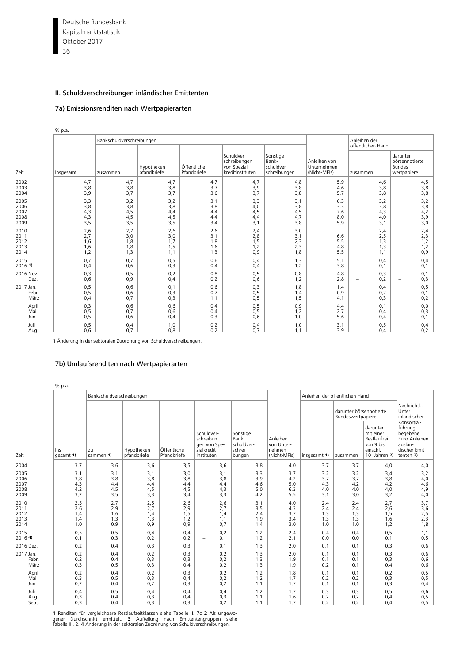Deutsche Bundesbank 36 Kapitalmarktstatistik Oktober 2017

% p.a.

# II. Schuldverschreibungen inländischer Emittenten

# 7a) Emissionsrenditen nach Wertpapierarten

|                                      |                                 | Bankschuldverschreibungen       |                                 |                                 |                                                                |                                                 |                                             | Anleihen der<br>öffentlichen Hand |                                                      |
|--------------------------------------|---------------------------------|---------------------------------|---------------------------------|---------------------------------|----------------------------------------------------------------|-------------------------------------------------|---------------------------------------------|-----------------------------------|------------------------------------------------------|
| Zeit                                 | Insgesamt                       | zusammen                        | Hypotheken-<br>pfandbriefe      | Öffentliche<br>Pfandbriefe      | Schuldver-<br>schreibungen<br>von Spezial-<br>kreditinstituten | Sonstige<br>Bank-<br>schuldver-<br>schreibungen | Anleihen von<br>Unternehmen<br>(Nicht-MFIs) | I zusammen                        | darunter<br>börsennotierte<br>Bundes-<br>wertpapiere |
| 2002<br>2003<br>2004                 | 4,7<br>3,8<br>3,9               | 4,7<br>3,8<br>3,7               | 4,7<br>3,8<br>3,7               | 4,7<br>3,7<br>3,6               | 4,7<br>3,9<br>3,7                                              | 4,8<br>3,8<br>3,8                               | 5,9<br>4,6<br>5,7                           | 4,6<br>3,8<br>3,8                 | 4,5<br>3,8<br>3,8                                    |
| 2005<br>2006<br>2007<br>2008<br>2009 | 3,3<br>3,8<br>4,3<br>4,3<br>3,5 | 3,2<br>3,8<br>4,5<br>4,5<br>3,5 | 3,2<br>3,8<br>4,4<br>4,5<br>3,5 | 3,1<br>3,8<br>4,4<br>4,4<br>3,4 | 3,3<br>4,0<br>4,5<br>4,4<br>3,1                                | 3,1<br>3,8<br>4,5<br>4,7<br>3,8                 | 6,3<br>3,3<br>7,6<br>8,0<br>5,9             | 3,2<br>3,8<br>4,3<br>4,0<br>3,1   | 3,2<br>3,8<br>$4,2$<br>$3,9$<br>$3,0$                |
| 2010<br>2011<br>2012<br>2013<br>2014 | 2,6<br>2,7<br>1,6<br>1,6<br>1,2 | 2,7<br>3,0<br>1,8<br>1,8<br>1,3 | 2,6<br>3,0<br>1,7<br>1,5<br>1,1 | 2,6<br>3,1<br>1,8<br>1,6<br>1,3 | 2,4<br>2,8<br>1,5<br>1,2<br>0,9                                | 3,0<br>3,1<br>2,3<br>2,3<br>1,8                 | 6,6<br>5, 5<br>4,8<br>5,5                   | 2,4<br>2,5<br>1,3<br>1,3<br>1,1   | 2,4<br>2,3<br>1,2<br>1,2<br>0,9                      |
| 2015<br>2016 1)                      | 0,7<br>0,4                      | 0,7<br>0,6                      | 0, 5<br>0,3                     | 0,6<br>0,4                      | 0,4<br>0.4                                                     | 1,3<br>1,2                                      | 5,1<br>3,8                                  | 0,4<br>0,1                        | 0,4<br>0,1<br>$\qquad \qquad -$                      |
| 2016 Nov.<br>Dez.                    | 0,3<br>0,6                      | 0, 5<br>0,9                     | 0,2<br>0,4                      | 0,8<br>0,2                      | 0,5<br>0,6                                                     | 0,8<br>1,2                                      | 4,8<br>2,8                                  | 0,3<br>0,2<br>$\qquad \qquad -$   | 0,1<br>0,3<br>$\qquad \qquad -$                      |
| 2017 Jan.<br>Febr.<br>März           | 0, 5<br>0,5<br>0,4              | 0,6<br>0,6<br>0,7               | 0,1<br>0,3<br>0,3               | 0,6<br>0,7<br>1,1               | 0,3<br>0,5<br>0,5                                              | 1,8<br>1,4<br>1,5                               | 1,4<br>0,9<br>4,1                           | 0,4<br>0,2<br>0,3                 | 0, 5<br>0,1<br>0,2                                   |
| April<br>Mai<br>Juni                 | 0,3<br>0, 5<br>0,5              | 0,6<br>0,7<br>0,6               | 0,6<br>0,6<br>0,4               | 0,4<br>0,4<br>0,3               | 0,5<br>0, 5<br>0,6                                             | 0,9<br>1,2<br>1,0                               | 4,4<br>2,7<br>5,6                           | 0,1<br>0,4<br>0,4                 | 0,0<br>0,3<br>0,1                                    |
| Juli<br>Aug.                         | 0,5<br>0,6                      | 0,4<br>0,7                      | 1,0<br>0,8                      | 0,2<br>0,2                      | 0,4<br>0,7                                                     | 1,0<br>1,1                                      | 3,1<br>3,9                                  | 0, 5<br>0,4                       | 0,4<br>0,2                                           |

**1** Änderung in der sektoralen Zuordnung von Schuldverschreibungen.

## 7b) Umlaufsrenditen nach Wertpapierarten

|                                      | % p.a.                          |                                 |                                 |                                 |                                                                       |                                                      |                                                  |                                 |                                              |                                                                                |                                                                                              |
|--------------------------------------|---------------------------------|---------------------------------|---------------------------------|---------------------------------|-----------------------------------------------------------------------|------------------------------------------------------|--------------------------------------------------|---------------------------------|----------------------------------------------|--------------------------------------------------------------------------------|----------------------------------------------------------------------------------------------|
|                                      |                                 | Bankschuldverschreibungen       |                                 |                                 |                                                                       |                                                      |                                                  | Anleihen der öffentlichen Hand  |                                              |                                                                                |                                                                                              |
|                                      |                                 |                                 |                                 |                                 |                                                                       |                                                      |                                                  |                                 | darunter börsennotierte<br>Bundeswertpapiere |                                                                                | Nachrichtl.:<br>Unter<br>inländischer                                                        |
| Zeit                                 | Ins-<br>gesamt 1)               | l zu-<br>sammen 1)              | Hypotheken-<br>pfandbriefe      | Öffentliche<br>Pfandbriefe      | Schuldver-<br>schreibun-<br>gen von Spe-<br>zialkredit-<br>instituten | Sonstige<br>Bank-<br>schuldver-<br>schrei-<br>bungen | Anleihen<br>von Unter-<br>nehmen<br>(Nicht-MFIs) | insgesamt 1)                    | zusammen                                     | darunter<br>mit einer<br>Restlaufzeit<br>von 9 bis<br>einschl.<br>10 Jahren 2) | Konsortial-<br>führung<br>begebene<br>Euro-Anleihen<br>auslän-<br>discher Emit-<br>tenten 3) |
| 2004                                 | 3,7                             | 3,6                             | 3,6                             | 3,5                             | 3,6                                                                   | 3,8                                                  | 4,0                                              | 3,7                             | 3,7                                          | 4,0                                                                            | 4,0                                                                                          |
| 2005<br>2006<br>2007<br>2008<br>2009 | 3,1<br>3,8<br>4,3<br>4,2<br>3,2 | 3,1<br>3,8<br>4,4<br>4,5<br>3,5 | 3,1<br>3,8<br>4,4<br>4,5<br>3,3 | 3,0<br>3,8<br>4,4<br>4,5<br>3,4 | 3,1<br>3,8<br>4,4<br>4,3<br>3,3                                       | 3,3<br>3,9<br>4,6<br>5,0<br>4,2                      | 3,7<br>4,2<br>5,0<br>6,3<br>5,5                  | 3,2<br>3,7<br>4,3<br>4,0<br>3,1 | 3,2<br>3,7<br>4,2<br>4,0<br>3,0              | 3,4<br>3,8<br>4,2<br>4,0<br>3,2                                                | 3,2<br>4,0<br>4,6<br>4,9<br>4,0                                                              |
| 2010<br>2011<br>2012<br>2013<br>2014 | 2,5<br>2,6<br>1,4<br>1,4<br>1.0 | 2,7<br>2,9<br>1,6<br>1,3<br>0,9 | 2,5<br>2,7<br>1,4<br>1,3<br>0,9 | 2,6<br>2,9<br>1,5<br>1,2<br>0,9 | 2,6<br>2,7<br>1,4<br>1,1<br>0.7                                       | 3,1<br>3,5<br>2,4<br>1,9<br>1,4                      | 4,0<br>4,3<br>3,7<br>3,4<br>3,0                  | 2,4<br>2,4<br>1,3<br>1,3<br>1,0 | 2,4<br>2,4<br>1,3<br>1,3<br>1,0              | 2,7<br>2,6<br>1,5<br>1,6<br>1,2                                                | 3,7<br>3,6<br>2,5<br>2,3<br>1,8                                                              |
| 2015<br>2016 4)                      | 0,5<br>0,1                      | 0, 5<br>0,3                     | 0,4<br>0,2                      | 0,4<br>0,2                      | 0,2<br>0,1<br>۰                                                       | 1,2<br>1,2                                           | 2,4<br>2,1                                       | 0,4<br>0,0                      | 0,4<br>0,0                                   | 0, 5<br>0,1                                                                    | 1,1<br>0, 5                                                                                  |
| 2016 Dez.                            | 0,2                             | 0,4                             | 0,3                             | 0,3                             | 0,1                                                                   | 1,3                                                  | 2,0                                              | 0,1                             | 0,1                                          | 0,3                                                                            | 0,6                                                                                          |
| 2017 Jan.<br>Febr.<br>März           | 0,2<br>0,2<br>0,3               | 0,4<br>0,4<br>0, 5              | 0,2<br>0,3<br>0,3               | 0,3<br>0,3<br>0,4               | 0,2<br>0,2<br>0,2                                                     | 1,3<br>1,3<br>1,3                                    | 2,0<br>1,9<br>1,9                                | 0.1<br>0,1<br>0,2               | 0,1<br>0,1<br>0,1                            | 0,3<br>0,3<br>0,4                                                              | 0,6<br>0,6<br>0,6                                                                            |
| April<br>Mai<br>Juni                 | 0,2<br>0,3<br>0,2               | 0,4<br>0, 5<br>0,4              | 0,2<br>0,3<br>0,2               | 0,3<br>0,4<br>0,3               | 0,2<br>0,2<br>0,2                                                     | 1,2<br>1,2<br>1,1                                    | 1,8<br>1,7<br>1,7                                | 0,1<br>0,2<br>0,1               | 0,1<br>0,2<br>0,1                            | 0,2<br>0,3<br>0,3                                                              | 0, 5<br>0, 5<br>0,4                                                                          |
| Juli<br>Aug.<br>Sept.                | 0,4<br>0,3<br>0,3               | 0, 5<br>0,4<br>0,4              | 0,4<br>0,3<br>0,3               | 0,4<br>0,4<br>0,3               | 0,4<br>0,3<br>0,2                                                     | 1,2<br>1,1<br>1,1                                    | 1,7<br>1,6<br>1,7                                | 0,3<br>0,2<br>0,2               | 0,3<br>0,2<br>0,2                            | 0, 5<br>0,4<br>0,4                                                             | 0,6<br>0, 5<br>0,5                                                                           |

**1** Renditen für vergleichbare Restlaufzeitklassen siehe Tabelle II. 7c **2** Als ungewo-<br>gener Durchschnitt ermittelt. **3** Aufteilung nach Emittentengruppen siehe<br>Tabelle III. 2. 4 Änderung in der sektoralen Zuordnun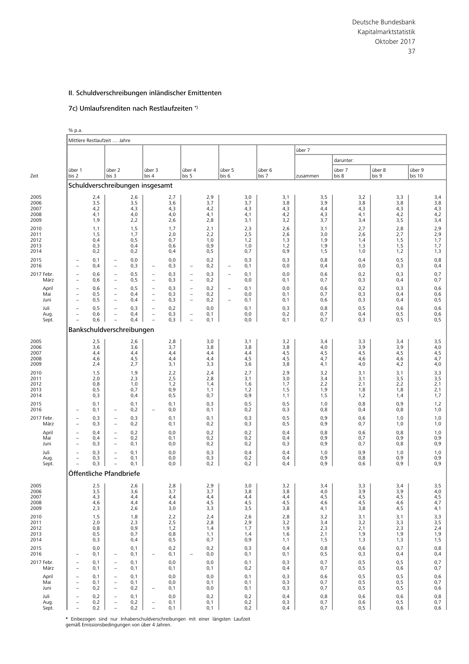# 7c) Umlaufsrenditen nach Restlaufzeiten \*)

|                    | % p.a.                                               |                |                                                      |              |                                                      |             |                                                      |             |                          |             |                 |             |             |                 |                 |                  |
|--------------------|------------------------------------------------------|----------------|------------------------------------------------------|--------------|------------------------------------------------------|-------------|------------------------------------------------------|-------------|--------------------------|-------------|-----------------|-------------|-------------|-----------------|-----------------|------------------|
|                    |                                                      |                | Mittlere Restlaufzeit  Jahre                         |              |                                                      |             |                                                      |             |                          |             |                 |             |             |                 |                 |                  |
|                    |                                                      |                |                                                      |              |                                                      |             |                                                      |             |                          |             |                 |             | über 7      |                 |                 |                  |
|                    |                                                      |                |                                                      |              |                                                      |             |                                                      |             |                          |             |                 |             |             | darunter:       |                 |                  |
| Zeit               | über 1<br>bis 2                                      |                | über 2<br>bis 3                                      |              | über 3<br>bis 4                                      |             | über 4<br>bis 5                                      |             | über 5<br>bis 6          |             | über 6<br>bis 7 |             | zusammen    | über 7<br>bis 8 | über 8<br>bis 9 | über 9<br>bis 10 |
|                    |                                                      |                |                                                      |              | Schuldverschreibungen insgesamt                      |             |                                                      |             |                          |             |                 |             |             |                 |                 |                  |
| 2005               |                                                      |                |                                                      | 2,6          |                                                      | 2,7         |                                                      | 2,9         |                          | 3,0         |                 | 3,1         | 3,5         | 3,2             | 3,3             | 3,4              |
| 2006               |                                                      | $^{2,4}_{3,5}$ |                                                      | 3,5          |                                                      | 3,6         |                                                      | 3,7         |                          | 3,7         |                 | 3,8         | 3,9         | 3,8             | 3,8             | 3,8              |
| 2007<br>2008       |                                                      | 4,2<br>4,1     |                                                      | 4,3<br>4,0   |                                                      | 4,3<br>4,0  |                                                      | 4,2<br>4,1  |                          | 4,3<br>4,1  |                 | 4,3<br>4,2  | 4,4<br>4,3  | 4,3<br>4,1      | 4,3<br>4,2      | 4,3<br>4,2       |
| 2009<br>2010       |                                                      | 1,9            |                                                      | 2,2<br>1,5   |                                                      | 2,6<br>1,7  |                                                      | 2,8<br>2,1  |                          | 3,1         |                 | 3,2<br>2,6  | 3,7<br>3,1  | 3,4<br>2,7      | 3,5<br>2,8      | 3,4<br>2,9       |
| 2011               |                                                      | 1,1<br>1,5     |                                                      | 1,7          |                                                      | 2,0         |                                                      | 2,2         |                          | 2,3<br>2,5  |                 | 2,6         | 3,0         | 2,6             | 2,7             | 2,9              |
| 2012<br>2013       |                                                      | 0,4<br>0,3     |                                                      | 0,5<br>0,4   |                                                      | 0,7<br>0,6  |                                                      | 1,0<br>0,9  |                          | 1,2<br>1,0  |                 | 1,3<br>1,2  | 1,9<br>1,9  | 1,4<br>1,3      | 1,5<br>1,5      | 1,7<br>1,7       |
| 2014               |                                                      | 0,2            |                                                      | 0,2          |                                                      | 0,4         |                                                      | 0, 5        |                          | 0,7         |                 | 0,9         | 1,5         | 1,0             | 1,2<br>0, 5     | 1,3              |
| 2015<br>2016       | ۰<br>$\qquad \qquad -$                               | 0,1<br>0,4     | $\overline{\phantom{m}}$<br>$\overline{\phantom{a}}$ | 0,0<br>0,3   | $\overline{\phantom{0}}$                             | 0,0<br>0,3  | $\overline{\phantom{a}}$                             | 0,2<br>0,2  | $\overline{\phantom{m}}$ | 0,3<br>0,1  |                 | 0,3<br>0,0  | 0,8<br>0,4  | 0,4<br>0,0      | 0,3             | 0,8<br>0,4       |
| 2017 Febr.<br>März | $\overline{\phantom{0}}$<br>$\equiv$                 | 0,6<br>0,6     | $\overline{\phantom{0}}$<br>$\overline{\phantom{m}}$ | 0, 5<br>0, 5 | $\overline{\phantom{a}}$<br>$\overline{\phantom{0}}$ | 0,3<br>0,3  | $\overline{\phantom{a}}$<br>$\overline{\phantom{a}}$ | 0,3<br>0,2  | $\overline{\phantom{a}}$ | 0,1<br>0,0  |                 | 0,0<br>0,1  | 0,6<br>0,7  | 0,2<br>0,3      | 0,3<br>0,4      | 0,7<br>0,7       |
| April              | $\overline{\phantom{a}}$                             | 0,6            | $\overline{\phantom{0}}$                             | 0,5          | $\overline{\phantom{a}}$                             | 0,3         | $\equiv$                                             | 0,2         | $\overline{\phantom{0}}$ | 0,1         |                 | 0,0         | 0,6         | 0,2             | 0,3             | 0,6              |
| Mai<br>Juni        | $\equiv$<br>$\qquad \qquad -$                        | 0,5<br>0,5     | $\overline{\phantom{m}}$<br>$\overline{\phantom{a}}$ | 0,4<br>0,4   | $\overline{\phantom{0}}$<br>$\qquad \qquad -$        | 0,3<br>0,3  | $\overline{\phantom{a}}$<br>$\overline{\phantom{a}}$ | 0,2<br>0,2  | $\overline{\phantom{0}}$ | 0,0<br>0,1  |                 | 0,1<br>0,1  | 0,7<br>0,6  | 0,3<br>0,3      | 0,4<br>0,4      | 0,6<br>0, 5      |
| Juli<br>Aug.       | $\overline{\phantom{0}}$<br>$\overline{\phantom{0}}$ | 0,5<br>0,6     | $\overline{\phantom{m}}$<br>$\overline{\phantom{a}}$ | 0,3<br>0,4   | $\overline{\phantom{0}}$<br>$\overline{\phantom{0}}$ | 0,2<br>0,3  | $\overline{\phantom{0}}$                             | 0, 0<br>0,1 |                          | 0,1<br>0,0  |                 | 0,3<br>0,2  | 0,8<br>0,7  | 0, 5<br>0,4     | 0,6<br>0, 5     | 0,6<br>0,6       |
| Sept.              |                                                      | 0,6            | $\overline{\phantom{0}}$                             | 0,4          | $\overline{a}$                                       | 0,3         | $\overline{\phantom{a}}$                             | 0,1         |                          | 0,0         |                 | 0,1         | 0,7         | 0,3             | 0, 5            | 0, 5             |
|                    |                                                      |                | Bankschuldverschreibungen                            |              |                                                      |             |                                                      |             |                          |             |                 |             |             |                 |                 |                  |
| 2005<br>2006       |                                                      | 2,5<br>3,6     |                                                      | 2,6<br>3,6   |                                                      | 2,8<br>3,7  |                                                      | 3,0<br>3,8  |                          | 3,1<br>3,8  |                 | 3,2<br>3,8  | 3,4<br>4,0  | 3,3<br>3,9      | 3,4<br>3,9      | 3,5<br>4,0       |
| 2007<br>2008       |                                                      | 4,4            |                                                      | 4,4<br>4,5   |                                                      | 4,4<br>4,4  |                                                      | 4,4         |                          | 4,4         |                 | 4,5<br>4,5  | 4,5<br>4,7  | 4,5             | 4,5             | 4,5<br>4,7       |
| 2009               |                                                      | 4,6<br>2,4     |                                                      | 2,7          |                                                      | 3,1         |                                                      | 4,4<br>3,3  |                          | 4,5<br>3,6  |                 | 3,8         | 4,1         | 4,6<br>4,0      | 4,6<br>4,2      | 4,0              |
| 2010<br>2011       |                                                      | 1,5<br>2,0     |                                                      | 1,9<br>2,3   |                                                      | 2,2<br>2,5  |                                                      | 2,4<br>2,8  |                          | 2,7<br>3,1  |                 | 2,9<br>3,0  | 3,2<br>3,4  | 3,1<br>3,1      | 3,1<br>3,5      | 3,3<br>3,5       |
| 2012<br>2013       |                                                      | 0,8<br>0, 5    |                                                      | 1,0<br>0,7   |                                                      | 1,2<br>0,9  |                                                      | 1,4<br>1,1  |                          | 1,6<br>1,2  |                 | 1,7<br>1,5  | 2,2<br>1,9  | 2,1<br>1,8      | 2,2<br>1,8      | 2,1<br>2,1       |
| 2014               |                                                      | 0,3            |                                                      | 0,4          |                                                      | 0, 5        |                                                      | 0,7         |                          | 0,9         |                 | 1,1         | 1,5         | 1,2             | 1,4             | 1,7              |
| 2015<br>2016       | $\qquad \qquad -$                                    | 0,1<br>0,1     | $\overline{\phantom{m}}$                             | 0,1<br>0,2   |                                                      | 0,1<br>0,0  |                                                      | 0,3<br>0,1  |                          | 0, 5<br>0,2 |                 | 0,5<br>0,3  | 1,0<br>0,8  | 0,8<br>0,4      | 0,9<br>0,8      | 1,2<br>1,0       |
| 2017 Febr.         | $\overline{\phantom{0}}$                             | 0,3            | $\qquad \qquad -$                                    | 0,3          |                                                      | 0,1         |                                                      | 0,1         |                          | 0,3         |                 | 0, 5        | 0,9         | 0,6             | 1,0             | 1,0              |
| März<br>April      | $\qquad \qquad -$<br>$\qquad \qquad -$               | 0,3<br>0,4     | $\overline{\phantom{a}}$<br>$\overline{\phantom{a}}$ | 0,2<br>0,2   |                                                      | 0,1<br>0,0  |                                                      | 0,2<br>0,2  |                          | 0,3<br>0,2  |                 | 0, 5<br>0,4 | 0,9<br>0,8  | 0,7<br>0,6      | 1,0<br>0,8      | 1,0<br>1,0       |
| Mai<br>Juni        | $\qquad \qquad -$<br>$\qquad \qquad -$               | 0,4<br>0,3     | $\overline{\phantom{a}}$<br>$\overline{\phantom{a}}$ | 0,2<br>0,1   |                                                      | 0,1<br>0,0  |                                                      | 0,2<br>0,2  |                          | 0,2<br>0,2  |                 | 0,4<br>0,3  | 0,9<br>0,9  | 0,7<br>0,7      | 0,9<br>0,8      | 0,9<br>0,9       |
| Juli               | $\qquad \qquad -$                                    | 0,3            | $\overline{\phantom{a}}$                             | 0,1          |                                                      | 0,0         |                                                      | 0,3         |                          | 0,4         |                 | 0,4         | 1,0         | 0,9             | 1,0             | 1,0              |
| Aug.<br>Sept.      |                                                      | 0,3<br>0,3     | $\overline{\phantom{a}}$<br>$\equiv$                 | 0,1<br>0,1   |                                                      | 0,0<br>0, 0 |                                                      | 0,3<br>0,2  |                          | 0,2<br>0,2  |                 | 0,4<br>0,4  | 0,9<br>0,9  | 0,8<br>0,6      | 0,9<br>0,9      | 0,9<br>0,9       |
|                    |                                                      |                | Öffentliche Pfandbriefe                              |              |                                                      |             |                                                      |             |                          |             |                 |             |             |                 |                 |                  |
| 2005               |                                                      | 2,5            |                                                      | 2,6          |                                                      | 2,8         |                                                      | 2,9         |                          | 3,0         |                 | 3,2         | 3,4         | 3,3             | 3,4             | 3,5              |
| 2006<br>2007       |                                                      | 3,5<br>4,3     |                                                      | 3,6<br>4,4   |                                                      | 3,7<br>4,4  |                                                      | 3,7<br>4,4  |                          | 3,8<br>4,4  |                 | 3,8<br>4,4  | 4,0<br>4,5  | 3,9<br>4,5      | 3,9<br>4,5      | 4,0<br>4,5       |
| 2008<br>2009       |                                                      | 4,6<br>2,3     |                                                      | 4,4<br>2,6   |                                                      | 4,4<br>3,0  |                                                      | 4,5<br>3,3  |                          | 4,5<br>3,5  |                 | 4,5<br>3,8  | 4,6<br>4,1  | 4,5<br>3,8      | 4,6<br>4,5      | 4,7<br>4,1       |
| 2010               |                                                      | 1,5            |                                                      | 1,8          |                                                      | 2,2         |                                                      | 2,4         |                          | 2,6         |                 | 2,8         | 3,2         | 3,1             | 3,1             | 3,3              |
| 2011<br>2012       |                                                      | 2,0<br>0,8     |                                                      | 2,3<br>0,9   |                                                      | 2,5<br>1,2  |                                                      | 2,8<br>1,4  |                          | 2,9<br>1,7  |                 | 3,2<br>1,9  | 3,4<br>2,3  | 3,2<br>2,1      | 3,3<br>2,3      | 3,5<br>2,4       |
| 2013<br>2014       |                                                      | 0,5<br>0,3     |                                                      | 0,7<br>0,4   |                                                      | 0,8<br>0,5  |                                                      | 1,1<br>0,7  |                          | 1,4<br>0,9  |                 | 1,6<br>1,1  | 2,1<br>1,5  | 1,9<br>1,3      | 1,9<br>1,3      | 1,9<br>1,5       |
| 2015               |                                                      | 0,0            |                                                      | 0,1          |                                                      | 0,2         |                                                      | 0,2         |                          | 0,3         |                 | 0,4         | 0,8         | 0,6             | 0,7             | 0,8              |
| 2016<br>2017 Febr. | $\overline{\phantom{0}}$<br>$\overline{\phantom{0}}$ | 0,1<br>0,1     | $\overline{\phantom{a}}$<br>$\overline{\phantom{a}}$ | 0,1<br>0,1   | $\overline{\phantom{0}}$                             | 0,1<br>0,0  | $\overline{\phantom{a}}$                             | 0,0<br>0,0  |                          | 0,1<br>0,1  |                 | 0,1<br>0,3  | 0, 5<br>0,7 | 0,3<br>0, 5     | 0,4<br>0, 5     | 0,4<br>0,7       |
| März<br>April      | $\qquad \qquad -$<br>$\qquad \qquad -$               | 0,1<br>0,1     | $\overline{\phantom{a}}$<br>$\overline{\phantom{m}}$ | 0,1<br>0,1   |                                                      | 0,1<br>0,0  |                                                      | 0,1<br>0, 0 |                          | 0,2<br>0,1  |                 | 0,4<br>0,3  | 0,7<br>0,6  | 0,5<br>0,5      | 0,6<br>0, 5     | 0,7<br>0,6       |
| Mai<br>Juni        | $\qquad \qquad -$<br>$\qquad \qquad -$               | 0,1            | $\overline{\phantom{a}}$<br>$\qquad \qquad -$        | 0,1          |                                                      | 0,0         |                                                      | 0,1         |                          | 0,1         |                 | 0,3<br>0,3  | 0,7<br>0,7  | 0, 5            | 0,5<br>0, 5     | 0,7<br>0,6       |
| Juli               | $\qquad \qquad -$                                    | 0,2<br>0,2     | $\overline{\phantom{a}}$                             | 0,2<br>0,1   |                                                      | 0,1<br>0,0  |                                                      | 0,0<br>0,2  |                          | 0,1<br>0,2  |                 | 0,4         | 0,8         | 0,5<br>0,6      | 0,6             | 0,8              |
| Aug.<br>Sept.      |                                                      | 0,2<br>0,2     |                                                      | 0,2<br>0,2   |                                                      | 0,1<br>0,1  |                                                      | 0,1<br>0,1  |                          | 0,2<br>0,2  |                 | 0,3<br>0,4  | 0,7<br>0,7  | 0,6<br>0, 5     | 0, 5<br>0,6     | 0,7<br>0,6       |

**\*** Einbezogen sind nur Inhaberschuldverschreibungen mit einer längsten Laufzeit gemäß Emissionsbedingungen von über 4 Jahren.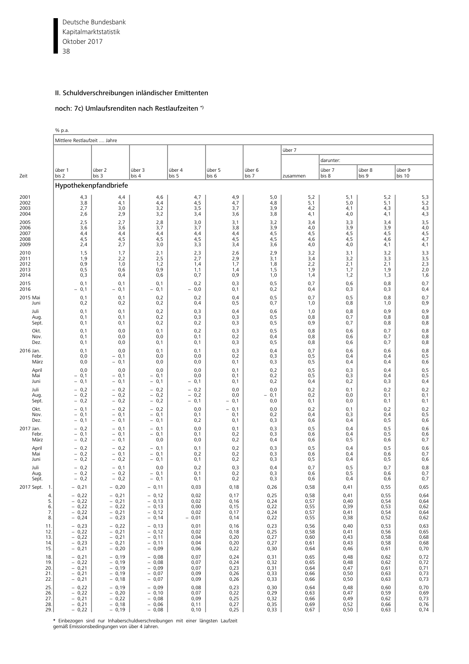Deutsche Bundesbank 38 Kapitalmarktstatistik Oktober 2017

### II. Schuldverschreibungen inländischer Emittenten

#### noch: 7c) Umlaufsrenditen nach Restlaufzeiten \*)

% p.a. Mittlere Restlaufzeit .... Jahre über 7 darunter: über 1 über 2 über 3 über 4 über 5 über 6 über 7 über 8 über 9 Zeit |bis 2 |bis 3 |bis 4 |bis 5 |bis 6 |bis 7 |zusammen |bis 8 |bis 9 |bis 10 Hypothekenpfandbriefe 2001 | [4,3 4,4 4,6 4,7 4,9 5,0 5,2 5,1 5,2 5,3](#page-12-1) 2002 | 3,8 4,1 4,4 4,5 4,7 4,8 5,1 5,0 5,1 5,1 5,2 2003 | 2,7 | 3,0 | 3,2 | 3,5 | 3,7 | 3,9 | 4,2 | 4,1 | 4,3 | 4,3 2004 | 2,6 | 2,9 | 3,2 | 3,4 | 3,6 | 3,8 | 4,1 | 4,0 | 4,1 | 4,3 2005 | 2,5 | 2,7 | 2,8 | 3,0 | 3,1 | 3,2 | 3,4 | 3,3 | 3,4 | 3,5 2006 | 3,6 3,6 3,7 3,7 3,8 3,9 4,0 3,9 3,9 3,9 4,0 2007 | 4,4 | 4,4 | 4,4 | 4,4 | 4,5 | 4,5 | 4,5 | 4,5 | 2008 | 4,5 | 4,5 | 4,5 | 4,5 | 4,5 | 4,5 | 4,5 | 4,5 | 4,5 | 4,7 | 4,5 | 4,7 | 4,5 | 4,7 | 4,7 | 4,7 | 4,7 | 4 2009 | 2,4 | 2,7 | 3,0 | 3,3 | 3,4 | 3,6 | 4,0 | 4,0 | 4,1 | 4,1 2010 | 1,5 | 1,7 | 2,1 | 2,3 | 2,6 | 2,9 | 3,2 | 3,1 | 3,2 | 3,3 2011 | 1,9 2,2 2,5 2,7 2,9 3,1 3,4 3,2 3,3 3,5 2012 | 0,9 1,0 1,2 1,4 1,7 1,8 2,2 2,1 2,1 2,1 2013 0,5 0,6 0,9 1,1 1,4 1,5 1,9 1,7 1,9 2,0 2014 | 0,3 | 0,4 | 0,6 | 0,7 | 0,9 | 1,0 | 1,4 | 1,2 | 1,3 | 1,6 2015 | 0,1 0,1 0,1 0,2 0,3 0,5 0,7 0,6 0,8 0,7 2016 | − 0,1 | − 0,1 | − 0,1 | − 0,0 | 0,1 | 0,2 | 0,4 | 0,3 | 0,3 | 0,4 2015 Mai | 0,1 | 0,1 | 0,2 | 0,2 | 0,4 | 0,5 | 0,7 | 0,5 | 0,8 | 0,7 Juni 0,2 0,2 0,2 0,4 0,5 0,7 1,0 0,8 1,0 0,9 Juli 0,1 0,1 0,2 0,3 0,4 0,6 1,0 0,8 0,9 0,9 Aug. | 0,1 | 0,1 | 0,2 | 0,3 | 0,3 | 0,5 | 0,8 | 0,7 | 0,8 | 0,8 Sept. | 0,1 | 0,1 | 0,2 | 0,2 | 0,3 | 0,5 | 0,9 | 0,7 | 0,8 | 0,8 Okt. | 0,1 | 0,0 | 0,1 | 0,2 | 0,3 | 0,5 | 0,8 | 0,6 | 0,7 | 0,8 Nov. 0,1 0,0 0,0 0,1 0,2 0,4 0,8 0,6 0,7 0,8 Dez. 0,1 0,0 0,1 0,1 0,3 0,5 0,8 0,6 0,7 0,8 2016 Jan. | 0,1 | 0,0 | 0,1 | 0,1 | 0,3 | 0,4 | 0,7 | 0,6 | 0,8 | 0,8 Febr. 0,0 − 0,1 0,0 0,0 0,2 0,3 0,5 0,4 0,4 0,5 März 0,0 − 0,1 0,0 0,0 0,1 0,3 0,5 0,4 0,4 0,6 April | 0,0 | 0,0 | 0,0 | 0,1 | 0,2 | 0,5 | 0,3 | 0,4 | 0,5 Mai | − 0,1 | − 0,1 | − 0,1 | 0,0 | 0,1 | 0,2 | 0,5 | 0,3 | 0,4 | 0,5 Juni | − 0,1 | − 0,1 | − 0,1 | 0,1 | 0,2 | 0,4 | 0,2 | 0,3 | 0,4 Juli − 0,2 − 0,2 − 0,2 − 0,2 0,0 0,0 0,2 0,1 0,2 0,2 Aug. | − 0,2 | − 0,2 | − 0,2 | − 0,2 | − 0,1 | 0,2 | 0,0 | 0,1 | 0,1 Sept. | − 0,2 | − 0,2 | − 0,1 | − 0,1 | 0,0 | 0,1 | 0,1 | 0,1 | 0,1 Okt. | − 0,1 | − 0,2 | − 0,2 | 0,0 | − 0,1 | 0,0 | 0,2 | 0,1 | 0,2 | 0,2 Nov. | − 0,1 | − 0,1 | − 0,1 | 0,1 | 0,2 | 0,4 | 0,3 | 0,4 | 0,5 Dez. | − 0,1 | − 0,1 | − 0,1 | 0,2 | 0,1 | 0,3 | 0,6 | 0,4 | 0,5 | 0,6 2017 Jan. | − 0,2 | − 0,1 | − 0,1 | 0,0 | 0,1 | 0,3 | 0,5 | 0,4 | 0,5 | 0,6 Febr. | − 0,1 | − 0,1 | − 0,1 | 0,2 | 0,3 | 0,6 | 0,4 | 0,5 | 0,6 März | − 0,2 | − 0,1 | 0,0 | 0,0 | 0,2 | 0,4 | 0,6 | 0,5 | 0,6 | 0,7 April | − 0,2 | − 0,2 | − 0,1 | 0,1 | 0,2 | 0,3 | 0,5 | 0,4 | 0,5 | 0,6 Mai | − 0,2 | − 0,1 | − 0,1 | 0,2 | 0,2 | 0,3 | 0,6 | 0,4 | 0,6 | 0,7 Juni | − 0,2 | − 0,1 | 0,1 | 0,2 | 0,3 | 0,5 | 0,4 | 0,5 | 0,6 Juli − 0,2 − 0,1 0,0 0,2 0,3 0,4 0,7 0,5 0,7 0,8 Aug. | − 0,2 | − 0,1 | 0,1 | 0,2 | 0,3 | 0,6 | 0,5 | 0,6 | 0,7 Sept. | − 0,2 | − 0,1 | 0,1 | 0,2 | 0,3 | 0,6 | 0,4 | 0,6 | 0,7 2017 Sept. 1.| − 0,21 | − 0,20 | − 0,11 | 0,03 | 0,18 | 0,26 | 0,58 | 0,41 | 0,55 | 0,65 4. − 0,22 | − 0,21 | − 0,12 | 0,02 | 0,17 | 0,25 | 0,58 | 0,41 | 0,55 | 0,64 5. − 0,22 | − 0,21 | − 0,13 | 0,02 | 0,16 | 0,24 | 0,57 | 0,40 | 0,54 | 0,64 6. − 0,22 | − 0,22 | − 0,13 | 0,00 | 0,15 | 0,22 | 0,55 | 0,39 | 0,53 | 0,62 7. − 0,22 − 0,21 − 0,12 0,02 0,17 0,24 0,57 0,41 0,54 0,64 8. − 0,24 − 0,23 − 0,14 − 0,01 0,14 0,22 0,55 0,38 0,52 0,62 11. − 0,23 | − 0,22 | − 0,13 | 0,01 | 0,16 | 0,23 | 0,56 | 0,40 | 0,53 | 0,63 12. − 0,22 | − 0,21 | − 0,12 | 0,02 | 0,18 | 0,25 | 0,58 | 0,41 | 0,56 | 0,65 13. − 0,22 | − 0,21 | − 0,11 | 0,04 | 0,20 | 0,27 | 0,60 | 0,43 | 0,58 | 0,68 14. − 0,23 | − 0,21 | − 0,11 | 0,04 | 0,20 | 0,27 | 0,61 | 0,43 | 0,58 | 0,68 15. − 0,21 | − 0,20 | − 0,09 | 0,06 | 0,22 | 0,30 | 0,64 | 0,46 | 0,61 | 0,70 18. − 0,21 − 0,19 − 0,08 0,07 0,24 0,31 0,65 0,48 0,62 0,72 19. − 0,22 | − 0,19 | − 0,08 | 0,07 | 0,24 | 0,32 | 0,65 | 0,48 | 0,62 | 0,72 20. − 0,21 − 0,19 − 0,09 0,07 0,23 0,31 0,64 0,47 0,47 0,61 0,71 21.| − 0,21 | − 0,19 | − 0,07 | 0,09 | 0,26 | 0,33 | 0,66 | 0,50 | 0,63 | 0,73 22.| − 0,21 | − 0,18 | − 0,07 | 0,09 | 0,26 | 0,33 | 0,66 | 0,50 | 0,63 | 0,73 25. − 0,22 | − 0,19 | − 0,09 | 0,08 | 0,23 | 0,30 | 0,64 | 0,48 | 0,60 | 0,70 26. − 0,22 | − 0,20 | − 0,10 | 0,07 | 0,22 | 0,29 | 0,63 | 0,47 | 0,59 | 0,69 27.| − 0,21 | − 0,22 | − 0,08 | 0,09 | 0,25 | 0,32 | 0,66 | 0,49 | 0,62 | 0,73 28. − 0,21 − 0,18 − 0,06 | 0,11 | 0,27 | 0,35 | 0,69 | 0,52 | 0,66 | 0,76

29. − 0,22 | − 0,19 | − 0,08 | 0,10 | 0,25 | 0,33 | 0,67 | 0,50 | 0,63 | 0,74

**\*** Einbezogen sind nur Inhaberschuldverschreibungen mit einer längsten Laufzeit gemäß Emissionsbedingungen von über 4 Jahren.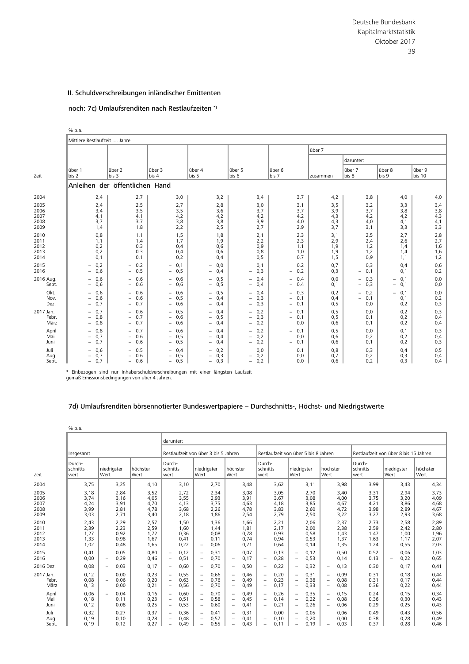# noch: 7c) Umlaufsrenditen nach Restlaufzeiten \*)

|                                      | % p.a.                                             |                                                                                                       |                                                     |                                                                                                       |                                                                                                |                                           |                                 |                                                    |                                        |                                 |
|--------------------------------------|----------------------------------------------------|-------------------------------------------------------------------------------------------------------|-----------------------------------------------------|-------------------------------------------------------------------------------------------------------|------------------------------------------------------------------------------------------------|-------------------------------------------|---------------------------------|----------------------------------------------------|----------------------------------------|---------------------------------|
|                                      | Mittlere Restlaufzeit  Jahre                       |                                                                                                       |                                                     |                                                                                                       |                                                                                                |                                           |                                 |                                                    |                                        |                                 |
|                                      |                                                    |                                                                                                       |                                                     |                                                                                                       |                                                                                                |                                           | über 7                          |                                                    |                                        |                                 |
|                                      |                                                    |                                                                                                       |                                                     |                                                                                                       |                                                                                                |                                           |                                 | darunter:                                          |                                        |                                 |
| Zeit                                 | über 1<br>bis 2                                    | über 2<br>bis 3                                                                                       | über 3<br>bis 4                                     | über 4<br>bis 5                                                                                       | über 5<br>bis 6                                                                                | über 6<br>bis 7                           | zusammen                        | über 7<br>bis 8                                    | über 8<br>bis 9                        | über 9<br>bis 10                |
|                                      |                                                    | Anleihen der öffentlichen Hand                                                                        |                                                     |                                                                                                       |                                                                                                |                                           |                                 |                                                    |                                        |                                 |
| 2004                                 | 2,4                                                | 2,7                                                                                                   | 3,0                                                 | 3,2                                                                                                   | 3,4                                                                                            | 3,7                                       | 4,2                             | 3,8                                                | 4,0                                    | 4,0                             |
| 2005<br>2006<br>2007<br>2008<br>2009 | 2,4<br>3,4<br>4,1<br>3,7<br>1,4                    | 2,5<br>3,5<br>4,1<br>3,7<br>1,8                                                                       | 2,7<br>3,5<br>4,2<br>3,8<br>2,2                     | 2,8<br>3,6<br>4,2<br>3,8<br>2,5                                                                       | 3,0<br>3,7<br>4,2<br>3,9<br>2,7                                                                | 3,1<br>3,7<br>4,2<br>4,0<br>2,9           | 3,5<br>3,9<br>4,3<br>4,3<br>3,7 | 3,2<br>3,7<br>4,2<br>4,0<br>3,1                    | 3,3<br>3,8<br>4,2<br>4,1<br>3,3        | 3,4<br>3,8<br>4,3<br>4,1<br>3,3 |
| 2010<br>2011<br>2012<br>2013<br>2014 | 0,8<br>1,1<br>0,2<br>0,2<br>0,1                    | 1,1<br>1,4<br>0,3<br>0,3<br>0,1                                                                       | 1,5<br>1,7<br>0,4<br>0,4<br>0,2                     | 1,8<br>1,9<br>0,6<br>0,6<br>0,4                                                                       | 2,1<br>2,2<br>0,9<br>0,8<br>0, 5                                                               | 2,3<br>2,3<br>1,1<br>1,0<br>0,7           | 3,1<br>2,9<br>1,9<br>1,9<br>1,5 | 2,5<br>2,4<br>1,2<br>1,2<br>0,9                    | 2,7<br>2,6<br>1,4<br>1,4<br>1,1        | 2,8<br>2,7<br>1,6<br>1,6<br>1,2 |
| 2015<br>2016                         | 0,2<br>0,6<br>$\overline{\phantom{a}}$             | 0,2<br>$\overline{\phantom{0}}$<br>0,5<br>$-$                                                         | $-0,1$<br>$-0,5$                                    | 0,0<br>0,4<br>$\overline{\phantom{0}}$                                                                | 0,1<br>0,3<br>$-$                                                                              | 0,2<br>$-0,2$                             | 0,7<br>0,3                      | 0,3<br>$-0,1$                                      | 0,4<br>0,1                             | 0,6<br>0,2                      |
| 2016 Aug.<br>Sept.                   | 0,6<br>0,6                                         | 0,6<br>$\overline{\phantom{0}}$<br>0,6<br>$\overline{\phantom{0}}$                                    | $-0,6$<br>0,6<br>$\qquad \qquad -$                  | 0, 5<br>0,5<br>$\overline{\phantom{0}}$                                                               | 0.4<br>$\overline{\phantom{0}}$<br>0,4<br>$\overline{\phantom{0}}$                             | $-0,4$<br>0,4<br>$\overline{\phantom{0}}$ | 0,0<br>0,1                      | 0,3<br>$\overline{\phantom{0}}$<br>0,3             | 0,1<br>0,1<br>-                        | 0,0<br>0,0                      |
| Okt.<br>Nov.<br>Dez.                 | 0,6<br>0,6<br>0,7                                  | 0,6<br>-<br>0.6<br>$\overline{\phantom{0}}$<br>0,7                                                    | $-0,6$<br>$-0,5$<br>$-0,6$                          | 0,5<br>0,4<br>0,4                                                                                     | 0,4<br>$\qquad \qquad -$<br>0,3<br>$\overline{\phantom{0}}$<br>0,3<br>$\qquad \qquad -$        | $-0,3$<br>$-0,1$<br>$-0,1$                | 0,2<br>0,4<br>0, 5              | 0,2<br>-<br>0,1<br>$\overline{\phantom{0}}$<br>0,0 | 0,1<br>$\qquad \qquad -$<br>0,1<br>0,2 | 0,0<br>0,2<br>0,3               |
| 2017 Jan.<br>Febr.<br>März           | 0,7<br>0,8<br>$\overline{\phantom{0}}$<br>0,8      | 0,6<br>$\overline{\phantom{0}}$<br>0,7<br>$\overline{\phantom{0}}$<br>0,7<br>-                        | 0,5<br>$\overline{\phantom{0}}$<br>$-0,6$<br>$-0,6$ | 0.4<br>0,5<br>$\overline{\phantom{0}}$<br>0,4                                                         | 0,2<br>$\overline{\phantom{0}}$<br>0,3<br>$\overline{\phantom{0}}$<br>0,2<br>$\qquad \qquad -$ | 0,1<br>Ξ.<br>$-0,1$<br>0,0                | 0, 5<br>0, 5<br>0,6             | 0,0<br>0,1<br>0,1                                  | 0,2<br>0,2<br>0,2                      | 0,3<br>0,4<br>0,4               |
| April<br>Mai<br>Juni                 | 0,8<br>-<br>0,7<br>$\overline{\phantom{0}}$<br>0,7 | 0.7<br>$\overline{\phantom{0}}$<br>0.6<br>$\overline{\phantom{0}}$<br>0,6<br>$\overline{\phantom{0}}$ | $-0,6$<br>0,5<br>$\overline{\phantom{0}}$<br>$-0,5$ | 0.4<br>0,4<br>$\overline{\phantom{0}}$<br>0,4                                                         | 0,2<br>$-$<br>0,2<br>$\overline{\phantom{0}}$<br>0,2<br>$\overline{\phantom{0}}$               | $-0,1$<br>0,0<br>$-0,1$                   | 0, 5<br>0,6<br>0,6              | 0,0<br>0,2<br>0,1                                  | 0,1<br>0,2<br>0,2                      | 0,3<br>0,4<br>0,3               |
| Juli<br>Aug.<br>Sept.                | 0,6<br>0,7<br>-<br>0,7                             | 0,5<br>$\overline{\phantom{0}}$<br>0,6<br>$\overline{\phantom{0}}$<br>0,6<br>$\overline{\phantom{0}}$ | $-0.4$<br>$-0,5$<br>$-0,5$                          | 0,2<br>$\overline{\phantom{0}}$<br>0,3<br>$\overline{\phantom{0}}$<br>0,3<br>$\overline{\phantom{0}}$ | 0,0<br>$-0,2$<br>0,2<br>$\overline{\phantom{0}}$                                               | 0,1<br>0,0<br>0,0                         | 0,8<br>0,7<br>0,6               | 0,3<br>0,2<br>0,2                                  | 0,4<br>0,3<br>0,3                      | 0, 5<br>0,4<br>0,4              |

**\*** Einbezogen sind nur Inhaberschuldverschreibungen mit einer längsten Laufzeit gemäß Emissionsbedingungen von über 4 Jahren.

# [7d\) Umlaufsrenditen börsennotierter Bundeswertpapiere − Durchschnitts-, Höchst- und Niedrigstwerte](#page-12-2)

|                                      | % p.a.                               |                          |                                      |                                      |                                                                                  |                                      |                                                                                  |                                      |                                                                           |                                      |                                                                           |                                      |                                                                                  |                                      |                                                                                  |                                      |                                      |                                          |                                      |
|--------------------------------------|--------------------------------------|--------------------------|--------------------------------------|--------------------------------------|----------------------------------------------------------------------------------|--------------------------------------|----------------------------------------------------------------------------------|--------------------------------------|---------------------------------------------------------------------------|--------------------------------------|---------------------------------------------------------------------------|--------------------------------------|----------------------------------------------------------------------------------|--------------------------------------|----------------------------------------------------------------------------------|--------------------------------------|--------------------------------------|------------------------------------------|--------------------------------------|
|                                      |                                      |                          |                                      |                                      | darunter:                                                                        |                                      |                                                                                  |                                      |                                                                           |                                      |                                                                           |                                      |                                                                                  |                                      |                                                                                  |                                      |                                      |                                          |                                      |
|                                      | Insgesamt                            |                          |                                      |                                      |                                                                                  | Restlaufzeit von über 3 bis 5 Jahren |                                                                                  |                                      |                                                                           |                                      |                                                                           |                                      |                                                                                  | Restlaufzeit von über 5 bis 8 Jahren |                                                                                  |                                      |                                      | Restlaufzeit von über 8 bis 15 Jahren    |                                      |
| 7eit                                 | Durch-<br>schnitts-<br>wert          | niedrigster<br>Wert      |                                      | höchster<br>Wert                     | Durch-<br>schnitts-<br>wert                                                      |                                      | niedrigster<br>Wert                                                              |                                      | höchster<br>Wert                                                          |                                      | Durch-<br>schnitts-<br>wert                                               |                                      | niedrigster<br>Wert                                                              |                                      | höchster<br>Wert                                                                 |                                      | Durch-<br>schnitts-<br>wert          | niedrigster<br>Wert                      | höchster<br>Wert                     |
| 2004                                 | 3.75                                 |                          | 3.25                                 | 4.10                                 |                                                                                  | 3.10                                 |                                                                                  | 2.70                                 |                                                                           | 3,48                                 |                                                                           | 3,62                                 |                                                                                  | 3.11                                 |                                                                                  | 3,98                                 | 3,99                                 | 3.43                                     | 4,34                                 |
| 2005<br>2006<br>2007<br>2008<br>2009 | 3,18<br>3,74<br>4,24<br>3,99<br>3,03 |                          | 2,84<br>3,16<br>3,91<br>2,81<br>2,71 | 3,52<br>4,05<br>4,70<br>4,78<br>3,40 |                                                                                  | 2,72<br>3,55<br>4,13<br>3,68<br>2,18 |                                                                                  | 2,34<br>2,93<br>3,75<br>2,26<br>1,86 |                                                                           | 3,08<br>3,91<br>4,63<br>4,78<br>2,54 |                                                                           | 3,05<br>3,67<br>4,18<br>3,83<br>2,79 |                                                                                  | 2,70<br>3,08<br>3,85<br>2,60<br>2,50 |                                                                                  | 3,40<br>4,00<br>4,67<br>4,72<br>3,22 | 3,31<br>3,75<br>4,21<br>3,98<br>3,27 | 2,94<br>3,20<br>3,86<br>2,89<br>2,93     | 3,73<br>4,09<br>4,68<br>4,67<br>3,68 |
| 2010<br>2011<br>2012<br>2013<br>2014 | 2,43<br>2,39<br>1.27<br>1,33<br>1,02 |                          | 2,29<br>2,23<br>0,92<br>0,98<br>0,48 | 2,57<br>2,59<br>1,72<br>1,67<br>1,65 |                                                                                  | 1,50<br>1,60<br>0,36<br>0,41<br>0,22 | $\overline{\phantom{0}}$                                                         | 1,36<br>1,44<br>0,08<br>0,11<br>0,06 |                                                                           | 1,66<br>1,81<br>0.78<br>0,74<br>0,71 |                                                                           | 2,21<br>2,17<br>0,93<br>0,94<br>0,64 |                                                                                  | 2,06<br>2,00<br>0,58<br>0,53<br>0,14 |                                                                                  | 2,37<br>2,38<br>1,43<br>1,37<br>1,35 | 2.73<br>2,59<br>1.47<br>1,63<br>1,24 | 2,58<br>2,42<br>1,00<br>1,17<br>0,55     | 2,89<br>2,80<br>1,96<br>2,07<br>2,03 |
| 2015<br>2016                         | 0.41<br>0.00                         | $\overline{\phantom{0}}$ | 0.05<br>0,29                         | 0,80<br>0,46                         | $\overline{\phantom{0}}$<br>$\overline{\phantom{0}}$                             | 0.12<br>0,51                         | $\overline{\phantom{0}}$<br>$\overline{\phantom{0}}$                             | 0,31<br>0,70                         | $\overline{\phantom{0}}$                                                  | 0.07<br>0,17                         | $\overline{\phantom{a}}$                                                  | 0,13<br>0,28                         | $\overline{\phantom{m}}$<br>$\overline{\phantom{a}}$                             | 0.12<br>0,53                         |                                                                                  | 0,50<br>0,14                         | 0,52<br>0,13                         | 0,06<br>0,22<br>$\overline{\phantom{0}}$ | 1,03<br>0,65                         |
| 2016 Dez.                            | 0.08                                 | $\overline{\phantom{0}}$ | 0,03                                 | 0,17                                 | $\overline{\phantom{m}}$                                                         | 0,60                                 | $\qquad \qquad -$                                                                | 0.70                                 | $\overline{\phantom{0}}$                                                  | 0,50                                 | $\qquad \qquad -$                                                         | 0,22                                 | $\overline{\phantom{m}}$                                                         | 0,32                                 | $\overline{\phantom{m}}$                                                         | 0,13                                 | 0,30                                 | 0.17                                     | 0,41                                 |
| 2017 Jan.<br>Febr.<br>März           | 0,12<br>0.08<br>0,13                 | $\overline{\phantom{0}}$ | 0,00<br>0.06<br>0,00                 | 0,23<br>0,20<br>0,21                 | $\overline{\phantom{m}}$<br>$\overline{\phantom{m}}$<br>$\overline{\phantom{m}}$ | 0,55<br>0.63<br>0,56                 | $\overline{\phantom{0}}$<br>$\overline{\phantom{0}}$<br>$\overline{\phantom{0}}$ | 0,66<br>0.76<br>0,70                 | $\qquad \qquad -$<br>$\overline{\phantom{a}}$<br>$\overline{\phantom{a}}$ | 0,46<br>0,49<br>0,49                 | $\overline{\phantom{a}}$<br>$\overline{\phantom{a}}$<br>$\qquad \qquad -$ | 0,20<br>0,23<br>0,17                 | $\qquad \qquad -$<br>$\overline{\phantom{m}}$<br>$\overline{\phantom{m}}$        | 0,31<br>0,38<br>0,33                 | $\overline{\phantom{a}}$<br>$\overline{\phantom{a}}$<br>$\overline{\phantom{a}}$ | 0,09<br>0,08<br>0,08                 | 0,31<br>0,31<br>0,36                 | 0,18<br>0,17<br>0,22                     | 0,44<br>0,44<br>0,44                 |
| April<br>Mai<br>Juni                 | 0,06<br>0,18<br>0,12                 | $\overline{\phantom{m}}$ | 0.04<br>0,11<br>0,08                 | 0,16<br>0,23<br>0,25                 | $\overline{\phantom{m}}$<br>$\overline{\phantom{m}}$<br>$\overline{\phantom{m}}$ | 0.60<br>0,51<br>0,53                 | $\overline{\phantom{0}}$<br>$\overline{\phantom{0}}$<br>$\overline{\phantom{0}}$ | 0.70<br>0,58<br>0,60                 | $\qquad \qquad -$<br>$\overline{\phantom{a}}$<br>$\overline{\phantom{0}}$ | 0,49<br>0,45<br>0,41                 | $\qquad \qquad -$<br>$\overline{\phantom{m}}$<br>$\qquad \qquad -$        | 0,26<br>0,14<br>0,21                 | $\overline{\phantom{a}}$<br>$\overline{\phantom{m}}$<br>$\overline{\phantom{a}}$ | 0,35<br>0,22<br>0,26                 | $\overline{\phantom{m}}$<br>$\overline{\phantom{a}}$<br>$\overline{\phantom{m}}$ | 0,15<br>0,08<br>0,06                 | 0,24<br>0,36<br>0,29                 | 0,15<br>0,30<br>0,25                     | 0,34<br>0,43<br>0,43                 |
| Juli<br>Aug.<br>Sept.                | 0,32<br>0,19<br>0.19                 |                          | 0,27<br>0,10<br>0,12                 | 0,37<br>0,28<br>0.27                 | $\overline{\phantom{a}}$<br>$\overline{\phantom{m}}$<br>$\overline{\phantom{0}}$ | 0,36<br>0,48<br>0.49                 | $\overline{\phantom{0}}$<br>$\overline{\phantom{0}}$<br>$\overline{\phantom{m}}$ | 0,41<br>0,57<br>0.55                 | $\qquad \qquad -$<br>$\overline{\phantom{a}}$<br>$\qquad \qquad -$        | 0,31<br>0,41<br>0.43                 | $\overline{\phantom{a}}$<br>$\qquad \qquad -$                             | 0,00<br>0,10<br>0,11                 | $\qquad \qquad -$<br>$\overline{\phantom{a}}$<br>$\qquad \qquad -$               | 0,05<br>0,20<br>0.19                 | $\qquad \qquad -$                                                                | 0,06<br>0,00<br>0.03                 | 0,49<br>0,38<br>0.37                 | 0,43<br>0,28<br>0.28                     | 0,56<br>0,49<br>0.46                 |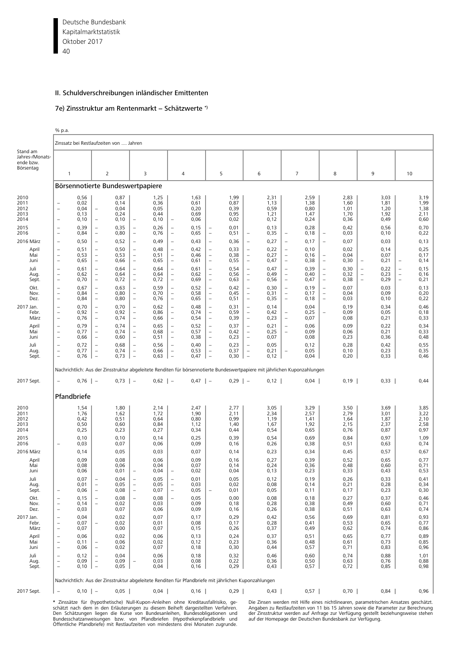Deutsche Bundesbank 40 Kapitalmarktstatistik Oktober 2017

# II. Schuldverschreibungen inländischer Emittenten

#### 7e) Zinsstruktur am Rentenmarkt − Schätzwerte \*)

% p.a.

|                                                                                                                                                                                                          | Zinssatz bei Restlaufzeiten von  Jahren                                                                                                                                                                                                                                                                                                                                                                                                                                                         |                                                                                                                                                                                              |                                                                                                                                                                                                                                                                                                                                                                                                                        |                                                                                                                                                                                               |                                                                                                                                                                                                                                                                                                                                                                                                                                                                                          |                                                                                                                                                                                              |                                                                                                                                                                                                                                                                                                                                                                                                                                                                                                                                                                       |                                                                                                                                                                                              |                                                                                                                                                                                                                                                                                                                                                                                                                               |                                                                                                                                                                                              |                                                                                                                                                                                                                                                                                                                                                                                                                                               |                                                                                                                                                                                               |                                                                                                                                                                                                                                                                                                                  |                                                                                                                                                                                              |                                                                                                                                                                                  |                                                                                                                                                                                              |                   |                                                                                                                                                                                              |                                                                           |                                                                                                                                                                                                   |
|----------------------------------------------------------------------------------------------------------------------------------------------------------------------------------------------------------|-------------------------------------------------------------------------------------------------------------------------------------------------------------------------------------------------------------------------------------------------------------------------------------------------------------------------------------------------------------------------------------------------------------------------------------------------------------------------------------------------|----------------------------------------------------------------------------------------------------------------------------------------------------------------------------------------------|------------------------------------------------------------------------------------------------------------------------------------------------------------------------------------------------------------------------------------------------------------------------------------------------------------------------------------------------------------------------------------------------------------------------|-----------------------------------------------------------------------------------------------------------------------------------------------------------------------------------------------|------------------------------------------------------------------------------------------------------------------------------------------------------------------------------------------------------------------------------------------------------------------------------------------------------------------------------------------------------------------------------------------------------------------------------------------------------------------------------------------|----------------------------------------------------------------------------------------------------------------------------------------------------------------------------------------------|-----------------------------------------------------------------------------------------------------------------------------------------------------------------------------------------------------------------------------------------------------------------------------------------------------------------------------------------------------------------------------------------------------------------------------------------------------------------------------------------------------------------------------------------------------------------------|----------------------------------------------------------------------------------------------------------------------------------------------------------------------------------------------|-------------------------------------------------------------------------------------------------------------------------------------------------------------------------------------------------------------------------------------------------------------------------------------------------------------------------------------------------------------------------------------------------------------------------------|----------------------------------------------------------------------------------------------------------------------------------------------------------------------------------------------|-----------------------------------------------------------------------------------------------------------------------------------------------------------------------------------------------------------------------------------------------------------------------------------------------------------------------------------------------------------------------------------------------------------------------------------------------|-----------------------------------------------------------------------------------------------------------------------------------------------------------------------------------------------|------------------------------------------------------------------------------------------------------------------------------------------------------------------------------------------------------------------------------------------------------------------------------------------------------------------|----------------------------------------------------------------------------------------------------------------------------------------------------------------------------------------------|----------------------------------------------------------------------------------------------------------------------------------------------------------------------------------|----------------------------------------------------------------------------------------------------------------------------------------------------------------------------------------------|-------------------|----------------------------------------------------------------------------------------------------------------------------------------------------------------------------------------------|---------------------------------------------------------------------------|---------------------------------------------------------------------------------------------------------------------------------------------------------------------------------------------------|
| Stand am<br>Jahres-/Monats-<br>ende bzw.<br>Börsentag                                                                                                                                                    | $\overline{1}$                                                                                                                                                                                                                                                                                                                                                                                                                                                                                  |                                                                                                                                                                                              | 2                                                                                                                                                                                                                                                                                                                                                                                                                      |                                                                                                                                                                                               | 3                                                                                                                                                                                                                                                                                                                                                                                                                                                                                        |                                                                                                                                                                                              | 4                                                                                                                                                                                                                                                                                                                                                                                                                                                                                                                                                                     |                                                                                                                                                                                              | 5                                                                                                                                                                                                                                                                                                                                                                                                                             |                                                                                                                                                                                              | 6                                                                                                                                                                                                                                                                                                                                                                                                                                             |                                                                                                                                                                                               | $\overline{7}$                                                                                                                                                                                                                                                                                                   |                                                                                                                                                                                              | 8                                                                                                                                                                                |                                                                                                                                                                                              | 9                 |                                                                                                                                                                                              | 10                                                                        |                                                                                                                                                                                                   |
|                                                                                                                                                                                                          | Börsennotierte Bundeswertpapiere                                                                                                                                                                                                                                                                                                                                                                                                                                                                |                                                                                                                                                                                              |                                                                                                                                                                                                                                                                                                                                                                                                                        |                                                                                                                                                                                               |                                                                                                                                                                                                                                                                                                                                                                                                                                                                                          |                                                                                                                                                                                              |                                                                                                                                                                                                                                                                                                                                                                                                                                                                                                                                                                       |                                                                                                                                                                                              |                                                                                                                                                                                                                                                                                                                                                                                                                               |                                                                                                                                                                                              |                                                                                                                                                                                                                                                                                                                                                                                                                                               |                                                                                                                                                                                               |                                                                                                                                                                                                                                                                                                                  |                                                                                                                                                                                              |                                                                                                                                                                                  |                                                                                                                                                                                              |                   |                                                                                                                                                                                              |                                                                           |                                                                                                                                                                                                   |
| 2010<br>2011<br>2012<br>2013<br>2014<br>2015<br>2016<br>2016 März<br>April<br>Mai<br>Juni<br>Juli<br>Aug.<br>Sept.<br>Okt.<br>Nov.<br>Dez.<br>2017 Jan.<br>Febr.<br>März<br>April<br>Mai<br>Juni<br>Juli | $\overline{\phantom{m}}$<br>$\overline{\phantom{m}}$<br>$\equiv$<br>$\overline{\phantom{a}}$<br>$\overline{\phantom{a}}$<br>$\qquad \qquad -$<br>$\overline{\phantom{a}}$<br>$\equiv$<br>$\overline{\phantom{a}}$<br>$\qquad \qquad -$<br>$\equiv$<br>$\overline{\phantom{a}}$<br>$\overline{\phantom{a}}$<br>$\overline{\phantom{a}}$<br>$\equiv$<br>$\overline{\phantom{a}}$<br>$\qquad \qquad -$<br>$\equiv$<br>$\equiv$<br>$\overline{\phantom{a}}$<br>$\equiv$<br>$\overline{\phantom{a}}$ | 0,56<br>0,02<br>0,04<br>0,13<br>0,10<br>0,39<br>0,84<br>0,50<br>0,51<br>0,53<br>0,65<br>0,61<br>0,62<br>0,70<br>0,67<br>0,84<br>0,84<br>0,70<br>0,92<br>0,76<br>0,79<br>0,77<br>0,66<br>0,72 | $\overline{\phantom{0}}$<br>$\overline{\phantom{0}}$<br>$\qquad \qquad -$<br>$\overline{\phantom{0}}$<br>$\overline{a}$<br>$\qquad \qquad -$<br>Ĭ.<br>L,<br>÷,<br>$\overline{\phantom{0}}$<br>$\overline{\phantom{0}}$<br>$\overline{\phantom{0}}$<br>$\overline{\phantom{0}}$<br>$\overline{\phantom{0}}$<br>L,<br>$\overline{\phantom{0}}$<br>$\overline{\phantom{0}}$<br>$\overline{\phantom{0}}$<br>$\overline{a}$ | 0,87<br>0,14<br>0,04<br>0,24<br>0, 10<br>0,35<br>0,80<br>0,52<br>0,50<br>0,53<br>0,66<br>0,64<br>0,64<br>0,72<br>0,63<br>0,80<br>0,80<br>0,70<br>0,92<br>0,74<br>0,74<br>0,74<br>0,60<br>0,68 | $\overline{\phantom{a}}$<br>$\overline{\phantom{a}}$<br>$\overline{\phantom{a}}$<br>$\overline{\phantom{a}}$<br>$\overline{\phantom{m}}$<br>$\overline{\phantom{m}}$<br>$\overline{\phantom{a}}$<br>$\overline{\phantom{m}}$<br>$\overline{\phantom{a}}$<br>$\overline{\phantom{a}}$<br>$\overline{\phantom{m}}$<br>$\overline{\phantom{a}}$<br>$\overline{\phantom{m}}$<br>$\overline{\phantom{a}}$<br>$\overline{\phantom{a}}$<br>$\overline{\phantom{a}}$<br>$\overline{\phantom{a}}$ | 1,25<br>0,36<br>0,05<br>0,44<br>0,10<br>0,26<br>0,76<br>0,49<br>0,48<br>0,51<br>0,65<br>0,64<br>0,64<br>0,72<br>0,59<br>0,70<br>0,76<br>0,62<br>0,86<br>0,66<br>0,65<br>0,68<br>0,51<br>0,56 | $\overline{\phantom{m}}$<br>$\overline{\phantom{m}}$<br>$\overline{\phantom{a}}$<br>$\overline{\phantom{a}}$<br>$\overline{\phantom{a}}$<br>$\overline{\phantom{m}}$<br>$\overline{\phantom{m}}$<br>$\overline{\phantom{a}}$<br>$\overline{\phantom{m}}$<br>$\overline{\phantom{m}}$<br>$\overline{\phantom{m}}$<br>$\qquad \qquad -$<br>$\overline{\phantom{m}}$<br>$\overline{\phantom{m}}$<br>$\overline{\phantom{a}}$<br>$\overline{\phantom{m}}$<br>$\overline{\phantom{a}}$<br>$\overline{\phantom{m}}$<br>$\overline{\phantom{m}}$<br>$\overline{\phantom{a}}$ | 1,63<br>0,61<br>0,20<br>0,69<br>0,06<br>0,15<br>0,65<br>0,43<br>0,42<br>0,46<br>0,61<br>0,61<br>0,62<br>0,69<br>0,52<br>0,58<br>0,65<br>0,48<br>0,74<br>0,54<br>0,52<br>0,57<br>0,38<br>0,40 | $\overline{a}$<br>$\overline{\phantom{0}}$<br>$\overline{a}$<br>$\qquad \qquad -$<br>$\overline{\phantom{0}}$<br>$\overline{\phantom{0}}$<br>$\overline{\phantom{0}}$<br>$\overline{\phantom{0}}$<br>÷,<br>$\qquad \qquad -$<br>$\overline{\phantom{0}}$<br>÷,<br>$\overline{\phantom{0}}$<br>$\overline{\phantom{0}}$<br>$\bar{ }$<br>$\overline{\phantom{0}}$<br>÷,<br>$\overline{\phantom{0}}$<br>$\overline{\phantom{0}}$ | 1,99<br>0,87<br>0,39<br>0,95<br>0,02<br>0,01<br>0,51<br>0,36<br>0,33<br>0,38<br>0,55<br>0,54<br>0,56<br>0,63<br>0,42<br>0,45<br>0,51<br>0,31<br>0,59<br>0,39<br>0,37<br>0,42<br>0,23<br>0,23 | $\qquad \qquad -$<br>$\overline{\phantom{a}}$<br>$\overline{\phantom{a}}$<br>$\qquad \qquad -$<br>$\equiv$<br>$\overline{\phantom{a}}$<br>$\qquad \qquad -$<br>$\overline{\phantom{a}}$<br>$\overline{\phantom{a}}$<br>$\qquad \qquad -$<br>$\overline{\phantom{a}}$<br>$\overline{\phantom{a}}$<br>$\frac{1}{2}$<br>$\equiv$<br>$\overline{\phantom{a}}$<br>$\overline{\phantom{a}}$<br>$\overline{\phantom{a}}$<br>$\overline{\phantom{a}}$ | 2,31<br>1,13<br>0,59<br>1,21<br>0,12<br>0, 13<br>0,35<br>0,27<br>0,22<br>0,27<br>0,47<br>0,47<br>0,49<br>0,56<br>0,30<br>0,31<br>0,35<br>0,14<br>0,42<br>0,23<br>0,21<br>0,25<br>0,07<br>0,05 | $\overline{\phantom{a}}$<br>$\overline{\phantom{a}}$<br>$\overline{\phantom{0}}$<br>$\overline{\phantom{m}}$<br>$\overline{\phantom{0}}$<br>$\overline{\phantom{m}}$<br>$\overline{\phantom{m}}$<br>$\overline{\phantom{a}}$<br>$\overline{\phantom{0}}$<br>$\overline{\phantom{m}}$<br>$\overline{\phantom{m}}$ | 2,59<br>1,38<br>0,80<br>1,47<br>0,24<br>0,28<br>0,18<br>0,17<br>0,10<br>0,16<br>0,38<br>0,39<br>0,40<br>0,47<br>0,19<br>0,17<br>0,18<br>0,04<br>0,25<br>0,07<br>0,06<br>0,09<br>0,08<br>0,12 | $\overline{\phantom{a}}$<br>$\qquad \qquad -$<br>$\overline{a}$<br>$\qquad \qquad -$<br>$\overline{a}$<br>$\overline{a}$<br>$\overline{\phantom{0}}$<br>$\overline{\phantom{0}}$ | 2,83<br>1,60<br>1,01<br>1,70<br>0,36<br>0,42<br>0,03<br>0,07<br>0,02<br>0,04<br>0,30<br>0,30<br>0,32<br>0,38<br>0,07<br>0,04<br>0,03<br>0,19<br>0,09<br>0,08<br>0,09<br>0,06<br>0,23<br>0,28 | $\qquad \qquad -$ | 3,03<br>1,81<br>1,20<br>1,92<br>0,49<br>0,56<br>0,10<br>0,03<br>0,14<br>0,07<br>0,21<br>0,22<br>0,23<br>0,29<br>0,03<br>0,09<br>0,10<br>0,34<br>0,05<br>0,21<br>0,22<br>0,21<br>0,36<br>0,42 | $\qquad \qquad -$<br>$\overline{\phantom{a}}$<br>$\overline{\phantom{0}}$ | 3,19<br>1,99<br>1,38<br>2,11<br>0,60<br>0,70<br>0,22<br>0,13<br>0,25<br>0,17<br>0,14<br>0,15<br>0, 16<br>0,21<br>0,13<br>0,20<br>0,22<br>0,46<br>$0,18$<br>$0,33$<br>0,34<br>0,33<br>0,48<br>0,55 |
| Aug.<br>Sept.                                                                                                                                                                                            | $\overline{\phantom{m}}$                                                                                                                                                                                                                                                                                                                                                                                                                                                                        | 0,77<br>0,76                                                                                                                                                                                 | $\overline{\phantom{0}}$<br>$\frac{1}{2}$                                                                                                                                                                                                                                                                                                                                                                              | 0,74<br>0,73                                                                                                                                                                                  | $\overline{\phantom{a}}$<br>$\sim$                                                                                                                                                                                                                                                                                                                                                                                                                                                       | 0,66<br>0,63                                                                                                                                                                                 | $\overline{\phantom{a}}$<br>$\equiv$                                                                                                                                                                                                                                                                                                                                                                                                                                                                                                                                  | 0,53<br>0,47                                                                                                                                                                                 | $\overline{\phantom{0}}$<br>$\frac{1}{2}$                                                                                                                                                                                                                                                                                                                                                                                     | 0,37<br>0,30                                                                                                                                                                                 | $\overline{\phantom{a}}$<br>$\vert -$                                                                                                                                                                                                                                                                                                                                                                                                         | 0,21<br>0,12                                                                                                                                                                                  |                                                                                                                                                                                                                                                                                                                  | 0,05<br>0,04                                                                                                                                                                                 |                                                                                                                                                                                  | 0,10<br>0,20                                                                                                                                                                                 |                   | 0,23<br>0,33                                                                                                                                                                                 |                                                                           | 0,35<br>0,46                                                                                                                                                                                      |
|                                                                                                                                                                                                          | Nachrichtlich: Aus der Zinsstruktur abgeleitete Renditen für börsennotierte Bundeswertpapiere mit jährlichen Kuponzahlungen                                                                                                                                                                                                                                                                                                                                                                     |                                                                                                                                                                                              |                                                                                                                                                                                                                                                                                                                                                                                                                        |                                                                                                                                                                                               |                                                                                                                                                                                                                                                                                                                                                                                                                                                                                          |                                                                                                                                                                                              |                                                                                                                                                                                                                                                                                                                                                                                                                                                                                                                                                                       |                                                                                                                                                                                              |                                                                                                                                                                                                                                                                                                                                                                                                                               |                                                                                                                                                                                              |                                                                                                                                                                                                                                                                                                                                                                                                                                               |                                                                                                                                                                                               |                                                                                                                                                                                                                                                                                                                  |                                                                                                                                                                                              |                                                                                                                                                                                  |                                                                                                                                                                                              |                   |                                                                                                                                                                                              |                                                                           |                                                                                                                                                                                                   |
| 2017 Sept.                                                                                                                                                                                               |                                                                                                                                                                                                                                                                                                                                                                                                                                                                                                 | $0,76$   $-$                                                                                                                                                                                 |                                                                                                                                                                                                                                                                                                                                                                                                                        | $0,73$   -                                                                                                                                                                                    |                                                                                                                                                                                                                                                                                                                                                                                                                                                                                          | $0,62$   -                                                                                                                                                                                   |                                                                                                                                                                                                                                                                                                                                                                                                                                                                                                                                                                       | $0.47$   -                                                                                                                                                                                   |                                                                                                                                                                                                                                                                                                                                                                                                                               | $0,29$   -                                                                                                                                                                                   |                                                                                                                                                                                                                                                                                                                                                                                                                                               | 0,12                                                                                                                                                                                          |                                                                                                                                                                                                                                                                                                                  | 0,04                                                                                                                                                                                         |                                                                                                                                                                                  | 0,19                                                                                                                                                                                         |                   | $0,33$                                                                                                                                                                                       |                                                                           | 0,44                                                                                                                                                                                              |
| 2010                                                                                                                                                                                                     | Pfandbriefe                                                                                                                                                                                                                                                                                                                                                                                                                                                                                     | 1,54                                                                                                                                                                                         |                                                                                                                                                                                                                                                                                                                                                                                                                        | 1,80                                                                                                                                                                                          |                                                                                                                                                                                                                                                                                                                                                                                                                                                                                          | 2,14                                                                                                                                                                                         |                                                                                                                                                                                                                                                                                                                                                                                                                                                                                                                                                                       | 2,47                                                                                                                                                                                         |                                                                                                                                                                                                                                                                                                                                                                                                                               | 2,77                                                                                                                                                                                         |                                                                                                                                                                                                                                                                                                                                                                                                                                               | 3,05                                                                                                                                                                                          |                                                                                                                                                                                                                                                                                                                  | 3,29                                                                                                                                                                                         |                                                                                                                                                                                  | 3,50                                                                                                                                                                                         |                   | 3,69                                                                                                                                                                                         |                                                                           |                                                                                                                                                                                                   |
| 2011<br>2012<br>2013<br>2014                                                                                                                                                                             |                                                                                                                                                                                                                                                                                                                                                                                                                                                                                                 | 1,76<br>0,42<br>0,50<br>0,25                                                                                                                                                                 |                                                                                                                                                                                                                                                                                                                                                                                                                        | 1,62<br>0,51<br>0,60<br>0,23                                                                                                                                                                  |                                                                                                                                                                                                                                                                                                                                                                                                                                                                                          | 1,72<br>0,64<br>0,84<br>0,27                                                                                                                                                                 |                                                                                                                                                                                                                                                                                                                                                                                                                                                                                                                                                                       | 1,90<br>0,80<br>1,12<br>0,34                                                                                                                                                                 |                                                                                                                                                                                                                                                                                                                                                                                                                               | 2,11<br>0,99<br>1,40<br>0,44                                                                                                                                                                 |                                                                                                                                                                                                                                                                                                                                                                                                                                               | 2,34<br>1,19<br>1,67<br>0,54                                                                                                                                                                  |                                                                                                                                                                                                                                                                                                                  | 2,57<br>1,41<br>1,92<br>0,65                                                                                                                                                                 |                                                                                                                                                                                  | 2,79<br>1,64<br>2,15<br>0,76                                                                                                                                                                 |                   | 3,01<br>1,87<br>2,37<br>0,87                                                                                                                                                                 |                                                                           | 3,85<br>3,22<br>2,10<br>$2,58$<br>0,97                                                                                                                                                            |
| 2015<br>2016                                                                                                                                                                                             | $\overline{\phantom{a}}$                                                                                                                                                                                                                                                                                                                                                                                                                                                                        | 0, 10<br>0,03                                                                                                                                                                                |                                                                                                                                                                                                                                                                                                                                                                                                                        | 0,10<br>0,07                                                                                                                                                                                  |                                                                                                                                                                                                                                                                                                                                                                                                                                                                                          | 0,14<br>0,06                                                                                                                                                                                 |                                                                                                                                                                                                                                                                                                                                                                                                                                                                                                                                                                       | 0,25<br>0,09                                                                                                                                                                                 |                                                                                                                                                                                                                                                                                                                                                                                                                               | 0,39<br>0,16                                                                                                                                                                                 |                                                                                                                                                                                                                                                                                                                                                                                                                                               | 0,54<br>0,26                                                                                                                                                                                  |                                                                                                                                                                                                                                                                                                                  | 0,69<br>0,38                                                                                                                                                                                 |                                                                                                                                                                                  | 0,84<br>0,51                                                                                                                                                                                 |                   | 0,97<br>0,63                                                                                                                                                                                 |                                                                           | 1,09<br>0,74                                                                                                                                                                                      |
| 2016 März<br>April<br>Mai<br>Juni                                                                                                                                                                        |                                                                                                                                                                                                                                                                                                                                                                                                                                                                                                 | 0,14<br>0,09<br>0,08<br>0,06                                                                                                                                                                 |                                                                                                                                                                                                                                                                                                                                                                                                                        | 0,05<br>0,08<br>0,06<br>0,01                                                                                                                                                                  |                                                                                                                                                                                                                                                                                                                                                                                                                                                                                          | 0,03<br>0,06<br>0,04<br>0,04                                                                                                                                                                 |                                                                                                                                                                                                                                                                                                                                                                                                                                                                                                                                                                       | 0,07<br>0,09<br>0,07<br>0,02                                                                                                                                                                 |                                                                                                                                                                                                                                                                                                                                                                                                                               | 0,14<br>0,16<br>0,14<br>0,04                                                                                                                                                                 |                                                                                                                                                                                                                                                                                                                                                                                                                                               | 0,23<br>0,27<br>0,24<br>0,13                                                                                                                                                                  |                                                                                                                                                                                                                                                                                                                  | 0,34<br>0,39<br>0,36<br>0,23                                                                                                                                                                 |                                                                                                                                                                                  | 0,45<br>0,52<br>0,48<br>0,33                                                                                                                                                                 |                   | 0,57<br>0,65<br>0,60<br>0,43                                                                                                                                                                 |                                                                           | 0,67<br>0,77<br>0,71<br>0,53                                                                                                                                                                      |
| Juli<br>Aug.<br>Sept.<br>Okt.                                                                                                                                                                            | $\overline{\phantom{0}}$                                                                                                                                                                                                                                                                                                                                                                                                                                                                        | 0,07<br>0,01<br>0,06<br>0,15                                                                                                                                                                 |                                                                                                                                                                                                                                                                                                                                                                                                                        | 0,04<br>0,05<br>0,08<br>0,08                                                                                                                                                                  | $\overline{\phantom{a}}$<br>$\overline{\phantom{0}}$                                                                                                                                                                                                                                                                                                                                                                                                                                     | 0,05<br>0,05<br>0,07<br>0,08                                                                                                                                                                 | $\overline{\phantom{m}}$<br>$\overline{\phantom{a}}$<br>$\overline{\phantom{a}}$                                                                                                                                                                                                                                                                                                                                                                                                                                                                                      | 0,01<br>0,03<br>0,05<br>0,05                                                                                                                                                                 |                                                                                                                                                                                                                                                                                                                                                                                                                               | 0,05<br>0,02<br>0,01<br>0,00                                                                                                                                                                 |                                                                                                                                                                                                                                                                                                                                                                                                                                               | 0,12<br>0,08<br>0,05<br>0,08                                                                                                                                                                  |                                                                                                                                                                                                                                                                                                                  | 0,19<br>0,14<br>0,11<br>0,18                                                                                                                                                                 |                                                                                                                                                                                  | 0,26<br>0,21<br>0,17<br>0,27                                                                                                                                                                 |                   | 0,33<br>0,28<br>0,23<br>0,37                                                                                                                                                                 |                                                                           | 0,41<br>0,34<br>0,30                                                                                                                                                                              |
| Nov.<br>Dez.<br>2017 Jan.                                                                                                                                                                                | $\overline{\phantom{a}}$<br>$\equiv$<br>$\overline{\phantom{a}}$                                                                                                                                                                                                                                                                                                                                                                                                                                | 0,14<br>0,03<br>0,04                                                                                                                                                                         | L,                                                                                                                                                                                                                                                                                                                                                                                                                     | 0,02<br>0,07<br>0,02                                                                                                                                                                          |                                                                                                                                                                                                                                                                                                                                                                                                                                                                                          | 0,03<br>0,06<br>0,07                                                                                                                                                                         |                                                                                                                                                                                                                                                                                                                                                                                                                                                                                                                                                                       | 0,09<br>0,09<br>0,17                                                                                                                                                                         |                                                                                                                                                                                                                                                                                                                                                                                                                               | 0,18<br>0,16<br>0,29                                                                                                                                                                         |                                                                                                                                                                                                                                                                                                                                                                                                                                               | 0,28<br>0,26<br>0,42                                                                                                                                                                          |                                                                                                                                                                                                                                                                                                                  | 0,38<br>0,38<br>0,56                                                                                                                                                                         |                                                                                                                                                                                  | 0,49<br>0,51<br>0,69                                                                                                                                                                         |                   | 0,60<br>0,63<br>0,81                                                                                                                                                                         |                                                                           | 0,46<br>0,71<br>0,74                                                                                                                                                                              |
| Febr.<br>März<br>April<br>Mai                                                                                                                                                                            | $\overline{\phantom{a}}$<br>$\frac{1}{2}$<br>$\overline{\phantom{m}}$<br>$\overline{\phantom{a}}$                                                                                                                                                                                                                                                                                                                                                                                               | 0,07<br>0,07<br>0,06<br>0,11                                                                                                                                                                 | $\overline{\phantom{0}}$                                                                                                                                                                                                                                                                                                                                                                                               | 0,02<br>0,00<br>0,02<br>0,06                                                                                                                                                                  |                                                                                                                                                                                                                                                                                                                                                                                                                                                                                          | 0,01<br>0,07<br>0,06<br>0,02                                                                                                                                                                 |                                                                                                                                                                                                                                                                                                                                                                                                                                                                                                                                                                       | 0,08<br>0,15<br>0,13<br>0,12                                                                                                                                                                 |                                                                                                                                                                                                                                                                                                                                                                                                                               | 0,17<br>0,26<br>0,24<br>0,23                                                                                                                                                                 |                                                                                                                                                                                                                                                                                                                                                                                                                                               | 0,28<br>0,37<br>0,37<br>0,36                                                                                                                                                                  |                                                                                                                                                                                                                                                                                                                  | 0,41<br>0,49<br>0,51<br>0,48                                                                                                                                                                 |                                                                                                                                                                                  | 0,53<br>0,62<br>0,65<br>0,61                                                                                                                                                                 |                   | 0,65<br>0,74<br>0,77<br>0,73                                                                                                                                                                 |                                                                           | 0,93<br>0,77<br>0,86<br>0,89<br>0,85                                                                                                                                                              |
| Juni<br>Juli<br>Aug.<br>Sept.                                                                                                                                                                            | $\equiv$<br>$\overline{\phantom{a}}$<br>$\overline{\phantom{a}}$<br>$\frac{1}{2}$                                                                                                                                                                                                                                                                                                                                                                                                               | 0,06<br>0,12<br>0,09<br>0, 10                                                                                                                                                                | $\overline{\phantom{0}}$<br>$\frac{1}{2}$                                                                                                                                                                                                                                                                                                                                                                              | 0,02<br>0,04<br>0,09<br>0,05                                                                                                                                                                  | $\overline{\phantom{a}}$                                                                                                                                                                                                                                                                                                                                                                                                                                                                 | 0,07<br>0,06<br>0,03<br>0,04                                                                                                                                                                 |                                                                                                                                                                                                                                                                                                                                                                                                                                                                                                                                                                       | 0,18<br>0,18<br>0,08<br>0,16                                                                                                                                                                 |                                                                                                                                                                                                                                                                                                                                                                                                                               | 0,30<br>0,32<br>0,22<br>0,29                                                                                                                                                                 |                                                                                                                                                                                                                                                                                                                                                                                                                                               | 0,44<br>0,46<br>0,36<br>0,43                                                                                                                                                                  |                                                                                                                                                                                                                                                                                                                  | 0,57<br>0,60<br>0,50<br>0,57                                                                                                                                                                 |                                                                                                                                                                                  | 0,71<br>0,74<br>0,63<br>0,72                                                                                                                                                                 |                   | 0,83<br>0,88<br>0,76<br>0,85                                                                                                                                                                 |                                                                           | 0,96<br>1,01<br>$0,88$<br>$0,98$                                                                                                                                                                  |
|                                                                                                                                                                                                          | Nachrichtlich: Aus der Zinsstruktur abgeleitete Renditen für Pfandbriefe mit jährlichen Kuponzahlungen                                                                                                                                                                                                                                                                                                                                                                                          |                                                                                                                                                                                              |                                                                                                                                                                                                                                                                                                                                                                                                                        |                                                                                                                                                                                               |                                                                                                                                                                                                                                                                                                                                                                                                                                                                                          |                                                                                                                                                                                              |                                                                                                                                                                                                                                                                                                                                                                                                                                                                                                                                                                       |                                                                                                                                                                                              |                                                                                                                                                                                                                                                                                                                                                                                                                               |                                                                                                                                                                                              |                                                                                                                                                                                                                                                                                                                                                                                                                                               |                                                                                                                                                                                               |                                                                                                                                                                                                                                                                                                                  |                                                                                                                                                                                              |                                                                                                                                                                                  |                                                                                                                                                                                              |                   |                                                                                                                                                                                              |                                                                           |                                                                                                                                                                                                   |
| 2017 Sept.                                                                                                                                                                                               | $\equiv$                                                                                                                                                                                                                                                                                                                                                                                                                                                                                        | $0,10$   $-$                                                                                                                                                                                 |                                                                                                                                                                                                                                                                                                                                                                                                                        | 0,05                                                                                                                                                                                          |                                                                                                                                                                                                                                                                                                                                                                                                                                                                                          | 0,04                                                                                                                                                                                         |                                                                                                                                                                                                                                                                                                                                                                                                                                                                                                                                                                       | 0,16                                                                                                                                                                                         |                                                                                                                                                                                                                                                                                                                                                                                                                               | 0,29                                                                                                                                                                                         |                                                                                                                                                                                                                                                                                                                                                                                                                                               | 0,43                                                                                                                                                                                          |                                                                                                                                                                                                                                                                                                                  | 0,57                                                                                                                                                                                         |                                                                                                                                                                                  | 0,70                                                                                                                                                                                         |                   | 0,84                                                                                                                                                                                         |                                                                           | 0,96                                                                                                                                                                                              |

\* Zinssätze für (hypothetische) Null-Kupon-Anleihen ohne Kreditausfallrisiko, ge- Die Zinsen werden mit Hilfe eines nichtlinearen, parametrischen Ansatzes geschätzt.<br>Den Schätzt nach dem in den Erläuterungen zu diesem Beih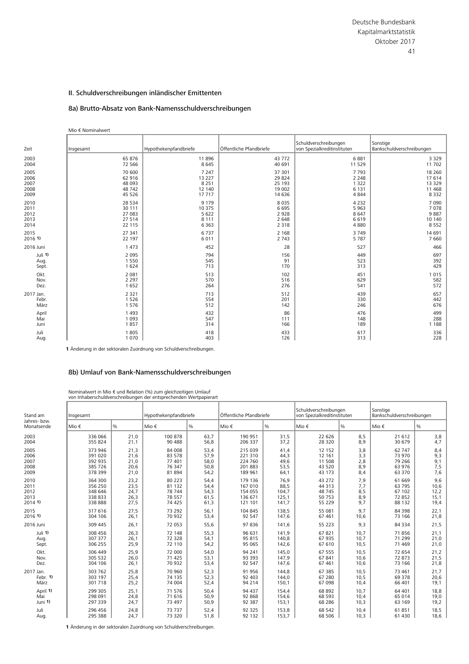# 8a) Brutto-Absatz von Bank-Namensschuldverschreibungen

#### Mio € Nominalwert

| Zeit      | Insgesamt | Hypothekenpfandbriefe | Öffentliche Pfandbriefe | Schuldverschreibungen<br>von Spezialkreditinstituten | Sonstige<br>Bankschuldverschreibungen |
|-----------|-----------|-----------------------|-------------------------|------------------------------------------------------|---------------------------------------|
| 2003      | 65 876    | 11896                 | 43772                   | 6881                                                 | 3 3 2 9                               |
| 2004      | 72 566    | 8645                  | 40 691                  | 11 529                                               | 11 702                                |
| 2005      | 70 600    | 7 2 4 7               | 37 301                  | 7 7 9 3                                              | 18 260                                |
| 2006      | 62 916    | 13 2 2 7              | 29 8 24                 | 2 2 4 8                                              | 17614                                 |
| 2007      | 48 093    | 8 2 5 1               | 25 193                  | 1 3 2 2                                              | 13 3 29                               |
| 2008      | 48742     | 12 140                | 19 002                  | 6 1 3 1                                              | 11 4 68                               |
| 2009      | 45 5 26   | 17717                 | 14 6 36                 | 4 8 4 4                                              | 8 3 3 2                               |
| 2010      | 28 5 34   | 9 1 7 9               | 8035                    | 4 2 3 2                                              | 7 0 9 0                               |
| 2011      | 30 111    | 10 375                | 6695                    | 5 9 6 3                                              | 7078                                  |
| 2012      | 27 083    | 5 6 2 2               | 2928                    | 8 6 4 7                                              | 9887                                  |
| 2013      | 27 514    | 8 1 1 1               | 2 6 4 8                 | 6619                                                 | 10 140                                |
| 2014      | 22 115    | 6 3 6 3               | 2 3 1 8                 | 4 8 8 0                                              | 8 5 5 2                               |
| 2015      | 27 341    | 6737                  | 2 1 6 8                 | 3749                                                 | 14 691                                |
| 2016 1)   | 22 197    | 6011                  | 2 7 4 3                 | 5 7 8 7                                              | 7 6 6 0                               |
| 2016 Juni | 1 4 7 3   | 452                   | 28                      | 527                                                  | 466                                   |
| Juli 1)   | 2 0 9 5   | 794                   | 156                     | 449                                                  | 697                                   |
| Aug.      | 1 5 5 0   | 545                   | 91                      | 523                                                  | 392                                   |
| Sept.     | 1 6 2 4   | 713                   | 170                     | 313                                                  | 429                                   |
| Okt.      | 2 0 8 1   | 513                   | 102                     | 451                                                  | 1015                                  |
| Nov.      | 2 2 9 7   | 570                   | 516                     | 629                                                  | 582                                   |
| Dez.      | 1 6 5 2   | 264                   | 276                     | 541                                                  | 572                                   |
| 2017 Jan. | 2 3 2 1   | 713                   | 512                     | 439                                                  | 657                                   |
| Febr.     | 1 5 2 6   | 554                   | 201                     | 330                                                  | 442                                   |
| März      | 1576      | 512                   | 142                     | 246                                                  | 676                                   |
| April     | 1 4 9 3   | 432                   | 86                      | 476                                                  | 499                                   |
| Mai       | 1 0 9 3   | 547                   | 111                     | 148                                                  | 288                                   |
| Juni      | 1857      | 314                   | 166                     | 189                                                  | 1 1 8 8                               |
| Juli      | 1805      | 418                   | 433                     | 617                                                  | 336                                   |
| Aug.      | 1 0 7 0   | 403                   | 126                     | 313                                                  | 228                                   |

**1** Änderung in der sektoralen Zuordnung von Schuldverschreibungen.

# 8b) Umlauf von Bank-Namensschuldverschreibungen

|                                      |                                                     |                                      | Nominalwert in Mio $\epsilon$ und Relation (%) zum gleichzeitigen Umlauf<br>von Inhaberschuldverschreibungen der entsprechenden Wertpapierart |                                      |                                                     |                                      |                                                      |                                 |                                                |                                 |
|--------------------------------------|-----------------------------------------------------|--------------------------------------|-----------------------------------------------------------------------------------------------------------------------------------------------|--------------------------------------|-----------------------------------------------------|--------------------------------------|------------------------------------------------------|---------------------------------|------------------------------------------------|---------------------------------|
| Stand am                             | Insgesamt                                           |                                      | Hypothekenpfandbriefe                                                                                                                         |                                      | Öffentliche Pfandbriefe                             |                                      | Schuldverschreibungen<br>von Spezialkreditinstituten |                                 | Sonstige<br>Bankschuldverschreibungen          |                                 |
| Jahres- bzw.<br>Monatsende           | Mio €                                               | $\%$                                 | Mio €                                                                                                                                         | $\%$                                 | Mio €                                               | %                                    | Mio €                                                | $\%$                            | Mio €                                          | $\%$                            |
| 2003                                 | 336 066                                             | 21,0                                 | 100 878                                                                                                                                       | 63,7                                 | 190 951                                             | 31,5                                 | 22 6 26                                              | 8,5                             | 21 612                                         | 3,8                             |
| 2004                                 | 355 824                                             | 21,1                                 | 90 488                                                                                                                                        | 56,8                                 | 206 337                                             | 37,2                                 | 28 3 20                                              | 8,9                             | 30 679                                         | 4,7                             |
| 2005<br>2006<br>2007<br>2008<br>2009 | 373 946<br>391 020<br>392 935<br>385 726<br>378 399 | 21,3<br>21,6<br>21,0<br>20,6<br>21,0 | 84 008<br>83 578<br>77 401<br>76 347<br>81 894                                                                                                | 53,4<br>57,9<br>58,0<br>50,8<br>54,2 | 215 039<br>221 310<br>224 760<br>201 883<br>189 961 | 41,4<br>44,3<br>49,6<br>53,5<br>64,1 | 12 15 2<br>12 16 1<br>11 508<br>43 520<br>43 173     | 3,8<br>3,3<br>2,8<br>8,9<br>8,4 | 62 747<br>73 970<br>79 266<br>63 976<br>63 370 | 8,4<br>9,3<br>9,1<br>7,5<br>7,6 |
| 2010                                 | 364 300                                             | 23,2                                 | 80 223                                                                                                                                        | 54,4                                 | 179 136                                             | 76,9                                 | 43 27 2                                              | 7,9                             | 61 669                                         | 9,6                             |
| 2011                                 | 356 250                                             | 23,5                                 | 81 132                                                                                                                                        | 54,4                                 | 167 010                                             | 88,5                                 | 44 313                                               | 7,7                             | 63 795                                         | 10,6                            |
| 2012                                 | 348 646                                             | 24,7                                 | 78 744                                                                                                                                        | 54,3                                 | 154 055                                             | 104,7                                | 48745                                                | 8,5                             | 67 102                                         | 12,2                            |
| 2013                                 | 338 833                                             | 26,3                                 | 78 557                                                                                                                                        | 61,5                                 | 136 671                                             | 125,1                                | 50753                                                | 8,9                             | 72 852                                         | 15,1                            |
| 20141                                | 338 888                                             | 27,5                                 | 74 425                                                                                                                                        | 61,3                                 | 121 101                                             | 141,7                                | 55 229                                               | 9,7                             | 88 132                                         | 19,4                            |
| 2015                                 | 317 616                                             | 27,5                                 | 73 292                                                                                                                                        | 56,1                                 | 104 845                                             | 138,5                                | 55 081                                               | 9.7                             | 84 398                                         | 22,1                            |
| $2016$ 1)                            | 304 106                                             | 26,1                                 | 70 932                                                                                                                                        | 53,4                                 | 92 547                                              | 147,6                                | 67 461                                               | 10,6                            | 73 166                                         | 21,8                            |
| 2016 Juni                            | 309 445                                             | 26,1                                 | 72 053                                                                                                                                        | 55,6                                 | 97836                                               | 141,6                                | 55 223                                               | 9,3                             | 84 334                                         | 21,5                            |
| Juli $1$                             | 308 456                                             | 26,3                                 | 72 148                                                                                                                                        | 55,3                                 | 96 631                                              | 141,9                                | 67821                                                | 10.7                            | 71856                                          | 21,1                            |
| Aug.                                 | 307 377                                             | 26,1                                 | 72 328                                                                                                                                        | 54,1                                 | 95 815                                              | 140,8                                | 67 935                                               | 10,7                            | 71 299                                         | 21,0                            |
| Sept.                                | 306 255                                             | 25,9                                 | 72 110                                                                                                                                        | 54,2                                 | 95 065                                              | 142,6                                | 67 610                                               | 10,5                            | 71 469                                         | 21,0                            |
| Okt.                                 | 306 449                                             | 25,9                                 | 72 000                                                                                                                                        | 54,0                                 | 94 241                                              | 145,0                                | 67 555                                               | 10,5                            | 72 654                                         | 21,2                            |
| Nov.                                 | 305 532                                             | 26,0                                 | 71 425                                                                                                                                        | 53,1                                 | 93 393                                              | 147,9                                | 67 841                                               | 10,6                            | 72 873                                         | 21,5                            |
| Dez.                                 | 304 106                                             | 26,1                                 | 70 932                                                                                                                                        | 53,4                                 | 92 547                                              | 147,6                                | 67 461                                               | 10,6                            | 73 166                                         | 21,8                            |
| 2017 Jan.                            | 303 762                                             | 25,8                                 | 70 960                                                                                                                                        | 52,3                                 | 91 956                                              | 144,8                                | 67 385                                               | 10,5                            | 73 461                                         | 21,7                            |
| Febr. $1$ )                          | 303 197                                             | 25,4                                 | 74 135                                                                                                                                        | 52,3                                 | 92 403                                              | 144,0                                | 67 280                                               | 10,5                            | 69 378                                         | 20,6                            |
| März                                 | 301 718                                             | 25,2                                 | 74 004                                                                                                                                        | 52,4                                 | 94 214                                              | 150,1                                | 67 098                                               | 10,4                            | 66 401                                         | 19,1                            |
| April 1)                             | 299 305                                             | 25,1                                 | 71 576                                                                                                                                        | 50,4                                 | 94 437                                              | 154,4                                | 68 892                                               | 10,7                            | 64 401                                         | 18,8                            |
| Mai                                  | 298 091                                             | 24,8                                 | 71 616                                                                                                                                        | 50,9                                 | 92 868                                              | 154,6                                | 68 593                                               | 10,4                            | 65 014                                         | 19,0                            |
| Juni 1)                              | 297 339                                             | 24,7                                 | 73 497                                                                                                                                        | 50,9                                 | 92 387                                              | 153,1                                | 68 28 6                                              | 10,3                            | 63 169                                         | 19,2                            |
| Juli                                 | 296 456                                             | 24,8                                 | 73 737                                                                                                                                        | 52,4                                 | 92 325                                              | 153,8                                | 68 542                                               | 10,4                            | 61851                                          | 18,5                            |
| Aug.                                 | 295 388                                             | 24,7                                 | 73 320                                                                                                                                        | 51.8                                 | 92 132                                              | 153,7                                | 68 506                                               | 10,3                            | 61 430                                         | 18,6                            |

**1** Änderung in der sektoralen Zuordnung von Schuldverschreibungen.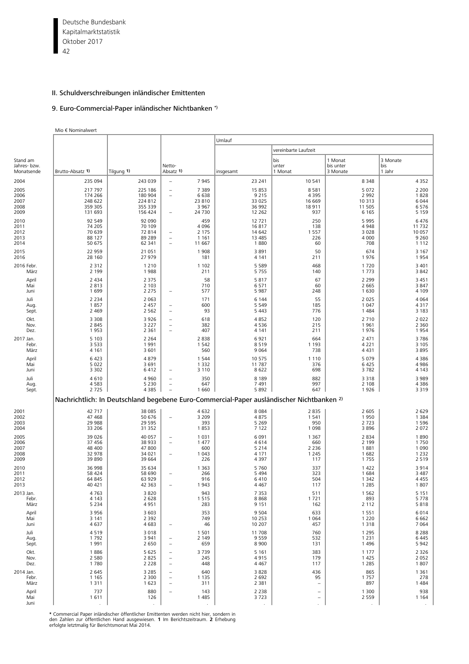Deutsche Bundesbank 42 Kapitalmarktstatistik Oktober 2017

## II. Schuldverschreibungen inländischer Emittenten

# 9. Euro-Commercial-Paper inländischer Nichtbanken \*)

Mio € Nominalwert

|                                        |                            |                               |                                                      |                    | Umlauf                                                                                               |                                |                                  |                            |  |  |  |  |
|----------------------------------------|----------------------------|-------------------------------|------------------------------------------------------|--------------------|------------------------------------------------------------------------------------------------------|--------------------------------|----------------------------------|----------------------------|--|--|--|--|
|                                        |                            |                               |                                                      |                    |                                                                                                      | vereinbarte Laufzeit           |                                  |                            |  |  |  |  |
| Stand am<br>Jahres- bzw.<br>Monatsende | Brutto-Absatz 1)           | Tilgung 1)                    | Netto-<br>Absatz 1)                                  |                    | insgesamt                                                                                            | bis<br>unter<br>1 Monat        | 1 Monat<br>bis unter<br>3 Monate | 3 Monate<br>bis<br>1 Jahr  |  |  |  |  |
| 2004                                   | 235 094                    | 243 039                       |                                                      | 7945               | 23 241                                                                                               | 10 541                         | 8 3 4 8                          | 4 3 5 2                    |  |  |  |  |
| 2005                                   | 217 797                    | 225 186                       | $\overline{\phantom{0}}$                             | 7 3 8 9            | 15 853                                                                                               | 8581                           | 5 0 7 2                          | 2 2 0 0                    |  |  |  |  |
| 2006<br>2007                           | 174 266<br>248 622         | 180 904<br>224 812            | $\overline{\phantom{a}}$                             | 6638<br>23 810     | 9 2 1 5<br>33 0 25                                                                                   | 4 3 9 5<br>16 669              | 2 9 9 2<br>10 313                | 1828<br>6 0 4 4            |  |  |  |  |
| 2008                                   | 359 305                    | 355 339                       |                                                      | 3 9 6 7            | 36 992                                                                                               | 18911                          | 11 505                           | 6576                       |  |  |  |  |
| 2009                                   | 131 693                    | 156 424                       | $\equiv$                                             | 24 7 30            | 12 2 6 2                                                                                             | 937                            | 6 1 6 5                          | 5 1 5 9                    |  |  |  |  |
| 2010<br>2011                           | 92 549<br>74 205           | 92 090<br>70 109              |                                                      | 459<br>4 0 9 6     | 12721<br>16817                                                                                       | 250<br>138                     | 5 9 9 5<br>4 9 4 8               | 6 4 7 6<br>11 7 32         |  |  |  |  |
| 2012                                   | 70 639                     | 72 814                        | $\overline{a}$                                       | 2 1 7 5            | 14 642                                                                                               | 1 5 5 7                        | 3 0 2 8                          | 10 057                     |  |  |  |  |
| 2013<br>2014                           | 88 127<br>50 675           | 89 289<br>62 341              | $\overline{\phantom{a}}$<br>$\equiv$                 | 1 1 6 1<br>11 667  | 13 4 8 5<br>1880                                                                                     | 226<br>60                      | 4 0 0 0<br>708                   | 9 2 6 0<br>1 1 1 2         |  |  |  |  |
| 2015<br>2016                           | 22 959<br>28 160           | 21 051<br>27 979              |                                                      | 1908<br>181        | 3891<br>4 1 4 1                                                                                      | 50<br>211                      | 674<br>1976                      | 3 1 6 7<br>1954            |  |  |  |  |
| 2016 Febr.<br>März                     | 2 3 1 2<br>2 1 9 9         | 1 2 1 0<br>1988               |                                                      | 1 1 0 2<br>211     | 5 5 8 9<br>5755                                                                                      | 468<br>140                     | 1720<br>1 7 7 3                  | 3 4 0 1<br>3842            |  |  |  |  |
| April                                  | 2 4 3 4                    | 2 3 7 5                       |                                                      | 58                 | 5817                                                                                                 | 67                             | 2 2 9 9                          | 3 4 5 1                    |  |  |  |  |
| Mai<br>Juni                            | 2 8 1 3<br>1 6 9 9         | 2 1 0 3<br>2 2 7 5            | $\equiv$                                             | 710<br>577         | 6571<br>5 9 8 7                                                                                      | 60<br>248                      | 2 6 6 5<br>1 6 3 0               | 3847<br>4 1 0 9            |  |  |  |  |
| Juli<br>Aug.<br>Sept.                  | 2 2 3 4<br>1857<br>2 4 6 9 | 2 0 6 3<br>2 4 5 7<br>2 5 6 2 | $\qquad \qquad -$<br>$\qquad \qquad -$               | 171<br>600<br>93   | 6 1 4 4<br>5 5 4 9<br>5 4 4 3                                                                        | 55<br>185<br>776               | 2 0 2 5<br>1 0 4 7<br>1 4 8 4    | 4 0 6 4<br>4317<br>3 1 8 3 |  |  |  |  |
| Okt.                                   | 3 3 0 8                    | 3926                          | $\overline{\phantom{0}}$                             | 618                | 4852                                                                                                 | 120                            | 2 7 1 0                          | 2 0 2 2                    |  |  |  |  |
| Nov.<br>Dez.                           | 2 8 4 5<br>1953            | 3 2 2 7<br>2 3 6 1            | $\qquad \qquad -$<br>$\overline{\phantom{0}}$        | 382<br>407         | 4536<br>4 1 4 1                                                                                      | 215<br>211                     | 1961<br>1976                     | 2 3 6 0<br>1954            |  |  |  |  |
| 2017 Jan.<br>Febr.                     | 5 1 0 3<br>3 5 3 3         | 2 2 6 4<br>1991               |                                                      | 2838<br>1 5 4 2    | 6921<br>8519                                                                                         | 664<br>1 1 9 3                 | 2 4 7 1<br>4 2 2 1               | 3786<br>3 1 0 5            |  |  |  |  |
| März<br>April                          | 4 1 6 1<br>6 4 2 3         | 3 6 0 1<br>4879               |                                                      | 560<br>1 5 4 4     | 9 0 6 4<br>10 575                                                                                    | 738<br>1 1 1 0                 | 4 4 3 1<br>5 0 7 9               | 3895<br>4 3 8 6            |  |  |  |  |
| Mai<br>Juni                            | 5 0 2 2<br>3 3 0 2         | 3 6 9 1<br>6412               |                                                      | 1 3 3 2<br>3 1 1 0 | 11 787<br>8622                                                                                       | 376<br>698                     | 6 4 2 5<br>3782                  | 4 9 8 6<br>4 1 4 3         |  |  |  |  |
| Juli                                   | 4610                       | 4 9 6 0                       | $\equiv$                                             | 350                | 8 1 8 9                                                                                              | 882                            | 3 3 1 8                          | 3 9 8 9                    |  |  |  |  |
| Aug.<br>Sept.                          | 4583<br>2 7 2 5            | 5 2 3 0<br>4 3 8 5            | $\overline{\phantom{a}}$<br>$\equiv$                 | 647<br>1 6 6 0     | 7 4 9 1<br>5892                                                                                      | 997<br>647                     | 2 1 0 8<br>1926                  | 4 3 8 6<br>3 3 1 9         |  |  |  |  |
|                                        |                            |                               |                                                      |                    | Nachrichtlich: In Deutschland begebene Euro-Commercial-Paper ausländischer Nichtbanken <sup>2)</sup> |                                |                                  |                            |  |  |  |  |
| 2001                                   | 42 717                     | 38 0 85                       |                                                      | 4632               | 8 0 8 4                                                                                              | 2835                           | 2 6 0 5                          | 2 6 2 9                    |  |  |  |  |
| 2002<br>2003                           | 47 468<br>29 988           | 50 676<br>29 5 95             |                                                      | 3 2 0 9<br>393     | 4875<br>5 2 6 9                                                                                      | 1541<br>950                    | 1950<br>2 7 2 3                  | 1 3 8 4<br>1 5 9 6         |  |  |  |  |
| 2004                                   | 33 206                     | 31 352                        |                                                      | 1853               | 7 1 2 2                                                                                              | 1 0 9 8                        | 3896                             | 2 0 7 2                    |  |  |  |  |
| 2005<br>2006                           | 39 0 26<br>37 45 6         | 40 057<br>38 933              | $\qquad \qquad -$                                    | 1 0 3 1<br>1 477   | 6 0 9 1<br>4614                                                                                      | 1 3 6 7<br>660                 | 2 8 3 4<br>2 1 9 9               | 1890<br>1750               |  |  |  |  |
| 2007                                   | 48 400                     | 47 800                        |                                                      | 600                | 5 2 1 4                                                                                              | 2 2 3 6                        | 1881                             | 1 0 9 0                    |  |  |  |  |
| 2008<br>2009                           | 32 978<br>39 890           | 34 021<br>39 664              |                                                      | 1 0 4 3<br>226     | 4 1 7 1<br>4 3 9 7                                                                                   | 1 2 4 5<br>117                 | 1682<br>1755                     | 1 2 3 2<br>2 5 1 9         |  |  |  |  |
| 2010                                   | 36 998                     | 35 634                        |                                                      | 1 3 6 3            | 5 7 6 0                                                                                              | 337                            | 1 4 2 2                          | 3914                       |  |  |  |  |
| 2011                                   | 58 424                     | 58 690                        |                                                      | 266                | 5 4 9 4                                                                                              | 323                            | 1684                             | 3 4 8 7                    |  |  |  |  |
| 2012<br>2013                           | 64 845<br>40 421           | 63 929<br>42 3 63             |                                                      | 916<br>1943        | 6410<br>4 4 6 7                                                                                      | 504<br>117                     | 1 3 4 2<br>1 2 8 5               | 4 4 5 5<br>1807            |  |  |  |  |
| 2013 Jan.                              | 4763                       | 3820                          |                                                      | 943                | 7 3 5 3                                                                                              | 511                            | 1 5 6 2                          | 5 1 5 1                    |  |  |  |  |
| Febr.<br>März                          | 4 1 4 3<br>5 2 3 4         | 2 6 2 8<br>4951               |                                                      | 1515<br>283        | 8868<br>9 1 5 1                                                                                      | 1721<br>162                    | 893<br>2 1 1 2                   | 5778<br>5818               |  |  |  |  |
| April<br>Mai                           | 3 9 5 6<br>3 1 4 1         | 3 6 0 3<br>2 3 9 2            |                                                      | 353<br>749         | 9 5 0 4<br>10 253                                                                                    | 633<br>1 0 6 4                 | 1 5 5 1<br>1 2 2 0               | 6014<br>6 6 6 2            |  |  |  |  |
| Juni                                   | 4 6 3 7                    | 4683                          | $\overline{\phantom{0}}$                             | 46                 | 10 207                                                                                               | 457                            | 1 3 1 8                          | 7 0 6 4                    |  |  |  |  |
| Juli                                   | 4519                       | 3 0 1 8                       |                                                      | 1501               | 11 708                                                                                               | 760                            | 1 2 9 5                          | 8 2 8 8                    |  |  |  |  |
| Aug.<br>Sept.                          | 1792<br>1991               | 3 9 4 1<br>2 6 5 0            | $\qquad \qquad -$<br>$\overline{\phantom{m}}$        | 2 1 4 9<br>659     | 9559<br>8 9 0 0                                                                                      | 532<br>131                     | 1 2 3 1<br>1496                  | 6 4 4 5<br>5 9 4 2         |  |  |  |  |
| Okt.                                   | 1886                       | 5 6 2 5                       | $\overline{\phantom{a}}$                             | 3739               | 5 1 6 1                                                                                              | 383                            | 1 1 7 7                          | 2 3 2 6                    |  |  |  |  |
| Nov.<br>Dez.                           | 2 5 8 0<br>1780            | 2 8 2 5<br>2 2 2 8            | $\overline{\phantom{a}}$<br>$\qquad \qquad -$        | 245<br>448         | 4915<br>4 4 6 7                                                                                      | 179<br>117                     | 1 4 2 5<br>1 2 8 5               | 2 0 5 2<br>1807            |  |  |  |  |
| 2014 Jan.                              | 2 6 4 5                    | 3 2 8 5                       | $\overline{\phantom{a}}$                             | 640                | 3828                                                                                                 | 436                            | 865                              | 1 3 6 1                    |  |  |  |  |
| Febr.<br>März                          | 1 1 6 5<br>1 3 1 1         | 2 3 0 0<br>1 6 2 3            | $\overline{\phantom{a}}$<br>$\overline{\phantom{a}}$ | 1 1 3 5<br>311     | 2 6 9 2<br>2 3 8 1                                                                                   | 95<br>$\overline{\phantom{a}}$ | 1757<br>897                      | 278<br>1 4 8 4             |  |  |  |  |
| April                                  | 737                        | 880                           |                                                      | 143                | 2 2 3 8                                                                                              | $\overline{\phantom{0}}$       | 1 300                            | 938                        |  |  |  |  |
| Mai<br>Juni                            | 1611<br>$\epsilon$         | 126<br>÷,                     |                                                      | 1 4 8 5            | 3723                                                                                                 | $\qquad \qquad -$<br>÷.        | 2 5 5 9                          | 1 1 6 4                    |  |  |  |  |

\* Commercial Paper inländischer öffentlicher Emittenten werden nicht hier, sondern in<br>den Zahlen zur öffentlichen Hand ausgewiesen. 1 lm Berichtszeitraum. **2** Erhebung<br>erfolgte letztmalig für Berichtsmonat Mai 2014.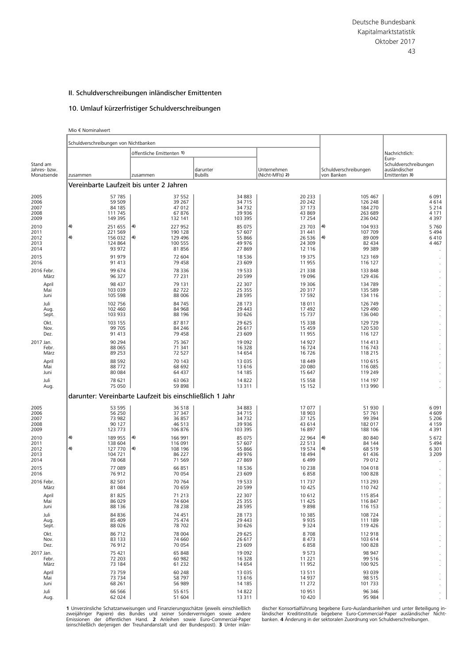# 10. Umlauf kürzerfristiger Schuldverschreibungen

|                          | Mio € Nominalwert                     |                                                          |                  |                    |                                       |                                                 |
|--------------------------|---------------------------------------|----------------------------------------------------------|------------------|--------------------|---------------------------------------|-------------------------------------------------|
|                          | Schuldverschreibungen von Nichtbanken |                                                          |                  |                    |                                       |                                                 |
|                          |                                       | öffentliche Emittenten 1)                                |                  |                    |                                       | Nachrichtlich:                                  |
| Stand am<br>Jahres- bzw. |                                       |                                                          | darunter         | Unternehmen        | Schuldverschreibungen                 | Euro-<br>Schuldverschreibungen<br>ausländischer |
| Monatsende               | zusammen                              | zusammen                                                 | <b>Bubills</b>   | (Nicht-MFIs) 2)    | von Banken                            | Emittenten 3)                                   |
|                          |                                       | Vereinbarte Laufzeit bis unter 2 Jahren                  |                  |                    |                                       |                                                 |
| 2005                     | 57 785                                | 37 552                                                   | 34 883           | 20 233             | 105 467                               | 6 0 9 1                                         |
| 2006                     | 59 509                                | 39 267                                                   | 34 715           | 20 242             | 126 248                               | 4614                                            |
| 2007                     | 84 185                                | 47 012                                                   | 34 7 32          | 37 173             | 184 270                               | 5 2 1 4                                         |
| 2008                     | 111 745                               | 67876                                                    | 39 936           | 43 869             | 263 689                               | 4 1 7 1                                         |
| 2009                     | 149 395                               | 132 141                                                  | 103 395          | 17 2 5 4           | 236 042                               | 4 3 9 7                                         |
| 2010                     | 4)<br>251 655                         | 4)<br>227 952                                            | 85 075           | 23 703             | 4)<br>104 933                         | 5760                                            |
| 2011<br>2012             | 221 569<br>4)<br>156 032              | 190 128<br>4)<br>129 496                                 | 57 607<br>55 866 | 31 441<br>26 5 36  | 107 709<br>4)<br>89 009               | 5 4 9 4<br>6410                                 |
| 2013                     | 124 864                               | 100 555                                                  | 49 976           | 24 309             | 82 434                                | 4 4 6 7                                         |
| 2014                     | 93 972                                | 81856                                                    | 27 869           | 12 116             | 99 389                                |                                                 |
| 2015                     | 91 979                                | 72 604                                                   | 18 5 36          | 19 3 7 5           | 123 169                               |                                                 |
| 2016                     | 91 413                                | 79 458                                                   | 23 609           | 11 955             | 116 127                               |                                                 |
| 2016 Febr.               | 99 674                                | 78 336                                                   | 19 533           | 21 3 38            | 133 848                               |                                                 |
| März                     | 96 327                                | 77 231                                                   | 20 599           | 19 0 96            | 129 436                               |                                                 |
| April                    | 98 437                                | 79 131                                                   | 22 307           | 19 306             | 134 789                               |                                                 |
| Mai                      | 103 039                               | 82722                                                    | 25 355           | 20 317             | 135 589                               |                                                 |
| Juni                     | 105 598                               | 88 006                                                   | 28 5 95          | 17 592             | 134 116                               |                                                 |
| Juli                     | 102 756                               | 84 745                                                   | 28 173           | 18 0 11            | 126 749                               |                                                 |
| Aug.                     | 102 460                               | 84 968                                                   | 29 4 43          | 17 492             | 129 490                               |                                                 |
| Sept.                    | 103 933                               | 88 196                                                   | 30 626           | 15 7 37            | 136 040                               |                                                 |
| Okt.                     | 103 155                               | 87817                                                    | 29 625           | 15 3 38            | 129 729                               |                                                 |
| Nov.                     | 99 705                                | 84 246                                                   | 26 617           | 15 4 5 9           | 120 530                               |                                                 |
| Dez.                     | 91 413                                | 79 458                                                   | 23 609           | 11955              | 116 127                               |                                                 |
| 2017 Jan.                | 90 294                                | 75 367                                                   | 19 092           | 14 9 27            | 114 413                               |                                                 |
| Febr.                    | 88 065                                | 71 341                                                   | 16 328           | 16724              | 116 743                               |                                                 |
| März                     | 89 25 3                               | 72 527                                                   | 14 654           | 16726              | 118 215                               |                                                 |
| April                    | 88 5 92                               | 70 143                                                   | 13 0 35          | 18 4 49            | 110 615                               |                                                 |
| Mai                      | 88772                                 | 68 692                                                   | 13 616           | 20 080             | 116 085                               |                                                 |
| Juni                     | 80 084                                | 64 437                                                   | 14 185           | 15 647             | 119 249                               |                                                 |
| Juli                     | 78 621                                | 63 063                                                   | 14 822           | 15 5 5 8           | 114 197                               |                                                 |
| Aug.                     | 75 050                                | 59 898                                                   | 13 3 11          | 15 1 5 2           | 113 990                               |                                                 |
|                          |                                       | darunter: Vereinbarte Laufzeit bis einschließlich 1 Jahr |                  |                    |                                       |                                                 |
| 2005                     | 53 595                                | 36 518                                                   | 34 883           | 17 077             | 51 930                                | 6091                                            |
| 2006                     | 56 250                                | 37 347                                                   | 34 715           | 18 903             | 57 761                                | 4 6 0 9                                         |
| 2007                     | 73 982                                | 36 857                                                   | 34 7 32          | 37 125             | 99 394                                | 5 2 0 6                                         |
| 2008                     | 90 127                                | 46 513                                                   | 39 936           | 43 614             | 182 017                               | 4 1 5 9                                         |
| 2009                     | 123 773                               | 106 876                                                  | 103 395          | 16897              | 188 106                               | 4 3 9 1                                         |
| 2010<br>2011             | 4)<br>189 955<br>138 604              | 166 991<br>4)<br>116 091                                 | 85 075<br>57 607 | 22 9 64<br>22 5 13 | 80 840<br>4)<br>84 144                | 5 6 7 2<br>5 4 9 4                              |
| 2012<br>2013             | 4)<br>127 770<br>104 721              | 4)<br>108 196<br>86 227                                  | 55 866<br>49 976 | 19574<br>18 4 94   | $\left( 4\right)$<br>68 519<br>61 436 | 6 3 0 1<br>3 2 0 9                              |
| 2014                     | 78 068                                | 71 569                                                   | 27 869           | 6499               | 79 012                                |                                                 |
| 2015                     | 77 089                                | 66 851                                                   | 18 536           | 10 238             | 104 018                               |                                                 |
| 2016                     | 76912                                 | 70 054                                                   | 23 609           | 6858               | 100 828                               |                                                 |
| 2016 Febr.               | 82 501                                | 70 764                                                   | 19 533           | 11 7 37            | 113 293                               |                                                 |
| März                     | 81 0 84                               | 70 659                                                   | 20 599           | 10 4 25            | 110 742                               |                                                 |
| April                    | 81 825                                | 71 213                                                   | 22 307           | 10 612             | 115 854                               |                                                 |
| Mai                      | 86 0 29                               | 74 604                                                   | 25 355           | 11 4 25            | 116847                                |                                                 |
| Juni                     | 88 136                                | 78 238                                                   | 28 5 95          | 9898               | 116 153                               |                                                 |
| Juli                     | 84 836                                | 74 451                                                   | 28 173           | 10 3 8 5           | 108 724                               |                                                 |
| Aug.                     | 85 409                                | 75 474                                                   | 29 4 43          | 9935               | 111 189                               |                                                 |
| Sept.                    | 88 0 26                               | 78 702                                                   | 30 626           | 9 3 2 4            | 119 426                               |                                                 |
| Okt.                     | 86 712                                | 78 004                                                   | 29 625           | 8708               | 112 918                               |                                                 |
| Nov.                     | 83 133                                | 74 660                                                   | 26 617           | 8 4 7 3            | 103 614                               |                                                 |
| Dez.                     | 76912                                 | 70 054                                                   | 23 609           | 6858               | 100 828                               |                                                 |
| 2017 Jan.                | 75 421                                | 65 848                                                   | 19 092           | 9573               | 98 947                                |                                                 |
| Febr.                    | 72 203                                | 60 982                                                   | 16 328           | 11 2 2 1           | 99 516                                |                                                 |
| März                     | 73 184                                | 61 2 32                                                  | 14 654           | 11952              | 100 925                               |                                                 |
| April                    | 73 759                                | 60 248                                                   | 13 0 35          | 13511              | 93 039                                |                                                 |
| Mai                      | 73 734                                | 58 797                                                   | 13 616           | 14 9 37            | 98 515                                |                                                 |
| Juni                     | 68 261                                | 56 989                                                   | 14 185           | 11 272             | 101 733                               |                                                 |
| Juli                     | 66 566                                | 55 615                                                   | 14 822           | 10 951             | 96 346                                |                                                 |
| Aug.                     | 62 024                                | 51 604                                                   | 13 3 11          | 10 4 20            | 95 984                                |                                                 |

Emissionen der öffentlichen Hand. **2** Anleihen sowie Euro-Commercial-Paper banken. **4** Änderung in der sektoralen Zuordnung von Schuldverschreibungen.<br>(einschließlich derjenigen der Treuhandanstalt und der Bundespost). **3** 

1 Unverzinsliche Schatzanweisungen und Finanzierungsschätze (jeweils einschließlich discher Konsortialführung begebene Euro-Auslandsanleihen und unter Beteiligung in-<br>zweijähriger Papiere) des Bundes und seiner Sondervermö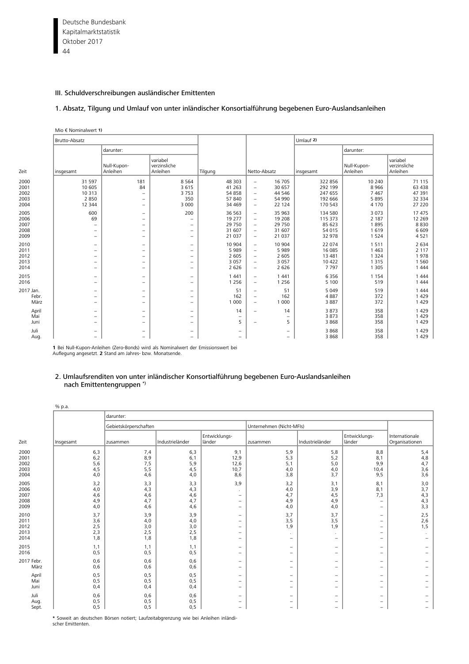Deutsche Bundesbank 44 Kapitalmarktstatistik Oktober 2017

# III. Schuldverschreibungen ausländischer Emittenten

# 1. [Absatz, Tilgung und Umlauf von unter inländischer Konsortialführung begebenen Euro-Auslandsanleihen](#page-14-0)

|                                      | Mio $\epsilon$ Nominalwert 1)                                                                                                     |                                                                                                                     |                                                                                                                     |                                                  |                                                                                                                                                                                             |                                                      |                                                  |                                                  |
|--------------------------------------|-----------------------------------------------------------------------------------------------------------------------------------|---------------------------------------------------------------------------------------------------------------------|---------------------------------------------------------------------------------------------------------------------|--------------------------------------------------|---------------------------------------------------------------------------------------------------------------------------------------------------------------------------------------------|------------------------------------------------------|--------------------------------------------------|--------------------------------------------------|
|                                      | Brutto-Absatz                                                                                                                     |                                                                                                                     |                                                                                                                     |                                                  |                                                                                                                                                                                             | Umlauf 2)                                            |                                                  |                                                  |
|                                      |                                                                                                                                   | darunter:                                                                                                           |                                                                                                                     |                                                  |                                                                                                                                                                                             |                                                      | darunter:                                        |                                                  |
| Zeit                                 | insgesamt                                                                                                                         | Null-Kupon-<br>Anleihen                                                                                             | variabel<br>verzinsliche<br>Anleihen                                                                                | Tilgung                                          | Netto-Absatz                                                                                                                                                                                | insgesamt                                            | Null-Kupon-<br>Anleihen                          | variabel<br>verzinsliche<br>Anleihen             |
| 2000<br>2001<br>2002<br>2003<br>2004 | 31 5 9 7<br>10 605<br>10 313<br>2850<br>12 344                                                                                    | 181<br>84<br>$\overline{\phantom{m}}$<br>$\qquad \qquad -$<br>$\overline{\phantom{a}}$                              | 8 5 6 4<br>3615<br>3753<br>350<br>3 0 0 0                                                                           | 48 30 3<br>41 2 63<br>54 858<br>57 840<br>34 469 | 16 705<br>$\overline{\phantom{a}}$<br>30 657<br>$\overline{\phantom{a}}$<br>44 5 46<br>$\overline{\phantom{m}}$<br>54 990<br>$\overline{\phantom{m}}$<br>22 124<br>$\overline{\phantom{m}}$ | 322 856<br>292 199<br>247 655<br>192 666<br>170 543  | 10 240<br>8966<br>7467<br>5895<br>4 1 7 0        | 71 115<br>63 438<br>47 391<br>32 334<br>27 220   |
| 2005<br>2006<br>2007<br>2008<br>2009 | 600<br>69<br>$\overline{\phantom{0}}$<br>$\overline{\phantom{0}}$                                                                 | $\overline{\phantom{m}}$<br>$\overline{\phantom{m}}$<br>$\qquad \qquad -$<br>$\qquad \qquad -$<br>$\qquad \qquad -$ | 200<br>$\overline{\phantom{0}}$<br>-<br>$\overline{\phantom{0}}$<br>$\qquad \qquad -$                               | 36 563<br>19 277<br>29 750<br>31 607<br>21 0 37  | 35 963<br>$\overline{\phantom{m}}$<br>19 208<br>$\overline{\phantom{m}}$<br>29 750<br>$\overline{\phantom{a}}$<br>31 607<br>$\overline{\phantom{a}}$<br>21 0 37<br>$\overline{\phantom{m}}$ | 134 580<br>115 373<br>85 623<br>54 015<br>32 978     | 3 0 7 3<br>2 1 8 7<br>1895<br>1619<br>1524       | 17 475<br>12 2 6 9<br>8830<br>6 6 0 9<br>4521    |
| 2010<br>2011<br>2012<br>2013<br>2014 | $\overline{\phantom{0}}$<br>$\overline{\phantom{0}}$<br>$\overline{\phantom{0}}$<br>$\overline{\phantom{0}}$<br>$\qquad \qquad -$ | $\overline{\phantom{m}}$<br>$\overline{\phantom{0}}$<br>-<br>$\qquad \qquad -$<br>$\qquad \qquad -$                 | $\qquad \qquad -$<br>$\overline{\phantom{0}}$<br>$\overline{\phantom{0}}$<br>$\qquad \qquad -$<br>$\qquad \qquad -$ | 10 904<br>5989<br>2 6 0 5<br>3 0 5 7<br>2 6 2 6  | 10 904<br>$\overline{\phantom{m}}$<br>5989<br>$\overline{\phantom{m}}$<br>2 6 0 5<br>$\overline{\phantom{m}}$<br>3 0 5 7<br>$\overline{\phantom{m}}$<br>2 6 2 6<br>$\overline{\phantom{m}}$ | 22 074<br>16 085<br>13 4 8 1<br>10 422<br>7797       | 1511<br>1 4 6 3<br>1 3 2 4<br>1 3 1 5<br>1 3 0 5 | 2 6 3 4<br>2 1 1 7<br>1978<br>1 5 6 0<br>1 4 4 4 |
| 2015<br>2016                         | $\overline{\phantom{m}}$<br>$\overline{\phantom{0}}$                                                                              | $\overline{\phantom{m}}$<br>$\qquad \qquad -$                                                                       | $\overline{\phantom{0}}$<br>$\qquad \qquad -$                                                                       | 1 4 4 1<br>1 2 5 6                               | 1 4 4 1<br>$\overline{\phantom{m}}$<br>1 2 5 6<br>$\overline{\phantom{a}}$                                                                                                                  | 6356<br>5 100                                        | 1 1 5 4<br>519                                   | 1 4 4 4<br>1 4 4 4                               |
| 2017 Jan.<br>Febr.<br>März           | $\qquad \qquad -$<br>$\overline{\phantom{0}}$<br>$\overline{\phantom{m}}$                                                         | $\qquad \qquad -$<br>$\qquad \qquad -$<br>$\qquad \qquad -$                                                         | $\overline{\phantom{0}}$<br>$\qquad \qquad -$<br>$\qquad \qquad -$                                                  | 51<br>162<br>1 0 0 0                             | 51<br>$\overline{\phantom{m}}$<br>162<br>$\overline{\phantom{m}}$<br>1 0 0 0<br>$\overline{\phantom{m}}$                                                                                    | 5 0 4 9<br>4887<br>3887                              | 519<br>372<br>372                                | 1 4 4 4<br>1 4 2 9<br>1 4 2 9                    |
| April<br>Mai<br>Juni                 | $\overline{\phantom{0}}$<br>$\qquad \qquad -$<br>$\qquad \qquad -$                                                                | $\qquad \qquad -$<br>$\qquad \qquad -$<br>$\qquad \qquad -$                                                         | -<br>$\qquad \qquad -$<br>$\overline{\phantom{0}}$                                                                  | 14<br>$\qquad \qquad -$<br>5                     | $\qquad \qquad -$<br>$\overline{\phantom{0}}$                                                                                                                                               | 3873<br>14<br>3873<br>$\qquad \qquad -$<br>3868<br>5 | 358<br>358<br>358                                | 1 4 2 9<br>1 4 2 9<br>1 4 2 9                    |
| Juli<br>Aug.                         | $\qquad \qquad -$<br>$\qquad \qquad -$                                                                                            | $\qquad \qquad -$<br>$\overline{\phantom{0}}$                                                                       | -<br>-                                                                                                              | -<br>-                                           |                                                                                                                                                                                             | 3868<br>-<br>3868<br>-                               | 358<br>358                                       | 1 4 2 9<br>1 4 2 9                               |

**1** Bei Null-Kupon-Anleihen (Zero-Bonds) wird als Nominalwert der Emissionswert bei Auflegung angesetzt. **2** Stand am Jahres- bzw. Monatsende.

## 2. Umlaufsrenditen von unter inländischer Konsortialführung begebenen Euro-Auslandsanleihen nach Emittentengruppen \*)

|                                      | % p.a.                          |                                 |                                 |                                                                                                                                          |                                                                                  |                                                                                  |                                                                                                       |                                                                    |
|--------------------------------------|---------------------------------|---------------------------------|---------------------------------|------------------------------------------------------------------------------------------------------------------------------------------|----------------------------------------------------------------------------------|----------------------------------------------------------------------------------|-------------------------------------------------------------------------------------------------------|--------------------------------------------------------------------|
|                                      |                                 | darunter:                       |                                 |                                                                                                                                          |                                                                                  |                                                                                  |                                                                                                       |                                                                    |
|                                      |                                 | Gebietskörperschaften           |                                 |                                                                                                                                          | Unternehmen (Nicht-MFIs)                                                         |                                                                                  |                                                                                                       |                                                                    |
| Zeit                                 | Insgesamt                       | zusammen                        | Industrieländer                 | Entwicklungs-<br>länder                                                                                                                  | zusammen                                                                         | Industrieländer                                                                  | Entwicklungs-<br>länder                                                                               | Internationale<br>Organisationen                                   |
| 2000<br>2001<br>2002<br>2003<br>2004 | 6,3<br>6,2<br>5,6<br>4,5<br>4,0 | 7,4<br>8,9<br>7,5<br>5,5<br>4,6 | 6,3<br>6,1<br>5,9<br>4,5<br>4,0 | 9,1<br>12,9<br>12,6<br>10,7<br>8,6                                                                                                       | 5,9<br>5,3<br>5,1<br>4,0<br>3,8                                                  | 5,8<br>5,2<br>5,0<br>4,0<br>3,7                                                  | 8,8<br>8,1<br>9,9<br>10,4<br>9,5                                                                      | 5,4<br>4,8<br>4,7<br>3,6<br>3,6                                    |
| 2005<br>2006<br>2007<br>2008<br>2009 | 3,2<br>4,0<br>4,6<br>4,9<br>4,0 | 3,3<br>4,3<br>4,6<br>4,7<br>4,6 | 3,3<br>4,3<br>4,6<br>4,7<br>4,6 | 3,9<br>$\overline{\phantom{a}}$<br>$\overline{\phantom{a}}$<br>$\overline{\phantom{a}}$                                                  | 3,2<br>4,0<br>4,7<br>4,9<br>4,0                                                  | 3,1<br>3,9<br>4,5<br>4,9<br>4,0                                                  | 8,1<br>8,1<br>7,3<br>$\qquad \qquad -$<br>$\qquad \qquad -$                                           | 3,0<br>3,7<br>4,3<br>4,3<br>3,3                                    |
| 2010<br>2011<br>2012<br>2013<br>2014 | 3,7<br>3,6<br>2,5<br>2,3<br>1,8 | 3,9<br>4,0<br>3,0<br>2,5<br>1,8 | 3,9<br>4,0<br>3,0<br>2,5<br>1,8 | $\overline{\phantom{m}}$<br>$\overline{\phantom{a}}$<br>$\overline{\phantom{a}}$<br>$\overline{\phantom{a}}$<br>$\overline{\phantom{0}}$ | 3,7<br>3,5<br>1,9<br>$\overline{\phantom{0}}$                                    | 3,7<br>3,5<br>1,9<br>$\overline{\phantom{0}}$                                    | $\qquad \qquad -$<br>$\qquad \qquad -$<br>$\qquad \qquad -$<br>$\qquad \qquad -$<br>$\qquad \qquad -$ | 2,5<br>2,6<br>1,5                                                  |
| 2015<br>2016                         | 1,1<br>0, 5                     | 1,1<br>0, 5                     | 1,1<br>0,5                      | $\overline{\phantom{a}}$<br>$\overline{\phantom{a}}$                                                                                     | $\qquad \qquad -$<br>$\overline{\phantom{0}}$                                    | $\overline{\phantom{m}}$<br>$\overline{\phantom{a}}$                             | -<br>$\qquad \qquad -$                                                                                | $\overline{\phantom{0}}$                                           |
| 2017 Febr.<br>März                   | 0,6<br>0,6                      | 0,6<br>0,6                      | 0,6<br>0,6                      | $\overline{\phantom{0}}$<br>$\overline{\phantom{0}}$                                                                                     | $\overline{\phantom{0}}$<br>$\overline{\phantom{0}}$                             | $\overline{\phantom{0}}$<br>$\overline{\phantom{m}}$                             | $\overline{\phantom{0}}$<br>$\qquad \qquad -$                                                         | $\overline{\phantom{0}}$<br>-                                      |
| April<br>Mai<br>Juni                 | 0, 5<br>0, 5<br>0,4             | 0, 5<br>0,5<br>0,4              | 0, 5<br>0, 5<br>0,4             | $\overline{\phantom{a}}$<br>$\qquad \qquad =$<br>$\overline{\phantom{a}}$                                                                | $\overline{\phantom{0}}$<br>$\overline{\phantom{0}}$<br>$\overline{\phantom{0}}$ | $\overline{\phantom{m}}$<br>$\overline{\phantom{m}}$<br>$\overline{\phantom{m}}$ | -<br>-<br>$\qquad \qquad -$                                                                           | -                                                                  |
| Juli<br>Aug.<br>Sept.                | 0,6<br>0,5<br>0,5               | 0,6<br>0, 5<br>0,5              | 0,6<br>0, 5<br>0, 5             | $\overline{\phantom{a}}$<br>$\overline{\phantom{a}}$<br>$\overline{\phantom{a}}$                                                         | $\overline{\phantom{0}}$<br>$\overline{\phantom{0}}$<br>-                        | $\overline{\phantom{m}}$<br>$\overline{\phantom{a}}$<br>$\overline{\phantom{m}}$ | $\qquad \qquad -$<br>$\qquad \qquad -$<br>$\qquad \qquad -$                                           | $\qquad \qquad -$<br>$\qquad \qquad -$<br>$\overline{\phantom{0}}$ |

**\*** Soweit an deutschen Börsen notiert; Laufzeitabgrenzung wie bei Anleihen inländischer Emittenten.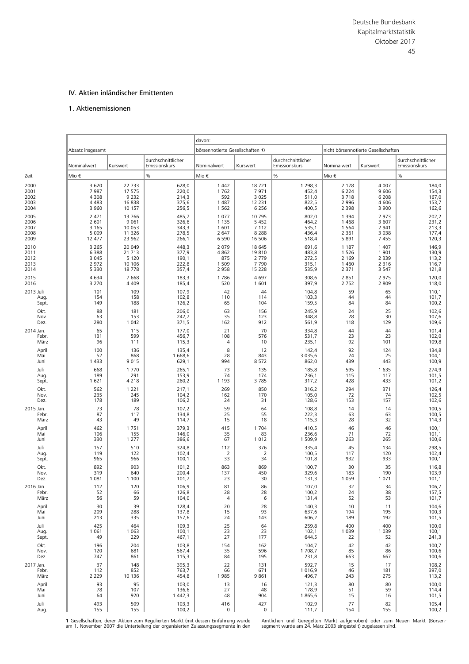## IV. Aktien inländischer Emittenten

# 1. Aktienemissionen

|           |                  |          |                                     | davon:                           |          |                                     |             |                                     |                                     |
|-----------|------------------|----------|-------------------------------------|----------------------------------|----------|-------------------------------------|-------------|-------------------------------------|-------------------------------------|
|           | Absatz insgesamt |          |                                     | börsennotierte Gesellschaften 1) |          |                                     |             | nicht börsennotierte Gesellschaften |                                     |
|           | Nominalwert      | Kurswert | durchschnittlicher<br>Emissionskurs | Nominalwert                      | Kurswert | durchschnittlicher<br>Emissionskurs | Nominalwert | Kurswert                            | durchschnittlicher<br>Emissionskurs |
| Zeit      | Mio €            |          | %                                   | Mio €                            |          | $\frac{0}{6}$                       | Mio €       |                                     | %                                   |
| 2000      | 3 6 2 0          | 22 7 33  | 628,0                               | 1 4 4 2                          | 18721    | 1 2 9 8, 3                          | 2 1 7 8     | 4 0 0 7                             | 184,0                               |
| 2001      | 7987             | 17 575   | 220,0                               | 1762                             | 7971     | 452,4                               | 6 2 2 4     | 9606                                | 154,3                               |
| 2002      | 4 3 0 8          | 9 2 3 2  | 214,3                               | 592                              | 3 0 2 5  | 511,0                               | 3718        | 6 2 0 8                             | 167,0                               |
| 2003      | 4 4 8 3          | 16838    | 375,6                               | 1 4 8 7                          | 12 2 3 1 | 822,5                               | 2 9 9 6     | 4 6 0 6                             | 153,7                               |
| 2004      | 3 9 6 0          | 10 157   | 256,5                               | 1 5 6 2                          | 6 2 5 6  | 400,5                               | 2 3 9 8     | 3 9 0 0                             | 162,6                               |
| 2005      | 2 471            | 13766    | 485,7                               | 1077                             | 10795    | 802,0                               | 1 3 9 4     | 2 9 7 3                             | 202,2                               |
| 2006      | 2 601            | 9 0 6 1  | 326,6                               | 1 1 3 5                          | 5 4 5 2  | 464,2                               | 1 4 6 8     | 3 607                               | 231,2                               |
| 2007      | 3 1 6 5          | 10 053   | 343,3                               | 1 601                            | 7 1 1 2  | 535,1                               | 1 5 6 4     | 2 9 4 1                             | 213,3                               |
| 2008      | 5 0 0 9          | 11 3 26  | 278,5                               | 2 6 4 7                          | 8 2 8 8  | 436,4                               | 2 3 6 1     | 3 0 3 8                             | 177,4                               |
| 2009      | 12 477           | 23 962   | 266,1                               | 6 5 9 0                          | 16 506   | 518,4                               | 5 8 9 1     | 7455                                | 120,3                               |
| 2010      | 3 2 6 5          | 20 049   | 448,3                               | 2 0 7 9                          | 18 645   | 691,6                               | 1 1 8 7     | 1 4 0 7                             | 146,9                               |
| 2011      | 6 3 8 8          | 21 7 13  | 377,9                               | 4862                             | 19810    | 483,8                               | 1 5 2 6     | 1 9 0 1                             | 130,9                               |
| 2012      | 3 0 4 5          | 5 1 2 0  | 190,1                               | 875                              | 2 7 7 9  | 272,5                               | 2 1 6 9     | 2 3 3 9                             | 113,2                               |
| 2013      | 2972             | 10 10 6  | 222,8                               | 1 5 0 9                          | 7790     | 315,1                               | 1 4 6 0     | 2 3 1 6                             | 116,7                               |
| 2014      | 5 3 3 0          | 18778    | 357,4                               | 2958                             | 15 2 2 8 | 535,9                               | 2 3 7 1     | 3 5 4 7                             | 121,8                               |
| 2015      | 4634             | 7668     | 183,3                               | 1786                             | 4697     | 308,6                               | 2851        | 2 9 7 5                             | 120,0                               |
| 2016      | 3 2 7 0          | 4 4 0 9  | 185,4                               | 520                              | 1601     | 397,9                               | 2 7 5 2     | 2 8 0 9                             | 118,0                               |
| 2013 Juli | 101              | 109      | 107,9                               | 42                               | 44       | 104,8                               | 59          | 65                                  | 110,1                               |
| Aug       | 154              | 158      | 102,8                               | 110                              | 114      | 103,3                               | 44          | 44                                  | 101,7                               |
| Sept.     | 149              | 188      | 126,2                               | 65                               | 104      | 159,5                               | 84          | 84                                  | 100,2                               |
| Okt.      | 88               | 181      | 206,0                               | 63                               | 156      | 245,9                               | 24          | 25                                  | 102,6                               |
| Nov.      | 63               | 153      | 242,7                               | 35                               | 123      | 348,8                               | 28          | 30                                  | 107,6                               |
| Dez.      | 280              | 1 0 4 2  | 371,5                               | 162                              | 912      | 561,9                               | 118         | 129                                 | 109,6                               |
| 2014 Jan. | 65               | 115      | 177,0                               | 21                               | 70       | 334,8                               | 44          | 44                                  | 101,4                               |
| Febr.     | 131              | 599      | 456,7                               | 108                              | 576      | 531,7                               | 23          | 23                                  | 102,0                               |
| März      | 96               | 111      | 115,3                               | 4                                | 10       | 235,1                               | 92          | 101                                 | 109,8                               |
| April     | 100              | 136      | 135,4                               | 8                                | 12       | 142,4                               | 92          | 124                                 | 134,8                               |
| Mai       | 52               | 868      | 1668,6                              | 28                               | 843      | 3 0 3 5, 6                          | 24          | 25                                  | 104,1                               |
| Juni      | 1433             | 9015     | 629,1                               | 994                              | 8572     | 862,0                               | 439         | 443                                 | 100,9                               |
| Juli      | 668              | 1770     | 265,1                               | 73                               | 135      | 185,8                               | 595         | 1 6 3 5                             | 274,9                               |
| Aug       | 189              | 291      | 153,9                               | 74                               | 174      | 236,1                               | 115         | 117                                 | 101,5                               |
| Sept.     | 1621             | 4 2 1 8  | 260,2                               | 1 1 9 3                          | 3785     | 317,2                               | 428         | 433                                 | 101,2                               |
| Okt.      | 562              | 1 2 2 1  | 217,1                               | 269                              | 850      | 316,2                               | 294         | 371                                 | 126,4                               |
| Nov.      | 235              | 245      | 104,2                               | 162                              | 170      | 105,0                               | 72          | 74                                  | 102,5                               |
| Dez.      | 178              | 189      | 106,2                               | 24                               | 31       | 128,6                               | 153         | 157                                 | 102,6                               |
| 2015 Jan. | 73               | 78       | 107,2                               | 59                               | 64       | 108,8                               | 14          | 14                                  | 100,5                               |
| Febr.     | 87               | 117      | 134,8                               | 25                               | 55       | 222,3                               | 63          | 63                                  | 100,5                               |
| März      | 43               | 49       | 114,7                               | 15                               | 18       | 115,3                               | 28          | 32                                  | 114,3                               |
| April     | 462              | 1751     | 379,3                               | 415                              | 1704     | 410,5                               | 46          | 46                                  | 100,1                               |
| Mai       | 106              | 155      | 146,0                               | 35                               | 83       | 236,6                               | 71          | 72                                  | 101,1                               |
| Juni      | 330              | 1 2 7 7  | 386,6                               | 67                               | 1012     | 1509,9                              | 263         | 265                                 | 100,6                               |
| Juli      | 157              | 510      | 324,8                               | 112                              | 376      | 335,4                               | 45          | 134                                 | 298,5                               |
| Aug       | 119              | 122      | 102,4                               | $\overline{2}$                   | 2        | 100,5                               | 117         | 120                                 | 102,4                               |
| Sept.     | 965              | 966      | 100,1                               | 33                               | 34       | 101,8                               | 932         | 933                                 | 100,1                               |
| Okt.      | 892              | 903      | 101,2                               | 863                              | 869      | 100,7                               | 30          | 35                                  | 116,8                               |
| Nov.      | 319              | 640      | 200,4                               | 137                              | 450      | 329,6                               | 183         | 190                                 | 103,9                               |
| Dez.      | 1 0 8 1          | 1 1 0 0  | 101,7                               | 23                               | 30       | 131,3                               | 1 0 5 9     | 1 0 7 1                             | 101,1                               |
| 2016 Jan. | 112              | 120      | 106,9                               | 81                               | 86       | 107,0                               | 32          | 34                                  | 106,7                               |
| Febr.     | 52               | 66       | 126,8                               | 28                               | 28       | 100,2                               | 24          | 38                                  | 157,5                               |
| März      | 56               | 59       | 104,0                               | $\overline{a}$                   | 6        | 131,4                               | 52          | 53                                  | 101,7                               |
| April     | 30               | 39       | 128,4                               | 20                               | 28       | 140,3                               | 10          | 11                                  | 104,6                               |
| Mai       | 209              | 288      | 137,8                               | 15                               | 93       | 637,6                               | 194         | 195                                 | 100,3                               |
| Juni      | 213              | 335      | 157,6                               | 24                               | 143      | 606,2                               | 189         | 192                                 | 101,5                               |
| Juli      | 425              | 464      | 109,3                               | 25                               | 64       | 259,8                               | 400         | 400                                 | 100,0                               |
| Aug.      | 1 0 6 1          | 1 0 6 3  | 100,1                               | 23                               | 23       | 102,1                               | 1 0 3 9     | 1 0 3 9                             | 100,1                               |
| Sept.     | 49               | 229      | 467,1                               | 27                               | 177      | 644,5                               | 22          | 52                                  | 241,3                               |
| Okt.      | 196              | 204      | 103,8                               | 154                              | 162      | 104,7                               | 42          | 42                                  | 100,7                               |
| Nov.      | 120              | 681      | 567,4                               | 35                               | 596      | 1708,7                              | 85          | 86                                  | 100,6                               |
| Dez.      | 747              | 861      | 115,3                               | 84                               | 195      | 231,8                               | 663         | 667                                 | 100,6                               |
| 2017 Jan. | 37               | 148      | 395,3                               | 22                               | 131      | 592,7                               | 15          | 17                                  | 108,2                               |
| Febr.     | 112              | 852      | 763,7                               | 66                               | 671      | 1016,9                              | 46          | 181                                 | 397,0                               |
| März      | 2 2 2 9          | 10 136   | 454,8                               | 1985                             | 9861     | 496,7                               | 243         | 275                                 | 113,2                               |
| April     | 93               | 95       | 103,0                               | 13                               | 16       | 121,3                               | 80          | 80                                  | 100,0                               |
| Mai       | 78               | 107      | 136,6                               | 27                               | 48       | 178,9                               | 51          | 59                                  | 114,4                               |
| Juni      | 64               | 920      | 1 4 4 2, 3                          | 48                               | 904      | 1865,6                              | 15          | 16                                  | 101,5                               |
| Juli      | 493              | 509      | 103,3                               | 416                              | 427      | 102,9                               | 77          | 82                                  | 105,4                               |
| Aug.      | 155              | 155      | 100,2                               | 0                                | 0        | 111,7                               | 154         | 155                                 | 100,2                               |

1. Gesellschaften, deren Aktien zum Regulierten Markt (mit dessen Einführung wurde am 1. November 2007 die Unterteilung der organisierten Zulassungssegmente in den

Amtlichen und Geregelten Markt aufgehoben) oder zum Neuen Markt (Börsen-segment wurde am 24. März 2003 eingestellt) zugelassen sind.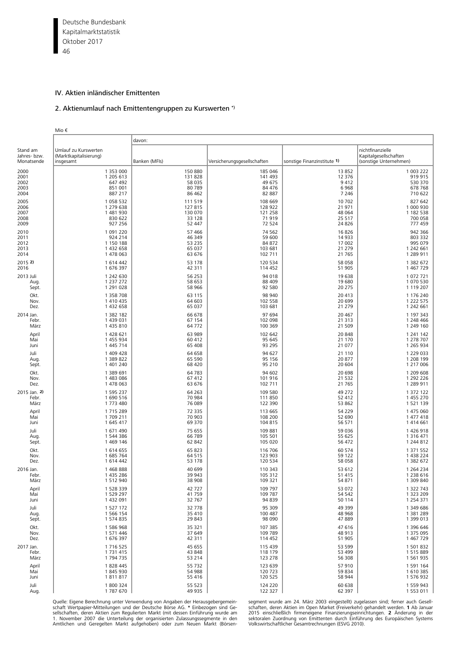Deutsche Bundesbank 46 Kapitalmarktstatistik Oktober 2017

## IV. Aktien inländischer Emittenten

# 2. Aktienumlauf nach Emittentengruppen zu Kurswerten \*)

|                                        | Mio €                                                       |               |                             |                             |                                                                     |
|----------------------------------------|-------------------------------------------------------------|---------------|-----------------------------|-----------------------------|---------------------------------------------------------------------|
|                                        |                                                             | davon:        |                             |                             |                                                                     |
| Stand am<br>Jahres- bzw.<br>Monatsende | Umlauf zu Kurswerten<br>(Marktkapitalisierung)<br>insgesamt | Banken (MFIs) | Versicherungsgesellschaften | sonstige Finanzinstitute 1) | nichtfinanzielle<br>Kapitalgesellschaften<br>(sonstige Unternehmen) |
| 2000                                   | 1 353 000                                                   | 150 880       | 185 046                     | 13852                       | 1 003 222                                                           |
| 2001                                   | 1 205 613                                                   | 131 828       | 141 493                     | 12 376                      | 919 915                                                             |
| 2002                                   | 647 492                                                     | 58 035        | 49 675                      | 9412                        | 530 370                                                             |
| 2003                                   | 851 001                                                     | 80 789        | 84 476                      | 6968                        | 678 768                                                             |
| 2004                                   | 887 217                                                     | 86 462        | 82 887                      | 7 2 4 6                     | 710 622                                                             |
| 2005                                   | 1 058 532                                                   | 111 519       | 108 669                     | 10 702                      | 827 642                                                             |
| 2006                                   | 1 279 638                                                   | 127 815       | 128 922                     | 21 971                      | 1 000 930                                                           |
| 2007                                   | 1 481 930                                                   | 130 070       | 121 258                     | 48 064                      | 1 182 538                                                           |
| 2008                                   | 830 622                                                     | 33 1 28       | 71 919                      | 25 517                      | 700 058                                                             |
| 2009                                   | 927 256                                                     | 52 447        | 72 524                      | 24 8 26                     | 777 459                                                             |
| 2010                                   | 1 091 220                                                   | 57 466        | 74 562                      | 16826                       | 942 366                                                             |
| 2011                                   | 924 214                                                     | 46 349        | 59 600                      | 14 9 33                     | 803 332                                                             |
| 2012                                   | 1 150 188                                                   | 53 2 35       | 84 872                      | 17 002                      | 995 079                                                             |
| 2013                                   | 1 432 658                                                   | 65 037        | 103 681                     | 21 279                      | 1 242 661                                                           |
| 2014                                   | 1 478 063                                                   | 63 676        | 102 711                     | 21 7 65                     | 1 289 911                                                           |
| 2015 2)                                | 1614442                                                     | 53 178        | 120 534                     | 58 058                      | 1 382 672                                                           |
| 2016                                   | 1676397                                                     | 42 311        | 114 452                     | 51 905                      | 1 467 729                                                           |
| 2013 Juli                              | 1 242 630                                                   | 56 253        | 94 018                      | 19 638                      | 1 072 721                                                           |
| Aug.                                   | 1 237 272                                                   | 58 653        | 88 409                      | 19 680                      | 1 070 530                                                           |
| Sept.                                  | 1 291 0 28                                                  | 58 966        | 92 580                      | 20 275                      | 1 119 207                                                           |
| Okt.                                   | 1 358 708                                                   | 63 115        | 98 940                      | 20 413                      | 1 176 240                                                           |
| Nov.                                   | 1 410 435                                                   | 64 603        | 102 558                     | 20 699                      | 1 2 2 5 7 5                                                         |
| Dez.                                   | 1 432 658                                                   | 65 037        | 103 681                     | 21 279                      | 1 242 661                                                           |
| 2014 Jan.                              | 1 382 182                                                   | 66 678        | 97 694                      | 20 467                      | 1 197 343                                                           |
| Febr.                                  | 1 439 031                                                   | 67 154        | 102 098                     | 21 313                      | 1 248 466                                                           |
| März                                   | 1 435 810                                                   | 64 7 72       | 100 369                     | 21 509                      | 1 249 160                                                           |
| April                                  | 1 428 621                                                   | 63 989        | 102 642                     | 20 848                      | 1 241 142                                                           |
| Mai                                    | 1 455 934                                                   | 60 412        | 95 645                      | 21 170                      | 1 278 707                                                           |
| Juni                                   | 1 445 714                                                   | 65 408        | 93 295                      | 21 077                      | 1 265 934                                                           |
| Juli                                   | 1 409 428                                                   | 64 658        | 94 627                      | 21 110                      | 1 229 033                                                           |
| Aug.                                   | 1 389 822                                                   | 65 5 90       | 95 156                      | 20 877                      | 1 208 199                                                           |
| Sept.                                  | 1 401 240                                                   | 68 4 20       | 95 210                      | 20 604                      | 1 217 006                                                           |
| Okt.                                   | 1 389 691                                                   | 64 7 83       | 94 602                      | 20 698                      | 1 209 608                                                           |
| Nov.                                   | 1483086                                                     | 67 412        | 101 916                     | 21 5 32                     | 1 292 226                                                           |
| Dez.                                   | 1 478 063                                                   | 63 676        | 102 711                     | 21 7 65                     | 1 289 911                                                           |
| 2015 Jan. 2)                           | 1 595 237                                                   | 64 2 63       | 109 580                     | 49 27 2                     | 1 372 122                                                           |
| Febr.                                  | 1690516                                                     | 70 984        | 111 850                     | 52 412                      | 1 455 270                                                           |
| März                                   | 1773 480                                                    | 76 089        | 122 390                     | 53 862                      | 1 521 139                                                           |
| April                                  | 1715289                                                     | 72 335        | 113 665                     | 54 229                      | 1 475 060                                                           |
| Mai                                    | 1709 211                                                    | 70 903        | 108 200                     | 52 690                      | 1 477 418                                                           |
| Juni                                   | 1 645 417                                                   | 69 370        | 104 815                     | 56 571                      | 1414661                                                             |
| Juli                                   | 1671490                                                     | 75 655        | 109 881                     | 59 036                      | 1426918                                                             |
| Aug.                                   | 1544386                                                     | 66 789        | 105 501                     | 55 625                      | 1 316 471                                                           |
| Sept.                                  | 1469 146                                                    | 62 842        | 105 020                     | 56 472                      | 1 244 812                                                           |
| Okt.                                   | 1614655                                                     | 65 823        | 116 706                     | 60 574                      | 1 371 552                                                           |
| Nov.                                   | 1685764                                                     | 64 5 1 5      | 123 903                     | 59 122                      | 1 438 224                                                           |
| Dez.                                   | 1 614 442                                                   | 53 178        | 120 534                     | 58 058                      | 1 382 672                                                           |
| 2016 Jan.                              | 1468888                                                     | 40 699        | 110 343                     | 53 612                      | 1 2 6 4 2 3 4                                                       |
| Febr.                                  | 1 435 286                                                   | 39 943        | 105 312                     | 51 415                      | 1 238 616                                                           |
| März                                   | 1 512 940                                                   | 38 908        | 109 321                     | 54 871                      | 1 309 840                                                           |
| April                                  | 1 528 339                                                   | 42 727        | 109 797                     | 53 072                      | 1 322 743                                                           |
| Mai                                    | 1 529 297                                                   | 41759         | 109 787                     | 54 542                      | 1 323 209                                                           |
| Juni                                   | 1 432 091                                                   | 32 767        | 94 839                      | 50 114                      | 1 2 5 4 3 7 1                                                       |
| Juli                                   | 1 527 172                                                   | 32 778        | 95 309                      | 49 399                      | 1 349 686                                                           |
| Aug.                                   | 1 566 154                                                   | 35 410        | 100 487                     | 48 968                      | 1 381 289                                                           |
| Sept.                                  | 1574835                                                     | 29 843        | 98 090                      | 47889                       | 1 399 013                                                           |
| Okt.                                   | 1586968                                                     | 35 321        | 107 385                     | 47 616                      | 1 396 646                                                           |
| Nov.                                   | 1 571 446                                                   | 37 649        | 109 789                     | 48 913                      | 1 375 095                                                           |
| Dez.                                   | 1676397                                                     | 42 311        | 114 452                     | 51 905                      | 1 467 729                                                           |
| 2017 Jan.                              | 1716525                                                     | 45 655        | 115 439                     | 53 599                      | 1 501 832                                                           |
| Febr.                                  | 1 7 3 1 4 1 5                                               | 43 848        | 118 179                     | 53 499                      | 1515889                                                             |
| März                                   | 1794735                                                     | 53 214        | 123 278                     | 56 308                      | 1 561 935                                                           |
| April                                  | 1828445                                                     | 55 7 32       | 123 639                     | 57 910                      | 1 591 164                                                           |
| Mai                                    | 1845930                                                     | 54 988        | 120 723                     | 59 834                      | 1610385                                                             |
| Juni                                   | 1811817                                                     | 55 416        | 120 525                     | 58 944                      | 1 576 932                                                           |
| Juli                                   | 1800324                                                     | 55 523        | 124 220                     | 60 638                      | 1 559 943                                                           |
| Aug.                                   | 1787670                                                     | 49 9 35       | 122 327                     | 62 397                      | 1 553 011                                                           |

Quelle: Eigene Berechnung unter Verwendung von Angaben der Herausgebergemein- segment wurde am 24. März 2003 eingestellt) zugelassen sind; ferner auch Gesell-<br>schaft Wertpapier-Mitteilungen und der Deutsche Börse AG. \* Ein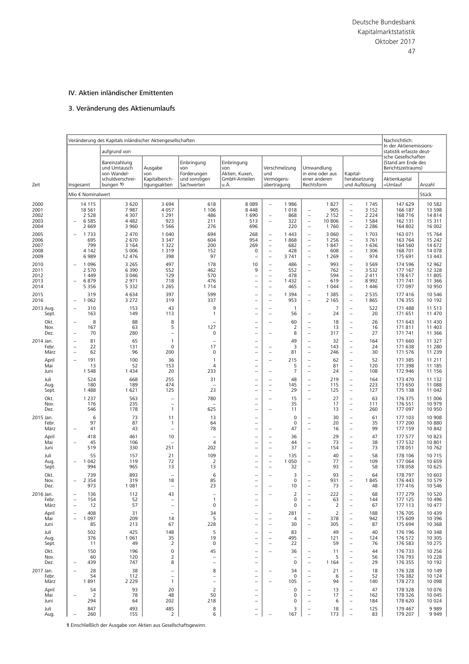# IV. Aktien inländischer Emittenten

# 3. Veränderung des Aktienumlaufs

|                                              |                                                                          | Veränderung des Kapitals inländischer Aktiengesellschaften<br>aufgrund von |                                                                      |                                             |                                                                                              |                                                                                                                                          |                                              |                                                                                                                                                               |                                                      |                                                                                                                                                                      |                                                      | Nachrichtlich:<br>In der Aktienemissions-<br>statistik erfasste deut- |                                                            |
|----------------------------------------------|--------------------------------------------------------------------------|----------------------------------------------------------------------------|----------------------------------------------------------------------|---------------------------------------------|----------------------------------------------------------------------------------------------|------------------------------------------------------------------------------------------------------------------------------------------|----------------------------------------------|---------------------------------------------------------------------------------------------------------------------------------------------------------------|------------------------------------------------------|----------------------------------------------------------------------------------------------------------------------------------------------------------------------|------------------------------------------------------|-----------------------------------------------------------------------|------------------------------------------------------------|
|                                              |                                                                          | Bareinzahlung<br>und Umtausch<br>von Wandel-                               | Ausgabe<br>von                                                       | Einbringung<br>von<br>Forderungen           | Einbringung<br>von<br>Aktien, Kuxen,                                                         | und                                                                                                                                      | Verschmelzung                                |                                                                                                                                                               | Umwandlung<br>in eine oder aus                       | Kapital-                                                                                                                                                             |                                                      | sche Gesellschaften<br>(Stand am Ende des<br>Berichtszeitraums)       |                                                            |
| Zeit                                         | Insgesamt                                                                | schuldverschrei-<br>bungen 1)                                              | Kapitalberich-<br>tigungsaktien                                      | und sonstigen<br>Sachwerten                 | GmbH-Anteilen<br>u.Ä.                                                                        | Vermögens-<br>übertragung                                                                                                                |                                              | Rechtsform                                                                                                                                                    | einer anderen                                        |                                                                                                                                                                      | herabsetzung<br>und Auflösung                        | Aktienkapital<br>=Umlauf                                              | Anzahl                                                     |
|                                              | Mio € Nominalwert                                                        |                                                                            |                                                                      |                                             |                                                                                              |                                                                                                                                          |                                              |                                                                                                                                                               |                                                      |                                                                                                                                                                      |                                                      |                                                                       | Stück                                                      |
| 2000<br>2001<br>2002<br>2003                 | 14 115<br>18 5 61<br>2 5 2 8<br>6 5 8 5<br>÷                             | 3 6 2 0<br>7987<br>4 3 0 7<br>4 4 8 2                                      | 3 6 9 4<br>4 0 5 7<br>1 2 9 1<br>923                                 | 618<br>1 1 0 6<br>486<br>211                | 8089<br>8 4 4 8<br>1690<br>513                                                               | ÷,<br>$\overline{\phantom{a}}$<br>$\overline{\phantom{a}}$                                                                               | 1986<br>1018<br>868<br>322                   | $\overline{\phantom{a}}$<br>$\qquad \qquad -$<br>$\overline{\phantom{m}}$                                                                                     | 1827<br>905<br>2 1 5 2<br>10 806                     | $\overline{\phantom{a}}$<br>$\overline{\phantom{a}}$<br>$\overline{\phantom{a}}$                                                                                     | 1745<br>3 1 5 2<br>2 2 2 4<br>1 5 8 4                | 147 629<br>166 187<br>168 716<br>162 131                              | 10 582<br>13 5 98<br>14 8 14<br>15 311                     |
| 2004<br>2005<br>2006<br>2007<br>2008<br>2009 | 2 6 6 9<br>1733<br>695<br>799<br>4 1 4 2<br>6989                         | 3 9 6 0<br>2 4 7 0<br>2 6 7 0<br>3 1 6 4<br>5 0 0 6<br>12 476              | 1 5 6 6<br>1 0 4 0<br>3 3 4 7<br>1 3 2 2<br>1 3 1 9<br>398           | 276<br>694<br>604<br>200<br>152<br>97       | 696<br>268<br>954<br>269<br>0<br>$\qquad \qquad -$                                           | $\overline{\phantom{a}}$<br>$\overline{\phantom{m}}$<br>$\overline{\phantom{m}}$<br>$\overline{\phantom{a}}$<br>$\overline{\phantom{m}}$ | 220<br>1 4 4 3<br>1868<br>682<br>428<br>3741 | $\overline{\phantom{0}}$<br>$\overline{\phantom{0}}$<br>$\qquad \qquad -$<br>$\overline{\phantom{0}}$<br>$\overline{\phantom{0}}$<br>$\overline{\phantom{0}}$ | 1760<br>3 0 6 0<br>1 2 5 6<br>1847<br>608<br>1 2 6 9 | $\overline{\phantom{a}}$<br>$\overline{\phantom{a}}$<br>$\overline{\phantom{a}}$<br>$\overline{\phantom{a}}$<br>$\overline{\phantom{0}}$<br>$\overline{\phantom{a}}$ | 2 2 8 6<br>1 7 0 3<br>3761<br>1636<br>1 3 0 6<br>974 | 164 802<br>163 071<br>163 764<br>164 560<br>168 701<br>175 691        | 16 002<br>15 7 64<br>15 242<br>14 672<br>14 078<br>13 4 43 |
| 2010<br>2011<br>2012<br>2013<br>2014         | 1 0 9 6<br>2 5 7 0<br>1 4 4 9<br>6879<br>5 3 5 6                         | 3 2 6 5<br>6 3 9 0<br>3 0 4 6<br>2 9 7 1<br>5 3 3 2                        | 497<br>552<br>129<br>718<br>1 2 6 5                                  | 178<br>462<br>570<br>476<br>1714            | 10<br>9<br>$\equiv$<br>$\overline{\phantom{0}}$<br>÷,                                        | $\overline{\phantom{a}}$<br>$\overline{\phantom{m}}$<br>$\overline{\phantom{a}}$<br>$\overline{\phantom{a}}$<br>$\equiv$                 | 486<br>552<br>478<br>1 4 3 2<br>465          | $\qquad \qquad -$<br>$\overline{\phantom{0}}$<br>$\qquad \qquad -$<br>$\overline{\phantom{0}}$                                                                | 993<br>762<br>594<br>619<br>1 0 4 4                  | $\overline{\phantom{a}}$<br>$\overline{\phantom{0}}$<br>$\overline{\phantom{a}}$<br>$\overline{\phantom{0}}$<br>$\overline{\phantom{0}}$                             | 3 5 6 9<br>3 5 3 2<br>2 4 1 1<br>8992<br>1 4 4 6     | 174 596<br>177 167<br>178 617<br>171 741<br>177 097                   | 12 962<br>12 3 28<br>11 805<br>11 366<br>10 950            |
| 2015<br>2016<br>2013 Aug.                    | 319<br>1 0 6 2<br>÷<br>310<br>$\overline{\phantom{0}}$                   | 4634<br>3 2 7 2<br>153                                                     | 397<br>319<br>43                                                     | 599<br>337<br>9                             | $\overline{\phantom{a}}$<br>$\overline{\phantom{0}}$<br>$\qquad \qquad -$                    | $\overline{\phantom{a}}$<br>$\overline{\phantom{a}}$<br>$\qquad \qquad -$                                                                | 1 3 9 4<br>953<br>$\overline{1}$             | $\qquad \qquad -$<br>$\qquad \qquad -$                                                                                                                        | 1 3 8 5<br>2 1 6 5<br>7                              | $\overline{\phantom{a}}$<br>÷<br>$\overline{\phantom{a}}$                                                                                                            | 2 5 3 5<br>1865<br>522                               | 177 416<br>176 355<br>171 488                                         | 10 546<br>10 192<br>11 513                                 |
| Sept.<br>Okt.<br>Nov.<br>Dez.                | 163<br>8<br>$\overline{\phantom{0}}$<br>167<br>70                        | 149<br>88<br>63<br>280                                                     | 113<br>8<br>5<br>$\qquad \qquad -$                                   | 1<br>127<br>0                               | $\overline{\phantom{0}}$<br>$\overline{\phantom{a}}$<br>$\equiv$<br>$\overline{\phantom{0}}$ | $\overline{\phantom{0}}$<br>$\equiv$                                                                                                     | 56<br>60<br>$\overline{2}$<br>8              | $\qquad \qquad -$<br>$\overline{\phantom{0}}$<br>$\overline{\phantom{0}}$<br>$\qquad \qquad -$                                                                | 24<br>18<br>13<br>317                                | $\overline{\phantom{0}}$<br>$\overline{\phantom{a}}$<br>$\overline{\phantom{a}}$<br>$\overline{\phantom{a}}$                                                         | 20<br>26<br>16<br>27                                 | 171 651<br>171 643<br>171811<br>171 741                               | 11 470<br>11 430<br>11 403<br>11 366                       |
| 2014 Jan.<br>Febr.<br>März                   | 81<br>$\overline{\phantom{0}}$<br>22<br>÷<br>62<br>÷                     | 65<br>131<br>96                                                            | $\mathbf{1}$<br>0<br>200                                             | 17<br>$\mathbf 0$                           | $\overline{\phantom{0}}$<br>$\overline{\phantom{0}}$<br>$\overline{\phantom{0}}$             | $\overline{\phantom{0}}$<br>$\overline{\phantom{a}}$                                                                                     | 49<br>3<br>81                                | $\overline{\phantom{0}}$<br>$\overline{\phantom{0}}$<br>$\overline{\phantom{0}}$                                                                              | 32<br>143<br>246                                     | $\overline{\phantom{0}}$<br>$\equiv$<br>$\equiv$                                                                                                                     | 164<br>24<br>30                                      | 171 660<br>171 638<br>171 576                                         | 11 327<br>11 280<br>11 239                                 |
| April<br>Mai<br>Juni                         | 191<br>$\overline{a}$<br>13<br>1 5 4 8                                   | 100<br>52<br>1434                                                          | 36<br>153<br>20                                                      | $\mathbf{1}$<br>$\overline{4}$<br>233       | $\overline{\phantom{a}}$<br>$\equiv$<br>$\equiv$                                             | $\overline{\phantom{a}}$<br>$\equiv$                                                                                                     | 215<br>5<br>$\overline{7}$                   | $\overline{\phantom{0}}$<br>$\qquad \qquad -$<br>$\overline{\phantom{0}}$                                                                                     | 62<br>81<br>24                                       | $\overline{\phantom{a}}$<br>$\overline{\phantom{0}}$<br>$\equiv$                                                                                                     | 52<br>120<br>108                                     | 171 385<br>171 398<br>172 946                                         | 11 211<br>11 185<br>11 156                                 |
| Juli<br>Aug.<br>Sept.                        | 524<br>180<br>1 4 8 8                                                    | 668<br>189<br>1621                                                         | 255<br>474<br>125                                                    | 31<br>23                                    | $\qquad \qquad -$<br>$\overline{\phantom{0}}$<br>$\equiv$                                    | $\overline{\phantom{a}}$<br>$\overline{\phantom{0}}$<br>$\overline{\phantom{a}}$                                                         | 48<br>145<br>29                              | $\overline{\phantom{0}}$<br>$\overline{\phantom{0}}$<br>$\overline{\phantom{0}}$                                                                              | 219<br>115<br>125                                    | $\overline{\phantom{a}}$<br>$\overline{\phantom{0}}$<br>$\overline{\phantom{a}}$                                                                                     | 164<br>223<br>127                                    | 173 470<br>173 650<br>175 138                                         | 11 132<br>11 088<br>11 042                                 |
| Okt.<br>Nov.<br>Dez.                         | 1 2 3 7<br>176<br>546                                                    | 563<br>235<br>178                                                          | $\overline{\phantom{0}}$<br>$\overline{\phantom{0}}$<br>$\mathbf{1}$ | 780<br>625                                  | $\qquad \qquad -$<br>$\qquad \qquad -$                                                       | $\overline{\phantom{0}}$                                                                                                                 | 15<br>35<br>11                               | $\qquad \qquad -$                                                                                                                                             | 27<br>17<br>13                                       | $\overline{\phantom{a}}$<br>$\overline{\phantom{a}}$<br>$\overline{\phantom{0}}$                                                                                     | 63<br>111<br>260                                     | 176 375<br>176 551<br>177 097                                         | 11 006<br>10 979<br>10 950                                 |
| 2015 Jan.<br>Febr.<br>März                   | 6<br>97<br>41<br>$\overline{\phantom{0}}$                                | 73<br>87<br>43                                                             | 11<br>$\mathbf{1}$<br>$\qquad \qquad -$                              | 13<br>64<br>78                              | $\qquad \qquad -$<br>$\qquad \qquad -$<br>$\overline{\phantom{0}}$                           |                                                                                                                                          | $\mathbf 0$<br>$\mathbf 0$<br>47             | $\qquad \qquad -$<br>$\overline{\phantom{0}}$<br>$\overline{\phantom{0}}$                                                                                     | 30<br>20<br>16                                       | $\overline{\phantom{a}}$<br>$\overline{\phantom{0}}$<br>$\overline{\phantom{a}}$                                                                                     | 61<br>35<br>99                                       | 177 103<br>177 200<br>177 159                                         | 10 908<br>10 880<br>10 842                                 |
| April<br>Mai<br>Juni<br>Juli                 | 418<br>45<br>۰<br>519<br>55                                              | 461<br>106<br>330<br>157                                                   | 10<br>251<br>21                                                      | $\overline{\phantom{0}}$<br>4<br>202<br>109 | $\equiv$<br>÷,<br>$\overline{\phantom{0}}$                                                   | $\overline{\phantom{m}}$<br>$\overline{\phantom{0}}$<br>$\equiv$<br>$\overline{\phantom{m}}$                                             | 36<br>44<br>37<br>135                        | $\overline{\phantom{0}}$<br>$\overline{\phantom{0}}$<br>$\qquad \qquad -$                                                                                     | 29<br>73<br>154<br>40                                | $\overline{\phantom{a}}$<br>$\overline{\phantom{0}}$<br>$\overline{\phantom{a}}$<br>$\overline{\phantom{0}}$                                                         | 47<br>38<br>73<br>58                                 | 177 577<br>177 532<br>178 051<br>178 106                              | 10823<br>10 801<br>10 762<br>10 715                        |
| Aug.<br>Sept.<br>Okt.                        | 1 0 4 2<br>$\overline{\phantom{0}}$<br>994<br>739                        | 119<br>965<br>893                                                          | 72<br>13<br>$\equiv$                                                 | 2<br>13<br>6                                | $\qquad \qquad -$<br>$\overline{\phantom{0}}$                                                | $\overline{\phantom{a}}$<br>$\overline{\phantom{a}}$                                                                                     | 1 0 5 0<br>32<br>3                           | $\qquad \qquad -$<br>$\overline{\phantom{0}}$                                                                                                                 | 77<br>93<br>93                                       | $\overline{\phantom{0}}$<br>$\overline{\phantom{a}}$<br>$\overline{\phantom{0}}$                                                                                     | 109<br>58<br>64                                      | 177 064<br>178 058<br>178 797                                         | 10 659<br>10 625<br>10 603                                 |
| Nov.<br>Dez.<br>2016 Jan.                    | 2 3 5 4<br>$\equiv$<br>973<br>136                                        | 319<br>1 081<br>112                                                        | 18<br>43                                                             | 85<br>23                                    | ÷,<br>$\overline{\phantom{m}}$                                                               |                                                                                                                                          | 0<br>10<br>2                                 | ÷                                                                                                                                                             | 931<br>73<br>222                                     | $\overline{\phantom{a}}$<br>$\overline{\phantom{a}}$                                                                                                                 | 1845<br>48<br>68                                     | 176 443<br>177416<br>177 279                                          | 10 579<br>10 546<br>10 520                                 |
| Febr.<br>März<br>April                       | 154<br>12<br>$\overline{\phantom{0}}$<br>408<br>$\overline{\phantom{0}}$ | 52<br>57<br>31                                                             | $\equiv$<br>$\overline{\phantom{0}}$                                 | 1<br>0<br>34                                | $\overline{\phantom{0}}$<br>$\overline{\phantom{a}}$                                         |                                                                                                                                          | 0<br>0<br>281                                | ۰<br>$\overline{\phantom{0}}$                                                                                                                                 | 63<br>$\overline{2}$<br>2                            | $\overline{\phantom{0}}$<br>$\overline{\phantom{0}}$                                                                                                                 | 144<br>67<br>188                                     | 177 125<br>177 113<br>176 705                                         | 10 4 9 6<br>10 477<br>10 4 39                              |
| Mai<br>Juni<br>Juli                          | 1 0 9 7<br>85<br>502                                                     | 209<br>213<br>425                                                          | 14<br>67<br>148                                                      | 5<br>228<br>5                               | $\qquad \qquad -$<br>$\overline{\phantom{0}}$<br>$\qquad \qquad -$                           | $\overline{\phantom{0}}$<br>$\overline{\phantom{0}}$                                                                                     | 4<br>30<br>83                                | $\qquad \qquad -$<br>$\equiv$                                                                                                                                 | 378<br>305<br>49                                     | $\overline{\phantom{0}}$<br>$\overline{\phantom{a}}$<br>$\overline{\phantom{0}}$                                                                                     | 942<br>87<br>40                                      | 175 609<br>175 694<br>176 196                                         | 10 396<br>10 3 68<br>10 348                                |
| Aug.<br>Sept.<br>Okt.                        | 376<br>11<br>150                                                         | 1 0 6 1<br>49<br>196                                                       | 35<br>$\overline{2}$<br>0                                            | 19<br>0<br>45                               | $\qquad \qquad -$                                                                            | $\equiv$                                                                                                                                 | 495<br>22<br>36                              | $\qquad \qquad -$<br>-                                                                                                                                        | 121<br>59<br>11                                      | $\overline{\phantom{a}}$<br>$\overline{\phantom{0}}$                                                                                                                 | 124<br>76<br>44                                      | 176 572<br>176 583<br>176 733                                         | 10 305<br>10 275<br>10 256                                 |
| Nov.<br>Dez.<br>2017 Jan.                    | 60<br>439<br>28                                                          | 120<br>747<br>38                                                           | 2<br>8                                                               | $\overline{\phantom{0}}$<br>8               | $\overline{\phantom{0}}$<br>$\qquad \qquad -$                                                |                                                                                                                                          | 0<br>34                                      | $\overline{\phantom{0}}$<br>$\qquad \qquad -$<br>$\overline{a}$                                                                                               | 5<br>1 1 6 4<br>21                                   | $\equiv$<br>$\overline{\phantom{0}}$                                                                                                                                 | 56<br>29<br>18                                       | 176 793<br>176 355<br>176 328                                         | 10 228<br>10 192<br>10 149                                 |
| Febr.<br>März<br>April                       | 54<br>1891<br>54                                                         | 112<br>2 2 2 9<br>93                                                       | $\overline{\phantom{0}}$<br>$\mathbf{1}$<br>20                       | $\overline{\phantom{0}}$<br>÷,<br>2         | $\overline{\phantom{0}}$<br>$\qquad \qquad -$<br>$\qquad \qquad -$                           |                                                                                                                                          | 0<br>105<br>0                                | $\overline{\phantom{0}}$<br>$\qquad \qquad -$<br>$\overline{\phantom{0}}$                                                                                     | 6<br>94<br>13                                        | $\overline{\phantom{0}}$<br>$\overline{\phantom{a}}$<br>$\overline{\phantom{0}}$                                                                                     | 52<br>140<br>47                                      | 176 382<br>178 273<br>178 328                                         | 10 124<br>10 098<br>10 076                                 |
| Mai<br>Juni<br>Juli                          | $\overline{2}$<br>294<br>847                                             | 78<br>64<br>493                                                            | 48<br>202<br>485                                                     | 50<br>218<br>8                              | $\qquad \qquad$<br>-                                                                         |                                                                                                                                          | 0<br>0<br>3                                  | $\overline{\phantom{0}}$<br>$\overline{\phantom{0}}$<br>$\overline{\phantom{0}}$                                                                              | 17<br>6<br>18                                        | $\overline{\phantom{0}}$<br>$\overline{\phantom{0}}$<br>۰                                                                                                            | 162<br>184<br>125                                    | 178 326<br>178 620<br>179 467                                         | 10 045<br>10 0 24<br>9989                                  |
| Aug.                                         | 260                                                                      | 155                                                                        | $\overline{2}$                                                       | 6                                           | $\overline{\phantom{0}}$                                                                     |                                                                                                                                          | 167                                          | $\overline{\phantom{0}}$                                                                                                                                      | 173                                                  | $\overline{\phantom{0}}$                                                                                                                                             | 83                                                   | 179 207                                                               | 9 9 4 9                                                    |

**1** Einschließlich der Ausgabe von Aktien aus Gesellschaftsgewinn.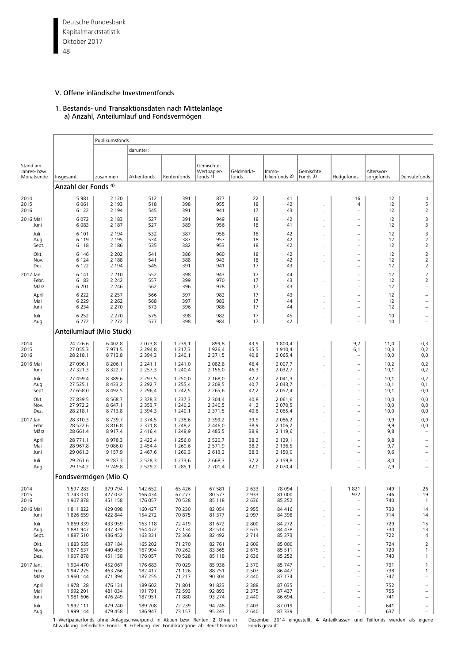Deutsche Bundesbank 48 Kapitalmarktstatistik Oktober 2017

# V. Offene inländische Investmentfonds

#### 1. Bestands- und Transaktionsdaten nach Mittelanlage a) Anzahl, Anteilumlauf und Fondsvermögen

|                                        |                                   | Publikumsfonds                         |                                           |                                                                                                                                                                                                                                                                                                                                                                                                                                                                                                                                                                                                                                                                                                                                                                                                                                                                                                                                                                                                                                                                                                                                                                                                                                                                                                                                                                                                                                                                                                                                                                                                                                                                                                                                                                                                                                                                                                                                                                                                                                                                                                                                                                                                                                                                                                                                                                                                                                                                                                                                                                                                                                                                                                                                                                                                                                                                                                                                                                                                                                                                                                                                                            |                            |                               |                            |    |                                                                                  |                          |                                                                           |  |  |
|----------------------------------------|-----------------------------------|----------------------------------------|-------------------------------------------|------------------------------------------------------------------------------------------------------------------------------------------------------------------------------------------------------------------------------------------------------------------------------------------------------------------------------------------------------------------------------------------------------------------------------------------------------------------------------------------------------------------------------------------------------------------------------------------------------------------------------------------------------------------------------------------------------------------------------------------------------------------------------------------------------------------------------------------------------------------------------------------------------------------------------------------------------------------------------------------------------------------------------------------------------------------------------------------------------------------------------------------------------------------------------------------------------------------------------------------------------------------------------------------------------------------------------------------------------------------------------------------------------------------------------------------------------------------------------------------------------------------------------------------------------------------------------------------------------------------------------------------------------------------------------------------------------------------------------------------------------------------------------------------------------------------------------------------------------------------------------------------------------------------------------------------------------------------------------------------------------------------------------------------------------------------------------------------------------------------------------------------------------------------------------------------------------------------------------------------------------------------------------------------------------------------------------------------------------------------------------------------------------------------------------------------------------------------------------------------------------------------------------------------------------------------------------------------------------------------------------------------------------------------------------------------------------------------------------------------------------------------------------------------------------------------------------------------------------------------------------------------------------------------------------------------------------------------------------------------------------------------------------------------------------------------------------------------------------------------------------------------------------------|----------------------------|-------------------------------|----------------------------|----|----------------------------------------------------------------------------------|--------------------------|---------------------------------------------------------------------------|--|--|
|                                        |                                   |                                        | darunter:                                 | Gemischte<br>Wertpapier-<br>Geldmarkt-<br>Gemischte<br>lmmo-<br>fonds 1)<br>bilienfonds 2)<br>Fonds 3)<br>Rentenfonds<br>fonds<br>Hedgefonds<br>512<br>391<br>877<br>22<br>41<br>16<br>518<br>398<br>955<br>18<br>42<br>4<br>391<br>43<br>545<br>941<br>17<br>$\overline{\phantom{0}}$<br>527<br>391<br>949<br>18<br>42<br>۰<br>527<br>389<br>956<br>18<br>41<br>$\overline{\phantom{0}}$<br>532<br>387<br>958<br>18<br>42<br>$\overline{\phantom{0}}$<br>534<br>387<br>957<br>18<br>42<br>$\overline{\phantom{0}}$<br>535<br>382<br>953<br>18<br>42<br>۰<br>541<br>386<br>960<br>18<br>42<br>$\overline{\phantom{0}}$<br>541<br>388<br>943<br>42<br>18<br>$\overline{\phantom{0}}$<br>545<br>391<br>941<br>17<br>43<br>$\overline{\phantom{0}}$<br>17<br>552<br>398<br>943<br>44<br>$\overline{\phantom{0}}$<br>557<br>399<br>970<br>43<br>17<br>$\overline{\phantom{0}}$<br>562<br>396<br>978<br>17<br>43<br>$\overline{\phantom{0}}$<br>566<br>397<br>982<br>17<br>43<br>$\overline{\phantom{0}}$<br>568<br>397<br>983<br>17<br>44<br>$\qquad \qquad -$<br>573<br>396<br>986<br>17<br>44<br>$\overline{\phantom{0}}$<br>575<br>398<br>982<br>17<br>45<br>$\qquad \qquad -$<br>577<br>398<br>984<br>17<br>42<br>1 2 3 9 , 1<br>899,8<br>43,9<br>1 800,4<br>9,2<br>1 2 1 7 , 3<br>1926,4<br>45,5<br>1910,4<br>6,1<br>2 3 7 1 , 5<br>2 0 6 5, 4<br>1 240,1<br>40,8<br>۰<br>2 007,7<br>1 241,0<br>2 0 8 2 , 8<br>46,4<br>$\overline{\phantom{0}}$<br>1 240,4<br>2 156,0<br>46,3<br>2 0 3 2, 7<br>$\overline{\phantom{0}}$<br>1 250,0<br>2 168,0<br>42,2<br>2 041,3<br>$\overline{\phantom{0}}$<br>1 2 5 5 , 4<br>2 2 0 8,5<br>40,7<br>2 043,7<br>$\overline{\phantom{a}}$<br>1 2 4 2, 5<br>2 0 5 2, 4<br>2 2 6 5, 6<br>42,2<br>$\overline{\phantom{0}}$<br>1 2 3 7 , 3<br>2 3 0 4, 4<br>40,8<br>2 0 6 1, 6<br>$\overline{\phantom{0}}$<br>1 240,2<br>2 3 4 0, 5<br>2 0 7 0,5<br>41,2<br>$\overline{\phantom{a}}$<br>1 240,1<br>2 3 7 1 , 5<br>2 0 6 5, 4<br>40,8<br>$\overline{\phantom{0}}$<br>1 2 3 8,6<br>2 3 9 9, 2<br>2 0 8 6, 2<br>39,5<br>$\overline{\phantom{0}}$<br>1 2 4 8, 2<br>2 4 4 6,0<br>38,9<br>2 106,2<br>$\overline{\phantom{0}}$<br>2 485,5<br>2 119,6<br>1 2 4 8, 9<br>38,9<br>$\overline{\phantom{0}}$<br>k.<br>2 4 2 2, 4<br>1 256,0<br>2 5 2 0 , 7<br>38,2<br>2 129,1<br>÷,<br>38,2<br>1 2 6 9, 6<br>2 571,9<br>2 136,5<br>÷<br>2 150,0<br>1 2 6 9, 3<br>2 613,2<br>38,3<br>$\overline{\phantom{0}}$<br>2 5 2 8 , 3<br>1 273,6<br>2 668,3<br>37,2<br>2 159,8<br>$\overline{\phantom{0}}$<br>1 2 8 5 , 1<br>2 701,4<br>2 070,4<br>42,0<br>÷,<br>65 4 26<br>67 581<br>2 6 3 3<br>78 094<br>1821<br>67 277<br>80 577<br>2933<br>81 000<br>972<br>85 25 2<br>70 528<br>2 6 3 6<br>85 118<br>$\overline{\phantom{a}}$<br>82 054<br>2 9 5 5<br>84 416<br>70 230<br>$\qquad \qquad -$<br>70 875<br>81 377<br>2 9 9 7<br>84 398<br>$\overline{\phantom{m}}$<br>72 419<br>81 672<br>2 8 0 0<br>84 272<br>$\qquad \qquad -$<br>2 6 7 5<br>84 478<br>73 134<br>82 514<br>$\overline{\phantom{a}}$<br>72 366<br>82 492<br>2 7 1 4<br>85 373<br>$\overline{\phantom{a}}$<br>ä,<br>71 270<br>82 761<br>2 609<br>85 000<br>$\overline{\phantom{a}}$ |                            |                               |                            |    |                                                                                  |                          |                                                                           |  |  |
| Stand am<br>Jahres- bzw.<br>Monatsende | Insgesamt                         | zusammen                               | Aktienfonds                               |                                                                                                                                                                                                                                                                                                                                                                                                                                                                                                                                                                                                                                                                                                                                                                                                                                                                                                                                                                                                                                                                                                                                                                                                                                                                                                                                                                                                                                                                                                                                                                                                                                                                                                                                                                                                                                                                                                                                                                                                                                                                                                                                                                                                                                                                                                                                                                                                                                                                                                                                                                                                                                                                                                                                                                                                                                                                                                                                                                                                                                                                                                                                                            |                            |                               |                            |    |                                                                                  | Altersvor-<br>sorgefonds | Derivatefonds                                                             |  |  |
|                                        | Anzahl der Fonds 4)               |                                        |                                           |                                                                                                                                                                                                                                                                                                                                                                                                                                                                                                                                                                                                                                                                                                                                                                                                                                                                                                                                                                                                                                                                                                                                                                                                                                                                                                                                                                                                                                                                                                                                                                                                                                                                                                                                                                                                                                                                                                                                                                                                                                                                                                                                                                                                                                                                                                                                                                                                                                                                                                                                                                                                                                                                                                                                                                                                                                                                                                                                                                                                                                                                                                                                                            |                            |                               |                            |    |                                                                                  |                          |                                                                           |  |  |
| 2014<br>2015<br>2016                   | 5981<br>6 0 61<br>6 1 2 2         | 2 1 2 0<br>2 1 9 3<br>2 1 9 4          |                                           |                                                                                                                                                                                                                                                                                                                                                                                                                                                                                                                                                                                                                                                                                                                                                                                                                                                                                                                                                                                                                                                                                                                                                                                                                                                                                                                                                                                                                                                                                                                                                                                                                                                                                                                                                                                                                                                                                                                                                                                                                                                                                                                                                                                                                                                                                                                                                                                                                                                                                                                                                                                                                                                                                                                                                                                                                                                                                                                                                                                                                                                                                                                                                            |                            |                               |                            |    |                                                                                  | 12<br>12<br>12           | 4<br>5<br>$\overline{2}$                                                  |  |  |
| 2016 Mai<br>Juni                       | 6072<br>6 0 83                    | 2 1 8 3<br>2 1 8 7                     |                                           |                                                                                                                                                                                                                                                                                                                                                                                                                                                                                                                                                                                                                                                                                                                                                                                                                                                                                                                                                                                                                                                                                                                                                                                                                                                                                                                                                                                                                                                                                                                                                                                                                                                                                                                                                                                                                                                                                                                                                                                                                                                                                                                                                                                                                                                                                                                                                                                                                                                                                                                                                                                                                                                                                                                                                                                                                                                                                                                                                                                                                                                                                                                                                            |                            |                               |                            |    |                                                                                  | 12<br>12                 | 3<br>3                                                                    |  |  |
| Juli<br>Aug.<br>Sept.                  | 6 1 0 1<br>6 1 1 9<br>6 1 1 8     | 2 1 9 4<br>2 1 9 5<br>2 1 8 6          |                                           |                                                                                                                                                                                                                                                                                                                                                                                                                                                                                                                                                                                                                                                                                                                                                                                                                                                                                                                                                                                                                                                                                                                                                                                                                                                                                                                                                                                                                                                                                                                                                                                                                                                                                                                                                                                                                                                                                                                                                                                                                                                                                                                                                                                                                                                                                                                                                                                                                                                                                                                                                                                                                                                                                                                                                                                                                                                                                                                                                                                                                                                                                                                                                            |                            |                               |                            |    |                                                                                  | 12<br>12<br>12           | 3<br>$\overline{2}$<br>$\overline{2}$                                     |  |  |
| Okt.<br>Nov.<br>Dez.                   | 6 1 4 6<br>6 1 2 4<br>6 1 2 2     | 2 2 0 2<br>2 1 8 8<br>2 1 9 4          |                                           |                                                                                                                                                                                                                                                                                                                                                                                                                                                                                                                                                                                                                                                                                                                                                                                                                                                                                                                                                                                                                                                                                                                                                                                                                                                                                                                                                                                                                                                                                                                                                                                                                                                                                                                                                                                                                                                                                                                                                                                                                                                                                                                                                                                                                                                                                                                                                                                                                                                                                                                                                                                                                                                                                                                                                                                                                                                                                                                                                                                                                                                                                                                                                            |                            |                               |                            |    |                                                                                  | 12<br>12<br>12           | $\overline{2}$<br>$\overline{2}$<br>$\overline{2}$                        |  |  |
| 2017 Jan.<br>Febr.<br>März             | 6 1 4 1<br>6 1 8 3<br>6 2 0 1     | 2 2 1 0<br>2 2 4 2<br>2 2 4 6          |                                           |                                                                                                                                                                                                                                                                                                                                                                                                                                                                                                                                                                                                                                                                                                                                                                                                                                                                                                                                                                                                                                                                                                                                                                                                                                                                                                                                                                                                                                                                                                                                                                                                                                                                                                                                                                                                                                                                                                                                                                                                                                                                                                                                                                                                                                                                                                                                                                                                                                                                                                                                                                                                                                                                                                                                                                                                                                                                                                                                                                                                                                                                                                                                                            |                            |                               |                            |    |                                                                                  | 12<br>12<br>12           | $\overline{2}$<br>$\overline{2}$<br>$\qquad \qquad -$                     |  |  |
| April<br>Mai<br>Juni                   | 6 2 2 2<br>6 2 2 9<br>6 2 3 4     | 2 2 5 7<br>2 2 6 2<br>2 2 7 0          |                                           |                                                                                                                                                                                                                                                                                                                                                                                                                                                                                                                                                                                                                                                                                                                                                                                                                                                                                                                                                                                                                                                                                                                                                                                                                                                                                                                                                                                                                                                                                                                                                                                                                                                                                                                                                                                                                                                                                                                                                                                                                                                                                                                                                                                                                                                                                                                                                                                                                                                                                                                                                                                                                                                                                                                                                                                                                                                                                                                                                                                                                                                                                                                                                            |                            |                               |                            |    |                                                                                  | 12<br>12<br>12           | $\qquad \qquad -$<br>$\overline{\phantom{0}}$<br>$\overline{\phantom{0}}$ |  |  |
| Juli<br>Aug.                           | 6 2 5 2<br>6 2 7 2                | 2 2 7 0<br>2 2 7 2                     |                                           |                                                                                                                                                                                                                                                                                                                                                                                                                                                                                                                                                                                                                                                                                                                                                                                                                                                                                                                                                                                                                                                                                                                                                                                                                                                                                                                                                                                                                                                                                                                                                                                                                                                                                                                                                                                                                                                                                                                                                                                                                                                                                                                                                                                                                                                                                                                                                                                                                                                                                                                                                                                                                                                                                                                                                                                                                                                                                                                                                                                                                                                                                                                                                            |                            |                               |                            |    |                                                                                  | 10<br>10                 |                                                                           |  |  |
|                                        | Anteilumlauf (Mio Stück)          |                                        |                                           |                                                                                                                                                                                                                                                                                                                                                                                                                                                                                                                                                                                                                                                                                                                                                                                                                                                                                                                                                                                                                                                                                                                                                                                                                                                                                                                                                                                                                                                                                                                                                                                                                                                                                                                                                                                                                                                                                                                                                                                                                                                                                                                                                                                                                                                                                                                                                                                                                                                                                                                                                                                                                                                                                                                                                                                                                                                                                                                                                                                                                                                                                                                                                            |                            |                               |                            |    |                                                                                  |                          |                                                                           |  |  |
| 2014<br>2015<br>2016                   | 24 226,6<br>27 055,3<br>28 218,1  | 6 402,8<br>7971,5<br>8713,8            | 2 073,8<br>2 2 9 4, 8<br>2 3 9 4 , 3      |                                                                                                                                                                                                                                                                                                                                                                                                                                                                                                                                                                                                                                                                                                                                                                                                                                                                                                                                                                                                                                                                                                                                                                                                                                                                                                                                                                                                                                                                                                                                                                                                                                                                                                                                                                                                                                                                                                                                                                                                                                                                                                                                                                                                                                                                                                                                                                                                                                                                                                                                                                                                                                                                                                                                                                                                                                                                                                                                                                                                                                                                                                                                                            |                            |                               |                            |    |                                                                                  | 11,0<br>10,3<br>10,0     | 0,3<br>0,2<br>0,0                                                         |  |  |
| 2016 Mai<br>Juni                       | 27 096,1<br>27 321,3              | 8 2 0 6, 1<br>8 3 2 2, 7               | 2 2 4 1 , 1<br>2 2 5 7 , 3                |                                                                                                                                                                                                                                                                                                                                                                                                                                                                                                                                                                                                                                                                                                                                                                                                                                                                                                                                                                                                                                                                                                                                                                                                                                                                                                                                                                                                                                                                                                                                                                                                                                                                                                                                                                                                                                                                                                                                                                                                                                                                                                                                                                                                                                                                                                                                                                                                                                                                                                                                                                                                                                                                                                                                                                                                                                                                                                                                                                                                                                                                                                                                                            |                            |                               |                            |    |                                                                                  | 10,2<br>10,1             | 0,2<br>0,2                                                                |  |  |
| Juli<br>Aug.<br>Sept.                  | 27 459,4<br>27 525,1<br>27 658,0  | 8 3 8 9, 6<br>8 4 3 3, 2<br>8 4 9 2, 5 | 2 2 9 7, 5<br>2 2 9 2, 7<br>2 2 9 6, 4    |                                                                                                                                                                                                                                                                                                                                                                                                                                                                                                                                                                                                                                                                                                                                                                                                                                                                                                                                                                                                                                                                                                                                                                                                                                                                                                                                                                                                                                                                                                                                                                                                                                                                                                                                                                                                                                                                                                                                                                                                                                                                                                                                                                                                                                                                                                                                                                                                                                                                                                                                                                                                                                                                                                                                                                                                                                                                                                                                                                                                                                                                                                                                                            |                            |                               |                            |    |                                                                                  | 10,1<br>10,1<br>10,1     | 0,2<br>0,1<br>0,0                                                         |  |  |
| Okt.<br>Nov.<br>Dez.                   | 27 839,5<br>27 972,2<br>28 218,1  | 8 5 6 8,7<br>8 6 4 7, 1<br>8713,8      | 2 3 2 8 , 3<br>2 3 5 3 , 7<br>2 3 9 4 , 3 |                                                                                                                                                                                                                                                                                                                                                                                                                                                                                                                                                                                                                                                                                                                                                                                                                                                                                                                                                                                                                                                                                                                                                                                                                                                                                                                                                                                                                                                                                                                                                                                                                                                                                                                                                                                                                                                                                                                                                                                                                                                                                                                                                                                                                                                                                                                                                                                                                                                                                                                                                                                                                                                                                                                                                                                                                                                                                                                                                                                                                                                                                                                                                            |                            |                               |                            |    |                                                                                  | 10,0<br>10,0<br>10,0     | 0,0<br>0,0<br>0,0                                                         |  |  |
| 2017 Jan.<br>Febr.<br>März             | 28 310,3<br>28 522,6<br>28 661,4  | 8739,7<br>8816,8<br>8917,4             | 2 3 7 4, 5<br>2 371,8<br>2 4 1 6,4        |                                                                                                                                                                                                                                                                                                                                                                                                                                                                                                                                                                                                                                                                                                                                                                                                                                                                                                                                                                                                                                                                                                                                                                                                                                                                                                                                                                                                                                                                                                                                                                                                                                                                                                                                                                                                                                                                                                                                                                                                                                                                                                                                                                                                                                                                                                                                                                                                                                                                                                                                                                                                                                                                                                                                                                                                                                                                                                                                                                                                                                                                                                                                                            |                            |                               |                            |    |                                                                                  | 9,9<br>9,9<br>9,8        | 0,0<br>0,0                                                                |  |  |
| April<br>Mai<br>Juni                   | 28 771,1<br>28 967,8<br>29 061,3  | 8978,3<br>9 0 86,0<br>9 1 5 7, 9       | 2 454,4<br>2 467,6                        |                                                                                                                                                                                                                                                                                                                                                                                                                                                                                                                                                                                                                                                                                                                                                                                                                                                                                                                                                                                                                                                                                                                                                                                                                                                                                                                                                                                                                                                                                                                                                                                                                                                                                                                                                                                                                                                                                                                                                                                                                                                                                                                                                                                                                                                                                                                                                                                                                                                                                                                                                                                                                                                                                                                                                                                                                                                                                                                                                                                                                                                                                                                                                            |                            |                               |                            |    |                                                                                  | 9,8<br>9,7<br>9,6        | $\overline{\phantom{0}}$<br>$\qquad \qquad -$                             |  |  |
| Juli<br>Aug.                           | 29 261,6<br>29 154,2              | 9 2 8 7, 3<br>9 2 4 9, 8               | 2 5 2 9 , 2                               |                                                                                                                                                                                                                                                                                                                                                                                                                                                                                                                                                                                                                                                                                                                                                                                                                                                                                                                                                                                                                                                                                                                                                                                                                                                                                                                                                                                                                                                                                                                                                                                                                                                                                                                                                                                                                                                                                                                                                                                                                                                                                                                                                                                                                                                                                                                                                                                                                                                                                                                                                                                                                                                                                                                                                                                                                                                                                                                                                                                                                                                                                                                                                            |                            |                               |                            |    |                                                                                  | 8,0<br>7,9               | $\overline{\phantom{0}}$<br>$\overline{\phantom{0}}$                      |  |  |
|                                        | Fondsvermögen (Mio €)             |                                        |                                           |                                                                                                                                                                                                                                                                                                                                                                                                                                                                                                                                                                                                                                                                                                                                                                                                                                                                                                                                                                                                                                                                                                                                                                                                                                                                                                                                                                                                                                                                                                                                                                                                                                                                                                                                                                                                                                                                                                                                                                                                                                                                                                                                                                                                                                                                                                                                                                                                                                                                                                                                                                                                                                                                                                                                                                                                                                                                                                                                                                                                                                                                                                                                                            |                            |                               |                            |    |                                                                                  |                          |                                                                           |  |  |
| 2014<br>2015<br>2016                   | 1 597 283<br>1743031<br>1907878   | 379 794<br>427 032<br>451 158          | 142 652<br>166 434<br>176 057             |                                                                                                                                                                                                                                                                                                                                                                                                                                                                                                                                                                                                                                                                                                                                                                                                                                                                                                                                                                                                                                                                                                                                                                                                                                                                                                                                                                                                                                                                                                                                                                                                                                                                                                                                                                                                                                                                                                                                                                                                                                                                                                                                                                                                                                                                                                                                                                                                                                                                                                                                                                                                                                                                                                                                                                                                                                                                                                                                                                                                                                                                                                                                                            |                            |                               |                            |    |                                                                                  | 749<br>746<br>740        | 26<br>19<br>$\mathbf{1}$                                                  |  |  |
| 2016 Mai<br>Juni                       | 1811822<br>1826659                | 429 098<br>422 844                     | 160 427<br>154 272                        |                                                                                                                                                                                                                                                                                                                                                                                                                                                                                                                                                                                                                                                                                                                                                                                                                                                                                                                                                                                                                                                                                                                                                                                                                                                                                                                                                                                                                                                                                                                                                                                                                                                                                                                                                                                                                                                                                                                                                                                                                                                                                                                                                                                                                                                                                                                                                                                                                                                                                                                                                                                                                                                                                                                                                                                                                                                                                                                                                                                                                                                                                                                                                            |                            |                               |                            |    |                                                                                  | 730<br>714               | 14<br>14                                                                  |  |  |
| Juli<br>Aug.<br>Sept.                  | 1869339<br>1881947<br>1887510     | 433 959<br>437 329<br>436 452          | 163 118<br>164 472<br>163 331             |                                                                                                                                                                                                                                                                                                                                                                                                                                                                                                                                                                                                                                                                                                                                                                                                                                                                                                                                                                                                                                                                                                                                                                                                                                                                                                                                                                                                                                                                                                                                                                                                                                                                                                                                                                                                                                                                                                                                                                                                                                                                                                                                                                                                                                                                                                                                                                                                                                                                                                                                                                                                                                                                                                                                                                                                                                                                                                                                                                                                                                                                                                                                                            |                            |                               |                            |    |                                                                                  | 729<br>730<br>722        | 15<br>13<br>$\overline{4}$                                                |  |  |
| Okt.<br>Nov.<br>Dez.                   | 1883 535<br>1877637<br>1 907 878  | 437 184<br>440 459<br>451 158          | 165 202<br>167 994<br>176 057             | 70 262<br>70 528                                                                                                                                                                                                                                                                                                                                                                                                                                                                                                                                                                                                                                                                                                                                                                                                                                                                                                                                                                                                                                                                                                                                                                                                                                                                                                                                                                                                                                                                                                                                                                                                                                                                                                                                                                                                                                                                                                                                                                                                                                                                                                                                                                                                                                                                                                                                                                                                                                                                                                                                                                                                                                                                                                                                                                                                                                                                                                                                                                                                                                                                                                                                           | 83 365<br>85 118           | 2675<br>2 6 3 6               | 85 511<br>85 25 2          |    | $\overline{\phantom{a}}$<br>$\overline{\phantom{a}}$                             | 724<br>720<br>740        | 2<br>1<br>1                                                               |  |  |
| 2017 Jan.<br>Febr.<br>März             | 1 904 470<br>1947275<br>1 960 144 | 452 067<br>463 766<br>471 394          | 176 683<br>182 417<br>187 255             | 70 0 29<br>71 126<br>71 217                                                                                                                                                                                                                                                                                                                                                                                                                                                                                                                                                                                                                                                                                                                                                                                                                                                                                                                                                                                                                                                                                                                                                                                                                                                                                                                                                                                                                                                                                                                                                                                                                                                                                                                                                                                                                                                                                                                                                                                                                                                                                                                                                                                                                                                                                                                                                                                                                                                                                                                                                                                                                                                                                                                                                                                                                                                                                                                                                                                                                                                                                                                                | 85 936<br>88751<br>90 304  | 2 5 7 0<br>2 5 0 7<br>2 4 4 0 | 85 747<br>86 447<br>87 174 |    | $\overline{\phantom{a}}$<br>$\overline{\phantom{m}}$<br>$\overline{\phantom{m}}$ | 731<br>738<br>747        | 1<br>1                                                                    |  |  |
| April<br>Mai<br>Juni                   | 1978 128<br>1992 201<br>1981606   | 476 131<br>481 034<br>476 249          | 189 602<br>191 791<br>187 951             | 71 801<br>72 593<br>71 880                                                                                                                                                                                                                                                                                                                                                                                                                                                                                                                                                                                                                                                                                                                                                                                                                                                                                                                                                                                                                                                                                                                                                                                                                                                                                                                                                                                                                                                                                                                                                                                                                                                                                                                                                                                                                                                                                                                                                                                                                                                                                                                                                                                                                                                                                                                                                                                                                                                                                                                                                                                                                                                                                                                                                                                                                                                                                                                                                                                                                                                                                                                                 | 91 823<br>92 893<br>93 274 | 2 3 8 8<br>2 3 7 5<br>2 4 4 0 | 87 035<br>87 437<br>86 694 | ×, | $\qquad \qquad -$<br>$\qquad \qquad -$<br>$\overline{\phantom{m}}$               | 752<br>755<br>741        | $\qquad \qquad -$                                                         |  |  |
| Juli<br>Aug.                           | 1992 111<br>1999 144              | 479 240<br>479 458                     | 189 208<br>186 947                        | 72 239<br>73 157                                                                                                                                                                                                                                                                                                                                                                                                                                                                                                                                                                                                                                                                                                                                                                                                                                                                                                                                                                                                                                                                                                                                                                                                                                                                                                                                                                                                                                                                                                                                                                                                                                                                                                                                                                                                                                                                                                                                                                                                                                                                                                                                                                                                                                                                                                                                                                                                                                                                                                                                                                                                                                                                                                                                                                                                                                                                                                                                                                                                                                                                                                                                           | 94 248<br>95 243           | 2 4 0 3<br>2 640              | 87 019<br>87 339           |    | $\overline{\phantom{a}}$<br>$\overline{\phantom{0}}$                             | 641<br>637               | $\qquad \qquad -$                                                         |  |  |

**1** Wertpapierfonds ohne Anlageschwerpunkt in Aktien bzw. Renten. **2** Ohne in Abwicklung befindliche Fonds. **3** Erhebung der Fondskategorie ab Berichtsmonat

Dezember 2014 eingestellt. **4** Anteilklassen und Teilfonds werden als eigene Fonds gezählt.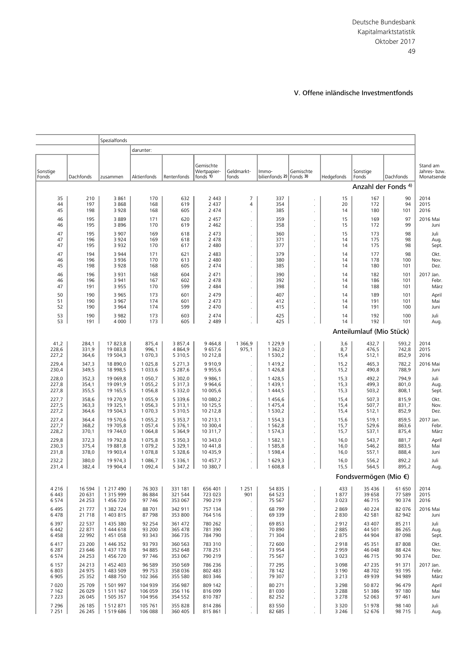# V. Offene inländische Investmentfonds

|                    |                  | Spezialfonds           |                            |                            |                          |                           |                           |                                              |                    |                              |                  |                    |
|--------------------|------------------|------------------------|----------------------------|----------------------------|--------------------------|---------------------------|---------------------------|----------------------------------------------|--------------------|------------------------------|------------------|--------------------|
|                    |                  |                        | darunter:                  |                            |                          |                           |                           |                                              |                    |                              |                  |                    |
|                    |                  |                        |                            |                            | Gemischte                |                           |                           |                                              |                    |                              |                  | Stand am           |
| Sonstige           |                  |                        |                            |                            | Wertpapier-              | Geldmarkt-                | Immo-                     | Gemischte                                    |                    | Sonstige                     |                  | Jahres- bzw.       |
| Fonds              | Dachfonds        | zusammen               | Aktienfonds                | Rentenfonds                | fonds 1)                 | fonds                     | bilienfonds 2)            | Fonds 3)                                     | Hedgefonds         | Fonds<br>Anzahl der Fonds 4) | Dachfonds        | Monatsende         |
|                    |                  |                        |                            |                            |                          |                           |                           |                                              |                    |                              |                  |                    |
| 35<br>44           | 210<br>197       | 3861<br>3868           | 170<br>168                 | 632<br>619                 | 2 4 4 3<br>2 4 3 7       | 7<br>$\overline{4}$       | 337<br>354                |                                              | 15<br>20           | 167<br>172                   | 90<br>94         | 2014<br>2015       |
| 45                 | 198              | 3928                   | 168                        | 605                        | 2 4 7 4                  | $\cdot$                   | 385                       | $\cdot$                                      | 14                 | 180                          | 101              | 2016               |
| 46<br>46           | 195<br>195       | 3889<br>3896           | 171<br>170                 | 620<br>619                 | 2 4 5 7<br>2 4 6 2       | $\cdot$<br>$\mathbf{r}$   | 359<br>358                | ä,<br>ä.                                     | 15<br>15           | 169<br>172                   | 97<br>99         | 2016 Mai<br>Juni   |
| 47                 | 195              | 3 9 0 7                | 169                        | 618                        | 2 4 7 3                  | $\cdot$                   | 360                       | ä,                                           | 15                 | 173                          | 98               | Juli               |
| 47<br>47           | 196<br>195       | 3924<br>3 9 3 2        | 169<br>170                 | 618<br>617                 | 2 4 7 8<br>2 4 8 0       |                           | 371<br>377                |                                              | 14<br>14           | 175<br>175                   | 98<br>98         | Aug.<br>Sept.      |
| 47                 | 194              | 3 9 4 4                | 171                        | 621                        | 2 4 8 3                  | $\cdot$                   | 379                       |                                              | 14                 | 177                          | 98               | Okt.               |
| 46<br>45           | 196<br>198       | 3 9 3 6<br>3928        | 170<br>168                 | 613<br>605                 | 2 4 8 0<br>2 4 7 4       | $\cdot$                   | 380<br>385                | $\ddot{\phantom{0}}$                         | 14<br>14           | 178<br>180                   | 100<br>101       | Nov.<br>Dez.       |
| 46                 | 196              | 3 9 3 1                | 168                        | 604                        | 2 4 7 1                  | $\cdot$<br>$\overline{a}$ | 390                       | $\ddot{\phantom{0}}$<br>ä.                   | 14                 | 182                          | 101              | 2017 Jan.          |
| 46                 | 196              | 3 9 4 1                | 167<br>170                 | 602<br>599                 | 2 4 7 8                  | $\epsilon$                | 392<br>398                |                                              | 14                 | 186                          | 101<br>101       | Febr.              |
| 47<br>50           | 191<br>190       | 3955<br>3 9 6 5        | 173                        | 601                        | 2 4 8 4<br>2 4 7 9       |                           | 407                       |                                              | 14<br>14           | 188<br>189                   | 101              | März<br>April      |
| 51                 | 190              | 3 9 6 7                | 174                        | 601                        | 2 4 7 3                  | $\cdot$                   | 412                       | ä,                                           | 14                 | 191                          | 101              | Mai                |
| 52<br>53           | 190<br>190       | 3 9 6 4<br>3 9 8 2     | 174<br>173                 | 599<br>603                 | 2 4 7 0<br>2 4 7 4       |                           | 415<br>425                |                                              | 14<br>14           | 191<br>192                   | 100<br>100       | Juni<br>Juli       |
| 53                 | 191              | 4 0 0 0                | 173                        | 605                        | 2 4 8 9                  | $\epsilon$                | 425                       | $\cdot$                                      | 14                 | 192                          | 101              | Aug.               |
|                    |                  |                        |                            |                            |                          |                           |                           |                                              |                    | Anteilumlauf (Mio Stück)     |                  |                    |
| 41,2               | 284,1            | 17 823,8               | 875,4                      | 3 857,4                    | 9 4 6 4, 8               | 1 3 6 6, 9                | 1 2 2 9 , 9               |                                              | 3,6                | 432,7                        | 593,2            | 2014               |
| 228,6<br>227,2     | 331,9<br>364,6   | 19 083,8<br>19 504,3   | 996,1<br>1 0 7 0 , 3       | 4 8 6 4 , 9<br>5 3 1 0 , 5 | 9 657,6<br>10 212,8      | 975,1<br>$\cdot$          | 1 3 6 2, 0<br>1 530,2     |                                              | 8,7<br>15,4        | 476,5<br>512,1               | 742,8<br>852,9   | 2015<br>2016       |
| 229,4              | 347,3            | 18 890,0               | 1 0 2 5, 8                 | 5 2 7 1 , 3                | 9910,9                   | $\cdot$                   | 1 4 1 9, 2                |                                              | 15,2               | 465,3                        | 782,2            | 2016 Mai           |
| 230,4              | 349,5            | 18 998,5               | 1 0 3 3, 6                 | 5 2 8 7, 6                 | 9 9 5 5, 6               | $\epsilon$                | 1426,8                    | $\epsilon$                                   | 15,2               | 490,8                        | 788,9            | Juni               |
| 228,0<br>227,8     | 352,3<br>354,1   | 19 069,8<br>19 091,9   | 1 0 5 0 , 7<br>1 0 5 5 , 2 | 5 302,0<br>5 3 1 7 , 3     | 9 9 8 6, 1<br>9 9 6 4, 6 | $\cdot$<br>$\epsilon$     | 1 4 28,5<br>1 4 3 9 , 1   | ä.                                           | 15,3<br>15,3       | 492,2<br>499,3               | 794,9<br>801,0   | Juli<br>Aug.       |
| 227,8              | 355,5            | 19 165,5               | 1056,8                     | 5 3 3 2 , 0                | 10 005,6                 | $\epsilon$                | 1 4 4 4, 5                | ä.                                           | 15,3               | 503,2                        | 808,1            | Sept.              |
| 227,7<br>227,5     | 358,6<br>363,3   | 19 270,9<br>19 325,1   | 1 0 5 5 , 9<br>1 0 5 6, 3  | 5 3 3 9 , 6<br>5 3 1 3 , 1 | 10 080,2<br>10 125,5     | $\cdot$                   | 1456,6<br>1 475,4         |                                              | 15,4<br>15,4       | 507,3<br>507,7               | 815,9<br>831,7   | Okt.<br>Nov.       |
| 227,2              | 364,6            | 19 504,3               | 1 0 7 0 , 3                | 5 3 1 0, 5                 | 10 212,8                 |                           | 1 530,2                   |                                              | 15,4               | 512,1                        | 852,9            | Dez.               |
| 227,4<br>227,7     | 364,4<br>368,2   | 19 570,6<br>19 705,8   | 1 0 5 5, 2<br>1 0 5 7,4    | 5 3 5 3 , 7<br>5 3 7 6, 1  | 10 213,1<br>10 300,4     | $\cdot$<br>$\epsilon$     | 1 5 5 4 , 3<br>1 5 6 2, 8 | $\ddot{\phantom{a}}$                         | 15,6<br>15,7       | 519,1<br>529,6               | 859,5<br>863,6   | 2017 Jan.<br>Febr. |
| 228,2              | 370,1            | 19 744,0               | 1 0 6 4, 8                 | 5 3 6 4 , 9                | 10 311,7                 |                           | 1 574,3                   | $\ddot{\phantom{0}}$                         | 15,7               | 537,1                        | 875,4            | März               |
| 229,8<br>230,3     | 372,3<br>375,4   | 19 792,8<br>19 881,8   | 1 0 7 5, 8<br>1 0 7 9 , 2  | 5 3 5 0 , 3<br>5 3 2 9 , 1 | 10 343,0<br>10 441,8     | $\cdot$                   | 1 582,1<br>1585,8         | ä.                                           | 16,0<br>16,0       | 543,7<br>546,2               | 881,7<br>883,5   | April<br>Mai       |
| 231,8              | 378,0            | 19 903,4               | 1078,8                     | 5 3 28,6                   | 10 435,9                 | $\epsilon$<br>$\epsilon$  | 1 5 9 8, 4                | $\ddot{\phantom{a}}$<br>$\ddot{\phantom{a}}$ | 16,0               | 557,1                        | 888,4            | Juni               |
| 232,2<br>231,4     | 380,0<br>382,4   | 19 974,3<br>19 904,4   | 1 0 8 6,7<br>1 0 9 2, 4    | 5 3 3 6, 1<br>5 347,2      | 10 457,7<br>10 380,7     |                           | 1 629,3<br>1 608,8        |                                              | 16,0               | 556,2<br>564,5               | 892,2<br>895,2   | Juli<br>Aug.       |
|                    |                  |                        |                            |                            |                          |                           |                           |                                              | 15,5               |                              |                  |                    |
|                    |                  |                        |                            |                            |                          |                           |                           |                                              |                    | Fondsvermögen (Mio €)        |                  |                    |
| 4 2 1 6<br>6 4 4 3 | 16 594<br>20 631 | 1 217 490<br>1 315 999 | 76 303<br>86 884           | 331 181<br>321 544         | 656 401<br>723 023       | 1 2 5 1<br>901            | 54 835<br>64 523          | ä,                                           | 433<br>1877        | 35 4 36<br>39 658            | 61 650<br>77 589 | 2014<br>2015       |
| 6 5 7 4            | 24 253           | 1 456 720              | 97 746                     | 353 067                    | 790 219                  | $\cdot$                   | 75 567                    | ä,                                           | 3 0 2 3            | 46 715                       | 90 374           | 2016               |
| 6 4 9 5<br>6478    | 21 777<br>21 718 | 1 382 724<br>1 403 815 | 88 701<br>87 798           | 342 911<br>353 800         | 757 134<br>764 516       | $\cdot$<br>$\cdot$        | 68799<br>69 339           | ä,<br>$\cdot$                                | 2 8 6 9<br>2830    | 40 2 2 4<br>42 581           | 82 076<br>82 942 | 2016 Mai<br>Juni   |
| 6 3 9 7            | 22 537           | 1 435 380              | 92 254                     | 361 472                    | 780 262                  | $\cdot$                   | 69853                     | $\cdot$                                      | 2912               | 43 407                       | 85 211           | Juli               |
| 6 4 4 2<br>6458    | 22 871<br>22 992 | 1 444 618<br>1 451 058 | 93 200<br>93 343           | 365 478<br>366 735         | 781 390<br>784 790       | $\cdot$                   | 70 890<br>71 304          | $\cdot$                                      | 2 8 8 5<br>2875    | 44 501<br>44 904             | 86 265<br>87 098 | Aug.<br>Sept.      |
| 6417               | 23 200           | 1 446 352              | 93 793                     | 360 563                    | 783 310                  | $\cdot$<br>$\cdot$        | 72 600                    |                                              | 2918               | 45 351                       | 87 808           | Okt.               |
| 6 2 8 7            | 23 646           | 1 437 178              | 94 885                     | 352 648                    | 778 251                  | $\cdot$                   | 73 954                    | ä,                                           | 2 9 5 9            | 46 048                       | 88 424           | Nov.               |
| 6 5 7 4<br>6 1 5 7 | 24 253<br>24 213 | 1 456 720<br>1 452 403 | 97 746<br>96 589           | 353 067<br>350 569         | 790 219<br>786 236       | $\cdot$<br>$\cdot$        | 75 567<br>77 295          | ä,<br>ä,                                     | 3 0 2 3<br>3 0 9 8 | 46 715<br>47 235             | 90 374<br>91 371 | Dez.<br>2017 Jan.  |
| 6 8 0 3            | 24 975           | 1 483 509              | 99 753                     | 358 036                    | 802 483                  |                           | 78 142                    |                                              | 3 1 9 0            | 48702                        | 93 195           | Febr.              |
| 6 9 0 5<br>7 0 2 0 | 25 352<br>25 709 | 1 488 750<br>1 501 997 | 102 366<br>104 939         | 355 580<br>356 987         | 803 346<br>809 142       | $\cdot$                   | 79 307<br>80 271          | ä,                                           | 3 2 1 3<br>3 2 9 8 | 49 939<br>50 872             | 94 989<br>96 479 | März<br>April      |
| 7 1 6 2            | 26 0 29          | 1 511 167              | 106 059                    | 356 116                    | 816 099                  | $\cdot$<br>$\cdot$        | 81 030                    | $\ddot{\phantom{a}}$<br>$\cdot$              | 3 2 8 8            | 51 386                       | 97 180           | Mai                |
| 7 2 2 3<br>7 2 9 6 | 26 045<br>26 185 | 1 505 357<br>1 512 871 | 104 956<br>105 761         | 354 552<br>355 828         | 810 787<br>814 286       | $\cdot$                   | 82 25 2<br>83 550         | ł.                                           | 3 2 7 8<br>3 3 2 0 | 52 063<br>51 978             | 97 461<br>98 140 | Juni               |
| 7 2 5 1            | 26 245           | 1519686                | 106 088                    | 360 405                    | 815 861                  | $\cdot$                   | 82 685                    |                                              | 3 2 4 6            | 52 676                       | 98 715           | Juli<br>Aug.       |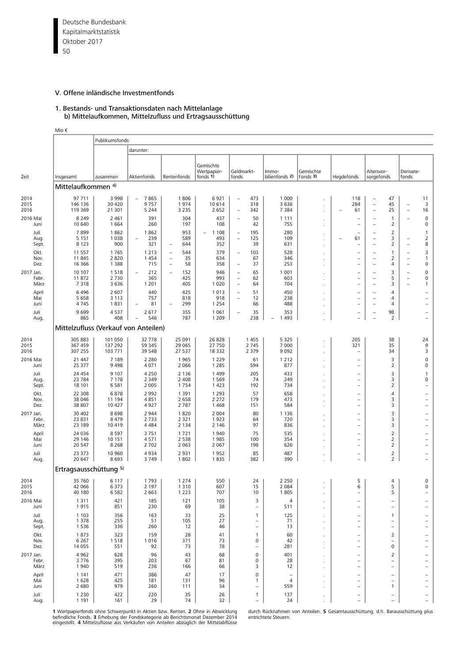Deutsche Bundesbank 50 Kapitalmarktstatistik Oktober 2017

## V. Offene inländische Investmentfonds

#### 1. Bestands- und Transaktionsdaten nach Mittelanlage b) Mittelaufkommen, Mittelzufluss und Ertragsausschüttung

|                            | Mio €                                |                               |                                  |                                                                                              |                                                   |                                                                    |                                                           |                                            |                       |            |                                                                                  |                                                      |                                                           |                                                                                  |                                               |
|----------------------------|--------------------------------------|-------------------------------|----------------------------------|----------------------------------------------------------------------------------------------|---------------------------------------------------|--------------------------------------------------------------------|-----------------------------------------------------------|--------------------------------------------|-----------------------|------------|----------------------------------------------------------------------------------|------------------------------------------------------|-----------------------------------------------------------|----------------------------------------------------------------------------------|-----------------------------------------------|
|                            |                                      | Publikumsfonds                |                                  |                                                                                              |                                                   |                                                                    |                                                           |                                            |                       |            |                                                                                  |                                                      |                                                           |                                                                                  |                                               |
|                            |                                      |                               | darunter:                        |                                                                                              |                                                   |                                                                    |                                                           |                                            |                       |            |                                                                                  |                                                      |                                                           |                                                                                  |                                               |
| Zeit                       | Insgesamt                            | zusammen                      | Aktienfonds                      | Rentenfonds                                                                                  | Gemischte<br>Wertpapier-<br>fonds 1)              | Geldmarkt-<br>fonds                                                |                                                           | Immo-<br>bilienfonds 2)                    | Gemischte<br>Fonds 3) | Hegdefonds |                                                                                  | Altersvor-<br>sorgefonds                             |                                                           | Derivate-<br>fonds                                                               |                                               |
|                            | Mittelaufkommen 4)                   |                               |                                  |                                                                                              |                                                   |                                                                    |                                                           |                                            |                       |            |                                                                                  |                                                      |                                                           |                                                                                  |                                               |
| 2014                       | 97 711                               | 3 9 9 8                       | 7865<br>$\overline{\phantom{0}}$ | 1806                                                                                         | 6921                                              | $\qquad \qquad -$                                                  | 473                                                       | 1 0 0 0                                    |                       |            | 118                                                                              |                                                      | 47                                                        |                                                                                  | 11                                            |
| 2015<br>2016               | 146 136<br>119 369                   | 30 4 20<br>21 301             | 9757<br>5 2 4 4                  | 1974<br>3 2 3 5                                                                              | 10614<br>2 6 5 2                                  | $\overline{\phantom{0}}$                                           | 318<br>342                                                | 3 6 3 6<br>7 3 8 4                         |                       | 284        | 61                                                                               | $\overline{\phantom{0}}$<br>$\qquad \qquad -$        | 45<br>25                                                  | $\qquad \qquad -$<br>$\overline{\phantom{a}}$                                    | 3<br>16                                       |
| 2016 Mai<br>Juni           | 8 2 4 9<br>10 640                    | 2 4 6 1<br>1 6 6 4            | 391<br>260                       | 304<br>197                                                                                   | 437<br>108                                        |                                                                    | 50<br>42                                                  | 1 1 1 1<br>755                             |                       |            | $\overline{\phantom{a}}$                                                         | $\equiv$                                             | $\mathbf{1}$<br>2                                         | $\overline{\phantom{0}}$                                                         | $\mathsf 0$<br>0                              |
| Juli<br>Aug.<br>Sept.      | 7899<br>5 1 5 1<br>8 1 2 3           | 1862<br>1 0 3 8<br>900        | 1862<br>239<br>321               | 953<br>589<br>644<br>$\overline{\phantom{0}}$                                                | 1 1 0 8<br>$\overline{\phantom{m}}$<br>493<br>352 | $\qquad \qquad -$<br>$\overline{\phantom{0}}$                      | 195<br>125<br>39                                          | 280<br>109<br>631                          |                       |            | 61<br>$\overline{\phantom{0}}$                                                   | $\overline{\phantom{a}}$<br>$\overline{\phantom{0}}$ | 2<br>3<br>2                                               | $\overline{\phantom{0}}$<br>$\overline{\phantom{m}}$                             | $\mathbf{1}$<br>2<br>8                        |
| Okt.<br>Nov.<br>Dez.       | 11 557<br>11 845<br>16 366           | 1765<br>2 8 2 0<br>1 3 8 8    | 1 2 1 3<br>1 4 5 4<br>715        | 544<br>$\qquad \qquad -$<br>35<br>$\overline{\phantom{0}}$<br>58<br>$\overline{\phantom{a}}$ | 379<br>634<br>358                                 | $\overline{\phantom{0}}$<br>$\overline{\phantom{0}}$               | 103<br>67<br>37                                           | 528<br>346<br>253                          |                       |            | $\overline{\phantom{0}}$<br>$\overline{\phantom{0}}$<br>$\overline{\phantom{0}}$ | $\equiv$<br>$\overline{\phantom{0}}$<br>$\equiv$     | 1<br>2<br>4                                               | $\overline{\phantom{0}}$<br>$\overline{\phantom{a}}$<br>$\overline{\phantom{a}}$ | 3<br>$\mathbf{1}$<br>0                        |
| 2017 Jan.<br>Febr.<br>März | 10 107<br>11872<br>7318              | 1518<br>2 7 3 0<br>3 6 3 6    | 212<br>365<br>1 2 0 1            | 152<br>$\overline{\phantom{0}}$<br>425<br>405                                                | 946<br>993<br>1 0 2 0                             | $\overline{\phantom{0}}$<br>$\qquad \qquad -$<br>$\qquad \qquad -$ | 65<br>62<br>64                                            | 1 0 0 1<br>603<br>704                      |                       |            | $\overline{\phantom{0}}$<br>$\overline{\phantom{0}}$<br>÷                        | $\overline{\phantom{0}}$<br>L,                       | 3<br>5<br>3                                               | $\overline{\phantom{0}}$<br>$\overline{\phantom{a}}$<br>$\overline{\phantom{0}}$ | 0<br>0<br>1                                   |
| April<br>Mai<br>Juni       | 6496<br>5 6 5 8<br>4745              | 2 607<br>3 1 1 3<br>1831      | 440<br>757<br>81                 | 425<br>818<br>299                                                                            | 1013<br>918<br>1 2 5 4                            | $\overline{\phantom{0}}$<br>$\qquad \qquad -$                      | 51<br>12<br>66                                            | 450<br>238<br>488                          |                       |            | $\overline{\phantom{0}}$<br>$\qquad \qquad -$                                    | ۳<br>$\qquad \qquad -$                               | 4<br>4<br>4                                               |                                                                                  | $\qquad \qquad -$                             |
| Juli<br>Aug.               | 9699<br>865                          | 4537<br>408                   | 2 6 1 7<br>546                   | 355<br>787                                                                                   | 1 0 6 1<br>1 2 0 9                                |                                                                    | 35<br>238                                                 | 353<br>1 4 9 3<br>$\overline{\phantom{0}}$ |                       |            | $\qquad \qquad -$                                                                | $\qquad \qquad -$                                    | 98<br>$\overline{2}$                                      |                                                                                  | $\qquad \qquad -$                             |
|                            | Mittelzufluss (Verkauf von Anteilen) |                               |                                  |                                                                                              |                                                   |                                                                    |                                                           |                                            |                       |            |                                                                                  |                                                      |                                                           |                                                                                  |                                               |
| 2014<br>2015               | 305 883<br>367 459                   | 101 050<br>137 292            | 32 778<br>59 345                 | 25 091<br>29 0 65                                                                            | 26828<br>27 750                                   |                                                                    | 1455<br>2 7 4 5                                           | 5 3 2 5<br>7 0 0 0                         |                       | 321        | 205                                                                              |                                                      | 38<br>35                                                  |                                                                                  | 24<br>9                                       |
| 2016<br>2016 Mai           | 307 255<br>21 447                    | 103 771<br>7 1 8 9            | 39 548<br>2 2 8 0                | 27 537<br>1965                                                                               | 18 3 3 2<br>1 2 2 9                               |                                                                    | 2 3 7 9<br>61                                             | 9 0 9 2<br>1 2 1 2                         |                       |            | $\overline{\phantom{0}}$                                                         |                                                      | 34<br>3                                                   |                                                                                  | 3<br>$\mathsf 0$                              |
| Juni<br>Juli<br>Aug.       | 25 377<br>24 4 54<br>23 784          | 9 4 9 8<br>9 1 0 7<br>7 1 7 8 | 4 0 7 1<br>4 2 5 0<br>2 3 4 9    | 2 0 6 6<br>2 1 3 6<br>2 4 0 8                                                                | 1 2 8 5<br>1499<br>1569                           |                                                                    | 594<br>205<br>74                                          | 877<br>433<br>249                          |                       |            | $\overline{\phantom{a}}$<br>$\qquad \qquad -$<br>$\qquad \qquad -$               |                                                      | 2<br>3<br>3                                               |                                                                                  | 0<br>$\mathbf{1}$<br>0                        |
| Sept.<br>Okt.              | 18 101<br>22 308                     | 6 5 8 1<br>6878               | 2 0 0 5<br>2 9 9 2               | 1754<br>1 3 9 1                                                                              | 1 4 2 3<br>1 2 9 3                                |                                                                    | 192<br>57                                                 | 734<br>658                                 |                       |            | $\overline{\phantom{0}}$<br>$\qquad \qquad -$                                    |                                                      | 2<br>4                                                    |                                                                                  |                                               |
| Nov.<br>Dez.               | 38 046<br>38 807                     | 11 194<br>10 427              | 4851<br>4927                     | 2 6 5 8<br>2 7 8 7                                                                           | 2 2 7 2<br>1468                                   |                                                                    | 179<br>151                                                | 473<br>584                                 |                       |            | $\overline{\phantom{a}}$                                                         |                                                      | 3<br>3                                                    |                                                                                  |                                               |
| 2017 Jan.<br>Febr.<br>März | 30 402<br>23 831<br>23 189           | 8698<br>8 4 7 9<br>10 419     | 2 9 4 4<br>2 7 3 3<br>4 4 8 4    | 1820<br>2 3 2 1<br>2 1 3 4                                                                   | 2 0 0 4<br>1923<br>2 1 4 6                        |                                                                    | 80<br>64<br>97                                            | 1 1 3 6<br>720<br>836                      |                       |            | $\overline{\phantom{0}}$<br>$\overline{\phantom{0}}$                             |                                                      | 3<br>3<br>3                                               |                                                                                  | $\overline{\phantom{0}}$                      |
| April<br>Mai<br>Juni       | 24 036<br>29 14 6<br>20 547          | 8 5 9 7<br>10 151<br>8 2 6 8  | 3751<br>4 5 7 1<br>2 7 0 2       | 1721<br>2 5 3 8<br>2 0 6 3                                                                   | 1940<br>1985<br>2 0 6 7                           |                                                                    | 75<br>100<br>198                                          | 535<br>354<br>626                          |                       |            | $\overline{\phantom{0}}$<br>$\qquad \qquad -$<br>$\overline{\phantom{a}}$        |                                                      | 2<br>2<br>2                                               |                                                                                  | $\overline{\phantom{0}}$<br>$\qquad \qquad -$ |
| Juli<br>Aug.               | 23 373<br>20 647                     | 10 960<br>8693                | 4934<br>3749                     | 2931<br>1802                                                                                 | 1952<br>1835                                      |                                                                    | 85<br>382                                                 | 487<br>390                                 |                       |            | $\qquad \qquad -$                                                                |                                                      | $\overline{2}$<br>$\overline{2}$                          |                                                                                  | $\qquad \qquad -$                             |
|                            | Ertragsausschüttung 5)               |                               |                                  |                                                                                              |                                                   |                                                                    |                                                           |                                            |                       |            |                                                                                  |                                                      |                                                           |                                                                                  |                                               |
| 2014<br>2015<br>2016       | 35 760<br>42 066<br>40 180           | 6 1 1 7<br>6 3 7 3<br>6 5 8 2 | 1793<br>2 1 9 7<br>2 6 6 3       | 1 2 7 4<br>1 3 1 0<br>1 2 2 3                                                                | 550<br>607<br>707                                 |                                                                    | 24<br>15<br>10                                            | 2 2 5 0<br>2 0 8 4<br>1805                 |                       |            | 5<br>6<br>$\overline{\phantom{a}}$                                               |                                                      | 4<br>5<br>5                                               |                                                                                  | 0<br>0                                        |
| 2016 Mai<br>Juni           | 1 3 1 1<br>1915                      | 421<br>851                    | 185<br>230                       | 121<br>69                                                                                    | 105<br>38                                         |                                                                    | 3<br>$\overline{\phantom{a}}$                             | 4<br>511                                   |                       |            | $\qquad \qquad -$                                                                |                                                      | $\qquad \qquad -$                                         |                                                                                  |                                               |
| Juli<br>Aug.<br>Sept.      | 1 1 0 3<br>1 3 7 8<br>1 5 3 6        | 356<br>255<br>336             | 163<br>51<br>260                 | 33<br>105<br>12                                                                              | 25<br>27<br>46                                    |                                                                    | 1<br>$\overline{\phantom{a}}$<br>$\overline{\phantom{m}}$ | 125<br>71<br>13                            |                       |            | $\qquad \qquad -$<br>$\qquad \qquad -$<br>$\overline{\phantom{0}}$               |                                                      | 1<br>$\qquad \qquad -$<br>$\qquad \qquad -$               |                                                                                  |                                               |
| Okt.<br>Nov.<br>Dez.       | 1873<br>6 2 6 7<br>14 0 55           | 323<br>1518<br>551            | 159<br>1 0 1 6<br>92             | 28<br>371<br>73                                                                              | 41<br>73<br>78                                    |                                                                    | $\mathbf{1}$<br>$\pmb{0}$<br>$\overline{\phantom{m}}$     | 60<br>42<br>281                            |                       |            | $\qquad \qquad -$<br>$\overline{\phantom{0}}$<br>$\overline{\phantom{0}}$        |                                                      | 2<br>$\overline{\phantom{0}}$<br>0                        |                                                                                  |                                               |
| 2017 Jan.<br>Febr.<br>März | 4 9 6 2<br>3776<br>1940              | 628<br>395<br>519             | 96<br>203<br>236                 | 43<br>67<br>166                                                                              | 68<br>81<br>66                                    |                                                                    | $\pmb{0}$<br>$\pmb{0}$<br>3                               | 401<br>28<br>12                            |                       |            | $\qquad \qquad -$<br>$\overline{\phantom{m}}$<br>$\qquad \qquad -$               |                                                      | 2<br>$\overline{\phantom{0}}$<br>$\overline{\phantom{0}}$ |                                                                                  | $\overline{\phantom{0}}$                      |
| April<br>Mai               | 1 1 4 1<br>1628                      | 471<br>425                    | 386<br>181                       | 47<br>131                                                                                    | 17<br>96                                          |                                                                    | $\pmb{0}$<br>$\mathbf{1}$                                 | 4                                          |                       |            | $\qquad \qquad -$<br>$\qquad \qquad -$                                           |                                                      | $\overline{\phantom{0}}$<br>$\qquad \qquad -$             |                                                                                  | $\qquad \qquad -$                             |
| Juni<br>Juli<br>Aug.       | 2 6 8 0<br>1 2 3 0<br>1 1 9 1        | 979<br>422<br>161             | 260<br>220<br>29                 | 111<br>35<br>74                                                                              | 34<br>26<br>32                                    |                                                                    | $\mathbf{1}$                                              | 559<br>137<br>24                           |                       |            | $\overline{\phantom{0}}$<br>$\overline{\phantom{m}}$                             |                                                      | 1<br>$\qquad \qquad -$<br>$\overline{\phantom{0}}$        |                                                                                  | $\overline{\phantom{0}}$                      |

**1** Wertpapierfonds ohne Schwerpunkt in Aktien bzw. Renten. **2** Ohne in Abwicklung blurch Rücknahmen von Anteilen. **5** Gesamtausschüttung, d.h. Barausschüttung plus<br>befindliche Fonds. **3 E**rhebung der Fondskategorie ab Ber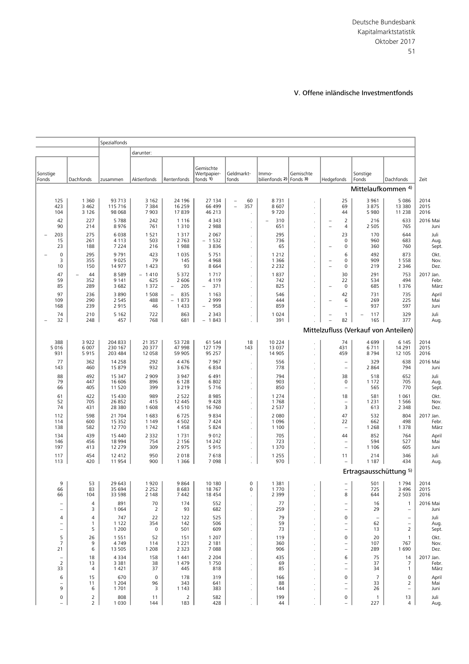Deutsche Bundesbank 51 Kapitalmarktstatistik Oktober 2017

# V. Offene inländische Investmentfonds

|                                                      |                                     | Spezialfonds                  |                               |                                                       |                                                       |                                             |                                        |                                                 |                                                    |                                      |                                              |                            |
|------------------------------------------------------|-------------------------------------|-------------------------------|-------------------------------|-------------------------------------------------------|-------------------------------------------------------|---------------------------------------------|----------------------------------------|-------------------------------------------------|----------------------------------------------------|--------------------------------------|----------------------------------------------|----------------------------|
|                                                      |                                     |                               | darunter:                     |                                                       |                                                       |                                             |                                        |                                                 |                                                    |                                      |                                              |                            |
| Sonstige<br>Fonds                                    | Dachfonds                           | zusammen                      | Aktienfonds                   | Rentenfonds                                           | Gemischte<br>Wertpapier-<br>fonds 1)                  | Geldmarkt-<br>fonds                         | Immo-<br>bilienfonds 2) Fonds 3)       | Gemischte                                       | Hedgefonds                                         | Sonstige<br>Fonds                    | Dachfonds                                    | Zeit                       |
|                                                      |                                     |                               |                               |                                                       |                                                       |                                             |                                        |                                                 |                                                    | Mittelaufkommen 4)                   |                                              |                            |
| 125<br>423<br>104                                    | 1 3 6 0<br>3 4 6 2<br>3 1 2 6       | 93 713<br>115 716<br>98 068   | 3 1 6 2<br>7 3 8 4<br>7 9 0 3 | 24 196<br>16 25 9<br>17839                            | 27 134<br>66 499<br>46 213                            | 60<br>$\qquad \qquad -$<br>357<br>$\bar{ }$ | 8731<br>8607<br>9720                   | $\cdot$                                         | 25<br>69<br>44                                     | 3 9 6 1<br>3875<br>5 9 8 0           | 5 0 8 6<br>13 380<br>11 238                  | 2014<br>2015<br>2016       |
| 42<br>90                                             | 227<br>214                          | 5788<br>8976                  | 242<br>761                    | 1 1 1 6<br>1 3 1 0                                    | 4 3 4 3<br>2 9 8 8                                    |                                             | 310<br>$\overline{\phantom{0}}$<br>651 | $\ddot{\phantom{0}}$<br>$\cdot$                 | 2<br>4<br>$\overline{\phantom{a}}$                 | 216<br>2 5 0 5                       | 633<br>765                                   | 2016 Mai<br>Juni           |
| 203<br>15<br>23                                      | 275<br>261<br>188                   | 6038<br>4 1 1 3<br>7 2 2 4    | 1 5 2 1<br>503<br>216         | 1 3 1 7<br>2 7 6 3<br>1988                            | 2 0 6 7<br>$-1532$<br>3836                            |                                             | 295<br>736<br>65                       | $\cdot$<br>$\cdot$                              | 23<br>0<br>0                                       | 170<br>960<br>360                    | 644<br>683<br>760                            | Juli<br>Aug<br>Sept        |
| $\mathbf 0$<br>3<br>10                               | 295<br>355<br>150                   | 9791<br>9025<br>14 977        | 423<br>79<br>1 4 2 3          | 1 0 3 5<br>145<br>93                                  | 5 7 5 1<br>4 9 6 8<br>8 6 6 4                         |                                             | 1 2 1 2<br>1 3 6 6<br>2 2 3 2          | $\cdot$                                         | 6<br>0<br>$\overline{\phantom{0}}$<br>0<br>Ē,      | 492<br>909<br>219                    | 873<br>1 5 5 8<br>2 3 4 6                    | Okt.<br>Nov.<br>Dez.       |
| 47<br>59<br>85                                       | 44<br>352<br>289                    | 8589<br>9 1 4 1<br>3 6 8 2    | $-1410$<br>625<br>1 3 7 2     | 5 3 7 2<br>2 6 0 6<br>205<br>$\overline{\phantom{a}}$ | 1 7 1 7<br>4 1 1 9<br>371<br>$\overline{\phantom{0}}$ |                                             | 1837<br>742<br>825                     | $\cdot$                                         | 30<br>22<br>0<br>$\overline{\phantom{0}}$          | 291<br>534<br>685                    | 753<br>494<br>1 3 7 6                        | 2017 Jan.<br>Febr.<br>März |
| 97<br>109<br>168                                     | 236<br>290<br>239                   | 3890<br>2 5 4 5<br>2915       | 1 5 0 8<br>488<br>46          | 835<br>$-1873$<br>1 4 3 3                             | 1 1 6 3<br>2 9 9 9<br>958<br>$\overline{\phantom{0}}$ |                                             | 546<br>444<br>859                      | $\cdot$                                         | 42<br>6<br>$\overline{\phantom{0}}$                | 731<br>269<br>937                    | 735<br>225<br>597                            | April<br>Mai<br>Juni       |
| 74<br>32                                             | 210<br>248                          | 5 1 6 2<br>457                | 722<br>768                    | 863<br>681                                            | 2 3 4 3<br>$-1843$                                    |                                             | 1 0 2 4<br>391                         |                                                 | 1<br>82                                            | 117<br>165                           | 329<br>377                                   | Juli<br>Aug.               |
|                                                      |                                     |                               |                               |                                                       |                                                       |                                             |                                        |                                                 |                                                    | Mittelzufluss (Verkauf von Anteilen) |                                              |                            |
| 388<br>5 0 1 6<br>931                                | 3922<br>6 0 0 7<br>5915             | 204 833<br>230 167<br>203 484 | 21 3 5 7<br>20 377<br>12 058  | 53728<br>47 998<br>59 905                             | 61 544<br>127 179<br>95 257                           | 18<br>143                                   | 10 2 24<br>13 037<br>14 905            |                                                 | 74<br>431<br>459                                   | 4699<br>6711<br>8794                 | 6 1 4 5<br>14 291<br>12 105                  | 2014<br>2015<br>2016       |
| 77<br>143                                            | 362<br>460                          | 14 2 5 8<br>15 879            | 292<br>932                    | 4476<br>3676                                          | 7 9 6 7<br>6834                                       |                                             | 556<br>778                             |                                                 | ÷<br>L,                                            | 329<br>2864                          | 638<br>794                                   | 2016 Mai<br>Juni           |
| 88<br>79<br>66                                       | 492<br>447<br>405                   | 15 347<br>16 606<br>11 5 20   | 2 9 0 9<br>896<br>399         | 3 9 4 7<br>6 1 2 8<br>3 2 1 9                         | 6 4 9 1<br>6 8 0 2<br>5 7 1 6                         |                                             | 794<br>903<br>850                      | $\mathbf{r}$                                    | 38<br>$\mathbf 0$<br>÷                             | 518<br>1 1 7 2<br>565                | 652<br>705<br>770                            | Juli<br>Aug.<br>Sept       |
| 61<br>52<br>74                                       | 422<br>705<br>431                   | 15 4 30<br>26 852<br>28 3 80  | 989<br>415<br>1 608           | 2 5 2 2<br>12 445<br>4510                             | 8985<br>9 4 2 8<br>16 760                             |                                             | 1 2 7 4<br>1768<br>2 5 3 7             | $\ddot{\phantom{a}}$<br>$\mathbf{r}$            | 18<br>÷<br>3                                       | 581<br>1 2 3 1<br>613                | 1 0 6 1<br>1 5 6 6<br>2 3 4 8                | Okt.<br>Nov.<br>Dez.       |
| 112<br>114<br>138                                    | 598<br>600<br>582                   | 21 704<br>15 3 5 2<br>12 770  | 1 683<br>1 1 4 9<br>1 7 4 2   | 6725<br>4502<br>1458                                  | 9834<br>7 4 2 4<br>5 8 2 4                            |                                             | 2 0 8 0<br>1 0 9 6<br>1 1 0 0          | $\ddot{\phantom{a}}$<br>$\cdot$<br>$\mathbf{r}$ | 47<br>22<br>$\qquad \qquad -$                      | 532<br>662<br>1 2 6 8                | 804<br>498<br>1 3 7 8                        | 2017 Jan.<br>Febr.<br>März |
| 134<br>146<br>197                                    | 439<br>456<br>413                   | 15 4 40<br>18 9 94<br>12 279  | 2 3 3 2<br>754<br>309         | 1731<br>2 1 5 6<br>2975                               | 9 0 1 2<br>14 242<br>5915                             |                                             | 705<br>723<br>1 3 7 0                  | $\cdot$<br>$\cdot$                              | 44<br>$\qquad \qquad -$<br>÷,                      | 852<br>594<br>1 1 0 6                | 764<br>527<br>605                            | April<br>Mai<br>Juni       |
| 117<br>113                                           | 454<br>420                          | 12 412<br>11954               | 950<br>900                    | 2018<br>1 3 6 6                                       | 7618<br>7 0 9 8                                       |                                             | 1 2 5 5<br>970                         | $\cdot$                                         | 11                                                 | 214<br>1 1 8 7                       | 346<br>434                                   | Juli<br>Aug.               |
|                                                      |                                     |                               |                               |                                                       |                                                       |                                             |                                        |                                                 |                                                    | Ertragsausschüttung 5)               |                                              |                            |
| 9<br>66<br>66                                        | 53<br>83<br>104                     | 29 643<br>35 694<br>33 5 98   | 1920<br>2 2 5 2<br>2 1 4 8    | 9864<br>8683<br>7 4 4 2                               | 10 180<br>18 767<br>18 4 54                           | 0<br>0                                      | 1 3 8 1<br>1770<br>2 3 9 9             | $\cdot$<br>$\cdot$                              | $-$  <br>8                                         | 501<br>725<br>644                    | 1794<br>3 4 9 6<br>2 5 0 3                   | 2014<br>2015<br>2016       |
| $\overline{\phantom{0}}$<br>$\overline{\phantom{0}}$ | $\overline{4}$<br>3                 | 891<br>1 0 6 4                | 70<br>2                       | 174<br>93                                             | 552<br>682                                            | $\cdot$                                     | 77<br>259                              | $\cdot$<br>$\cdot$                              | $\overline{\phantom{0}}$<br>$\equiv$               | 16<br>29                             | $\mathbf{1}$<br>$\overline{\phantom{a}}$     | 2016 Mai<br>Juni           |
| 4<br>$\qquad \qquad -$                               | $\overline{4}$<br>$\mathbf{1}$<br>5 | 747<br>1 1 2 2<br>1 2 0 0     | 22<br>354<br>0                | 122<br>142<br>501                                     | 525<br>506<br>609                                     | $\cdot$                                     | 79<br>59<br>73                         | $\mathbf{r}$<br>$\cdot$                         | 0<br>$\qquad \qquad -$<br>L,                       | 62<br>13                             | $\overline{\phantom{a}}$<br>2                | Juli<br>Aug.<br>Sept       |
| 5<br>$\overline{7}$<br>21                            | 26<br>9<br>6                        | 1551<br>4749<br>13 505        | 52<br>114<br>1 2 0 8          | 151<br>1 2 2 1<br>2 3 2 3                             | 1 2 0 7<br>2 1 8 1<br>7 0 8 8                         |                                             | 119<br>360<br>906                      |                                                 | 0<br>L,<br>$\overline{\phantom{0}}$                | 20<br>107<br>289                     | $\mathbf{1}$<br>767<br>1690                  | Okt.<br>Nov.<br>Dez.       |
| $\overline{\phantom{m}}$<br>2<br>33                  | 18<br>13<br>4                       | 4 3 3 4<br>3 3 8 1<br>1421    | 158<br>38<br>37               | 1 4 4 1<br>1 4 7 9<br>445                             | 2 2 0 4<br>1750<br>818                                |                                             | 435<br>69<br>85                        |                                                 | 6<br>$\equiv$<br>L,                                | 75<br>37<br>34                       | 14<br>7<br>$\mathbf{1}$                      | 2017 Jan.<br>Febr.<br>März |
| 6<br>$\overline{\phantom{0}}$<br>9                   | 15<br>11<br>6                       | 670<br>1 2 0 4<br>1701        | 0<br>96<br>3                  | 178<br>343<br>1 1 4 3                                 | 319<br>641<br>383                                     |                                             | 166<br>88<br>144                       |                                                 | 0<br>$\qquad \qquad -$<br>$\overline{\phantom{0}}$ | $\overline{7}$<br>33<br>26           | $\mathbf 0$<br>2<br>$\overline{\phantom{a}}$ | April<br>Mai<br>Juni       |
| 0                                                    | $\overline{2}$<br>$\overline{2}$    | 808<br>1 0 3 0                | 11<br>144                     | $\overline{2}$<br>183                                 | 582<br>428                                            |                                             | 199<br>44                              |                                                 | 0                                                  | $\overline{1}$<br>227                | 13<br>$\overline{4}$                         | Juli<br>Aug.               |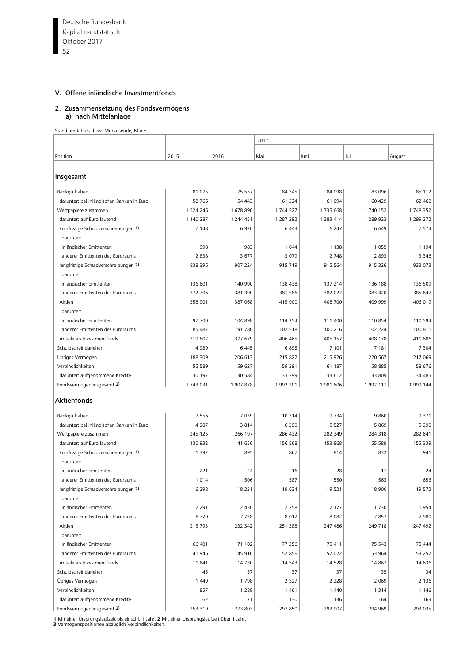Deutsche Bundesbank 52 Kapitalmarktstatistik Oktober 2017

п

## V. Offene inländische Investmentfonds

#### 2. Zusammensetzung des Fondsvermögens a) nach Mittelanlage

Stand am Jahres- bzw. Monatsende; Mio €

|                                           |           |           | 2017      |           |           |           |  |
|-------------------------------------------|-----------|-----------|-----------|-----------|-----------|-----------|--|
|                                           |           |           |           |           |           |           |  |
| Position                                  | 2015      | 2016      | Mai       | Juni      | Juli      | August    |  |
| Insgesamt                                 |           |           |           |           |           |           |  |
| Bankguthaben                              | 81 075    | 75 557    | 84 345    | 84 098    | 83 096    | 85 112    |  |
| darunter: bei inländischen Banken in Euro | 58 766    | 54 443    | 61 324    | 61 094    | 60 429    | 62 468    |  |
| Wertpapiere zusammen                      | 1 524 246 | 1678890   | 1 744 527 | 1735 668  | 1 740 152 | 1748352   |  |
| darunter: auf Euro lautend                | 1 140 287 | 1 244 451 | 1 287 292 | 1 283 414 | 1 289 923 | 1 299 272 |  |
| kurzfristige Schuldverschreibungen 1)     | 7 1 4 8   | 6920      | 6 4 4 3   | 6 2 4 7   | 6649      | 7574      |  |
| darunter:                                 |           |           |           |           |           |           |  |
| inländischer Emittenten                   | 998       | 983       | 1 0 4 4   | 1 1 3 8   | 1 0 5 5   | 1 1 9 4   |  |
| anderer Emittenten des Euroraums          | 2838      | 3677      | 3 0 7 9   | 2 7 4 8   | 2893      | 3 3 4 6   |  |
| langfristige Schuldverschreibungen 2)     | 838 396   | 907 224   | 915 719   | 915 564   | 915 326   | 923 073   |  |
| darunter:                                 |           |           |           |           |           |           |  |
| inländischer Emittenten                   | 136 601   | 140 990   | 138 438   | 137 214   | 136 188   | 136 509   |  |
| anderer Emittenten des Euroraums          | 372 706   | 381 390   | 381 586   | 382 027   | 383 420   | 385 647   |  |
| Aktien                                    | 358 901   | 387 068   | 415 900   | 408 700   | 409 999   | 406 019   |  |
| darunter:                                 |           |           |           |           |           |           |  |
| inländischer Emittenten                   | 97 700    | 104 898   | 114 254   | 111 400   | 110 854   | 110 594   |  |
| anderer Emittenten des Euroraums          | 85 487    | 91 780    | 102 518   | 100 216   | 102 224   | 100 811   |  |
| Anteile an Investmentfonds                | 319 802   | 377 679   | 406 465   | 405 157   | 408 178   | 411 686   |  |
| Schuldscheindarlehen                      | 4989      | 6 4 4 5   | 6898      | 7 101     | 7 1 8 1   | 7 3 0 4   |  |
| Übriges Vermögen                          | 188 309   | 206 613   | 215 822   | 215 926   | 220 567   | 217 069   |  |
| Verbindlichkeiten                         | 55 589    | 59 627    | 59 391    | 61 187    | 58 885    | 58 676    |  |
| darunter: aufgenommene Kredite            | 30 197    | 30 584    | 33 399    | 33 612    | 33 809    | 34 485    |  |
| Fondsvermögen insgesamt 3)                | 1743 031  | 1907878   | 1992 201  | 1981606   | 1 992 111 | 1999 144  |  |
| Aktienfonds                               |           |           |           |           |           |           |  |
|                                           |           |           |           |           |           |           |  |
| Bankguthaben                              | 7556      | 7039      | 10314     | 9734      | 9860      | 9 3 7 1   |  |
| darunter: bei inländischen Banken in Euro | 4 2 8 7   | 3814      | 6 3 9 0   | 5 5 2 7   | 5869      | 5 2 9 0   |  |
| Wertpapiere zusammen                      | 245 125   | 266 197   | 286 432   | 282 349   | 284 318   | 282 641   |  |
| darunter: auf Euro lautend                | 130 932   | 141 656   | 156 568   | 153 868   | 155 589   | 155 339   |  |
| kurzfristige Schuldverschreibungen 1)     | 1 3 9 2   | 895       | 867       | 814       | 832       | 941       |  |
| darunter:                                 |           |           |           |           |           |           |  |
| inländischer Emittenten                   | 221       | 24        | 16        | 28        | 11        | 24        |  |
| anderer Emittenten des Euroraums          | 1014      | 506       | 587       | 550       | 563       | 656       |  |
| langfristige Schuldverschreibungen 2)     | 16 298    | 18 2 31   | 19 634    | 19 5 21   | 18 900    | 19 572    |  |
| darunter:                                 |           |           |           |           |           |           |  |
| inländischer Emittenten                   | 2 2 9 1   | 2 4 3 0   | 2 2 5 8   | 2 1 7 7   | 1730      | 1954      |  |
| anderer Emittenten des Euroraums          | 6770      | 7738      | 8017      | 8 0 8 2   | 7857      | 7980      |  |
| Aktien                                    | 215 793   | 232 342   | 251 388   | 247 486   | 249 718   | 247 492   |  |
| darunter:                                 |           |           |           |           |           |           |  |
| inländischer Emittenten                   | 66 401    | 71 102    | 77 256    | 75 411    | 75 543    | 75 444    |  |
| anderer Emittenten des Euroraums          | 41 946    | 45 916    | 52 856    | 52 022    | 53 964    | 53 252    |  |
| Anteile an Investmentfonds                | 11 641    | 14 7 30   | 14 5 43   | 14 5 28   | 14 8 67   | 14 636    |  |
| Schuldscheindarlehen                      | 45        | 57        | 37        | 37        | 35        | 34        |  |
| Übriges Vermögen                          | 1449      | 1798      | 2 5 2 7   | 2 2 2 8   | 2 0 6 9   | 2136      |  |
| Verbindlichkeiten                         | 857       | 1 2 8 8   | 1461      | 1 4 4 0   | 1 3 1 4   | 1146      |  |
| darunter: aufgenommene Kredite            | 62        | 71        | 130       | 136       | 164       | 163       |  |
| Fondsvermögen insgesamt 3)                | 253 319   | 273 803   | 297 850   | 292 907   | 294 969   | 293 035   |  |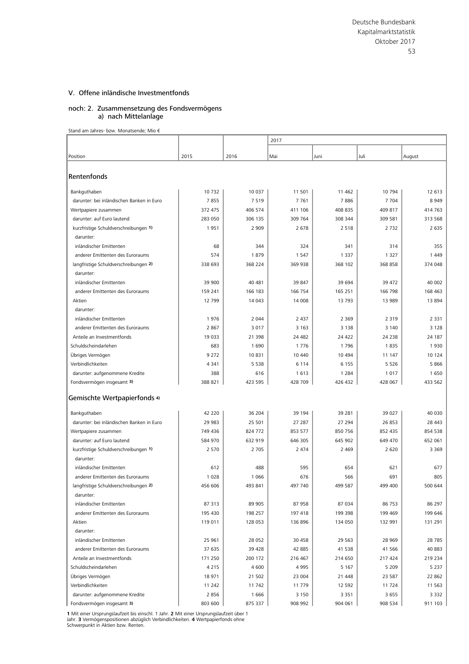#### noch: 2. Zusammensetzung des Fondsvermögens a) nach Mittelanlage

Stand am Jahres- bzw. Monatsende; Mio €

|                                           |         |         | 2017    |          |         |         |  |  |
|-------------------------------------------|---------|---------|---------|----------|---------|---------|--|--|
|                                           |         |         |         |          |         |         |  |  |
| Position                                  | 2015    | 2016    | Mai     | Juni     | Juli    | August  |  |  |
| Rentenfonds                               |         |         |         |          |         |         |  |  |
|                                           |         |         |         |          |         |         |  |  |
| Bankguthaben                              | 10732   | 10 0 37 | 11 501  | 11 4 62  | 10 794  | 12 613  |  |  |
| darunter: bei inländischen Banken in Euro | 7855    | 7519    | 7761    | 7886     | 7 7 0 4 | 8949    |  |  |
| Wertpapiere zusammen                      | 372 475 | 406 574 | 411 106 | 408 835  | 409 817 | 414 763 |  |  |
| darunter: auf Euro lautend                | 283 050 | 306 135 | 309 764 | 308 344  | 309 581 | 313 568 |  |  |
| kurzfristige Schuldverschreibungen 1)     | 1951    | 2 9 0 9 | 2678    | 2 5 1 8  | 2 7 3 2 | 2 6 3 5 |  |  |
| darunter:                                 |         |         |         |          |         |         |  |  |
| inländischer Emittenten                   | 68      | 344     | 324     | 341      | 314     | 355     |  |  |
| anderer Emittenten des Euroraums          | 574     | 1879    | 1 5 4 7 | 1 3 3 7  | 1 3 2 7 | 1 4 4 9 |  |  |
| langfristige Schuldverschreibungen 2)     | 338 693 | 368 224 | 369 938 | 368 102  | 368 858 | 374 048 |  |  |
| darunter:                                 |         |         |         |          |         |         |  |  |
| inländischer Emittenten                   | 39 900  | 40 481  | 39 847  | 39 694   | 39 472  | 40 002  |  |  |
| anderer Emittenten des Euroraums          | 159 241 | 166 183 | 166 754 | 165 251  | 166 798 | 168 463 |  |  |
| Aktien                                    | 12799   | 14 043  | 14 008  | 13793    | 13 989  | 13 8 94 |  |  |
| darunter:                                 |         |         |         |          |         |         |  |  |
| inländischer Emittenten                   | 1976    | 2 0 4 4 | 2 4 3 7 | 2 3 6 9  | 2 3 1 9 | 2 3 3 1 |  |  |
| anderer Emittenten des Euroraums          | 2867    | 3 0 1 7 | 3 1 6 3 | 3 1 3 8  | 3 1 4 0 | 3 1 2 8 |  |  |
| Anteile an Investmentfonds                | 19 033  | 21 398  | 24 482  | 24 4 22  | 24 2 38 | 24 187  |  |  |
| Schuldscheindarlehen                      | 683     | 1690    | 1776    | 1796     | 1835    | 1930    |  |  |
| Übriges Vermögen                          | 9 2 7 2 | 10831   | 10 440  | 10 4 94  | 11 147  | 10 124  |  |  |
| Verbindlichkeiten                         | 4 3 4 1 | 5 5 3 8 | 6 1 1 4 | 6 1 5 5  | 5 5 2 6 | 5866    |  |  |
| darunter: aufgenommene Kredite            | 388     | 616     | 1613    | 1 2 8 4  | 1 0 1 7 | 1650    |  |  |
| Fondsvermögen insgesamt 3)                | 388 821 | 423 595 | 428 709 | 426 432  | 428 067 | 433 562 |  |  |
| Gemischte Wertpapierfonds 4)              |         |         |         |          |         |         |  |  |
|                                           |         |         |         |          |         |         |  |  |
| Bankguthaben                              | 42 220  | 36 204  | 39 194  | 39 281   | 39 027  | 40 030  |  |  |
| darunter: bei inländischen Banken in Euro | 29 983  | 25 501  | 27 287  | 27 294   | 26 853  | 28 4 43 |  |  |
| Wertpapiere zusammen                      | 749 436 | 824 772 | 853 577 | 850 756  | 852 435 | 854 538 |  |  |
| darunter: auf Euro lautend                | 584 970 | 632 919 | 646 305 | 645 902  | 649 470 | 652 061 |  |  |
| kurzfristige Schuldverschreibungen 1)     | 2 5 7 0 | 2 7 0 5 | 2 4 7 4 | 2 4 6 9  | 2 6 2 0 | 3 3 6 9 |  |  |
| darunter:                                 |         |         |         |          |         |         |  |  |
| inländischer Emittenten                   | 612     | 488     | 595     | 654      | 621     | 677     |  |  |
| anderer Emittenten des Euroraums          | 1 0 2 8 | 1 0 6 6 | 676     | 566      | 691     | 805     |  |  |
| langfristige Schuldverschreibungen 2)     | 456 606 | 493 841 | 497 740 | 499 587  | 499 400 | 500 644 |  |  |
| darunter:                                 |         |         |         |          |         |         |  |  |
| inländischer Emittenten                   | 87 313  | 89 905  | 87 958  | 87 034   | 86 753  | 86 297  |  |  |
| anderer Emittenten des Euroraums          | 195 430 | 198 257 | 197 418 | 199 398  | 199 469 | 199 646 |  |  |
| Aktien                                    | 119 011 | 128 053 | 136 896 | 134 050  | 132 991 | 131 291 |  |  |
| darunter:                                 |         |         |         |          |         |         |  |  |
| inländischer Emittenten                   | 25 961  | 28 052  | 30 458  | 29 5 63  | 28 969  | 28 7 85 |  |  |
| anderer Emittenten des Euroraums          | 37 635  | 39 4 28 | 42 885  | 41 538   | 41 566  | 40 883  |  |  |
| Anteile an Investmentfonds                | 171 250 | 200 172 | 216 467 | 214 650  | 217 424 | 219 234 |  |  |
| Schuldscheindarlehen                      | 4 2 1 5 | 4 600   | 4995    | 5 1 6 7  | 5 2 0 9 | 5 2 3 7 |  |  |
| Übriges Vermögen                          | 18 971  | 21 502  | 23 004  | 21 4 48  | 23 587  | 22 862  |  |  |
| Verbindlichkeiten                         | 11 242  | 11 742  | 11779   | 12 5 9 2 | 11 724  | 11 5 63 |  |  |
| darunter: aufgenommene Kredite            | 2856    | 1666    | 3 1 5 0 | 3 3 5 1  | 3 6 5 5 | 3 3 3 2 |  |  |
| Fondsvermögen insgesamt 3)                | 803 600 | 875 337 | 908 992 | 904 061  | 908 534 | 911 103 |  |  |

**1** Mit einer Ursprungslaufzeit bis einschl. 1 Jahr. **2** Mit einer Ursprungslaufzeit über 1<br>Jahr. **3** Vermögenspositionen abzüglich Verbindlichkeiten. **4** Wertpapierfonds ohne<br>Schwerpunkt in Aktien bzw. Renten.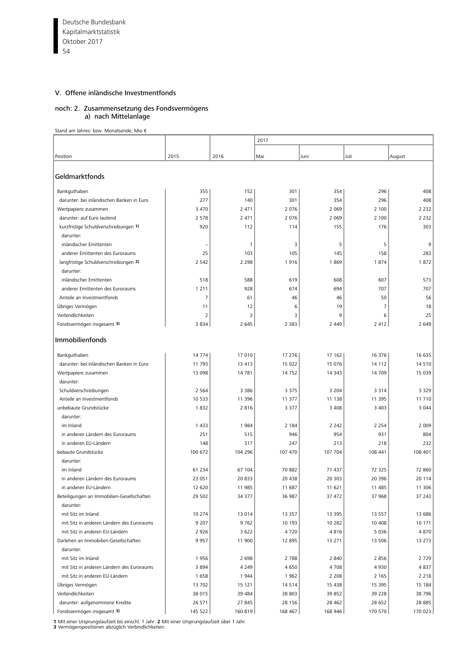Deutsche Bundesbank 54 Kapitalmarktstatistik Oktober 2017

Г

# V. Offene inländische Investmentfonds

#### noch: 2. Zusammensetzung des Fondsvermögens a) nach Mittelanlage

Stand am Jahres- bzw. Monatsende; Mio €

|                                                                             |                 |                | 2017           |                |                    |                |  |
|-----------------------------------------------------------------------------|-----------------|----------------|----------------|----------------|--------------------|----------------|--|
|                                                                             |                 |                |                |                |                    |                |  |
| Position                                                                    | 2015            | 2016           | Mai            | Juni           | Juli               | August         |  |
| Geldmarktfonds                                                              |                 |                |                |                |                    |                |  |
| Bankguthaben                                                                | 355             | 152            | 301            | 354            | 296                | 408            |  |
| darunter: bei inländischen Banken in Euro                                   | 277             | 140            | 301            | 354            | 296                | 408            |  |
| Wertpapiere zusammen                                                        | 3 4 7 0         | 2 4 7 1        | 2 0 7 6        | 2 0 6 9        | 2 100              | 2 2 3 2        |  |
| darunter: auf Euro lautend                                                  | 2 5 7 8         | 2 4 7 1        | 2 0 7 6        | 2 0 6 9        | 2 100              | 2 2 3 2        |  |
| kurzfristige Schuldverschreibungen 1)                                       | 920             | 112            | 114            | 155            | 176                | 303            |  |
| darunter:                                                                   |                 |                |                |                |                    |                |  |
| inländischer Emittenten                                                     |                 | $\overline{1}$ | 3              | 5              | 5                  | 9              |  |
| anderer Emittenten des Euroraums                                            | 25              | 103            | 105            | 145            | 158                | 283            |  |
| langfristige Schuldverschreibungen 2)                                       | 2 5 4 2         | 2 2 9 8        | 1916           | 1869           | 1874               | 1872           |  |
| darunter:                                                                   |                 |                |                |                |                    |                |  |
| inländischer Emittenten                                                     | 518             | 588            | 619            | 608            | 607                | 573            |  |
| anderer Emittenten des Euroraums                                            | 1 2 1 1         | 928            | 674            | 694            | 707                | 707            |  |
| Anteile an Investmentfonds                                                  | $\overline{7}$  | 61             | 46             | 46             | 50                 | 56             |  |
| Übriges Vermögen                                                            | 11              | 12             | 6              | 19             | 7                  | 18             |  |
| Verbindlichkeiten                                                           | 2               | 3              | 3              | 9              | 6                  | 25             |  |
| Fondsvermögen insgesamt 3)                                                  | 3 8 3 4         | 2 6 4 5        | 2 3 8 3        | 2 4 4 9        | 2 4 1 2            | 2 6 4 9        |  |
| Immobilienfonds                                                             |                 |                |                |                |                    |                |  |
| Bankguthaben                                                                | 14 7 74         | 17 010         | 17 276         | 17 162         | 16 376             | 16 635         |  |
| darunter: bei inländischen Banken in Euro                                   | 11 793          | 13 4 13        | 15 022         | 15 076         | 14 112             | 14510          |  |
| Wertpapiere zusammen                                                        | 13 0 98         | 14781          | 14752          | 14 343         | 14 709             | 15 0 39        |  |
| darunter:                                                                   |                 |                |                |                |                    |                |  |
| Schuldverschreibungen                                                       | 2 5 6 4         | 3 3 8 6        | 3 3 7 5        | 3 2 0 4        | 3 3 1 4            | 3 3 2 9        |  |
| Anteile an Investmentfonds                                                  | 10 5 3 3        | 11 396         | 11 377         | 11 138         | 11 395             | 11710          |  |
| unbebaute Grundstücke                                                       | 1832            | 2816           | 3 3 7 7        | 3 4 0 8        | 3 4 0 3            | 3 0 4 4        |  |
| darunter:                                                                   |                 |                |                |                |                    |                |  |
| im Inland                                                                   | 1 4 3 3         | 1984           | 2 1 8 4        | 2 2 4 2        | 2 2 5 4            | 2 0 0 9        |  |
| in anderen Ländern des Euroraums                                            | 251             | 515            | 946            | 954            | 931                | 804            |  |
| in anderen EU-Ländern                                                       | 148             | 317            | 247            | 213            | 218                | 232            |  |
| bebaute Grundstücke                                                         | 100 672         | 104 296        | 107 470        | 107 704        | 108 441            | 108 401        |  |
| darunter:                                                                   |                 |                |                |                |                    |                |  |
| im Inland                                                                   | 61 234          | 67 104         | 70 882         | 71 437         | 72 325             | 72 860         |  |
| in anderen Ländern des Euroraums                                            | 23 051          | 20833          | 20 438         | 20 303         | 20 396             | 20 114         |  |
| in anderen EU-Ländern                                                       | 12 6 20         | 11 985         | 11 687         | 11 621         | 11 485             | 11 306         |  |
| Beteiligungen an Immobilien-Gesellschaften                                  | 29 502          | 34 377         | 36 987         | 37 472         | 37 968             | 37 243         |  |
| darunter:                                                                   |                 |                |                |                |                    |                |  |
| mit Sitz im Inland                                                          | 10 274          | 13 014<br>9762 | 13 3 5 7       | 13 3 95        | 13 5 5 7           | 13 686         |  |
| mit Sitz in anderen Ländern des Euroraums<br>mit Sitz in anderen EU-Ländern | 9 2 0 7<br>2926 | 3 6 2 2        | 10 193<br>4720 | 10 282<br>4816 | 10 40 8<br>5 0 3 6 | 10 171<br>4870 |  |
| Darlehen an Immobilien-Gesellschaften                                       | 9957            | 11 900         | 12 895         | 13 271         | 13 506             | 13 273         |  |
| darunter:                                                                   |                 |                |                |                |                    |                |  |
| mit Sitz im Inland                                                          | 1956            | 2698           | 2788           | 2 8 4 0        | 2856               | 2729           |  |
| mit Sitz in anderen Ländern des Euroraums                                   | 3894            | 4 2 4 9        | 4650           | 4708           | 4930               | 4837           |  |
| mit Sitz in anderen EU-Ländern                                              | 1658            | 1944           | 1962           | 2 2 0 8        | 2 1 6 5            | 2 2 1 8        |  |
| Übriges Vermögen                                                            | 13702           | 15 121         | 14514          | 15 4 38        | 15 3 95            | 15 184         |  |
| Verbindlichkeiten                                                           | 38 015          | 39 4 84        | 38 803         | 39 852         | 39 2 28            | 38796          |  |
| darunter: aufgenommene Kredite                                              | 26 571          | 27 845         | 28 15 6        | 28 4 62        | 28 652             | 28 8 85        |  |
| Fondsvermögen insgesamt 3)                                                  | 145 522         | 160 819        | 168 467        | 168 946        | 170 570            | 170 023        |  |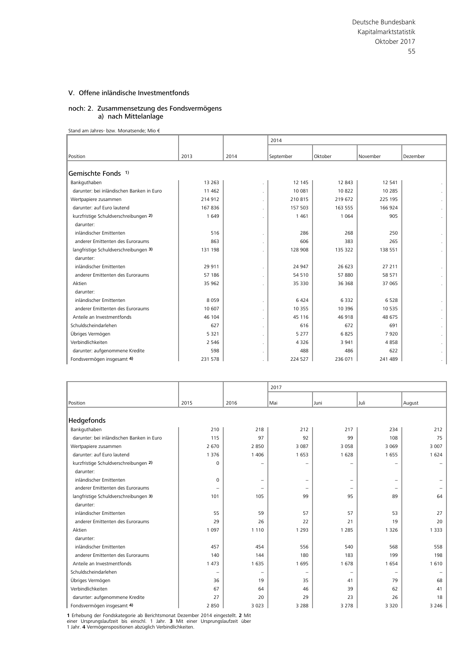#### noch: 2. Zusammensetzung des Fondsvermögens a) nach Mittelanlage

Stand am Jahres- bzw. Monatsende; Mio €

|                                           |          |      | 2014      |         |          |                      |
|-------------------------------------------|----------|------|-----------|---------|----------|----------------------|
| Position                                  | 2013     | 2014 | September | Oktober | November | Dezember             |
| Gemischte Fonds <sup>1)</sup>             |          |      |           |         |          |                      |
|                                           |          |      |           |         |          |                      |
| Bankguthaben                              | 13 2 63  |      | 12 145    | 12 843  | 12 541   |                      |
| darunter: bei inländischen Banken in Euro | 11 4 6 2 |      | 10 081    | 10822   | 10 285   | $\sim$               |
| Wertpapiere zusammen                      | 214 912  |      | 210815    | 219 672 | 225 195  | $\sim$               |
| darunter: auf Euro lautend                | 167836   |      | 157 503   | 163 555 | 166 924  | $\sim$               |
| kurzfristige Schuldverschreibungen 2)     | 1649     |      | 1461      | 1 0 6 4 | 905      | $\sim$               |
| darunter:                                 |          |      |           |         |          |                      |
| inländischer Emittenten                   | 516      |      | 286       | 268     | 250      |                      |
| anderer Emittenten des Euroraums          | 863      |      | 606       | 383     | 265      | $\sim$               |
| langfristige Schuldverschreibungen 3)     | 131 198  |      | 128 908   | 135 322 | 138 551  | $\sim$               |
| darunter:                                 |          |      |           |         |          |                      |
| inländischer Emittenten                   | 29 911   |      | 24 947    | 26 623  | 27 211   | $\ddot{\phantom{0}}$ |
| anderer Emittenten des Euroraums          | 57 186   |      | 54 510    | 57880   | 58 571   |                      |
| Aktien                                    | 35 962   |      | 35 330    | 36 368  | 37 065   | $\sim$               |
| darunter:                                 |          |      |           |         |          |                      |
| inländischer Emittenten                   | 8059     |      | 6424      | 6332    | 6528     |                      |
| anderer Emittenten des Euroraums          | 10 607   |      | 10 355    | 10 3 96 | 10 535   | $\sim$               |
| Anteile an Investmentfonds                | 46 104   |      | 45 116    | 46 918  | 48 675   | $\sim$               |
| Schuldscheindarlehen                      | 627      |      | 616       | 672     | 691      | $\sim$               |
| Übriges Vermögen                          | 5 3 2 1  |      | 5 2 7 7   | 6825    | 7920     |                      |
| Verbindlichkeiten                         | 2 5 4 6  |      | 4326      | 3 9 4 1 | 4858     |                      |
| darunter: aufgenommene Kredite            | 598      |      | 488       | 486     | 622      | $\sim$               |
| Fondsvermögen insgesamt 4)                | 231 578  |      | 224 527   | 236 071 | 241 489  | $\sim$               |

|                                           |                          |                          | 2017              |                   |                          |         |  |
|-------------------------------------------|--------------------------|--------------------------|-------------------|-------------------|--------------------------|---------|--|
|                                           |                          |                          |                   |                   |                          |         |  |
| Position                                  | 2015                     | 2016                     | Mai               | Juni              | l Juli                   | August  |  |
|                                           |                          |                          |                   |                   |                          |         |  |
| Hedgefonds                                |                          |                          |                   |                   |                          |         |  |
| Bankguthaben                              | 210                      | 218                      | 212               | 217               | 234                      | 212     |  |
| darunter: bei inländischen Banken in Euro | 115                      | 97                       | 92                | 99                | 108                      | 75      |  |
| Wertpapiere zusammen                      | 2670                     | 2850                     | 3 0 8 7           | 3 0 5 8           | 3 0 6 9                  | 3 0 0 7 |  |
| darunter: auf Euro lautend                | 1 3 7 6                  | 1 4 0 6                  | 1653              | 1628              | 1655                     | 1624    |  |
| kurzfristige Schuldverschreibungen 2)     | $\Omega$                 | -                        | -                 | $\qquad \qquad -$ |                          |         |  |
| darunter:                                 |                          |                          |                   |                   |                          |         |  |
| inländischer Emittenten                   | $\mathbf 0$              | $\overline{\phantom{0}}$ | -                 | $\qquad \qquad -$ | $\overline{\phantom{0}}$ |         |  |
| anderer Emittenten des Euroraums          | $\overline{\phantom{0}}$ | $\overline{\phantom{0}}$ | $\qquad \qquad -$ | $\qquad \qquad -$ | $\overline{\phantom{0}}$ |         |  |
| langfristige Schuldverschreibungen 3)     | 101                      | 105                      | 99                | 95                | 89                       | 64      |  |
| darunter:                                 |                          |                          |                   |                   |                          |         |  |
| inländischer Emittenten                   | 55                       | 59                       | 57                | 57                | 53                       | 27      |  |
| anderer Emittenten des Euroraums          | 29                       | 26                       | 22                | 21                | 19                       | 20      |  |
| Aktien                                    | 1 0 9 7                  | 1 1 1 0                  | 1 2 9 3           | 1 2 8 5           | 1 3 2 6                  | 1 3 3 3 |  |
| darunter:                                 |                          |                          |                   |                   |                          |         |  |
| inländischer Emittenten                   | 457                      | 454                      | 556               | 540               | 568                      | 558     |  |
| anderer Emittenten des Euroraums          | 140                      | 144                      | 180               | 183               | 199                      | 198     |  |
| Anteile an Investmentfonds                | 1 4 7 3                  | 1 6 3 5                  | 1695              | 1678              | 1654                     | 1610    |  |
| Schuldscheindarlehen                      | -                        | ۰                        | $\qquad \qquad -$ | ۰                 |                          |         |  |
| Übriges Vermögen                          | 36                       | 19                       | 35                | 41                | 79                       | 68      |  |
| Verbindlichkeiten                         | 67                       | 64                       | 46                | 39                | 62                       | 41      |  |
| darunter: aufgenommene Kredite            | 27                       | 20                       | 29                | 23                | 26                       | 18      |  |
| Fondsvermögen insgesamt 4)                | 2850                     | 3 0 2 3                  | 3 2 8 8           | 3 2 7 8           | 3 3 2 0                  | 3 2 4 6 |  |

**1** Erhebung der Fondskategorie ab Berichtsmonat Dezember 2014 eingestellt. **2** Mit<br>einer Ursprungslaufzeit bis einschl. 1 Jahr. **3** Mit einer Ursprungslaufzeit über<br>1 Jahr. 4 Vermögenspositionen abzüglich Verbind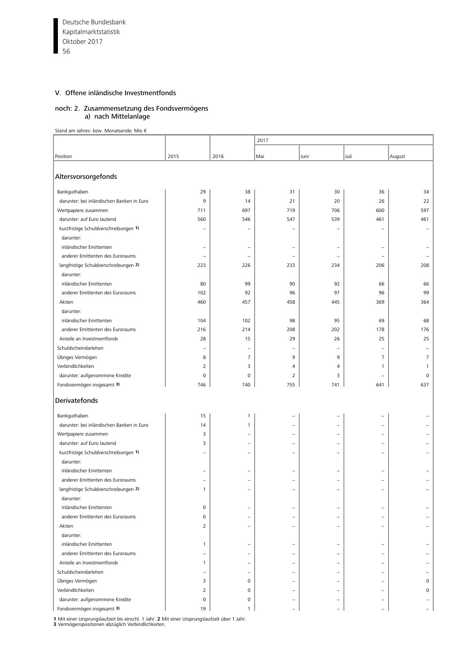Deutsche Bundesbank 56 Kapitalmarktstatistik Oktober 2017

П

# V. Offene inländische Investmentfonds

#### noch: 2. Zusammensetzung des Fondsvermögens a) nach Mittelanlage

Stand am Jahres- bzw. Monatsende; Mio €

|                                           |                          |                          | 2017                     |                          |                          |                          |  |
|-------------------------------------------|--------------------------|--------------------------|--------------------------|--------------------------|--------------------------|--------------------------|--|
|                                           |                          |                          |                          |                          |                          |                          |  |
| Position                                  | 2015                     | 2016                     | Mai                      | Juni                     | Juli                     | August                   |  |
| Altersvorsorgefonds                       |                          |                          |                          |                          |                          |                          |  |
| Bankguthaben                              | 29                       | 38                       | 31                       | 30                       | 36                       | 34                       |  |
| darunter: bei inländischen Banken in Euro | 9                        | 14                       | 21                       | 20                       | 26                       | 22                       |  |
| Wertpapiere zusammen                      | 711                      | 697                      | 719                      | 706                      | 600                      | 597                      |  |
| darunter: auf Euro lautend                | 560                      | 546                      | 547                      | 539                      | 461                      | 461                      |  |
| kurzfristige Schuldverschreibungen 1)     | ۳                        | $\overline{\phantom{0}}$ | $\overline{\phantom{0}}$ | $\overline{\phantom{0}}$ | ۰                        | $\qquad \qquad -$        |  |
| darunter:                                 |                          |                          |                          |                          |                          |                          |  |
| inländischer Emittenten                   | $\overline{\phantom{0}}$ | $\qquad \qquad -$        | $\overline{\phantom{0}}$ | $\overline{\phantom{0}}$ | $\overline{\phantom{0}}$ | ۰                        |  |
| anderer Emittenten des Euroraums          | $\overline{\phantom{0}}$ | $\equiv$                 | $\overline{\phantom{0}}$ | $\overline{\phantom{0}}$ | $\overline{\phantom{0}}$ |                          |  |
| langfristige Schuldverschreibungen 2)     | 223                      | 226                      | 233                      | 234                      | 206                      | 208                      |  |
| darunter:                                 |                          |                          |                          |                          |                          |                          |  |
| inländischer Emittenten                   | 80                       | 99                       | 90                       | 92                       | 66                       | 66                       |  |
| anderer Emittenten des Euroraums          | 102                      | 92                       | 96                       | 97                       | 96                       | 99                       |  |
| Aktien                                    | 460                      | 457                      | 458                      | 445                      | 369                      | 364                      |  |
| darunter:                                 |                          |                          |                          |                          |                          |                          |  |
| inländischer Emittenten                   | 104                      | 102                      | 98                       | 95                       | 69                       | 68                       |  |
| anderer Emittenten des Euroraums          | 216                      | 214                      | 208                      | 202                      | 178                      | 176                      |  |
| Anteile an Investmentfonds                | 28                       | 15                       | 29                       | 26                       | 25                       | 25                       |  |
| Schuldscheindarlehen                      |                          | $\qquad \qquad -$        | $\overline{\phantom{0}}$ | $\overline{\phantom{0}}$ |                          |                          |  |
| Übriges Vermögen                          | 8                        | $\overline{7}$           | 9                        | 9                        | 7                        | $\overline{7}$           |  |
| Verbindlichkeiten                         | 2                        | 3                        | 4                        | 4                        | $\mathbf{1}$             | $\mathbf{1}$             |  |
| darunter: aufgenommene Kredite            | 0                        | 0                        | $\overline{2}$           | 3                        |                          | $\mathbf 0$              |  |
| Fondsvermögen insgesamt 3)                | 746                      | 740                      | 755                      | 741                      | 641                      | 637                      |  |
| Derivatefonds                             |                          |                          |                          |                          |                          |                          |  |
| Bankguthaben                              | 15                       | $\mathbf{1}$             | ۳                        | $\overline{\phantom{0}}$ |                          |                          |  |
| darunter: bei inländischen Banken in Euro | 14                       | $\mathbf{1}$             | $\overline{\phantom{0}}$ | $\qquad \qquad -$        | $\overline{\phantom{0}}$ |                          |  |
| Wertpapiere zusammen                      | 3                        | $\overline{\phantom{0}}$ | $\overline{\phantom{0}}$ | $\overline{\phantom{0}}$ |                          |                          |  |
| darunter: auf Euro lautend                | 3                        | $\equiv$                 | $\overline{\phantom{0}}$ | $\overline{\phantom{0}}$ | ۰                        |                          |  |
| kurzfristige Schuldverschreibungen 1)     | $\overline{\phantom{0}}$ | $\qquad \qquad -$        | $\overline{\phantom{0}}$ | $\overline{\phantom{0}}$ | $\overline{\phantom{0}}$ | $\overline{\phantom{0}}$ |  |
| darunter:                                 |                          |                          |                          |                          |                          |                          |  |
| inländischer Emittenten                   |                          | -                        |                          | $\overline{\phantom{0}}$ |                          |                          |  |
| anderer Emittenten des Euroraums          |                          | $\overline{\phantom{0}}$ | $\overline{\phantom{0}}$ | $\overline{\phantom{0}}$ |                          |                          |  |
| langfristige Schuldverschreibungen 2)     |                          |                          |                          |                          |                          |                          |  |
| darunter:                                 |                          |                          |                          |                          |                          |                          |  |
| inländischer Emittenten                   | 0                        | $\overline{\phantom{0}}$ |                          | $\overline{\phantom{0}}$ |                          |                          |  |
| anderer Emittenten des Euroraums          | 0                        | -                        |                          | $\overline{\phantom{0}}$ |                          |                          |  |
| Aktien                                    | 2                        | -                        |                          | $\qquad \qquad -$        |                          |                          |  |
| darunter:                                 |                          |                          |                          |                          |                          |                          |  |
| inländischer Emittenten                   | $\mathbf{1}$             |                          |                          |                          |                          |                          |  |
| anderer Emittenten des Euroraums          |                          |                          |                          | $\overline{\phantom{0}}$ |                          |                          |  |
| Anteile an Investmentfonds                | $\mathbf{1}$             | $\overline{\phantom{0}}$ |                          | $\overline{\phantom{0}}$ |                          |                          |  |
| Schuldscheindarlehen                      |                          |                          |                          |                          |                          |                          |  |
| Übriges Vermögen                          | 3                        | 0                        |                          |                          |                          | 0                        |  |
| Verbindlichkeiten                         | $\overline{2}$           | 0                        |                          | $\rightarrow$            |                          | 0                        |  |
| darunter: aufgenommene Kredite            | 0                        | 0                        |                          | $\overline{\phantom{0}}$ |                          |                          |  |
| Fondsvermögen insgesamt 3)                | 19                       | $\mathbf{1}$             |                          |                          |                          |                          |  |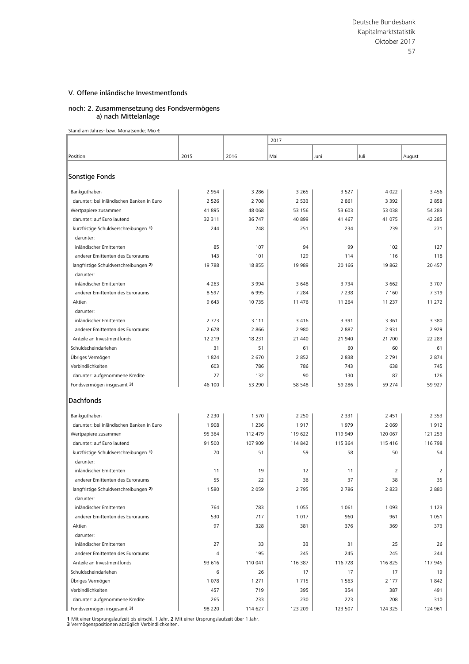#### noch: 2. Zusammensetzung des Fondsvermögens a) nach Mittelanlage

Stand am Jahres- bzw. Monatsende; Mio €

|                                                    |            |               | 2017       |               |               |             |  |
|----------------------------------------------------|------------|---------------|------------|---------------|---------------|-------------|--|
|                                                    |            |               |            |               |               |             |  |
| Position                                           | 2015       | 2016          | Mai        | Juni          | Juli          | August      |  |
|                                                    |            |               |            |               |               |             |  |
| Sonstige Fonds                                     |            |               |            |               |               |             |  |
| Bankguthaben                                       | 2 9 5 4    | 3 2 8 6       | 3 2 6 5    | 3 5 2 7       | 4 0 2 2       | 3456        |  |
| darunter: bei inländischen Banken in Euro          | 2 5 2 6    | 2 7 0 8       | 2 5 3 3    | 2 8 6 1       | 3 3 9 2       | 2858        |  |
| Wertpapiere zusammen                               | 41895      | 48 068        | 53 156     | 53 603        | 53 038        | 54 283      |  |
| darunter: auf Euro lautend                         | 32 311     | 36 747        | 40 899     | 41 467        | 41 075        | 42 2 8 5    |  |
| kurzfristige Schuldverschreibungen 1)              | 244        | 248           | 251        | 234           | 239           | 271         |  |
| darunter:                                          |            |               |            |               |               |             |  |
| inländischer Emittenten                            | 85         | 107           | 94         | 99            | 102           | 127         |  |
| anderer Emittenten des Euroraums                   | 143        | 101           | 129        | 114           | 116           | 118         |  |
| langfristige Schuldverschreibungen 2)              | 19788      | 18 855        | 19 9 89    | 20 16 6       | 19 862        | 20 457      |  |
| darunter:                                          |            |               |            |               |               |             |  |
| inländischer Emittenten                            | 4 2 6 3    | 3 9 9 4       | 3 6 4 8    | 3734          | 3 6 6 2       | 3707        |  |
| anderer Emittenten des Euroraums                   | 8597       | 6 9 9 5       | 7 2 8 4    | 7 2 3 8       | 7 1 6 0       | 7319        |  |
| Aktien                                             | 9 6 43     | 10 735        | 11 476     | 11 2 64       | 11 237        | 11 272      |  |
| darunter:                                          |            |               |            |               |               |             |  |
| inländischer Emittenten                            | 2 7 7 3    | 3 1 1 1       | 3416       | 3 3 9 1       | 3 3 6 1       | 3 3 8 0     |  |
| anderer Emittenten des Euroraums                   | 2 6 7 8    | 2 8 6 6       | 2 9 8 0    | 2887          | 2 9 3 1       | 2929        |  |
| Anteile an Investmentfonds                         | 12 219     | 18 2 31<br>51 | 21 440     | 21 940        | 21 700        | 22 2 8 3    |  |
| Schuldscheindarlehen                               | 31<br>1824 | 2 670         | 61<br>2852 | 60<br>2838    | 60<br>2 7 9 1 | 61          |  |
| Übriges Vermögen<br>Verbindlichkeiten              | 603        | 786           | 786        | 743           | 638           | 2874<br>745 |  |
|                                                    | 27         |               | 90         |               | 87            | 126         |  |
| darunter: aufgenommene Kredite                     | 46 100     | 132<br>53 290 | 58 548     | 130<br>59 286 | 59 274        | 59 927      |  |
| Fondsvermögen insgesamt 3)                         |            |               |            |               |               |             |  |
| <b>Dachfonds</b>                                   |            |               |            |               |               |             |  |
|                                                    |            |               |            |               |               |             |  |
| Bankguthaben                                       | 2 2 3 0    | 1 570         | 2 2 5 0    | 2 3 3 1       | 2 4 5 1       | 2 3 5 3     |  |
| darunter: bei inländischen Banken in Euro          | 1 9 0 8    | 1 2 3 6       | 1917       | 1979          | 2 0 6 9       | 1912        |  |
| Wertpapiere zusammen                               | 95 364     | 112 479       | 119 622    | 119 949       | 120 067       | 121 253     |  |
| darunter: auf Euro lautend                         | 91 500     | 107 909       | 114 842    | 115 364       | 115 416       | 116 798     |  |
| kurzfristige Schuldverschreibungen 1)<br>darunter: | 70         | 51            | 59         | 58            | 50            | 54          |  |
| inländischer Emittenten                            | 11         | 19            | 12         | 11            | 2             | 2           |  |
| anderer Emittenten des Euroraums                   | 55         | 22            | 36         | 37            | 38            | 35          |  |
| langfristige Schuldverschreibungen 2)              | 1 580      | 2 0 5 9       | 2 7 9 5    | 2786          | 2823          | 2880        |  |
| darunter:                                          |            |               |            |               |               |             |  |
| inländischer Emittenten                            | 764        | 783           | 1 0 5 5    | 1 0 6 1       | 1 0 9 3       | 1 1 2 3     |  |
| anderer Emittenten des Euroraums                   | 530        | 717           | 1017       | 960           | 961           | 1 0 5 1     |  |
| Aktien                                             | 97         | 328           | 381        | 376           | 369           | 373         |  |
| darunter:                                          |            |               |            |               |               |             |  |
| inländischer Emittenten                            | 27         | 33            | 33         | 31            | 25            | 26          |  |
| anderer Emittenten des Euroraums                   | 4          | 195           | 245        | 245           | 245           | 244         |  |
| Anteile an Investmentfonds                         | 93 616     | 110 041       | 116 387    | 116 728       | 116 825       | 117 945     |  |
| Schuldscheindarlehen                               | 6          | 26            | 17         | 17            | 17            | 19          |  |
| Übriges Vermögen                                   | 1 0 7 8    | 1 2 7 1       | 1715       | 1 5 6 3       | 2 1 7 7       | 1842        |  |
| Verbindlichkeiten                                  | 457        | 719           | 395        | 354           | 387           | 491         |  |
| darunter: aufgenommene Kredite                     | 265        | 233           | 230        | 223           | 208           | 310         |  |
| Fondsvermögen insgesamt 3)                         | 98 220     | 114 627       | 123 209    | 123 507       | 124 325       | 124 961     |  |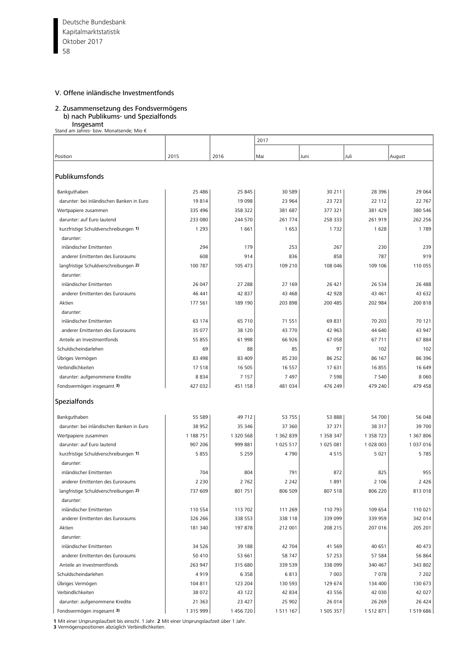Deutsche Bundesbank 58 Kapitalmarktstatistik Oktober 2017

#### V. Offene inländische Investmentfonds

## 2. Zusammensetzung des Fondsvermögens b) nach Publikums- und Spezialfonds

 Insgesamt Stand am Jahres- bzw. Monatsende; Mio €

| Stand am Jahres- bzw. Monatsende; Mio €   |           |           |           |           |           |           |
|-------------------------------------------|-----------|-----------|-----------|-----------|-----------|-----------|
|                                           |           |           | 2017      |           |           |           |
|                                           |           |           |           |           |           |           |
| Position                                  | 2015      | 2016      | Mai       | Juni      | Juli      | August    |
|                                           |           |           |           |           |           |           |
| Publikumsfonds                            |           |           |           |           |           |           |
| Bankguthaben                              | 25 4 86   | 25 845    | 30 589    | 30 211    | 28 3 96   | 29 064    |
| darunter: bei inländischen Banken in Euro | 19814     | 19 098    | 23 964    | 23 723    | 22 112    | 22 767    |
| Wertpapiere zusammen                      | 335 496   | 358 322   | 381 687   | 377 321   | 381 429   | 380 546   |
| darunter: auf Euro lautend                | 233 080   | 244 570   | 261 774   | 258 333   | 261 919   | 262 256   |
| kurzfristige Schuldverschreibungen 1)     | 1 2 9 3   | 1661      | 1 6 5 3   | 1732      | 1628      | 1789      |
| darunter:                                 |           |           |           |           |           |           |
| inländischer Emittenten                   | 294       | 179       | 253       | 267       | 230       | 239       |
| anderer Emittenten des Euroraums          | 608       | 914       | 836       | 858       | 787       | 919       |
| langfristige Schuldverschreibungen 2)     | 100 787   | 105 473   | 109 210   | 108 046   | 109 106   | 110 055   |
| darunter:                                 |           |           |           |           |           |           |
| inländischer Emittenten                   | 26 047    | 27 288    | 27 169    | 26 421    | 26 5 34   | 26 488    |
| anderer Emittenten des Euroraums          | 46 441    | 42 837    | 43 468    | 42 928    | 43 461    | 43 632    |
| Aktien                                    | 177 561   | 189 190   | 203 898   | 200 485   | 202 984   | 200 818   |
| darunter:                                 |           |           |           |           |           |           |
| inländischer Emittenten                   | 63 174    | 65 710    | 71 551    | 69 831    | 70 203    | 70 121    |
| anderer Emittenten des Euroraums          | 35 077    | 38 120    | 43 770    | 42 963    | 44 640    | 43 947    |
| Anteile an Investmentfonds                | 55 855    | 61 998    | 66 926    | 67 058    | 67 711    | 67884     |
| Schuldscheindarlehen                      | 69        | 88        | 85        | 97        | 102       | 102       |
| Übriges Vermögen                          | 83 498    | 83 409    | 85 230    | 86 25 2   | 86 167    | 86 396    |
| Verbindlichkeiten                         | 17518     | 16 505    | 16 5 5 7  | 17 631    | 16855     | 16 649    |
| darunter: aufgenommene Kredite            | 8834      | 7 1 5 7   | 7 4 9 7   | 7 5 9 8   | 7 5 4 0   | 8 0 6 0   |
|                                           | 427 032   | 451 158   | 481 034   | 476 249   | 479 240   | 479 458   |
| Fondsvermögen insgesamt 3)                |           |           |           |           |           |           |
| Spezialfonds                              |           |           |           |           |           |           |
|                                           |           |           |           |           |           |           |
| Bankguthaben                              | 55 589    | 49 712    | 53 755    | 53 888    | 54 700    | 56 048    |
| darunter: bei inländischen Banken in Euro | 38 952    | 35 346    | 37 360    | 37 371    | 38 317    | 39 700    |
| Wertpapiere zusammen                      | 1 188 751 | 1 320 568 | 1 362 839 | 1 358 347 | 1 358 723 | 1 367 806 |
| darunter: auf Euro lautend                | 907 206   | 999 881   | 1 025 517 | 1 025 081 | 1 028 003 | 1 037 016 |
| kurzfristige Schuldverschreibungen 1)     | 5 8 5 5   | 5 2 5 9   | 4790      | 4515      | 5 0 2 1   | 5 7 8 5   |
| darunter:                                 |           |           |           |           |           |           |
| inländischer Emittenten                   | 704       | 804       | 791       | 872       | 825       | 955       |
| anderer Emittenten des Euroraums          | 2 2 3 0   | 2762      | 2 2 4 2   | 1891      | 2 1 0 6   | 2 4 2 6   |
| langfristige Schuldverschreibungen 2)     | 737 609   | 801 751   | 806 509   | 807 518   | 806 220   | 813 018   |
| darunter:                                 |           |           |           |           |           |           |
| inländischer Emittenten                   | 110 554   | 113 702   | 111 269   | 110 793   | 109 654   | 110 021   |
| anderer Emittenten des Euroraums          | 326 266   | 338 553   | 338 118   | 339 099   | 339 959   | 342 014   |
| Aktien                                    | 181 340   | 197 878   | 212 001   | 208 215   | 207 016   | 205 201   |
| darunter:                                 |           |           |           |           |           |           |
| inländischer Emittenten                   | 34 5 26   | 39 188    | 42 704    | 41 569    | 40 651    | 40 473    |
| anderer Emittenten des Euroraums          | 50 410    | 53 661    | 58 747    | 57 253    | 57 584    | 56 864    |
| Anteile an Investmentfonds                | 263 947   | 315 680   | 339 539   | 338 099   | 340 467   | 343 802   |
| Schuldscheindarlehen                      | 4919      | 6 3 5 8   | 6813      | 7 0 0 3   | 7078      | 7 2 0 2   |
| Übriges Vermögen                          | 104 811   | 123 204   | 130 593   | 129 674   | 134 400   | 130 673   |
| Verbindlichkeiten                         | 38 0 72   | 43 122    | 42 834    | 43 556    | 42 030    | 42 027    |
| darunter: aufgenommene Kredite            | 21 3 6 3  | 23 427    | 25 902    | 26 014    | 26 26 9   | 26 4 24   |
| Fondsvermögen insgesamt 3)                | 1 315 999 | 1456720   | 1511167   | 1 505 357 | 1 512 871 | 1 519 686 |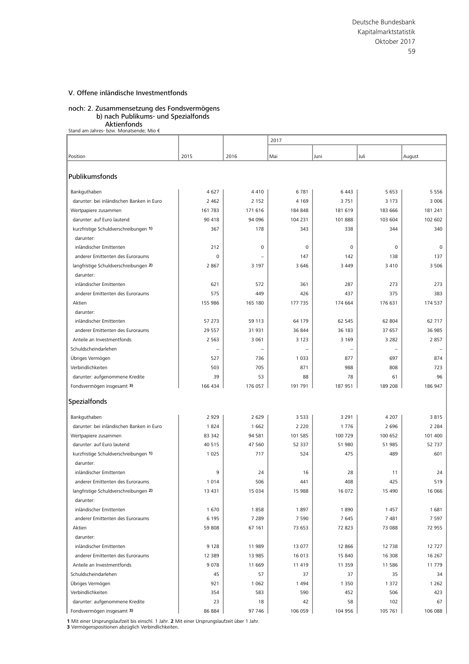#### noch: 2. Zusammensetzung des Fondsvermögens b) nach Publikums- und Spezialfonds

**Aktienfonds**<br>€ Stand am Jahres- bzw. Monatsende; Mio

|                                                    |             |                   | 2017               |                 |                    |                    |  |  |
|----------------------------------------------------|-------------|-------------------|--------------------|-----------------|--------------------|--------------------|--|--|
|                                                    |             |                   |                    |                 |                    |                    |  |  |
| Position                                           | 2015        | 2016              | Mai                | Juni            | Juli               | August             |  |  |
| Publikumsfonds                                     |             |                   |                    |                 |                    |                    |  |  |
|                                                    |             |                   |                    |                 |                    |                    |  |  |
| Bankguthaben                                       | 4627        | 4410              | 6781               | 6443            | 5 6 5 3            | 5 5 5 6            |  |  |
| darunter: bei inländischen Banken in Euro          | 2 4 6 2     | 2 1 5 2           | 4 1 6 9            | 3751            | 3 1 7 3            | 3 0 0 6            |  |  |
| Wertpapiere zusammen                               | 161 783     | 171 616           | 184 848            | 181 619         | 183 666            | 181 241            |  |  |
| darunter: auf Euro lautend                         | 90 418      | 94 096            | 104 231            | 101 888         | 103 604            | 102 602            |  |  |
| kurzfristige Schuldverschreibungen 1)              | 367         | 178               | 343                | 338             | 344                | 340                |  |  |
| darunter:                                          |             |                   |                    |                 |                    |                    |  |  |
| inländischer Emittenten                            | 212         | 0                 | 0                  | 0               | $\mathbf 0$        | 0                  |  |  |
| anderer Emittenten des Euroraums                   | $\mathbf 0$ |                   | 147                | 142             | 138                | 137                |  |  |
| langfristige Schuldverschreibungen 2)              | 2 8 6 7     | 3 1 9 7           | 3 6 4 6            | 3 4 4 9         | 3 4 1 0            | 3 5 0 6            |  |  |
| darunter:                                          |             |                   |                    |                 |                    |                    |  |  |
| inländischer Emittenten                            | 621         | 572               | 361                | 287             | 273                | 273                |  |  |
| anderer Emittenten des Euroraums                   | 575         | 449               | 426                | 437             | 375                | 383                |  |  |
| Aktien                                             | 155 986     | 165 180           | 177 735            | 174 664         | 176 631            | 174 537            |  |  |
| darunter:                                          |             |                   |                    |                 |                    |                    |  |  |
| inländischer Emittenten                            | 57 273      | 59 113            | 64 179             | 62 545          | 62 804             | 62 717             |  |  |
| anderer Emittenten des Euroraums                   | 29 557      | 31 931            | 36 844             | 36 183          | 37 657             | 36 985             |  |  |
| Anteile an Investmentfonds                         | 2 5 6 3     | 3 0 6 1           | 3 1 2 3            | 3 1 6 9         | 3 2 8 2            | 2857               |  |  |
| Schuldscheindarlehen                               |             |                   |                    |                 |                    |                    |  |  |
| Übriges Vermögen                                   | 527         | 736               | 1 0 3 3            | 877             | 697                | 874                |  |  |
| Verbindlichkeiten                                  | 503         | 705               | 871                | 988             | 808                | 723                |  |  |
| darunter: aufgenommene Kredite                     | 39          | 53                | 88                 | 78              | 61                 | 96                 |  |  |
| Fondsvermögen insgesamt 3)                         | 166 434     | 176 057           | 191 791            | 187 951         | 189 208            | 186 947            |  |  |
|                                                    |             |                   |                    |                 |                    |                    |  |  |
| Spezialfonds                                       |             |                   |                    |                 |                    |                    |  |  |
|                                                    | 2 9 2 9     | 2 6 2 9           | 3 5 3 3            | 3 2 9 1         | 4 2 0 7            | 3815               |  |  |
| Bankguthaben                                       |             |                   |                    |                 |                    |                    |  |  |
| darunter: bei inländischen Banken in Euro          | 1824        | 1 6 6 2<br>94 581 | 2 2 2 0<br>101 585 | 1776<br>100 729 | 2 6 9 6<br>100 652 | 2 2 8 4<br>101 400 |  |  |
| Wertpapiere zusammen                               | 83 342      |                   |                    |                 |                    |                    |  |  |
| darunter: auf Euro lautend                         | 40 5 15     | 47 560            | 52 337             | 51 980          | 51 985             | 52737              |  |  |
| kurzfristige Schuldverschreibungen 1)              | 1 0 2 5     | 717               | 524                | 475             | 489                | 601                |  |  |
| darunter:<br>inländischer Emittenten               |             |                   |                    |                 |                    |                    |  |  |
|                                                    | 9           | 24                | 16                 | 28              | 11                 | 24                 |  |  |
| anderer Emittenten des Euroraums                   | 1014        | 506               | 441                | 408             | 425                | 519                |  |  |
| langfristige Schuldverschreibungen 2)<br>darunter: | 13 431      | 15 034            | 15 988             | 16 072          | 15 490             | 16 066             |  |  |
| inländischer Emittenten                            |             |                   |                    |                 |                    |                    |  |  |
|                                                    | 1670        | 1858              | 1897               | 1890            | 1 4 5 7            | 1681               |  |  |
| anderer Emittenten des Euroraums                   | 6 1 9 5     | 7 2 8 9           | 7 5 9 0            | 7645            | 7 4 8 1            | 7597               |  |  |
| Aktien                                             | 59 808      | 67 161            | 73 653             | 72 823          | 73 088             | 72 955             |  |  |
| darunter:                                          |             |                   |                    |                 |                    |                    |  |  |
| inländischer Emittenten                            | 9 1 2 8     | 11 989            | 13 077             | 12 866          | 12 738             | 12727              |  |  |
| anderer Emittenten des Euroraums                   | 12 3 8 9    | 13 985            | 16 013             | 15 840          | 16 308             | 16 267             |  |  |
| Anteile an Investmentfonds                         | 9078        | 11 669            | 11 419             | 11 359          | 11 586             | 11779              |  |  |
| Schuldscheindarlehen                               | 45          | 57                | 37                 | 37              | 35                 | 34                 |  |  |
| Übriges Vermögen                                   | 921         | 1 0 6 2           | 1494               | 1 3 5 0         | 1 3 7 2            | 1 2 6 2            |  |  |
| Verbindlichkeiten                                  | 354         | 583               | 590                | 452             | 506                | 423                |  |  |
| darunter: aufgenommene Kredite                     | 23          | 18                | 42                 | 58              | 102                | 67                 |  |  |
| Fondsvermögen insgesamt 3)                         | 86 884      | 97 746            | 106 059            | 104 956         | 105 761            | 106 088            |  |  |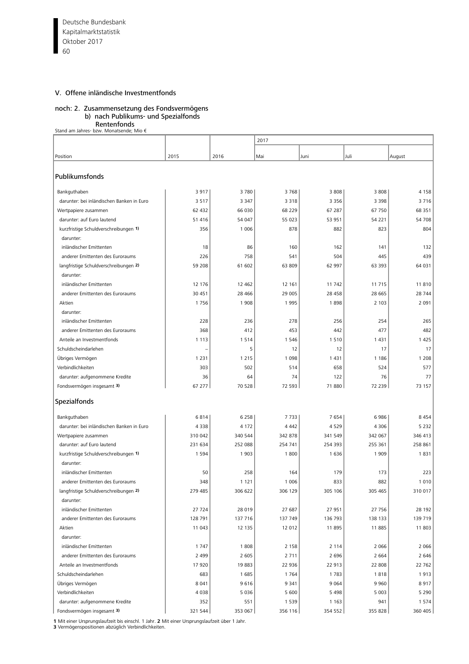Deutsche Bundesbank 60 Kapitalmarktstatistik Oktober 2017

# V. Offene inländische Investmentfonds

# noch: 2. Zusammensetzung des Fondsvermögens

# b) nach Publikums- und Spezialfonds

**Rentenfonds<br>€ Stand am Jahres- bzw. Monatsende; Mio** 

|                                           |                |                | 2017    |                    |                |                  |
|-------------------------------------------|----------------|----------------|---------|--------------------|----------------|------------------|
|                                           |                |                |         |                    |                |                  |
| Position                                  | 2015           | 2016           | Mai     | Juni               | Juli           | August           |
| Publikumsfonds                            |                |                |         |                    |                |                  |
| Bankguthaben                              | 3917           | 3780           | 3768    | 3 8 0 8            | 3808           | 4 1 5 8          |
| darunter: bei inländischen Banken in Euro | 3517           | 3 3 4 7        | 3 3 1 8 | 3 3 5 6            | 3 3 9 8        | 3716             |
| Wertpapiere zusammen                      | 62 432         | 66 030         | 68 229  | 67 287             | 67 750         | 68 351           |
| darunter: auf Euro lautend                | 51 416         | 54 047         | 55 023  | 53 951             | 54 221         | 54 708           |
| kurzfristige Schuldverschreibungen 1)     | 356            | 1 0 0 6        | 878     | 882                | 823            | 804              |
| darunter:                                 |                |                |         |                    |                |                  |
| inländischer Emittenten                   | 18             | 86             | 160     | 162                | 141            | 132              |
| anderer Emittenten des Euroraums          | 226            | 758            | 541     | 504                | 445            | 439              |
| langfristige Schuldverschreibungen 2)     | 59 208         | 61 602         | 63 809  | 62 997             | 63 393         | 64 031           |
| darunter:                                 |                |                |         |                    |                |                  |
| inländischer Emittenten                   | 12 176         | 12 4 62        | 12 161  | 11 742             | 11 715         | 11810            |
| anderer Emittenten des Euroraums          | 30 451         | 28 4 66        | 29 005  | 28 458             | 28 665         | 28 744           |
| Aktien                                    | 1756           | 1 9 0 8        | 1995    | 1898               | 2 1 0 3        | 2 0 9 1          |
| darunter:                                 |                |                |         |                    |                |                  |
| inländischer Emittenten                   | 228            | 236            | 278     | 256                | 254            | 265              |
| anderer Emittenten des Euroraums          | 368            | 412            | 453     | 442                | 477            | 482              |
| Anteile an Investmentfonds                | 1 1 1 3        | 1514           | 1 5 4 6 | 1510               | 1431           | 1 4 2 5          |
| Schuldscheindarlehen                      |                | 5              | 12      | 12                 | 17             | 17               |
| Übriges Vermögen                          | 1 2 3 1        | 1 2 1 5        | 1 0 9 8 | 1 4 3 1            | 1 1 8 6        | 1 2 0 8          |
| Verbindlichkeiten                         | 303            | 502            | 514     | 658                | 524            | 577              |
| darunter: aufgenommene Kredite            | 36             | 64             | 74      | 122                | 76             | 77               |
| Fondsvermögen insgesamt 3)                | 67 277         | 70 528         | 72 593  | 71 880             | 72 239         | 73 157           |
| Spezialfonds                              |                |                |         |                    |                |                  |
|                                           |                |                |         |                    |                |                  |
| Bankguthaben                              | 6814           | 6 2 5 8        | 7733    | 7654               | 6986           | 8 4 5 4          |
| darunter: bei inländischen Banken in Euro | 4338           | 4 1 7 2        | 4 4 4 2 | 4529               | 4 3 0 6        | 5 2 3 2          |
| Wertpapiere zusammen                      | 310 042        | 340 544        | 342 878 | 341 549            | 342 067        | 346 413          |
| darunter: auf Euro lautend                | 231 634        | 252 088        | 254 741 | 254 393            | 255 361        | 258 861          |
| kurzfristige Schuldverschreibungen 1)     | 1 5 9 4        | 1 9 0 3        | 1800    | 1 6 3 6            | 1 9 0 9        | 1831             |
| darunter:                                 |                |                |         |                    |                |                  |
| inländischer Emittenten                   | 50             | 258            | 164     | 179                | 173            | 223              |
| anderer Emittenten des Euroraums          | 348            | 1 1 2 1        | 1 0 0 6 | 833                | 882            | 1010             |
| langfristige Schuldverschreibungen 2)     | 279 485        | 306 622        | 306 129 | 305 106            | 305 465        | 310 017          |
| darunter:<br>inländischer Emittenten      | 27 724         |                |         |                    | 27 756         | 28 192           |
|                                           |                | 28 019         | 27 687  | 27 951             |                |                  |
| anderer Emittenten des Euroraums          | 128 791        | 137 716        | 137 749 | 136 793            | 138 133        | 139 719<br>11803 |
| Aktien                                    | 11 043         | 12 135         | 12 012  | 11 895             | 11885          |                  |
| darunter:                                 |                |                |         |                    |                |                  |
| inländischer Emittenten                   | 1747           | 1808           | 2 1 5 8 | 2 1 1 4            | 2 0 6 6        | 2 0 6 6          |
| anderer Emittenten des Euroraums          | 2 4 9 9        | 2 6 0 5        | 2 7 1 1 | 2 6 9 6            | 2 6 6 4        | 2 6 4 6          |
| Anteile an Investmentfonds                | 17 920         | 19883          | 22 936  | 22 913             | 22 808         | 22 762           |
| Schuldscheindarlehen                      | 683            | 1685           | 1764    | 1783               | 1818           | 1913             |
| Übriges Vermögen                          | 8 0 4 1        | 9616           | 9 3 4 1 | 9 0 6 4            | 9960           | 8917             |
| Verbindlichkeiten                         | 4038           | 5 0 3 6        | 5 600   | 5 4 9 8            | 5 0 0 3        | 5 2 9 0          |
| darunter: aufgenommene Kredite            | 352<br>321 544 | 551<br>353 067 | 1 5 3 9 | 1 1 6 3<br>354 552 | 941<br>355 828 | 1574<br>360 405  |
| Fondsvermögen insgesamt 3)                |                |                | 356 116 |                    |                |                  |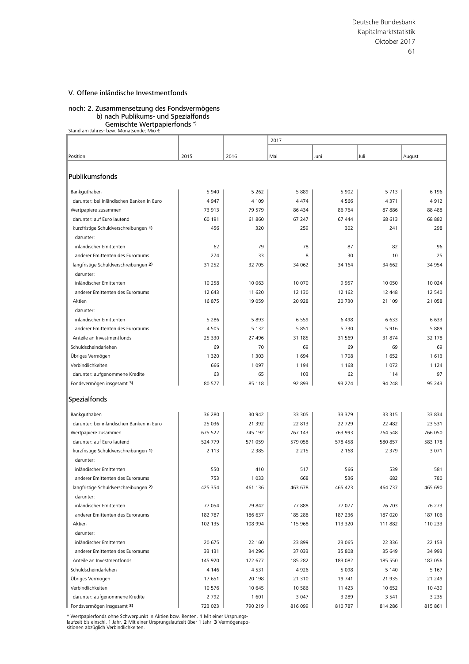noch: 2. Zusammensetzung des Fondsvermögens b) nach Publikums- und Spezialfonds

Gemischte Wertpapierfonds \*) Stand am Jahres- bzw. Monatsende; Mio €

|                                           |         |         | 2017    |         |         |         |  |
|-------------------------------------------|---------|---------|---------|---------|---------|---------|--|
|                                           |         |         |         |         |         |         |  |
| Position                                  | 2015    | 2016    | Mai     | Juni    | Juli    | August  |  |
|                                           |         |         |         |         |         |         |  |
| Publikumsfonds                            |         |         |         |         |         |         |  |
| Bankguthaben                              | 5 9 4 0 | 5 2 6 2 | 5889    | 5 9 0 2 | 5 7 1 3 | 6 1 9 6 |  |
| darunter: bei inländischen Banken in Euro | 4947    | 4 1 0 9 | 4 4 7 4 | 4566    | 4 3 7 1 | 4912    |  |
| Wertpapiere zusammen                      | 73 913  | 79 579  | 86 434  | 86 764  | 87 886  | 88 4 88 |  |
| darunter: auf Euro lautend                | 60 191  | 61 860  | 67 247  | 67 444  | 68 613  | 68 882  |  |
| kurzfristige Schuldverschreibungen 1)     | 456     | 320     | 259     | 302     | 241     | 298     |  |
| darunter:                                 |         |         |         |         |         |         |  |
| inländischer Emittenten                   | 62      | 79      | 78      | 87      | 82      | 96      |  |
| anderer Emittenten des Euroraums          | 274     | 33      | 8       | 30      | 10      | 25      |  |
| langfristige Schuldverschreibungen 2)     | 31 252  | 32 705  | 34 062  | 34 164  | 34 662  | 34 954  |  |
| darunter:                                 |         |         |         |         |         |         |  |
| inländischer Emittenten                   | 10 258  | 10 063  | 10 070  | 9957    | 10 050  | 10 0 24 |  |
| anderer Emittenten des Euroraums          | 12 643  | 11 620  | 12 130  | 12 162  | 12 448  | 12 540  |  |
| Aktien                                    | 16875   | 19 059  | 20 9 28 | 20 730  | 21 109  | 21 058  |  |
| darunter:                                 |         |         |         |         |         |         |  |
| inländischer Emittenten                   | 5 2 8 6 | 5893    | 6559    | 6498    | 6 6 3 3 | 6633    |  |
| anderer Emittenten des Euroraums          | 4505    | 5 1 3 2 | 5851    | 5730    | 5916    | 5889    |  |
| Anteile an Investmentfonds                | 25 330  | 27 496  | 31 185  | 31 569  | 31 874  | 32 178  |  |
| Schuldscheindarlehen                      | 69      | 70      | 69      | 69      | 69      | 69      |  |
| Übriges Vermögen                          | 1 3 2 0 | 1 3 0 3 | 1694    | 1708    | 1652    | 1613    |  |
| Verbindlichkeiten                         | 666     | 1 0 9 7 | 1 1 9 4 | 1 1 6 8 | 1 0 7 2 | 1 1 2 4 |  |
| darunter: aufgenommene Kredite            | 63      | 65      | 103     | 62      | 114     | 97      |  |
| Fondsvermögen insgesamt 3)                | 80 577  | 85 118  | 92 893  | 93 274  | 94 248  | 95 243  |  |
|                                           |         |         |         |         |         |         |  |
| Spezialfonds                              |         |         |         |         |         |         |  |
| Bankguthaben                              | 36 280  | 30 942  | 33 305  | 33 379  | 33 315  | 33 834  |  |
| darunter: bei inländischen Banken in Euro | 25 0 36 | 21 392  | 22 813  | 22729   | 22 482  | 23 5 31 |  |
| Wertpapiere zusammen                      | 675 522 | 745 192 | 767 143 | 763 993 | 764 548 | 766 050 |  |
| darunter: auf Euro lautend                | 524 779 | 571 059 | 579 058 | 578 458 | 580 857 | 583 178 |  |
| kurzfristige Schuldverschreibungen 1)     | 2 1 1 3 | 2 3 8 5 | 2 2 1 5 | 2 1 6 8 | 2 3 7 9 | 3 0 7 1 |  |
| darunter:                                 |         |         |         |         |         |         |  |
| inländischer Emittenten                   | 550     | 410     | 517     | 566     | 539     | 581     |  |
| anderer Emittenten des Euroraums          | 753     | 1 0 3 3 | 668     | 536     | 682     | 780     |  |
| langfristige Schuldverschreibungen 2)     | 425 354 | 461 136 | 463 678 | 465 423 | 464 737 | 465 690 |  |
| darunter:                                 |         |         |         |         |         |         |  |
| inländischer Emittenten                   | 77 054  | 79 842  | 77888   | 77 077  | 76 703  | 76 273  |  |
| anderer Emittenten des Euroraums          | 182 787 | 186 637 | 185 288 | 187 236 | 187 020 | 187 106 |  |
| Aktien                                    | 102 135 | 108 994 | 115 968 | 113 320 | 111 882 | 110 233 |  |
| darunter:                                 |         |         |         |         |         |         |  |
| inländischer Emittenten                   | 20 675  | 22 160  | 23 899  | 23 065  | 22 3 36 | 22 153  |  |
| anderer Emittenten des Euroraums          | 33 131  | 34 296  | 37 033  | 35 808  | 35 649  | 34 993  |  |
| Anteile an Investmentfonds                | 145 920 | 172 677 | 185 282 | 183 082 | 185 550 | 187 056 |  |
| Schuldscheindarlehen                      | 4 1 4 6 | 4531    | 4926    | 5 0 9 8 | 5 1 4 0 | 5 1 6 7 |  |
| Übriges Vermögen                          | 17 651  | 20 198  | 21 310  | 19 741  | 21 935  | 21 249  |  |
| Verbindlichkeiten                         | 10 576  | 10 645  | 10 5 86 | 11 423  | 10 652  | 10 4 39 |  |
| darunter: aufgenommene Kredite            | 2 7 9 2 | 1 601   | 3 0 4 7 | 3 2 8 9 | 3 5 4 1 | 3 2 3 5 |  |
| Fondsvermögen insgesamt 3)                | 723 023 | 790 219 | 816 099 | 810 787 | 814 286 | 815 861 |  |

\* Wertpapierfonds ohne Schwerpunkt in Aktien bzw. Renten. 1 Mit einer Ursprungs-<br>laufzeit bis einschl. 1 Jahr. 2 Mit einer Ursprungslaufzeit über 1 Jahr. 3 Vermögenspo-<br>sitionen abzüglich Verbindlichkeiten.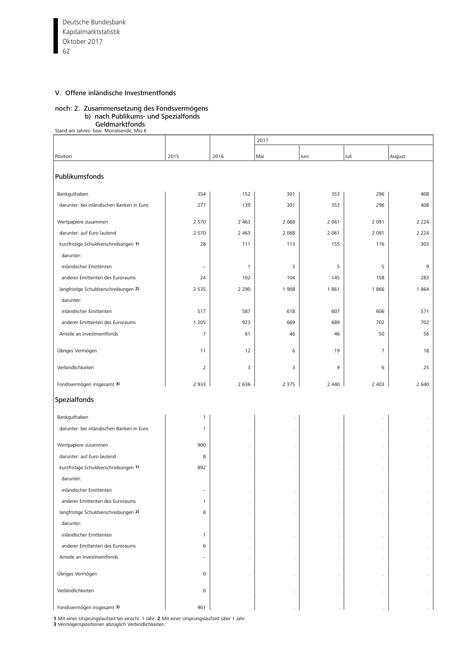Deutsche Bundesbank 62 Kapitalmarktstatistik Oktober 2017

### V. Offene inländische Investmentfonds

# noch: 2. Zusammensetzung des Fondsvermögens

b) nach Publikums- und Spezialfonds

**Geldmarktfonds**<br>€ Stand am Jahres- bzw. Monatsende; Mio

|                                           |                |              | 2017    |         |                |         |
|-------------------------------------------|----------------|--------------|---------|---------|----------------|---------|
| Position                                  | 2015           | 2016         | Mai     | Juni    | Juli           | August  |
|                                           |                |              |         |         |                |         |
| Publikumsfonds                            |                |              |         |         |                |         |
|                                           |                |              |         |         |                |         |
| Bankguthaben                              | 354            | 152          | 301     | 353     | 296            | 408     |
| darunter: bei inländischen Banken in Euro | 277            | 139          | 301     | 353     | 296            | 408     |
| Wertpapiere zusammen                      | 2 5 7 0        | 2 4 6 3      | 2 0 6 8 | 2 0 6 1 | 2 0 9 1        | 2 2 2 4 |
| darunter: auf Euro lautend                | 2 5 7 0        | 2 4 6 3      | 2 0 6 8 | 2 0 6 1 | 2 0 9 1        | 2 2 2 4 |
| kurzfristige Schuldverschreibungen 1)     | 28             | 111          | 113     | 155     | 176            | 303     |
| darunter:                                 |                |              |         |         |                |         |
| inländischer Emittenten                   | ÷              | $\mathbf{1}$ | 3       | 5       | 5              | 9       |
| anderer Emittenten des Euroraums          | 24             | 102          | 104     | 145     | 158            | 283     |
| langfristige Schuldverschreibungen 2)     | 2 5 3 5        | 2 2 9 0      | 1908    | 1861    | 1866           | 1864    |
| darunter:                                 |                |              |         |         |                |         |
| inländischer Emittenten                   | 517            | 587          | 618     | 607     | 606            | 571     |
| anderer Emittenten des Euroraums          | 1 2 0 5        | 923          | 669     | 689     | 702            | 702     |
| Anteile an Investmentfonds                | $\overline{7}$ | 61           | 46      | 46      | 50             | 56      |
| Übriges Vermögen                          | 11             | 12           | 6       | 19      | $\overline{7}$ | 18      |
|                                           |                |              |         |         |                |         |
| Verbindlichkeiten                         | $\overline{2}$ | 3            | 3       | 9       | 6              | 25      |
| Fondsvermögen insgesamt 3)                | 2 9 3 3        | 2 6 3 6      | 2 3 7 5 | 2 4 4 0 | 2 4 0 3        | 2 6 4 0 |
| Spezialfonds                              |                |              |         |         |                |         |
| Bankguthaben                              | $\mathbf{1}$   | $\cdot$      |         |         |                |         |
| darunter: bei inländischen Banken in Euro | $\mathbf{1}$   | $\cdot$      |         |         |                |         |
|                                           |                |              |         |         |                |         |
| Wertpapiere zusammen                      | 900            | $\cdot$      |         |         |                |         |
| darunter: auf Euro lautend                | 8              | $\cdot$      |         |         |                |         |
| kurzfristige Schuldverschreibungen 1)     | 892            | $\cdot$      |         | $\cdot$ |                | $\cdot$ |
| darunter:                                 |                |              |         |         |                |         |
| inländischer Emittenten                   |                |              |         |         |                |         |
| anderer Emittenten des Euroraums          | $\mathbf{1}$   |              |         |         |                |         |
| langfristige Schuldverschreibungen 2)     | 8              |              |         |         |                |         |
| darunter:                                 |                |              |         |         |                |         |
| inländischer Emittenten                   | $\mathbf{1}$   | $\cdot$      |         |         |                |         |
| anderer Emittenten des Euroraums          | 6              |              |         |         |                |         |
| Anteile an Investmentfonds                |                | $\cdot$      |         |         |                |         |
| Übriges Vermögen                          | 0              |              |         |         |                |         |
| Verbindlichkeiten                         | 0              |              |         |         |                |         |
| Fondsvermögen insgesamt 3)                | 901            |              |         |         |                |         |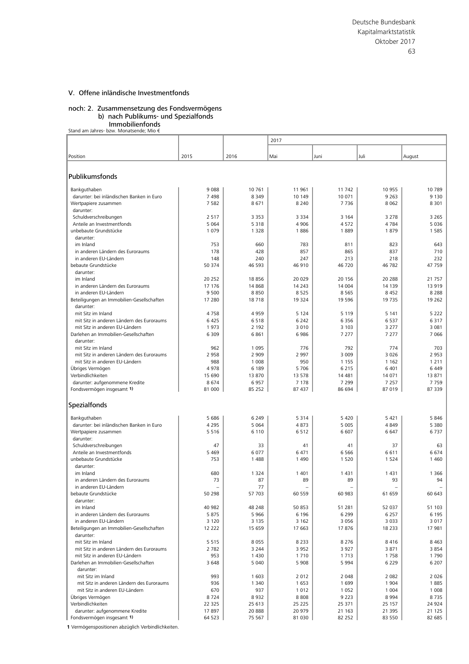#### noch: 2. Zusammensetzung des Fondsvermögens b) nach Publikums- und Spezialfonds

**Immobilienfonds**<br>€ Stand am Jahres- bzw. Monatsende; Mio

|                                                                         |                    |                    | 2017               |                    |                    |                 |
|-------------------------------------------------------------------------|--------------------|--------------------|--------------------|--------------------|--------------------|-----------------|
|                                                                         |                    |                    |                    |                    |                    |                 |
| Position                                                                | 2015               | 2016               | Mai                | Juni               | Juli               | August          |
|                                                                         |                    |                    |                    |                    |                    |                 |
| Publikumsfonds                                                          |                    |                    |                    |                    |                    |                 |
| Bankguthaben                                                            | 9088               | 10 761             | 11 961             | 11 742             | 10 955             | 10789           |
| darunter: bei inländischen Banken in Euro                               | 7498               | 8 3 4 9            | 10 149             | 10 071             | 9 2 6 3            | 9 1 3 0         |
| Wertpapiere zusammen                                                    | 7582               | 8671               | 8 2 4 0            | 7736               | 8 0 6 2            | 8 3 0 1         |
| darunter:                                                               |                    |                    |                    |                    |                    |                 |
| Schuldverschreibungen                                                   | 2 5 1 7<br>5 0 6 4 | 3 3 5 3<br>5 3 1 8 | 3 3 3 4<br>4 9 0 6 | 3 1 6 4<br>4572    | 3 2 7 8<br>4 7 8 4 | 3 2 6 5<br>5036 |
| Anteile an Investmentfonds<br>unbebaute Grundstücke                     | 1079               | 1 3 2 8            | 1886               | 1889               | 1879               | 1585            |
| darunter:                                                               |                    |                    |                    |                    |                    |                 |
| im Inland                                                               | 753                | 660                | 783                | 811                | 823                | 643             |
| in anderen Ländern des Euroraums                                        | 178                | 428                | 857                | 865                | 837                | 710             |
| in anderen EU-Ländern                                                   | 148                | 240                | 247                | 213                | 218                | 232             |
| bebaute Grundstücke                                                     | 50 374             | 46 593             | 46 910             | 46 720             | 46 782             | 47 759          |
| darunter:<br>im Inland                                                  | 20 25 2            | 18856              | 20 0 29            | 20 15 6            | 20 288             | 21 757          |
| in anderen Ländern des Euroraums                                        | 17 17 6            | 14 8 68            | 14 2 4 3           | 14 004             | 14 139             | 13 9 19         |
| in anderen EU-Ländern                                                   | 9 5 0 0            | 8850               | 8525               | 8565               | 8 4 5 2            | 8 2 8 8         |
| Beteiligungen an Immobilien-Gesellschaften                              | 17 280             | 18718              | 19 3 24            | 19 5 96            | 19 735             | 19 2 6 2        |
| darunter:                                                               |                    |                    |                    |                    |                    |                 |
| mit Sitz im Inland                                                      | 4758               | 4959               | 5 1 2 4            | 5 1 1 9            | 5 1 4 1            | 5 2 2 2         |
| mit Sitz in anderen Ländern des Euroraums                               | 6 4 2 5            | 6518               | 6 2 4 2            | 6356               | 6 5 3 7            | 6317            |
| mit Sitz in anderen EU-Ländern<br>Darlehen an Immobilien-Gesellschaften | 1973<br>6 3 0 9    | 2 1 9 2<br>6861    | 3 0 1 0<br>6986    | 3 1 0 3<br>7 2 7 7 | 3 2 7 7<br>7 2 7 7 | 3 0 8 1<br>7066 |
| darunter:                                                               |                    |                    |                    |                    |                    |                 |
| mit Sitz im Inland                                                      | 962                | 1 0 9 5            | 776                | 792                | 774                | 703             |
| mit Sitz in anderen Ländern des Euroraums                               | 2958               | 2 9 0 9            | 2 9 9 7            | 3 0 0 9            | 3 0 2 6            | 2953            |
| mit Sitz in anderen EU-Ländern                                          | 988                | 1 0 0 8            | 950                | 1 1 5 5            | 1 1 6 2            | 1 2 1 1         |
| Übriges Vermögen                                                        | 4978               | 6 189              | 5706               | 6 2 1 5            | 6 4 0 1            | 6 4 4 9         |
| Verbindlichkeiten                                                       | 15 690             | 13 870             | 13 578             | 14 4 81            | 14 071             | 13871           |
| darunter: aufgenommene Kredite<br>Fondsvermögen insgesamt 1)            | 8674<br>81 000     | 6957<br>85 25 2    | 7 1 7 8<br>87 437  | 7 2 9 9<br>86 694  | 7 2 5 7<br>87 019  | 7759<br>87 339  |
|                                                                         |                    |                    |                    |                    |                    |                 |
| Spezialfonds                                                            |                    |                    |                    |                    |                    |                 |
|                                                                         |                    |                    |                    |                    |                    |                 |
| Bankguthaben                                                            | 5 6 8 6            | 6 2 4 9            | 5314               | 5 4 2 0            | 5 4 2 1            | 5846            |
| darunter: bei inländischen Banken in Euro<br>Wertpapiere zusammen       | 4 2 9 5<br>5 5 1 6 | 5 0 6 4<br>6 1 1 0 | 4873<br>6512       | 5 0 0 5<br>6 607   | 4849<br>6 6 4 7    | 5 3 8 0<br>6737 |
| darunter:                                                               |                    |                    |                    |                    |                    |                 |
| Schuldverschreibungen                                                   | 47                 | 33                 | 41                 | 41                 | 37                 | 63              |
| Anteile an Investmentfonds                                              | 5 4 6 9            | 6 0 7 7            | 6 4 7 1            | 6566               | 6611               | 6674            |
| unbebaute Grundstücke                                                   | 753                | 1 4 8 8            | 1490               | 1 5 2 0            | 1 5 2 4            | 1 4 6 0         |
| darunter:                                                               |                    |                    |                    |                    |                    |                 |
| im Inland<br>in anderen Ländern des Euroraums                           | 680<br>73          | 1 3 2 4<br>87      | 1 4 0 1<br>89      | 1431<br>89         | 1 4 3 1<br>93      | 1 3 6 6<br>94   |
| in anderen EU-Ländern                                                   |                    | 77                 | ۳                  |                    |                    |                 |
| bebaute Grundstücke                                                     | 50 298             | 57 703             | 60 559             | 60 983             | 61 659             | 60 643          |
| darunter:                                                               |                    |                    |                    |                    |                    |                 |
| im Inland                                                               | 40 982             | 48 248             | 50 853             | 51 281             | 52 037             | 51 103          |
| in anderen Ländern des Euroraums                                        | 5875               | 5 9 6 6            | 6 1 9 6            | 6 2 9 9            | 6 2 5 7            | 6 1 9 5         |
| in anderen EU-Ländern                                                   | 3 1 2 0            | 3 1 3 5            | 3 1 6 2            | 3 0 5 6            | 3 0 3 3            | 3017            |
| Beteiligungen an Immobilien-Gesellschaften<br>darunter:                 | 12 2 2 2           | 15 659             | 17 663             | 17876              | 18 233             | 17 981          |
| mit Sitz im Inland                                                      | 5 5 1 5            | 8 0 5 5            | 8 2 3 3            | 8 2 7 6            | 8416               | 8 4 6 3         |
| mit Sitz in anderen Ländern des Euroraums                               | 2 7 8 2            | 3 2 4 4            | 3 9 5 2            | 3 9 2 7            | 3871               | 3854            |
| mit Sitz in anderen EU-Ländern                                          | 953                | 1 4 3 0            | 1710               | 1713               | 1758               | 1790            |
| Darlehen an Immobilien-Gesellschaften                                   | 3 6 4 8            | 5 0 4 0            | 5 9 0 8            | 5 9 9 4            | 6 2 2 9            | 6 2 0 7         |
| darunter:                                                               |                    |                    |                    |                    |                    |                 |
| mit Sitz im Inland<br>mit Sitz in anderen Ländern des Euroraums         | 993<br>936         | 1 603              | 2012               | 2 0 4 8            | 2 0 8 2            | 2026            |
| mit Sitz in anderen EU-Ländern                                          | 670                | 1 3 4 0<br>937     | 1653<br>1012       | 1699<br>1 0 5 2    | 1 9 0 4<br>1 0 0 4 | 1885<br>1 0 0 8 |
| Übriges Vermögen                                                        | 8724               | 8932               | 8808               | 9 2 2 3            | 8 9 9 4            | 8735            |
| Verbindlichkeiten                                                       | 22 3 25            | 25 613             | 25 225             | 25 371             | 25 157             | 24 9 24         |
| darunter: aufgenommene Kredite                                          | 17897              | 20 888             | 20 979             | 21 163             | 21 395             | 21 1 25         |
| Fondsvermögen insgesamt 1)                                              | 64 523             | 75 567             | 81 030             | 82 252             | 83 550             | 82 685          |

**1** Vermögenspositionen abzüglich Verbindlichkeiten.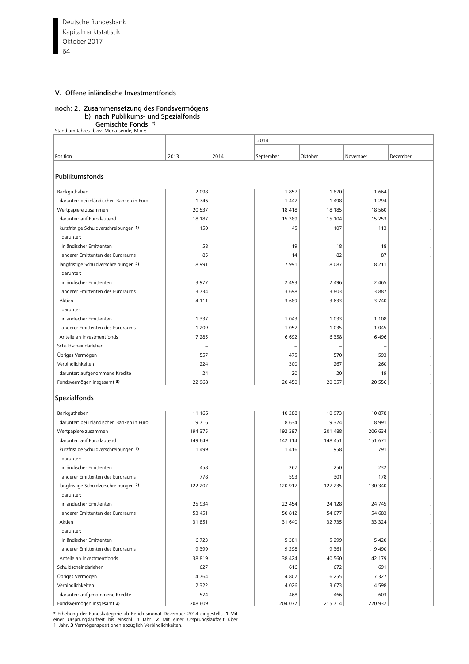# noch: 2. Zusammensetzung des Fondsvermögens

# b) nach Publikums- und Spezialfonds

**Gemischte Fonds** \*)<br>€ Stand am Jahres- bzw. Monatsende; Mio

|                                           |         |      | 2014      |         |          |          |  |  |  |
|-------------------------------------------|---------|------|-----------|---------|----------|----------|--|--|--|
|                                           |         |      |           |         |          |          |  |  |  |
| Position                                  | 2013    | 2014 | September | Oktober | November | Dezember |  |  |  |
| Publikumsfonds                            |         |      |           |         |          |          |  |  |  |
| Bankguthaben                              | 2 0 9 8 |      | 1857      | 1870    | 1664     |          |  |  |  |
| darunter: bei inländischen Banken in Euro | 1746    |      | 1 4 4 7   | 1 4 9 8 | 1 2 9 4  |          |  |  |  |
| Wertpapiere zusammen                      | 20 5 37 |      | 18418     | 18 18 5 | 18 5 60  |          |  |  |  |
| darunter: auf Euro lautend                | 18 187  |      | 15 389    | 15 104  | 15 2 5 3 |          |  |  |  |
| kurzfristige Schuldverschreibungen 1)     | 150     |      | 45        | 107     | 113      |          |  |  |  |
| darunter:                                 |         |      |           |         |          |          |  |  |  |
| inländischer Emittenten                   | 58      |      | 19        | 18      | 18       |          |  |  |  |
| anderer Emittenten des Euroraums          | 85      |      | 14        | 82      | 87       |          |  |  |  |
| langfristige Schuldverschreibungen 2)     | 8 9 9 1 |      | 7991      | 8 0 8 7 | 8 2 1 1  |          |  |  |  |
| darunter:                                 |         |      |           |         |          |          |  |  |  |
| inländischer Emittenten                   | 3977    |      | 2 4 9 3   | 2 4 9 6 | 2 4 6 5  |          |  |  |  |
| anderer Emittenten des Euroraums          | 3734    |      | 3 6 9 8   | 3 8 0 3 | 3887     |          |  |  |  |
| Aktien                                    | 4 1 1 1 |      | 3 6 8 9   | 3 6 3 3 | 3740     |          |  |  |  |
| darunter:                                 |         |      |           |         |          |          |  |  |  |
| inländischer Emittenten                   | 1 3 3 7 |      | 1 0 4 3   | 1 0 3 3 | 1 1 0 8  |          |  |  |  |
| anderer Emittenten des Euroraums          | 1 2 0 9 |      | 1 0 5 7   | 1 0 3 5 | 1 0 4 5  |          |  |  |  |
| Anteile an Investmentfonds                | 7 2 8 5 |      | 6 6 9 2   | 6 3 5 8 | 6496     |          |  |  |  |
| Schuldscheindarlehen                      |         |      |           |         |          |          |  |  |  |
| Übriges Vermögen                          | 557     |      | 475       | 570     | 593      |          |  |  |  |
| Verbindlichkeiten                         | 224     |      | 300       | 267     | 260      |          |  |  |  |
| darunter: aufgenommene Kredite            | 24      |      | 20        | 20      | 19       |          |  |  |  |
| Fondsvermögen insgesamt 3)                | 22 968  |      | 20 450    | 20 357  | 20 55 6  |          |  |  |  |
| Spezialfonds                              |         |      |           |         |          |          |  |  |  |
| Bankguthaben                              | 11 166  |      | 10 288    | 10 973  | 10878    |          |  |  |  |
| darunter: bei inländischen Banken in Euro | 9716    |      | 8634      | 9 3 2 4 | 8991     |          |  |  |  |
| Wertpapiere zusammen                      | 194 375 |      | 192 397   | 201 488 | 206 634  |          |  |  |  |
| darunter: auf Euro lautend                | 149 649 |      | 142 114   | 148 451 | 151 671  |          |  |  |  |
| kurzfristige Schuldverschreibungen 1)     | 1 4 9 9 |      | 1416      | 958     | 791      |          |  |  |  |
| darunter:                                 |         |      |           |         |          |          |  |  |  |
| inländischer Emittenten                   | 458     |      | 267       | 250     | 232      |          |  |  |  |
| anderer Emittenten des Euroraums          | 778     |      | 593       | 301     | 178      |          |  |  |  |
| langfristige Schuldverschreibungen 2)     | 122 207 |      | 120 917   | 127 235 | 130 340  |          |  |  |  |
| darunter:                                 |         |      |           |         |          |          |  |  |  |
| inländischer Emittenten                   | 25 934  |      | 22 454    | 24 128  | 24 7 45  |          |  |  |  |
| anderer Emittenten des Euroraums          | 53 451  |      | 50 812    | 54 077  | 54 683   |          |  |  |  |
| Aktien                                    | 31 851  |      | 31 640    | 32 735  | 33 324   |          |  |  |  |
| darunter:                                 |         |      |           |         |          |          |  |  |  |
| inländischer Emittenten                   | 6723    |      | 5 3 8 1   | 5 2 9 9 | 5 4 2 0  |          |  |  |  |
| anderer Emittenten des Euroraums          | 9 3 9 9 |      | 9 2 9 8   | 9 3 6 1 | 9490     |          |  |  |  |
| Anteile an Investmentfonds                | 38 819  |      | 38 4 24   | 40 560  | 42 179   |          |  |  |  |
| Schuldscheindarlehen                      | 627     |      | 616       | 672     | 691      |          |  |  |  |
| Übriges Vermögen                          | 4764    |      | 4 8 0 2   | 6 2 5 5 | 7 3 2 7  |          |  |  |  |
| Verbindlichkeiten                         | 2 3 2 2 |      | 4 0 2 6   | 3 6 7 3 | 4598     |          |  |  |  |
| darunter: aufgenommene Kredite            | 574     |      | 468       | 466     | 603      |          |  |  |  |
| Fondsvermögen insgesamt 3)                | 208 609 |      | 204 077   | 215 714 | 220 932  |          |  |  |  |

\* Erhebung der Fondskategorie ab Berichtsmonat Dezember 2014 eingestellt. **1** Mit<br>einer Ursprungslaufzeit bis einschl. 1 Jahr. 2 Mit einer Ursprungslaufzeit über<br>1 Jahr. **3** Vermögenspositionen abzüglich Verbindlichkeit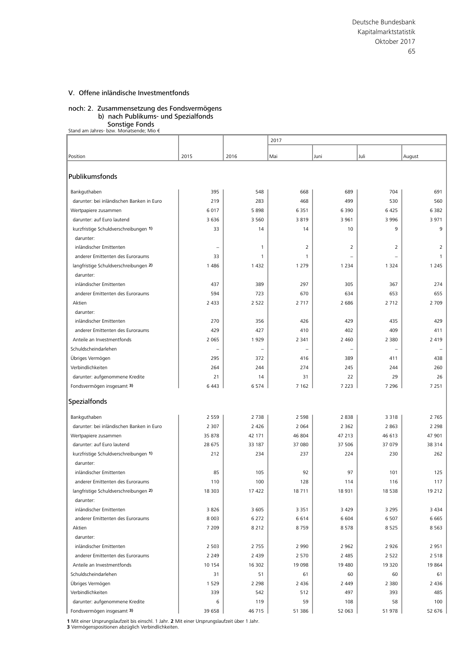#### noch: 2. Zusammensetzung des Fondsvermögens b) nach Publikums- und Spezialfonds

Sonstige Fonds

|  |  | Stand am Jahres- bzw. Monatsende; Mio € |  |  |
|--|--|-----------------------------------------|--|--|
|  |  |                                         |  |  |

|                                           |                          |              | 2017              |                          |                |         |  |  |
|-------------------------------------------|--------------------------|--------------|-------------------|--------------------------|----------------|---------|--|--|
| Position                                  | 2015                     | 2016         | Mai               | Juni                     | Juli           | August  |  |  |
|                                           |                          |              |                   |                          |                |         |  |  |
| Publikumsfonds                            |                          |              |                   |                          |                |         |  |  |
| Bankguthaben                              | 395                      | 548          | 668               | 689                      | 704            | 691     |  |  |
| darunter: bei inländischen Banken in Euro | 219                      | 283          | 468               | 499                      | 530            | 560     |  |  |
| Wertpapiere zusammen                      | 6017                     | 5898         | 6 3 5 1           | 6 3 9 0                  | 6 4 2 5        | 6382    |  |  |
| darunter: auf Euro lautend                | 3 6 3 6                  | 3 5 6 0      | 3819              | 3 9 6 1                  | 3 9 9 6        | 3971    |  |  |
| kurzfristige Schuldverschreibungen 1)     | 33                       | 14           | 14                | 10                       | 9              | 9       |  |  |
| darunter:                                 |                          |              |                   |                          |                |         |  |  |
| inländischer Emittenten                   |                          | $\mathbf{1}$ | 2                 | 2                        | $\overline{2}$ | 2       |  |  |
| anderer Emittenten des Euroraums          | 33                       | $\mathbf{1}$ | $\mathbf{1}$      |                          |                | 1       |  |  |
| langfristige Schuldverschreibungen 2)     | 1 4 8 6                  | 1 4 3 2      | 1 2 7 9           | 1 2 3 4                  | 1 3 2 4        | 1 2 4 5 |  |  |
| darunter:                                 |                          |              |                   |                          |                |         |  |  |
| inländischer Emittenten                   | 437                      | 389          | 297               | 305                      | 367            | 274     |  |  |
| anderer Emittenten des Euroraums          | 594                      | 723          | 670               | 634                      | 653            | 655     |  |  |
| Aktien                                    | 2 4 3 3                  | 2 5 2 2      | 2717              | 2 6 8 6                  | 2 7 1 2        | 2 7 0 9 |  |  |
| darunter:                                 |                          |              |                   |                          |                |         |  |  |
| inländischer Emittenten                   | 270                      | 356          | 426               | 429                      | 435            | 429     |  |  |
| anderer Emittenten des Euroraums          | 429                      | 427          | 410               | 402                      | 409            | 411     |  |  |
| Anteile an Investmentfonds                | 2 0 6 5                  | 1929         | 2 3 4 1           | 2 4 6 0                  | 2 3 8 0        | 2 4 1 9 |  |  |
| Schuldscheindarlehen                      | $\overline{\phantom{a}}$ |              | $\qquad \qquad -$ | $\overline{\phantom{0}}$ |                |         |  |  |
| Übriges Vermögen                          | 295                      | 372          | 416               | 389                      | 411            | 438     |  |  |
| Verbindlichkeiten                         | 264                      | 244          | 274               | 245                      | 244            | 260     |  |  |
| darunter: aufgenommene Kredite            | 21                       | 14           | 31                | 22                       | 29             | 26      |  |  |
| Fondsvermögen insgesamt 3)                | 6 4 43                   | 6574         | 7 1 6 2           | 7 2 2 3                  | 7 2 9 6        | 7 2 5 1 |  |  |
| Spezialfonds                              |                          |              |                   |                          |                |         |  |  |
| Bankguthaben                              | 2 5 5 9                  | 2 7 3 8      | 2 5 9 8           | 2838                     | 3 3 1 8        | 2 7 6 5 |  |  |
| darunter: bei inländischen Banken in Euro | 2 3 0 7                  | 2 4 2 6      | 2 0 6 4           | 2 3 6 2                  | 2 8 6 3        | 2 2 9 8 |  |  |
| Wertpapiere zusammen                      | 35 878                   | 42 171       | 46 804            | 47 213                   | 46 613         | 47 901  |  |  |
| darunter: auf Euro lautend                | 28 675                   | 33 187       | 37 080            | 37 506                   | 37 079         | 38 3 14 |  |  |
| kurzfristige Schuldverschreibungen 1)     | 212                      | 234          | 237               | 224                      | 230            | 262     |  |  |
| darunter:                                 |                          |              |                   |                          |                |         |  |  |
| inländischer Emittenten                   | 85                       | 105          | 92                | 97                       | 101            | 125     |  |  |
| anderer Emittenten des Euroraums          | 110                      | 100          | 128               | 114                      | 116            | 117     |  |  |
| langfristige Schuldverschreibungen 2)     | 18 30 3                  | 17 422       | 18711             | 18 9 31                  | 18 5 38        | 19 212  |  |  |
| darunter:                                 |                          |              |                   |                          |                |         |  |  |
| inländischer Emittenten                   | 3826                     | 3 6 0 5      | 3 3 5 1           | 3 4 2 9                  | 3 2 9 5        | 3 4 3 4 |  |  |
| anderer Emittenten des Euroraums          | 8 0 0 3                  | 6 2 7 2      | 6614              | 6 604                    | 6 5 0 7        | 6665    |  |  |
| Aktien                                    | 7 2 0 9                  | 8 2 1 2      | 8759              | 8578                     | 8 5 2 5        | 8 5 6 3 |  |  |
| darunter:                                 |                          |              |                   |                          |                |         |  |  |
| inländischer Emittenten                   | 2 5 0 3                  | 2 7 5 5      | 2 9 9 0           | 2 9 6 2                  | 2 9 2 6        | 2951    |  |  |
| anderer Emittenten des Euroraums          | 2 2 4 9                  | 2 4 3 9      | 2 5 7 0           | 2 4 8 5                  | 2 5 2 2        | 2 5 1 8 |  |  |
| Anteile an Investmentfonds                | 10 154                   | 16 302       | 19 098            | 19 480                   | 19 3 20        | 19864   |  |  |
| Schuldscheindarlehen                      | 31                       | 51           | 61                | 60                       | 60             | 61      |  |  |
| Übriges Vermögen                          | 1 5 2 9                  | 2 2 9 8      | 2 4 3 6           | 2 4 4 9                  | 2 3 8 0        | 2 4 3 6 |  |  |
| Verbindlichkeiten                         | 339                      | 542          | 512               | 497                      | 393            | 485     |  |  |
| darunter: aufgenommene Kredite            | 6                        | 119          | 59                | 108                      | 58             | 100     |  |  |
| Fondsvermögen insgesamt 3)                | 39 658                   | 46 715       | 51 386            | 52 063                   | 51 978         | 52 676  |  |  |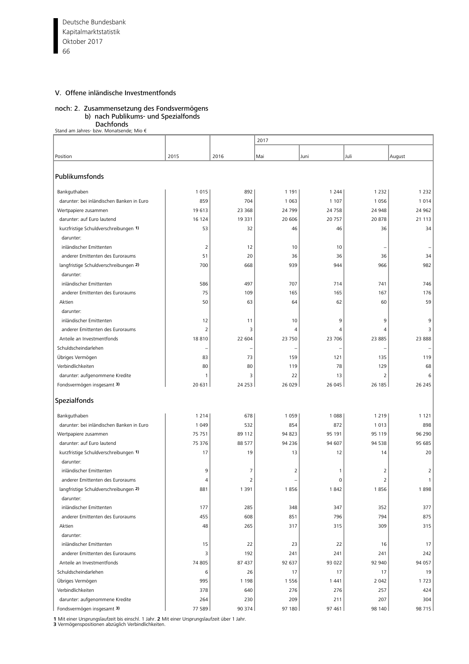Deutsche Bundesbank 66 Kapitalmarktstatistik Oktober 2017

# V. Offene inländische Investmentfonds

# noch: 2. Zusammensetzung des Fondsvermögens

b) nach Publikums- und Spezialfonds

**Dachfonds<br>€ Stand am Jahres- bzw. Monatsende; Mio** 

|                                                    |                |                | 2017         |              |                |              |
|----------------------------------------------------|----------------|----------------|--------------|--------------|----------------|--------------|
|                                                    |                |                |              |              |                |              |
| Position                                           | 2015           | 2016           | Mai          | Juni         | Juli           | August       |
| Publikumsfonds                                     |                |                |              |              |                |              |
| Bankguthaben                                       | 1015           | 892            | 1 1 9 1      | 1 2 4 4      | 1 2 3 2        | 1 2 3 2      |
| darunter: bei inländischen Banken in Euro          | 859            | 704            | 1 0 6 3      | 1 1 0 7      | 1056           | 1014         |
| Wertpapiere zusammen                               | 19613          | 23 3 68        | 24 799       | 24 758       | 24 948         | 24 962       |
| darunter: auf Euro lautend                         | 16 124         | 19 3 31        | 20 606       | 20 757       | 20878          | 21 1 1 3     |
| kurzfristige Schuldverschreibungen 1)<br>darunter: | 53             | 32             | 46           | 46           | 36             | 34           |
| inländischer Emittenten                            | 2              | 12             | 10           | 10           |                |              |
| anderer Emittenten des Euroraums                   | 51             | 20             | 36           | 36           | 36             | 34           |
| langfristige Schuldverschreibungen 2)              | 700            | 668            | 939          | 944          | 966            | 982          |
| darunter:                                          |                |                |              |              |                |              |
| inländischer Emittenten                            | 586            | 497            | 707          | 714          | 741            | 746          |
| anderer Emittenten des Euroraums                   | 75             | 109            | 165          | 165          | 167            | 176          |
| Aktien                                             | 50             | 63             | 64           | 62           | 60             | 59           |
| darunter:                                          |                |                |              |              |                |              |
| inländischer Emittenten                            | 12             | 11             | 10           | 9            | 9              | 9            |
| anderer Emittenten des Euroraums                   | $\overline{2}$ | 3              | 4            | 4            | 4              | 3            |
| Anteile an Investmentfonds                         | 18810          | 22 604         | 23 750       | 23 706       | 23 885         | 23 888       |
| Schuldscheindarlehen                               |                |                |              |              |                |              |
| Übriges Vermögen                                   | 83             | 73             | 159          | 121          | 135            | 119          |
| Verbindlichkeiten                                  | 80             | 80             | 119          | 78           | 129            | 68           |
| darunter: aufgenommene Kredite                     | 1              | 3              | 22           | 13           | $\overline{2}$ | 6            |
| Fondsvermögen insgesamt 3)                         | 20 631         | 24 253         | 26 029       | 26 045       | 26 185         | 26 245       |
| Spezialfonds                                       |                |                |              |              |                |              |
| Bankguthaben                                       | 1214           | 678            | 1 0 5 9      | 1 0 8 8      | 1 2 1 9        | 1 1 2 1      |
| darunter: bei inländischen Banken in Euro          | 1 0 4 9        | 532            | 854          | 872          | 1013           | 898          |
| Wertpapiere zusammen                               | 75 751         | 89 112         | 94 823       | 95 191       | 95 119         | 96 290       |
| darunter: auf Euro lautend                         | 75 376         | 88 577         | 94 236       | 94 607       | 94 538         | 95 685       |
| kurzfristige Schuldverschreibungen 1)              | 17             | 19             | 13           | 12           | 14             | 20           |
| darunter:                                          |                |                |              |              |                |              |
| inländischer Emittenten                            | 9              | 7              | 2            | 1            | 2              | 2            |
| anderer Emittenten des Euroraums                   | 4              | $\overline{2}$ |              | 0            | 2              | $\mathbf{1}$ |
| langfristige Schuldverschreibungen 2)              | 881            | 1 3 9 1        | 1856         | 1842         | 1856           | 1898         |
| darunter:                                          |                |                |              |              |                |              |
| inländischer Emittenten                            | 177            | 285            | 348          | 347          | 352            | 377          |
| anderer Emittenten des Euroraums                   | 455            | 608            | 851          | 796          | 794            | 875          |
| Aktien                                             | 48             | 265            | 317          | 315          | 309            | 315          |
| darunter:                                          |                |                |              |              |                |              |
| inländischer Emittenten                            | 15<br>3        | 22<br>192      | 23           | 22           | 16             | 17           |
| anderer Emittenten des Euroraums                   |                |                | 241          | 241          | 241            | 242          |
| Anteile an Investmentfonds<br>Schuldscheindarlehen | 74 805<br>6    | 87 437<br>26   | 92 637<br>17 | 93 022<br>17 | 92 940<br>17   | 94 057<br>19 |
| Übriges Vermögen                                   | 995            | 1 1 9 8        | 1 5 5 6      | 1 4 4 1      | 2 0 4 2        | 1723         |
| Verbindlichkeiten                                  | 378            | 640            | 276          | 276          | 257            | 424          |
| darunter: aufgenommene Kredite                     | 264            | 230            | 209          | 211          | 207            | 304          |
| Fondsvermögen insgesamt 3)                         | 77 589         | 90 374         | 97 180       | 97 461       | 98 140         | 98 715       |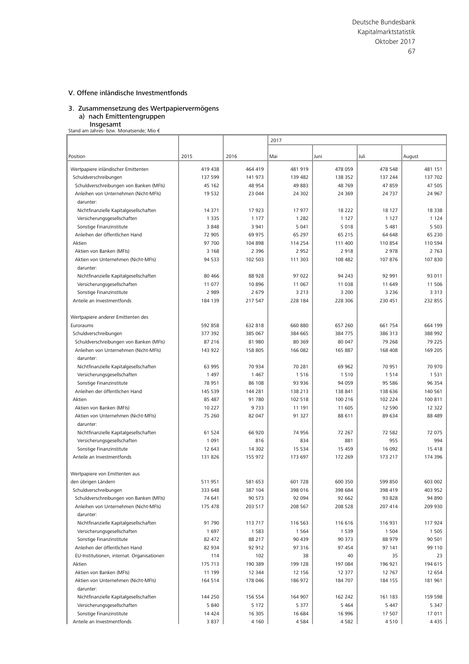#### 3. Zusammensetzung des Wertpapiervermögens a) nach Emittentengruppen

# **Insgesamt**<br>€ Stand am Jahres- bzw. Monatsende; Mio

|                                                    |                  |                    | 2017            |                 |                   |                    |
|----------------------------------------------------|------------------|--------------------|-----------------|-----------------|-------------------|--------------------|
| Position                                           | 2015             | 2016               | Mai             | Juni            | Juli              | August             |
|                                                    |                  |                    |                 |                 |                   |                    |
| Wertpapiere inländischer Emittenten                | 419 438          | 464 419            | 481 919         | 478 059         | 478 548           | 481 151<br>137 702 |
| Schuldverschreibungen                              | 137 599          | 141 973            | 139 482         | 138 352         | 137 244<br>47 859 |                    |
| Schuldverschreibungen von Banken (MFIs)            | 45 162<br>19532  | 48 954<br>23 044   | 49 883          | 48 769          | 24 7 37           | 47 505<br>24 967   |
| Anleihen von Unternehmen (Nicht-MFIs)<br>darunter: |                  |                    | 24 302          | 24 3 69         |                   |                    |
|                                                    | 14 371           | 17 923             | 17 977          | 18 2 22         | 18 127            | 18 3 38            |
| Nichtfinanzielle Kapitalgesellschaften             |                  |                    |                 |                 |                   |                    |
| Versicherungsgesellschaften                        | 1 3 3 5          | 1 1 7 7            | 1 2 8 2         | 1 1 2 7         | 1 1 2 7           | 1 1 2 4            |
| Sonstige Finanzinstitute                           | 3848             | 3 9 4 1<br>69 975  | 5 0 4 1         | 5018            | 5 4 8 1           | 5 5 0 3<br>65 230  |
| Anleihen der öffentlichen Hand                     | 72 905<br>97 700 |                    | 65 297          | 65 215          | 64 648<br>110 854 | 110 594            |
| Aktien                                             | 3 1 6 8          | 104 898<br>2 3 9 6 | 114 254<br>2952 | 111 400<br>2918 | 2978              | 2 7 6 3            |
| Aktien von Banken (MFIs)                           | 94 533           | 102 503            | 111 303         | 108 482         | 107 876           | 107830             |
| Aktien von Unternehmen (Nicht-MFIs)                |                  |                    |                 |                 |                   |                    |
| darunter:                                          |                  |                    |                 |                 |                   |                    |
| Nichtfinanzielle Kapitalgesellschaften             | 80 466           | 88 928             | 97 022          | 94 243          | 92 991            | 93 011             |
| Versicherungsgesellschaften                        | 11 077           | 10896              | 11 067          | 11 038          | 11 649            | 11 506             |
| Sonstige Finanzinstitute                           | 2 9 8 9          | 2 679              | 3 2 1 3         | 3 2 0 0         | 3 2 3 6           | 3 3 1 3            |
| Anteile an Investmentfonds                         | 184 139          | 217 547            | 228 184         | 228 306         | 230 451           | 232 855            |
| Wertpapiere anderer Emittenten des                 |                  |                    |                 |                 |                   |                    |
| Euroraums                                          | 592 858          | 632 818            | 660 880         | 657 260         | 661 754           | 664 199            |
| Schuldverschreibungen                              | 377 392          | 385 067            | 384 665         | 384 775         | 386 313           | 388 992            |
| Schuldverschreibungen von Banken (MFIs)            | 87 216           | 81 980             | 80 369          | 80 047          | 79 268            | 79 225             |
| Anleihen von Unternehmen (Nicht-MFIs)<br>darunter: | 143 922          | 158 805            | 166 082         | 165 887         | 168 408           | 169 205            |
| Nichtfinanzielle Kapitalgesellschaften             | 63 995           | 70 934             | 70 281          | 69 962          | 70 951            | 70 970             |
| Versicherungsgesellschaften                        | 1 4 9 7          | 1 4 6 7            | 1516            | 1510            | 1514              | 1531               |
| Sonstige Finanzinstitute                           | 78 951           | 86 108             | 93 936          | 94 059          | 95 586            | 96 354             |
| Anleihen der öffentlichen Hand                     | 145 539          | 144 281            | 138 213         | 138 841         | 138 636           | 140 561            |
| Aktien                                             | 85 487           | 91 780             | 102 518         | 100 216         | 102 224           | 100 811            |
| Aktien von Banken (MFIs)                           | 10 227           | 9733               | 11 191          | 11 605          | 12 5 9 0          | 12 3 22            |
| Aktien von Unternehmen (Nicht-MFIs)<br>darunter:   | 75 260           | 82 047             | 91 327          | 88 611          | 89 634            | 88 4 89            |
| Nichtfinanzielle Kapitalgesellschaften             | 61 524           | 66 920             | 74 956          | 72 267          | 72 582            | 72 075             |
| Versicherungsgesellschaften                        | 1 0 9 1          | 816                | 834             | 881             | 955               | 994                |
| Sonstige Finanzinstitute                           | 12 643           | 14 302             | 15 5 34         | 15 459          | 16 092            | 15 4 18            |
| Anteile an Investmentfonds                         | 131 826          | 155 972            | 173 697         | 172 269         | 173 217           | 174 396            |
| Wertpapiere von Emittenten aus                     |                  |                    |                 |                 |                   |                    |
| den übrigen Ländern                                | 511951           | 581 653            | 601 728         | 600 350         | 599 850           | 603 002            |
| Schuldverschreibungen                              | 333 648          | 387 104            | 398 016         | 398 684         | 398 419           | 403 952            |
| Schuldverschreibungen von Banken (MFIs)            | 74 641           | 90 573             | 92 094          | 92 662          | 93 828            | 94 890             |
| Anleihen von Unternehmen (Nicht-MFIs)<br>darunter: | 175 478          | 203 517            | 208 567         | 208 528         | 207 414           | 209 930            |
| Nichtfinanzielle Kapitalgesellschaften             | 91790            | 113 717            | 116 563         | 116 616         | 116 931           | 117 924            |
| Versicherungsgesellschaften                        | 1697             | 1 5 8 3            | 1 5 6 4         | 1 5 3 9         | 1 5 0 4           | 1 5 0 5            |
| Sonstige Finanzinstitute                           | 82 472           | 88 217             | 90 439          | 90 373          | 88 979            | 90 501             |
| Anleihen der öffentlichen Hand                     | 82 934           | 92 912             | 97 316          | 97 454          | 97 141            | 99 110             |
| EU-Institutionen, internat. Organisationen         | 114              | 102                | 38              | 40              | 35                | 23                 |
| Aktien                                             | 175 713          | 190 389            | 199 128         | 197 084         | 196 921           | 194 615            |
| Aktien von Banken (MFIs)                           | 11 199           | 12 344             | 12 15 6         | 12 377          | 12 767            | 12 654             |
| Aktien von Unternehmen (Nicht-MFIs)                | 164 514          | 178 046            | 186 972         | 184 707         | 184 155           | 181 961            |
| darunter:                                          |                  |                    |                 |                 |                   |                    |
| Nichtfinanzielle Kapitalgesellschaften             | 144 250          | 156 554            | 164 907         | 162 242         | 161 183           | 159 598            |
| Versicherungsgesellschaften                        | 5 8 4 0          | 5 1 7 2            | 5 3 7 7         | 5 4 6 4         | 5 4 4 7           | 5 3 4 7            |
| Sonstige Finanzinstitute                           | 14 4 24          | 16 305             | 16 684          | 16 996          | 17 507            | 17011              |
| Anteile an Investmentfonds                         | 3837             | 4 1 6 0            | 4584            | 4582            | 4510              | 4 4 3 5            |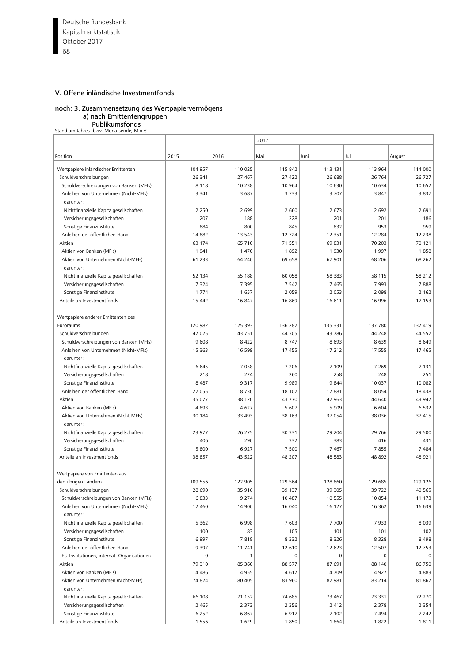Deutsche Bundesbank 68 Kapitalmarktstatistik Oktober 2017

# V. Offene inländische Investmentfonds

# noch: 3. Zusammensetzung des Wertpapiervermögens

a) nach Emittentengruppen

**Publikumsfonds**<br>€ Stand am Jahres- bzw. Monatsende; Mio

|                                                    |          |         | 2017    |          |          |         |
|----------------------------------------------------|----------|---------|---------|----------|----------|---------|
| Position                                           | 2015     | 2016    | Mai     | Juni     | Juli     | August  |
| Wertpapiere inländischer Emittenten                | 104 957  | 110 025 | 115 842 | 113 131  | 113 964  | 114 000 |
| Schuldverschreibungen                              | 26 341   | 27 467  | 27 422  | 26 688   | 26 764   | 26 727  |
| Schuldverschreibungen von Banken (MFIs)            | 8 1 1 8  | 10 238  | 10 964  | 10 630   | 10 634   | 10 652  |
| Anleihen von Unternehmen (Nicht-MFIs)              | 3 3 4 1  | 3 6 8 7 | 3733    | 3 7 0 7  | 3847     | 3837    |
| darunter:                                          |          |         |         |          |          |         |
| Nichtfinanzielle Kapitalgesellschaften             | 2 2 5 0  | 2 6 9 9 | 2 6 6 0 | 2 6 7 3  | 2 6 9 2  | 2 6 9 1 |
| Versicherungsgesellschaften                        | 207      | 188     | 228     | 201      | 201      | 186     |
| Sonstige Finanzinstitute                           | 884      | 800     | 845     | 832      | 953      | 959     |
| Anleihen der öffentlichen Hand                     | 14 8 82  | 13 5 43 | 12 724  | 12 3 5 1 | 12 2 8 4 | 12 2 38 |
| Aktien                                             | 63 174   | 65 710  | 71 551  | 69831    | 70 203   | 70 121  |
| Aktien von Banken (MFIs)                           | 1941     | 1470    | 1892    | 1930     | 1997     | 1858    |
| Aktien von Unternehmen (Nicht-MFIs)<br>darunter:   | 61 2 3 3 | 64 240  | 69 658  | 67 901   | 68 206   | 68 262  |
| Nichtfinanzielle Kapitalgesellschaften             | 52 134   | 55 188  | 60 058  | 58 383   | 58 115   | 58 212  |
| Versicherungsgesellschaften                        | 7 3 2 4  | 7 3 9 5 | 7 5 4 2 | 7 4 6 5  | 7993     | 7888    |
| Sonstige Finanzinstitute                           | 1774     | 1657    | 2 0 5 9 | 2 0 5 3  | 2 0 9 8  | 2 1 6 2 |
| Anteile an Investmentfonds                         | 15 4 42  | 16 847  | 16 869  | 16 611   | 16 996   | 17 153  |
|                                                    |          |         |         |          |          |         |
| Wertpapiere anderer Emittenten des                 |          |         |         |          |          |         |
| Euroraums                                          | 120 982  | 125 393 | 136 282 | 135 331  | 137 780  | 137 419 |
| Schuldverschreibungen                              | 47 025   | 43 751  | 44 305  | 43 786   | 44 248   | 44 5 52 |
| Schuldverschreibungen von Banken (MFIs)            | 9608     | 8 4 2 2 | 8747    | 8 6 9 3  | 8639     | 8649    |
| Anleihen von Unternehmen (Nicht-MFIs)<br>darunter: | 15 3 63  | 16 599  | 17 455  | 17 212   | 17 555   | 17 465  |
| Nichtfinanzielle Kapitalgesellschaften             | 6 6 4 5  | 7 0 5 8 | 7 2 0 6 | 7 109    | 7 2 6 9  | 7 1 3 1 |
| Versicherungsgesellschaften                        | 218      | 224     | 260     | 258      | 248      | 251     |
| Sonstige Finanzinstitute                           | 8 4 8 7  | 9 3 1 7 | 9989    | 9844     | 10 037   | 10 082  |
| Anleihen der öffentlichen Hand                     | 22 055   | 18730   | 18 102  | 17881    | 18 0 54  | 18 4 38 |
| Aktien                                             | 35 077   | 38 120  | 43 770  | 42 963   | 44 640   | 43 947  |
| Aktien von Banken (MFIs)                           | 4893     | 4627    | 5 607   | 5 9 0 9  | 6 604    | 6532    |
| Aktien von Unternehmen (Nicht-MFIs)<br>darunter:   | 30 184   | 33 493  | 38 163  | 37 054   | 38 0 36  | 37 415  |
| Nichtfinanzielle Kapitalgesellschaften             | 23 977   | 26 275  | 30 331  | 29 204   | 29 766   | 29 500  |
| Versicherungsgesellschaften                        | 406      | 290     | 332     | 383      | 416      | 431     |
| Sonstige Finanzinstitute                           | 5 800    | 6927    | 7 500   | 7 4 6 7  | 7855     | 7 4 8 4 |
| Anteile an Investmentfonds                         | 38 857   | 43 522  | 48 207  | 48 583   | 48 892   | 48 921  |
| Wertpapiere von Emittenten aus                     |          |         |         |          |          |         |
| den übrigen Ländern                                | 109 556  | 122 905 | 129 564 | 128 860  | 129 685  | 129 126 |
| Schuldverschreibungen                              | 28 690   | 35 916  | 39 137  | 39 305   | 39722    | 40 5 65 |
| Schuldverschreibungen von Banken (MFIs)            | 6833     | 9 2 7 4 | 10 487  | 10 555   | 10854    | 11 173  |
| Anleihen von Unternehmen (Nicht-MFIs)<br>darunter: | 12 460   | 14 900  | 16 040  | 16 127   | 16 362   | 16 639  |
| Nichtfinanzielle Kapitalgesellschaften             | 5 3 6 2  | 6998    | 7 603   | 7 700    | 7933     | 8 0 3 9 |
| Versicherungsgesellschaften                        | 100      | 83      | 105     | 101      | 101      | 102     |
| Sonstige Finanzinstitute                           | 6997     | 7818    | 8 3 3 2 | 8 3 2 6  | 8328     | 8498    |
| Anleihen der öffentlichen Hand                     | 9 3 9 7  | 11 741  | 12 610  | 12 623   | 12 507   | 12 753  |
| EU-Institutionen, internat. Organisationen         | 0        |         | 0       | 0        | 0        |         |
| Aktien                                             | 79 310   | 85 360  | 88 577  | 87 691   | 88 140   | 86 750  |
| Aktien von Banken (MFIs)                           | 4486     | 4955    | 4617    | 4 7 0 9  | 4927     | 4883    |
| Aktien von Unternehmen (Nicht-MFIs)                | 74 824   | 80 405  | 83 960  | 82 981   | 83 214   | 81 867  |
| darunter:                                          |          |         |         |          |          |         |
| Nichtfinanzielle Kapitalgesellschaften             | 66 108   | 71 152  | 74 685  | 73 467   | 73 331   | 72 270  |
| Versicherungsgesellschaften                        | 2 4 6 5  | 2 3 7 3 | 2 3 5 6 | 2 4 1 2  | 2 3 7 8  | 2 3 5 4 |
| Sonstige Finanzinstitute                           | 6 2 5 2  | 6867    | 6917    | 7 1 0 2  | 7494     | 7 2 4 2 |
| Anteile an Investmentfonds                         | 1556     | 1629    | 1850    | 1864     | 1822     | 1811    |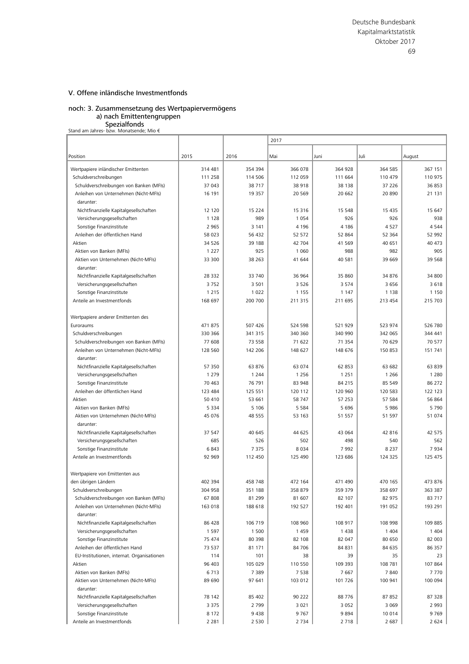#### noch: 3. Zusammensetzung des Wertpapiervermögens a) nach Emittentengruppen

# **Spezialfonds**<br>€ Stand am Jahres- bzw. Monatsende; Mio

|                                                    |         |          | 2017    |         |         |          |
|----------------------------------------------------|---------|----------|---------|---------|---------|----------|
| Position                                           | 2015    | 2016     | Mai     | Juni    | Juli    | August   |
|                                                    |         |          |         |         |         |          |
| Wertpapiere inländischer Emittenten                | 314 481 | 354 394  | 366 078 | 364 928 | 364 585 | 367 151  |
| Schuldverschreibungen                              | 111 258 | 114 506  | 112 059 | 111 664 | 110 479 | 110 975  |
| Schuldverschreibungen von Banken (MFIs)            | 37 043  | 38 717   | 38 918  | 38 138  | 37 226  | 36 853   |
| Anleihen von Unternehmen (Nicht-MFIs)              | 16 191  | 19 3 5 7 | 20 5 69 | 20 662  | 20 890  | 21 131   |
| darunter:                                          |         |          |         |         |         |          |
| Nichtfinanzielle Kapitalgesellschaften             | 12 120  | 15 2 2 4 | 15 316  | 15 5 48 | 15 4 35 | 15 647   |
| Versicherungsgesellschaften                        | 1 1 2 8 | 989      | 1 0 5 4 | 926     | 926     | 938      |
| Sonstige Finanzinstitute                           | 2 9 6 5 | 3 1 4 1  | 4 1 9 6 | 4 1 8 6 | 4527    | 4544     |
| Anleihen der öffentlichen Hand                     | 58 023  | 56 432   | 52 572  | 52 864  | 52 364  | 52 992   |
| Aktien                                             | 34 5 26 | 39 188   | 42 704  | 41 569  | 40 651  | 40 473   |
| Aktien von Banken (MFIs)                           | 1 2 2 7 | 925      | 1 0 6 0 | 988     | 982     | 905      |
| Aktien von Unternehmen (Nicht-MFIs)                | 33 300  | 38 263   | 41 644  | 40 581  | 39 669  | 39 5 68  |
| darunter:                                          |         |          |         |         |         |          |
| Nichtfinanzielle Kapitalgesellschaften             | 28 3 32 | 33 740   | 36 964  | 35 860  | 34 876  | 34 800   |
| Versicherungsgesellschaften                        | 3752    | 3 5 0 1  | 3 5 2 6 | 3 5 7 4 | 3 6 5 6 | 3618     |
| Sonstige Finanzinstitute                           | 1 2 1 5 | 1 0 2 2  | 1 1 5 5 | 1 1 4 7 | 1 1 3 8 | 1 1 5 0  |
| Anteile an Investmentfonds                         | 168 697 | 200 700  | 211 315 | 211 695 | 213 454 | 215 703  |
| Wertpapiere anderer Emittenten des                 |         |          |         |         |         |          |
| Euroraums                                          | 471875  | 507 426  | 524 598 | 521 929 | 523 974 | 526 780  |
| Schuldverschreibungen                              | 330 366 | 341 315  | 340 360 | 340 990 | 342 065 | 344 441  |
| Schuldverschreibungen von Banken (MFIs)            | 77 608  | 73 558   | 71 622  | 71 354  | 70 629  | 70 577   |
| Anleihen von Unternehmen (Nicht-MFIs)<br>darunter: | 128 560 | 142 206  | 148 627 | 148 676 | 150 853 | 151 741  |
| Nichtfinanzielle Kapitalgesellschaften             | 57 350  | 63 876   | 63 074  | 62 853  | 63 682  | 63 839   |
| Versicherungsgesellschaften                        | 1 2 7 9 | 1 2 4 4  | 1 2 5 6 | 1 2 5 1 | 1 2 6 6 | 1 2 8 0  |
| Sonstige Finanzinstitute                           | 70 463  | 76 791   | 83 948  | 84 215  | 85 549  | 86 272   |
| Anleihen der öffentlichen Hand                     | 123 484 | 125 551  | 120 112 | 120 960 | 120 583 | 122 123  |
| Aktien                                             | 50 410  | 53 661   | 58 747  | 57 253  | 57 584  | 56 864   |
| Aktien von Banken (MFIs)                           | 5 3 3 4 | 5 1 0 6  | 5 5 8 4 | 5 6 9 6 | 5 9 8 6 | 5790     |
| Aktien von Unternehmen (Nicht-MFIs)<br>darunter:   | 45 076  | 48 555   | 53 163  | 51 557  | 51 597  | 51 074   |
| Nichtfinanzielle Kapitalgesellschaften             | 37 547  | 40 645   | 44 625  | 43 064  | 42 816  | 42 575   |
| Versicherungsgesellschaften                        | 685     | 526      | 502     | 498     | 540     | 562      |
| Sonstige Finanzinstitute                           | 6843    | 7 3 7 5  | 8 0 3 4 | 7992    | 8 2 3 7 | 7934     |
| Anteile an Investmentfonds                         | 92 969  | 112 450  | 125 490 | 123 686 | 124 325 | 125 475  |
| Wertpapiere von Emittenten aus                     |         |          |         |         |         |          |
| den übrigen Ländern                                | 402 394 | 458 748  | 472 164 | 471 490 | 470 165 | 473 876  |
| Schuldverschreibungen                              | 304 958 | 351 188  | 358 879 | 359 379 | 358 697 | 363 387  |
| Schuldverschreibungen von Banken (MFIs)            | 67808   | 81 299   | 81 607  | 82 107  | 82 975  | 83 7 1 7 |
| Anleihen von Unternehmen (Nicht-MFIs)<br>darunter: | 163 018 | 188 618  | 192 527 | 192 401 | 191 052 | 193 291  |
| Nichtfinanzielle Kapitalgesellschaften             | 86 428  | 106 719  | 108 960 | 108 917 | 108 998 | 109 885  |
| Versicherungsgesellschaften                        | 1 5 9 7 | 1 500    | 1459    | 1438    | 1 4 0 4 | 1 4 0 4  |
| Sonstige Finanzinstitute                           | 75 474  | 80 398   | 82 108  | 82 047  | 80 650  | 82 003   |
| Anleihen der öffentlichen Hand                     | 73 537  | 81 171   | 84 70 6 | 84 831  | 84 635  | 86 357   |
| EU-Institutionen, internat. Organisationen         | 114     | 101      | 38      | 39      | 35      | 23       |
| Aktien                                             | 96 403  | 105 029  | 110 550 | 109 393 | 108 781 | 107 864  |
| Aktien von Banken (MFIs)                           | 6713    | 7 3 8 9  | 7538    | 7667    | 7840    | 7770     |
| Aktien von Unternehmen (Nicht-MFIs)                | 89 690  | 97 641   | 103 012 | 101 726 | 100 941 | 100 094  |
| darunter:                                          |         |          |         |         |         |          |
| Nichtfinanzielle Kapitalgesellschaften             | 78 142  | 85 402   | 90 222  | 88776   | 87 852  | 87 328   |
| Versicherungsgesellschaften                        | 3 3 7 5 | 2 7 9 9  | 3 0 2 1 | 3 0 5 2 | 3 0 6 9 | 2 9 9 3  |
| Sonstige Finanzinstitute                           | 8 1 7 2 | 9 4 3 8  | 9767    | 9894    | 10 014  | 9769     |
| Anteile an Investmentfonds                         | 2 2 8 1 | 2 5 3 0  | 2 7 3 4 | 2 7 1 8 | 2 6 8 7 | 2 6 2 4  |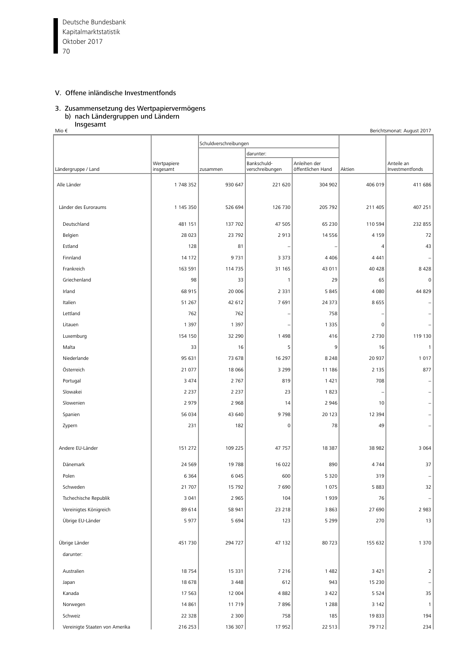Deutsche Bundesbank  $\overline{70}$ Kapitalmarktstatistik Oktober 2017

# V. Offene inländische Investmentfonds

# 3. Zusammensetzung des Wertpapiervermögens b) nach Ländergruppen und Ländern

# Insgesamt

| Mio €<br>Berichtsmonat: August 2017 |                          |                       |                                |                                   |                |                               |  |  |  |
|-------------------------------------|--------------------------|-----------------------|--------------------------------|-----------------------------------|----------------|-------------------------------|--|--|--|
|                                     |                          | Schuldverschreibungen |                                |                                   |                |                               |  |  |  |
|                                     |                          |                       | darunter:                      |                                   |                |                               |  |  |  |
| Ländergruppe / Land                 | Wertpapiere<br>insgesamt | zusammen              | Bankschuld-<br>verschreibungen | Anleihen der<br>öffentlichen Hand | Aktien         | Anteile an<br>Investmentfonds |  |  |  |
| Alle Länder                         | 1748352                  | 930 647               | 221 620                        | 304 902                           | 406 019        | 411 686                       |  |  |  |
| Länder des Euroraums                | 1 145 350                | 526 694               | 126 730                        | 205 792                           | 211 405        | 407 251                       |  |  |  |
| Deutschland                         | 481 151                  | 137 702               | 47 505                         | 65 230                            | 110 594        | 232 855                       |  |  |  |
| Belgien                             | 28 0 23                  | 23 792                | 2913                           | 14 5 5 6                          | 4 1 5 9        | 72                            |  |  |  |
| Estland                             | 128                      | 81                    |                                |                                   | $\overline{4}$ | 43                            |  |  |  |
| Finnland                            | 14 172                   | 9 7 3 1               | 3 3 7 3                        | 4 4 0 6                           | 4 4 4 1        |                               |  |  |  |
| Frankreich                          | 163 591                  | 114 735               | 31 165                         | 43 011                            | 40 428         | 8428                          |  |  |  |
| Griechenland                        | 98                       | 33                    | 1                              | 29                                | 65             | $\mathbf 0$                   |  |  |  |
| Irland                              | 68 915                   | 20 006                | 2 3 3 1                        | 5 8 4 5                           | 4 0 8 0        | 44 829                        |  |  |  |
| Italien                             | 51 267                   | 42 612                | 7691                           | 24 373                            | 8655           |                               |  |  |  |
| Lettland                            | 762                      | 762                   | $\overline{\phantom{0}}$       | 758                               |                |                               |  |  |  |
| Litauen                             | 1 3 9 7                  | 1 3 9 7               | $\qquad \qquad -$              | 1 3 3 5                           | $\mathbf 0$    |                               |  |  |  |
| Luxemburg                           | 154 150                  | 32 290                | 1498                           | 416                               | 2 7 3 0        | 119 130                       |  |  |  |
| Malta                               | 33                       | 16                    | 5                              | 9                                 | 16             | 1                             |  |  |  |
| Niederlande                         | 95 631                   | 73 678                | 16 297                         | 8 2 4 8                           | 20 937         | 1017                          |  |  |  |
| Österreich                          | 21 077                   | 18 066                | 3 2 9 9                        | 11 186                            | 2 1 3 5        | 877                           |  |  |  |
| Portugal                            | 3 4 7 4                  | 2 7 6 7               | 819                            | 1421                              | 708            |                               |  |  |  |
| Slowakei                            | 2 2 3 7                  | 2 2 3 7               | 23                             | 1823                              | ۰              |                               |  |  |  |
| Slowenien                           | 2 9 7 9                  | 2 9 6 8               | 14                             | 2 9 4 6                           | 10             |                               |  |  |  |
| Spanien                             | 56 034                   | 43 640                | 9798                           | 20 123                            | 12 3 9 4       |                               |  |  |  |
| Zypern                              | 231                      | 182                   | 0                              | 78                                | 49             |                               |  |  |  |
| Andere EU-Länder                    | 151 272                  | 109 225               | 47 757                         | 18 387                            | 38 982         | 3 0 6 4                       |  |  |  |
| Dänemark                            | 24 5 69                  | 19 788                | 16 022                         | 890                               | 4 7 4 4        | 37                            |  |  |  |
| Polen                               | 6 3 6 4                  | 6 0 4 5               | 600                            | 5 3 2 0                           | 319            |                               |  |  |  |
| Schweden                            | 21 707                   | 15 792                | 7690                           | 1 0 7 5                           | 5883           | 32                            |  |  |  |
| Tschechische Republik               | 3 0 4 1                  | 2 9 6 5               | 104                            | 1939                              | 76             |                               |  |  |  |
| Vereinigtes Königreich              | 89 614                   | 58 941                | 23 218                         | 3 8 6 3                           | 27 690         | 2 9 8 3                       |  |  |  |
| Übrige EU-Länder                    | 5977                     | 5 6 9 4               | 123                            | 5 2 9 9                           | 270            | 13                            |  |  |  |
| Übrige Länder                       | 451 730                  | 294 727               | 47 132                         | 80723                             | 155 632        | 1 3 7 0                       |  |  |  |
| darunter:                           |                          |                       |                                |                                   |                |                               |  |  |  |
| Australien                          | 18754                    | 15 3 31               | 7 2 1 6                        | 1 4 8 2                           | 3 4 2 1        | $\overline{2}$                |  |  |  |
| Japan                               | 18 678                   | 3 4 4 8               | 612                            | 943                               | 15 2 30        |                               |  |  |  |
| Kanada                              | 17 563                   | 12 004                | 4 8 8 2                        | 3 4 2 2                           | 5 5 2 4        | 35                            |  |  |  |
| Norwegen                            | 14 861                   | 11 719                | 7896                           | 1 2 8 8                           | 3 1 4 2        | $\mathbf{1}$                  |  |  |  |
| Schweiz                             | 22 3 28                  | 2 3 0 0               | 758                            | 185                               | 19833          | 194                           |  |  |  |
| Vereinigte Staaten von Amerika      | 216 253                  | 136 307               | 17 952                         | 22 513                            | 79 712         | 234                           |  |  |  |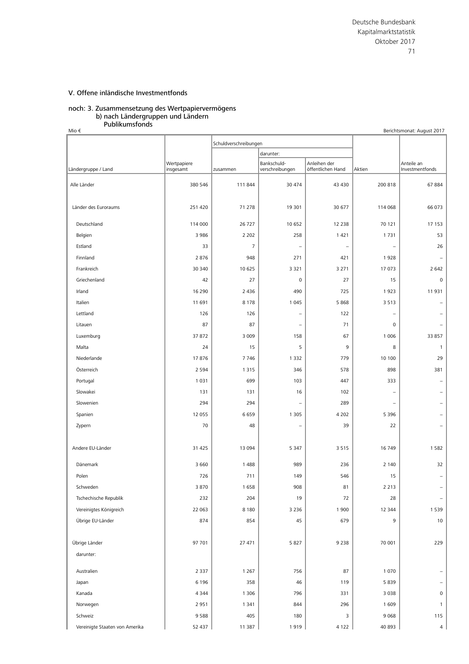#### noch: 3. Zusammensetzung des Wertpapiervermögens b) nach Ländergruppen und Ländern Publikumsfonds

| Mio €                          |                          |                |                                |                                   |                          | Berichtsmonat: August 2017    |
|--------------------------------|--------------------------|----------------|--------------------------------|-----------------------------------|--------------------------|-------------------------------|
|                                |                          |                | Schuldverschreibungen          |                                   |                          |                               |
|                                |                          |                | darunter:                      |                                   |                          |                               |
| Ländergruppe / Land            | Wertpapiere<br>insgesamt | zusammen       | Bankschuld-<br>verschreibungen | Anleihen der<br>öffentlichen Hand | Aktien                   | Anteile an<br>Investmentfonds |
|                                |                          |                |                                |                                   |                          |                               |
| Alle Länder                    | 380 546                  | 111 844        | 30 474                         | 43 4 30                           | 200 818                  | 67884                         |
|                                |                          |                |                                |                                   |                          |                               |
| Länder des Euroraums           | 251 420                  | 71 278         | 19 301                         | 30 677                            | 114 068                  | 66 073                        |
| Deutschland                    | 114 000                  | 26 7 27        | 10 652                         | 12 2 38                           | 70 121                   | 17 153                        |
| Belgien                        | 3 9 8 6                  | 2 2 0 2        | 258                            | 1 4 2 1                           | 1731                     | 53                            |
| Estland                        | 33                       | $\overline{7}$ | $\qquad \qquad -$              | $\overline{\phantom{a}}$          | $\qquad \qquad -$        | 26                            |
| Finnland                       | 2876                     | 948            | 271                            | 421                               | 1928                     | $\overline{\phantom{m}}$      |
| Frankreich                     | 30 340                   | 10 625         | 3 3 2 1                        | 3 2 7 1                           | 17 073                   | 2 6 4 2                       |
| Griechenland                   | 42                       | 27             | $\mathbf 0$                    | 27                                | 15                       | $\mathbf 0$                   |
| Irland                         | 16 290                   | 2 4 3 6        | 490                            | 725                               | 1923                     | 11 931                        |
| Italien                        | 11 691                   | 8 1 7 8        | 1 0 4 5                        | 5 8 6 8                           | 3 5 1 3                  |                               |
| Lettland                       | 126                      | 126            | $\qquad \qquad -$              | 122                               | $\overline{\phantom{0}}$ |                               |
| Litauen                        | 87                       | 87             | $\overline{\phantom{0}}$       | 71                                | 0                        |                               |
| Luxemburg                      | 37 872                   | 3 0 0 9        | 158                            | 67                                | 1 0 0 6                  | 33 857                        |
| Malta                          | 24                       | 15             | 5                              | 9                                 | 8                        | $\mathbf{1}$                  |
| Niederlande                    | 17876                    | 7746           | 1 3 3 2                        | 779                               | 10 100                   | 29                            |
| Österreich                     | 2 5 9 4                  | 1 3 1 5        | 346                            | 578                               | 898                      | 381                           |
| Portugal                       | 1 0 3 1                  | 699            | 103                            | 447                               | 333                      | $\overline{\phantom{m}}$      |
| Slowakei                       | 131                      | 131            | 16                             | 102                               | $\overline{\phantom{0}}$ |                               |
| Slowenien                      | 294                      | 294            | $\overline{\phantom{0}}$       | 289                               | $\overline{\phantom{a}}$ |                               |
| Spanien                        | 12 055                   | 6659           | 1 3 0 5                        | 4 2 0 2                           | 5 3 9 6                  |                               |
| Zypern                         | 70                       | 48             | $\overline{\phantom{0}}$       | 39                                | 22                       |                               |
|                                |                          |                |                                |                                   |                          |                               |
| Andere EU-Länder               | 31 4 25                  | 13 094         | 5 3 4 7                        | 3515                              | 16 749                   | 1582                          |
| Dänemark                       | 3 6 6 0                  | 1 4 8 8        | 989                            | 236                               | 2 1 4 0                  | 32                            |
| Polen                          | 726                      | 711            | 149                            | 546                               | 15                       | $\overline{\phantom{a}}$      |
| Schweden                       | 3870                     | 1658           | 908                            | 81                                | 2 2 1 3                  | $\overline{\phantom{0}}$      |
| Tschechische Republik          | 232                      | 204            | 19                             | 72                                | 28                       | $\overline{\phantom{a}}$      |
| Vereinigtes Königreich         | 22 063                   | 8 1 8 0        | 3 2 3 6                        | 1 900                             | 12 344                   | 1 5 3 9                       |
| Übrige EU-Länder               | 874                      | 854            | 45                             | 679                               | 9                        | 10 <sup>°</sup>               |
|                                |                          |                |                                |                                   |                          |                               |
| Übrige Länder                  | 97 701                   | 27 471         | 5827                           | 9 2 3 8                           | 70 001                   | 229                           |
| darunter:                      |                          |                |                                |                                   |                          |                               |
|                                |                          |                |                                |                                   |                          |                               |
| Australien                     | 2 3 3 7                  | 1 2 6 7        | 756                            | 87                                | 1 0 7 0                  |                               |
| Japan                          | 6 196                    | 358            | 46                             | 119                               | 5839                     |                               |
| Kanada                         | 4 3 4 4                  | 1 3 0 6        | 796                            | 331                               | 3 0 3 8                  | $\mathbf 0$                   |
| Norwegen                       | 2951                     | 1 3 4 1        | 844                            | 296                               | 1609                     | $\mathbf{1}$                  |
| Schweiz                        | 9588                     | 405            | 180                            | 3                                 | 9 0 68                   | 115                           |
| Vereinigte Staaten von Amerika | 52 437                   | 11 387         | 1919                           | 4 1 2 2                           | 40 893                   | 4                             |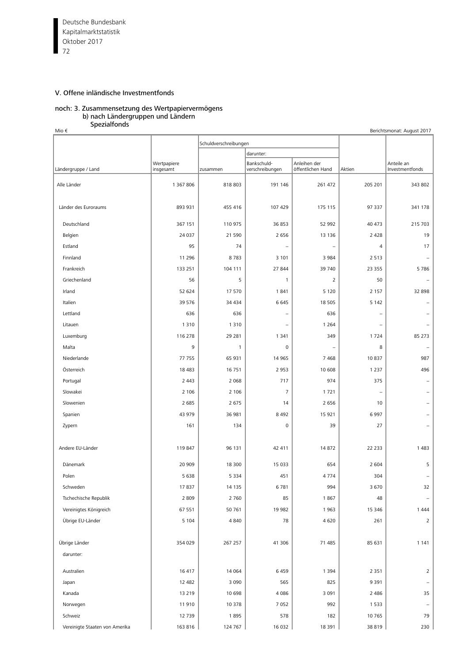Deutsche Bundesbank  $\frac{1}{72}$ Kapitalmarktstatistik Oktober 2017

# V. Offene inländische Investmentfonds

## noch: 3. Zusammensetzung des Wertpapiervermögens b) nach Ländergruppen und Ländern

**Spezialfonds** 

| -----------<br>Mio €<br>Berichtsmonat: August 2017 |                          |                       |                                |                                   |                          |                               |  |  |
|----------------------------------------------------|--------------------------|-----------------------|--------------------------------|-----------------------------------|--------------------------|-------------------------------|--|--|
|                                                    |                          | Schuldverschreibungen |                                |                                   |                          |                               |  |  |
|                                                    |                          |                       | darunter:                      |                                   |                          |                               |  |  |
| Ländergruppe / Land                                | Wertpapiere<br>insgesamt | zusammen              | Bankschuld-<br>verschreibungen | Anleihen der<br>öffentlichen Hand | Aktien                   | Anteile an<br>Investmentfonds |  |  |
| Alle Länder                                        | 1 367 806                | 818 803               | 191 146                        | 261 472                           | 205 201                  | 343 802                       |  |  |
| Länder des Euroraums                               | 893 931                  | 455 416               | 107 429                        | 175 115                           | 97 337                   | 341 178                       |  |  |
| Deutschland                                        | 367 151                  | 110 975               | 36 853                         | 52 992                            | 40 473                   | 215 703                       |  |  |
| Belgien                                            | 24 037                   | 21 590                | 2 6 5 6                        | 13 13 6                           | 2 4 2 8                  | 19                            |  |  |
| Estland                                            | 95                       | 74                    | $\qquad \qquad -$              | $\overline{\phantom{0}}$          | $\overline{4}$           | 17                            |  |  |
| Finnland                                           | 11 296                   | 8783                  | 3 1 0 1                        | 3 9 8 4                           | 2 5 1 3                  |                               |  |  |
| Frankreich                                         | 133 251                  | 104 111               | 27 844                         | 39 740                            | 23 355                   | 5786                          |  |  |
| Griechenland                                       | 56                       | 5                     | $\mathbf{1}$                   | $\overline{2}$                    | 50                       |                               |  |  |
| Irland                                             | 52 624                   | 17 570                | 1841                           | 5 1 2 0                           | 2 1 5 7                  | 32 898                        |  |  |
| Italien                                            | 39 576                   | 34 4 34               | 6 6 4 5                        | 18 5 05                           | 5 1 4 2                  |                               |  |  |
| Lettland                                           | 636                      | 636                   | ÷,                             | 636                               | $\overline{\phantom{0}}$ |                               |  |  |
| Litauen                                            | 1 3 1 0                  | 1 3 1 0               | $\overline{\phantom{0}}$       | 1 2 6 4                           | $\overline{\phantom{0}}$ |                               |  |  |
| Luxemburg                                          | 116 278                  | 29 281                | 1 3 4 1                        | 349                               | 1724                     | 85 273                        |  |  |
| Malta                                              | 9                        | $\mathbf{1}$          | 0                              | -                                 | 8                        |                               |  |  |
| Niederlande                                        | 77 755                   | 65 931                | 14 9 65                        | 7468                              | 10837                    | 987                           |  |  |
| Österreich                                         | 18 4 83                  | 16 751                | 2 9 5 3                        | 10 608                            | 1 2 3 7                  | 496                           |  |  |
| Portugal                                           | 2 4 4 3                  | 2 0 6 8               | 717                            | 974                               | 375                      |                               |  |  |
| Slowakei                                           | 2 1 0 6                  | 2 1 0 6               | $\overline{7}$                 | 1721                              | $\overline{\phantom{0}}$ |                               |  |  |
| Slowenien                                          | 2 6 8 5                  | 2 6 7 5               | 14                             | 2 6 5 6                           | 10                       |                               |  |  |
| Spanien                                            | 43 979                   | 36 981                | 8 4 9 2                        | 15 9 21                           | 6 9 9 7                  |                               |  |  |
| Zypern                                             | 161                      | 134                   | 0                              | 39                                | 27                       |                               |  |  |
| Andere EU-Länder                                   | 119 847                  | 96 131                | 42 411                         | 14 872                            | 22 233                   | 1 4 8 3                       |  |  |
| Dänemark                                           | 20 909                   | 18 300                | 15 0 33                        | 654                               | 2 6 0 4                  | 5                             |  |  |
| Polen                                              | 5 6 3 8                  | 5 3 3 4               | 451                            | 4 7 7 4                           | 304                      |                               |  |  |
| Schweden                                           | 17837                    | 14 135                | 6781                           | 994                               | 3 670                    | 32                            |  |  |
| Tschechische Republik                              | 2 8 0 9                  | 2 7 6 0               | 85                             | 1867                              | 48                       |                               |  |  |
| Vereinigtes Königreich                             | 67 551                   | 50 761                | 19 982                         | 1963                              | 15 346                   | 1444                          |  |  |
| Übrige EU-Länder                                   | 5 1 0 4                  | 4 8 4 0               | 78                             | 4620                              | 261                      | $\overline{2}$                |  |  |
| Übrige Länder                                      | 354 029                  | 267 257               | 41 30 6                        | 71 485                            | 85 631                   | 1 1 4 1                       |  |  |
| darunter:                                          |                          |                       |                                |                                   |                          |                               |  |  |
| Australien                                         | 16 417                   | 14 0 64               | 6459                           | 1 3 9 4                           | 2 3 5 1                  | $\overline{2}$                |  |  |
| Japan                                              | 12 482                   | 3 0 9 0               | 565                            | 825                               | 9 3 9 1                  |                               |  |  |
| Kanada                                             | 13 219                   | 10 698                | 4 0 8 6                        | 3 0 9 1                           | 2 4 8 6                  | 35                            |  |  |
| Norwegen                                           | 11 910                   | 10 378                | 7 0 5 2                        | 992                               | 1 5 3 3                  |                               |  |  |
| Schweiz                                            | 12 739                   | 1895                  | 578                            | 182                               | 10 765                   | 79                            |  |  |
| Vereinigte Staaten von Amerika                     | 163 816                  | 124 767               | 16032                          | 18 391                            | 38 819                   | 230                           |  |  |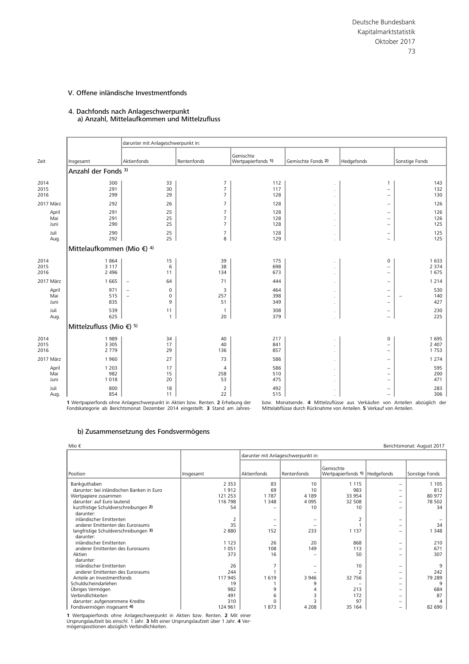### 4. Dachfonds nach Anlageschwerpunkt a) Anzahl, Mittelaufkommen und Mittelzufluss

|                      |                                       | darunter mit Anlageschwerpunkt in:                                  |                                                    |                                 |                                       |                                                                                  |                            |  |  |  |  |
|----------------------|---------------------------------------|---------------------------------------------------------------------|----------------------------------------------------|---------------------------------|---------------------------------------|----------------------------------------------------------------------------------|----------------------------|--|--|--|--|
| Zeit                 | Insgesamt                             | Aktienfonds                                                         | Rentenfonds                                        | Gemischte<br>Wertpapierfonds 1) | Gemischte Fonds 2)                    | Hedgefonds                                                                       | Sonstige Fonds             |  |  |  |  |
|                      | Anzahl der Fonds 3)                   |                                                                     |                                                    |                                 |                                       |                                                                                  |                            |  |  |  |  |
| 2014<br>2015<br>2016 | 300<br>291<br>299                     | 33<br>30<br>29                                                      | $\overline{7}$<br>$\overline{7}$<br>$\overline{7}$ | 112<br>117<br>128               | $\cdot$<br>$\cdot$                    | $\mathbf{1}$<br>$\overline{\phantom{m}}$<br>$\overline{\phantom{a}}$             | 143<br>132<br>130          |  |  |  |  |
| 2017 März            | 292                                   | 26                                                                  | $\overline{7}$                                     | 128                             | $\cdot$                               | $\overline{\phantom{a}}$                                                         | 126                        |  |  |  |  |
| April<br>Mai<br>Juni | 291<br>291<br>290                     | 25<br>25<br>25                                                      | $\overline{7}$<br>$\overline{7}$<br>$\overline{7}$ | 128<br>128<br>128               | $\cdot$<br>$\mathbf{r}$<br>$\epsilon$ | $\overline{\phantom{m}}$<br>$\overline{\phantom{m}}$<br>$\overline{\phantom{a}}$ | 126<br>126<br>125          |  |  |  |  |
| Juli<br>Aug.         | 290<br>292                            | 25<br>25                                                            | $\overline{7}$<br>8                                | 128<br>129                      | $\cdot$<br>÷.                         | $\overline{\phantom{m}}$<br>$\overline{\phantom{a}}$                             | 125<br>125                 |  |  |  |  |
|                      | Mittelaufkommen (Mio €) <sup>4)</sup> |                                                                     |                                                    |                                 |                                       |                                                                                  |                            |  |  |  |  |
| 2014<br>2015<br>2016 | 1864<br>3 1 1 7<br>2 4 9 6            | 15<br>6<br>11                                                       | 39<br>38<br>134                                    | 175<br>698<br>673               | $\cdot$<br>$\cdot$<br>$\cdot$         | $\pmb{0}$<br>$\overline{\phantom{a}}$<br>$\overline{\phantom{a}}$                | 1 6 3 3<br>2 3 7 4<br>1675 |  |  |  |  |
| 2017 März            | 1 6 6 5                               | 64<br>$\qquad \qquad -$                                             | 71                                                 | 444                             | $\cdot$                               | $\overline{\phantom{m}}$                                                         | 1 2 1 4                    |  |  |  |  |
| April<br>Mai<br>Juni | 971<br>515<br>835                     | 0<br>$\overline{\phantom{m}}$<br>0<br>$\overline{\phantom{m}}$<br>9 | 3<br>257<br>51                                     | 464<br>398<br>349               | $\cdot$<br>$\cdot$                    | $\overline{\phantom{a}}$<br>$\overline{\phantom{a}}$<br>$\overline{\phantom{m}}$ | 530<br>140<br>427          |  |  |  |  |
| Juli<br>Aug.         | 539<br>625                            | 11<br>$\mathbf{1}$                                                  | $\mathbf{1}$<br>20                                 | 308<br>379                      | $\cdot$<br>÷.                         | $\overline{\phantom{m}}$<br>$\overline{\phantom{m}}$                             | 230<br>225                 |  |  |  |  |
|                      | Mittelzufluss (Mio €) 5)              |                                                                     |                                                    |                                 |                                       |                                                                                  |                            |  |  |  |  |
| 2014<br>2015<br>2016 | 1989<br>3 3 0 5<br>2 7 7 9            | 34<br>17<br>29                                                      | 40<br>40<br>136                                    | 217<br>841<br>857               | $\cdot$<br>$\cdot$<br>$\cdot$         | $\mathsf{O}\xspace$<br>$\overline{\phantom{a}}$<br>$\overline{\phantom{a}}$      | 1695<br>2 4 0 7<br>1753    |  |  |  |  |
| 2017 März            | 1960                                  | 27                                                                  | 73                                                 | 586                             | $\cdot$                               | $\overline{\phantom{m}}$                                                         | 1 2 7 4                    |  |  |  |  |
| April<br>Mai<br>Juni | 1 2 0 3<br>982<br>1018                | 17<br>15<br>20                                                      | $\overline{4}$<br>258<br>53                        | 586<br>510<br>475               | $\cdot$<br>$\cdot$<br>$\cdot$         | $\overline{\phantom{m}}$<br>$\overline{\phantom{m}}$<br>$\overline{\phantom{m}}$ | 595<br>200<br>471          |  |  |  |  |
| Juli<br>Aug.         | 800<br>854                            | 18<br>11                                                            | $\overline{2}$<br>22                               | 492<br>515                      | $\cdot$<br>$\mathbf{r}$               | $\overline{\phantom{a}}$<br>$\overline{\phantom{a}}$                             | 283<br>306                 |  |  |  |  |

1 Wertpapierfonds ohne Anlageschwerpunkt in Aktien bzw. Renten. 2 Erhebung der Fondskategorie ab Berichtsmonat Dezember 2014 eingestellt. **3** Stand am Jahres-

**bzw. Monatsende. 4 Mittelzuflüsse aus Verkäufen von Anteilen abzüglich der Mittelabflüsse durch Rücknahme von Anteilen. 5<br>22 Mittelabflüsse durch Rücknahme von Anteilen. 5 Verkauf von Anteilen.** 

#### b) Zusammensetzung des Fondsvermögens

|                                           |           | darunter mit Anlageschwerpunkt in: |             |                                              |                          |                |  |
|-------------------------------------------|-----------|------------------------------------|-------------|----------------------------------------------|--------------------------|----------------|--|
| Position                                  | Insgesamt | Aktienfonds                        | Rentenfonds | Gemischte<br>Wertpapierfonds 1)   Hedgefonds |                          | Sonstige Fonds |  |
| Bankguthaben                              | 2 3 5 3   | 83                                 | 10          | 1 1 1 5                                      | -                        | 1 1 0 5        |  |
| darunter: bei inländischen Banken in Euro | 1912      | 69                                 | 10          | 983                                          | $\overline{\phantom{0}}$ | 812            |  |
| Wertpapiere zusammen                      | 121 253   | 1787                               | 4 1 8 9     | 33 954                                       | $\overline{\phantom{0}}$ | 80 977         |  |
| darunter: auf Euro lautend                | 116 798   | 1 3 4 8                            | 4 0 9 5     | 32 508                                       | -                        | 78 502         |  |
| kurzfristige Schuldverschreibungen 2)     | 54        |                                    | 10          | 10                                           | $\overline{\phantom{0}}$ | 34             |  |
| darunter:                                 |           |                                    |             |                                              |                          |                |  |
| inländischer Emittenten                   | 2         |                                    |             |                                              | -                        |                |  |
| anderer Emittenten des Euroraums          | 35        |                                    |             |                                              | $\overline{\phantom{0}}$ | 34             |  |
| langfristige Schuldverschreibungen 3)     | 2 8 8 0   | 152                                | 233         | 1 1 3 7                                      | $\overline{\phantom{0}}$ | 1 3 4 8        |  |
| darunter:                                 |           |                                    |             |                                              |                          |                |  |
| inländischer Emittenten                   | 1 1 2 3   | 26                                 | 20          | 868                                          | $\overline{\phantom{0}}$ | 210            |  |
| anderer Emittenten des Euroraums          | 051       | 108                                | 149         | 113                                          | $\overline{\phantom{0}}$ | 671            |  |
| Aktien                                    | 373       | 16                                 |             | 50                                           | -                        | 307            |  |
| darunter:                                 |           |                                    |             |                                              |                          |                |  |
| inländischer Emittenten                   | 26        |                                    |             | 10                                           | $\overline{\phantom{0}}$ | 9              |  |
| anderer Emittenten des Euroraums          | 244       |                                    |             |                                              | -                        | 242            |  |
| Anteile an Investmentfonds                | 117 945   | 1619                               | 3 9 4 6     | 32 756                                       | -                        | 79 289         |  |
| Schuldscheindarlehen                      | 19        |                                    | 9           |                                              | $\overline{\phantom{0}}$ | 9              |  |
| Übriges Vermögen                          | 982       | 9                                  |             | 213                                          | -                        | 684            |  |
| Verbindlichkeiten                         | 491       | 6                                  |             | 172                                          | -                        | 87             |  |
| darunter: aufgenommene Kredite            | 310       | 0                                  | 3           | 97                                           | -                        |                |  |
| Fondsvermögen insgesamt 4)                | 124 961   | 1873                               | 4 2 0 8     | 35 164                                       | -                        | 82 690         |  |

**1** Wertpapierfonds ohne Anlageschwerpunkt in Aktien bzw. Renten. **2** Mit einer<br>Ursprungslaufzeit bis einschl. 1 Jahr. 3 Mit einer Ursprungslaufzeit über 1 Jahr. **4** Ver-<br>mögenspositionen abzüglich Verbindlichkeiten.

Berichtsmonat: August 2017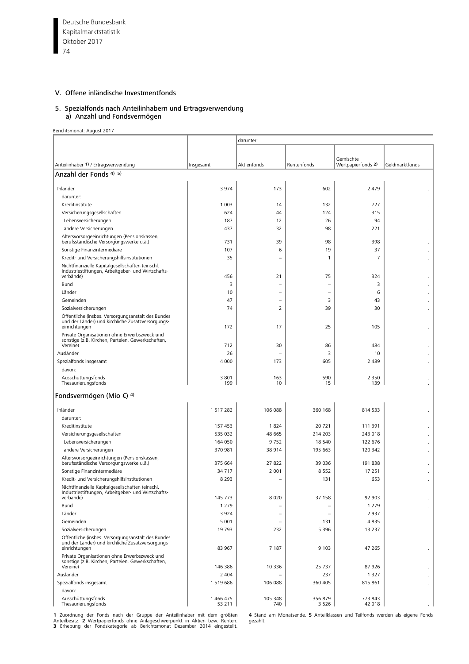Deutsche Bundesbank 74 Kapitalmarktstatistik Oktober 2017

# V. Offene inländische Investmentfonds

#### 5. Spezialfonds nach Anteilinhabern und Ertragsverwendung a) Anzahl und Fondsvermögen

Berichtsmonat: August 2017

|                                                                                                                                 |                     | darunter:                |                          |                                 |                          |
|---------------------------------------------------------------------------------------------------------------------------------|---------------------|--------------------------|--------------------------|---------------------------------|--------------------------|
|                                                                                                                                 |                     |                          |                          |                                 |                          |
| Anteilinhaber 1) / Ertragsverwendung                                                                                            | Insgesamt           | Aktienfonds              | Rentenfonds              | Gemischte<br>Wertpapierfonds 2) | Geldmarktfonds           |
| Anzahl der Fonds <sup>4) 5)</sup>                                                                                               |                     |                          |                          |                                 |                          |
|                                                                                                                                 |                     |                          |                          |                                 |                          |
| Inländer                                                                                                                        | 3 9 7 4             | 173                      | 602                      | 2 4 7 9                         |                          |
| darunter:                                                                                                                       |                     |                          |                          |                                 |                          |
| Kreditinstitute                                                                                                                 | 1 0 0 3             | 14                       | 132                      | 727                             |                          |
| Versicherungsgesellschaften                                                                                                     | 624                 | 44                       | 124                      | 315                             |                          |
| Lebensversicherungen                                                                                                            | 187                 | 12                       | 26                       | 94                              |                          |
| andere Versicherungen                                                                                                           | 437                 | 32                       | 98                       | 221                             |                          |
| Altersvorsorgeeinrichtungen (Pensionskassen,<br>berufsständische Versorgungswerke u.ä.)                                         | 731                 | 39                       | 98                       | 398                             | ٠                        |
| Sonstige Finanzintermediäre                                                                                                     | 107                 | 6                        | 19                       | 37                              |                          |
| Kredit- und Versicherungshilfsinstitutionen                                                                                     | 35                  | $\qquad \qquad -$        | 1                        | $\overline{7}$                  |                          |
| Nichtfinanzielle Kapitalgesellschaften (einschl.<br>Industriestiftungen, Arbeitgeber- und Wirtschafts-<br>verbände)             | 456                 | 21                       | 75                       | 324                             |                          |
|                                                                                                                                 |                     |                          |                          |                                 |                          |
| Bund                                                                                                                            | 3                   | $\overline{\phantom{0}}$ | ۳                        | 3                               |                          |
| Länder                                                                                                                          | 10                  | $\overline{\phantom{0}}$ | ۳                        | 6                               |                          |
| Gemeinden                                                                                                                       | 47                  | -                        | 3                        | 43                              |                          |
| Sozialversicherungen<br>Öffentliche (insbes. Versorgungsanstalt des Bundes<br>und der Länder) und kirchliche Zusatzversorgungs- | 74                  | 2                        | 39                       | 30                              | $\cdot$                  |
| einrichtungen<br>Private Organisationen ohne Erwerbszweck und                                                                   | 172                 | 17                       | 25                       | 105                             | $\cdot$                  |
| sonstige (z.B. Kirchen, Parteien, Gewerkschaften,                                                                               |                     |                          |                          |                                 |                          |
| Vereine)                                                                                                                        | 712                 | 30                       | 86                       | 484                             |                          |
| Ausländer                                                                                                                       | 26                  |                          | 3                        | 10                              |                          |
| Spezialfonds insgesamt                                                                                                          | 4 0 0 0             | 173                      | 605                      | 2 4 8 9                         |                          |
| davon:                                                                                                                          |                     |                          |                          |                                 |                          |
| Ausschüttungsfonds<br>Thesaurierungsfonds                                                                                       | 3 8 0 1<br>199      | 163<br>10                | 590<br>15                | 2 3 5 0<br>139                  |                          |
| Fondsvermögen (Mio €) <sup>4)</sup>                                                                                             |                     |                          |                          |                                 |                          |
| Inländer                                                                                                                        | 1517282             | 106 088                  | 360 168                  | 814 533                         |                          |
| darunter:                                                                                                                       |                     |                          |                          |                                 |                          |
| Kreditinstitute                                                                                                                 | 157 453             | 1824                     | 20721                    | 111 391                         |                          |
| Versicherungsgesellschaften                                                                                                     | 535 032             | 48 665                   | 214 203                  | 243 018                         |                          |
| Lebensversicherungen                                                                                                            | 164 050             | 9752                     | 18 540                   | 122 676                         |                          |
| andere Versicherungen                                                                                                           | 370 981             | 38 914                   | 195 663                  | 120 342                         | $\cdot$                  |
| Altersvorsorgeeinrichtungen (Pensionskassen,<br>berufsständische Versorgungswerke u.ä.)                                         | 375 664             | 27822                    | 39 0 36                  | 191 838                         |                          |
| Sonstige Finanzintermediäre                                                                                                     | 34 7 1 7            | 2 0 0 1                  | 8552                     | 17 251                          |                          |
| Kredit- und Versicherungshilfsinstitutionen                                                                                     | 8 2 9 3             | $\overline{\phantom{0}}$ | 131                      | 653                             |                          |
| Nichtfinanzielle Kapitalgesellschaften (einschl.<br>Industriestiftungen, Arbeitgeber- und Wirtschafts-                          |                     |                          |                          |                                 |                          |
| verbände)                                                                                                                       | 145 773             | 8 0 2 0                  | 37 158                   | 92 903                          |                          |
| Bund                                                                                                                            | 1 2 7 9             |                          |                          | 1 2 7 9                         |                          |
| Länder                                                                                                                          | 3924                | $\overline{\phantom{0}}$ | $\overline{\phantom{0}}$ | 2 9 3 7                         |                          |
| Gemeinden                                                                                                                       | 5 0 0 1             | $\overline{\phantom{0}}$ | 131                      | 4835                            |                          |
| Sozialversicherungen                                                                                                            | 19 793              | 232                      | 5 3 9 6                  | 13 2 3 7                        |                          |
| Öffentliche (insbes. Versorgungsanstalt des Bundes<br>und der Länder) und kirchliche Zusatzversorgungs-<br>einrichtungen        | 83 967              | 7 1 8 7                  | 9 1 0 3                  | 47 265                          | $\cdot$                  |
| Private Organisationen ohne Erwerbszweck und<br>sonstige (z.B. Kirchen, Parteien, Gewerkschaften,<br>Vereine)                   | 146 386             | 10 3 36                  | 25 7 37                  | 87926                           |                          |
| Ausländer                                                                                                                       | 2 4 0 4             |                          | 237                      | 1 3 2 7                         |                          |
| Spezialfonds insgesamt                                                                                                          | 1519686             | 106 088                  | 360 405                  | 815 861                         |                          |
| davon:                                                                                                                          |                     |                          |                          |                                 | $\overline{\phantom{a}}$ |
| Ausschüttungsfonds<br>Thesaurierungsfonds                                                                                       | 1 466 475<br>53 211 | 105 348<br>740           | 356 879<br>3 5 2 6       | 773 843<br>42 018               | $\cdot$                  |

1 Zuordnung der Fonds nach der Gruppe der Anteilinhaber mit dem größten - 4 Stand am Monatsende. 5 Anteilklassen und Teilfonds werden als eigene Fonds<br>Anteilbesitz. 2 Wertpapierfonds ohne Anlageschwerpunkt in Aktien bzw. R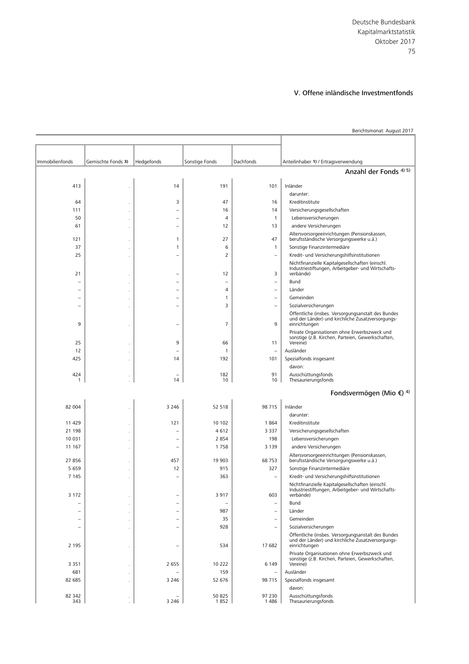Berichtsmonat: August 2017

| Immobilienfonds          | Gemischte Fonds 3) | Hedgefonds               | Sonstige Fonds           | Dachfonds                | Anteilinhaber 1) / Ertragsverwendung                                                                                     |  |  |  |  |  |
|--------------------------|--------------------|--------------------------|--------------------------|--------------------------|--------------------------------------------------------------------------------------------------------------------------|--|--|--|--|--|
| Anzahl der Fonds 4) 5)   |                    |                          |                          |                          |                                                                                                                          |  |  |  |  |  |
| 413                      |                    | 14                       | 191                      | 101                      | Inländer                                                                                                                 |  |  |  |  |  |
|                          |                    |                          |                          |                          | darunter:                                                                                                                |  |  |  |  |  |
| 64                       |                    | 3                        | 47                       | 16                       | Kreditinstitute                                                                                                          |  |  |  |  |  |
| 111                      |                    | ۳                        | 16                       | 14                       | Versicherungsgesellschaften                                                                                              |  |  |  |  |  |
| 50                       |                    |                          | $\overline{4}$           | $\mathbf{1}$             | Lebensversicherungen                                                                                                     |  |  |  |  |  |
| 61                       |                    |                          | 12                       | 13                       | andere Versicherungen                                                                                                    |  |  |  |  |  |
|                          |                    |                          |                          |                          | Altersvorsorgeeinrichtungen (Pensionskassen,                                                                             |  |  |  |  |  |
| 121                      |                    | 1                        | 27                       | 47                       | berufsständische Versorgungswerke u.ä.)                                                                                  |  |  |  |  |  |
| 37                       |                    | 1                        | 6                        | $\mathbf{1}$             | Sonstige Finanzintermediäre                                                                                              |  |  |  |  |  |
| 25                       |                    | ÷                        | 2                        | $\equiv$                 | Kredit- und Versicherungshilfsinstitutionen                                                                              |  |  |  |  |  |
| 21                       |                    | ۰                        | 12                       | 3                        | Nichtfinanzielle Kapitalgesellschaften (einschl.<br>Industriestiftungen, Arbeitgeber- und Wirtschafts-<br>verbände)      |  |  |  |  |  |
| ۳                        |                    | ۳                        | $\overline{\phantom{0}}$ | $\qquad \qquad -$        | Bund                                                                                                                     |  |  |  |  |  |
|                          |                    | L,                       | 4                        | $\overline{\phantom{0}}$ | Länder                                                                                                                   |  |  |  |  |  |
| $\overline{\phantom{0}}$ |                    | ÷                        | 1                        | $\equiv$                 | Gemeinden                                                                                                                |  |  |  |  |  |
| $\overline{\phantom{0}}$ |                    | ۰                        | 3                        | $\qquad \qquad$          | Sozialversicherungen                                                                                                     |  |  |  |  |  |
| 9                        |                    | ۰                        | $\overline{7}$           | 9                        | Öffentliche (insbes. Versorgungsanstalt des Bundes<br>und der Länder) und kirchliche Zusatzversorgungs-<br>einrichtungen |  |  |  |  |  |
| 25                       |                    | 9                        | 66                       | 11                       | Private Organisationen ohne Erwerbszweck und<br>sonstige (z.B. Kirchen, Parteien, Gewerkschaften,<br>Vereine)            |  |  |  |  |  |
| 12                       |                    | ۳                        | 1                        | $\qquad \qquad -$        | Ausländer                                                                                                                |  |  |  |  |  |
| 425                      |                    | 14                       | 192                      | 101                      | Spezialfonds insgesamt                                                                                                   |  |  |  |  |  |
|                          |                    |                          |                          |                          | davon:                                                                                                                   |  |  |  |  |  |
| 424<br>$\mathbf{1}$      |                    | 14                       | 182<br>10                | 91<br>10                 | Ausschüttungsfonds<br>Thesaurierungsfonds                                                                                |  |  |  |  |  |
|                          |                    |                          |                          |                          | Fondsvermögen (Mio €) <sup>4)</sup>                                                                                      |  |  |  |  |  |
|                          |                    |                          |                          |                          |                                                                                                                          |  |  |  |  |  |
| 82 004                   |                    | 3 2 4 6                  | 52 518                   | 98 715                   | Inländer<br>darunter:                                                                                                    |  |  |  |  |  |
| 11 429                   |                    | 121                      | 10 102                   | 1864                     | Kreditinstitute                                                                                                          |  |  |  |  |  |
| 21 198                   |                    | ۳                        | 4612                     | 3 3 3 7                  | Versicherungsgesellschaften                                                                                              |  |  |  |  |  |
| 10 031                   |                    | ۰                        | 2854                     | 198                      | Lebensversicherungen                                                                                                     |  |  |  |  |  |
| 11 167                   |                    | ÷,                       | 1758                     | 3 1 3 9                  | andere Versicherungen                                                                                                    |  |  |  |  |  |
|                          |                    |                          |                          |                          | Altersvorsorgeeinrichtungen (Pensionskassen,                                                                             |  |  |  |  |  |
| 27 856                   |                    | 457                      | 19 903                   | 68 753                   | berufsständische Versorgungswerke u.ä.)                                                                                  |  |  |  |  |  |
| 5 6 5 9                  |                    | 12                       | 915                      | 327                      | Sonstige Finanzintermediäre                                                                                              |  |  |  |  |  |
| 7 1 4 5                  |                    |                          | 363                      | $\qquad \qquad -$        | Kredit- und Versicherungshilfsinstitutionen                                                                              |  |  |  |  |  |
| 3 1 7 2                  |                    |                          | 3917                     | 603                      | Nichtfinanzielle Kapitalgesellschaften (einschl.<br>Industriestiftungen, Arbeitgeber- und Wirtschafts-<br>verbände)      |  |  |  |  |  |
| $\overline{\phantom{0}}$ |                    | $\overline{\phantom{0}}$ |                          | $\overline{\phantom{m}}$ | Bund                                                                                                                     |  |  |  |  |  |
|                          |                    |                          | 987                      |                          | Länder                                                                                                                   |  |  |  |  |  |
| $\overline{\phantom{0}}$ |                    | ÷                        | 35                       | $\equiv$                 | Gemeinden                                                                                                                |  |  |  |  |  |
| $\overline{\phantom{0}}$ |                    | ۰                        | 928                      | $\overline{\phantom{a}}$ | Sozialversicherungen                                                                                                     |  |  |  |  |  |
| 2 1 9 5                  |                    | $\overline{\phantom{0}}$ | 534                      | 17 682                   | Öffentliche (insbes. Versorgungsanstalt des Bundes<br>und der Länder) und kirchliche Zusatzversorgungs-<br>einrichtungen |  |  |  |  |  |
|                          |                    |                          |                          |                          | Private Organisationen ohne Erwerbszweck und<br>sonstige (z.B. Kirchen, Parteien, Gewerkschaften,                        |  |  |  |  |  |
| 3 3 5 1                  |                    | 2 6 5 5                  | 10 222                   | 6 1 4 9                  | Vereine)                                                                                                                 |  |  |  |  |  |
| 681                      |                    |                          | 159                      | $\overline{\phantom{m}}$ | Ausländer                                                                                                                |  |  |  |  |  |
| 82 685                   |                    | 3 2 4 6                  | 52 676                   | 98 715                   | Spezialfonds insgesamt<br>davon:                                                                                         |  |  |  |  |  |
| 82 342<br>343            |                    | 3 2 4 6                  | 50 825<br>1852           | 97 230<br>1486           | Ausschüttungsfonds<br>Thesaurierungsfonds                                                                                |  |  |  |  |  |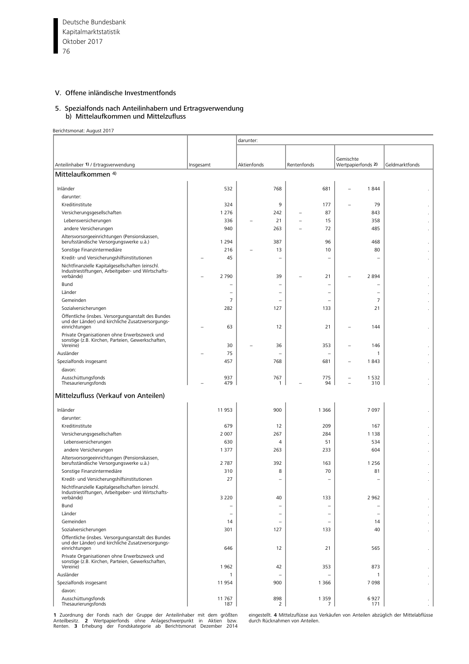Deutsche Bundesbank 76 Kapitalmarktstatistik Oktober 2017

# V. Offene inländische Investmentfonds

#### 5. Spezialfonds nach Anteilinhabern und Ertragsverwendung b) Mittelaufkommen und Mittelzufluss

Berichtsmonat: August 2017

|                                                                                                                          |           |                | darunter:   |                          |             |                          |                          |                |                |
|--------------------------------------------------------------------------------------------------------------------------|-----------|----------------|-------------|--------------------------|-------------|--------------------------|--------------------------|----------------|----------------|
|                                                                                                                          |           |                |             |                          |             |                          |                          |                |                |
|                                                                                                                          |           |                |             |                          |             |                          | Gemischte                |                |                |
| Anteilinhaber 1) / Ertragsverwendung                                                                                     | Insgesamt |                | Aktienfonds |                          | Rentenfonds |                          | Wertpapierfonds 2)       |                | Geldmarktfonds |
| Mittelaufkommen <sup>4)</sup>                                                                                            |           |                |             |                          |             |                          |                          |                |                |
| Inländer                                                                                                                 |           | 532            |             | 768                      |             | 681                      |                          | 1844           |                |
| darunter:                                                                                                                |           |                |             |                          |             |                          |                          |                |                |
| Kreditinstitute                                                                                                          |           | 324            |             | 9                        |             | 177                      |                          | 79             |                |
| Versicherungsgesellschaften                                                                                              |           | 1 2 7 6        |             | 242                      | ۰           | 87                       |                          | 843            |                |
| Lebensversicherungen                                                                                                     |           | 336            |             | 21                       |             | 15                       |                          | 358            |                |
| andere Versicherungen                                                                                                    |           | 940            |             | 263                      |             | 72                       |                          | 485            |                |
| Altersvorsorgeeinrichtungen (Pensionskassen,                                                                             |           |                |             |                          |             |                          |                          |                |                |
| berufsständische Versorgungswerke u.ä.)                                                                                  |           | 1 2 9 4        |             | 387                      |             | 96                       |                          | 468            |                |
| Sonstige Finanzintermediäre                                                                                              |           | 216            |             | 13                       |             | 10                       |                          | 80             |                |
| Kredit- und Versicherungshilfsinstitutionen                                                                              |           | 45             |             | $\overline{\phantom{0}}$ |             | -                        |                          |                |                |
| Nichtfinanzielle Kapitalgesellschaften (einschl.<br>Industriestiftungen, Arbeitgeber- und Wirtschafts-                   |           |                |             |                          |             |                          |                          |                |                |
| verbände)                                                                                                                |           | 2 7 9 0        |             | 39                       |             | 21                       |                          | 2894           |                |
| Bund                                                                                                                     |           |                |             | $\overline{\phantom{0}}$ |             |                          |                          |                |                |
| Länder                                                                                                                   |           |                |             | -                        |             |                          |                          |                |                |
| Gemeinden                                                                                                                |           | $\overline{7}$ |             | $\qquad \qquad$          |             |                          |                          | $\overline{7}$ |                |
| Sozialversicherungen                                                                                                     |           | 282            |             | 127                      |             | 133                      |                          | 21             |                |
| Öffentliche (insbes. Versorgungsanstalt des Bundes<br>und der Länder) und kirchliche Zusatzversorgungs-                  |           |                |             |                          |             |                          |                          |                |                |
| einrichtungen                                                                                                            |           | 63             |             | 12                       |             | 21                       |                          | 144            | $\cdot$        |
| Private Organisationen ohne Erwerbszweck und                                                                             |           |                |             |                          |             |                          |                          |                |                |
| sonstige (z.B. Kirchen, Parteien, Gewerkschaften,<br>Vereine)                                                            |           | 30             |             | 36                       |             | 353                      |                          | 146            |                |
| Ausländer                                                                                                                |           | 75             |             | $\overline{\phantom{0}}$ |             | $\overline{\phantom{0}}$ |                          | $\mathbf{1}$   |                |
| Spezialfonds insgesamt                                                                                                   |           | 457            |             | 768                      |             | 681                      |                          | 1843           |                |
| davon:                                                                                                                   |           |                |             |                          |             |                          |                          |                |                |
| Ausschüttungsfonds                                                                                                       |           | 937            |             | 767                      |             | 775                      | $\overline{\phantom{0}}$ | 1532           |                |
| Thesaurierungsfonds                                                                                                      |           | 479            |             | 1                        |             | 94                       |                          | 310            |                |
| Mittelzufluss (Verkauf von Anteilen)                                                                                     |           |                |             |                          |             |                          |                          |                |                |
| Inländer                                                                                                                 |           | 11 953         |             | 900                      |             | 1 3 6 6                  |                          | 7 0 9 7        |                |
| darunter:                                                                                                                |           |                |             |                          |             |                          |                          |                |                |
| Kreditinstitute                                                                                                          |           | 679            |             | 12                       |             | 209                      |                          | 167            |                |
| Versicherungsgesellschaften                                                                                              |           | 2 0 0 7        |             | 267                      |             | 284                      |                          | 1 1 3 8        |                |
| Lebensversicherungen                                                                                                     |           | 630            |             | $\overline{4}$           |             | 51                       |                          | 534            |                |
| andere Versicherungen                                                                                                    |           | 1 3 7 7        |             | 263                      |             | 233                      |                          | 604            |                |
| Altersvorsorgeeinrichtungen (Pensionskassen,                                                                             |           |                |             |                          |             |                          |                          |                | $\cdot$        |
| berufsständische Versorgungswerke u.ä.)                                                                                  |           | 2 7 8 7        |             | 392                      |             | 163                      |                          | 1 2 5 6        |                |
| Sonstige Finanzintermediäre                                                                                              |           | 310            |             | 8                        |             | 70                       |                          | 81             |                |
| Kredit- und Versicherungshilfsinstitutionen                                                                              |           | 27             |             | $\overline{\phantom{0}}$ |             | L.                       |                          | $\equiv$       |                |
| Nichtfinanzielle Kapitalgesellschaften (einschl.<br>Industriestiftungen, Arbeitgeber- und Wirtschafts-                   |           |                |             |                          |             |                          |                          |                |                |
| verbände)                                                                                                                |           | 3 2 2 0        |             | 40                       |             | 133                      |                          | 2 9 6 2        |                |
| Bund                                                                                                                     |           |                |             | $\overline{\phantom{m}}$ |             | $\overline{\phantom{0}}$ |                          |                |                |
| Länder                                                                                                                   |           |                |             |                          |             |                          |                          |                |                |
| Gemeinden                                                                                                                |           | 14             |             | $\equiv$                 |             | $\rightarrow$            |                          | 14             |                |
| Sozialversicherungen                                                                                                     |           | 301            |             | 127                      |             | 133                      |                          | 40             |                |
| Öffentliche (insbes. Versorgungsanstalt des Bundes<br>und der Länder) und kirchliche Zusatzversorgungs-<br>einrichtungen |           | 646            |             | 12                       |             | 21                       |                          | 565            |                |
| Private Organisationen ohne Erwerbszweck und<br>sonstige (z.B. Kirchen, Parteien, Gewerkschaften,                        |           | 1962           |             | 42                       |             | 353                      |                          | 873            |                |
| Vereine)<br>Ausländer                                                                                                    |           |                |             |                          |             |                          |                          |                |                |
|                                                                                                                          |           | $\mathbf{1}$   |             | $\overline{\phantom{m}}$ |             | $\overline{\phantom{0}}$ |                          | $\mathbf{1}$   |                |
| Spezialfonds insgesamt                                                                                                   |           | 11954          |             | 900                      |             | 1 3 6 6                  |                          | 7098           | $\cdot$        |
| davon:<br>Ausschüttungsfonds                                                                                             |           | 11 767         |             | 898                      |             | 1 3 5 9                  |                          | 6927           |                |
| Thesaurierungsfonds                                                                                                      |           | 187            |             | 2                        |             | 7                        |                          | 171            | $\cdot$        |

1 Zuordnung der Fonds nach der Gruppe der Anteilinhaber mit dem größten — eingestellt. 4 Mittelzuflüsse aus Verkäufen von Anteilen abzüglich der Mittelabflüsse<br>Anteilbesitz. - 2 Wertpapierfonds - ohne - Anlageschwerpunkt -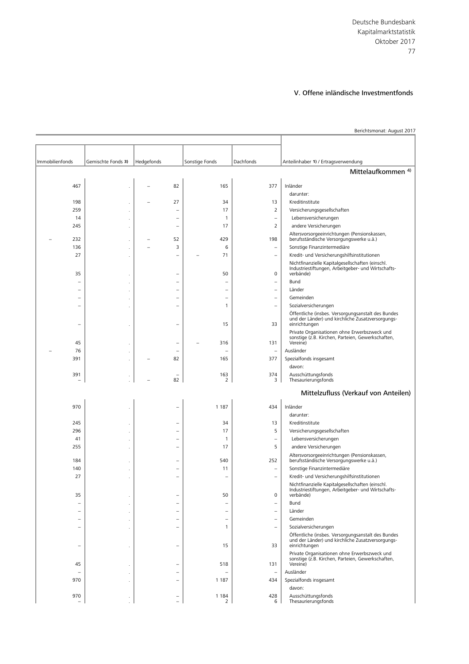Berichtsmonat: August 2017

| Immobilienfonds          | Gemischte Fonds 3) | Hedgefonds |                                | Sonstige Fonds           | Dachfonds                | Anteilinhaber 1) / Ertragsverwendung                                                                                     |
|--------------------------|--------------------|------------|--------------------------------|--------------------------|--------------------------|--------------------------------------------------------------------------------------------------------------------------|
|                          |                    |            |                                |                          |                          | Mittelaufkommen <sup>4)</sup>                                                                                            |
|                          |                    |            |                                |                          |                          |                                                                                                                          |
| 467                      |                    |            | 82                             | 165                      | 377                      | Inländer                                                                                                                 |
|                          |                    |            |                                |                          |                          | darunter:                                                                                                                |
| 198<br>259               | ٠                  |            | 27<br>$\overline{\phantom{0}}$ | 34<br>17                 | 13<br>$\overline{2}$     | Kreditinstitute<br>Versicherungsgesellschaften                                                                           |
| 14                       |                    |            |                                | $\mathbf{1}$             | $\overline{\phantom{a}}$ | Lebensversicherungen                                                                                                     |
| 245                      |                    |            | $\overline{\phantom{0}}$       | 17                       | $\overline{2}$           | andere Versicherungen                                                                                                    |
|                          |                    |            |                                |                          |                          | Altersvorsorgeeinrichtungen (Pensionskassen,                                                                             |
| 232                      |                    |            | 52                             | 429                      | 198                      | berufsständische Versorgungswerke u.ä.)                                                                                  |
| 136                      |                    |            | 3                              | 6                        | $\overline{\phantom{a}}$ | Sonstige Finanzintermediäre                                                                                              |
| 27                       | ٠                  |            | $\overline{\phantom{a}}$       | 71                       | $\qquad \qquad -$        | Kredit- und Versicherungshilfsinstitutionen                                                                              |
| 35                       |                    |            | $\overline{\phantom{0}}$       | 50                       | 0                        | Nichtfinanzielle Kapitalgesellschaften (einschl.<br>Industriestiftungen, Arbeitgeber- und Wirtschafts-<br>verbände)      |
| $\overline{\phantom{0}}$ |                    |            | ۰                              |                          | $\overline{\phantom{a}}$ | Bund                                                                                                                     |
|                          |                    |            | $\overline{\phantom{0}}$       |                          | $\overline{\phantom{0}}$ | Länder                                                                                                                   |
| ÷                        |                    |            | ۰                              | $\overline{\phantom{0}}$ | $\overline{\phantom{m}}$ | Gemeinden                                                                                                                |
| $\overline{\phantom{0}}$ |                    |            | ۰                              | 1                        | $\overline{\phantom{m}}$ | Sozialversicherungen                                                                                                     |
| ٠                        |                    |            | ۰                              | 15                       | 33                       | Öffentliche (insbes. Versorgungsanstalt des Bundes<br>und der Länder) und kirchliche Zusatzversorgungs-<br>einrichtungen |
| 45                       |                    |            |                                | 316                      | 131                      | Private Organisationen ohne Erwerbszweck und<br>sonstige (z.B. Kirchen, Parteien, Gewerkschaften,<br>Vereine)            |
| 76                       |                    |            | ۰                              |                          | $\qquad \qquad -$        | Ausländer                                                                                                                |
| 391                      |                    |            | 82                             | 165                      | 377                      | Spezialfonds insgesamt                                                                                                   |
|                          |                    |            |                                |                          |                          | davon:                                                                                                                   |
| 391                      |                    |            | 82                             | 163<br>$\overline{2}$    | 374<br>3                 | Ausschüttungsfonds<br>Thesaurierungsfonds                                                                                |
|                          |                    |            |                                |                          |                          | Mittelzufluss (Verkauf von Anteilen)                                                                                     |
|                          |                    |            |                                |                          |                          |                                                                                                                          |
| 970                      |                    |            |                                | 1 1 8 7                  | 434                      | Inländer                                                                                                                 |
|                          |                    |            |                                |                          |                          | darunter:                                                                                                                |
| 245<br>296               |                    |            | ۰                              | 34<br>17                 | 13<br>5                  | Kreditinstitute<br>Versicherungsgesellschaften                                                                           |
| 41                       |                    |            | $\overline{\phantom{0}}$       | 1                        | $\overline{\phantom{m}}$ | Lebensversicherungen                                                                                                     |
| 255                      |                    |            |                                | 17                       | 5                        | andere Versicherungen                                                                                                    |
|                          |                    |            |                                |                          |                          | Altersvorsorgeeinrichtungen (Pensionskassen,                                                                             |
| 184                      |                    |            | $\qquad \qquad -$              | 540                      | 252                      | berufsständische Versorgungswerke u.ä.)                                                                                  |
| 140                      |                    |            |                                | 11                       | $\qquad \qquad -$        | Sonstige Finanzintermediäre                                                                                              |
| 27                       |                    |            | $\overline{\phantom{0}}$       |                          | $\qquad \qquad -$        | Kredit- und Versicherungshilfsinstitutionen                                                                              |
| 35                       |                    |            |                                | 50                       | 0                        | Nichtfinanzielle Kapitalgesellschaften (einschl.<br>Industriestiftungen, Arbeitgeber- und Wirtschafts-<br>verbände)      |
|                          |                    |            | -                              |                          | $\qquad \qquad -$        | Bund                                                                                                                     |
|                          |                    |            |                                |                          |                          | Länder                                                                                                                   |
|                          |                    |            |                                |                          | $\qquad \qquad -$        | Gemeinden                                                                                                                |
| -                        |                    |            | $\overline{\phantom{0}}$       | 1                        | $\overline{\phantom{0}}$ | Sozialversicherungen                                                                                                     |
| $\overline{\phantom{0}}$ |                    |            | $\qquad \qquad -$              | 15                       | 33                       | Öffentliche (insbes. Versorgungsanstalt des Bundes<br>und der Länder) und kirchliche Zusatzversorgungs-<br>einrichtungen |
| 45                       |                    |            |                                | 518                      | 131                      | Private Organisationen ohne Erwerbszweck und<br>sonstige (z.B. Kirchen, Parteien, Gewerkschaften,<br>Vereine)            |
|                          |                    |            | ۰                              |                          | $\overline{\phantom{a}}$ | Ausländer                                                                                                                |
| 970                      |                    |            | $\equiv$                       | 1 1 8 7                  | 434                      | Spezialfonds insgesamt                                                                                                   |
|                          |                    |            |                                |                          |                          | davon:                                                                                                                   |
| 970                      |                    |            | ۰                              | 1 1 8 4<br>2             | 428<br>6                 | Ausschüttungsfonds<br>Thesaurierungsfonds                                                                                |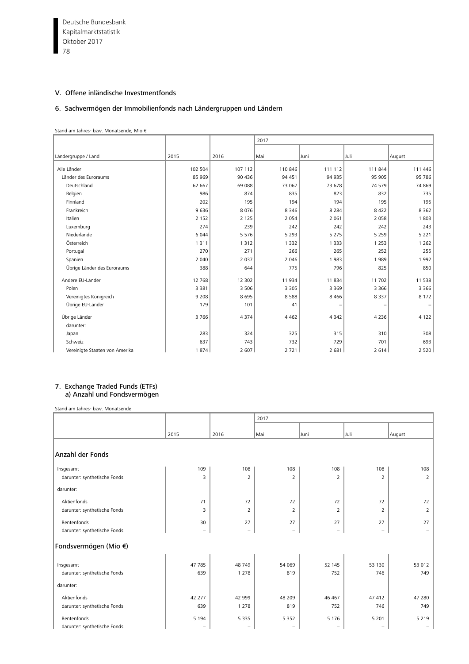Deutsche Bundesbank  $\frac{6}{1}$  78 Kapitalmarktstatistik Oktober 2017

# V. Offene inländische Investmentfonds

#### 6. Sachvermögen der Immobilienfonds nach Ländergruppen und Ländern

#### Stand am Jahres- bzw. Monatsende; Mio €

|                                |         |         | 2017    |         |         |         |
|--------------------------------|---------|---------|---------|---------|---------|---------|
|                                |         |         |         |         |         |         |
| Ländergruppe / Land            | 2015    | 2016    | Mai     | Juni    | Juli    | August  |
| Alle Länder                    | 102 504 | 107 112 | 110 846 | 111 112 | 111 844 | 111 446 |
| Länder des Euroraums           | 85 969  | 90 436  | 94 451  | 94 935  | 95 905  | 95 786  |
| Deutschland                    | 62 667  | 69 088  | 73 067  | 73 678  | 74 579  | 74 869  |
| Belgien                        | 986     | 874     | 835     | 823     | 832     | 735     |
| Finnland                       | 202     | 195     | 194     | 194     | 195     | 195     |
| Frankreich                     | 9636    | 8076    | 8 3 4 6 | 8 2 8 4 | 8 4 2 2 | 8 3 6 2 |
| Italien                        | 2 1 5 2 | 2 1 2 5 | 2 0 5 4 | 2 0 6 1 | 2 0 5 8 | 1803    |
| Luxemburg                      | 274     | 239     | 242     | 242     | 242     | 243     |
| Niederlande                    | 6 0 4 4 | 5576    | 5 2 9 3 | 5 2 7 5 | 5 2 5 9 | 5 2 2 1 |
| Österreich                     | 1 3 1 1 | 1 3 1 2 | 1 3 3 2 | 1 3 3 3 | 1 2 5 3 | 1 2 6 2 |
| Portugal                       | 270     | 271     | 266     | 265     | 252     | 255     |
| Spanien                        | 2 0 4 0 | 2 0 3 7 | 2 0 4 6 | 1983    | 1989    | 1992    |
| Übrige Länder des Euroraums    | 388     | 644     | 775     | 796     | 825     | 850     |
| Andere EU-Länder               | 12 7 68 | 12 302  | 11934   | 11 834  | 11 702  | 11 538  |
| Polen                          | 3 3 8 1 | 3 5 0 6 | 3 3 0 5 | 3 3 6 9 | 3 3 6 6 | 3 3 6 6 |
| Vereinigtes Königreich         | 9 2 0 8 | 8695    | 8588    | 8 4 6 6 | 8 3 3 7 | 8 1 7 2 |
| Übrige EU-Länder               | 179     | 101     | 41      |         |         |         |
| Übrige Länder                  | 3766    | 4 3 7 4 | 4 4 6 2 | 4 3 4 2 | 4 2 3 6 | 4 1 2 2 |
| darunter:                      |         |         |         |         |         |         |
| Japan                          | 283     | 324     | 325     | 315     | 310     | 308     |
| Schweiz                        | 637     | 743     | 732     | 729     | 701     | 693     |
| Vereinigte Staaten von Amerika | 1874    | 2 607   | 2721    | 2 681   | 2614    | 2 5 2 0 |

#### 7. Exchange Traded Funds (ETFs) a) Anzahl und Fondsvermögen

Stand am Jahres- bzw. Monatsende

|                              |                          |                          | 2017                     |                   |                          |                          |  |  |  |
|------------------------------|--------------------------|--------------------------|--------------------------|-------------------|--------------------------|--------------------------|--|--|--|
|                              |                          |                          |                          |                   |                          |                          |  |  |  |
|                              | 2015                     | 2016                     | Mai                      | Juni              | Juli                     | August                   |  |  |  |
|                              |                          |                          |                          |                   |                          |                          |  |  |  |
| Anzahl der Fonds             |                          |                          |                          |                   |                          |                          |  |  |  |
| Insgesamt                    | 109                      | 108                      | 108                      | 108               | 108                      | 108                      |  |  |  |
| darunter: synthetische Fonds | 3                        | $\overline{2}$           | $\overline{2}$           | $\overline{2}$    | $\overline{2}$           | $\overline{2}$           |  |  |  |
| darunter:                    |                          |                          |                          |                   |                          |                          |  |  |  |
| Aktienfonds                  | 71                       | 72                       | 72                       | 72                | 72                       | 72                       |  |  |  |
| darunter: synthetische Fonds | 3                        | $\overline{2}$           | $\overline{2}$           | $\overline{2}$    | 2                        | $\overline{2}$           |  |  |  |
| Rentenfonds                  | 30                       | 27                       | 27                       | 27                | 27                       | 27                       |  |  |  |
| darunter: synthetische Fonds | $\overline{\phantom{m}}$ | $\overline{\phantom{a}}$ | $\overline{\phantom{0}}$ | $\qquad \qquad -$ | $\overline{\phantom{a}}$ |                          |  |  |  |
| Fondsvermögen (Mio €)        |                          |                          |                          |                   |                          |                          |  |  |  |
| Insgesamt                    | 47 785                   | 48 749                   | 54 069                   | 52 145            | 53 130                   | 53 012                   |  |  |  |
| darunter: synthetische Fonds | 639                      | 1 2 7 8                  | 819                      | 752               | 746                      | 749                      |  |  |  |
| darunter:                    |                          |                          |                          |                   |                          |                          |  |  |  |
| Aktienfonds                  | 42 277                   | 42 999                   | 48 209                   | 46 467            | 47 412                   | 47 280                   |  |  |  |
| darunter: synthetische Fonds | 639                      | 1 2 7 8                  | 819                      | 752               | 746                      | 749                      |  |  |  |
| Rentenfonds                  | 5 1 9 4                  | 5 3 3 5                  | 5 3 5 2                  | 5 1 7 6           | 5 2 0 1                  | 5 2 1 9                  |  |  |  |
| darunter: synthetische Fonds | $\overline{\phantom{m}}$ | $\qquad \qquad -$        | $\overline{\phantom{0}}$ | -                 | $\overline{\phantom{0}}$ | $\overline{\phantom{m}}$ |  |  |  |